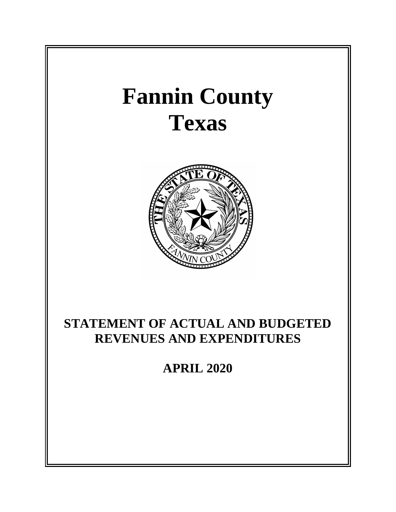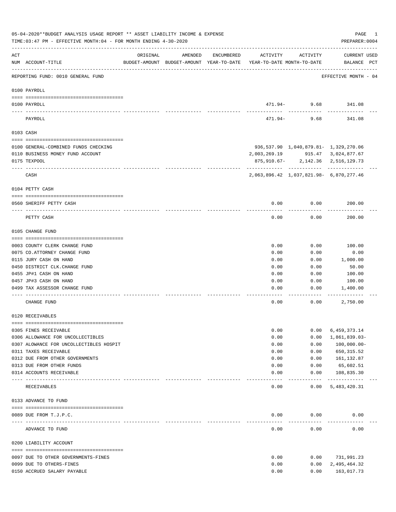|          | 05-04-2020**BUDGET ANALYSIS USAGE REPORT ** ASSET LIABILITY INCOME & EXPENSE<br>TIME: 03:47 PM - EFFECTIVE MONTH: 04 - FOR MONTH ENDING 4-30-2020 |          |                                                                                |            |              |                                         | PAGE<br>PREPARER: 0004             | 1 |
|----------|---------------------------------------------------------------------------------------------------------------------------------------------------|----------|--------------------------------------------------------------------------------|------------|--------------|-----------------------------------------|------------------------------------|---|
| ACT      | NUM ACCOUNT-TITLE                                                                                                                                 | ORIGINAL | AMENDED<br>BUDGET-AMOUNT BUDGET-AMOUNT YEAR-TO-DATE YEAR-TO-DATE MONTH-TO-DATE | ENCUMBERED | ACTIVITY     | ACTIVITY                                | <b>CURRENT USED</b><br>BALANCE PCT |   |
|          | REPORTING FUND: 0010 GENERAL FUND                                                                                                                 |          |                                                                                |            |              |                                         | EFFECTIVE MONTH - 04               |   |
|          | 0100 PAYROLL                                                                                                                                      |          |                                                                                |            |              |                                         |                                    |   |
|          | 0100 PAYROLL                                                                                                                                      |          |                                                                                |            |              | 471.94- 9.68 341.08                     |                                    |   |
| ---- --- | PAYROLL                                                                                                                                           |          |                                                                                |            | 471.94-      | 9.68                                    | 341.08                             |   |
|          | 0103 CASH                                                                                                                                         |          |                                                                                |            |              |                                         |                                    |   |
|          | 0100 GENERAL-COMBINED FUNDS CHECKING                                                                                                              |          |                                                                                |            |              | 936,537.90 1,040,879.81- 1,329,270.06   |                                    |   |
|          | 0110 BUSINESS MONEY FUND ACCOUNT                                                                                                                  |          |                                                                                |            | 2,003,269.19 |                                         | 915.47 3,024,877.67                |   |
|          | 0175 TEXPOOL                                                                                                                                      |          |                                                                                |            |              | 875,910.67-2,142.36 2,516,129.73        |                                    |   |
|          | CASH                                                                                                                                              |          |                                                                                |            |              | 2,063,896.42 1,037,821.98- 6,870,277.46 |                                    |   |
|          | 0104 PETTY CASH                                                                                                                                   |          |                                                                                |            |              |                                         |                                    |   |
|          | 0560 SHERIFF PETTY CASH                                                                                                                           |          |                                                                                |            | 0.00         | 0.00                                    | 200.00                             |   |
|          | PETTY CASH                                                                                                                                        |          |                                                                                |            | 0.00         | 0.00                                    | 200.00                             |   |
|          | 0105 CHANGE FUND                                                                                                                                  |          |                                                                                |            |              |                                         |                                    |   |
|          |                                                                                                                                                   |          |                                                                                |            |              |                                         |                                    |   |
|          | 0003 COUNTY CLERK CHANGE FUND                                                                                                                     |          |                                                                                |            | 0.00         | 0.00                                    | 100.00                             |   |
|          | 0075 CO. ATTORNEY CHANGE FUND                                                                                                                     |          |                                                                                |            | 0.00         | 0.00                                    | 0.00                               |   |
|          | 0115 JURY CASH ON HAND                                                                                                                            |          |                                                                                |            | 0.00         | 0.00                                    | 1,000.00                           |   |
|          | 0450 DISTRICT CLK. CHANGE FUND                                                                                                                    |          |                                                                                |            | 0.00         | 0.00                                    | 50.00                              |   |
|          | 0455 JP#1 CASH ON HAND                                                                                                                            |          |                                                                                |            | 0.00         | 0.00                                    | 100.00                             |   |
|          | 0457 JP#3 CASH ON HAND                                                                                                                            |          |                                                                                |            | 0.00         | 0.00                                    | 100.00                             |   |
|          | 0499 TAX ASSESSOR CHANGE FUND                                                                                                                     |          |                                                                                |            | 0.00         | 0.00                                    | 1,400.00                           |   |
|          | CHANGE FUND                                                                                                                                       |          |                                                                                |            | 0.00         | 0.00                                    | 2,750.00                           |   |
|          | 0120 RECEIVABLES                                                                                                                                  |          |                                                                                |            |              |                                         |                                    |   |
|          | 0305 FINES RECEIVABLE                                                                                                                             |          |                                                                                |            | 0.00         | 0.00                                    | 6,459,373.14                       |   |
|          | 0306 ALLOWANCE FOR UNCOLLECTIBLES                                                                                                                 |          |                                                                                |            | 0.00         | 0.00                                    | $1,861,839.03-$                    |   |
|          | 0307 ALOWANCE FOR UNCOLLECTIBLES HOSPIT                                                                                                           |          |                                                                                |            | 0.00         | 0.00                                    | 100,000.00-                        |   |
|          | 0311 TAXES RECEIVABLE                                                                                                                             |          |                                                                                |            | 0.00         | 0.00                                    | 650, 315.52                        |   |
|          | 0312 DUE FROM OTHER GOVERNMENTS                                                                                                                   |          |                                                                                |            | 0.00         | 0.00                                    | 161,132.87                         |   |
|          | 0313 DUE FROM OTHER FUNDS                                                                                                                         |          |                                                                                |            | 0.00         | 0.00                                    | 65,602.51                          |   |
|          | 0314 ACCOUNTS RECEIVABLE<br>------------------------ -----------                                                                                  |          |                                                                                |            | 0.00         | 0.00<br>---------                       | 108,835.30<br>-------------        |   |
|          | RECEIVABLES                                                                                                                                       |          |                                                                                |            | 0.00         | 0.00                                    | 5,483,420.31                       |   |
|          | 0133 ADVANCE TO FUND                                                                                                                              |          |                                                                                |            |              |                                         |                                    |   |
|          | 0089 DUE FROM T.J.P.C.                                                                                                                            |          |                                                                                |            | 0.00         | 0.00                                    | 0.00                               |   |
|          | ADVANCE TO FUND                                                                                                                                   |          |                                                                                |            | 0.00         | 0.00                                    | 0.00                               |   |
|          | 0200 LIABILITY ACCOUNT                                                                                                                            |          |                                                                                |            |              |                                         |                                    |   |
|          |                                                                                                                                                   |          |                                                                                |            | 0.00         |                                         |                                    |   |
|          | 0097 DUE TO OTHER GOVERNMENTS-FINES<br>0099 DUE TO OTHERS-FINES                                                                                   |          |                                                                                |            | 0.00         | 0.00<br>0.00                            | 731,991.23                         |   |
|          | 0150 ACCRUED SALARY PAYABLE                                                                                                                       |          |                                                                                |            | 0.00         | 0.00                                    | 2,495,464.32<br>163,017.73         |   |
|          |                                                                                                                                                   |          |                                                                                |            |              |                                         |                                    |   |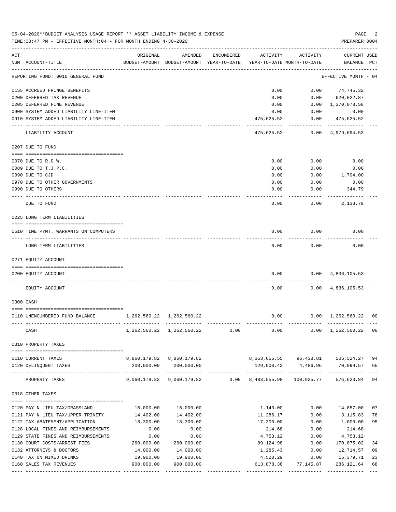|     | 05-04-2020**BUDGET ANALYSIS USAGE REPORT ** ASSET LIABILITY INCOME & EXPENSE<br>TIME:03:47 PM - EFFECTIVE MONTH:04 - FOR MONTH ENDING 4-30-2020 |                                 |                                                     |              |                                        |              | PAGE<br>PREPARER: 0004             | 2                         |
|-----|-------------------------------------------------------------------------------------------------------------------------------------------------|---------------------------------|-----------------------------------------------------|--------------|----------------------------------------|--------------|------------------------------------|---------------------------|
| ACT | NUM ACCOUNT-TITLE                                                                                                                               | ORIGINAL                        | AMENDED<br>BUDGET-AMOUNT BUDGET-AMOUNT YEAR-TO-DATE | ENCUMBERED   | ACTIVITY<br>YEAR-TO-DATE MONTH-TO-DATE | ACTIVITY     | <b>CURRENT USED</b><br>BALANCE PCT |                           |
|     | REPORTING FUND: 0010 GENERAL FUND                                                                                                               |                                 |                                                     |              |                                        |              | EFFECTIVE MONTH - 04               |                           |
|     | 0155 ACCRUED FRINGE BENEFITS                                                                                                                    |                                 |                                                     |              | 0.00                                   | 0.00         | 74,745.32                          |                           |
|     | 0200 DEFERRED TAX REVENUE                                                                                                                       |                                 |                                                     |              | 0.00                                   | 0.00         | 620,022.87                         |                           |
|     | 0205 DEFERRED FINE REVENUE                                                                                                                      |                                 |                                                     |              | 0.00                                   | 0.00         | 1,370,078.58                       |                           |
|     | 0900 SYSTEM ADDED LIABILITY LINE-ITEM                                                                                                           |                                 |                                                     |              | 0.00                                   | 0.00         | 0.00                               |                           |
|     | 0910 SYSTEM ADDED LIABILITY LINE-ITEM                                                                                                           |                                 |                                                     |              | 475,625.52-                            | 0.00         | 475,625.52-                        |                           |
|     | LIABILITY ACCOUNT                                                                                                                               |                                 |                                                     |              | 475,625.52-                            |              | 0.00 4,979,694.53                  |                           |
|     | 0207 DUE TO FUND                                                                                                                                |                                 |                                                     |              |                                        |              |                                    |                           |
|     |                                                                                                                                                 |                                 |                                                     |              |                                        |              |                                    |                           |
|     | 0070 DUE TO R.O.W.                                                                                                                              |                                 |                                                     |              | 0.00<br>0.00                           | 0.00<br>0.00 | 0.00                               |                           |
|     | 0089 DUE TO T.J.P.C.<br>0090 DUE TO CJD                                                                                                         |                                 |                                                     |              | 0.00                                   | 0.00         | 0.00<br>1,794.00                   |                           |
|     | 0970 DUE TO OTHER GOVERNMENTS                                                                                                                   |                                 |                                                     |              | 0.00                                   | 0.00         | 0.00                               |                           |
|     | 0990 DUE TO OTHERS                                                                                                                              |                                 |                                                     |              | 0.00                                   | 0.00         | 344.79                             |                           |
|     |                                                                                                                                                 |                                 |                                                     |              |                                        |              |                                    |                           |
|     | DUE TO FUND                                                                                                                                     |                                 |                                                     |              | 0.00                                   | 0.00         | 2,138.79                           |                           |
|     | 0225 LONG TERM LIABILITIES                                                                                                                      |                                 |                                                     |              |                                        |              |                                    |                           |
|     | 0510 TIME PYMT. WARRANTS ON COMPUTERS                                                                                                           |                                 |                                                     |              | 0.00                                   | 0.00         | 0.00                               |                           |
|     | LONG TERM LIABILITIES                                                                                                                           |                                 |                                                     |              | 0.00                                   | 0.00         | 0.00                               |                           |
|     | 0271 EOUITY ACCOUNT                                                                                                                             |                                 |                                                     |              |                                        |              |                                    |                           |
|     | 0200 EQUITY ACCOUNT                                                                                                                             |                                 |                                                     |              | 0.00                                   |              | $0.00 \quad 4,836,105.53$          |                           |
|     | EQUITY ACCOUNT                                                                                                                                  |                                 |                                                     |              | 0.00                                   |              | $0.00 \quad 4,836,105.53$          |                           |
|     | 0300 CASH                                                                                                                                       |                                 |                                                     |              |                                        |              |                                    |                           |
|     |                                                                                                                                                 |                                 |                                                     |              |                                        |              |                                    |                           |
|     | 0110 UNENCUMBERED FUND BALANCE                                                                                                                  | 1, 262, 560. 22 1, 262, 560. 22 |                                                     |              | 0.00                                   |              | $0.00 \quad 1,262,560.22 \quad 00$ |                           |
|     | CASH                                                                                                                                            |                                 | 1, 262, 560. 22 1, 262, 560. 22                     | 0.00         | 0.00                                   |              | $0.00 \quad 1,262,560.22 \quad 00$ |                           |
|     | 0310 PROPERTY TAXES                                                                                                                             |                                 |                                                     |              |                                        |              |                                    |                           |
|     | 0110 CURRENT TAXES                                                                                                                              |                                 | 8,860,179.82 8,860,179.82                           |              | 8,353,655.55 96,438.81 506,524.27      |              |                                    | 94                        |
|     | 0120 DELINQUENT TAXES                                                                                                                           |                                 | 200,000.00 200,000.00                               |              | 129,900.43 4,486.96                    |              | 70,099.57                          | 65                        |
|     | PROPERTY TAXES                                                                                                                                  | _____________                   | _____________<br>9,060,179.82 9,060,179.82          | ------------ | $0.00 \quad 8,483,555.98$              | 100,925.77   | 576,623.84                         | $- - -$<br>94             |
|     | 0318 OTHER TAXES                                                                                                                                |                                 |                                                     |              |                                        |              |                                    |                           |
|     |                                                                                                                                                 |                                 |                                                     |              |                                        |              |                                    |                           |
|     | 0120 PAY N LIEU TAX/GRASSLAND                                                                                                                   | 16,000.00                       | 16,000.00                                           |              | 1,143.00                               | 0.00         | 14,857.00                          | 07                        |
|     | 0121 PAY N LIEU TAX/UPPER TRINITY                                                                                                               | 14,402.00                       | 14,402.00                                           |              | 11,286.17                              | 0.00         | 3,115.83                           | 78                        |
|     | 0122 TAX ABATEMENT/APPLICATION                                                                                                                  | 18,300.00                       | 18,300.00                                           |              | 17,300.00                              | 0.00         | 1,000.00                           | 95                        |
|     | 0128 LOCAL FINES AND REIMBURSEMENTS                                                                                                             | 0.00                            | 0.00                                                |              | 214.68                                 | 0.00         | $214.68+$                          |                           |
|     | 0129 STATE FINES AND REIMBURSEMENTS                                                                                                             | 0.00                            | 0.00                                                |              | 4,753.12                               | 0.00         | $4,753.12+$                        |                           |
|     | 0130 COURT COSTS/ARREST FEES                                                                                                                    | 260,000.00                      | 260,000.00                                          |              | 89,124.98                              | 0.00         | 170,875.02                         | 34                        |
|     | 0132 ATTORNEYS & DOCTORS                                                                                                                        | 14,000.00                       | 14,000.00                                           |              | 1,285.43                               | 0.00         | 12,714.57                          | 09                        |
|     | 0140 TAX ON MIXED DRINKS                                                                                                                        | 19,900.00                       | 19,900.00                                           |              | 4,520.29                               | 0.00         | 15,379.71                          | 23                        |
|     | 0160 SALES TAX REVENUES                                                                                                                         | 900,000.00                      | 900,000.00<br>-------------                         |              | 613,878.36                             | 77,145.87    | 286, 121.64                        | 68<br>$\qquad \qquad - -$ |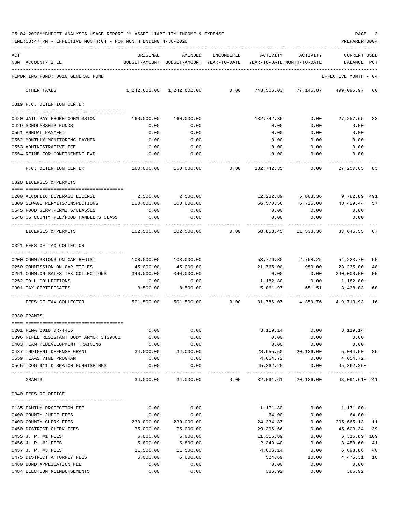| 05-04-2020**BUDGET ANALYSIS USAGE REPORT ** ASSET LIABILITY INCOME & EXPENSE |  |  |  | PAGE |  |
|------------------------------------------------------------------------------|--|--|--|------|--|
|                                                                              |  |  |  |      |  |

TIME:03:47 PM - EFFECTIVE MONTH:04 - FOR MONTH ENDING 4-30-2020

| ACT |                                                               | ORIGINAL              | AMENDED                                                             | ENCUMBERED | ACTIVITY              | ACTIVITY                      | <b>CURRENT USED</b>                                                        |                |
|-----|---------------------------------------------------------------|-----------------------|---------------------------------------------------------------------|------------|-----------------------|-------------------------------|----------------------------------------------------------------------------|----------------|
|     | NUM ACCOUNT-TITLE                                             |                       | BUDGET-AMOUNT BUDGET-AMOUNT YEAR-TO-DATE YEAR-TO-DATE MONTH-TO-DATE |            |                       |                               | BALANCE PCT                                                                |                |
|     | REPORTING FUND: 0010 GENERAL FUND                             |                       |                                                                     |            |                       |                               | EFFECTIVE MONTH - 04                                                       |                |
|     | OTHER TAXES                                                   |                       |                                                                     |            |                       |                               | $1,242,602.00$ $1,242,602.00$ $0.00$ $743,506.03$ $77,145.87$ $499,095.97$ | 60             |
|     | 0319 F.C. DETENTION CENTER                                    |                       |                                                                     |            |                       |                               |                                                                            |                |
|     |                                                               |                       |                                                                     |            |                       |                               |                                                                            |                |
|     | 0420 JAIL PAY PHONE COMMISSION                                | 160,000.00            | 160,000.00                                                          |            | 132,742.35            |                               | $0.00$ 27,257.65                                                           | 83             |
|     | 0429 SCHOLARSHIP FUNDS                                        | 0.00                  | 0.00                                                                |            | 0.00                  | 0.00                          | 0.00                                                                       |                |
|     | 0551 ANNUAL PAYMENT<br>0552 MONTHLY MONITORING PAYMEN         | 0.00<br>0.00          | 0.00<br>0.00                                                        |            | 0.00<br>0.00          | 0.00<br>0.00                  | 0.00<br>0.00                                                               |                |
|     | 0553 ADMINISTRATIVE FEE                                       | 0.00                  | 0.00                                                                |            | 0.00                  | 0.00                          | 0.00                                                                       |                |
|     | 0554 REIMB.FOR CONFINEMENT EXP.                               | 0.00                  | 0.00                                                                |            | 0.00                  | 0.00                          | 0.00                                                                       |                |
|     | F.C. DETENTION CENTER                                         |                       |                                                                     |            |                       |                               | 160,000.00   160,000.00      0.00   132,742.35      0.00   27,257.65       | 83             |
|     |                                                               |                       |                                                                     |            |                       |                               |                                                                            |                |
|     | 0320 LICENSES & PERMITS                                       |                       |                                                                     |            |                       |                               |                                                                            |                |
|     | 0200 ALCOHLIC BEVERAGE LICENSE                                |                       | 2,500.00 2,500.00                                                   |            |                       |                               | 12,282.89 5,808.36 9,782.89+491                                            |                |
|     | 0300 SEWAGE PERMITS/INSPECTIONS                               | 100,000.00            | 100,000.00                                                          |            |                       |                               | 56,570.56 5,725.00 43,429.44                                               | 57             |
|     | 0545 FOOD SERV. PERMITS/CLASSES                               | 0.00                  | 0.00                                                                |            | 0.00                  | 0.00                          | 0.00                                                                       |                |
|     | 0546 \$5 COUNTY FEE/FOOD HANDLERS CLASS                       | 0.00                  | 0.00                                                                |            | 0.00                  | 0.00                          | 0.00                                                                       |                |
|     |                                                               |                       |                                                                     |            |                       |                               |                                                                            |                |
|     | LICENSES & PERMITS                                            | 102,500.00            | 102,500.00                                                          |            | $0.00$ 68,853.45      | 11,533.36                     | 33,646.55                                                                  | 67             |
|     | 0321 FEES OF TAX COLLECTOR                                    |                       |                                                                     |            |                       |                               |                                                                            |                |
|     | 0200 COMMISSIONS ON CAR REGIST                                | 108,000.00            | 108,000.00                                                          |            |                       | 53,776.30 2,758.25            | 54,223.70                                                                  | 50             |
|     | 0250 COMMISSION ON CAR TITLES                                 | 45,000.00             | 45,000.00                                                           |            | 21,765.00             | 950.00                        | 23,235.00                                                                  | 48             |
|     | 0251 COMM.ON SALES TAX COLLECTIONS 340,000.00                 |                       | 340,000.00                                                          |            | 0.00                  |                               | $0.00$ 340,000.00                                                          | 0 <sub>0</sub> |
|     | 0252 TOLL COLLECTIONS                                         | 0.00                  | 0.00                                                                |            |                       | 1,182.80 0.00                 | 1,182.80+                                                                  |                |
|     | 0901 TAX CERTIFICATES                                         | 8,500.00              | 8,500.00                                                            |            |                       | 5,061.97 651.51               | 3,438.03                                                                   | 60             |
|     | FEES OF TAX COLLECTOR                                         |                       | 501,500.00 501,500.00                                               | 0.00       | 81,786.07             | 4,359.76                      | 419,713.93 16                                                              |                |
|     | 0330 GRANTS                                                   |                       |                                                                     |            |                       |                               |                                                                            |                |
|     |                                                               |                       |                                                                     |            |                       |                               |                                                                            |                |
|     | 0201 FEMA 2018 DR-4416                                        | 0.00                  | 0.00                                                                |            |                       |                               | 3, 119.14 0.00 3, 119.14+                                                  |                |
|     | 0396 RIFLE RESISTANT BODY ARMOR 3439801                       | 0.00                  | 0.00                                                                |            | 0.00                  | 0.00                          | 0.00                                                                       |                |
|     | 0403 TEAM REDEVELOPMENT TRAINING                              | 0.00                  | 0.00                                                                |            | 0.00                  | 0.00                          | 0.00                                                                       |                |
|     | 0437 INDIGENT DEFENSE GRANT                                   | 34,000.00             | 34,000.00                                                           |            |                       | 28,955.50 20,136.00           | 5,044.50 85                                                                |                |
|     | 0559 TEXAS VINE PROGRAM<br>0565 TCOG 911 DISPATCH FURNISHINGS | 0.00<br>0.00          | 0.00<br>0.00                                                        |            | 4,654.72<br>45,362.25 | 0.00<br>0.00                  | 4,654.72+<br>45,362.25+                                                    |                |
|     |                                                               |                       |                                                                     |            |                       | ----------------------------- | ----------- ---                                                            |                |
|     | GRANTS                                                        | 34,000.00             | 34,000.00                                                           | 0.00       |                       | 82,091.61 20,136.00           | 48,091.61+ 241                                                             |                |
|     | 0340 FEES OF OFFICE                                           |                       |                                                                     |            |                       |                               |                                                                            |                |
|     |                                                               |                       |                                                                     |            |                       |                               |                                                                            |                |
|     | 0135 FAMILY PROTECTION FEE                                    | 0.00                  | 0.00                                                                |            | 1,171.80              | 0.00                          | 1,171.80+                                                                  |                |
|     | 0400 COUNTY JUDGE FEES                                        | 0.00                  | 0.00                                                                |            | 64.00                 | 0.00                          | $64.00+$                                                                   |                |
|     | 0403 COUNTY CLERK FEES                                        | 230,000.00            | 230,000.00                                                          |            | 24,334.87             | 0.00                          | 205,665.13 11                                                              |                |
|     | 0450 DISTRICT CLERK FEES                                      | 75,000.00             | 75,000.00                                                           |            | 29,396.66             | 0.00                          | 45,603.34                                                                  | 39             |
|     | 0455 J. P. #1 FEES                                            | 6,000.00              | 6,000.00<br>5,800.00                                                |            | 11,315.89             | 0.00                          | 5,315.89+ 189                                                              |                |
|     | 0456 J. P. #2 FEES<br>0457 J. P. #3 FEES                      | 5,800.00<br>11,500.00 | 11,500.00                                                           |            | 2,349.40<br>4,606.14  | 0.00<br>0.00                  | 3,450.60 41<br>6,893.86 40                                                 |                |
|     | 0475 DISTRICT ATTORNEY FEES                                   | 5,000.00              | 5,000.00                                                            |            | 524.69                | 10.00                         | 4, 475.31 10                                                               |                |
|     | 0480 BOND APPLICATION FEE                                     | 0.00                  | 0.00                                                                |            | 0.00                  | 0.00                          | 0.00                                                                       |                |
|     |                                                               |                       |                                                                     |            |                       |                               |                                                                            |                |

0484 ELECTION REIMBURSEMENTS 0.00 0.00 386.92 0.00 386.92+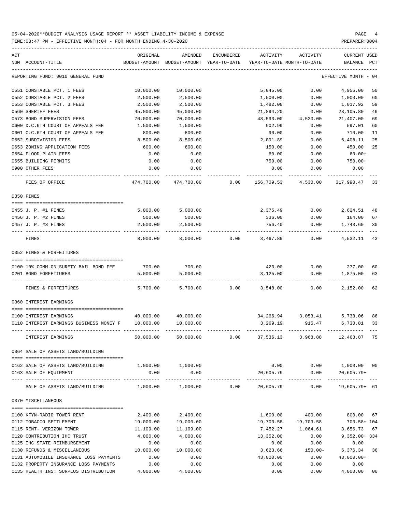| ACT | NUM ACCOUNT-TITLE                                                                                                             | ORIGINAL<br>BUDGET-AMOUNT | AMENDED<br>BUDGET-AMOUNT YEAR-TO-DATE | ENCUMBERED | ACTIVITY   | ACTIVITY<br>YEAR-TO-DATE MONTH-TO-DATE | CURRENT USED<br>BALANCE | PCT  |
|-----|-------------------------------------------------------------------------------------------------------------------------------|---------------------------|---------------------------------------|------------|------------|----------------------------------------|-------------------------|------|
|     | REPORTING FUND: 0010 GENERAL FUND                                                                                             |                           |                                       |            |            |                                        | EFFECTIVE MONTH         | - 04 |
|     | 0551 CONSTABLE PCT. 1 FEES                                                                                                    | 10,000.00                 | 10,000.00                             |            | 5,045.00   | 0.00                                   | 4,955.00                | 50   |
|     | 0552 CONSTABLE PCT. 2 FEES                                                                                                    | 2,500.00                  | 2,500.00                              |            | 1,500.00   | 0.00                                   | 1,000.00                | 60   |
|     | 0553 CONSTABLE PCT. 3 FEES                                                                                                    | 2,500.00                  | 2,500.00                              |            | 1,482.08   | 0.00                                   | 1,017.92                | 59   |
|     | 0560 SHERIFF FEES                                                                                                             | 45,000.00                 | 45,000.00                             |            | 21,894.20  | 0.00                                   | 23,105.80               | 49   |
|     | 0573 BOND SUPERVISION FEES                                                                                                    | 70,000.00                 | 70,000.00                             |            | 48,593.00  | 4,520.00                               | 21,407.00               | 69   |
|     | 0600 D.C.6TH COURT OF APPEALS FEE                                                                                             | 1,500.00                  | 1,500.00                              |            | 902.99     | 0.00                                   | 597.01                  | 60   |
|     | 0601 C.C.6TH COURT OF APPEALS FEE                                                                                             | 800.00                    | 800.00                                |            | 90.00      | 0.00                                   | 710.00                  | 11   |
|     | 0652 SUBDIVISION FEES                                                                                                         | 8,500.00                  | 8,500.00                              |            | 2,091.89   | 0.00                                   | 6,408.11                | 25   |
|     | 0653 ZONING APPLICATION FEES                                                                                                  | 600.00                    | 600.00                                |            | 150.00     | 0.00                                   | 450.00                  | 25   |
|     | 0654 FLOOD PLAIN FEES                                                                                                         | 0.00                      | 0.00                                  |            | 60.00      | 0.00                                   | $60.00+$                |      |
|     | 0655 BUILDING PERMITS                                                                                                         | 0.00                      | 0.00                                  |            | 750.00     | 0.00                                   | 750.00+                 |      |
|     | 0900 OTHER FEES                                                                                                               | 0.00                      | 0.00                                  |            | 0.00       | 0.00                                   | 0.00                    |      |
|     | FEES OF OFFICE                                                                                                                | 474,700.00                | 474,700.00                            | 0.00       | 156,709.53 | 4,530.00                               | 317,990.47 33           |      |
|     | 0350 FINES                                                                                                                    |                           |                                       |            |            |                                        |                         |      |
|     |                                                                                                                               | 5,000.00                  | 5,000.00                              |            | 2,375.49   | 0.00                                   | 2,624.51                | 48   |
|     | 0455 J. P. #1 FINES<br>0456 J. P. #2 FINES                                                                                    | 500.00                    | 500.00                                |            | 336.00     | 0.00                                   | 164.00                  | 67   |
|     | 0457 J. P. #3 FINES                                                                                                           | 2,500.00                  | 2,500.00                              |            | 756.40     | 0.00                                   | 1,743.60                | 30   |
|     |                                                                                                                               |                           |                                       |            |            |                                        |                         |      |
|     | FINES                                                                                                                         | 8,000.00                  | 8,000.00                              | 0.00       | 3,467.89   | 0.00                                   | 4,532.11                | 43   |
|     | 0352 FINES & FORFEITURES                                                                                                      |                           |                                       |            |            |                                        |                         |      |
|     | 0100 10% COMM.ON SURETY BAIL BOND FEE                                                                                         | 700.00                    | 700.00                                |            | 423.00     | 0.00                                   | 277.00                  | 60   |
|     | 0201 BOND FORFEITURES                                                                                                         | 5,000.00                  | 5,000.00                              |            | 3,125.00   | 0.00                                   | 1,875.00                | 63   |
|     |                                                                                                                               |                           |                                       |            |            |                                        |                         |      |
|     | FINES & FORFEITURES                                                                                                           | 5,700.00                  | 5,700.00                              | 0.00       | 3,548.00   | 0.00                                   | 2,152.00                | 62   |
|     | 0360 INTEREST EARNINGS                                                                                                        |                           |                                       |            |            |                                        |                         |      |
|     |                                                                                                                               |                           |                                       |            |            |                                        |                         |      |
|     | 0100 INTEREST EARNINGS                                                                                                        |                           | 40,000.00 40,000.00                   |            |            | 34,266.94 3,053.41                     | 5,733.06                | 86   |
|     | 0110 INTEREST EARNINGS BUSINESS MONEY F                                                                                       | 10,000.00                 | 10,000.00                             |            | 3,269.19   | 915.47                                 | 6,730.81                | 33   |
|     | INTEREST EARNINGS                                                                                                             | 50,000.00                 | 50,000.00                             | 0.00       | 37,536.13  | 3,968.88                               | 12,463.87 75            |      |
|     | 0364 SALE OF ASSETS LAND/BUILDING                                                                                             |                           |                                       |            |            |                                        |                         |      |
|     | 0162 SALE OF ASSETS LAND/BUILDING                                                                                             |                           | 1,000.00 1,000.00                     |            |            | $0.00$ $0.00$ $1,000.00$ $00$          |                         |      |
|     | 0163 SALE OF EQUIPMENT                                                                                                        | 0.00                      | 0.00                                  |            |            | 20,605.79 0.00 20,605.79+              |                         |      |
|     | --------------------- -------------<br>SALE OF ASSETS LAND/BUILDING $1,000.00$ $1,000.00$ 0.00 $20,605.79$ 0.00 19,605.79+ 61 |                           |                                       |            |            |                                        |                         |      |
|     | 0370 MISCELLANEOUS                                                                                                            |                           |                                       |            |            |                                        |                         |      |
|     | 0100 KFYN-RADIO TOWER RENT                                                                                                    | 2,400.00                  | 2,400.00                              |            | 1,600.00   | 400.00                                 | 800.00 67               |      |
|     | 0112 TOBACCO SETTLEMENT                                                                                                       | 19,000.00                 | 19,000.00                             |            |            | 19,703.58 19,703.58                    | 703.58+ 104             |      |
|     | 0115 RENT- VERIZON TOWER                                                                                                      | 11,109.00                 | 11,109.00                             |            |            | 7,452.27 1,064.61                      | 3,656.73 67             |      |
|     | 0120 CONTRIBUTION IHC TRUST                                                                                                   | 4,000.00                  | 4,000.00                              |            | 13,352.00  | 0.00                                   | $9,352.00+334$          |      |
|     | 0125 IHC STATE REIMBURSEMENT                                                                                                  | 0.00                      | 0.00                                  |            | 0.00       | 0.00                                   | 0.00                    |      |
|     | 0130 REFUNDS & MISCELLANEOUS                                                                                                  | 10,000.00                 | 10,000.00                             |            | 3,623.66   | 150.00-                                | 6,376.34 36             |      |
|     | 0131 AUTOMOBILE INSURANCE LOSS PAYMENTS                                                                                       | 0.00                      | 0.00                                  |            | 43,000.00  | 0.00                                   | $43,000.00+$            |      |
|     | 0132 PROPERTY INSURANCE LOSS PAYMENTS                                                                                         | 0.00                      | 0.00                                  |            | 0.00       | 0.00                                   | 0.00                    |      |
|     | 0135 HEALTH INS. SURPLUS DISTRIBUTION 4,000.00 4,000.00                                                                       |                           |                                       |            | 0.00       | 0.00                                   | 4,000.00 00             |      |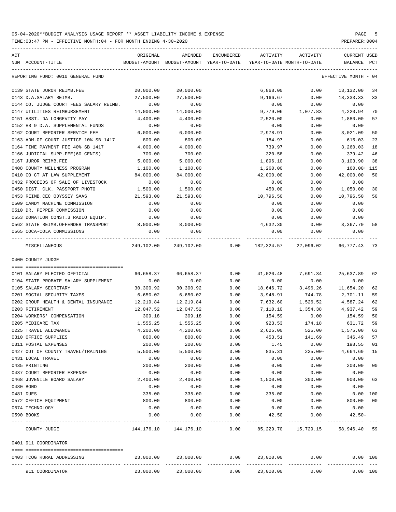| ACT<br>NUM ACCOUNT-TITLE                           | ORIGINAL            | AMENDED<br>BUDGET-AMOUNT BUDGET-AMOUNT YEAR-TO-DATE | ENCUMBERED    | ACTIVITY<br>YEAR-TO-DATE MONTH-TO-DATE | ACTIVITY             | CURRENT USED<br>BALANCE | PCT    |
|----------------------------------------------------|---------------------|-----------------------------------------------------|---------------|----------------------------------------|----------------------|-------------------------|--------|
| REPORTING FUND: 0010 GENERAL FUND                  |                     |                                                     |               |                                        |                      | EFFECTIVE MONTH - 04    |        |
| 0139 STATE JUROR REIMB.FEE                         | 20,000.00           | 20,000.00                                           |               | 6,868.00                               | 0.00                 | 13,132.00               | 34     |
| 0143 D.A.SALARY REIMB.                             | 27,500.00           | 27,500.00                                           |               | 9,166.67                               | 0.00                 | 18,333.33               | 33     |
| 0144 CO. JUDGE COURT FEES SALARY REIMB.            | 0.00                | 0.00                                                |               | 0.00                                   | 0.00                 | 0.00                    |        |
| 0147 UTILITIES REIMBURSEMENT                       | 14,000.00           | 14,000.00                                           |               | 9,779.06                               | 1,077.83             | 4,220.94                | 70     |
| 0151 ASST. DA LONGEVITY PAY                        | 4,400.00            | 4,400.00                                            |               | 2,520.00                               | 0.00                 | 1,880.00                | 57     |
| 0152 HB 9 D.A. SUPPLEMENTAL FUNDS                  | 0.00                | 0.00                                                |               | 0.00                                   | 0.00                 | 0.00                    |        |
| 0162 COURT REPORTER SERVICE FEE                    | 6,000.00            | 6,000.00                                            |               | 2,978.91                               | 0.00                 | 3,021.09                | 50     |
| 0163 ADM.OF COURT JUSTICE 10% SB 1417              | 800.00              | 800.00                                              |               | 184.97                                 | 0.00                 | 615.03                  | 23     |
| 0164 TIME PAYMENT FEE 40% SB 1417                  | 4,000.00            | 4,000.00                                            |               | 739.97                                 | 0.00                 | 3,260.03                | 18     |
| 0166 JUDICIAL SUPP.FEE(60 CENTS)                   | 700.00              | 700.00                                              |               | 320.58                                 | 0.00                 | 379.42                  | 46     |
| 0167 JUROR REIMB.FEE                               | 5,000.00            | 5,000.00                                            |               | 1,896.10                               | 0.00                 | 3,103.90                | 38     |
| 0408 COUNTY WELLNESS PROGRAM                       | 1,100.00            | 1,100.00                                            |               | 1,260.00                               | 0.00                 | 160.00+ 115             |        |
| 0410 CO CT AT LAW SUPPLEMENT                       | 84,000.00           | 84,000.00                                           |               | 42,000.00                              | 0.00                 | 42,000.00               | 50     |
| 0432 PROCEEDS OF SALE OF LIVESTOCK                 | 0.00                | 0.00                                                |               | 0.00                                   | 0.00                 | 0.00                    |        |
| 0450 DIST. CLK. PASSPORT PHOTO                     | 1,500.00            | 1,500.00                                            |               | 450.00                                 | 0.00                 | 1,050.00                | 30     |
| 0453 REIMB.CEC ODYSSEY SAAS                        | 21,593.00           | 21,593.00                                           |               | 10,796.50                              | 0.00                 | 10,796.50               | 50     |
| 0509 CANDY MACHINE COMMISSION                      | 0.00                | 0.00                                                |               | 0.00                                   | 0.00                 | 0.00                    |        |
| 0510 DR. PEPPER COMMISSION                         | 0.00                | 0.00                                                |               | 0.00                                   | 0.00                 | 0.00                    |        |
| 0553 DONATION CONST.3 RADIO EQUIP.                 | 0.00                | 0.00                                                |               | 0.00                                   | 0.00                 | 0.00                    |        |
| 0562 STATE REIMB.OFFENDER TRANSPORT                | 8,000.00            | 8,000.00                                            |               | 4,632.30                               | 0.00                 | 3,367.70                | 58     |
| 0565 COCA-COLA COMMISSIONS<br>---- --------------- | 0.00<br>___________ | 0.00                                                |               | 0.00                                   | 0.00                 | 0.00                    |        |
| MISCELLANEOUS                                      |                     | 249,102.00 249,102.00                               | 0.00          |                                        | 182,324.57 22,096.02 | 66,777.43 73            |        |
| 0400 COUNTY JUDGE                                  |                     |                                                     |               |                                        |                      |                         |        |
|                                                    |                     |                                                     |               |                                        |                      |                         |        |
| 0101 SALARY ELECTED OFFICIAL                       | 66,658.37           | 66,658.37                                           | 0.00          | 41,020.48                              | 7,691.34             | 25,637.89               | 62     |
| 0104 STATE PROBATE SALARY SUPPLEMENT               | 0.00                | 0.00                                                | 0.00          | 0.00                                   | 0.00                 | 0.00                    |        |
| 0105 SALARY SECRETARY                              | 30,300.92           | 30,300.92                                           | 0.00          | 18,646.72                              | 3,496.26             | 11,654.20               | 62     |
| 0201 SOCIAL SECURITY TAXES                         | 6,650.02            | 6,650.02                                            | 0.00          | 3,948.91                               | 744.78               | 2,701.11                | 59     |
| 0202 GROUP HEALTH & DENTAL INSURANCE               | 12,219.84           | 12,219.84                                           | 0.00          | 7,632.60                               | 1,526.52             | 4,587.24                | 62     |
| 0203 RETIREMENT                                    | 12,047.52           | 12,047.52                                           | 0.00          | 7,110.10                               | 1,354.38             | 4,937.42                | 59     |
| 0204 WORKERS' COMPENSATION                         | 309.18              | 309.18                                              | 0.00          | 154.59                                 | 0.00                 | 154.59                  | 50     |
| 0205 MEDICARE TAX                                  | 1,555.25            | 1,555.25                                            | 0.00          | 923.53                                 | 174.18               | 631.72                  | 59     |
| 0225 TRAVEL ALLOWANCE                              | 4,200.00            | 4,200.00                                            | 0.00          | 2,625.00                               | 525.00               | 1,575.00                | 63     |
| 0310 OFFICE SUPPLIES                               | 800.00              | 800.00                                              | 0.00          | 453.51                                 | 141.69               | 346.49 57               |        |
| 0311 POSTAL EXPENSES                               | 200.00              | 200.00                                              | 0.00          | 1.45                                   | 0.00                 | 198.55                  | 01     |
| 0427 OUT OF COUNTY TRAVEL/TRAINING                 | 5,500.00            | 5,500.00                                            | 0.00          | 835.31                                 | $225.00-$            | 4,664.69                | 15     |
| 0431 LOCAL TRAVEL                                  | 0.00                | 0.00                                                | 0.00          | 0.00                                   | 0.00                 | 0.00                    | $00\,$ |
| 0435 PRINTING<br>0437 COURT REPORTER EXPENSE       | 200.00<br>0.00      | 200.00<br>0.00                                      | 0.00<br>0.00  | 0.00<br>0.00                           | 0.00<br>0.00         | 200.00<br>0.00          |        |
| 0468 JUVENILE BOARD SALARY                         | 2,400.00            | 2,400.00                                            | 0.00          | 1,500.00                               | 300.00               | 900.00                  | 63     |
| 0480 BOND                                          | 0.00                | 0.00                                                | 0.00          | 0.00                                   | 0.00                 | 0.00                    |        |
| 0481 DUES                                          | 335.00              | 335.00                                              | 0.00          | 335.00                                 | 0.00                 | 0.00 100                |        |
| 0572 OFFICE EQUIPMENT                              | 800.00              | 800.00                                              | 0.00          | 0.00                                   | 0.00                 | 800.00                  | 00     |
| 0574 TECHNOLOGY                                    | 0.00                | 0.00                                                | 0.00          | 0.00                                   | 0.00                 | 0.00                    |        |
| 0590 BOOKS                                         | 0.00                | 0.00                                                | 0.00          | 42.50                                  | 0.00                 | $42.50 -$               |        |
| COUNTY JUDGE                                       | 144,176.10          | ---------<br>144,176.10                             | -----<br>0.00 | 85,229.70                              | 15,729.15            | 58,946.40 59            |        |
| 0401 911 COORDINATOR                               |                     |                                                     |               |                                        |                      |                         |        |
| 0403 TCOG RURAL ADDRESSING                         | 23,000.00           | 23,000.00                                           | 0.00          | 23,000.00                              | 0.00                 | 0.00 100                |        |
| 911 COORDINATOR                                    | 23,000.00           | 23,000.00                                           | 0.00          | 23,000.00                              | 0.00                 | 0.00 100                |        |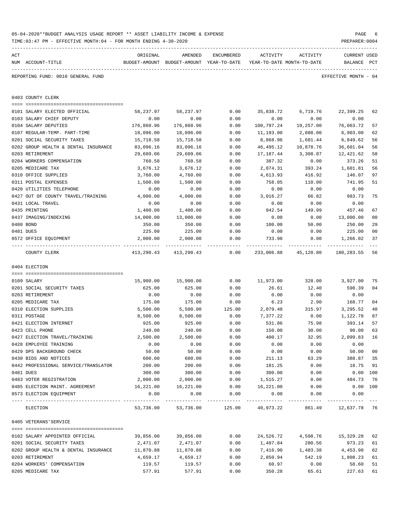|     | TIME:03:47 PM - EFFECTIVE MONTH:04 - FOR MONTH ENDING 4-30-2020 |            |                                          |            |                            |           | PREPARER: 0004               |                |  |
|-----|-----------------------------------------------------------------|------------|------------------------------------------|------------|----------------------------|-----------|------------------------------|----------------|--|
| ACT |                                                                 | ORIGINAL   | AMENDED                                  | ENCUMBERED | ACTIVITY                   | ACTIVITY  | CURRENT USED                 |                |  |
|     | NUM ACCOUNT-TITLE                                               |            | BUDGET-AMOUNT BUDGET-AMOUNT YEAR-TO-DATE |            | YEAR-TO-DATE MONTH-TO-DATE |           | BALANCE PCT                  |                |  |
|     | REPORTING FUND: 0010 GENERAL FUND                               |            |                                          |            |                            |           | EFFECTIVE MONTH - 04         |                |  |
|     | 0403 COUNTY CLERK                                               |            |                                          |            |                            |           |                              |                |  |
|     | 0101 SALARY ELECTED OFFICIAL                                    | 58,237.97  | 58,237.97                                | 0.00       | 35,838.72                  | 6,719.76  | 22,399.25                    | 62             |  |
|     | 0103 SALARY CHIEF DEPUTY                                        | 0.00       | 0.00                                     | 0.00       | 0.00                       | 0.00      | 0.00                         |                |  |
|     | 0104 SALARY DEPUTIES                                            | 176,860.96 | 176,860.96                               | 0.00       | 100,797.24                 | 19,257.00 | 76,063.72                    | 57             |  |
|     | 0107 REGULAR-TEMP. PART-TIME                                    | 18,096.00  | 18,096.00                                | 0.00       | 11,193.00                  | 2,088.00  | 6,903.00                     | 62             |  |
|     | 0201 SOCIAL SECURITY TAXES                                      | 15,718.58  | 15,718.58                                | 0.00       | 8,868.96                   | 1,681.44  | 6,849.62                     | 56             |  |
|     | 0202 GROUP HEALTH & DENTAL INSURANCE                            | 83,096.16  | 83,096.16                                | 0.00       | 46,495.12                  | 10,878.76 | 36,601.04                    | 56             |  |
|     | 0203 RETIREMENT                                                 | 29,609.06  | 29,609.06                                | 0.00       | 17,187.44                  | 3,308.87  | 12,421.62                    | 58             |  |
|     | 0204 WORKERS COMPENSATION                                       | 760.58     | 760.58                                   | 0.00       | 387.32                     | 0.00      | 373.26                       | 51             |  |
|     | 0205 MEDICARE TAX                                               | 3,676.12   | 3,676.12                                 | 0.00       | 2,074.31                   | 393.24    | 1,601.81                     | 56             |  |
|     | 0310 OFFICE SUPPLIES                                            | 3,760.00   | 4,760.00                                 | 0.00       | 4,613.93                   | 416.92    | 146.07                       | 97             |  |
|     | 0311 POSTAL EXPENSES                                            | 1,500.00   | 1,500.00                                 | 0.00       | 758.05                     | 110.00    | 741.95                       | 51             |  |
|     | 0420 UTILITIES TELEPHONE                                        | 0.00       | 0.00                                     | 0.00       | 0.00                       | 0.00      | 0.00                         |                |  |
|     | 0427 OUT OF COUNTY TRAVEL/TRAINING                              | 4,000.00   | 4,000.00                                 | 0.00       | 3,016.27                   | 66.82     | 983.73                       | 75             |  |
|     | 0431 LOCAL TRAVEL                                               | 0.00       | 0.00                                     | 0.00       | 0.00                       | 0.00      | 0.00                         |                |  |
|     | 0435 PRINTING                                                   | 1,400.00   | 1,400.00                                 | 0.00       | 942.54                     | 149.99    | 457.46                       | 67             |  |
|     | 0437 IMAGING/INDEXING                                           | 14,000.00  | 13,000.00                                | 0.00       | 0.00                       | 0.00      | 13,000.00                    | 0 <sub>0</sub> |  |
|     | 0480 BOND                                                       | 350.00     | 350.00                                   | 0.00       | 100.00                     | 50.00     | 250.00                       | 29             |  |
|     | 0481 DUES                                                       | 225.00     | 225.00                                   | 0.00       | 0.00                       | 0.00      | 225.00                       | 0 <sub>0</sub> |  |
|     | 0572 OFFICE EQUIPMENT                                           | 2,000.00   | 2,000.00                                 | 0.00       | 733.98                     | 0.00      | 1,266.02                     | 37             |  |
|     | COUNTY CLERK                                                    | 413,290.43 | 413,290.43                               | 0.00       | 233,006.88                 | 45,120.80 | 180,283.55                   | 56             |  |
|     | 0404 ELECTION                                                   |            |                                          |            |                            |           |                              |                |  |
|     | 0109 SALARY                                                     | 15,900.00  | 15,900.00                                | 0.00       | 11,973.00                  | 328.00    | 3,927.00                     | 75             |  |
|     | 0201 SOCIAL SECURITY TAXES                                      | 625.00     | 625.00                                   | 0.00       | 26.61                      | 12.40     | 598.39                       | 04             |  |
|     | 0203 RETIREMENT                                                 | 0.00       | 0.00                                     | 0.00       | 0.00                       | 0.00      | 0.00                         |                |  |
|     | 0205 MEDICARE TAX                                               | 175.00     | 175.00                                   | 0.00       | 6.23                       | 2.90      | 168.77                       | 0 <sub>4</sub> |  |
|     | 0310 ELECTION SUPPLIES                                          | 5,500.00   | 5,500.00                                 | 125.00     | 2,079.48                   | 315.97    | 3,295.52                     | 40             |  |
|     | 0311 POSTAGE                                                    | 8,500.00   | 8,500.00                                 | 0.00       | 7,377.22                   | 0.00      | 1,122.78                     | 87             |  |
|     | 0421 ELECTION INTERNET                                          | 925.00     | 925.00                                   | 0.00       | 531.86                     | 75.98     | 393.14                       | 57             |  |
|     | 0423 CELL PHONE                                                 | 240.00     | 240.00                                   | 0.00       | 150.00                     | 30.00     | 90.00 63                     |                |  |
|     | 0427 ELECTION TRAVEL/TRAINING                                   | 2,500.00   | 2,500.00                                 | 0.00       | 400.17                     | 32.95     | 2,099.83                     | 16             |  |
|     | 0428 EMPLOYEE TRAINING                                          | 0.00       | 0.00                                     | 0.00       | 0.00                       | 0.00      | 0.00                         |                |  |
|     | 0429 DPS BACKGROUND CHECK                                       | 50.00      | 50.00                                    | 0.00       | 0.00                       | 0.00      | 50.00                        | 0 <sub>0</sub> |  |
|     | 0430 BIDS AND NOTICES                                           | 600.00     | 600.00                                   | 0.00       | 211.13                     | 63.29     | 388.87                       | 35             |  |
|     | 0442 PROFESSIONAL SERVICE/TRANSLATOR                            | 200.00     | 200.00                                   | 0.00       | 181.25                     | 0.00      | 18.75                        | 91             |  |
|     | 0481 DUES                                                       | 300.00     | 300.00                                   | 0.00       | 300.00                     | 0.00      | $0.00$ 100                   |                |  |
|     | 0483 VOTER REGISTRATION                                         | 2,000.00   | 2,000.00                                 | 0.00       | 1,515.27                   | 0.00      | 484.73                       | 76             |  |
|     | 0485 ELECTION MAINT. AGREEMENT                                  | 16,221.00  | 16,221.00                                | 0.00       | 16,221.00                  | 0.00      | $0.00$ 100                   |                |  |
|     | 0573 ELECTION EQUIPMENT                                         | 0.00       | 0.00                                     | 0.00       | 0.00                       | 0.00      | 0.00                         |                |  |
|     | ELECTION                                                        |            | 53,736.00 53,736.00 125.00 40,973.22     |            |                            |           | 861.49 12,637.78 76          |                |  |
|     | 0405 VETERANS'SERVICE                                           |            |                                          |            |                            |           |                              |                |  |
|     | 0102 SALARY APPOINTED OFFICIAL                                  | 39,856.00  | 39,856.00                                | 0.00       |                            |           | 24,526.72 4,598.76 15,329.28 | 62             |  |
|     | 0201 SOCIAL SECURITY TAXES                                      | 2,471.07   | 2,471.07                                 | 0.00       | 1,497.84                   | 280.56    | 973.23                       | 61             |  |
|     | 0202 GROUP HEALTH & DENTAL INSURANCE                            | 11,870.88  | 11,870.88                                | 0.00       | 7,416.90                   | 1,483.38  | 4,453.98                     | 62             |  |
|     | 0203 RETIREMENT                                                 | 4,659.17   | 4,659.17                                 | 0.00       | 2,850.94                   | 542.19    | 1,808.23                     | 61             |  |
|     | 0204 WORKERS' COMPENSATION                                      | 119.57     | 119.57                                   | 0.00       | 60.97                      | 0.00      | 58.60                        | 51             |  |
|     | 0205 MEDICARE TAX                                               | 577.91     | 577.91                                   | 0.00       | 350.28                     | 65.61     | 227.63                       | 61             |  |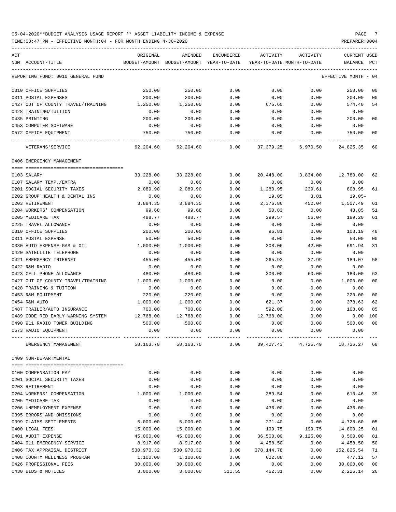TIME:03:47 PM - EFFECTIVE MONTH:04 - FOR MONTH ENDING 4-30-2020 PREPARER:0004

| ACT |                                    | ORIGINAL   | AMENDED                                  | ENCUMBERED | ACTIVITY    | ACTIVITY                   | CURRENT USED         |                |
|-----|------------------------------------|------------|------------------------------------------|------------|-------------|----------------------------|----------------------|----------------|
|     | NUM ACCOUNT-TITLE                  |            | BUDGET-AMOUNT BUDGET-AMOUNT YEAR-TO-DATE |            |             | YEAR-TO-DATE MONTH-TO-DATE | BALANCE              | PCT            |
|     | REPORTING FUND: 0010 GENERAL FUND  |            |                                          |            |             |                            | EFFECTIVE MONTH - 04 |                |
|     | 0310 OFFICE SUPPLIES               | 250.00     | 250.00                                   | 0.00       | 0.00        | 0.00                       | 250.00               | 00             |
|     | 0311 POSTAL EXPENSES               | 200.00     | 200.00                                   | 0.00       | 0.00        | 0.00                       | 200.00               | 00             |
|     | 0427 OUT OF COUNTY TRAVEL/TRAINING | 1,250.00   | 1,250.00                                 | 0.00       | 675.60      | 0.00                       | 574.40               | 54             |
|     | 0428 TRAINING/TUITION              | 0.00       | 0.00                                     | 0.00       | 0.00        | 0.00                       | 0.00                 |                |
|     | 0435 PRINTING                      | 200.00     | 200.00                                   | 0.00       | 0.00        | 0.00                       | 200.00               | 0 <sub>0</sub> |
|     | 0453 COMPUTER SOFTWARE             | 0.00       | 0.00                                     | 0.00       | 0.00        | 0.00                       | 0.00                 |                |
|     | 0572 OFFICE EQUIPMENT              | 750.00     | 750.00                                   | 0.00       | 0.00        | 0.00                       | 750.00               | 0 <sub>0</sub> |
|     | VETERANS ' SERVICE                 | 62,204.60  | 62,204.60                                | 0.00       |             | 37,379.25 6,970.50         | 24,825.35            | 60             |
|     | 0406 EMERGENCY MANAGEMENT          |            |                                          |            |             |                            |                      |                |
|     | 0103 SALARY                        |            | 33,228.00                                |            |             | 20,448.00 3,834.00         |                      | 62             |
|     |                                    | 33,228.00  |                                          | 0.00       |             |                            | 12,780.00            |                |
|     | 0107 SALARY TEMP./EXTRA            | 0.00       | 0.00                                     | 0.00       | 0.00        | 0.00                       | 0.00                 |                |
|     | 0201 SOCIAL SECURITY TAXES         | 2,089.90   | 2,089.90                                 | 0.00       | 1,280.95    | 239.61                     | 808.95               | 61             |
|     | 0202 GROUP HEALTH & DENTAL INS     | 0.00       | 0.00                                     | 0.00       | 19.05       | 3.81                       | 19.05-               |                |
|     | 0203 RETIREMENT                    | 3,884.35   | 3,884.35                                 | 0.00       | 2,376.86    | 452.04                     | 1,507.49             | 61             |
|     | 0204 WORKERS' COMPENSATION         | 99.68      | 99.68                                    | 0.00       | 50.83       | 0.00                       | 48.85                | 51             |
|     | 0205 MEDICARE TAX                  | 488.77     | 488.77                                   | 0.00       | 299.57      | 56.04                      | 189.20               | 61             |
|     | 0225 TRAVEL ALLOWANCE              | 0.00       | 0.00                                     | 0.00       | 0.00        | 0.00                       | 0.00                 |                |
|     | 0310 OFFICE SUPPLIES               | 200.00     | 200.00                                   | 0.00       | 96.81       | 0.00                       | 103.19               | 48             |
|     | 0311 POSTAL EXPENSE                | 50.00      | 50.00                                    | 0.00       | 0.00        | 0.00                       | 50.00                | 00             |
|     | 0330 AUTO EXPENSE-GAS & OIL        | 1,000.00   | 1,000.00                                 | 0.00       | 308.06      | 42.00                      | 691.94               | 31             |
|     | 0420 SATELLITE TELEPHONE           | 0.00       | 0.00                                     | 0.00       | 0.00        | 0.00                       | 0.00                 |                |
|     | 0421 EMERGENCY INTERNET            | 455.00     | 455.00                                   | 0.00       | 265.93      | 37.99                      | 189.07               | 58             |
|     | 0422 R&M RADIO                     | 0.00       | 0.00                                     | 0.00       | 0.00        | 0.00                       | 0.00                 |                |
|     | 0423 CELL PHONE ALLOWANCE          | 480.00     | 480.00                                   | 0.00       | 300.00      | 60.00                      | 180.00               | 63             |
|     | 0427 OUT OF COUNTY TRAVEL/TRAINING | 1,000.00   | 1,000.00                                 | 0.00       | 0.00        | 0.00                       | 1,000.00             | 0 <sup>0</sup> |
|     | 0428 TRAINING & TUITION            | 0.00       | 0.00                                     | 0.00       | 0.00        | 0.00                       | 0.00                 |                |
|     | 0453 R&M EQUIPMENT                 | 220.00     | 220.00                                   | 0.00       | 0.00        | 0.00                       | 220.00               | 0 <sub>0</sub> |
|     | 0454 R&M AUTO                      | 1,000.00   | 1,000.00                                 | 0.00       | 621.37      | 0.00                       | 378.63               | 62             |
|     | 0487 TRAILER/AUTO INSURANCE        | 700.00     | 700.00                                   | 0.00       | 592.00      | 0.00                       | 108.00               | 85             |
|     | 0489 CODE RED EARLY WARNING SYSTEM | 12,768.00  | 12,768.00                                | 0.00       | 12,768.00   | 0.00                       | 0.00                 | 100            |
|     | 0490 911 RADIO TOWER BUILDING      | 500.00     | 500.00                                   | 0.00       | 0.00        | 0.00                       | 500.00               | 0 <sub>0</sub> |
|     | 0573 RADIO EQUIPMENT               | 0.00       | 0.00                                     | 0.00       | 0.00        | 0.00                       | 0.00                 |                |
|     | EMERGENCY MANAGEMENT               | 58,163.70  | 58,163.70                                | 0.00       | 39, 427. 43 | 4,725.49                   | 18,736.27            | 68             |
|     | 0409 NON-DEPARTMENTAL              |            |                                          |            |             |                            |                      |                |
|     |                                    |            |                                          |            |             |                            |                      |                |
|     | 0100 COMPENSATION PAY              | 0.00       | 0.00                                     | 0.00       | 0.00        | 0.00                       | 0.00                 |                |
|     | 0201 SOCIAL SECURITY TAXES         | 0.00       | 0.00                                     | 0.00       | 0.00        | 0.00                       | 0.00                 |                |
|     | 0203 RETIREMENT                    | 0.00       | 0.00                                     | 0.00       | 0.00        | 0.00                       | 0.00                 |                |
|     | 0204 WORKERS' COMPENSATION         | 1,000.00   | 1,000.00                                 | 0.00       | 389.54      | 0.00                       | 610.46               | 39             |
|     | 0205 MEDICARE TAX                  | 0.00       | 0.00                                     | 0.00       | 0.00        | 0.00                       | 0.00                 |                |
|     | 0206 UNEMPLOYMENT EXPENSE          | 0.00       | 0.00                                     | 0.00       | 436.00      | 0.00                       | $436.00 -$           |                |
|     | 0395 ERRORS AND OMISSIONS          | 0.00       | 0.00                                     | 0.00       | 0.00        | 0.00                       | 0.00                 |                |
|     | 0399 CLAIMS SETTLEMENTS            | 5,000.00   | 5,000.00                                 | 0.00       | 271.40      | 0.00                       | 4,728.60             | 05             |
|     | 0400 LEGAL FEES                    | 15,000.00  | 15,000.00                                | 0.00       | 199.75      | 199.75                     | 14,800.25            | 01             |
|     | 0401 AUDIT EXPENSE                 | 45,000.00  | 45,000.00                                | 0.00       | 36,500.00   | 9,125.00                   | 8,500.00             | 81             |
|     | 0404 911 EMERGENCY SERVICE         | 8,917.00   | 8,917.00                                 | 0.00       | 4,458.50    | 0.00                       | 4,458.50             | 50             |
|     | 0406 TAX APPRAISAL DISTRICT        | 530,970.32 | 530,970.32                               | 0.00       | 378,144.78  | 0.00                       | 152,825.54           | 71             |
|     | 0408 COUNTY WELLNESS PROGRAM       | 1,100.00   | 1,100.00                                 | 0.00       | 622.88      | 0.00                       | 477.12               | 57             |
|     | 0426 PROFESSIONAL FEES             | 30,000.00  | 30,000.00                                | 0.00       | 0.00        | 0.00                       | 30,000.00            | 0 <sub>0</sub> |
|     |                                    |            |                                          |            |             |                            |                      |                |

0430 BIDS & NOTICES 3,000.00 3,000.00 311.55 462.31 0.00 2,226.14 26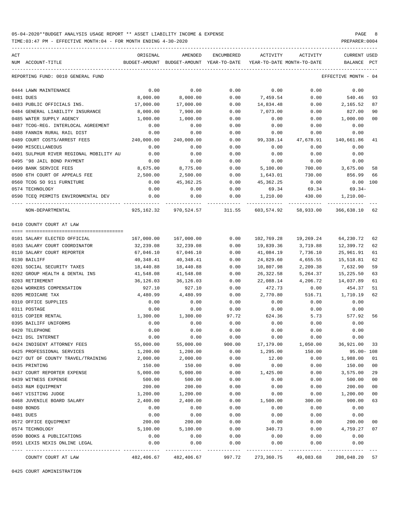TIME:03:47 PM - EFFECTIVE MONTH:04 - FOR MONTH ENDING 4-30-2020

| ACT                          |                                         | ORIGINAL   | AMENDED                                                         | ENCUMBERED                | ACTIVITY                   | ACTIVITY  | CURRENT USED         |              |
|------------------------------|-----------------------------------------|------------|-----------------------------------------------------------------|---------------------------|----------------------------|-----------|----------------------|--------------|
| NUM ACCOUNT-TITLE            |                                         |            | BUDGET-AMOUNT BUDGET-AMOUNT YEAR-TO-DATE                        |                           | YEAR-TO-DATE MONTH-TO-DATE |           | BALANCE              | $_{\rm PCT}$ |
|                              | REPORTING FUND: 0010 GENERAL FUND       |            |                                                                 |                           |                            |           | EFFECTIVE MONTH - 04 |              |
| 0444 LAWN MAINTENANCE        |                                         | 0.00       | 0.00                                                            | 0.00                      | 0.00                       | 0.00      | 0.00                 |              |
| 0481 DUES                    |                                         | 8,000.00   | 8,000.00                                                        | 0.00                      | 7,459.54                   | 0.00      | 540.46               | 93           |
| 0483 PUBLIC OFFICIALS INS.   |                                         | 17,000.00  | 17,000.00                                                       | 0.00                      | 14,834.48                  | 0.00      | 2,165.52             | 87           |
|                              | 0484 GENERAL LIABILITY INSURANCE        | 8,000.00   | 7,900.00                                                        | 0.00                      | 7,073.00                   | 0.00      | 827.00               | 90           |
| 0485 WATER SUPPLY AGENCY     |                                         | 1,000.00   | 1,000.00                                                        | 0.00                      | 0.00                       | 0.00      | 1,000.00             | 00           |
|                              | 0487 TCOG-REG. INTERLOCAL AGREEMENT     | 0.00       | 0.00                                                            | 0.00                      | 0.00                       | 0.00      | 0.00                 |              |
| 0488 FANNIN RURAL RAIL DIST  |                                         | 0.00       | 0.00                                                            | 0.00                      | 0.00                       | 0.00      | 0.00                 |              |
| 0489 COURT COSTS/ARREST FEES |                                         | 240,000.00 | 240,000.00                                                      | 0.00                      | 99,338.14                  | 47,678.91 | 140,661.86           | 41           |
| 0490 MISCELLANEOUS           |                                         | 0.00       | 0.00                                                            | 0.00                      | 0.00                       | 0.00      | 0.00                 |              |
|                              | 0491 SULPHUR RIVER REGIONAL MOBILITY AU | 0.00       | 0.00                                                            | 0.00                      | 0.00                       | 0.00      | 0.00                 |              |
| 0495 '98 JAIL BOND PAYMENT   |                                         | 0.00       | 0.00                                                            | 0.00                      | 0.00                       | 0.00      | 0.00                 |              |
| 0499 BANK SERVICE FEES       |                                         | 8,675.00   | 8,775.00                                                        | 0.00                      | 5,100.00                   | 700.00    | 3,675.00             | 58           |
|                              | 0500 6TH COURT OF APPEALS FEE           | 2,500.00   | 2,500.00                                                        | 0.00                      | 1,643.01                   | 730.00    | 856.99               | 66           |
| 0560 TCOG SO 911 FURNITURE   |                                         | 0.00       | 45,362.25                                                       | 0.00                      | 45,362.25                  | 0.00      | $0.00$ 100           |              |
| 0574 TECHNOLOGY              |                                         | 0.00       | 0.00                                                            | 0.00                      | 69.34                      | 69.34     | 69.34-               |              |
|                              | 0590 TCEQ PERMITS ENVIRONMENTAL DEV     | 0.00       | 0.00                                                            | 0.00                      | 1,210.00                   |           | 430.00   1,210.00-   |              |
| NON-DEPARTMENTAL             |                                         |            | 925,162.32 970,524.57 311.55 603,574.92 58,933.00 366,638.10 62 | ------------ ------------ |                            |           |                      |              |
| 0410 COUNTY COURT AT LAW     |                                         |            |                                                                 |                           |                            |           |                      |              |
|                              |                                         |            |                                                                 |                           |                            |           |                      |              |
| 0101 SALARY ELECTED OFFICIAL |                                         | 167,000.00 | 167,000.00                                                      | 0.00                      | 102,769.28                 | 19,269.24 | 64,230.72            | 62           |
|                              | 0103 SALARY COURT COORDINATOR           | 32,239.08  | 32,239.08                                                       | 0.00                      | 19,839.36                  | 3,719.88  | 12,399.72            | 62           |
| 0110 SALARY COURT REPORTER   |                                         | 67,046.10  | 67,046.10                                                       | 0.00                      | 41,084.19                  | 7,736.10  | 25,961.91            | 61           |
| 0130 BAILIFF                 |                                         | 40,348.41  | 40,348.41                                                       | 0.00                      | 24,829.60                  | 4,655.55  | 15,518.81            | 62           |
| 0201 SOCIAL SECURITY TAXES   |                                         | 18,440.88  | 18,440.88                                                       | 0.00                      | 10,807.98                  | 2,209.38  | 7,632.90             | 59           |
|                              | 0202 GROUP HEALTH & DENTAL INS          | 41,548.08  | 41,548.08                                                       | 0.00                      | 26,322.58                  | 5,264.37  | 15,225.50            | 63           |
| 0203 RETIREMENT              |                                         | 36,126.03  | 36,126.03                                                       | 0.00                      | 22,088.14                  | 4,206.72  | 14,037.89            | 61           |
| 0204 WORKERS COMPENSATION    |                                         | 927.10     | 927.10                                                          | 0.00                      | 472.73                     | 0.00      | 454.37               | 51           |
| 0205 MEDICARE TAX            |                                         | 4,480.99   | 4,480.99                                                        | 0.00                      | 2,770.80                   | 516.71    | 1,710.19             | 62           |
| 0310 OFFICE SUPPLIES         |                                         | 0.00       | 0.00                                                            | 0.00                      | 0.00                       | 0.00      | 0.00                 |              |
| 0311 POSTAGE                 |                                         | 0.00       | 0.00                                                            | 0.00                      | 0.00                       | 0.00      | 0.00                 |              |
| 0315 COPIER RENTAL           |                                         | 1,300.00   | 1,300.00                                                        | 97.72                     | 624.36                     |           | 5.73 577.92 56       |              |
| 0395 BAILIFF UNIFORMS        |                                         | 0.00       | 0.00                                                            | 0.00                      | 0.00                       | 0.00      | 0.00                 |              |
| 0420 TELEPHONE               |                                         | 0.00       | 0.00                                                            | 0.00                      | 0.00                       | 0.00      | 0.00                 |              |
| 0421 DSL INTERNET            |                                         | 0.00       | 0.00                                                            | 0.00                      | 0.00                       | 0.00      | 0.00                 |              |
| 0424 INDIGENT ATTORNEY FEES  |                                         | 55,000.00  | 55,000.00                                                       | 900.00                    | 17,179.00                  | 1,050.00  | 36,921.00            | 33           |
| 0425 PROFESSIONAL SERVICES   |                                         | 1,200.00   | 1,200.00                                                        | 0.00                      | 1,295.00                   | 150.00    | $95.00 - 108$        |              |
|                              | 0427 OUT OF COUNTY TRAVEL/TRAINING      | 2,000.00   | 2,000.00                                                        | 0.00                      | 12.00                      | 0.00      | 1,988.00             | 01           |
| 0435 PRINTING                |                                         | 150.00     | 150.00                                                          | 0.00                      | 0.00                       | 0.00      | 150.00               | 00           |
| 0437 COURT REPORTER EXPENSE  |                                         | 5,000.00   | 5,000.00                                                        | 0.00                      | 1,425.00                   | 0.00      | 3,575.00             | 29           |
| 0439 WITNESS EXPENSE         |                                         | 500.00     | 500.00                                                          | 0.00                      | 0.00                       | 0.00      | 500.00               | 00           |
| 0453 R&M EQUIPMENT           |                                         | 200.00     | 200.00                                                          | 0.00                      | 0.00                       | 0.00      | 200.00               | 00           |
| 0467 VISITING JUDGE          |                                         | 1,200.00   | 1,200.00                                                        | 0.00                      | 0.00                       | 0.00      | 1,200.00             | 00           |
| 0468 JUVENILE BOARD SALARY   |                                         | 2,400.00   | 2,400.00                                                        | 0.00                      | 1,500.00                   | 300.00    | 900.00               | 63           |
| 0480 BONDS                   |                                         | 0.00       | 0.00                                                            | 0.00                      | 0.00                       | 0.00      | 0.00                 |              |
| 0481 DUES                    |                                         | 0.00       | 0.00                                                            | 0.00                      | 0.00                       | 0.00      | 0.00                 |              |
| 0572 OFFICE EQUIPMENT        |                                         | 200.00     | 200.00                                                          | 0.00                      | 0.00                       | 0.00      | 200.00               | 00           |
| 0574 TECHNOLOGY              |                                         | 5,100.00   | 5,100.00                                                        | 0.00                      | 340.73                     | 0.00      | 4,759.27             | 07           |
| 0590 BOOKS & PUBLICATIONS    |                                         | 0.00       | 0.00                                                            | 0.00                      | 0.00                       | 0.00      | 0.00                 |              |
|                              | 0591 LEXIS NEXIS ONLINE LEGAL           | 0.00       | 0.00                                                            | 0.00                      | 0.00                       | 0.00      | 0.00                 |              |
| COUNTY COURT AT LAW          |                                         | 482,406.67 | 482,406.67                                                      | 997.72                    | 273,360.75                 | 49,083.68 | 208,048.20           | 57           |

0425 COURT ADMINISTRATION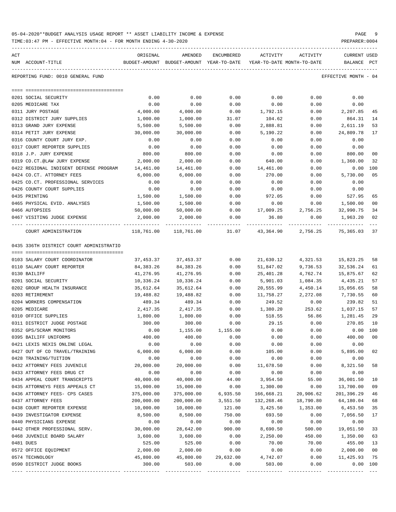| 05-04-2020**BUDGET ANALYSIS USAGE REPORT ** ASSET LIABILITY INCOME & EXPENSE |  |  |  |  | PAGE |  |
|------------------------------------------------------------------------------|--|--|--|--|------|--|
|                                                                              |  |  |  |  |      |  |

| ACT |                                           | ORIGINAL     | AMENDED                                                     | ENCUMBERED   | ACTIVITY                   | ACTIVITY     | CURRENT USED         |     |
|-----|-------------------------------------------|--------------|-------------------------------------------------------------|--------------|----------------------------|--------------|----------------------|-----|
|     | NUM ACCOUNT-TITLE                         |              | BUDGET-AMOUNT BUDGET-AMOUNT YEAR-TO-DATE                    |              | YEAR-TO-DATE MONTH-TO-DATE |              | BALANCE              | PCT |
|     | REPORTING FUND: 0010 GENERAL FUND         |              |                                                             |              |                            |              | EFFECTIVE MONTH - 04 |     |
|     |                                           |              |                                                             |              |                            |              |                      |     |
|     | 0201 SOCIAL SECURITY<br>0205 MEDICARE TAX | 0.00<br>0.00 | 0.00<br>0.00                                                | 0.00<br>0.00 | 0.00<br>0.00               | 0.00<br>0.00 | 0.00<br>0.00         |     |
|     | 0311 JURY POSTAGE                         | 4,000.00     | 4,000.00                                                    | 0.00         | 1,792.15                   | 0.00         | 2,207.85             | 45  |
|     | 0312 DISTRICT JURY SUPPLIES               | 1,000.00     | 1,000.00                                                    | 31.07        | 104.62                     | 0.00         | 864.31               | 14  |
|     | 0313 GRAND JURY EXPENSE                   | 5,500.00     | 5,500.00                                                    | 0.00         | 2,888.81                   | 0.00         | 2,611.19             | 53  |
|     | 0314 PETIT JURY EXPENSE                   | 30,000.00    | 30,000.00                                                   | 0.00         | 5,190.22                   | 0.00         | 24,809.78            | 17  |
|     | 0316 COUNTY COURT JURY EXP.               | 0.00         | 0.00                                                        | 0.00         | 0.00                       | 0.00         | 0.00                 |     |
|     | 0317 COURT REPORTER SUPPLIES              | 0.00         | 0.00                                                        | 0.00         | 0.00                       | 0.00         | 0.00                 |     |
|     | 0318 J.P. JURY EXPENSE                    | 800.00       | 800.00                                                      | 0.00         | 0.00                       | 0.00         | 800.00               | 00  |
|     | 0319 CO.CT.@LAW JURY EXPENSE              | 2,000.00     | 2,000.00                                                    | 0.00         | 640.00                     | 0.00         | 1,360.00             | 32  |
|     | 0422 REGIONAL INDIGENT DEFENSE PROGRAM    | 14,461.00    | 14,461.00                                                   | 0.00         | 14,461.00                  | 0.00         | 0.00 100             |     |
|     | 0424 CO.CT. ATTORNEY FEES                 | 6,000.00     | 6,000.00                                                    | 0.00         | 270.00                     | 0.00         | 5,730.00             | 05  |
|     | 0425 CO.CT. PROFESSIONAL SERVICES         | 0.00         | 0.00                                                        | 0.00         | 0.00                       | 0.00         | 0.00                 |     |
|     | 0426 COUNTY COURT SUPPLIES                | 0.00         | 0.00                                                        | 0.00         | 0.00                       | 0.00         | 0.00                 |     |
|     | 0435 PRINTING                             | 1,500.00     | 1,500.00                                                    | 0.00         | 972.05                     | 0.00         | 527.95               | 65  |
|     | 0465 PHYSICAL EVID. ANALYSES              | 1,500.00     | 1,500.00                                                    | 0.00         | 0.00                       | 0.00         | 1,500.00             | 00  |
|     | 0466 AUTOPSIES                            | 50,000.00    | 50,000.00                                                   |              | $0.00$ 17,009.25 2,756.25  |              | 32,990.75            | 34  |
|     | 0467 VISITING JUDGE EXPENSE               | 2,000.00     | 2,000.00                                                    | 0.00         | 36.80                      | 0.00         | 1,963.20             | 02  |
|     |                                           |              |                                                             |              |                            |              |                      |     |
|     | COURT ADMINISTRATION                      |              | 118,761.00 118,761.00 31.07 43,364.90 2,756.25 75,365.03 37 |              |                            |              |                      |     |
|     | 0435 336TH DISTRICT COURT ADMINISTRATIO   |              |                                                             |              |                            |              |                      |     |
|     |                                           |              |                                                             |              |                            |              |                      |     |
|     | 0103 SALARY COURT COORDINATOR             | 37,453.37    | 37,453.37                                                   | 0.00         | 21,630.12                  | 4,321.53     | 15,823.25            | 58  |
|     | 0110 SALARY COURT REPORTER                | 84,383.26    | 84,383.26                                                   | 0.00         | 51,847.02                  | 9,736.53     | 32,536.24            | 61  |
|     | 0130 BAILIFF                              | 41,276.95    | 41,276.95                                                   | 0.00         | 25,401.28                  | 4,762.74     | 15,875.67            | 62  |
|     | 0201 SOCIAL SECURITY                      | 10,336.24    | 10,336.24                                                   | 0.00         | 5,901.03                   | 1,084.35     | 4,435.21             | 57  |
|     | 0202 GROUP HEALTH INSURANCE               | 35,612.64    | 35,612.64                                                   | 0.00         | 20,555.99                  | 4,450.14     | 15,056.65            | 58  |
|     | 0203 RETIREMENT                           | 19,488.82    | 19,488.82                                                   | 0.00         | 11,758.27                  | 2,272.08     | 7,730.55             | 60  |
|     | 0204 WORKERS COMPENSATION                 | 489.34       | 489.34                                                      | 0.00         | 249.52                     | 0.00         | 239.82               | 51  |
|     | 0205 MEDICARE                             | 2,417.35     | 2,417.35                                                    | 0.00         | 1,380.20                   | 253.62       | 1,037.15             | 57  |
|     | 0310 OFFICE SUPPLIES                      | 1,800.00     | 1,800.00                                                    | 0.00         | 518.55                     | 56.86        | 1,281.45             | 29  |
|     | 0311 DISTRICT JUDGE POSTAGE               | 300.00       | 300.00                                                      | 0.00         | 29.15                      | 0.00         | 270.85               | 10  |
|     | 0352 GPS/SCRAM MONITORS                   | 0.00         | 1,155.00                                                    | 1,155.00     | 0.00                       | 0.00         | $0.00$ 100           |     |
|     | 0395 BAILIFF UNIFORMS                     | 400.00       | 400.00                                                      | 0.00         | 0.00                       | 0.00         | 400.00 00            |     |
|     | 0421 LEXIS NEXIS ONLINE LEGAL             | 0.00         | 0.00                                                        | 0.00         | 0.00                       | 0.00         | 0.00                 |     |
|     | 0427 OUT OF CO TRAVEL/TRAINING            | 6,000.00     | 6,000.00                                                    | 0.00         | 105.00                     | 0.00         | 5,895.00             | 02  |
|     | 0428 TRAINING/TUITION                     | 0.00         | 0.00                                                        | 0.00         | 0.00                       | 0.00         | 0.00                 |     |
|     | 0432 ATTORNEY FEES JUVENILE               | 20,000.00    | 20,000.00                                                   | 0.00         | 11,678.50                  | 0.00         | 8,321.50             | 58  |
|     | 0433 ATTORNEY FEES DRUG CT                | 0.00         | 0.00                                                        | 0.00         | 0.00                       | 0.00         | 0.00                 |     |
|     | 0434 APPEAL COURT TRANSCRIPTS             | 40,000.00    | 40,000.00                                                   | 44.00        | 3,954.50                   | 55.00        | 36,001.50            | 10  |
|     | 0435 ATTORNEYS FEES APPEALS CT            | 15,000.00    | 15,000.00                                                   | 0.00         | 1,300.00                   | 0.00         | 13,700.00            | 09  |
|     | 0436 ATTORNEY FEES- CPS CASES             | 375,000.00   | 375,000.00                                                  | 6,935.50     | 166,668.21                 | 20,906.62    | 201,396.29           | 46  |
|     | 0437 ATTORNEY FEES                        | 200,000.00   | 200,000.00                                                  | 3,551.50     | 132,268.46                 | 18,790.80    | 64,180.04            | 68  |
|     | 0438 COURT REPORTER EXPENSE               | 10,000.00    | 10,000.00                                                   | 121.00       | 3,425.50                   | 1,353.00     | 6,453.50             | 35  |
|     | 0439 INVESTIGATOR EXPENSE                 | 8,500.00     | 8,500.00                                                    | 750.00       | 693.50                     | 0.00         | 7,056.50             | 17  |
|     | 0440 PHYSICIANS EXPENSE                   | 0.00         | 0.00                                                        | 0.00         | 0.00                       | 0.00         | 0.00                 |     |
|     | 0442 OTHER PROFESSIONAL SERV.             | 30,000.00    | 28,642.00                                                   | 900.00       | 8,690.50                   | 500.00       | 19,051.50            | 33  |
|     | 0468 JUVENILE BOARD SALARY                | 3,600.00     | 3,600.00                                                    | 0.00         | 2,250.00                   | 450.00       | 1,350.00             | 63  |
|     | 0481 DUES                                 | 525.00       | 525.00                                                      | 0.00         | 70.00                      | 70.00        | 455.00               | 13  |
|     | 0572 OFFICE EQUIPMENT                     | 2,000.00     | 2,000.00                                                    | 0.00         | 0.00                       | 0.00         | 2,000.00             | 00  |
|     | 0574 TECHNOLOGY                           | 45,800.00    | 45,800.00                                                   | 29,632.00    | 4,742.07                   | 0.00         | 11,425.93            | 75  |
|     | 0590 DISTRICT JUDGE BOOKS                 | 300.00       | 503.00                                                      | 0.00         | 503.00                     | 0.00         | 0.00 100             |     |
|     |                                           |              |                                                             |              |                            |              |                      |     |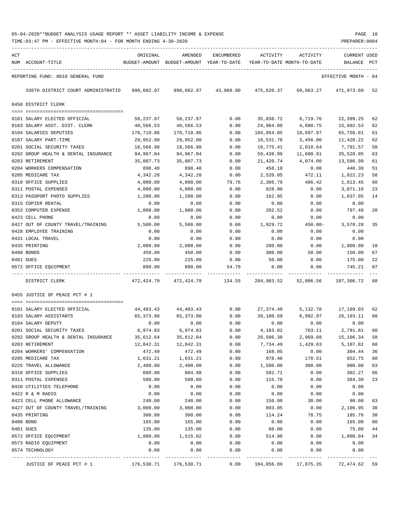| ACT | NUM ACCOUNT-TITLE                    | ORIGINAL   | AMENDED<br>BUDGET-AMOUNT BUDGET-AMOUNT YEAR-TO-DATE | ENCUMBERED | ACTIVITY<br>YEAR-TO-DATE MONTH-TO-DATE | ACTIVITY   | <b>CURRENT USED</b><br>BALANCE | PCT    |
|-----|--------------------------------------|------------|-----------------------------------------------------|------------|----------------------------------------|------------|--------------------------------|--------|
|     | REPORTING FUND: 0010 GENERAL FUND    |            |                                                     |            |                                        |            | EFFECTIVE MONTH - 04           |        |
|     | 336TH DISTRICT COURT ADMINISTRATIO   | 990,682.97 | 990,682.97                                          | 43,089.00  | 475,620.37                             | 69,063.27  | 471,973.60                     | 52     |
|     | 0450 DISTRICT CLERK                  |            |                                                     |            |                                        |            |                                |        |
|     | 0101 SALARY ELECTED OFFICIAL         | 58,237.97  | 58,237.97                                           | 0.00       | 35,838.72                              | 6,719.76   | 22,399.25                      | 62     |
|     | 0103 SALARY ASST. DIST. CLERK        | 40,566.53  | 40,566.53                                           | 0.00       | 24,964.00                              | 4,680.75   | 15,602.53                      | 62     |
|     | 0104 SALARIES DEPUTIES               | 170,710.86 | 170,710.86                                          | 0.00       | 104,954.85                             | 19,697.97  | 65,756.01                      | 61     |
|     | 0107 SALARY PART-TIME                | 29,952.00  | 29,952.00                                           | 0.00       | 18,531.78                              | 3,456.00   | 11,420.22                      | 62     |
|     | 0201 SOCIAL SECURITY TAXES           | 18,566.98  | 18,566.98                                           | 0.00       | 10,775.41                              | 2,018.64   | 7,791.57                       | 58     |
|     | 0202 GROUP HEALTH & DENTAL INSURANCE | 94,967.04  | 94,967.04                                           | 0.00       | 59,438.99                              | 11,600.91  | 35,528.05                      | 63     |
|     | 0203 RETIREMENT                      | 35,007.73  | 35,007.73                                           | 0.00       | 21,420.74                              | 4,074.00   | 13,586.99                      | 61     |
|     | 0204 WORKERS COMPENSATION            | 898.40     | 898.40                                              | 0.00       | 458.10                                 | 0.00       | 440.30                         | 51     |
|     | 0205 MEDICARE TAX                    | 4,342.28   | 4,342.28                                            | 0.00       | 2,520.05                               | 472.11     | 1,822.23                       | 58     |
|     | 0310 OFFICE SUPPLIES                 | 4,000.00   | 4,000.00                                            | 79.76      | 2,306.79                               | 486.42     | 1,613.45                       | 60     |
|     | 0311 POSTAL EXPENSES                 | 4,000.00   | 4,000.00                                            | 0.00       | 928.90                                 | 0.00       | 3,071.10                       | 23     |
|     | 0313 PASSPORT PHOTO SUPPLIES         | 1,200.00   | 1,200.00                                            | 0.00       | 162.95                                 | 0.00       | 1,037.05                       | 14     |
|     | 0315 COPIER RENTAL                   | 0.00       | 0.00                                                | 0.00       | 0.00                                   | 0.00       | 0.00                           |        |
|     | 0353 COMPUTER EXPENSE                | 1,000.00   | 1,000.00                                            | 0.00       | 202.52                                 | 0.00       | 797.48                         | 20     |
|     | 0423 CELL PHONE                      | 0.00       | 0.00                                                | 0.00       | 0.00                                   | 0.00       | 0.00                           |        |
|     | 0427 OUT OF COUNTY TRAVEL/TRAINING   | 5,500.00   | 5,500.00                                            | 0.00       | 1,929.72                               | $450.00 -$ | 3,570.28                       | 35     |
|     | 0428 EMPLOYEE TRAINING               | 0.00       | 0.00                                                | 0.00       | 0.00                                   | 0.00       | 0.00                           |        |
|     | 0431 LOCAL TRAVEL                    | 0.00       | 0.00                                                | 0.00       | 0.00                                   | 0.00       | 0.00                           |        |
|     | 0435 PRINTING                        | 2,000.00   | 2,000.00                                            | 0.00       | 200.00                                 | 0.00       | 1,800.00                       | 10     |
|     | 0480 BONDS                           | 450.00     | 450.00                                              | 0.00       | 300.00                                 | 50.00      | 150.00                         | 67     |
|     | 0481 DUES                            | 225.00     | 225.00                                              | 0.00       | 50.00                                  | 0.00       | 175.00                         | 22     |
|     | 0572 OFFICE EQUIPMENT                | 800.00     | 800.00                                              | 54.79      | 0.00                                   | 0.00       | 745.21                         | 07     |
|     | DISTRICT CLERK                       | 472,424.79 | 472,424.79                                          | 134.55     | 284,983.52                             | 52,806.56  | 187,306.72                     | 60     |
|     | 0455 JUSTICE OF PEACE PCT # 1        |            |                                                     |            |                                        |            |                                |        |
|     | 0101 SALARY ELECTED OFFICIAL         | 44,483.43  | 44,483.43                                           | 0.00       | 27,374.40                              | 5,132.70   | 17,109.03                      | 62     |
|     | 0103 SALARY ASSISTANTS               | 65,373.80  | 65,373.80                                           | 0.00       | 39,180.69                              | 6,992.97   | 26, 193. 11                    | 60     |
|     | 0104 SALARY DEPUTY                   | 0.00       | 0.00                                                | 0.00       | 0.00                                   | 0.00       | 0.00                           |        |
|     | 0201 SOCIAL SECURITY TAXES           | 6,974.83   | 6,974.83                                            | 0.00       | 4,183.02                               | 763.11     | 2,791.81                       | 60     |
|     | 0202 GROUP HEALTH & DENTAL INSURANCE | 35,612.64  | 35,612.64                                           | 0.00       | 20,506.30                              | 2,969.68   | 15,106.34                      | 58     |
|     | 0203 RETIREMENT                      | 12,842.31  | 12,842.31                                           | 0.00       | 7,734.49                               | 1,429.63   | 5,107.82                       | 60     |
|     | 0204 WORKERS' COMPENSATION           | 472.49     | 472.49                                              | 0.00       | 168.05                                 | 0.00       | 304.44                         | 36     |
|     | 0205 MEDICARE TAX                    | 1,631.21   | 1,631.21                                            | 0.00       | 978.46                                 | 178.51     | 652.75                         | 60     |
|     | 0225 TRAVEL ALLOWANCE                | 2,400.00   | 2,400.00                                            | 0.00       | 1,500.00                               | 300.00     | 900.00                         | 63     |
|     | 0310 OFFICE SUPPLIES                 | 600.00     | 884.98                                              | 0.00       | 582.71                                 | 0.00       | 302.27                         | 66     |
|     | 0311 POSTAL EXPENSES                 | 500.00     | 500.00                                              | 0.00       | 115.70                                 | 0.00       | 384.30                         | 23     |
|     | 0420 UTILITIES TELEPHONE             | 0.00       | 0.00                                                | 0.00       | 0.00                                   | 0.00       | 0.00                           |        |
|     | 0422 R & M RADIO                     | 0.00       | 0.00                                                | 0.00       | 0.00                                   | 0.00       | 0.00                           |        |
|     | 0423 CELL PHONE ALLOWANCE            | 240.00     | 240.00                                              | 0.00       | 150.00                                 | 30.00      | 90.00                          | 63     |
|     | 0427 OUT OF COUNTY TRAVEL/TRAINING   | 3,000.00   | 3,000.00                                            | 0.00       | 893.05                                 | 0.00       | 2,106.95                       | 30     |
|     | 0435 PRINTING                        | 300.00     | 300.00                                              | 0.00       | 114.24                                 | 78.75      | 185.76                         | 38     |
|     | 0480 BOND                            | 165.00     | 165.00                                              | 0.00       | 0.00                                   | 0.00       | 165.00                         | $00\,$ |
|     | 0481 DUES                            | 135.00     | 135.00                                              | 0.00       | 60.00                                  | 0.00       | 75.00                          | 44     |
|     | 0572 OFFICE EQUIPMENT                | 1,800.00   | 1,515.02                                            | 0.00       | 514.98                                 | 0.00       | 1,000.04                       | 34     |
|     | 0573 RADIO EQUIPMENT                 | 0.00       | 0.00                                                | 0.00       | 0.00                                   | 0.00       | 0.00                           |        |
|     | 0574 TECHNOLOGY                      | 0.00       | 0.00                                                | 0.00       | 0.00                                   | 0.00       | 0.00                           |        |
|     | JUSTICE OF PEACE PCT # 1             | 176,530.71 | 176,530.71                                          | 0.00       | 104,056.09                             | 17,875.35  | 72,474.62 59                   |        |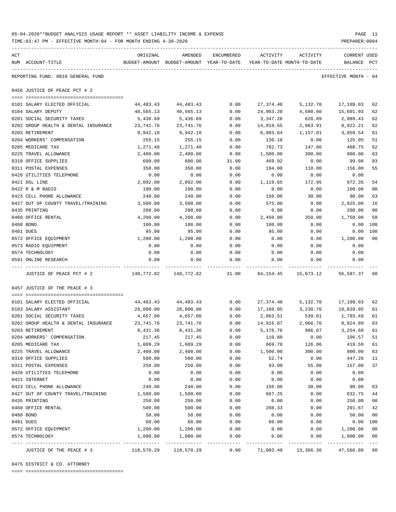| ACT                                  | ORIGINAL                                                             | AMENDED                                  | ENCUMBERED | ACTIVITY                   | ACTIVITY | <b>CURRENT USED</b>          |                 |
|--------------------------------------|----------------------------------------------------------------------|------------------------------------------|------------|----------------------------|----------|------------------------------|-----------------|
| NUM ACCOUNT-TITLE                    |                                                                      | BUDGET-AMOUNT BUDGET-AMOUNT YEAR-TO-DATE |            | YEAR-TO-DATE MONTH-TO-DATE |          | BALANCE PCT                  |                 |
| REPORTING FUND: 0010 GENERAL FUND    |                                                                      |                                          |            |                            |          | EFFECTIVE MONTH - 04         |                 |
| 0456 JUSTICE OF PEACE PCT # 2        |                                                                      |                                          |            |                            |          |                              |                 |
|                                      |                                                                      |                                          |            |                            |          |                              |                 |
| 0101 SALARY ELECTED OFFICIAL         | 44,483.43    44,483.43      0.00   27,374.40    5,132.70   17,109.03 |                                          |            |                            |          |                              | 62              |
| 0104 SALARY DEPUTY                   | 40,565.13                                                            | 40,565.13                                | 0.00       |                            |          | 24,963.20 4,680.60 15,601.93 | 62              |
| 0201 SOCIAL SECURITY TAXES           | 5,436.69                                                             | 5,436.69 0.00                            |            | 3,347.26                   |          | 628.89 2,089.43              | 62              |
| 0202 GROUP HEALTH & DENTAL INSURANCE | 23,741.76                                                            | 23,741.76                                | 0.00       | 14,819.55                  | 2,963.91 | 8,922.21                     | 62              |
| 0203 RETIREMENT                      | 9,942.18                                                             | 9,942.18                                 | 0.00       | 6,083.64                   | 1,157.01 | 3,858.54                     | 61              |
| 0204 WORKERS' COMPENSATION           | 255.15                                                               | 255.15                                   | 0.00       | 130.10                     | 0.00     | 125.05                       | 51              |
| 0205 MEDICARE TAX                    | 1,271.48                                                             | 1,271.48                                 | 0.00       | 782.73                     | 147.06   | 488.75                       | 62              |
| 0225 TRAVEL ALLOWANCE                | 2,400.00                                                             | 2,400.00                                 | 0.00       | 1,500.00                   | 300.00   | 900.00                       | 63              |
| 0310 OFFICE SUPPLIES                 | 600.00                                                               | 600.00                                   | 31.00      | 469.92                     | 0.00     | 99.08                        | 83              |
| 0311 POSTAL EXPENSES                 | 350.00                                                               | 350.00                                   | 0.00       | 194.00                     | 110.00   | 156.00                       | 55              |
| 0420 UTILITIES TELEPHONE             | 0.00                                                                 | 0.00                                     | 0.00       | 0.00                       | 0.00     | 0.00                         |                 |
| 0421 DSL LINE                        | 2,092.00                                                             | 2,092.00                                 | 0.00       | 1,119.65                   | 172.95   | 972.35                       | 54              |
| 0422 R & M RADIO                     | 100.00                                                               | 100.00                                   | 0.00       | 0.00                       | 0.00     | 100.00                       | 00 <sub>o</sub> |
| 0423 CELL PHONE ALLOWANCE            | 240.00                                                               | 240.00                                   | 0.00       | 150.00                     | 30.00    | 90.00                        | 63              |
| 0427 OUT OF COUNTY TRAVEL/TRAINING   | 3,500.00                                                             | 3,500.00                                 | 0.00       | 575.00                     | 0.00     | 2,925.00                     | 16              |
| 0435 PRINTING                        | 200.00                                                               | 200.00                                   | 0.00       | 0.00                       | 0.00     | 200.00                       | 00              |
| 0460 OFFICE RENTAL                   | 4,200.00                                                             | 4,200.00                                 | 0.00       | 2,450.00                   | 350.00   | 1,750.00                     | 58              |
| 0480 BOND                            | 100.00                                                               | 100.00                                   | 0.00       | 100.00                     | 0.00     | 0.00                         | 100             |
| 0481 DUES                            | 95.00                                                                | 95.00                                    | 0.00       | 95.00                      | 0.00     | 0.00 100                     |                 |
| 0572 OFFICE EQUIPMENT                | 1,200.00                                                             | 1,200.00                                 | 0.00       | 0.00                       | 0.00     | 1,200.00                     | 00              |
| 0573 RADIO EQUIPMENT                 | 0.00                                                                 | 0.00                                     | 0.00       | 0.00                       | 0.00     | 0.00                         |                 |
| 0574 TECHNOLOGY                      | 0.00                                                                 | 0.00                                     | 0.00       | 0.00                       | 0.00     | 0.00                         |                 |
| 0591 ONLINE RESEARCH                 | 0.00                                                                 | 0.00                                     | 0.00       | 0.00                       | 0.00     | 0.00                         |                 |
| JUSTICE OF PEACE PCT # 2             | $140,772.82$ $140,772.82$ $31.00$ $84,154.45$ $15,673.12$            |                                          |            |                            |          | 56,587.37                    | 60              |

| JUSTICE OF THE PEACE # 3             |                   | 118,570.29 118,570.29 | 0.00 |                    | 71,003.49 13,366.36 47,566.80 60 |           |     |
|--------------------------------------|-------------------|-----------------------|------|--------------------|----------------------------------|-----------|-----|
| 0574 TECHNOLOGY                      |                   | 1,000.00 1,000.00     | 0.00 | 0.00               | 0.00                             | 1,000.00  | 00  |
| 0572 OFFICE EQUIPMENT                | 1,200.00 1,200.00 |                       | 0.00 | 0.00               | 0.00                             | 1,200.00  | 00  |
| 0481 DUES                            | 60.00             | 60.00                 | 0.00 | 60.00              | 0.00                             | 0.00      | 100 |
| 0480 BOND                            | 50.00             | 50.00                 | 0.00 | 0.00               | 0.00                             | 50.00     | 00  |
| 0460 OFFICE RENTAL                   | 500.00            | 500.00                | 0.00 | 208.33             | 0.00                             | 291.67    | 42  |
| 0435 PRINTING                        | 250.00            | 250.00                | 0.00 | 0.00               | 0.00                             | 250.00    | 00  |
| 0427 OUT OF COUNTY TRAVEL/TRAINING   | 1,500.00          | 1,500.00              | 0.00 | 667.25             | 0.00                             | 832.75    | 44  |
| 0423 CELL PHONE ALLOWANCE            | 240.00            | 240.00                | 0.00 | 150.00             | 30.00                            | 90.00     | 63  |
| 0421 INTERNET                        | 0.00              | 0.00                  | 0.00 | 0.00               | 0.00                             | 0.00      |     |
| 0420 UTILITIES TELEPHONE             | 0.00              | 0.00                  | 0.00 | 0.00               | 0.00                             | 0.00      |     |
| 0311 POSTAL EXPENSES                 | 250.00            | 250.00                | 0.00 | 93.00              | 55.00                            | 157.00    | 37  |
| 0310 OFFICE SUPPLIES                 | 500.00            | 500.00                | 0.00 | 52.74              | 0.00                             | 447.26    | 11  |
| 0225 TRAVEL ALLOWANCE                | 2,400.00          | 2,400.00              | 0.00 | 1,500.00           | 300.00                           | 900.00    | 63  |
| 0205 MEDICARE TAX                    | 1,089.29          | 1,089.29              | 0.00 | 669.70             | 126.06                           | 419.59    | 61  |
| 0204 WORKERS' COMPENSATION           | 217.45            | 217.45                | 0.00 | 110.88             | 0.00                             | 106.57    | 51  |
| 0203 RETIREMENT                      | 8,431.36          | 8,431.36              | 0.00 | 5,176.76           | 986.07                           | 3,254.60  | 61  |
| 0202 GROUP HEALTH & DENTAL INSURANCE | 23,741.76         | 23,741.76             | 0.00 |                    | 14,916.87 2,966.76               | 8,824.89  | 63  |
| 0201 SOCIAL SECURITY TAXES           | 4,657.00          | 4,657.00              | 0.00 | 2,863.51           | 539.01                           | 1,793.49  | 61  |
| 0103 SALARY ASSISTANT                | 28,000.00         | 28,000.00             | 0.00 | 17,160.05 3,230.76 |                                  | 10,839.95 | 61  |
| 0101 SALARY ELECTED OFFICIAL         | 44,483.43         | 44,483.43             | 0.00 | 27,374.40          | 5,132.70                         | 17,109.03 | 62  |
|                                      |                   |                       |      |                    |                                  |           |     |
| 0457 JUSTICE OF THE PEACE # 3        |                   |                       |      |                    |                                  |           |     |

0475 DISTRICT & CO. ATTORNEY

==== ===================================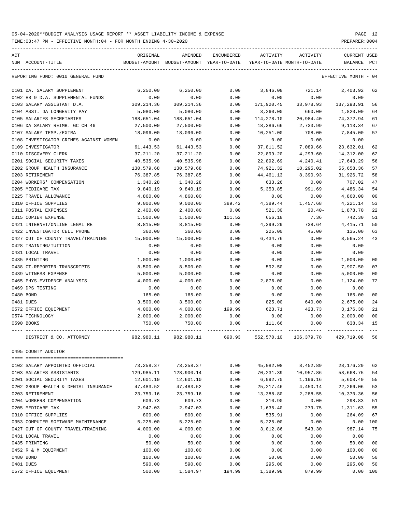TIME:03:47 PM - EFFECTIVE MONTH:04 - FOR MONTH ENDING 4-30-2020

| ACT |                                        | ORIGINAL      | AMENDED                    | ENCUMBERED | ACTIVITY   | ACTIVITY                   | <b>CURRENT USED</b>  |                |
|-----|----------------------------------------|---------------|----------------------------|------------|------------|----------------------------|----------------------|----------------|
|     | NUM ACCOUNT-TITLE                      | BUDGET-AMOUNT | BUDGET-AMOUNT YEAR-TO-DATE |            |            | YEAR-TO-DATE MONTH-TO-DATE | <b>BALANCE</b>       | PCT            |
|     | REPORTING FUND: 0010 GENERAL FUND      |               |                            |            |            |                            | EFFECTIVE MONTH - 04 |                |
|     | 0101 DA. SALARY SUPPLEMENT             | 6,250.00      | 6.250.00                   | 0.00       | 3,846.08   | 721.14                     | 2,403.92             | 62             |
|     | 0102 HB 9 D.A. SUPPLEMENTAL FUNDS      | 0.00          | 0.00                       | 0.00       | 0.00       | 0.00                       | 0.00                 |                |
|     | 0103 SALARY ASSISTANT D.A.             | 309,214.36    | 309, 214.36                | 0.00       | 171,920.45 | 33,978.93                  | 137,293.91           | 56             |
|     | 0104 ASST. DA LONGEVITY PAY            | 5,080.00      | 5,080.00                   | 0.00       | 3,260.00   | 660.00                     | 1,820.00             | 64             |
|     | 0105 SALARIES SECRETARIES              | 188,651.04    | 188,651.04                 | 0.00       | 114,278.10 | 20,984.40                  | 74,372.94            | 61             |
|     | 0106 DA SALARY REIMB. GC CH 46         | 27,500.00     | 27,500.00                  | 0.00       | 18,386.66  | 2,733.99                   | 9,113.34             | 67             |
|     | 0107 SALARY TEMP./EXTRA                | 18,096.00     | 18,096.00                  | 0.00       | 10,251.00  | 708.00                     | 7,845.00             | 57             |
|     | 0108 INVESTIGATOR CRIMES AGAINST WOMEN | 0.00          | 0.00                       | 0.00       | 0.00       | 0.00                       | 0.00                 |                |
|     | 0109 INVESTIGATOR                      | 61,443.53     | 61, 443.53                 | 0.00       | 37,811.52  | 7,089.66                   | 23,632.01            | 62             |
|     | 0110 DISCOVERY CLERK                   | 37,211.20     | 37,211.20                  | 0.00       | 22,899.20  | 4,293.60                   | 14,312.00            | 62             |
|     | 0201 SOCIAL SECURITY TAXES             | 40,535.98     | 40,535.98                  | 0.00       | 22,892.69  | 4,240.41                   | 17,643.29            | 56             |
|     | 0202 GROUP HEALTH INSURANCE            | 130,579.68    | 130,579.68                 | 0.00       | 74,921.32  | 18,295.02                  | 55,658.36            | 57             |
|     | 0203 RETIREMENT                        | 76,387.85     | 76,387.85                  | 0.00       | 44,461.13  | 8,390.93                   | 31,926.72            | 58             |
|     | 0204 WORKERS' COMPENSATION             | 1,340.28      | 1,340.28                   | 0.00       | 633.26     | 0.00                       | 707.02               | 47             |
|     | 0205 MEDICARE TAX                      | 9,840.19      | 9,840.19                   | 0.00       | 5,353.85   | 991.69                     | 4,486.34             | 54             |
|     | 0225 TRAVEL ALLOWANCE                  | 4,860.00      | 4,860.00                   | 0.00       | 0.00       | 0.00                       | 4,860.00             | 00             |
|     | 0310 OFFICE SUPPLIES                   | 9,000.00      | 9,000.00                   | 389.42     | 4,389.44   | 1,457.68                   | 4,221.14             | 53             |
|     | 0311 POSTAL EXPENSES                   | 2,400.00      | 2,400.00                   | 0.00       | 521.30     | $20.40-$                   | 1,878.70             | 22             |
|     | 0315 COPIER EXPENSE                    | 1,500.00      | 1,500.00                   | 101.52     | 656.18     | 7.36                       | 742.30               | 51             |
|     | 0421 INTERNET/ONLINE LEGAL RE          | 8,815.00      | 8,815.00                   | 0.00       | 4,399.29   | 738.64                     | 4, 415.71            | 50             |
|     | 0422 INVESTIGATOR CELL PHONE           | 360.00        | 360.00                     | 0.00       | 225.00     | 45.00                      | 135.00               | 63             |
|     | 0427 OUT OF COUNTY TRAVEL/TRAINING     | 15,000.00     | 15,000.00                  | 0.00       | 6,434.76   | 0.00                       | 8,565.24             | 43             |
|     | 0428 TRAINING/TUITION                  | 0.00          | 0.00                       | 0.00       | 0.00       | 0.00                       | 0.00                 |                |
|     | 0431 LOCAL TRAVEL                      | 0.00          | 0.00                       | 0.00       | 0.00       | 0.00                       | 0.00                 |                |
|     | 0435 PRINTING                          | 1,000.00      | 1,000.00                   | 0.00       | 0.00       | 0.00                       | 1,000.00             | 00             |
|     | 0438 CT.REPORTER-TRANSCRIPTS           | 8,500.00      | 8,500.00                   | 0.00       | 592.50     | 0.00                       | 7,907.50             | 07             |
|     | 0439 WITNESS EXPENSE                   | 5,000.00      | 5,000.00                   | 0.00       | 0.00       | 0.00                       | 5,000.00             | 00             |
|     | 0465 PHYS. EVIDENCE ANALYSIS           | 4,000.00      | 4,000.00                   | 0.00       | 2,876.00   | 0.00                       | 1,124.00             | 72             |
|     | 0469 DPS TESTING                       | 0.00          | 0.00                       | 0.00       | 0.00       | 0.00                       | 0.00                 |                |
|     | 0480 BOND                              | 165.00        | 165.00                     | 0.00       | 0.00       | 0.00                       | 165.00               | 00             |
|     | 0481 DUES                              | 3,500.00      | 3,500.00                   | 0.00       | 825.00     | 640.00                     | 2,675.00             | 24             |
|     | 0572 OFFICE EQUIPMENT                  | 4,000.00      | 4,000.00                   | 199.99     | 623.71     | 423.73                     | 3,176.30             | 21             |
|     | 0574 TECHNOLOGY                        | 2,000.00      | 2,000.00                   | 0.00       | 0.00       | 0.00                       | 2,000.00             | 00             |
|     | 0590 BOOKS                             | 750.00        | 750.00                     | 0.00       | 111.66     | 0.00                       | 638.34               | 15             |
|     | DISTRICT & CO. ATTORNEY                | 982,980.11    | 982,980.11                 | 690.93     | 552,570.10 | 106, 379.78                | 429,719.08           | 56             |
|     | 0495 COUNTY AUDITOR                    |               |                            |            |            |                            |                      |                |
|     | 0102 SALARY APPOINTED OFFICIAL         | 73,258.37     | 73,258.37                  | 0.00       | 45,082.08  | 8,452.89                   | 28, 176. 29          | 62             |
|     | 0103 SALARIES ASSISTANTS               | 129,985.11    | 128,900.14                 | 0.00       | 70,231.39  | 10,957.86                  | 58,668.75            | 54             |
|     | 0201 SOCIAL SECURITY TAXES             | 12,601.10     | 12,601.10                  | 0.00       | 6,992.70   | 1,196.16                   | 5,608.40             | 55             |
|     | 0202 GROUP HEALTH & DENTAL INSURANCE   | 47,483.52     | 47, 483.52                 | 0.00       | 25, 217.46 | 4,450.14                   | 22,266.06            | 53             |
|     | 0203 RETIREMENT                        | 23,759.16     | 23,759.16                  | 0.00       | 13,388.80  | 2,288.55                   | 10,370.36            | 56             |
|     | 0204 WORKERS COMPENSATION              | 609.73        | 609.73                     | 0.00       | 310.90     | 0.00                       | 298.83               | 51             |
|     | 0205 MEDICARE TAX                      | 2,947.03      | 2,947.03                   | 0.00       | 1,635.40   | 279.75                     | 1,311.63             | 55             |
|     | 0310 OFFICE SUPPLIES                   | 800.00        | 800.00                     | 0.00       | 535.91     | 0.00                       | 264.09               | 67             |
|     | 0353 COMPUTER SOFTWARE MAINTENANCE     | 5,225.00      | 5,225.00                   | 0.00       | 5,225.00   | 0.00                       | 0.00                 | 100            |
|     | 0427 OUT OF COUNTY TRAVEL/TRAINING     | 4,000.00      | 4,000.00                   | 0.00       | 3,012.86   | 543.30                     | 987.14               | 75             |
|     | 0431 LOCAL TRAVEL                      | 0.00          | 0.00                       | 0.00       | 0.00       | 0.00                       | 0.00                 |                |
|     | 0435 PRINTING                          | 50.00         | 50.00                      | 0.00       | 0.00       | 0.00                       | 50.00                | 0 <sub>0</sub> |
|     | 0452 R & M EQUIPMENT                   | 100.00        | 100.00                     | 0.00       | 0.00       | 0.00                       | 100.00               | 00             |
|     | 0480 BOND                              | 100.00        | 100.00                     | 0.00       | 50.00      | 0.00                       | 50.00                | 50             |
|     | 0481 DUES                              | 590.00        | 590.00                     | 0.00       | 295.00     | 0.00                       | 295.00               | 50             |

0572 OFFICE EQUIPMENT 500.00 1,584.97 194.99 1,389.98 879.99 0.00 100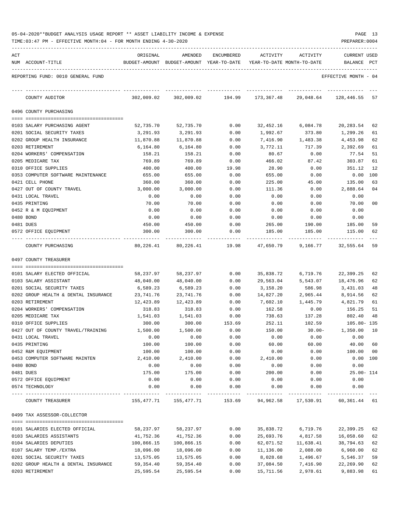| 05-04-2020**BUDGET ANALYSIS USAGE REPORT ** ASSET LIABILITY INCOME & EXPENSE |  |  |  | PAGE |  |
|------------------------------------------------------------------------------|--|--|--|------|--|
|                                                                              |  |  |  |      |  |

| ACT |                                                         | ORIGINAL               | AMENDED                                  | ENCUMBERED   | ACTIVITY                   | ACTIVITY             | <b>CURRENT USED</b>  |          |
|-----|---------------------------------------------------------|------------------------|------------------------------------------|--------------|----------------------------|----------------------|----------------------|----------|
|     | NUM ACCOUNT-TITLE                                       |                        | BUDGET-AMOUNT BUDGET-AMOUNT YEAR-TO-DATE |              | YEAR-TO-DATE MONTH-TO-DATE |                      | BALANCE              | PCT      |
|     | REPORTING FUND: 0010 GENERAL FUND                       |                        |                                          |              |                            |                      | EFFECTIVE MONTH - 04 |          |
|     | COUNTY AUDITOR                                          | 302,009.02             | 302,009.02                               | 194.99       | 173,367.48                 | 29,048.64            | 128,446.55           | 57       |
|     | 0496 COUNTY PURCHASING                                  |                        |                                          |              |                            |                      |                      |          |
|     |                                                         |                        |                                          |              |                            |                      |                      |          |
|     | 0103 SALARY PURCHASING AGENT                            | 52,735.70              | 52,735.70                                | 0.00         | 32,452.16                  | 6,084.78             | 20,283.54            | 62       |
|     | 0201 SOCIAL SECURITY TAXES                              | 3,291.93               | 3,291.93                                 | 0.00         | 1,992.67                   | 373.80               | 1,299.26             | 61       |
|     | 0202 GROUP HEALTH INSURANCE<br>0203 RETIREMENT          | 11,870.88              | 11,870.88                                | 0.00         | 7,416.90                   | 1,483.38             | 4,453.98             | 62<br>61 |
|     | 0204 WORKERS' COMPENSATION                              | 6,164.80<br>158.21     | 6,164.80<br>158.21                       | 0.00<br>0.00 | 3,772.11<br>80.67          | 717.39<br>0.00       | 2,392.69<br>77.54    | 51       |
|     | 0205 MEDICARE TAX                                       | 769.89                 | 769.89                                   | 0.00         | 466.02                     | 87.42                | 303.87               | 61       |
|     | 0310 OFFICE SUPPLIES                                    | 400.00                 | 400.00                                   | 19.98        | 28.90                      | 0.00                 | 351.12               | 12       |
|     | 0353 COMPUTER SOFTWARE MAINTENANCE                      | 655.00                 | 655.00                                   | 0.00         | 655.00                     | 0.00                 | 0.00                 | 100      |
|     | 0421 CELL PHONE                                         | 360.00                 | 360.00                                   | 0.00         | 225.00                     | 45.00                | 135.00               | 63       |
|     | 0427 OUT OF COUNTY TRAVEL                               | 3,000.00               | 3,000.00                                 | 0.00         | 111.36                     | 0.00                 | 2,888.64             | 04       |
|     | 0431 LOCAL TRAVEL                                       | 0.00                   | 0.00                                     | 0.00         | 0.00                       | 0.00                 | 0.00                 |          |
|     | 0435 PRINTING                                           | 70.00                  | 70.00                                    | 0.00         | 0.00                       | 0.00                 | 70.00                | 00       |
|     | 0452 R & M EQUIPMENT                                    | 0.00                   | 0.00                                     | 0.00         | 0.00                       | 0.00                 | 0.00                 |          |
|     | 0480 BOND                                               | 0.00                   | 0.00                                     | 0.00         | 0.00                       | 0.00                 | 0.00                 |          |
|     | 0481 DUES                                               | 450.00                 | 450.00                                   | 0.00         | 265.00                     | 190.00               | 185.00               | 59       |
|     | 0572 OFFICE EQUIPMENT                                   | 300.00                 | 300.00                                   | 0.00         | 185.00                     | 185.00               | 115.00               | 62       |
|     | COUNTY PURCHASING                                       | 80,226.41              | 80,226.41                                | 19.98        | 47,650.79                  | 9,166.77             | 32,555.64            | 59       |
|     | 0497 COUNTY TREASURER                                   |                        |                                          |              |                            |                      |                      |          |
|     |                                                         |                        |                                          |              |                            |                      |                      |          |
|     | 0101 SALARY ELECTED OFFICIAL                            | 58,237.97              | 58,237.97                                | 0.00         | 35,838.72                  | 6,719.76             | 22,399.25            | 62       |
|     | 0103 SALARY ASSISTANT                                   | 48,040.00              | 48,040.00                                | 0.00         | 29,563.04                  | 5,543.07             | 18,476.96            | 62       |
|     | 0201 SOCIAL SECURITY TAXES                              | 6,589.23               | 6,589.23                                 | 0.00         | 3,158.20                   | 586.98               | 3,431.03             | 48       |
|     | 0202 GROUP HEALTH & DENTAL INSURANCE                    | 23,741.76              | 23,741.76                                | 0.00         | 14,827.20                  | 2,965.44             | 8,914.56             | 62       |
|     | 0203 RETIREMENT                                         | 12,423.89              | 12,423.89                                | 0.00         | 7,602.10                   | 1,445.79             | 4,821.79             | 61       |
|     | 0204 WORKERS' COMPENSATION                              | 318.83                 | 318.83                                   | 0.00         | 162.58                     | 0.00                 | 156.25               | 51       |
|     | 0205 MEDICARE TAX                                       | 1,541.03               | 1,541.03                                 | 0.00         | 738.63                     | 137.28               | 802.40               | 48       |
|     | 0310 OFFICE SUPPLIES                                    | 300.00                 | 300.00                                   | 153.69       | 252.11<br>150.00           | 102.59               | $105.80 - 135$       |          |
|     | 0427 OUT OF COUNTY TRAVEL/TRAINING<br>0431 LOCAL TRAVEL | 1,500.00               | 1,500.00                                 | 0.00<br>0.00 | 0.00                       | $30.00 -$<br>0.00    | 1,350.00<br>0.00     | 10       |
|     | 0435 PRINTING                                           | 0.00<br>100.00         | 0.00<br>100.00                           | 0.00         | 60.00                      | 60.00                | 40.00                | 60       |
|     | 0452 R&M EQUIPMENT                                      | 100.00                 | 100.00                                   | 0.00         | 0.00                       | 0.00                 | 100.00               | 00       |
|     | 0453 COMPUTER SOFTWARE MAINTEN                          | 2,410.00               | 2,410.00                                 | 0.00         | 2,410.00                   | 0.00                 | 0.00 100             |          |
|     | 0480 BOND                                               | 0.00                   | 0.00                                     | 0.00         | 0.00                       | 0.00                 | 0.00                 |          |
|     | 0481 DUES                                               | 175.00                 | 175.00                                   | 0.00         | 200.00                     | 0.00                 | $25.00 - 114$        |          |
|     | 0572 OFFICE EQUIPMENT                                   | 0.00                   | 0.00                                     | 0.00         | 0.00                       | 0.00                 | 0.00                 |          |
|     | 0574 TECHNOLOGY                                         | 0.00                   | 0.00                                     | 0.00         | 0.00                       | 0.00                 | 0.00                 |          |
|     | COUNTY TREASURER                                        |                        | 155,477.71 155,477.71 153.69             |              | 94,962.58                  | 17,530.91            | 60,361.44 61         |          |
|     | 0499 TAX ASSESSOR-COLLECTOR                             |                        |                                          |              |                            |                      |                      |          |
|     |                                                         |                        |                                          |              |                            |                      |                      |          |
|     | 0101 SALARIES ELECTED OFFICIAL                          | 58,237.97              | 58,237.97                                | 0.00         | 35,838.72                  | 6,719.76             | 22,399.25            | 62       |
|     | 0103 SALARIES ASSISTANTS                                | 41,752.36              | 41,752.36                                | 0.00         | 25,693.76                  | 4,817.58             | 16,058.60            | 62       |
|     | 0104 SALARIES DEPUTIES                                  | 100,866.15             | 100,866.15                               | 0.00         | 62,071.52                  | 11,638.41            | 38,794.63            | 62       |
|     | 0107 SALARY TEMP./EXTRA<br>0201 SOCIAL SECURITY TAXES   | 18,096.00              | 18,096.00                                | 0.00<br>0.00 | 11,136.00                  | 2,088.00             | 6,960.00<br>5,546.37 | 62<br>59 |
|     | 0202 GROUP HEALTH & DENTAL INSURANCE                    | 13,575.05<br>59,354.40 | 13,575.05<br>59,354.40                   | 0.00         | 8,028.68<br>37,084.50      | 1,496.67<br>7,416.90 | 22,269.90            | 62       |
|     | 0203 RETIREMENT                                         | 25,595.54              | 25,595.54                                | 0.00         | 15,711.56                  | 2,978.61             | 9,883.98             | 61       |
|     |                                                         |                        |                                          |              |                            |                      |                      |          |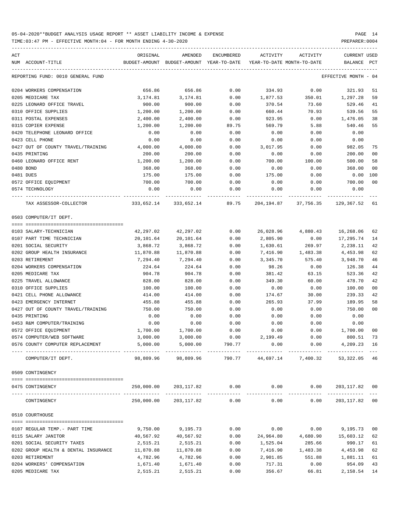TIME:03:47 PM - EFFECTIVE MONTH:04 - FOR MONTH ENDING 4-30-2020

| ACT | NUM ACCOUNT-TITLE                                                                                                                                                                                                                                                                                                                                                                                                                                                                    | ORIGINAL  | AMENDED<br>BUDGET-AMOUNT BUDGET-AMOUNT YEAR-TO-DATE | ENCUMBERED | ACTIVITY<br>YEAR-TO-DATE MONTH-TO-DATE | ACTIVITY                               | CURRENT USED<br>BALANCE PCT |                         |
|-----|--------------------------------------------------------------------------------------------------------------------------------------------------------------------------------------------------------------------------------------------------------------------------------------------------------------------------------------------------------------------------------------------------------------------------------------------------------------------------------------|-----------|-----------------------------------------------------|------------|----------------------------------------|----------------------------------------|-----------------------------|-------------------------|
|     |                                                                                                                                                                                                                                                                                                                                                                                                                                                                                      |           |                                                     |            |                                        |                                        |                             |                         |
|     | REPORTING FUND: 0010 GENERAL FUND                                                                                                                                                                                                                                                                                                                                                                                                                                                    |           |                                                     |            |                                        |                                        | EFFECTIVE MONTH - 04        |                         |
|     | 0204 WORKERS COMPENSATION                                                                                                                                                                                                                                                                                                                                                                                                                                                            | 656.86    | 656.86                                              | 0.00       | 334.93                                 | 0.00                                   | 321.93                      | 51                      |
|     | 0205 MEDICARE TAX                                                                                                                                                                                                                                                                                                                                                                                                                                                                    | 3,174.81  | 3,174.81                                            | 0.00       | 1,877.53                               | 350.01                                 | 1,297.28                    | 59                      |
|     | 0225 LEONARD OFFICE TRAVEL                                                                                                                                                                                                                                                                                                                                                                                                                                                           | 900.00    | 900.00                                              | 0.00       | 370.54                                 | 73.60                                  | 529.46                      | 41                      |
|     | 0310 OFFICE SUPPLIES                                                                                                                                                                                                                                                                                                                                                                                                                                                                 | 1,200.00  | 1,200.00                                            | 0.00       | 660.44                                 | 70.93                                  | 539.56                      | 55                      |
|     | 0311 POSTAL EXPENSES                                                                                                                                                                                                                                                                                                                                                                                                                                                                 | 2,400.00  | 2,400.00                                            | 0.00       | 923.95                                 | 0.00                                   | 1,476.05                    | 38                      |
|     | 0315 COPIER EXPENSE                                                                                                                                                                                                                                                                                                                                                                                                                                                                  | 1,200.00  | 1,200.00                                            | 89.75      | 569.79                                 | 5.88                                   | 540.46                      | 55                      |
|     | 0420 TELEPHONE LEONARD OFFICE                                                                                                                                                                                                                                                                                                                                                                                                                                                        | 0.00      | 0.00                                                | 0.00       | 0.00                                   | 0.00                                   | 0.00                        |                         |
|     | 0423 CELL PHONE                                                                                                                                                                                                                                                                                                                                                                                                                                                                      | 0.00      | 0.00                                                | 0.00       | 0.00                                   | 0.00                                   | 0.00                        |                         |
|     | 0427 OUT OF COUNTY TRAVEL/TRAINING                                                                                                                                                                                                                                                                                                                                                                                                                                                   | 4,000.00  | 4,000.00                                            | 0.00       | 3,017.95                               | 0.00                                   | 982.05                      | 75                      |
|     | 0435 PRINTING                                                                                                                                                                                                                                                                                                                                                                                                                                                                        | 200.00    | 200.00                                              | 0.00       | 0.00                                   | 0.00                                   | 200.00                      | 0 <sub>0</sub>          |
|     | 0460 LEONARD OFFICE RENT                                                                                                                                                                                                                                                                                                                                                                                                                                                             | 1,200.00  | 1,200.00                                            | 0.00       | 700.00                                 | 100.00                                 | 500.00                      | 58                      |
|     | 0480 BOND                                                                                                                                                                                                                                                                                                                                                                                                                                                                            | 368.00    | 368.00                                              | 0.00       | 0.00                                   | 0.00                                   | 368.00                      | 0 <sub>0</sub>          |
|     | 0481 DUES                                                                                                                                                                                                                                                                                                                                                                                                                                                                            | 175.00    | 175.00                                              | 0.00       | 175.00                                 | 0.00                                   | 0.00                        | 100                     |
|     | 0572 OFFICE EQUIPMENT                                                                                                                                                                                                                                                                                                                                                                                                                                                                | 700.00    | 700.00                                              | 0.00       | 0.00                                   | 0.00                                   | 700.00                      | 0 <sup>0</sup>          |
|     | 0574 TECHNOLOGY                                                                                                                                                                                                                                                                                                                                                                                                                                                                      | 0.00      | 0.00                                                | 0.00       | 0.00                                   | 0.00                                   | 0.00                        |                         |
|     | TAX ASSESSOR-COLLECTOR                                                                                                                                                                                                                                                                                                                                                                                                                                                               |           | 333,652.14 333,652.14 89.75                         |            |                                        | 204, 194.87 37, 756.35 129, 367.52     |                             | 61                      |
|     | 0503 COMPUTER/IT DEPT.                                                                                                                                                                                                                                                                                                                                                                                                                                                               |           |                                                     |            |                                        |                                        |                             |                         |
|     |                                                                                                                                                                                                                                                                                                                                                                                                                                                                                      |           |                                                     |            |                                        |                                        |                             |                         |
|     | 0103 SALARY-TECHNICIAN                                                                                                                                                                                                                                                                                                                                                                                                                                                               | 42,297.02 | 42,297.02                                           | 0.00       | 26,028.96                              | 4,880.43                               | 16,268.06                   | 62                      |
|     | 0107 PART TIME TECHNICIAN                                                                                                                                                                                                                                                                                                                                                                                                                                                            | 20,101.64 | 20,101.64                                           | 0.00       | 2,805.90                               | 0.00                                   | 17,295.74                   | 14                      |
|     | 0201 SOCIAL SECURITY                                                                                                                                                                                                                                                                                                                                                                                                                                                                 | 3,868.72  | 3,868.72                                            | 0.00       | 1,630.61                               | 269.97                                 | 2,238.11                    | 42                      |
|     | 0202 GROUP HEALTH INSURANCE                                                                                                                                                                                                                                                                                                                                                                                                                                                          | 11,870.88 | 11,870.88                                           | 0.00       | 7,416.90                               | 1,483.38                               | 4,453.98                    | 62                      |
|     | 0203 RETIREMENT                                                                                                                                                                                                                                                                                                                                                                                                                                                                      | 7,294.40  | 7,294.40                                            | 0.00       | 3,345.70                               | 575.40                                 | 3,948.70                    | 46                      |
|     | 0204 WORKERS COMPENSATION                                                                                                                                                                                                                                                                                                                                                                                                                                                            | 224.64    | 224.64                                              | 0.00       | 98.26                                  | 0.00                                   | 126.38                      | 44                      |
|     | 0205 MEDICARE TAX                                                                                                                                                                                                                                                                                                                                                                                                                                                                    | 904.78    | 904.78                                              | 0.00       | 381.42                                 | 63.15                                  | 523.36                      | 42                      |
|     | 0225 TRAVEL ALLOWANCE                                                                                                                                                                                                                                                                                                                                                                                                                                                                | 828.00    | 828.00                                              | 0.00       | 349.30                                 | 60.00                                  | 478.70                      | 42                      |
|     | 0310 OFFICE SUPPLIES                                                                                                                                                                                                                                                                                                                                                                                                                                                                 | 100.00    | 100.00                                              | 0.00       | 0.00                                   | 0.00                                   | 100.00                      | 0 <sub>0</sub>          |
|     | 0421 CELL PHONE ALLOWANCE                                                                                                                                                                                                                                                                                                                                                                                                                                                            | 414.00    | 414.00                                              | 0.00       | 174.67                                 | 30.00                                  | 239.33                      | 42                      |
|     | 0423 EMERGENCY INTERNET                                                                                                                                                                                                                                                                                                                                                                                                                                                              | 455.88    | 455.88                                              | 0.00       | 265.93                                 | 37.99                                  | 189.95                      | 58                      |
|     | 0427 OUT OF COUNTY TRAVEL/TRAINING                                                                                                                                                                                                                                                                                                                                                                                                                                                   | 750.00    | 750.00                                              | 0.00       | 0.00                                   | 0.00                                   | 750.00                      | 0 <sub>0</sub>          |
|     | 0435 PRINTING                                                                                                                                                                                                                                                                                                                                                                                                                                                                        | 0.00      | 0.00                                                | 0.00       | 0.00                                   | 0.00                                   | 0.00                        |                         |
|     | 0453 R&M COMPUTER/TRAINING                                                                                                                                                                                                                                                                                                                                                                                                                                                           | 0.00      | 0.00                                                | 0.00       | 0.00                                   | 0.00                                   | 0.00                        |                         |
|     | 0572 OFFICE EQUIPMENT                                                                                                                                                                                                                                                                                                                                                                                                                                                                | 1,700.00  | 1,700.00                                            | 0.00       | 0.00                                   | 0.00                                   | 1,700.00                    | 0 <sub>0</sub>          |
|     | 0574 COMPUTER/WEB SOFTWARE                                                                                                                                                                                                                                                                                                                                                                                                                                                           | 3,000.00  | 3,000.00                                            | 0.00       | 2,199.49                               | 0.00                                   | 800.51 73                   |                         |
|     | 0576 COUNTY COMPUTER REPLACEMENT                                                                                                                                                                                                                                                                                                                                                                                                                                                     | 5,000.00  | 5,000.00                                            | 790.77     | 0.00                                   | 0.00                                   | 4,209.23 16                 |                         |
|     | COMPUTER/IT DEPT.                                                                                                                                                                                                                                                                                                                                                                                                                                                                    | 98,809.96 | 98,809.96                                           |            |                                        | 790.77 44,697.14 7,400.32 53,322.05 46 |                             | $---$                   |
|     | 0509 CONTINGENCY                                                                                                                                                                                                                                                                                                                                                                                                                                                                     |           |                                                     |            |                                        |                                        |                             |                         |
|     | 0475 CONTINGENCY                                                                                                                                                                                                                                                                                                                                                                                                                                                                     |           | 250,000.00 203,117.82 0.00                          |            | 0.00                                   |                                        | $0.00$ $203,117.82$ 00      |                         |
|     | ----------------------------------<br>CONTINGENCY                                                                                                                                                                                                                                                                                                                                                                                                                                    |           | 250,000.00 203,117.82 0.00                          |            |                                        | 0.00<br>0.00                           | _____________<br>203,117.82 | $---$<br>0 <sub>0</sub> |
|     | 0510 COURTHOUSE                                                                                                                                                                                                                                                                                                                                                                                                                                                                      |           |                                                     |            |                                        |                                        |                             |                         |
|     | $\begin{minipage}{0.03\textwidth} \centering \begin{tabular}{ l l l } \hline \texttt{0.03}\end{tabular} \end{minipage} \end{minipage} \begin{minipage}{0.03\textwidth} \centering \begin{tabular}{ l l l } \hline \texttt{0.03}\end{tabular} \end{minipage} \end{minipage} \begin{minipage}{0.03\textwidth} \centering \begin{tabular}{ l l l l } \hline \texttt{0.03}\end{tabular} \end{minipage} \end{minipage} \begin{minipage}{0.03\textwidth} \centering \begin{tabular}{ l l $ |           |                                                     |            |                                        |                                        |                             |                         |
|     | 0107 REGULAR TEMP. - PART TIME                                                                                                                                                                                                                                                                                                                                                                                                                                                       | 9,750.00  | 9,195.73                                            | 0.00       | 0.00                                   | 0.00                                   | 9,195.73                    | 0 <sub>0</sub>          |
|     | 0115 SALARY JANITOR                                                                                                                                                                                                                                                                                                                                                                                                                                                                  | 40,567.92 | 40,567.92                                           | 0.00       | 24,964.80                              | 4,680.90                               | 15,603.12                   | 62                      |
|     | 0201 SOCIAL SECURITY TAXES                                                                                                                                                                                                                                                                                                                                                                                                                                                           | 2,515.21  | 2,515.21                                            | 0.00       | 1,525.04                               | 285.66                                 | 990.17                      | 61                      |
|     | 0202 GROUP HEALTH & DENTAL INSURANCE                                                                                                                                                                                                                                                                                                                                                                                                                                                 | 11,870.88 | 11,870.88                                           | 0.00       | 7,416.90                               | 1,483.38                               | 4,453.98                    | 62                      |
|     | 0203 RETIREMENT                                                                                                                                                                                                                                                                                                                                                                                                                                                                      | 4,782.96  | 4,782.96                                            | 0.00       | 2,901.85                               | 551.88                                 | 1,881.11                    | 61                      |
|     | 0204 WORKERS' COMPENSATION                                                                                                                                                                                                                                                                                                                                                                                                                                                           | 1,671.40  | 1,671.40                                            | 0.00       | 717.31                                 | 0.00                                   | 954.09                      | 43                      |

0205 MEDICARE TAX 2,515.21 2,515.21 0.00 356.67 66.81 2,158.54 14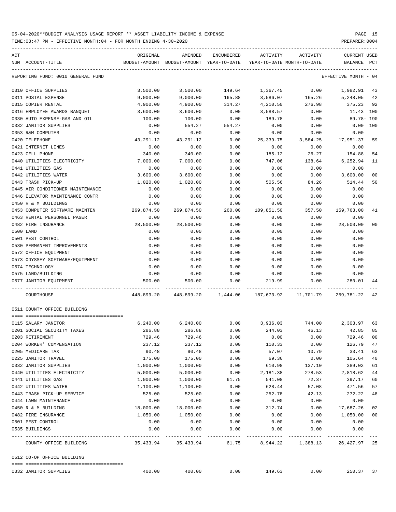| NUM ACCOUNT-TITLE                 | ORIGINAL       | AMENDED<br>BUDGET-AMOUNT BUDGET-AMOUNT YEAR-TO-DATE | ENCUMBERED   | ACTIVITY        | ACTIVITY<br>YEAR-TO-DATE MONTH-TO-DATE                              | CURRENT USED<br>BALANCE PCT |                |
|-----------------------------------|----------------|-----------------------------------------------------|--------------|-----------------|---------------------------------------------------------------------|-----------------------------|----------------|
| REPORTING FUND: 0010 GENERAL FUND |                |                                                     |              |                 |                                                                     | EFFECTIVE MONTH - 04        |                |
| 0310 OFFICE SUPPLIES              | 3,500.00       | 3,500.00                                            |              | 149.64 1,367.45 | 0.00                                                                | 1,982.91                    | 43             |
| 0311 POSTAL EXPENSE               | 9,000.00       | 9,000.00                                            | 165.88       | 3,586.07        | 165.26                                                              | 5,248.05                    | 42             |
| 0315 COPIER RENTAL                | 4,900.00       | 4,900.00                                            | 314.27       | 4,210.50        | 276.98                                                              | 375.23                      | 92             |
| 0316 EMPLOYEE AWARDS BANQUET      | 3,600.00       | 3,600.00                                            | 0.00         | 3,588.57        | 0.00                                                                | 11.43 100                   |                |
| 0330 AUTO EXPENSE-GAS AND OIL     | 100.00         | 100.00                                              | 0.00         | 189.78          | 0.00                                                                | 89.78- 190                  |                |
| 0332 JANITOR SUPPLIES             | 0.00           | 554.27                                              | 554.27       | 0.00            | 0.00                                                                | $0.00$ 100                  |                |
| 0353 R&M COMPUTER                 | 0.00           | 0.00                                                | 0.00         | 0.00            | 0.00                                                                | 0.00                        |                |
| 0420 TELEPHONE                    | 43,291.12      | 43,291.12                                           | 0.00         | 25,339.75       | 3,584.25                                                            | 17,951.37                   | 59             |
| 0421 INTERNET LINES               | 0.00           | 0.00                                                | 0.00         | 0.00            | 0.00                                                                | 0.00                        |                |
| 0423 CELL PHONE                   | 340.00         | 340.00                                              | 0.00         | 185.12          | 26.27                                                               | 154.88                      | 54             |
| 0440 UTILITIES ELECTRICITY        | 7,000.00       | 7,000.00                                            | 0.00         | 747.06          | 138.64                                                              | 6,252.94                    | 11             |
| 0441 UTILITIES GAS                | 0.00           | 0.00                                                | 0.00         | 0.00            | 0.00                                                                | 0.00                        |                |
| 0442 UTILITIES WATER              | 3,600.00       | 3,600.00                                            | 0.00         | 0.00            | 0.00                                                                | 3,600.00                    | 0 <sub>0</sub> |
| 0443 TRASH PICK-UP                | 1,020.00       | 1,020.00                                            | 0.00         | 505.56          | 84.26                                                               | 514.44                      | 50             |
| 0445 AIR CONDITIONER MAINTENANCE  | 0.00           | 0.00                                                | 0.00         | 0.00            | 0.00                                                                | 0.00                        |                |
| 0446 ELEVATOR MAINTENANCE CONTR   | 0.00           | 0.00                                                | 0.00         | 0.00            | 0.00                                                                | 0.00                        |                |
| 0450 R & M BUILDINGS              | 0.00           | 0.00                                                | 0.00         | 0.00            | 0.00                                                                | 0.00                        |                |
| 0453 COMPUTER SOFTWARE MAINTEN    | 269,874.50     | 269,874.50                                          | 260.00       | 109,851.50      | 357.50                                                              | 159,763.00                  | 41             |
| 0463 RENTAL PERSONNEL PAGER       | 0.00           | 0.00                                                | 0.00         | 0.00            | 0.00                                                                | 0.00                        |                |
| 0482 FIRE INSURANCE               | 28,500.00      | 28,500.00                                           | 0.00         | 0.00            | 0.00                                                                | 28,500.00                   | 0 <sub>0</sub> |
| 0500 LAND                         | 0.00           | 0.00                                                | 0.00         | 0.00            | 0.00                                                                | 0.00                        |                |
| 0501 PEST CONTROL                 | 0.00           | 0.00                                                | 0.00         | 0.00            | 0.00                                                                | 0.00                        |                |
| 0530 PERMANENT IMPROVEMENTS       | 0.00           | 0.00                                                | 0.00         | 0.00            | 0.00                                                                | 0.00                        |                |
| 0572 OFFICE EQUIPMENT             | 0.00           | 0.00                                                | 0.00         | 0.00            | 0.00                                                                | 0.00                        |                |
| 0573 ODYSSEY SOFTWARE/EQUIPMENT   | 0.00           | 0.00                                                | 0.00         | 0.00            | 0.00                                                                | 0.00                        |                |
| 0574 TECHNOLOGY                   | 0.00           |                                                     | 0.00         |                 |                                                                     |                             |                |
| 0575 LAND/BUILDING                |                | 0.00                                                |              | 0.00            | 0.00                                                                | 0.00                        |                |
| 0577 JANITOR EQUIPMENT            | 0.00<br>500.00 | 0.00<br>500.00                                      | 0.00<br>0.00 | 0.00<br>219.99  | 0.00<br>0.00                                                        | 0.00<br>280.01              | 44             |
|                                   |                |                                                     |              |                 |                                                                     |                             |                |
| COURTHOUSE                        |                |                                                     |              |                 | 448,899.20  448,899.20  1,444.06  187,673.92  11,701.79  259,781.22 |                             | 42             |
| 0511 COUNTY OFFICE BUILDING       |                |                                                     |              |                 |                                                                     |                             |                |
| 0115 SALARY JANITOR               | 6,240.00       | 6, 240.00                                           | 0.00         |                 | 3,936.03 744.00 2,303.97                                            |                             | 63             |
| 0201 SOCIAL SECURITY TAXES        | 286.88         | 286.88                                              | 0.00         | 244.03          | 46.13                                                               | 42.85                       | 85             |
| 0203 RETIREMENT                   | 729.46         | 729.46                                              | 0.00         | 0.00            | 0.00                                                                | 729.46                      | 0 <sub>0</sub> |
| 0204 WORKER' COMPENSATION         | 237.12         | 237.12                                              | 0.00         | 110.33          | 0.00                                                                | 126.79                      | 47             |
| 0205 MEDICARE TAX                 | 90.48          | 90.48                                               | 0.00         | 57.07           | 10.79                                                               | 33.41                       | 63             |
| 0225 JANITOR TRAVEL               | 175.00         | 175.00                                              | 0.00         | 69.36           | 0.00                                                                | 105.64                      | 40             |
| 0332 JANITOR SUPPLIES             | 1,000.00       | 1,000.00                                            | 0.00         | 610.98          | 137.10                                                              | 389.02                      | 61             |
| 0440 UTILITIES ELECTRICITY        | 5,000.00       | 5,000.00                                            | 0.00         | 2,181.38        | 278.53                                                              | 2,818.62                    | 44             |
| 0441 UTILITIES GAS                | 1,000.00       | 1,000.00                                            | 61.75        | 541.08          | 72.37                                                               | 397.17                      | 60             |
| 0442 UTILITIES WATER              | 1,100.00       | 1,100.00                                            | 0.00         | 628.44          | 57.08                                                               | 471.56                      | 57             |
| 0443 TRASH PICK-UP SERVICE        | 525.00         | 525.00                                              | 0.00         | 252.78          | 42.13                                                               | 272.22                      | 48             |
| 0444 LAWN MAINTENANCE             | 0.00           | 0.00                                                | 0.00         | 0.00            | 0.00                                                                | 0.00                        |                |
| 0450 R & M BUILDING               | 18,000.00      | 18,000.00                                           | 0.00         | 312.74          | 0.00                                                                | 17,687.26                   | 02             |
| 0482 FIRE INSURANCE               | 1,050.00       | 1,050.00                                            | 0.00         | 0.00            | 0.00                                                                | 1,050.00                    | 0 <sub>0</sub> |
| 0501 PEST CONTROL                 | 0.00           | 0.00                                                | 0.00         | 0.00            | 0.00                                                                | 0.00                        |                |
| 0535 BUILDINGS                    | 0.00           | 0.00                                                | 0.00         | 0.00            | 0.00                                                                | 0.00                        |                |
|                                   |                |                                                     |              | -----------     |                                                                     |                             |                |

|                          |        |        |      |                   |      |       | $\sim$ |
|--------------------------|--------|--------|------|-------------------|------|-------|--------|
| 0332 JANITOR<br>SUPPLIES | 400.00 | 400.00 | 0.00 | 49<br>n<br>------ | J.OO | 250.3 |        |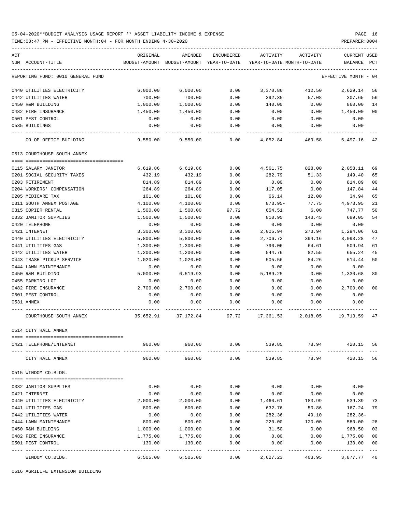## 05-04-2020\*\*BUDGET ANALYSIS USAGE REPORT \*\* ASSET LIABILITY INCOME & EXPENSE PAGE 16 TIME:03:47 PM - EFFECTIVE MONTH:04 - FOR MONTH ENDING 4-30-2020

| ACT                               | ORIGINAL                                               | AMENDED                                                             |               | ENCUMBERED ACTIVITY ACTIVITY |                       | CURRENT USED                          |                |
|-----------------------------------|--------------------------------------------------------|---------------------------------------------------------------------|---------------|------------------------------|-----------------------|---------------------------------------|----------------|
| NUM ACCOUNT-TITLE                 |                                                        | BUDGET-AMOUNT BUDGET-AMOUNT YEAR-TO-DATE YEAR-TO-DATE MONTH-TO-DATE |               |                              |                       | BALANCE PCT                           |                |
| REPORTING FUND: 0010 GENERAL FUND |                                                        |                                                                     |               |                              |                       | EFFECTIVE MONTH - 04                  |                |
| 0440 UTILITIES ELECTRICITY        | 6,000.00                                               | 6,000.00                                                            |               |                              |                       | $0.00$ $3,370.86$ $412.50$ $2,629.14$ | 56             |
| 0442 UTILITIES WATER              | 700.00                                                 | 700.00                                                              | 0.00          | 392.35                       | 57.08                 | 307.65                                | 56             |
| 0450 R&M BUILDING                 | 1,000.00                                               | 1,000.00                                                            | 0.00          | 140.00                       | 0.00                  | 860.00                                | 14             |
| 0482 FIRE INSURANCE               | 1,450.00                                               | 1,450.00                                                            | 0.00          | 0.00                         | 0.00                  | 1,450.00                              | 00             |
| 0501 PEST CONTROL                 | 0.00                                                   | 0.00                                                                | 0.00          | 0.00                         | 0.00                  | 0.00                                  |                |
| 0535 BUILDINGS                    | 0.00                                                   | 0.00                                                                | 0.00          | 0.00                         | 0.00                  | 0.00                                  |                |
| CO-OP OFFICE BUILDING             |                                                        | $9,550.00$ $9,550.00$ $0.00$ $4,052.84$ $469.58$                    |               |                              |                       | 5,497.16                              | 42             |
| 0513 COURTHOUSE SOUTH ANNEX       |                                                        |                                                                     |               |                              |                       |                                       |                |
| 0115 SALARY JANITOR               | 6,619.86                                               | 6,619.86                                                            | 0.00          |                              |                       | 4,561.75 828.00 2,058.11              | 69             |
| 0201 SOCIAL SECURITY TAXES        | 432.19                                                 | 432.19                                                              | 0.00          | 282.79                       | 51.33                 | 149.40                                | 65             |
| 0203 RETIREMENT                   | 814.89                                                 | 814.89                                                              | 0.00          | 0.00                         | 0.00                  | 814.89                                | 0 <sub>0</sub> |
| 0204 WORKERS' COMPENSATION        | 264.89                                                 | 264.89                                                              | 0.00          | 117.05                       | 0.00                  | 147.84                                | 44             |
| 0205 MEDICARE TAX                 | 101.08                                                 | 101.08                                                              | 0.00          | 66.14                        | 12.00                 | 34.94                                 | 65             |
| 0311 SOUTH ANNEX POSTAGE          | 4,100.00                                               | 4,100.00                                                            | 0.00          | 873.95-                      | 77.75                 | 4,973.95                              | 21             |
| 0315 COPIER RENTAL                | 1,500.00                                               | 1,500.00                                                            | 97.72         | 654.51                       | 6.00                  | 747.77                                | 50             |
| 0332 JANITOR SUPPLIES             | 1,500.00                                               | 1,500.00                                                            | 0.00          | 810.95                       | 143.45                | 689.05                                | 54             |
| 0420 TELEPHONE                    | 0.00                                                   | 0.00                                                                | 0.00          | 0.00                         | 0.00                  | 0.00                                  |                |
| 0421 INTERNET                     | 3,300.00                                               | 3,300.00                                                            | 0.00          | 2,005.94                     | 273.94                | 1,294.06                              | 61             |
| 0440 UTILITIES ELECTRICITY        | 5,800.00                                               | 5,800.00                                                            | 0.00          | 2,706.72                     | 394.16                | 3,093.28                              | 47             |
| 0441 UTILITIES GAS                | 1,300.00                                               | 1,300.00                                                            | 0.00          | 790.06                       | 64.61                 | 509.94                                | 61             |
| 0442 UTILITIES WATER              | 1,200.00                                               | 1,200.00                                                            | 0.00          | 544.76                       | 82.55                 | 655.24                                | 45             |
| 0443 TRASH PICKUP SERVICE         | 1,020.00                                               | 1,020.00                                                            | 0.00          | 505.56                       | 84.26                 | 514.44                                | 50             |
| 0444 LAWN MAINTENANCE             | 0.00                                                   | 0.00                                                                | 0.00          | 0.00                         | 0.00                  | 0.00                                  |                |
| 0450 R&M BUILDING                 | 5,000.00                                               | 6,519.93                                                            | 0.00          | 5,189.25                     | 0.00                  | 1,330.68                              | 80             |
| 0455 PARKING LOT                  | 0.00                                                   | 0.00                                                                | 0.00          | 0.00                         | 0.00                  | 0.00                                  |                |
| 0482 FIRE INSURANCE               | 2,700.00                                               | 2,700.00                                                            | 0.00          | 0.00                         | 0.00                  | 2,700.00                              | 0 <sub>0</sub> |
| 0501 PEST CONTROL                 | 0.00                                                   | 0.00                                                                | 0.00          | 0.00                         | 0.00                  | 0.00                                  |                |
| 0531 ANNEX                        | 0.00                                                   | 0.00                                                                | 0.00          | 0.00                         | 0.00                  | 0.00                                  |                |
| COURTHOUSE SOUTH ANNEX            | 35,652.91 37,172.84 97.72 17,361.53 2,018.05 19,713.59 |                                                                     |               |                              |                       |                                       | 47             |
| 0514 CITY HALL ANNEX              |                                                        |                                                                     |               |                              |                       |                                       |                |
| 0421 TELEPHONE/INTERNET           | 960.00                                                 | 960.00                                                              | 0.00          | 539.85                       | 78.94                 | 420.15                                | 56             |
| CITY HALL ANNEX                   | 960.00                                                 | 960.00                                                              | 0.00          | 539.85                       | ------------<br>78.94 | 420.15                                | 56             |
| 0515 WINDOM CO.BLDG.              |                                                        |                                                                     |               |                              |                       |                                       |                |
|                                   |                                                        |                                                                     |               |                              |                       |                                       |                |
| 0332 JANITOR SUPPLIES             | 0.00                                                   | 0.00                                                                | 0.00          | 0.00                         | 0.00                  | 0.00                                  |                |
| 0421 INTERNET                     | 0.00                                                   | 0.00                                                                | 0.00          | 0.00                         | 0.00                  | 0.00                                  |                |
| 0440 UTILITIES ELECTRICITY        | 2,000.00                                               | 2,000.00                                                            | 0.00          | 1,460.61                     | 183.99                | 539.39                                | 73             |
| 0441 UTILITIES GAS                | 800.00                                                 | 800.00                                                              | 0.00          | 632.76                       | 50.86                 | 167.24                                | 79             |
| 0442 UTILITIES WATER              | 0.00                                                   | 0.00                                                                | 0.00          | 282.36                       | 49.10                 | $282.36-$                             |                |
| 0444 LAWN MAINTENANCE             | 800.00                                                 | 800.00                                                              | 0.00          | 220.00                       | 120.00                | 580.00                                | 28             |
| 0450 R&M BUILDING                 | 1,000.00                                               | 1,000.00                                                            | 0.00          | 31.50                        | 0.00                  | 968.50                                | 03             |
| 0482 FIRE INSURANCE               | 1,775.00                                               | 1,775.00                                                            | 0.00          | 0.00                         | 0.00                  | 1,775.00                              | 0 <sub>0</sub> |
| 0501 PEST CONTROL                 | 130.00                                                 | 130.00                                                              | 0.00<br>----- | 0.00                         | 0.00                  | 130.00<br>--------                    | 0 <sub>0</sub> |
| WINDOM CO.BLDG.                   | 6,505.00                                               | 6,505.00                                                            | 0.00          | 2,627.23                     | 403.95                | 3,877.77 40                           |                |

0516 AGRILIFE EXTENSION BUILDING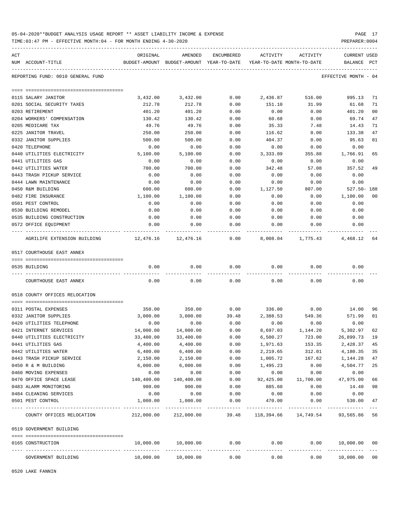| 05-04-2020**BUDGET ANALYSIS USAGE REPORT ** ASSET LIABILITY INCOME & EXPENSE | PAGE 17        |
|------------------------------------------------------------------------------|----------------|
| TIME:03:47 PM - EFFECTIVE MONTH:04 - FOR MONTH ENDING 4-30-2020              | PREPARER: 0004 |

| ACT |                                                 | ORIGINAL   | AMENDED                                                             | ENCUMBERED            | ACTIVITY              | ACTIVITY                                | <b>CURRENT USED</b>       |                |
|-----|-------------------------------------------------|------------|---------------------------------------------------------------------|-----------------------|-----------------------|-----------------------------------------|---------------------------|----------------|
|     | NUM ACCOUNT-TITLE                               |            | BUDGET-AMOUNT BUDGET-AMOUNT YEAR-TO-DATE YEAR-TO-DATE MONTH-TO-DATE |                       |                       |                                         | BALANCE PCT               |                |
|     |                                                 |            |                                                                     |                       |                       |                                         |                           |                |
|     | REPORTING FUND: 0010 GENERAL FUND               |            |                                                                     |                       |                       |                                         | EFFECTIVE MONTH - 04      |                |
|     |                                                 |            |                                                                     |                       |                       |                                         |                           |                |
|     | 0115 SALARY JANITOR                             | 3,432.00   | 3,432.00                                                            | 0.00                  | 2,436.87              | 516.00                                  | 995.13                    | 71             |
|     | 0201 SOCIAL SECURITY TAXES                      | 212.78     | 212.78                                                              | 0.00                  | 151.10                | 31.99                                   | 61.68                     | 71             |
|     | 0203 RETIREMENT                                 | 401.20     | 401.20                                                              | 0.00                  | 0.00                  | 0.00                                    | 401.20                    | 0 <sub>0</sub> |
|     | 0204 WORKERS' COMPENSATION                      | 130.42     | 130.42                                                              | 0.00                  | 60.68                 | 0.00                                    | 69.74                     | 47             |
|     | 0205 MEDICARE TAX                               | 49.76      | 49.76                                                               | 0.00                  | 35.33                 | 7.48                                    | 14.43                     | 71             |
|     | 0225 JANITOR TRAVEL                             | 250.00     | 250.00                                                              | 0.00                  | 116.62                | 0.00                                    | 133.38                    | 47             |
|     | 0332 JANITOR SUPPLIES                           | 500.00     | 500.00                                                              | 0.00                  | 404.37                | 0.00                                    | 95.63                     | 81             |
|     | 0420 TELEPHONE                                  | 0.00       | 0.00                                                                | 0.00                  | 0.00                  | 0.00                                    | 0.00                      |                |
|     | 0440 UTILITIES ELECTRICITY                      | 5,100.00   | 5,100.00                                                            | 0.00                  | 3,333.09              | 355.88                                  | 1,766.91                  | 65             |
|     | 0441 UTILITIES GAS                              | 0.00       | 0.00                                                                | 0.00                  | 0.00                  | 0.00                                    | 0.00                      |                |
|     | 0442 UTILITIES WATER                            | 700.00     | 700.00                                                              | 0.00                  | 342.48                | 57.08                                   | 357.52                    | 49             |
|     | 0443 TRASH PICKUP SERVICE                       | 0.00       | 0.00                                                                | 0.00                  | 0.00                  | 0.00                                    | 0.00                      |                |
|     | 0444 LAWN MAINTENANCE                           | 0.00       | 0.00                                                                | 0.00                  | 0.00                  | 0.00                                    | 0.00                      |                |
|     | 0450 R&M BUILDING                               | 600.00     | 600.00                                                              | 0.00                  | 1,127.50              | 807.00                                  | $527.50 - 188$            |                |
|     | 0482 FIRE INSURANCE                             | 1,100.00   | 1,100.00                                                            | 0.00                  | 0.00                  | 0.00                                    | 1,100.00                  | 00             |
|     | 0501 PEST CONTROL                               | 0.00       | 0.00                                                                | 0.00                  | 0.00                  | 0.00                                    | 0.00                      |                |
|     | 0530 BUILDING REMODEL                           | 0.00       | 0.00                                                                | 0.00                  | 0.00                  | 0.00                                    | 0.00                      |                |
|     | 0535 BUILDING CONSTRUCTION                      | 0.00       | 0.00                                                                | 0.00                  | 0.00                  | 0.00                                    | 0.00                      |                |
|     | 0572 OFFICE EQUIPMENT                           | 0.00       | 0.00                                                                | 0.00                  | 0.00                  | 0.00                                    | 0.00                      |                |
|     | AGRILIFE EXTENSION BUILDING 12,476.16 12,476.16 |            |                                                                     |                       |                       | $0.00$ $8,008.04$ $1,775.43$ $4,468.12$ |                           | 64             |
|     | 0517 COURTHOUSE EAST ANNEX                      |            |                                                                     |                       |                       |                                         |                           |                |
|     | 0535 BUILDING                                   | 0.00       | 0.00                                                                | 0.00                  | 0.00                  | 0.00                                    | 0.00                      |                |
|     | COURTHOUSE EAST ANNEX                           | 0.00       | 0.00                                                                | 0.00                  | 0.00                  | 0.00                                    | 0.00                      |                |
|     | 0518 COUNTY OFFICES RELOCATION                  |            |                                                                     |                       |                       |                                         |                           |                |
|     |                                                 |            |                                                                     |                       |                       |                                         |                           |                |
|     | 0311 POSTAL EXPENSES                            | 350.00     | 350.00                                                              | 0.00                  | 336.00                | 0.00                                    | 14.00                     | 96             |
|     | 0332 JANITOR SUPPLIES                           | 3,000.00   | 3,000.00                                                            | 39.48                 | 2,388.53              | 549.36                                  | 571.99                    | 81             |
|     | 0420 UTILITIES TELEPHONE                        | 0.00       | 0.00                                                                | 0.00                  | 0.00                  | 0.00                                    | 0.00                      |                |
|     | 0421 INTERNET SERVICES                          | 14,000.00  | 14,000.00                                                           | 0.00                  | 8,697.03              | 1,144.20                                | 5,302.97                  | 62             |
|     | 0440 UTILITIES ELECTRICITY                      | 33,400.00  | 33,400.00                                                           | 0.00                  | 6,500.27              | 723.00                                  | 26,899.73                 | 19             |
|     | 0441 UTILITIES GAS                              | 4,400.00   | 4,400.00                                                            | 0.00                  | 1,971.63              | 153.35                                  | 2,428.37                  | 45             |
|     | 0442 UTILITIES WATER                            | 6,400.00   | 6,400.00                                                            | 0.00                  | 2,219.65              | 312.01                                  | 4,180.35                  | 35             |
|     | 0443 TRASH PICKUP SERVICE                       | 2,150.00   | 2,150.00                                                            | 0.00                  | 1,005.72              | 167.62                                  | 1,144.28                  | 47             |
|     | 0450 R & M BUILDING                             | 6,000.00   | 6,000.00                                                            | 0.00                  | 1,495.23              | 0.00                                    | 4,504.77                  | 25             |
|     | 0460 MOVING EXPENSES                            | 0.00       | 0.00                                                                | 0.00                  | 0.00                  | 0.00                                    | 0.00                      |                |
|     | 0470 OFFICE SPACE LEASE                         | 140,400.00 | 140,400.00                                                          | 0.00                  | 92,425.00             | 11,700.00                               | 47,975.00                 | 66             |
|     | 0483 ALARM MONITORING                           | 900.00     | 900.00                                                              | 0.00                  | 885.60                | 0.00                                    | 14.40                     | 98             |
|     | 0484 CLEANING SERVICES                          | 0.00       | 0.00                                                                | 0.00                  | 0.00                  | 0.00                                    | 0.00                      |                |
|     | 0501 PEST CONTROL                               | 1,000.00   | 1,000.00                                                            | 0.00<br>$- - - - - -$ | 470.00                | 0.00                                    | 530.00                    | 47             |
|     | COUNTY OFFICES RELOCATION                       | 212,000.00 | 212,000.00                                                          |                       | 39.48 118,394.66      | 14,749.54                               | 93,565.86                 | 56             |
|     | 0519 GOVERNMENT BUILDING                        |            |                                                                     |                       |                       |                                         |                           |                |
|     | 0165 CONSTRUCTION                               | 10,000.00  | 10,000.00                                                           | 0.00                  | 0.00                  | 0.00                                    | 10,000.00                 | 00             |
|     | GOVERNMENT BUILDING                             | 10,000.00  | 10,000.00                                                           | 0.00                  | -------------<br>0.00 | ------------<br>0.00                    | ------------<br>10,000.00 | 0 <sub>0</sub> |

0520 LAKE FANNIN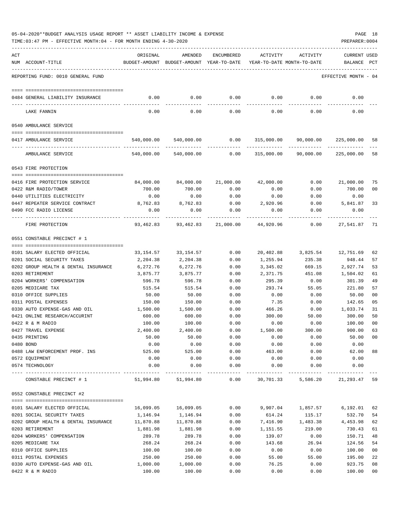| 05-04-2020**BUDGET ANALYSIS USAGE REPORT ** ASSET LIABILITY INCOME & EXPENSE |  |  |  | PAGE |  |
|------------------------------------------------------------------------------|--|--|--|------|--|
|                                                                              |  |  |  |      |  |

TIME:03:47 PM - EFFECTIVE MONTH:04 - FOR MONTH ENDING 4-30-2020 PREPARER:0004

| ACT | NUM ACCOUNT-TITLE                    | ORIGINAL     | AMENDED<br>BUDGET-AMOUNT BUDGET-AMOUNT YEAR-TO-DATE                    | ENCUMBERED   | ACTIVITY<br>YEAR-TO-DATE MONTH-TO-DATE | ACTIVITY                               | <b>CURRENT USED</b><br>BALANCE | PCT |
|-----|--------------------------------------|--------------|------------------------------------------------------------------------|--------------|----------------------------------------|----------------------------------------|--------------------------------|-----|
|     |                                      |              |                                                                        |              |                                        |                                        |                                |     |
|     | REPORTING FUND: 0010 GENERAL FUND    |              |                                                                        |              |                                        |                                        | EFFECTIVE MONTH - 04           |     |
|     | 0484 GENERAL LIABILITY INSURANCE     | 0.00         | 0.00                                                                   | 0.00         | 0.00                                   | 0.00                                   | 0.00                           |     |
|     |                                      |              |                                                                        |              |                                        |                                        |                                |     |
|     | LAKE FANNIN                          | 0.00         | 0.00                                                                   | 0.00         | 0.00                                   | 0.00                                   | 0.00                           |     |
|     | 0540 AMBULANCE SERVICE               |              |                                                                        |              |                                        |                                        |                                |     |
|     | 0417 AMBULANCE SERVICE               |              | $540,000.00$ $540,000.00$ $0.00$ $315,000.00$ $90,000.00$ $225,000.00$ |              |                                        |                                        |                                | 58  |
|     | AMBULANCE SERVICE                    |              | 540,000.00 540,000.00                                                  |              |                                        | $0.00$ 315,000.00 90,000.00            | 225,000.00                     | 58  |
|     | 0543 FIRE PROTECTION                 |              |                                                                        |              |                                        |                                        |                                |     |
|     | 0416 FIRE PROTECTION SERVICE         | 84,000.00    | 84,000.00                                                              | 21,000.00    | 42,000.00                              | 0.00                                   | 21,000.00                      | 75  |
|     | 0422 R&M RADIO/TOWER                 | 700.00       | 700.00                                                                 | 0.00         | 0.00                                   | 0.00                                   | 700.00                         | 00  |
|     | 0440 UTILITIES ELECTRICITY           | 0.00         | 0.00                                                                   | 0.00         | 0.00                                   | 0.00                                   | 0.00                           |     |
|     | 0447 REPEATER SERVICE CONTRACT       | 8,762.83     | 8,762.83                                                               | 0.00         | 2,920.96                               | 0.00                                   | 5,841.87                       | 33  |
|     | 0490 FCC RADIO LICENSE               | 0.00         | 0.00                                                                   | 0.00         | 0.00                                   | 0.00                                   | 0.00<br>---------              |     |
|     | FIRE PROTECTION                      |              | 93,462.83 93,462.83                                                    | 21,000.00    | 44,920.96                              | 0.00                                   | 27,541.87                      | 71  |
|     | 0551 CONSTABLE PRECINCT # 1          |              |                                                                        |              |                                        |                                        |                                |     |
|     | 0101 SALARY ELECTED OFFICIAL         | 33,154.57    | 33,154.57                                                              | 0.00         |                                        | 20,402.88 3,825.54 12,751.69           |                                | 62  |
|     | 0201 SOCIAL SECURITY TAXES           | 2,204.38     | 2,204.38                                                               | 0.00         | 1,255.94                               | 235.38                                 | 948.44                         | 57  |
|     | 0202 GROUP HEALTH & DENTAL INSURANCE | 6,272.76     | 6,272.76                                                               | 0.00         | 3,345.02                               | 669.15                                 | 2,927.74                       | 53  |
|     | 0203 RETIREMENT                      | 3,875.77     | 3,875.77                                                               | 0.00         | 2,371.75                               | 451.08                                 | 1,504.02                       | 61  |
|     | 0204 WORKERS' COMPENSATION           | 596.78       | 596.78                                                                 | 0.00         | 295.39                                 | 0.00                                   | 301.39                         | 49  |
|     | 0205 MEDICARE TAX                    | 515.54       | 515.54                                                                 | 0.00         | 293.74                                 | 55.05                                  | 221.80                         | 57  |
|     | 0310 OFFICE SUPPLIES                 | 50.00        | 50.00                                                                  | 0.00         | 0.00                                   | 0.00                                   | 50.00                          | 00  |
|     | 0311 POSTAL EXPENSES                 | 150.00       | 150.00                                                                 | 0.00         | 7.35                                   | 0.00                                   | 142.65                         | 05  |
|     | 0330 AUTO EXPENSE-GAS AND OIL        | 1,500.00     | 1,500.00                                                               | 0.00         | 466.26                                 | 0.00                                   | 1,033.74                       | 31  |
|     | 0421 ONLINE RESEARCH/ACCURINT        | 600.00       | 600.00                                                                 | 0.00         | 300.00                                 | 50.00                                  | 300.00                         | 50  |
|     | 0422 R & M RADIO                     | 100.00       | 100.00                                                                 | 0.00         | 0.00                                   | 0.00                                   | 100.00                         | 00  |
|     | 0427 TRAVEL EXPENSE                  | 2,400.00     | 2,400.00                                                               | 0.00         | 1,500.00                               | 300.00                                 | 900.00                         | 63  |
|     | 0435 PRINTING                        | 50.00        | 50.00                                                                  | 0.00         | 0.00                                   | 0.00                                   | 50.00                          | 00  |
|     | 0480 BOND                            | 0.00         | 0.00                                                                   | 0.00         | 0.00                                   | 0.00                                   | 0.00                           |     |
|     | 0488 LAW ENFORCEMENT PROF. INS       | 525.00       | 525.00                                                                 | 0.00         | 463.00                                 | 0.00                                   | 62.00                          | 88  |
|     | 0572 EQUIPMENT<br>0574 TECHNOLOGY    | 0.00<br>0.00 | 0.00<br>0.00                                                           | 0.00<br>0.00 | 0.00<br>0.00                           | 0.00<br>0.00                           | 0.00<br>0.00                   |     |
|     | CONSTABLE PRECINCT # 1               | 51,994.80    | 51,994.80                                                              | 0.00         | 30,701.33                              | -------------- ------------ ---------- | 5,586.20 21,293.47             | 59  |
|     |                                      |              |                                                                        |              |                                        |                                        |                                |     |
|     | 0552 CONSTABLE PRECINCT #2           |              |                                                                        |              |                                        |                                        |                                |     |
|     | 0101 SALARY ELECTED OFFICIAL         | 16,099.05    | 16,099.05                                                              | 0.00         | 9,907.04                               | 1,857.57                               | 6,192.01                       | 62  |
|     | 0201 SOCIAL SECURITY TAXES           | 1,146.94     | 1,146.94                                                               | 0.00         | 614.24                                 | 115.17                                 | 532.70                         | 54  |
|     | 0202 GROUP HEALTH & DENTAL INSURANCE | 11,870.88    | 11,870.88                                                              | 0.00         | 7,416.90                               | 1,483.38                               | 4,453.98                       | 62  |
|     | 0203 RETIREMENT                      | 1,881.98     | 1,881.98                                                               | 0.00         | 1,151.55                               | 219.00                                 | 730.43                         | 61  |
|     | 0204 WORKERS' COMPENSATION           | 289.78       | 289.78                                                                 | 0.00         | 139.07                                 | 0.00                                   | 150.71                         | 48  |
|     | 0205 MEDICARE TAX                    | 268.24       | 268.24                                                                 | 0.00         | 143.68                                 | 26.94                                  | 124.56                         | 54  |
|     | 0310 OFFICE SUPPLIES                 | 100.00       | 100.00                                                                 | 0.00         | 0.00                                   | 0.00                                   | 100.00                         | 00  |
|     | 0311 POSTAL EXPENSES                 | 250.00       | 250.00                                                                 | 0.00         | 55.00                                  | 55.00                                  | 195.00                         | 22  |
|     | 0330 AUTO EXPENSE-GAS AND OIL        | 1,000.00     | 1,000.00                                                               | 0.00         | 76.25                                  | 0.00                                   | 923.75                         | 08  |
|     | 0422 R & M RADIO                     | 100.00       | 100.00                                                                 | 0.00         | 0.00                                   | 0.00                                   | 100.00                         | 00  |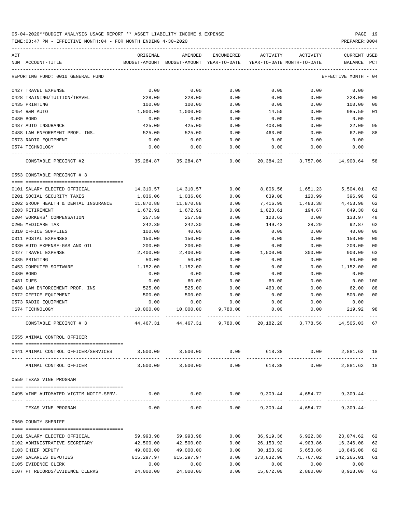| ACT | NUM ACCOUNT-TITLE                      | ORIGINAL   | AMENDED<br>BUDGET-AMOUNT BUDGET-AMOUNT YEAR-TO-DATE | ENCUMBERED | ACTIVITY<br>YEAR-TO-DATE MONTH-TO-DATE | ACTIVITY                                    | <b>CURRENT USED</b><br>BALANCE | PCT  |
|-----|----------------------------------------|------------|-----------------------------------------------------|------------|----------------------------------------|---------------------------------------------|--------------------------------|------|
|     |                                        |            |                                                     |            |                                        |                                             |                                |      |
|     | REPORTING FUND: 0010 GENERAL FUND      |            |                                                     |            |                                        |                                             | EFFECTIVE MONTH                | - 04 |
|     | 0427 TRAVEL EXPENSE                    | 0.00       | 0.00                                                | 0.00       | 0.00                                   | 0.00                                        | 0.00                           |      |
|     | 0428 TRAINING/TUITION/TRAVEL           | 228.00     | 228.00                                              | 0.00       | 0.00                                   | 0.00                                        | 228.00                         | 00   |
|     | 0435 PRINTING                          | 100.00     | 100.00                                              | 0.00       | 0.00                                   | 0.00                                        | 100.00                         | 00   |
|     | 0454 R&M AUTO                          | 1,000.00   | 1,000.00                                            | 0.00       | 14.50                                  | 0.00                                        | 985.50                         | 01   |
|     | 0480 BOND                              | 0.00       | 0.00                                                | 0.00       | 0.00                                   | 0.00                                        | 0.00                           |      |
|     | 0487 AUTO INSURANCE                    | 425.00     | 425.00                                              | 0.00       | 403.00                                 | 0.00                                        | 22.00                          | 95   |
|     | 0488 LAW ENFOREMENT PROF. INS.         | 525.00     | 525.00                                              | 0.00       | 463.00                                 | 0.00                                        | 62.00                          | 88   |
|     | 0573 RADIO EQUIPMENT                   | 0.00       | 0.00                                                | 0.00       | 0.00                                   | 0.00                                        | 0.00                           |      |
|     | 0574 TECHNOLOGY                        | 0.00       | 0.00                                                | 0.00       | 0.00                                   | 0.00                                        | 0.00                           |      |
|     | CONSTABLE PRECINCT #2                  | 35,284.87  | 35,284.87                                           | 0.00       | 20,384.23                              | 3,757.06                                    | 14,900.64                      | -58  |
|     | 0553 CONSTABLE PRECINCT # 3            |            |                                                     |            |                                        |                                             |                                |      |
|     |                                        |            |                                                     |            |                                        |                                             |                                |      |
|     | 0101 SALARY ELECTED OFFICIAL           | 14,310.57  | 14,310.57                                           | 0.00       | 8,806.56                               | 1,651.23                                    | 5,504.01                       | 62   |
|     | 0201 SOCIAL SECURITY TAXES             | 1,036.06   | 1,036.06                                            | 0.00       | 639.08                                 | 120.99                                      | 396.98                         | 62   |
|     | 0202 GROUP HEALTH & DENTAL INSURANCE   | 11,870.88  | 11,870.88                                           | 0.00       | 7,416.90                               | 1,483.38                                    | 4,453.98                       | 62   |
|     | 0203 RETIREMENT                        | 1,672.91   | 1,672.91                                            | 0.00       | 1,023.61                               | 194.67                                      | 649.30                         | 61   |
|     | 0204 WORKERS' COMPENSATION             | 257.59     | 257.59                                              | 0.00       | 123.62                                 | 0.00                                        | 133.97                         | 48   |
|     | 0205 MEDICARE TAX                      | 242.30     | 242.30                                              | 0.00       | 149.43                                 | 28.29                                       | 92.87                          | 62   |
|     | 0310 OFFICE SUPPLIES                   | 100.00     | 40.00                                               | 0.00       | 0.00                                   | 0.00                                        | 40.00                          | 00   |
|     | 0311 POSTAL EXPENSES                   | 150.00     | 150.00                                              | 0.00       | 0.00                                   | 0.00                                        | 150.00                         | 00   |
|     | 0330 AUTO EXPENSE-GAS AND OIL          | 200.00     | 200.00                                              | 0.00       | 0.00                                   | 0.00                                        | 200.00                         | 00   |
|     | 0427 TRAVEL EXPENSE                    | 2,400.00   | 2,400.00                                            | 0.00       | 1,500.00                               | 300.00                                      | 900.00                         | 63   |
|     | 0435 PRINTING                          | 50.00      | 50.00                                               | 0.00       | 0.00                                   | 0.00                                        | 50.00                          | 00   |
|     | 0453 COMPUTER SOFTWARE                 | 1,152.00   | 1,152.00                                            | 0.00       | 0.00                                   | 0.00                                        | 1,152.00                       | 00   |
|     | 0480 BOND                              | 0.00       | 0.00                                                | 0.00       | 0.00                                   | 0.00                                        | 0.00                           |      |
|     | 0481 DUES                              | 0.00       | 60.00                                               | 0.00       | 60.00                                  | 0.00                                        | 0.00                           | 100  |
|     | 0488 LAW ENFORCEMENT PROF. INS         | 525.00     | 525.00                                              | 0.00       | 463.00                                 | 0.00                                        | 62.00                          | 88   |
|     | 0572 OFFICE EQUIPMENT                  | 500.00     | 500.00                                              | 0.00       | 0.00                                   | 0.00                                        | 500.00                         | 00   |
|     | 0573 RADIO EQUIPMENT                   | 0.00       | 0.00                                                | 0.00       | 0.00                                   | 0.00                                        | 0.00                           |      |
|     | 0574 TECHNOLOGY                        | 10,000.00  | 10,000.00                                           | 9,780.08   | 0.00                                   | 0.00                                        | 219.92                         | 98   |
|     | CONSTABLE PRECINCT # 3                 | 44,467.31  | 44,467.31                                           | 9,780.08   | 20,182.20                              | 3,778.56                                    | 14,505.03                      | 67   |
|     | 0555 ANIMAL CONTROL OFFICER            |            |                                                     |            |                                        |                                             |                                |      |
|     | 0441 ANIMAL CONTROL OFFICER/SERVICES   |            | 3,500.00 3,500.00                                   | 0.00       |                                        | 618.38 0.00<br>---------------------------- | 2,881.62 18                    |      |
|     | ANIMAL CONTROL OFFICER                 | 3,500.00   | 3,500.00                                            | 0.00       | 618.38                                 | 0.00                                        | 2,881.62 18                    |      |
|     | 0559 TEXAS VINE PROGRAM                |            |                                                     |            |                                        |                                             |                                |      |
|     | 0495 VINE AUTOMATED VICTIM NOTIF.SERV. | 0.00       | 0.00                                                |            |                                        | $0.00$ 9,309.44 4,654.72 9,309.44           |                                |      |
|     | TEXAS VINE PROGRAM                     | 0.00       | 0.00                                                | 0.00       |                                        | 9,309.44 4,654.72                           | $9,309.44-$                    |      |
|     | 0560 COUNTY SHERIFF                    |            |                                                     |            |                                        |                                             |                                |      |
|     | 0101 SALARY ELECTED OFFICIAL           | 59,993.98  | 59,993.98                                           | 0.00       |                                        | 36,919.36 6,922.38 23,074.62                |                                | 62   |
|     | 0102 ADMINISTRATIVE SECRETARY          | 42,500.00  | 42,500.00                                           | 0.00       |                                        | 26, 153.92 4, 903.86 16, 346.08             |                                | 62   |
|     | 0103 CHIEF DEPUTY                      | 49,000.00  | 49,000.00                                           | 0.00       | 30,153.92                              | 5,653.86                                    | 18,846.08                      | 62   |
|     | 0104 SALARIES DEPUTIES                 | 615,297.97 | 615,297.97                                          | 0.00       | 373,032.96                             | 71,767.02                                   | 242,265.01                     | 61   |
|     | 0105 EVIDENCE CLERK                    | 0.00       | 0.00                                                | 0.00       | 0.00                                   | 0.00                                        | 0.00                           |      |
|     | 0107 PT RECORDS/EVIDENCE CLERKS        | 24,000.00  | 24,000.00                                           | 0.00       | 15,072.00                              | 2,880.00                                    | 8,928.00                       | 63   |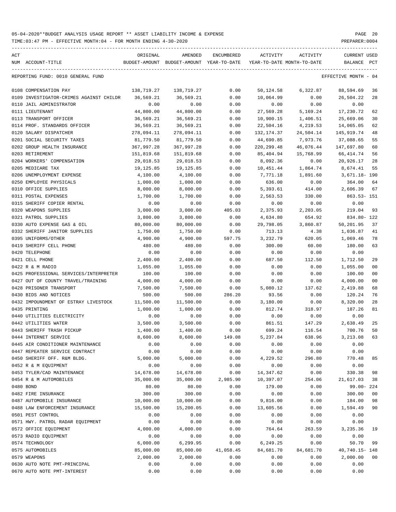TIME:03:47 PM - EFFECTIVE MONTH:04 - FOR MONTH ENDING 4-30-2020 PREPARER:0004 ----------------------------------------------------------------------------------------------------------------------------------- ACT ORIGINAL AMENDED ENCUMBERED ACTIVITY ACTIVITY CURRENT USED NUM ACCOUNT-TITLE BUDGET-AMOUNT BUDGET-AMOUNT YEAR-TO-DATE YEAR-TO-DATE MONTH-TO-DATE BALANCE PCT ----------------------------------------------------------------------------------------------------------------------------------- REPORTING FUND: 0010 GENERAL FUND EFFECTIVE MONTH - 04 0108 COMPENSATION PAY 138,719.27 138,719.27 0.00 50,124.58 6,322.87 88,594.69 36 0109 INVESTIGATOR-CRIMES AGAINST CHILDR 36,569.21 36,569.21 0.00 10,064.99 0.00 26,504.22 28

| 0110 JAIL ADMINISTRATOR                | 0.00       | 0.00       | 0.00      | 0.00        | 0.00      | 0.00           |                |
|----------------------------------------|------------|------------|-----------|-------------|-----------|----------------|----------------|
| 0111 LIEUTENANT                        | 44,800.00  | 44,800.00  | 0.00      | 27,569.28   | 5,169.24  | 17,230.72      | 62             |
| 0113 TRANSPORT OFFICER                 | 36,569.21  | 36,569.21  | 0.00      | 10,900.15   | 1,406.51  | 25,669.06      | 30             |
| 0114 PROF. STANDARDS OFFICER           | 36,569.21  | 36,569.21  | 0.00      | 22,504.16   | 4,219.53  | 14,065.05      | 62             |
| 0120 SALARY DISPATCHER                 | 278,094.11 | 278,094.11 | 0.00      | 132,174.37  | 24,504.14 | 145,919.74     | 48             |
| 0201 SOCIAL SECURITY TAXES             | 81,779.50  | 81,779.50  | 0.00      | 44,690.85   | 7,973.76  | 37,088.65      | 55             |
| 0202 GROUP HEALTH INSURANCE            | 367,997.28 | 367,997.28 | 0.00      | 220, 299.48 | 46,076.44 | 147,697.80     | 60             |
| 0203 RETIREMENT                        | 151,819.68 | 151,819.68 | 0.00      | 85,404.94   | 15,768.99 | 66, 414.74     | 56             |
| 0204 WORKERS' COMPENSATION             | 29,018.53  | 29,018.53  | 0.00      | 8,092.36    | 0.00      | 20,926.17      | 28             |
| 0205 MEDICARE TAX                      | 19,125.85  | 19,125.85  | 0.00      | 10,451.44   | 1,864.74  | 8,674.41       | 55             |
| 0206 UNEMPLOYMENT EXPENSE              | 4,100.00   | 4,100.00   | 0.00      | 7,771.18    | 1,891.60  | 3,671.18- 190  |                |
| 0250 EMPLOYEE PHYSICALS                | 1,000.00   | 1,000.00   | 0.00      | 636.00      | 0.00      | 364.00         | 64             |
| 0310 OFFICE SUPPLIES                   | 8,000.00   | 8,000.00   | 0.00      | 5,393.61    | 414.00    | 2,606.39       | 67             |
| 0311 POSTAL EXPENSES                   | 1,700.00   | 1,700.00   | 0.00      | 2,563.53    | 330.00    | $863.53 - 151$ |                |
| 0315 SHERIFF COPIER RENTAL             | 0.00       | 0.00       | 0.00      | 0.00        | 0.00      | 0.00           |                |
| 0320 WEAPONS SUPPLIES                  | 3,000.00   | 3,000.00   | 405.03    | 2,375.93    | 2,203.05  | 219.04         | 93             |
| 0321 PATROL SUPPLIES                   | 3,800.00   | 3,800.00   | 0.00      | 4,634.80    | 654.92    | 834.80- 122    |                |
| 0330 AUTO EXPENSE GAS & OIL            | 80,000.00  | 80,000.00  | 0.00      | 29,798.05   | 3,860.87  | 50,201.95      | 37             |
| 0332 SHERIFF JANITOR SUPPLIES          | 1,750.00   | 1,750.00   | 0.00      | 713.13      | 4.38      | 1,036.87       | 41             |
| 0395 UNIFORMS/OTHER                    | 4,900.00   | 4,900.00   | 597.75    | 3,232.79    | 620.05    | 1,069.46       | 78             |
| 0419 SHERIFF CELL PHONE                | 480.00     | 480.00     | 0.00      | 300.00      | 60.00     | 180.00         | 63             |
| 0420 TELEPHONE                         | 0.00       | 0.00       | 0.00      | 0.00        | 0.00      | 0.00           |                |
| 0421 CELL PHONE                        | 2,400.00   | 2,400.00   | 0.00      | 687.50      | 112.50    | 1,712.50       | 29             |
| 0422 R & M RADIO                       | 1,055.00   | 1,055.00   | 0.00      | 0.00        | 0.00      | 1,055.00       | 0 <sub>0</sub> |
| 0425 PROFESSIONAL SERVICES/INTERPRETER | 100.00     | 100.00     | 0.00      | 0.00        | 0.00      | 100.00         | 0 <sub>0</sub> |
| 0427 OUT OF COUNTY TRAVEL/TRAINING     | 4,000.00   | 4,000.00   | 0.00      | 0.00        | 0.00      | 4,000.00       | 0 <sub>0</sub> |
| 0428 PRISONER TRANSPORT                | 7,500.00   | 7,500.00   | 0.00      | 5,080.12    | 137.62    | 2,419.88       | 68             |
| 0430 BIDS AND NOTICES                  | 500.00     | 500.00     | 286.20    | 93.56       | 0.00      | 120.24         | 76             |
| 0432 IMPOUNDMENT OF ESTRAY LIVESTOCK   | 11,500.00  | 11,500.00  | 0.00      | 3,180.00    | 0.00      | 8,320.00       | 28             |
| 0435 PRINTING                          | 1,000.00   | 1,000.00   | 0.00      | 812.74      | 318.97    | 187.26         | 81             |
| 0440 UTILITIES ELECTRICITY             | 0.00       | 0.00       | 0.00      | 0.00        | 0.00      | 0.00           |                |
| 0442 UTILITIES WATER                   | 3,500.00   | 3,500.00   | 0.00      | 861.51      | 147.29    | 2,638.49       | 25             |
| 0443 SHERIFF TRASH PICKUP              | 1,400.00   | 1,400.00   | 0.00      | 699.24      | 116.54    | 700.76         | 50             |
| 0444 INTERNET SERVICE                  | 8,600.00   | 8,600.00   | 149.08    | 5,237.84    | 638.96    | 3,213.08       | 63             |
| 0445 AIR CONDITIONER MAINTENANCE       | 0.00       | 0.00       | 0.00      | 0.00        | 0.00      | 0.00           |                |
| 0447 REPEATER SERVICE CONTRACT         | 0.00       | 0.00       | 0.00      | 0.00        | 0.00      | 0.00           |                |
| 0450 SHERIFF OFF. R&M BLDG.            | 5,000.00   | 5,000.00   | 0.00      | 4,229.52    | 296.80    | 770.48         | 85             |
| 0452 R & M EQUIPMENT                   | 0.00       | 0.00       | 0.00      | 0.00        | 0.00      | 0.00           |                |
| 0453 TYLER/CAD MAINTENANCE             | 14,678.00  | 14,678.00  | 0.00      | 14,347.62   | 0.00      | 330.38         | 98             |
| 0454 R & M AUTOMOBILES                 | 35,000.00  | 35,000.00  | 2,985.90  | 10,397.07   | 254.06    | 21,617.03      | 38             |
| 0480 BOND                              | 80.00      | 80.00      | 0.00      | 179.00      | 0.00      | $99.00 - 224$  |                |
| 0482 FIRE INSURANCE                    | 300.00     | 300.00     | 0.00      | 0.00        | 0.00      | 300.00         | 0 <sub>0</sub> |
| 0487 AUTOMOBILE INSURANCE              | 10,000.00  | 10,000.00  | 0.00      | 9,816.00    | 0.00      | 184.00         | 98             |
| 0488 LAW ENFORCEMENT INSURANCE         | 15,500.00  | 15,200.05  | 0.00      | 13,605.56   | 0.00      | 1,594.49       | 90             |
| 0501 PEST CONTROL                      | 0.00       | 0.00       | 0.00      | 0.00        | 0.00      | 0.00           |                |
| 0571 HWY. PATROL RADAR EQUIPMENT       | 0.00       | 0.00       | 0.00      | 0.00        | 0.00      | 0.00           |                |
| 0572 OFFICE EQUIPMENT                  | 4,000.00   | 4,000.00   | 0.00      | 764.64      | 263.59    | 3,235.36       | 19             |
| 0573 RADIO EQUIPMENT                   | 0.00       | 0.00       | 0.00      | 0.00        | 0.00      | 0.00           |                |
| 0574 TECHNOLOGY                        | 6,000.00   | 6,299.95   | 0.00      | 6,249.25    | 0.00      | 50.70          | 99             |
| 0575 AUTOMOBILES                       | 85,000.00  | 85,000.00  | 41,058.45 | 84,681.70   | 84,681.70 | 40,740.15- 148 |                |
| 0579 WEAPONS                           | 2,000.00   | 2,000.00   | 0.00      | 0.00        | 0.00      | 2,000.00       | 0 <sub>0</sub> |
| 0630 AUTO NOTE PMT-PRINCIPAL           | 0.00       | 0.00       | 0.00      | 0.00        | 0.00      | 0.00           |                |
| 0670 AUTO NOTE PMT-INTEREST            | 0.00       | 0.00       | 0.00      | 0.00        | 0.00      | 0.00           |                |
|                                        |            |            |           |             |           |                |                |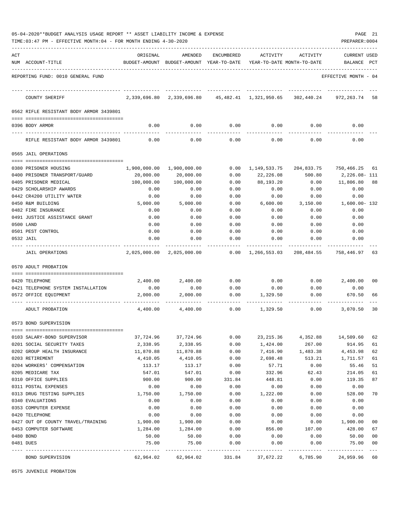|     | 05-04-2020**BUDGET ANALYSIS USAGE REPORT ** ASSET LIABILITY INCOME & EXPENSE<br>TIME:03:47 PM - EFFECTIVE MONTH:04 - FOR MONTH ENDING 4-30-2020 |                  |                                                     |              |                                        |                  | PAGE 21<br>PREPARER: 0004      |              |
|-----|-------------------------------------------------------------------------------------------------------------------------------------------------|------------------|-----------------------------------------------------|--------------|----------------------------------------|------------------|--------------------------------|--------------|
| ACT | NUM ACCOUNT-TITLE                                                                                                                               | ORIGINAL         | AMENDED<br>BUDGET-AMOUNT BUDGET-AMOUNT YEAR-TO-DATE | ENCUMBERED   | ACTIVITY<br>YEAR-TO-DATE MONTH-TO-DATE | ACTIVITY         | <b>CURRENT USED</b><br>BALANCE | $_{\rm PCT}$ |
|     | REPORTING FUND: 0010 GENERAL FUND                                                                                                               |                  |                                                     |              |                                        |                  | EFFECTIVE MONTH - 04           |              |
|     | COUNTY SHERIFF                                                                                                                                  |                  | 2,339,696.80 2,339,696.80                           |              | 45, 482.41 1, 321, 950.65              | 302,440.24       | 972,263.74                     | 58           |
|     | 0562 RIFLE RESISTANT BODY ARMOR 3439801                                                                                                         |                  |                                                     |              |                                        |                  |                                |              |
|     | 0396 BODY ARMOR                                                                                                                                 | 0.00             | 0.00                                                | 0.00         | 0.00                                   | 0.00             | 0.00                           |              |
|     | RIFLE RESISTANT BODY ARMOR 3439801                                                                                                              | 0.00             | 0.00                                                | 0.00         | 0.00                                   | 0.00             | 0.00                           |              |
|     | 0565 JAIL OPERATIONS                                                                                                                            |                  |                                                     |              |                                        |                  |                                |              |
|     |                                                                                                                                                 |                  |                                                     |              |                                        |                  |                                |              |
|     | 0380 PRISONER HOUSING                                                                                                                           |                  | 1,900,000.00 1,900,000.00                           | 0.00         | 1,149,533.75                           | 204,833.75       | 750,466.25 61                  |              |
|     | 0400 PRISONER TRANSPORT/GUARD                                                                                                                   | 20,000.00        | 20,000.00                                           | 0.00         | 22,226.08                              | 500.80           | 2,226.08- 111                  |              |
|     | 0405 PRISONER MEDICAL                                                                                                                           | 100,000.00       | 100,000.00                                          | 0.00         | 88,193.20                              | 0.00             | 11,806.80                      | 88           |
|     | 0429 SCHOLARSHIP AWARDS                                                                                                                         | 0.00             | 0.00                                                | 0.00         | 0.00                                   | 0.00             | 0.00                           |              |
|     | 0442 CR4200 UTILITY WATER                                                                                                                       | 0.00             | 0.00                                                | 0.00         | 0.00                                   | 0.00             | 0.00                           |              |
|     | 0450 R&M BUILDING<br>0482 FIRE INSURANCE                                                                                                        | 5,000.00<br>0.00 | 5,000.00<br>0.00                                    | 0.00<br>0.00 | 6,600.00<br>0.00                       | 3,150.00<br>0.00 | 1,600.00- 132<br>0.00          |              |
|     | 0491 JUSTICE ASSISTANCE GRANT                                                                                                                   | 0.00             | 0.00                                                | 0.00         | 0.00                                   | 0.00             | 0.00                           |              |
|     | 0500 LAND                                                                                                                                       | 0.00             | 0.00                                                | 0.00         | 0.00                                   | 0.00             | 0.00                           |              |
|     | 0501 PEST CONTROL                                                                                                                               | 0.00             | 0.00                                                | 0.00         | 0.00                                   | 0.00             | 0.00                           |              |
|     | 0532 JAIL                                                                                                                                       | 0.00             | 0.00                                                | 0.00         | 0.00                                   | 0.00             | 0.00                           |              |
|     | JAIL OPERATIONS                                                                                                                                 |                  | 2,025,000.00 2,025,000.00                           | 0.00         | 1,266,553.03                           | 208,484.55       | 758,446.97                     | 63           |
|     | 0570 ADULT PROBATION                                                                                                                            |                  |                                                     |              |                                        |                  |                                |              |
|     |                                                                                                                                                 |                  |                                                     |              |                                        |                  |                                |              |
|     | 0420 TELEPHONE                                                                                                                                  | 2,400.00         | 2,400.00                                            | 0.00         | 0.00                                   | 0.00             | 2,400.00                       | 00           |
|     | 0421 TELEPHONE SYSTEM INSTALLATION                                                                                                              | 0.00             | 0.00                                                | 0.00         | 0.00                                   | 0.00             | 0.00                           |              |
|     | 0572 OFFICE EQUIPMENT                                                                                                                           | 2,000.00         | 2,000.00                                            | 0.00         | 1,329.50                               | 0.00             | 670.50                         | 66           |
|     | ADULT PROBATION                                                                                                                                 | 4,400.00         | 4,400.00                                            | 0.00         | 1,329.50                               | 0.00             | 3,070.50                       | 30           |
|     | 0573 BOND SUPERVISION                                                                                                                           |                  |                                                     |              |                                        |                  |                                |              |
|     | 0103 SALARY-BOND SUPERVISOR                                                                                                                     | 37,724.96        | 37,724.96                                           | 0.00         | 23, 215.36                             | 4,352.88         | 14,509.60                      | 62           |
|     | 0201 SOCIAL SECURITY TAXES                                                                                                                      | 2,338.95         | 2,338.95                                            | 0.00         | 1,424.00                               | 267.00           | 914.95                         | 61           |
|     | 0202 GROUP HEALTH INSURANCE                                                                                                                     | 11,870.88        | 11,870.88                                           | 0.00         | 7,416.90                               | 1,483.38         | 4,453.98                       | 62           |
|     | 0203 RETIREMENT                                                                                                                                 | 4,410.05         | 4,410.05                                            | 0.00         | 2,698.48                               | 513.21           | 1,711.57                       | 61           |
|     | 0204 WORKERS' COMPENSATION                                                                                                                      | 113.17           | 113.17                                              | 0.00         | 57.71                                  | 0.00             | 55.46                          | 51           |
|     | 0205 MEDICARE TAX                                                                                                                               | 547.01           | 547.01                                              | 0.00         | 332.96                                 | 62.43            | 214.05                         | 61           |
|     | 0310 OFFICE SUPPLIES                                                                                                                            | 900.00           | 900.00                                              | 331.84       | 448.81                                 | 0.00             | 119.35                         | 87           |
|     | 0311 POSTAL EXPENSES                                                                                                                            | 0.00             | 0.00                                                | 0.00         | 0.00                                   | 0.00             | 0.00                           |              |
|     | 0313 DRUG TESTING SUPPLIES                                                                                                                      | 1,750.00         | 1,750.00                                            | 0.00         | 1,222.00                               | 0.00             | 528.00                         | 70           |
|     | 0340 EVALUATIONS                                                                                                                                | 0.00             | 0.00                                                | 0.00         | 0.00                                   | 0.00             | 0.00                           |              |
|     | 0353 COMPUTER EXPENSE                                                                                                                           | 0.00             | 0.00                                                | 0.00         | 0.00                                   | 0.00             | 0.00                           |              |
|     | 0420 TELEPHONE                                                                                                                                  | 0.00             | 0.00                                                | 0.00         | 0.00                                   | 0.00             | 0.00                           |              |
|     | 0427 OUT OF COUNTY TRAVEL/TRAINING                                                                                                              | 1,900.00         | 1,900.00                                            | 0.00         | 0.00                                   | 0.00             | 1,900.00                       | 00           |
|     | 0453 COMPUTER SOFTWARE                                                                                                                          | 1,284.00         | 1,284.00                                            | 0.00         | 856.00                                 | 107.00           | 428.00                         | 67           |
|     | 0480 BOND                                                                                                                                       | 50.00            | 50.00                                               | 0.00         | 0.00                                   | 0.00             | 50.00                          | 00           |
|     | 0481 DUES                                                                                                                                       | 75.00            | 75.00                                               | 0.00         | 0.00                                   | 0.00             | 75.00                          | 00           |
|     | BOND SUPERVISION                                                                                                                                | 62,964.02        | 62,964.02                                           | 331.84       | ---------<br>37,672.22                 | 6,785.90         | 24,959.96                      | $---$<br>60  |

0575 JUVENILE PROBATION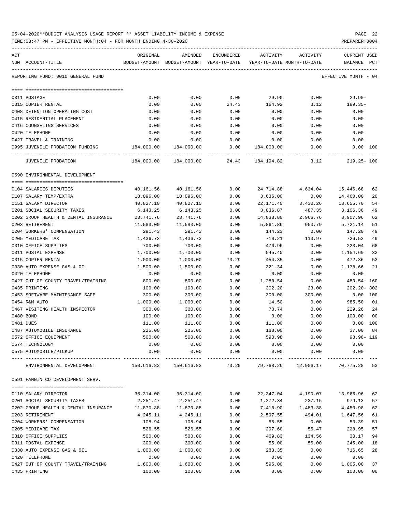| 05-04-2020**BUDGET ANALYSIS USAGE REPORT ** ASSET LIABILITY INCOME & EXPENSE | PAGE 22        |  |
|------------------------------------------------------------------------------|----------------|--|
| TIME:03:47 PM - EFFECTIVE MONTH:04 - FOR MONTH ENDING 4-30-2020              | PREPARER: 0004 |  |

| ACT |                                            | ORIGINAL                              | AMENDED                                                             | ENCUMBERED           |                     | ACTIVITY ACTIVITY    | CURRENT USED         |    |
|-----|--------------------------------------------|---------------------------------------|---------------------------------------------------------------------|----------------------|---------------------|----------------------|----------------------|----|
|     | NUM ACCOUNT-TITLE                          |                                       | BUDGET-AMOUNT BUDGET-AMOUNT YEAR-TO-DATE YEAR-TO-DATE MONTH-TO-DATE |                      |                     |                      | BALANCE PCT          |    |
|     | REPORTING FUND: 0010 GENERAL FUND          |                                       |                                                                     |                      |                     |                      | EFFECTIVE MONTH - 04 |    |
|     |                                            |                                       |                                                                     |                      |                     |                      |                      |    |
|     | 0311 POSTAGE                               | 0.00                                  | 0.00                                                                | 0.00                 | 29.90               | 0.00                 | 29.90-               |    |
|     | 0315 COPIER RENTAL                         | 0.00                                  | 0.00                                                                | 24.43                | 164.92              | 3.12                 | 189.35-              |    |
|     | 0408 DETENTION OPERATING COST              | 0.00                                  | 0.00                                                                | 0.00                 | 0.00                | 0.00                 | 0.00                 |    |
|     | 0415 RESIDENTIAL PLACEMENT                 | 0.00                                  | 0.00                                                                | 0.00                 | 0.00                | 0.00                 | 0.00                 |    |
|     | 0416 COUNSELING SERVICES                   | 0.00                                  | 0.00                                                                | 0.00                 | 0.00                | 0.00                 | 0.00                 |    |
|     | 0420 TELEPHONE                             | 0.00                                  | 0.00                                                                | 0.00                 | 0.00                | 0.00                 | 0.00                 |    |
|     | 0427 TRAVEL & TRAINING                     | 0.00                                  | 0.00                                                                | 0.00                 | 0.00                | 0.00                 | 0.00                 |    |
|     | 0995 JUVENILE PROBATION FUNDING 184,000.00 |                                       | 184,000.00                                                          | ------------         | 0.00 184,000.00     | 0.00                 | 0.00 100             |    |
|     | JUVENILE PROBATION                         |                                       | 184,000.00 184,000.00 24.43 184,194.82                              |                      |                     | 3.12                 | $219.25 - 100$       |    |
|     | 0590 ENVIRONMENTAL DEVELOPMENT             |                                       |                                                                     |                      |                     |                      |                      |    |
|     |                                            |                                       |                                                                     |                      |                     |                      |                      |    |
|     | 0104 SALARIES DEPUTIES                     | 40,161.56                             | 40,161.56                                                           | 0.00                 | 24,714.88           | 4,634.04             | 15,446.68            | 62 |
|     | 0107 SALARY TEMP/EXTRA                     | 18,096.00                             | 18,096.00                                                           | 0.00                 | 3,636.00            | 0.00                 | 14,460.00            | 20 |
|     | 0151 SALARY DIRECTOR                       | 40,827.10                             | 40,827.10                                                           | 0.00                 | 22,171.40           | 3,430.26             | 18,655.70            | 54 |
|     | 0201 SOCIAL SECURITY TAXES                 | 6,143.25                              | 6,143.25                                                            | 0.00                 | 3,036.87            | 487.35               | 3,106.38             | 49 |
|     | 0202 GROUP HEALTH & DENTAL INSURANCE       | 23,741.76                             | 23,741.76                                                           | 0.00                 | 14,833.80           | 2,966.76             | 8,907.96             | 62 |
|     | 0203 RETIREMENT                            | 11,583.00                             | 11,583.00                                                           | 0.00                 | 5,861.86            | 950.79               | 5,721.14             | 51 |
|     | 0204 WORKERS' COMPENSATION                 | 291.43                                | 291.43                                                              | 0.00                 | 144.23              | 0.00                 | 147.20               | 49 |
|     | 0205 MEDICARE TAX                          | 1,436.73                              | 1,436.73                                                            | 0.00                 | 710.21              | 113.97               | 726.52               | 49 |
|     | 0310 OFFICE SUPPLIES                       | 700.00                                | 700.00                                                              | 0.00                 | 476.96              | 0.00                 | 223.04               | 68 |
|     | 0311 POSTAL EXPENSE                        | 1,700.00                              | 1,700.00                                                            | 0.00                 | 545.40              | 0.00                 | 1,154.60             | 32 |
|     | 0315 COPIER RENTAL                         | 1,000.00                              | 1,000.00                                                            | 73.29                | 454.35              | 0.00                 | 472.36               | 53 |
|     | 0330 AUTO EXPENSE GAS & OIL                | 1,500.00                              | 1,500.00                                                            | 0.00                 | 321.34              | 0.00                 | 1,178.66             | 21 |
|     | 0420 TELEPHONE                             | 0.00                                  | 0.00                                                                | 0.00                 | 0.00                | 0.00                 | 0.00                 |    |
|     | 0427 OUT OF COUNTY TRAVEL/TRAINING         | 800.00                                | 800.00                                                              | 0.00                 | 1,280.54            | 0.00                 | 480.54- 160          |    |
|     | 0435 PRINTING                              | 100.00                                | 100.00                                                              | 0.00                 | 302.20              | 23.00                | 202.20-302           |    |
|     | 0453 SOFTWARE MAINTENANCE SAFE             | 300.00                                | 300.00                                                              | 0.00                 | 300.00              | 300.00               | $0.00$ 100           |    |
|     | 0454 R&M AUTO                              | 1,000.00                              | 1,000.00                                                            | 0.00                 | 14.50               | 0.00                 | 985.50 01            |    |
|     | 0467 VISITING HEALTH INSPECTOR             | 300.00                                | 300.00                                                              | 0.00                 | 70.74               | 0.00                 | 229.26 24            |    |
|     | 0480 BOND                                  | 100.00                                | 100.00                                                              | 0.00                 | 0.00                | 0.00                 | 100.00               | 00 |
|     | 0481 DUES                                  | 111.00                                | 111.00                                                              | 0.00                 | 111.00              | 0.00                 | $0.00$ 100           |    |
|     | 0487 AUTOMOBILE INSURANCE                  | 225.00                                | 225.00                                                              | 0.00                 | 188.00              | 0.00                 | 37.00                | 84 |
|     | 0572 OFFICE EQUIPMENT                      | 500.00                                | 500.00                                                              | 0.00                 | 593.98              | 0.00                 | 93.98-119            |    |
|     | 0574 TECHNOLOGY                            | 0.00                                  | 0.00                                                                | 0.00                 | 0.00                | 0.00                 | 0.00                 |    |
|     | 0575 AUTOMOBILE/PICKUP                     | 0.00<br>--------------- ------------- | 0.00                                                                | 0.00<br>------------ | 0.00<br>----------- | 0.00<br>------------ | 0.00                 |    |
|     | ENVIRONMENTAL DEVELOPMENT                  |                                       | 150,616.83 150,616.83                                               | 73.29                | 79,768.26           | 12,906.17            | 70,775.28            | 53 |
|     | 0591 FANNIN CO DEVELOPMENT SERV.           |                                       |                                                                     |                      |                     |                      |                      |    |
|     |                                            |                                       |                                                                     |                      |                     |                      |                      |    |
|     | 0110 SALARY DIRECTOR                       | 36,314.00                             | 36, 314.00                                                          | 0.00                 | 22,347.04           |                      | 4,190.07 13,966.96   | 62 |
|     | 0201 SOCIAL SECURITY TAXES                 | 2,251.47                              | 2,251.47                                                            | 0.00                 | 1,272.34            | 237.15               | 979.13               | 57 |
|     | 0202 GROUP HEALTH & DENTAL INSURANCE       | 11,870.88                             | 11,870.88                                                           | 0.00                 | 7,416.90            | 1,483.38             | 4,453.98             | 62 |
|     | 0203 RETIREMENT                            | 4,245.11                              | 4,245.11                                                            | 0.00                 | 2,597.55            | 494.01               | 1,647.56             | 61 |
|     | 0204 WORKERS' COMPENSATION                 | 108.94                                | 108.94                                                              | 0.00                 | 55.55               | 0.00                 | 53.39                | 51 |
|     | 0205 MEDICARE TAX                          | 526.55                                | 526.55                                                              | 0.00                 | 297.60              | 55.47                | 228.95               | 57 |
|     | 0310 OFFICE SUPPLIES                       | 500.00                                | 500.00                                                              | 0.00                 | 469.83              | 134.56               | 30.17                | 94 |
|     | 0311 POSTAL EXPENSE                        | 300.00                                | 300.00                                                              | 0.00                 | 55.00               | 55.00                | 245.00               | 18 |
|     | 0330 AUTO EXPENSE GAS & OIL                | 1,000.00                              | 1,000.00                                                            | 0.00                 | 283.35              | 0.00                 | 716.65               | 28 |
|     | 0420 TELEPHONE                             | 0.00                                  | 0.00                                                                | 0.00                 | 0.00                | 0.00                 | 0.00                 |    |
|     | 0427 OUT OF COUNTY TRAVEL/TRAINING         | 1,600.00                              | 1,600.00                                                            | 0.00                 | 595.00              | 0.00                 | 1,005.00             | 37 |

0435 PRINTING 100.00 100.00 0.00 0.00 0.00 100.00 00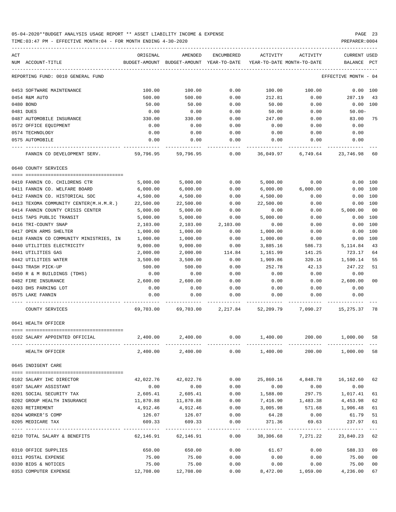| ACT                                     | ORIGINAL  | AMENDED                                  | ENCUMBERED          | ACTIVITY                   | ACTIVITY                                                     | <b>CURRENT USED</b>  |         |
|-----------------------------------------|-----------|------------------------------------------|---------------------|----------------------------|--------------------------------------------------------------|----------------------|---------|
| NUM ACCOUNT-TITLE                       |           | BUDGET-AMOUNT BUDGET-AMOUNT YEAR-TO-DATE |                     | YEAR-TO-DATE MONTH-TO-DATE |                                                              | BALANCE              | PCT     |
| REPORTING FUND: 0010 GENERAL FUND       |           |                                          |                     |                            |                                                              | EFFECTIVE MONTH - 04 |         |
| 0453 SOFTWARE MAINTENANCE               | 100.00    | 100.00                                   | 0.00                | 100.00                     | 100.00                                                       | 0.00 100             |         |
| 0454 R&M AUTO                           | 500.00    | 500.00                                   | 0.00                | 212.81                     | 0.00                                                         | 287.19               | 43      |
| 0480 BOND                               | 50.00     | 50.00                                    | 0.00                | 50.00                      | 0.00                                                         | 0.00 100             |         |
| 0481 DUES                               | 0.00      | 0.00                                     | 0.00                | 50.00                      | 0.00                                                         | $50.00 -$            |         |
| 0487 AUTOMOBILE INSURANCE               | 330.00    | 330.00                                   | 0.00                | 247.00                     | 0.00                                                         | 83.00                | 75      |
| 0572 OFFICE EQUIPMENT                   | 0.00      | 0.00                                     | 0.00                | 0.00                       | 0.00                                                         | 0.00                 |         |
| 0574 TECHNOLOGY                         | 0.00      | 0.00                                     | 0.00                | 0.00                       | 0.00                                                         | 0.00                 |         |
| 0575 AUTOMOBILE                         | 0.00      | 0.00                                     | 0.00                | 0.00                       | 0.00                                                         | 0.00                 |         |
| FANNIN CO DEVELOPMENT SERV.             | 59,796.95 | 59,796.95                                | 0.00                |                            | 36,049.97 6,749.64 23,746.98                                 |                      | -60     |
| 0640 COUNTY SERVICES                    |           |                                          |                     |                            |                                                              |                      |         |
| 0410 FANNIN CO. CHILDRENS CTR           | 5,000.00  | 5,000.00                                 | 0.00                | 5,000.00                   | 0.00                                                         | 0.00 100             |         |
| 0411 FANNIN CO. WELFARE BOARD           | 6,000.00  | 6,000.00                                 | 0.00                | 6,000.00                   | 6,000.00                                                     | 0.00 100             |         |
| 0412 FANNIN CO. HISTORICAL SOC          | 4,500.00  | 4,500.00                                 | 0.00                | 4,500.00                   | 0.00                                                         | 0.00 100             |         |
| 0413 TEXOMA COMMUNITY CENTER(M.H.M.R.)  | 22,500.00 | 22,500.00                                | 0.00                | 22,500.00                  | 0.00                                                         | 0.00 100             |         |
| 0414 FANNIN COUNTY CRISIS CENTER        | 5,000.00  | 5,000.00                                 | 0.00                | 0.00                       | 0.00                                                         | 5,000.00             | 00      |
| 0415 TAPS PUBLIC TRANSIT                | 5,000.00  | 5,000.00                                 | 0.00                | 5,000.00                   | 0.00                                                         | 0.00                 | 100     |
| 0416 TRI-COUNTY SNAP                    | 2,103.00  | 2,103.00                                 | 2,103.00            | 0.00                       | 0.00                                                         | 0.00                 | 100     |
| 0417 OPEN ARMS SHELTER                  | 1,000.00  | 1,000.00                                 | 0.00                | 1,000.00                   | 0.00                                                         | 0.00                 | 100     |
| 0418 FANNIN CO COMMUNITY MINISTRIES, IN | 1,000.00  | 1,000.00                                 | 0.00                | 1,000.00                   | 0.00                                                         | 0.00                 | 100     |
| 0440 UTILITIES ELECTRICITY              | 9,000.00  | 9,000.00                                 | 0.00                | 3,885.16                   | 586.73                                                       | 5,114.84             | 43      |
| 0441 UTILITIES GAS                      | 2,000.00  | 2,000.00                                 | 114.84              | 1,161.99                   | 141.25                                                       | 723.17               | 64      |
| 0442 UTILITIES WATER                    | 3,500.00  | 3,500.00                                 | 0.00                | 1,909.86                   | 320.16                                                       | 1,590.14             | 55      |
| 0443 TRASH PICK-UP                      | 500.00    | 500.00                                   | 0.00                | 252.78                     | 42.13                                                        | 247.22               | 51      |
| 0450 R & M BUILDINGS (TDHS)             | 0.00      | 0.00                                     | 0.00                | 0.00                       | 0.00                                                         | 0.00                 |         |
| 0482 FIRE INSURANCE                     | 2,600.00  | 2,600.00                                 | 0.00                | 0.00                       | 0.00                                                         | 2,600.00             | 00      |
| 0493 DHS PARKING LOT                    | 0.00      | 0.00                                     | 0.00                | 0.00                       | 0.00                                                         | 0.00                 |         |
| 0575 LAKE FANNIN                        | 0.00      | 0.00                                     | 0.00                | 0.00                       | 0.00                                                         | 0.00                 |         |
| COUNTY SERVICES                         |           |                                          |                     |                            | 69,703.00 69,703.00 2,217.84 52,209.79 7,090.27 15,275.37 78 |                      |         |
| 0641 HEALTH OFFICER                     |           |                                          |                     |                            |                                                              |                      |         |
| 0102 SALARY APPOINTED OFFICIAL          | 2,400.00  | 2,400.00                                 | 0.00                | 1,400.00                   | 200.00                                                       | 1,000.00 58          |         |
| HEALTH OFFICER                          |           | 2,400.00 2,400.00                        |                     | $0.00$ 1,400.00            |                                                              | 200.00 1,000.00 58   |         |
| 0645 INDIGENT CARE                      |           |                                          |                     |                            |                                                              |                      |         |
| 0102 SALARY IHC DIRECTOR                | 42,022.76 | 42,022.76                                | 0.00                | 25,860.16                  | 4,848.78                                                     | 16,162.60            | 62      |
| 0107 SALARY ASSISTANT                   | 0.00      | 0.00                                     | 0.00                | 0.00                       | 0.00                                                         | 0.00                 |         |
| 0201 SOCIAL SECURITY TAX                | 2,605.41  | 2,605.41                                 | 0.00                | 1,588.00                   | 297.75                                                       | 1,017.41             | 61      |
| 0202 GROUP HEALTH INSURANCE             | 11,870.88 | 11,870.88                                | 0.00                | 7,416.90                   | 1,483.38                                                     | 4,453.98             | 62      |
| 0203 RETIREMENT                         | 4,912.46  | 4,912.46                                 | 0.00                | 3,005.98                   | 571.68                                                       | 1,906.48             | 61      |
| 0204 WORKER'S COMP                      | 126.07    | 126.07                                   | 0.00                | 64.28                      | 0.00                                                         | 61.79                | 51      |
| 0205 MEDICARE TAX                       | 609.33    | 609.33                                   | 0.00                | 371.36                     | 69.63                                                        | 237.97               | 61      |
| 0210 TOTAL SALARY & BENEFITS            | 62,146.91 | . <u>.</u><br>62,146.91                  | -----------<br>0.00 | 38,306.68                  | ----------<br>7,271.22                                       | 23,840.23 62         | $- - -$ |
| 0310 OFFICE SUPPLIES                    | 650.00    | 650.00                                   | 0.00                | 61.67                      | 0.00                                                         | 588.33 09            |         |
| 0311 POSTAL EXPENSE                     | 75.00     | 75.00                                    | 0.00                | 0.00                       | 0.00                                                         | 75.00                | 00      |
| 0330 BIDS & NOTICES                     | 75.00     | 75.00                                    | 0.00                | 0.00                       | 0.00                                                         | 75.00                | 00      |
| 0353 COMPUTER EXPENSE                   | 12,708.00 | 12,708.00                                | 0.00                |                            | 8,472.00 1,059.00                                            | 4,236.00             | 67      |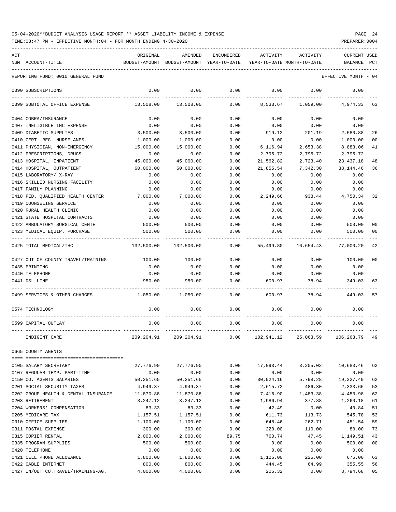| ACT<br>NUM ACCOUNT-TITLE             | ORIGINAL<br>BUDGET-AMOUNT | AMENDED<br>BUDGET-AMOUNT YEAR-TO-DATE | ENCUMBERED | ACTIVITY  | ACTIVITY<br>YEAR-TO-DATE MONTH-TO-DATE | <b>CURRENT USED</b><br><b>BALANCE</b> | $_{\rm PCT}$   |
|--------------------------------------|---------------------------|---------------------------------------|------------|-----------|----------------------------------------|---------------------------------------|----------------|
| REPORTING FUND: 0010 GENERAL FUND    |                           |                                       |            |           |                                        | EFFECTIVE MONTH - 04                  |                |
| 0390 SUBSCRIPTIONS                   | 0.00                      | 0.00                                  | 0.00       | 0.00      | 0.00                                   | 0.00                                  |                |
| 0399 SUBTOTAL OFFICE EXPENSE         | 13,508.00                 | 13,508.00                             | 0.00       | 8,533.67  | 1,059.00                               | 4,974.33                              | 63             |
| 0404 COBRA/INSURANCE                 | 0.00                      | 0.00                                  | 0.00       | 0.00      | 0.00                                   | 0.00                                  |                |
| 0407 INELIGIBLE IHC EXPENSE          | 0.00                      | 0.00                                  | 0.00       | 0.00      | 0.00                                   | 0.00                                  |                |
| 0409 DIABETIC SUPPLIES               | 3,500.00                  | 3,500.00                              | 0.00       | 919.12    | 201.19                                 | 2,580.88                              | 26             |
| 0410 CERT. REG. NURSE ANES.          | 1,000.00                  | 1,000.00                              | 0.00       | 0.00      | 0.00                                   | 1,000.00                              | 0 <sub>0</sub> |
| 0411 PHYSICIAN, NON-EMERGENCY        | 15,000.00                 | 15,000.00                             | 0.00       | 6,116.94  | 2,653.38                               | 8,883.06                              | 41             |
| 0412 PRESCRIPTIONS, DRUGS            | 0.00                      | 0.00                                  | 0.00       | 2,795.72  | 2,795.72                               | $2,795.72-$                           |                |
| 0413 HOSPITAL, INPATIENT             | 45,000.00                 | 45,000.00                             | 0.00       | 21,562.82 | 2,723.40                               | 23, 437. 18                           | 48             |
| 0414 HOSPITAL, OUTPATIENT            | 60,000.00                 | 60,000.00                             | 0.00       | 21,855.54 | 7,342.30                               | 38,144.46                             | 36             |
| 0415 LABORATORY/ X-RAY               | 0.00                      | 0.00                                  | 0.00       | 0.00      | 0.00                                   | 0.00                                  |                |
| 0416 SKILLED NURSING FACILITY        | 0.00                      | 0.00                                  | 0.00       | 0.00      | 0.00                                   | 0.00                                  |                |
| 0417 FAMILY PLANNING                 | 0.00                      | 0.00                                  | 0.00       | 0.00      | 0.00                                   | 0.00                                  |                |
| 0418 FED. OUALIFIED HEALTH CENTER    | 7,000.00                  | 7,000.00                              | 0.00       | 2,249.66  | 938.44                                 | 4,750.34                              | 32             |
| 0419 COUNSELING SERVICE              | 0.00                      | 0.00                                  | 0.00       | 0.00      | 0.00                                   | 0.00                                  |                |
| 0420 RURAL HEALTH CLINIC             | 0.00                      | 0.00                                  | 0.00       | 0.00      | 0.00                                   | 0.00                                  |                |
| 0421 STATE HOSPITAL CONTRACTS        | 0.00                      | 0.00                                  | 0.00       | 0.00      | 0.00                                   | 0.00                                  |                |
| 0422 AMBULATORY SURGICAL CENTE       | 500.00                    | 500.00                                | 0.00       | 0.00      | 0.00                                   | 500.00                                | 00             |
| 0423 MEDICAL EQUIP. PURCHASE         | 500.00                    | 500.00                                | 0.00       | 0.00      | 0.00                                   | 500.00                                | 00             |
| 0425 TOTAL MEDICAL/IHC               | 132,500.00                | 132,500.00                            | 0.00       | 55,499.80 | 16,654.43                              | 77,000.20                             | 42             |
| 0427 OUT OF COUNTY TRAVEL/TRAINING   | 100.00                    | 100.00                                | 0.00       | 0.00      | 0.00                                   | 100.00                                | 00             |
| 0435 PRINTING                        | 0.00                      | 0.00                                  | 0.00       | 0.00      | 0.00                                   | 0.00                                  |                |
| 0440 TELEPHONE                       | 0.00                      | 0.00                                  | 0.00       | 0.00      | 0.00                                   | 0.00                                  |                |
| 0441 DSL LINE                        | 950.00                    | 950.00                                | 0.00       | 600.97    | 78.94                                  | 349.03                                | 63             |
| 0499 SERVICES & OTHER CHARGES        | 1,050.00                  | 1,050.00                              | 0.00       | 600.97    | 78.94                                  | 449.03                                | 57             |
| 0574 TECHNOLOGY                      | 0.00                      | 0.00                                  | 0.00       | 0.00      | 0.00                                   | 0.00                                  |                |
| 0599 CAPITAL OUTLAY                  | 0.00                      | 0.00                                  | 0.00       | 0.00      | 0.00                                   | 0.00                                  |                |
| INDIGENT CARE                        |                           | 209,204.91 209,204.91                 | 0.00       |           | 102,941.12 25,063.59 106,263.79 49     |                                       |                |
| 0665 COUNTY AGENTS                   |                           |                                       |            |           |                                        |                                       |                |
| 0105 SALARY SECRETARY                | 27,776.90                 | 27,776.90                             | 0.00       | 17,093.44 | 3,205.02                               | 10,683.46                             | 62             |
| 0107 REGULAR-TEMP. PART-TIME         | 0.00                      | 0.00                                  | 0.00       | 0.00      | 0.00                                   | 0.00                                  |                |
| 0150 CO. AGENTS SALARIES             | 50,251.65                 | 50,251.65                             | 0.00       | 30,924.16 | 5,798.28                               | 19,327.49                             | 62             |
| 0201 SOCIAL SECURITY TAXES           | 4,949.37                  | 4,949.37                              | 0.00       | 2,615.72  | 486.30                                 | 2,333.65                              | 53             |
| 0202 GROUP HEALTH & DENTAL INSURANCE | 11,870.88                 | 11,870.88                             | 0.00       | 7,416.90  | 1,483.38                               | 4,453.98                              | 62             |
| 0203 RETIREMENT                      | 3,247.12                  | 3,247.12                              | 0.00       | 1,986.94  | 377.88                                 | 1,260.18                              | 61             |
| 0204 WORKERS' COMPENSATION           | 83.33                     | 83.33                                 | 0.00       | 42.49     | 0.00                                   | 40.84                                 | 51             |
| 0205 MEDICARE TAX                    | 1,157.51                  | 1,157.51                              | 0.00       | 611.73    | 113.73                                 | 545.78                                | 53             |
| 0310 OFFICE SUPPLIES                 | 1,100.00                  | 1,100.00                              | 0.00       | 648.46    | 262.71                                 | 451.54                                | 59             |
| 0311 POSTAL EXPENSE                  | 300.00                    | 300.00                                | 0.00       | 220.00    | 110.00                                 | 80.00                                 | 73             |
| 0315 COPIER RENTAL                   | 2,000.00                  | 2,000.00                              | 89.75      | 760.74    | 47.45                                  | 1,149.51                              | 43             |
| 0335 PROGRAM SUPPLIES                | 500.00                    | 500.00                                | 0.00       | 0.00      | 0.00                                   | 500.00                                | 00             |
| 0420 TELEPHONE                       | 0.00                      | 0.00                                  | 0.00       | 0.00      | 0.00                                   | 0.00                                  |                |
| 0421 CELL PHONE ALLOWANCE            | 1,800.00                  | 1,800.00                              | 0.00       | 1,125.00  | 225.00                                 | 675.00                                | 63             |
| 0422 CABLE INTERNET                  | 800.00                    | 800.00                                | 0.00       | 444.45    | 64.99                                  | 355.55                                | 56             |
|                                      |                           |                                       |            |           |                                        |                                       |                |

0427 IN/OUT CO.TRAVEL/TRAINING-AG. 4,000.00 4,000.00 0.00 205.32 0.00 3,794.68 05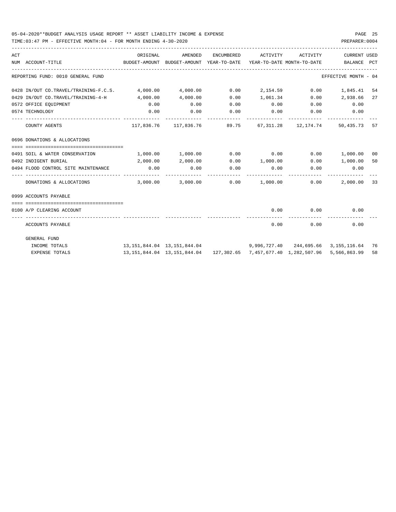| ACT | NUM ACCOUNT-TITLE                                       | ORIGINAL<br>BUDGET-AMOUNT BUDGET-AMOUNT YEAR-TO-DATE YEAR-TO-DATE MONTH-TO-DATE | AMENDED                                                                                             | ENCUMBERED | ACTIVITY ACTIVITY                        |                             | CURRENT USED<br>BALANCE PCT |    |
|-----|---------------------------------------------------------|---------------------------------------------------------------------------------|-----------------------------------------------------------------------------------------------------|------------|------------------------------------------|-----------------------------|-----------------------------|----|
|     | REPORTING FUND: 0010 GENERAL FUND                       |                                                                                 |                                                                                                     |            |                                          |                             | EFFECTIVE MONTH - 04        |    |
|     | 0428 IN/OUT CO.TRAVEL/TRAINING-F.C.S. 4,000.00 4,000.00 |                                                                                 |                                                                                                     |            | $0.00$ 2,154.59 0.00                     |                             | 1,845.41 54                 |    |
|     | 0429 IN/OUT CO.TRAVEL/TRAINING-4-H 4,000.00             |                                                                                 | 4,000.00                                                                                            | 0.00       |                                          |                             | 1,061.34 0.00 2,938.66      | 27 |
|     | 0572 OFFICE EQUIPMENT                                   | 0.00                                                                            | 0.00                                                                                                | 0.00       |                                          | $0.00$ $0.00$ $0.00$ $0.00$ |                             |    |
|     | 0574 TECHNOLOGY                                         | 0.00                                                                            | 0.00                                                                                                | 0.00       | $0.00$ 0.00                              |                             | 0.00                        |    |
|     | COUNTY AGENTS                                           |                                                                                 | 117,836.76 117,836.76 89.75 67,311.28 12,174.74 50,435.73 57                                        |            |                                          |                             |                             |    |
|     | 0696 DONATIONS & ALLOCATIONS                            |                                                                                 |                                                                                                     |            |                                          |                             |                             |    |
|     |                                                         |                                                                                 |                                                                                                     |            |                                          |                             |                             |    |
|     | 0491 SOIL & WATER CONSERVATION                          | $1,000.00$ $1,000.00$ $0.00$ $0.00$ $0.00$ $1,000.00$ $0$                       |                                                                                                     |            |                                          |                             |                             |    |
|     | 0492 INDIGENT BURIAL                                    | 2,000.00                                                                        | 2,000.00                                                                                            |            | $0.00$ $1,000.00$ $0.00$ $1,000.00$ $50$ |                             |                             |    |
|     | 0494 FLOOD CONTROL SITE MAINTENANCE                     | 0.00                                                                            | 0.00                                                                                                | 0.00       | 0.00                                     | 0.00                        | 0.00                        |    |
|     | DONATIONS & ALLOCATIONS                                 |                                                                                 | $3,000.00$ $3,000.00$ $0.00$ $1,000.00$ $0.00$                                                      |            |                                          |                             | 2,000.00 33                 |    |
|     | 0999 ACCOUNTS PAYABLE                                   |                                                                                 |                                                                                                     |            |                                          |                             |                             |    |
|     |                                                         |                                                                                 |                                                                                                     |            |                                          |                             |                             |    |
|     | 0100 A/P CLEARING ACCOUNT                               |                                                                                 |                                                                                                     |            |                                          | $0.00$ $0.00$               | 0.00                        |    |
|     | ACCOUNTS PAYABLE                                        |                                                                                 |                                                                                                     |            | 0.00                                     |                             | 0.00<br>0.00                |    |
|     | GENERAL FUND                                            |                                                                                 |                                                                                                     |            |                                          |                             |                             |    |
|     | INCOME TOTALS                                           | 13, 151, 844.04 13, 151, 844.04 9, 996, 727.40 244, 695.66 3, 155, 116.64 76    |                                                                                                     |            |                                          |                             |                             |    |
|     | <b>EXPENSE TOTALS</b>                                   |                                                                                 | 13, 151, 844. 04  13, 151, 844. 04  127, 302. 65  7, 457, 677. 40  1, 282, 507. 96  5, 566, 863. 99 |            |                                          |                             |                             | 58 |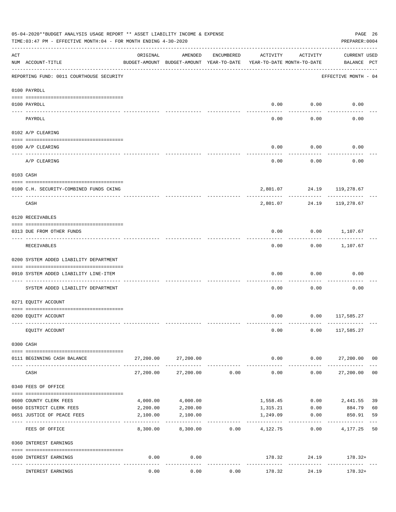|     | 05-04-2020**BUDGET ANALYSIS USAGE REPORT ** ASSET LIABILITY INCOME & EXPENSE<br>TIME: 03:47 PM - EFFECTIVE MONTH: 04 - FOR MONTH ENDING 4-30-2020 |                                         |                                                     |            |                                        |                    | PREPARER: 0004                     | PAGE 26        |
|-----|---------------------------------------------------------------------------------------------------------------------------------------------------|-----------------------------------------|-----------------------------------------------------|------------|----------------------------------------|--------------------|------------------------------------|----------------|
| ACT | NUM ACCOUNT-TITLE                                                                                                                                 | ORIGINAL                                | AMENDED<br>BUDGET-AMOUNT BUDGET-AMOUNT YEAR-TO-DATE | ENCUMBERED | ACTIVITY<br>YEAR-TO-DATE MONTH-TO-DATE | ACTIVITY           | <b>CURRENT USED</b><br>BALANCE PCT |                |
|     | REPORTING FUND: 0011 COURTHOUSE SECURITY                                                                                                          |                                         |                                                     |            |                                        |                    | EFFECTIVE MONTH - 04               |                |
|     | 0100 PAYROLL                                                                                                                                      |                                         |                                                     |            |                                        |                    |                                    |                |
|     | 0100 PAYROLL                                                                                                                                      |                                         |                                                     |            | 0.00                                   | 0.00               | 0.00                               |                |
|     | ---- ----<br>PAYROLL                                                                                                                              |                                         |                                                     |            | 0.00                                   | 0.00               | 0.00                               |                |
|     | 0102 A/P CLEARING                                                                                                                                 |                                         |                                                     |            |                                        |                    |                                    |                |
|     | 0100 A/P CLEARING                                                                                                                                 |                                         |                                                     |            | 0.00                                   | 0.00               | 0.00                               |                |
|     | A/P CLEARING                                                                                                                                      |                                         |                                                     |            | 0.00                                   | 0.00               | 0.00                               |                |
|     | 0103 CASH                                                                                                                                         |                                         |                                                     |            |                                        |                    |                                    |                |
|     | 0100 C.H. SECURITY-COMBINED FUNDS CKING                                                                                                           |                                         |                                                     |            |                                        |                    | 2,801.07 24.19 119,278.67          |                |
|     | CASH                                                                                                                                              |                                         |                                                     |            | 2,801.07                               | ---------<br>24.19 | --------<br>119,278.67             |                |
|     | 0120 RECEIVABLES                                                                                                                                  |                                         |                                                     |            |                                        |                    |                                    |                |
|     | 0313 DUE FROM OTHER FUNDS                                                                                                                         |                                         |                                                     |            | 0.00                                   |                    | $0.00$ 1,107.67                    |                |
|     | RECEIVABLES                                                                                                                                       |                                         |                                                     |            | 0.00                                   | ---------          | $0.00$ 1,107.67                    |                |
|     | 0200 SYSTEM ADDED LIABILITY DEPARTMENT                                                                                                            |                                         |                                                     |            |                                        |                    |                                    |                |
|     | 0910 SYSTEM ADDED LIABILITY LINE-ITEM                                                                                                             |                                         |                                                     |            | 0.00                                   | 0.00               | 0.00                               |                |
|     | SYSTEM ADDED LIABILITY DEPARTMENT                                                                                                                 |                                         |                                                     |            | 0.00                                   | 0.00               | 0.00                               |                |
|     | 0271 EQUITY ACCOUNT                                                                                                                               |                                         |                                                     |            |                                        |                    |                                    |                |
|     | 0200 EQUITY ACCOUNT                                                                                                                               |                                         |                                                     |            |                                        |                    | $0.00$ $0.00$ $117,585.27$         |                |
|     | EQUITY ACCOUNT                                                                                                                                    |                                         |                                                     |            | 0.00                                   |                    | $0.00$ 117,585.27                  |                |
|     | 0300 CASH                                                                                                                                         |                                         |                                                     |            |                                        |                    |                                    |                |
|     | 0111 BEGINNING CASH BALANCE                                                                                                                       | 27,200.00                               | 27,200.00                                           |            | 0.00                                   |                    | $0.00$ 27,200.00 00                |                |
|     | CASH                                                                                                                                              | 27,200.00                               | 27,200.00                                           | 0.00       | -------------<br>0.00                  | ----------         | ------------<br>0.00<br>27,200.00  | 0 <sub>0</sub> |
|     | 0340 FEES OF OFFICE                                                                                                                               |                                         |                                                     |            |                                        |                    |                                    |                |
|     | 0600 COUNTY CLERK FEES                                                                                                                            | 4,000.00                                | 4,000.00                                            |            |                                        | 1,558.45 0.00      | 2,441.55                           | 39             |
|     | 0650 DISTRICT CLERK FEES                                                                                                                          | 2,200.00                                | 2,200.00                                            |            | 1,315.21                               | 0.00               | 884.79                             | 60             |
|     | 0651 JUSTICE OF PEACE FEES                                                                                                                        | 2,100.00<br>------------ -------------- | 2,100.00                                            |            | 1,249.09<br>. <u>.</u> .               | 0.00               | 850.91                             | 59             |
|     | FEES OF OFFICE                                                                                                                                    | 8,300.00                                | 8,300.00                                            | 0.00       | 4,122.75                               | 0.00               | 4,177.25                           | 50             |
|     | 0360 INTEREST EARNINGS                                                                                                                            |                                         |                                                     |            |                                        |                    |                                    |                |
|     | 0100 INTEREST EARNINGS                                                                                                                            | 0.00                                    | 0.00<br>$- - - - -$                                 |            | -------------                          | ------------       | $178.32$ $24.19$ $178.32+$         |                |
|     | INTEREST EARNINGS                                                                                                                                 | 0.00                                    | 0.00                                                | 0.00       | 178.32                                 | 24.19              | 178.32+                            |                |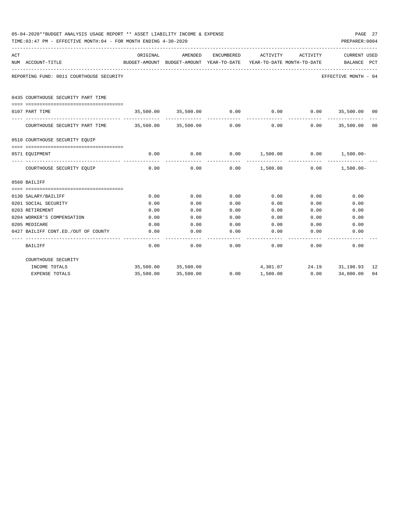|     | 05-04-2020**BUDGET ANALYSIS USAGE REPORT ** ASSET LIABILITY INCOME & EXPENSE<br>TIME:03:47 PM - EFFECTIVE MONTH:04 - FOR MONTH ENDING 4-30-2020 |          |                                                     |            |                                                               |                          |                                |     |  |  |
|-----|-------------------------------------------------------------------------------------------------------------------------------------------------|----------|-----------------------------------------------------|------------|---------------------------------------------------------------|--------------------------|--------------------------------|-----|--|--|
| ACT | NUM ACCOUNT-TITLE                                                                                                                               | ORIGINAL | AMENDED<br>BUDGET-AMOUNT BUDGET-AMOUNT YEAR-TO-DATE | ENCUMBERED | ACTIVITY<br>YEAR-TO-DATE MONTH-TO-DATE                        | ACTIVITY                 | <b>CURRENT USED</b><br>BALANCE | PCT |  |  |
|     | REPORTING FUND: 0011 COURTHOUSE SECURITY                                                                                                        |          |                                                     |            |                                                               |                          | EFFECTIVE MONTH - 04           |     |  |  |
|     | 0435 COURTHOUSE SECURITY PART TIME                                                                                                              |          |                                                     |            |                                                               |                          |                                |     |  |  |
|     | 0107 PART TIME                                                                                                                                  |          |                                                     |            | $35,500.00$ $35,500.00$ $0.00$ $0.00$ $0.00$ $35,500.00$ $00$ |                          |                                |     |  |  |
|     | COURTHOUSE SECURITY PART TIME 35,500.00 35,500.00                                                                                               |          |                                                     | 0.00       | 0.00                                                          |                          | $0.00$ 35,500.00               | 00  |  |  |
|     | 0510 COURTHOUSE SECURITY EQUIP                                                                                                                  |          |                                                     |            |                                                               |                          |                                |     |  |  |
|     | 0571 EOUIPMENT                                                                                                                                  | 0.00     | 0.00                                                | 0.00       | $1,500.00$ 0.00 $1,500.00$                                    |                          |                                |     |  |  |
|     | COURTHOUSE SECURITY EQUIP                                                                                                                       | 0.00     | 0.00                                                |            | $0.00$ 1,500.00 0.00 1,500.00-                                |                          |                                |     |  |  |
|     | 0560 BAILIFF                                                                                                                                    |          |                                                     |            |                                                               |                          |                                |     |  |  |
|     |                                                                                                                                                 |          |                                                     |            |                                                               |                          |                                |     |  |  |
|     | 0130 SALARY/BAILIFF                                                                                                                             | 0.00     | 0.00                                                | 0.00       | 0.00                                                          | 0.00                     | 0.00                           |     |  |  |
|     | 0201 SOCIAL SECURITY                                                                                                                            | 0.00     | 0.00                                                | 0.00       | 0.00                                                          | 0.00                     | 0.00                           |     |  |  |
|     | 0203 RETIREMENT                                                                                                                                 | 0.00     | 0.00                                                | 0.00       | 0.00                                                          | 0.00                     | 0.00                           |     |  |  |
|     | 0204 WORKER'S COMPENSATION                                                                                                                      | 0.00     | 0.00                                                | 0.00       | 0.00                                                          | 0.00                     | 0.00                           |     |  |  |
|     | 0205 MEDICARE                                                                                                                                   | 0.00     | 0.00                                                | 0.00       | 0.00                                                          | 0.00                     | 0.00                           |     |  |  |
|     | 0427 BAILIFF CONT.ED./OUT OF COUNTY                                                                                                             | 0.00     | 0.00                                                | 0.00       | 0.00                                                          | 0.00                     | 0.00                           |     |  |  |
|     | BAILIFF                                                                                                                                         | 0.00     | 0.00                                                | 0.00       | 0.00                                                          | 0.00                     | 0.00                           |     |  |  |
|     | COURTHOUSE SECURITY                                                                                                                             |          |                                                     |            |                                                               |                          |                                |     |  |  |
|     | INCOME TOTALS                                                                                                                                   |          | 35,500.00 35,500.00                                 |            |                                                               | 4,301.07 24.19 31,198.93 |                                | 12  |  |  |
|     | <b>EXPENSE TOTALS</b>                                                                                                                           |          | 35,500.00 35,500.00                                 | 0.00       | 1,500.00                                                      | 0.00                     | 34,000.00                      | 04  |  |  |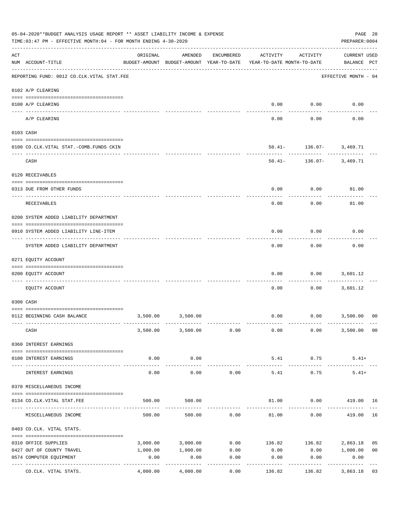|     | 05-04-2020**BUDGET ANALYSIS USAGE REPORT ** ASSET LIABILITY INCOME & EXPENSE<br>TIME: 03:47 PM - EFFECTIVE MONTH: 04 - FOR MONTH ENDING 4-30-2020 |          |                                                     |                   |                                                   |                                           | PAGE 28<br>PREPARER: 0004          |                |
|-----|---------------------------------------------------------------------------------------------------------------------------------------------------|----------|-----------------------------------------------------|-------------------|---------------------------------------------------|-------------------------------------------|------------------------------------|----------------|
| ACT | NUM ACCOUNT-TITLE                                                                                                                                 | ORIGINAL | AMENDED<br>BUDGET-AMOUNT BUDGET-AMOUNT YEAR-TO-DATE | ENCUMBERED        | ACTIVITY<br>YEAR-TO-DATE MONTH-TO-DATE            | ACTIVITY                                  | <b>CURRENT USED</b><br>BALANCE PCT |                |
|     | REPORTING FUND: 0012 CO.CLK.VITAL STAT.FEE                                                                                                        |          |                                                     |                   |                                                   |                                           | EFFECTIVE MONTH - 04               |                |
|     | 0102 A/P CLEARING                                                                                                                                 |          |                                                     |                   |                                                   |                                           |                                    |                |
|     | 0100 A/P CLEARING                                                                                                                                 |          |                                                     |                   | 0.00                                              | 0.00                                      | 0.00                               |                |
|     | ---- ----------<br>------------------------ -----------<br>A/P CLEARING                                                                           |          |                                                     |                   | 0.00                                              | 0.00                                      | 0.00                               |                |
|     | 0103 CASH                                                                                                                                         |          |                                                     |                   |                                                   |                                           |                                    |                |
|     | 0100 CO.CLK.VITAL STAT.-COMB.FUNDS CKIN                                                                                                           |          |                                                     |                   |                                                   | $50.41 - 136.07 - 3,469.71$               |                                    |                |
|     | CASH                                                                                                                                              |          |                                                     |                   |                                                   | ----------<br>$50.41 - 136.07 - 3,469.71$ |                                    |                |
|     | 0120 RECEIVABLES                                                                                                                                  |          |                                                     |                   |                                                   |                                           |                                    |                |
|     | 0313 DUE FROM OTHER FUNDS                                                                                                                         |          |                                                     |                   | 0.00                                              | 0.00                                      | 81.00                              |                |
|     | RECEIVABLES                                                                                                                                       |          |                                                     |                   | 0.00                                              | 0.00                                      | 81.00                              |                |
|     | 0200 SYSTEM ADDED LIABILITY DEPARTMENT                                                                                                            |          |                                                     |                   |                                                   |                                           |                                    |                |
|     | 0910 SYSTEM ADDED LIABILITY LINE-ITEM                                                                                                             |          |                                                     |                   | 0.00                                              | 0.00                                      | 0.00                               |                |
|     | SYSTEM ADDED LIABILITY DEPARTMENT                                                                                                                 |          |                                                     |                   | 0.00                                              | 0.00                                      | 0.00                               |                |
|     | 0271 EQUITY ACCOUNT                                                                                                                               |          |                                                     |                   |                                                   |                                           |                                    |                |
|     | 0200 EQUITY ACCOUNT                                                                                                                               |          |                                                     |                   | 0.00                                              | 0.00                                      | 3,601.12                           |                |
|     | EQUITY ACCOUNT                                                                                                                                    |          |                                                     |                   | 0.00                                              |                                           | $0.00$ 3,601.12                    |                |
|     | 0300 CASH                                                                                                                                         |          |                                                     |                   |                                                   |                                           |                                    |                |
|     | 0112 BEGINNING CASH BALANCE                                                                                                                       |          | 3,500.00 3,500.00                                   |                   |                                                   | $0.00$ $0.00$ $3,500.00$                  |                                    | 0 <sub>0</sub> |
|     | CASH                                                                                                                                              |          |                                                     |                   | $3,500.00$ $3,500.00$ $0.00$ $0.00$ $0.00$ $0.00$ |                                           | 3,500.00                           | 0 <sub>0</sub> |
|     | 0360 INTEREST EARNINGS                                                                                                                            |          |                                                     |                   |                                                   |                                           |                                    |                |
|     | 0100 INTEREST EARNINGS                                                                                                                            | 0.00     | 0.00                                                |                   | 5.41                                              | 0.75                                      | $5.41+$                            |                |
|     | INTEREST EARNINGS                                                                                                                                 | 0.00     | -----------<br>0.00                                 | 0.00              | -------------<br>5.41                             | ------------<br>0.75                      | $5.41+$                            |                |
|     | 0370 MISCELLANEOUS INCOME                                                                                                                         |          |                                                     |                   |                                                   |                                           |                                    |                |
|     | 0134 CO. CLK. VITAL STAT. FEE                                                                                                                     | 500.00   | 500.00                                              |                   |                                                   | 81.00   0.00   419.00   16                |                                    |                |
|     | MISCELLANEOUS INCOME                                                                                                                              | 500.00   | 500.00                                              | 0.00              | 81.00                                             | 0.00                                      | 419.00                             | 16             |
|     | 0403 CO.CLK. VITAL STATS.                                                                                                                         |          |                                                     |                   |                                                   |                                           |                                    |                |
|     | 0310 OFFICE SUPPLIES                                                                                                                              |          | 3,000.00 3,000.00                                   |                   | $0.00$ 136.82 136.82 2,863.18                     |                                           |                                    | 05             |
|     | 0427 OUT OF COUNTY TRAVEL                                                                                                                         | 1,000.00 | 1,000.00                                            | 0.00              | 0.00                                              | $0.00$ 1,000.00                           |                                    | 0 <sub>0</sub> |
|     | 0574 COMPUTER EQUIPMENT                                                                                                                           | 0.00     | 0.00<br>----------                                  | 0.00<br>--------- | 0.00<br>----------                                | 0.00<br>---------                         | 0.00<br>-----------                |                |
|     | CO.CLK. VITAL STATS.                                                                                                                              | 4,000.00 | 4,000.00                                            | 0.00              | 136.82                                            | 136.82                                    | 3,863.18 03                        |                |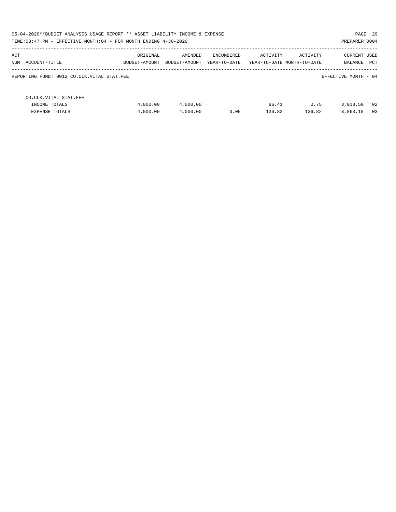| 05-04-2020**BUDGET ANALYSIS USAGE REPORT ** ASSET LIABILITY INCOME & EXPENSE<br>TIME: 03:47 PM - EFFECTIVE MONTH: 04 - FOR MONTH ENDING 4-30-2020 |                                            |               |               |              |          |                            |                      | PAGE 29<br>PREPARER: 0004 |
|---------------------------------------------------------------------------------------------------------------------------------------------------|--------------------------------------------|---------------|---------------|--------------|----------|----------------------------|----------------------|---------------------------|
|                                                                                                                                                   |                                            |               |               |              |          |                            |                      |                           |
| ACT                                                                                                                                               |                                            | ORIGINAL      | AMENDED       | ENCUMBERED   | ACTIVITY | ACTIVITY                   | <b>CURRENT USED</b>  |                           |
| NUM                                                                                                                                               | ACCOUNT-TITLE                              | BUDGET-AMOUNT | BUDGET-AMOUNT | YEAR-TO-DATE |          | YEAR-TO-DATE MONTH-TO-DATE | BALANCE              | PCT                       |
|                                                                                                                                                   | REPORTING FUND: 0012 CO.CLK.VITAL STAT.FEE |               |               |              |          |                            | EFFECTIVE MONTH - 04 |                           |
|                                                                                                                                                   | CO.CLK.VITAL STAT.FEE                      |               |               |              |          |                            |                      |                           |
|                                                                                                                                                   | INCOME TOTALS                              | 4,000.00      | 4,000.00      |              | 86.41    | 0.75                       | 3,913.59             | 02                        |
|                                                                                                                                                   | <b>EXPENSE TOTALS</b>                      | 4,000.00      | 4,000.00      | 0.00         | 136.82   | 136.82                     | 3,863.18             | 03                        |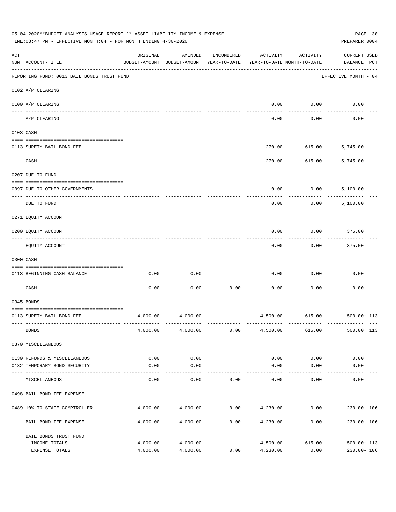| 05-04-2020**BUDGET ANALYSIS USAGE REPORT ** ASSET LIABILITY INCOME & EXPENSE<br>PAGE 30<br>TIME: 03:47 PM - EFFECTIVE MONTH: 04 - FOR MONTH ENDING 4-30-2020<br>PREPARER: 0004 |                                            |                                                      |                    |            |                                        |                     |                                    |  |
|--------------------------------------------------------------------------------------------------------------------------------------------------------------------------------|--------------------------------------------|------------------------------------------------------|--------------------|------------|----------------------------------------|---------------------|------------------------------------|--|
| $\mathop{\rm ACT}$                                                                                                                                                             | NUM ACCOUNT-TITLE                          | ORIGINAL<br>BUDGET-AMOUNT BUDGET-AMOUNT YEAR-TO-DATE | AMENDED            | ENCUMBERED | ACTIVITY<br>YEAR-TO-DATE MONTH-TO-DATE | ACTIVITY            | <b>CURRENT USED</b><br>BALANCE PCT |  |
|                                                                                                                                                                                | REPORTING FUND: 0013 BAIL BONDS TRUST FUND |                                                      |                    |            |                                        |                     | EFFECTIVE MONTH - 04               |  |
|                                                                                                                                                                                | 0102 A/P CLEARING                          |                                                      |                    |            |                                        |                     |                                    |  |
|                                                                                                                                                                                | 0100 A/P CLEARING<br>---- ---------        |                                                      |                    |            | 0.00                                   | 0.00                | 0.00                               |  |
|                                                                                                                                                                                | A/P CLEARING                               |                                                      |                    |            | 0.00                                   | 0.00                | 0.00                               |  |
|                                                                                                                                                                                | 0103 CASH                                  |                                                      |                    |            |                                        |                     |                                    |  |
|                                                                                                                                                                                |                                            |                                                      |                    |            |                                        |                     |                                    |  |
|                                                                                                                                                                                | 0113 SURETY BAIL BOND FEE                  |                                                      |                    |            | 270.00                                 |                     | 615.00 5,745.00                    |  |
|                                                                                                                                                                                | CASH                                       |                                                      |                    |            | 270.00                                 |                     | 615.00 5,745.00                    |  |
|                                                                                                                                                                                | 0207 DUE TO FUND                           |                                                      |                    |            |                                        |                     |                                    |  |
|                                                                                                                                                                                | 0097 DUE TO OTHER GOVERNMENTS              |                                                      |                    |            | 0.00                                   | 0.00                | 5,100.00                           |  |
|                                                                                                                                                                                | DUE TO FUND                                |                                                      |                    |            | 0.00                                   | 0.00                | 5,100.00                           |  |
|                                                                                                                                                                                | 0271 EQUITY ACCOUNT                        |                                                      |                    |            |                                        |                     |                                    |  |
|                                                                                                                                                                                | 0200 EQUITY ACCOUNT                        |                                                      |                    |            | 0.00                                   | 0.00                | 375.00                             |  |
|                                                                                                                                                                                | EQUITY ACCOUNT                             |                                                      |                    |            | 0.00                                   | 0.00                | 375.00                             |  |
|                                                                                                                                                                                | 0300 CASH                                  |                                                      |                    |            |                                        |                     |                                    |  |
|                                                                                                                                                                                | 0113 BEGINNING CASH BALANCE                | 0.00                                                 | 0.00               |            | 0.00                                   | 0.00                | 0.00                               |  |
|                                                                                                                                                                                | -------------------------- -<br>CASH       | 0.00                                                 | 0.00               | 0.00       | 0.00                                   | 0.00                | 0.00                               |  |
|                                                                                                                                                                                | 0345 BONDS                                 |                                                      |                    |            |                                        |                     |                                    |  |
|                                                                                                                                                                                | 0113 SURETY BAIL BOND FEE                  | 4,000.00                                             | 4,000.00           |            |                                        |                     | 4,500.00 615.00 500.00+ 113        |  |
|                                                                                                                                                                                | <b>BONDS</b>                               |                                                      | 4,000.00 4,000.00  | 0.00       | 4,500.00                               | 615.00              | $500.00 + 113$                     |  |
|                                                                                                                                                                                | 0370 MISCELLANEOUS                         |                                                      |                    |            |                                        |                     |                                    |  |
|                                                                                                                                                                                | 0130 REFUNDS & MISCELLANEOUS               | 0.00                                                 | 0.00               |            | 0.00                                   | 0.00                | 0.00                               |  |
|                                                                                                                                                                                | 0132 TEMPORARY BOND SECURITY               | 0.00                                                 | 0.00               |            | 0.00                                   | 0.00                | 0.00                               |  |
|                                                                                                                                                                                | MISCELLANEOUS                              | 0.00                                                 | ----------<br>0.00 | 0.00       | 0.00                                   | $- - - - -$<br>0.00 | 0.00                               |  |
|                                                                                                                                                                                | 0498 BAIL BOND FEE EXPENSE                 |                                                      |                    |            |                                        |                     |                                    |  |
|                                                                                                                                                                                |                                            |                                                      |                    |            |                                        |                     |                                    |  |
|                                                                                                                                                                                | 0489 10% TO STATE COMPTROLLER              | 4,000.00                                             | 4,000.00           |            | $0.00$ $4,230.00$                      | 0.00                | 230.00- 106                        |  |
|                                                                                                                                                                                | BAIL BOND FEE EXPENSE                      | 4,000.00                                             | 4,000.00           | 0.00       | 4,230.00                               | 0.00                | $230.00 - 106$                     |  |
|                                                                                                                                                                                | BAIL BONDS TRUST FUND                      |                                                      |                    |            |                                        |                     |                                    |  |
|                                                                                                                                                                                | INCOME TOTALS                              | 4,000.00                                             | 4,000.00           |            | 4,500.00                               | 615.00              | $500.00 + 113$                     |  |
|                                                                                                                                                                                | EXPENSE TOTALS                             | 4,000.00                                             | 4,000.00           | 0.00       | 4,230.00                               | 0.00                | $230.00 - 106$                     |  |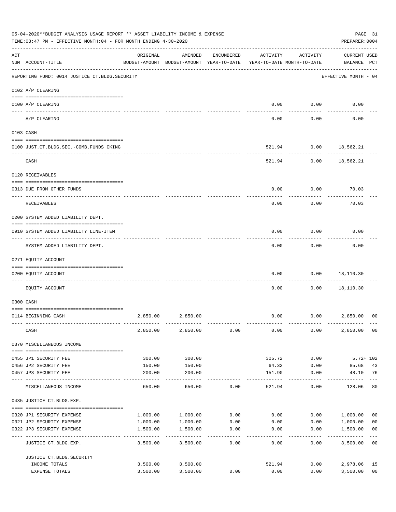|     | 05-04-2020**BUDGET ANALYSIS USAGE REPORT ** ASSET LIABILITY INCOME & EXPENSE<br>TIME:03:47 PM - EFFECTIVE MONTH:04 - FOR MONTH ENDING 4-30-2020 |          |                                                     |                    |                                        |                      |                                    | PAGE 31<br>PREPARER: 0004 |
|-----|-------------------------------------------------------------------------------------------------------------------------------------------------|----------|-----------------------------------------------------|--------------------|----------------------------------------|----------------------|------------------------------------|---------------------------|
| ACT | NUM ACCOUNT-TITLE                                                                                                                               | ORIGINAL | AMENDED<br>BUDGET-AMOUNT BUDGET-AMOUNT YEAR-TO-DATE | ENCUMBERED         | ACTIVITY<br>YEAR-TO-DATE MONTH-TO-DATE | ACTIVITY             | <b>CURRENT USED</b><br>BALANCE PCT |                           |
|     | REPORTING FUND: 0014 JUSTICE CT. BLDG. SECURITY                                                                                                 |          |                                                     |                    |                                        |                      | EFFECTIVE MONTH - 04               |                           |
|     | 0102 A/P CLEARING                                                                                                                               |          |                                                     |                    |                                        |                      |                                    |                           |
|     | 0100 A/P CLEARING                                                                                                                               |          |                                                     |                    | 0.00                                   | 0.00                 | 0.00                               |                           |
|     | ---- ---------<br>A/P CLEARING                                                                                                                  |          |                                                     |                    | 0.00                                   | 0.00                 | 0.00                               |                           |
|     | 0103 CASH                                                                                                                                       |          |                                                     |                    |                                        |                      |                                    |                           |
|     | 0100 JUST.CT.BLDG.SEC.-COMB.FUNDS CKING                                                                                                         |          |                                                     |                    | 521.94                                 |                      | $0.00$ 18,562.21                   |                           |
|     | CASH                                                                                                                                            |          |                                                     |                    |                                        | 521.94<br>0.00       | 18,562.21                          |                           |
|     | 0120 RECEIVABLES                                                                                                                                |          |                                                     |                    |                                        |                      |                                    |                           |
|     | 0313 DUE FROM OTHER FUNDS                                                                                                                       |          |                                                     |                    | 0.00                                   | 0.00                 | 70.03                              |                           |
|     | RECEIVABLES                                                                                                                                     |          |                                                     |                    | 0.00                                   | 0.00                 | 70.03                              |                           |
|     | 0200 SYSTEM ADDED LIABILITY DEPT.                                                                                                               |          |                                                     |                    |                                        |                      |                                    |                           |
|     | 0910 SYSTEM ADDED LIABILITY LINE-ITEM                                                                                                           |          |                                                     |                    | 0.00                                   | 0.00                 | 0.00                               |                           |
|     | SYSTEM ADDED LIABILITY DEPT.                                                                                                                    |          |                                                     |                    | 0.00                                   | 0.00                 | 0.00                               |                           |
|     | 0271 EQUITY ACCOUNT                                                                                                                             |          |                                                     |                    |                                        |                      |                                    |                           |
|     | 0200 EQUITY ACCOUNT                                                                                                                             |          |                                                     |                    | 0.00                                   | 0.00                 | 18,110.30                          |                           |
|     | EQUITY ACCOUNT                                                                                                                                  |          |                                                     |                    | 0.00                                   | 0.00                 | 18,110.30                          |                           |
|     | 0300 CASH                                                                                                                                       |          |                                                     |                    |                                        |                      |                                    |                           |
|     | 0114 BEGINNING CASH                                                                                                                             | 2,850.00 | 2,850.00                                            |                    | 0.00                                   |                      | 0.00<br>2,850.00                   | 0 <sup>0</sup>            |
|     | CASH                                                                                                                                            |          | 2,850.00 2,850.00                                   | 0.00               | 0.00                                   | 0.00                 | 2,850.00 00                        |                           |
|     | 0370 MISCELLANEOUS INCOME                                                                                                                       |          |                                                     |                    |                                        |                      |                                    |                           |
|     | 0455 JP1 SECURITY FEE                                                                                                                           | 300.00   | 300.00                                              |                    | 305.72                                 | 0.00                 | $5.72 + 102$                       |                           |
|     | 0456 JP2 SECURITY FEE                                                                                                                           | 150.00   | 150.00                                              |                    | 64.32                                  | 0.00                 | 85.68                              | 43                        |
|     | 0457 JP3 SECURITY FEE                                                                                                                           | 200.00   | 200.00<br>-----------                               |                    | 151.90<br>--------                     | 0.00<br>------------ | 48.10<br>------------              | 76<br>$---$               |
|     | MISCELLANEOUS INCOME                                                                                                                            | 650.00   | 650.00                                              | 0.00               | 521.94                                 | 0.00                 | 128.06                             | 80                        |
|     | 0435 JUSTICE CT.BLDG.EXP.                                                                                                                       |          |                                                     |                    |                                        |                      |                                    |                           |
|     | 0320 JP1 SECURITY EXPENSE                                                                                                                       |          | 1,000.00 1,000.00                                   |                    | $0.00$ 0.00                            |                      | 0.00 1,000.00                      | 0 <sub>0</sub>            |
|     | 0321 JP2 SECURITY EXPENSE                                                                                                                       | 1,000.00 | 1,000.00                                            | 0.00               | 0.00                                   | 0.00                 | 1,000.00                           | 0 <sub>0</sub>            |
|     | 0322 JP3 SECURITY EXPENSE                                                                                                                       | 1,500.00 | 1,500.00<br>-----------                             | 0.00<br>---------- | 0.00                                   | 0.00                 | 1,500.00                           | 0 <sub>0</sub><br>$---$   |
|     | JUSTICE CT.BLDG.EXP.                                                                                                                            | 3,500.00 | 3,500.00                                            | 0.00               | 0.00                                   | 0.00                 | 3,500.00 00                        |                           |
|     | JUSTICE CT. BLDG. SECURITY                                                                                                                      |          |                                                     |                    |                                        |                      |                                    |                           |
|     | INCOME TOTALS                                                                                                                                   |          | 3,500.00 3,500.00                                   |                    | 521.94                                 |                      | 0.00<br>2,978.06                   | 15                        |
|     | EXPENSE TOTALS                                                                                                                                  | 3,500.00 | 3,500.00                                            | 0.00               | 0.00                                   | 0.00                 | 3,500.00                           | 0 <sub>0</sub>            |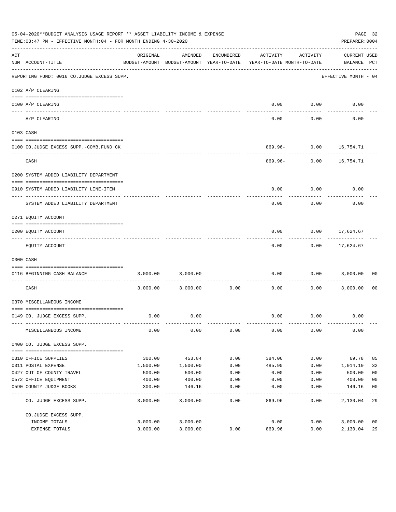| 05-04-2020**BUDGET ANALYSIS USAGE REPORT ** ASSET LIABILITY INCOME & EXPENSE<br>TIME: 03:47 PM - EFFECTIVE MONTH: 04 - FOR MONTH ENDING 4-30-2020 |                                                            |                  |                                                     |              |                                        |                 |                                    | PAGE 32<br>PREPARER: 0004        |
|---------------------------------------------------------------------------------------------------------------------------------------------------|------------------------------------------------------------|------------------|-----------------------------------------------------|--------------|----------------------------------------|-----------------|------------------------------------|----------------------------------|
| ACT                                                                                                                                               | NUM ACCOUNT-TITLE<br>------------------------------------- | ORIGINAL         | AMENDED<br>BUDGET-AMOUNT BUDGET-AMOUNT YEAR-TO-DATE | ENCUMBERED   | ACTIVITY<br>YEAR-TO-DATE MONTH-TO-DATE | ACTIVITY        | <b>CURRENT USED</b><br>BALANCE PCT |                                  |
|                                                                                                                                                   | REPORTING FUND: 0016 CO.JUDGE EXCESS SUPP.                 |                  |                                                     |              |                                        |                 | EFFECTIVE MONTH - 04               |                                  |
|                                                                                                                                                   | 0102 A/P CLEARING                                          |                  |                                                     |              |                                        |                 |                                    |                                  |
|                                                                                                                                                   |                                                            |                  |                                                     |              |                                        |                 |                                    |                                  |
|                                                                                                                                                   | 0100 A/P CLEARING<br>---- -------------                    |                  |                                                     |              | 0.00                                   | 0.00            | 0.00                               |                                  |
|                                                                                                                                                   | A/P CLEARING                                               |                  |                                                     |              | 0.00                                   | 0.00            | 0.00                               |                                  |
|                                                                                                                                                   | 0103 CASH                                                  |                  |                                                     |              |                                        |                 |                                    |                                  |
|                                                                                                                                                   |                                                            |                  |                                                     |              |                                        |                 |                                    |                                  |
|                                                                                                                                                   | 0100 CO.JUDGE EXCESS SUPP.-COMB.FUND CK                    |                  |                                                     |              |                                        |                 | 869.96- 0.00 16,754.71             |                                  |
|                                                                                                                                                   | CASH                                                       |                  |                                                     |              |                                        | $869.96 - 0.00$ | 16,754.71                          |                                  |
|                                                                                                                                                   | 0200 SYSTEM ADDED LIABILITY DEPARTMENT                     |                  |                                                     |              |                                        |                 |                                    |                                  |
|                                                                                                                                                   |                                                            |                  |                                                     |              |                                        |                 |                                    |                                  |
|                                                                                                                                                   | 0910 SYSTEM ADDED LIABILITY LINE-ITEM                      |                  |                                                     |              | 0.00                                   | 0.00            | 0.00                               |                                  |
|                                                                                                                                                   | SYSTEM ADDED LIABILITY DEPARTMENT                          |                  |                                                     |              | 0.00                                   | 0.00            | 0.00                               |                                  |
|                                                                                                                                                   | 0271 EQUITY ACCOUNT                                        |                  |                                                     |              |                                        |                 |                                    |                                  |
|                                                                                                                                                   |                                                            |                  |                                                     |              |                                        |                 |                                    |                                  |
|                                                                                                                                                   | 0200 EQUITY ACCOUNT                                        |                  |                                                     |              | 0.00                                   |                 | $0.00$ 17,624.67<br>-----------    |                                  |
|                                                                                                                                                   | EQUITY ACCOUNT                                             |                  |                                                     |              | 0.00                                   |                 | $0.00$ 17,624.67                   |                                  |
|                                                                                                                                                   | 0300 CASH                                                  |                  |                                                     |              |                                        |                 |                                    |                                  |
|                                                                                                                                                   | 0116 BEGINNING CASH BALANCE                                | 3,000.00         | 3,000.00                                            |              | 0.00                                   |                 | $0.00$ 3,000.00                    | 00                               |
|                                                                                                                                                   | ----------------------------<br>CASH                       |                  | 3,000.00 3,000.00                                   | 0.00         | 0.00                                   | 0.00            | 3,000.00                           | 0 <sub>0</sub>                   |
|                                                                                                                                                   | 0370 MISCELLANEOUS INCOME                                  |                  |                                                     |              |                                        |                 |                                    |                                  |
|                                                                                                                                                   | 0149 CO. JUDGE EXCESS SUPP.                                | 0.00             | 0.00                                                |              |                                        | $0.00$ $0.00$   | 0.00                               |                                  |
|                                                                                                                                                   |                                                            |                  |                                                     |              |                                        |                 |                                    |                                  |
|                                                                                                                                                   | MISCELLANEOUS INCOME                                       | 0.00             | 0.00                                                | 0.00         | 0.00                                   | 0.00            | 0.00                               |                                  |
|                                                                                                                                                   | 0400 CO. JUDGE EXCESS SUPP.                                |                  |                                                     |              |                                        |                 |                                    |                                  |
|                                                                                                                                                   |                                                            |                  |                                                     |              |                                        |                 |                                    |                                  |
|                                                                                                                                                   | 0310 OFFICE SUPPLIES                                       | 300.00           | 453.84                                              | 0.00         | 384.06                                 | 0.00            | 69.78                              | 85                               |
|                                                                                                                                                   | 0311 POSTAL EXPENSE                                        | 1,500.00         | 1,500.00                                            | 0.00         | 485.90                                 | 0.00            | 1,014.10                           | 32                               |
|                                                                                                                                                   | 0427 OUT OF COUNTY TRAVEL<br>0572 OFFICE EQUIPMENT         | 500.00           | 500.00                                              | 0.00         | 0.00                                   | 0.00            | 500.00<br>400.00                   | 0 <sub>0</sub><br>0 <sub>0</sub> |
|                                                                                                                                                   | 0590 COUNTY JUDGE BOOKS                                    | 400.00<br>300.00 | 400.00<br>146.16                                    | 0.00<br>0.00 | 0.00<br>0.00                           | 0.00<br>0.00    | 146.16                             | 0 <sub>0</sub>                   |
|                                                                                                                                                   |                                                            |                  |                                                     | $- - - - -$  |                                        |                 |                                    |                                  |
|                                                                                                                                                   | CO. JUDGE EXCESS SUPP.                                     | 3,000.00         | 3,000.00                                            | 0.00         | 869.96                                 | 0.00            | 2,130.04                           | 29                               |
|                                                                                                                                                   | CO.JUDGE EXCESS SUPP.                                      |                  |                                                     |              |                                        |                 |                                    |                                  |
|                                                                                                                                                   | INCOME TOTALS                                              | 3,000.00         | 3,000.00                                            |              | 0.00                                   | 0.00            | 3,000.00                           | 0 <sub>0</sub>                   |
|                                                                                                                                                   | EXPENSE TOTALS                                             | 3,000.00         | 3,000.00                                            | 0.00         | 869.96                                 | 0.00            | 2,130.04                           | 29                               |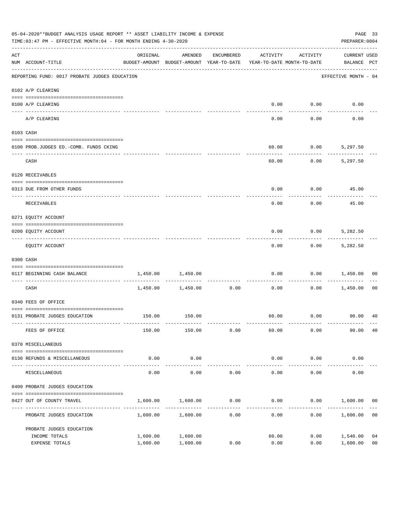| 05-04-2020**BUDGET ANALYSIS USAGE REPORT ** ASSET LIABILITY INCOME & EXPENSE<br>TIME:03:47 PM - EFFECTIVE MONTH:04 - FOR MONTH ENDING 4-30-2020 |                                               |                                                                                 |                      |                     |                        |                     |                                    | PAGE 33<br>PREPARER: 0004 |
|-------------------------------------------------------------------------------------------------------------------------------------------------|-----------------------------------------------|---------------------------------------------------------------------------------|----------------------|---------------------|------------------------|---------------------|------------------------------------|---------------------------|
| $\mathop{\rm ACT}$                                                                                                                              | NUM ACCOUNT-TITLE                             | ORIGINAL<br>BUDGET-AMOUNT BUDGET-AMOUNT YEAR-TO-DATE YEAR-TO-DATE MONTH-TO-DATE | AMENDED              | ENCUMBERED          | ACTIVITY               | ACTIVITY            | <b>CURRENT USED</b><br>BALANCE PCT |                           |
|                                                                                                                                                 | REPORTING FUND: 0017 PROBATE JUDGES EDUCATION |                                                                                 |                      |                     |                        |                     | EFFECTIVE MONTH - 04               |                           |
|                                                                                                                                                 | 0102 A/P CLEARING                             |                                                                                 |                      |                     |                        |                     |                                    |                           |
|                                                                                                                                                 | 0100 A/P CLEARING                             |                                                                                 |                      |                     | 0.00                   | 0.00                | 0.00                               |                           |
|                                                                                                                                                 | ---- --------<br>A/P CLEARING                 |                                                                                 |                      |                     | 0.00                   | 0.00                | 0.00                               |                           |
|                                                                                                                                                 | 0103 CASH                                     |                                                                                 |                      |                     |                        |                     |                                    |                           |
|                                                                                                                                                 | 0100 PROB.JUDGES ED.-COMB. FUNDS CKING        |                                                                                 |                      |                     | 60.00                  |                     | $0.00$ 5,297.50                    |                           |
|                                                                                                                                                 | CASH                                          |                                                                                 |                      |                     | 60.00                  | 0.00                | 5,297.50                           |                           |
|                                                                                                                                                 | 0120 RECEIVABLES                              |                                                                                 |                      |                     |                        |                     |                                    |                           |
|                                                                                                                                                 | 0313 DUE FROM OTHER FUNDS                     |                                                                                 |                      |                     | 0.00                   |                     | $0.00$ 45.00                       |                           |
|                                                                                                                                                 | RECEIVABLES                                   |                                                                                 |                      |                     | 0.00                   | 0.00                | 45.00                              |                           |
|                                                                                                                                                 | 0271 EQUITY ACCOUNT                           |                                                                                 |                      |                     |                        |                     |                                    |                           |
|                                                                                                                                                 | 0200 EQUITY ACCOUNT                           |                                                                                 |                      |                     | 0.00                   | 0.00                | 5,282.50                           |                           |
|                                                                                                                                                 | EQUITY ACCOUNT                                |                                                                                 |                      |                     | 0.00                   |                     | $0.00$ 5,282.50                    |                           |
|                                                                                                                                                 | 0300 CASH                                     |                                                                                 |                      |                     |                        |                     |                                    |                           |
|                                                                                                                                                 | 0117 BEGINNING CASH BALANCE                   | 1,450.00                                                                        | 1,450.00             |                     | 0.00                   | 0.00                | 1,450.00                           | 00                        |
|                                                                                                                                                 | CASH                                          |                                                                                 | 1,450.00 1,450.00    | -----------<br>0.00 | 0.00                   | 0.00                | 1,450.00                           | 00                        |
|                                                                                                                                                 | 0340 FEES OF OFFICE                           |                                                                                 |                      |                     |                        |                     |                                    |                           |
|                                                                                                                                                 | 0131 PROBATE JUDGES EDUCATION                 |                                                                                 | 150.00 150.00        |                     |                        |                     |                                    |                           |
|                                                                                                                                                 | FEES OF OFFICE                                | 150.00                                                                          | 150.00               | 0.00                | 60.00                  | 0.00                | 90.00                              | 40                        |
|                                                                                                                                                 | 0370 MISCELLANEOUS                            |                                                                                 |                      |                     |                        |                     |                                    |                           |
|                                                                                                                                                 | 0130 REFUNDS & MISCELLANEOUS                  | 0.00                                                                            | 0.00                 |                     | 0.00                   | 0.00                | 0.00                               |                           |
|                                                                                                                                                 | MISCELLANEOUS                                 | 0.00                                                                            | -----------<br>0.00  | 0.00                | --------------<br>0.00 | -----------<br>0.00 | 0.00                               |                           |
|                                                                                                                                                 | 0400 PROBATE JUDGES EDUCATION                 |                                                                                 |                      |                     |                        |                     |                                    |                           |
|                                                                                                                                                 | 0427 OUT OF COUNTY TRAVEL                     | 1,600.00                                                                        | 1,600.00             | 0.00                | 0.00                   |                     | $0.00$ 1,600.00                    | 00                        |
|                                                                                                                                                 | PROBATE JUDGES EDUCATION                      |                                                                                 | 1,600.00 1,600.00    | 0.00                | 0.00                   |                     | 0.00<br>1,600.00                   | 0 <sub>0</sub>            |
|                                                                                                                                                 | PROBATE JUDGES EDUCATION                      |                                                                                 |                      |                     |                        |                     |                                    |                           |
|                                                                                                                                                 | INCOME TOTALS<br>EXPENSE TOTALS               | 1,600.00<br>1,600.00                                                            | 1,600.00<br>1,600.00 | 0.00                | 60.00<br>0.00          | 0.00<br>0.00        | 1,540.00<br>1,600.00               | 04<br>0 <sub>0</sub>      |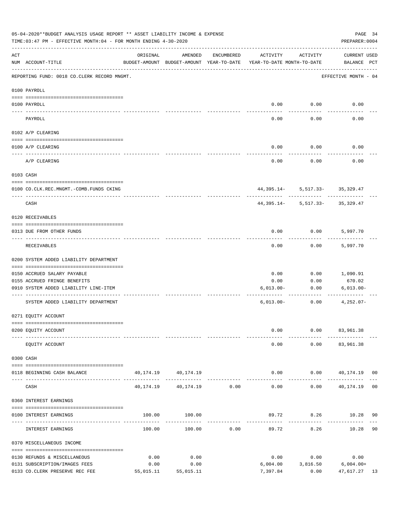|     | 05-04-2020**BUDGET ANALYSIS USAGE REPORT ** ASSET LIABILITY INCOME & EXPENSE<br>PAGE 34<br>TIME:03:47 PM - EFFECTIVE MONTH:04 - FOR MONTH ENDING 4-30-2020<br>PREPARER: 0004 |           |                                                     |               |                                        |                                                     |                                     |     |  |
|-----|------------------------------------------------------------------------------------------------------------------------------------------------------------------------------|-----------|-----------------------------------------------------|---------------|----------------------------------------|-----------------------------------------------------|-------------------------------------|-----|--|
| ACT | NUM ACCOUNT-TITLE                                                                                                                                                            | ORIGINAL  | AMENDED<br>BUDGET-AMOUNT BUDGET-AMOUNT YEAR-TO-DATE | ENCUMBERED    | ACTIVITY<br>YEAR-TO-DATE MONTH-TO-DATE | ACTIVITY                                            | CURRENT USED<br>BALANCE PCT         |     |  |
|     | REPORTING FUND: 0018 CO.CLERK RECORD MNGMT.                                                                                                                                  |           |                                                     |               |                                        |                                                     | EFFECTIVE MONTH - 04                |     |  |
|     | 0100 PAYROLL                                                                                                                                                                 |           |                                                     |               |                                        |                                                     |                                     |     |  |
|     | 0100 PAYROLL                                                                                                                                                                 |           |                                                     |               |                                        | $0.00$ 0.00                                         | 0.00                                |     |  |
|     | PAYROLL                                                                                                                                                                      |           |                                                     |               | 0.00                                   | 0.00                                                | 0.00                                |     |  |
|     | 0102 A/P CLEARING                                                                                                                                                            |           |                                                     |               |                                        |                                                     |                                     |     |  |
|     | 0100 A/P CLEARING                                                                                                                                                            |           |                                                     |               | 0.00                                   | 0.00                                                | 0.00                                |     |  |
|     | A/P CLEARING                                                                                                                                                                 |           |                                                     |               | 0.00                                   | 0.00                                                | 0.00                                |     |  |
|     | 0103 CASH                                                                                                                                                                    |           |                                                     |               |                                        |                                                     |                                     |     |  |
|     | 0100 CO.CLK.REC.MNGMT.-COMB.FUNDS CKING                                                                                                                                      |           |                                                     |               |                                        | 44, 395.14 - 5, 517.33 - 35, 329.47                 |                                     |     |  |
|     | CASH                                                                                                                                                                         |           |                                                     |               |                                        | ----------- -<br>$44,395.14 - 5,517.33 - 35,329.47$ |                                     |     |  |
|     | 0120 RECEIVABLES                                                                                                                                                             |           |                                                     |               |                                        |                                                     |                                     |     |  |
|     | 0313 DUE FROM OTHER FUNDS                                                                                                                                                    |           |                                                     |               | 0.00                                   |                                                     | $0.00$ 5,997.70                     |     |  |
|     | RECEIVABLES                                                                                                                                                                  |           |                                                     |               | 0.00                                   | 0.00                                                | 5,997.70                            |     |  |
|     | 0200 SYSTEM ADDED LIABILITY DEPARTMENT                                                                                                                                       |           |                                                     |               |                                        |                                                     |                                     |     |  |
|     | 0150 ACCRUED SALARY PAYABLE                                                                                                                                                  |           |                                                     |               | 0.00                                   | 0.00                                                | 1,090.91                            |     |  |
|     | 0155 ACCRUED FRINGE BENEFITS                                                                                                                                                 |           |                                                     |               | 0.00                                   | 0.00                                                | 670.02                              |     |  |
|     | 0910 SYSTEM ADDED LIABILITY LINE-ITEM                                                                                                                                        |           |                                                     |               | $6,013.00-$                            | 0.00                                                | $6,013.00 -$                        |     |  |
|     | SYSTEM ADDED LIABILITY DEPARTMENT                                                                                                                                            |           |                                                     |               | $6,013.00-$                            | ------------<br>0.00                                | $4,252.07-$                         |     |  |
|     | 0271 EQUITY ACCOUNT                                                                                                                                                          |           |                                                     |               |                                        |                                                     |                                     |     |  |
|     | 0200 EQUITY ACCOUNT                                                                                                                                                          |           |                                                     |               | 0.00                                   |                                                     | $0.00$ $83,961.38$                  |     |  |
|     | EQUITY ACCOUNT                                                                                                                                                               |           |                                                     |               | 0.00                                   |                                                     | $0.00$ $83,961.38$                  |     |  |
|     | 0300 CASH                                                                                                                                                                    |           |                                                     |               |                                        |                                                     |                                     |     |  |
|     | 0118 BEGINNING CASH BALANCE                                                                                                                                                  |           | 40, 174. 19 40, 174. 19                             |               |                                        |                                                     | $0.00$ 0.00 $40,174.19$ 00          |     |  |
|     | CASH                                                                                                                                                                         |           | 40, 174, 19 40, 174, 19 0.00                        | ------------- | $- - - - -$<br>0.00                    | ---------- -                                        | ------------<br>$0.00$ 40,174.19 00 |     |  |
|     | 0360 INTEREST EARNINGS                                                                                                                                                       |           |                                                     |               |                                        |                                                     |                                     |     |  |
|     | 0100 INTEREST EARNINGS                                                                                                                                                       |           | 100.00 100.00                                       |               |                                        |                                                     | 89.72 8.26 10.28 90                 |     |  |
|     | INTEREST EARNINGS                                                                                                                                                            | 100.00    | 100.00                                              | 0.00          | 89.72                                  | 8.26                                                | 10.28 90                            |     |  |
|     | 0370 MISCELLANEOUS INCOME                                                                                                                                                    |           |                                                     |               |                                        |                                                     |                                     |     |  |
|     | 0130 REFUNDS & MISCELLANEOUS                                                                                                                                                 | 0.00      | 0.00                                                |               | 0.00                                   | 0.00                                                | 0.00                                |     |  |
|     | 0131 SUBSCRIPTION/IMAGES FEES                                                                                                                                                | 0.00      | 0.00                                                |               | 6,004.00                               |                                                     | $3,816.50$ 6,004.00+                |     |  |
|     | 0133 CO.CLERK PRESERVE REC FEE                                                                                                                                               | 55,015.11 | 55,015.11                                           |               | 7,397.84                               | 0.00                                                | 47,617.27                           | -13 |  |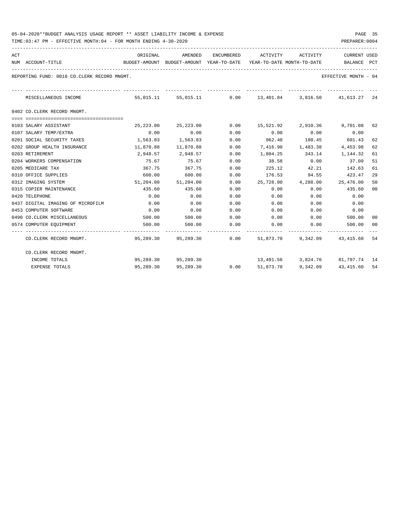| 05-04-2020**BUDGET ANALYSIS USAGE REPORT ** ASSET LIABILITY INCOME & EXPENSE | PAGE |  |
|------------------------------------------------------------------------------|------|--|
|------------------------------------------------------------------------------|------|--|

| ACT | NUM ACCOUNT-TITLE                           | ORIGINAL<br>BUDGET-AMOUNT BUDGET-AMOUNT YEAR-TO-DATE YEAR-TO-DATE MONTH-TO-DATE |                     | AMENDED ENCUMBERED ACTIVITY ACTIVITY |               |          | <b>CURRENT USED</b><br>BALANCE PCT                                 |      |
|-----|---------------------------------------------|---------------------------------------------------------------------------------|---------------------|--------------------------------------|---------------|----------|--------------------------------------------------------------------|------|
|     | REPORTING FUND: 0018 CO.CLERK RECORD MNGMT. |                                                                                 |                     |                                      |               |          | EFFECTIVE MONTH - 04                                               |      |
|     | MISCELLANEOUS INCOME                        |                                                                                 |                     | -------------------------------      |               |          | 55,015.11 55,015.11 0.00 13,401.84 3,816.50 41,613.27 24           |      |
|     | 0402 CO.CLERK RECORD MNGMT.                 |                                                                                 |                     |                                      |               |          |                                                                    |      |
|     | 0103 SALARY ASSISTANT                       | 25,223.00                                                                       | 25,223.00           | 0.00                                 |               |          | 15,521.92 2,910.36 9,701.08 62                                     |      |
|     | 0107 SALARY TEMP/EXTRA                      | 0.00                                                                            | 0.00                | 0.00                                 | 0.00          | 0.00     | 0.00                                                               |      |
|     | 0201 SOCIAL SECURITY TAXES                  | 1,563.83                                                                        | 1,563.83            | 0.00                                 |               |          | 962.40 180.45 601.43                                               | 62   |
|     | 0202 GROUP HEALTH INSURANCE                 | 11,870.88                                                                       | 11,870.88           | 0.00                                 |               |          | 7,416.90 1,483.38 4,453.98                                         | 62   |
|     | 0203 RETIREMENT                             |                                                                                 | 2,948.57 2,948.57   | 0.00                                 |               |          | 1,804.25 343.14 1,144.32                                           | 61   |
|     | 0204 WORKERS COMPENSATION                   | 75.67                                                                           | 75.67               | 0.00                                 | 38.58         | 0.00     | 37.09                                                              | 51   |
|     | 0205 MEDICARE TAX                           | 367.75                                                                          | 367.75              | 0.00                                 | 225.12        | 42.21    | 142.63                                                             | 61   |
|     | 0310 OFFICE SUPPLIES                        | 600.00                                                                          | 600.00              | 0.00                                 | 176.53 94.55  |          | 423.47                                                             | 29   |
|     | 0312 IMAGING SYSTEM                         |                                                                                 | 51,204.00 51,204.00 |                                      |               |          | $0.00$ 25,728.00 4,288.00 25,476.00                                | 50   |
|     | 0315 COPIER MAINTENANCE                     | 435.60                                                                          | 435.60              | 0.00                                 | 0.00          | 0.00     | 435.60                                                             | 00   |
|     | 0420 TELEPHONE                              | 0.00                                                                            | 0.00                | 0.00                                 | 0.00          | 0.00     | 0.00                                                               |      |
|     | 0437 DIGITAL IMAGING OF MICROFILM           | 0.00                                                                            | 0.00                | 0.00                                 | 0.00          | 0.00     | 0.00                                                               |      |
|     | 0453 COMPUTER SOFTWARE                      | 0.00                                                                            | 0.00                | 0.00                                 | 0.00          | 0.00     | 0.00                                                               |      |
|     | 0490 CO. CLERK MISCELLANEOUS                | 500.00                                                                          | 500.00              | 0.00                                 | $0.00$ $0.00$ |          | 500.00                                                             | 00   |
|     | 0574 COMPUTER EQUIPMENT                     | 500.00                                                                          | 500.00              | 0.00                                 | 0.00          | 0.00     | 500.00                                                             | - 00 |
|     | CO.CLERK RECORD MNGMT.                      |                                                                                 |                     |                                      |               |          | 95,289.30   95,289.30      0.00   51,873.70   9,342.09   43,415.60 | 54   |
|     | CO.CLERK RECORD MNGMT.                      |                                                                                 |                     |                                      |               |          |                                                                    |      |
|     | INCOME TOTALS                               |                                                                                 | 95,289.30 95,289.30 |                                      |               |          | 13,491.56 3,824.76 81,797.74 14                                    |      |
|     | EXPENSE TOTALS                              | 95,289.30                                                                       | 95,289.30           | 0.00                                 | 51,873.70     | 9,342.09 | 43,415.60                                                          | 54   |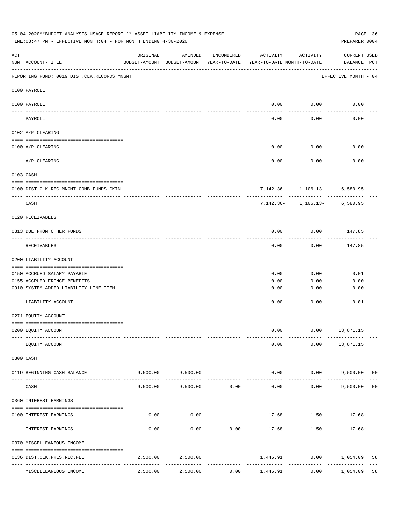| 05-04-2020**BUDGET ANALYSIS USAGE REPORT ** ASSET LIABILITY INCOME & EXPENSE<br>PAGE 36<br>TIME: 03:47 PM - EFFECTIVE MONTH: 04 - FOR MONTH ENDING 4-30-2020<br>PREPARER: 0004 |                                              |          |                                                     |                     |                                        |                                  |                                    |    |  |
|--------------------------------------------------------------------------------------------------------------------------------------------------------------------------------|----------------------------------------------|----------|-----------------------------------------------------|---------------------|----------------------------------------|----------------------------------|------------------------------------|----|--|
| ACT                                                                                                                                                                            | NUM ACCOUNT-TITLE                            | ORIGINAL | AMENDED<br>BUDGET-AMOUNT BUDGET-AMOUNT YEAR-TO-DATE | ENCUMBERED          | ACTIVITY<br>YEAR-TO-DATE MONTH-TO-DATE | ACTIVITY                         | <b>CURRENT USED</b><br>BALANCE PCT |    |  |
|                                                                                                                                                                                | REPORTING FUND: 0019 DIST.CLK.RECORDS MNGMT. |          |                                                     |                     |                                        |                                  | EFFECTIVE MONTH - 04               |    |  |
|                                                                                                                                                                                | 0100 PAYROLL                                 |          |                                                     |                     |                                        |                                  |                                    |    |  |
|                                                                                                                                                                                | 0100 PAYROLL                                 |          |                                                     |                     | 0.00                                   | 0.00                             | 0.00                               |    |  |
|                                                                                                                                                                                | <u>---- ----</u><br>PAYROLL                  |          |                                                     |                     | 0.00                                   | 0.00                             | 0.00                               |    |  |
|                                                                                                                                                                                | 0102 A/P CLEARING                            |          |                                                     |                     |                                        |                                  |                                    |    |  |
|                                                                                                                                                                                | 0100 A/P CLEARING                            |          |                                                     |                     | 0.00                                   | 0.00                             | 0.00                               |    |  |
|                                                                                                                                                                                | A/P CLEARING                                 |          |                                                     |                     | 0.00                                   | 0.00                             | 0.00                               |    |  |
|                                                                                                                                                                                | 0103 CASH                                    |          |                                                     |                     |                                        |                                  |                                    |    |  |
|                                                                                                                                                                                | 0100 DIST.CLK.REC.MNGMT-COMB.FUNDS CKIN      |          |                                                     |                     |                                        | $7,142.36 - 1,106.13 - 6,580.95$ |                                    |    |  |
|                                                                                                                                                                                | CASH                                         |          |                                                     |                     |                                        | $7,142.36 - 1,106.13 - 6,580.95$ |                                    |    |  |
|                                                                                                                                                                                | 0120 RECEIVABLES                             |          |                                                     |                     |                                        |                                  |                                    |    |  |
|                                                                                                                                                                                | 0313 DUE FROM OTHER FUNDS                    |          |                                                     |                     | 0.00                                   | 0.00                             | 147.85                             |    |  |
|                                                                                                                                                                                | RECEIVABLES                                  |          |                                                     |                     | 0.00                                   | 0.00                             | 147.85                             |    |  |
|                                                                                                                                                                                | 0200 LIABILITY ACCOUNT                       |          |                                                     |                     |                                        |                                  |                                    |    |  |
|                                                                                                                                                                                | 0150 ACCRUED SALARY PAYABLE                  |          |                                                     |                     | 0.00                                   | 0.00                             | 0.01                               |    |  |
|                                                                                                                                                                                | 0155 ACCRUED FRINGE BENEFITS                 |          |                                                     |                     | 0.00                                   | 0.00                             | 0.00                               |    |  |
|                                                                                                                                                                                | 0910 SYSTEM ADDED LIABILITY LINE-ITEM        |          |                                                     |                     | 0.00                                   | 0.00                             | 0.00                               |    |  |
|                                                                                                                                                                                | LIABILITY ACCOUNT                            |          |                                                     |                     | 0.00                                   | 0.00                             | 0.01                               |    |  |
|                                                                                                                                                                                | 0271 EQUITY ACCOUNT                          |          |                                                     |                     |                                        |                                  |                                    |    |  |
|                                                                                                                                                                                | 0200 EQUITY ACCOUNT                          |          |                                                     |                     | 0.00                                   | 0.00                             | 13,871.15                          |    |  |
|                                                                                                                                                                                | EQUITY ACCOUNT                               |          |                                                     |                     | 0.00                                   | 0.00                             | 13,871.15                          |    |  |
|                                                                                                                                                                                | 0300 CASH                                    |          |                                                     |                     |                                        |                                  |                                    |    |  |
|                                                                                                                                                                                | 0119 BEGINNING CASH BALANCE                  |          | 9,500.00 9,500.00<br>-------------                  |                     | 0.00                                   |                                  | $0.00$ 9,500.00 00                 |    |  |
|                                                                                                                                                                                | CASH                                         | 9,500.00 | 9,500.00                                            | -----------<br>0.00 | -------------<br>0.00                  | -----------<br>0.00              | 9,500.00                           | 00 |  |
|                                                                                                                                                                                | 0360 INTEREST EARNINGS                       |          |                                                     |                     |                                        |                                  |                                    |    |  |
|                                                                                                                                                                                | 0100 INTEREST EARNINGS                       | 0.00     | 0.00                                                |                     |                                        | $17.68$ $1.50$ $17.68+$          |                                    |    |  |
|                                                                                                                                                                                | INTEREST EARNINGS                            | 0.00     | 0.00                                                | 0.00                | -------------<br>17.68                 | 1.50                             | $17.68+$                           |    |  |
|                                                                                                                                                                                | 0370 MISCELLEANEOUS INCOME                   |          |                                                     |                     |                                        |                                  |                                    |    |  |
|                                                                                                                                                                                | 0136 DIST.CLK.PRES.REC.FEE                   | 2,500.00 | 2,500.00                                            | -----------         | 1,445.91                               |                                  | $0.00$ 1,054.09                    | 58 |  |
|                                                                                                                                                                                | MISCELLEANEOUS INCOME                        | 2,500.00 | 2,500.00                                            | 0.00                | 1,445.91                               | 0.00                             | 1,054.09                           | 58 |  |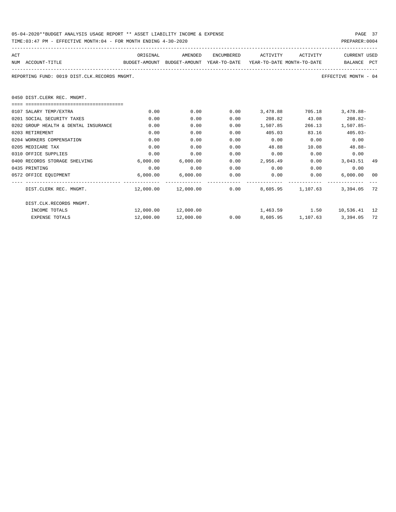| 05-04-2020**BUDGET ANALYSIS USAGE REPORT ** ASSET LIABILITY INCOME & EXPENSE | PAGE 37        |
|------------------------------------------------------------------------------|----------------|
| TIME:03:47 PM - EFFECTIVE MONTH:04 - FOR MONTH ENDING 4-30-2020              | PREPARER: 0004 |

| ACT |                                              | ORIGINAL                                                            | AMENDED                                        | ENCUMBERED | ACTIVITY                     | ACTIVITY | <b>CURRENT USED</b>        |    |
|-----|----------------------------------------------|---------------------------------------------------------------------|------------------------------------------------|------------|------------------------------|----------|----------------------------|----|
|     | NUM ACCOUNT-TITLE                            | BUDGET-AMOUNT BUDGET-AMOUNT YEAR-TO-DATE YEAR-TO-DATE_MONTH-TO-DATE |                                                |            |                              |          | BALANCE PCT                |    |
|     | REPORTING FUND: 0019 DIST.CLK.RECORDS MNGMT. |                                                                     |                                                |            |                              |          | EFFECTIVE MONTH - 04       |    |
|     | 0450 DIST. CLERK REC. MNGMT.                 |                                                                     |                                                |            |                              |          |                            |    |
|     | -0000000000000000000000000000000000000       |                                                                     |                                                |            |                              |          |                            |    |
|     | 0107 SALARY TEMP/EXTRA                       | 0.00                                                                | 0.00                                           | 0.00       | 3,478.88                     | 705.18   | $3.478.88 -$               |    |
|     | 0201 SOCIAL SECURITY TAXES                   | 0.00                                                                | 0.00                                           | 0.00       | 208.82                       | 43.08    | $208.82-$                  |    |
|     | 0202 GROUP HEALTH & DENTAL INSURANCE         | 0.00                                                                | 0.00                                           | 0.00       | 1,507.85                     | 266.13   | $1.507.85 -$               |    |
|     | 0203 RETIREMENT                              | 0.00                                                                | 0.00                                           | 0.00       | 405.03                       | 83.16    | $405.03 -$                 |    |
|     | 0204 WORKERS COMPENSATION                    | 0.00                                                                | 0.00                                           | 0.00       | 0.00                         | 0.00     | 0.00                       |    |
|     | 0205 MEDICARE TAX                            | 0.00                                                                | 0.00                                           | 0.00       | 48.88                        | 10.08    | $48.88-$                   |    |
|     | 0310 OFFICE SUPPLIES                         | 0.00                                                                | 0.00                                           | 0.00       | 0.00                         | 0.00     | 0.00                       |    |
|     | 0400 RECORDS STORAGE SHELVING                | 6,000.00                                                            | 6,000.00                                       | 0.00       | 2,956.49                     |          | 0.00<br>3,043.51 49        |    |
|     | 0435 PRINTING                                | 0.00                                                                | 0.00                                           | 0.00       | $0.00$ 0.00                  |          | 0.00                       |    |
|     | 0572 OFFICE EQUIPMENT                        |                                                                     | 6,000.00 6,000.00                              | 0.00       | 0.00                         | 0.00     | 6,000.00                   | 00 |
|     | DIST.CLERK REC. MNGMT.                       |                                                                     | $12,000.00$ $12,000.00$ 0.00 8,605.95 1,107.63 |            |                              |          | 3,394.05 72                |    |
|     | DIST.CLK.RECORDS MNGMT.                      |                                                                     |                                                |            |                              |          |                            |    |
|     | INCOME TOTALS                                |                                                                     |                                                |            |                              |          | 1,463.59 1.50 10,536.41 12 |    |
|     | <b>EXPENSE TOTALS</b>                        | 12,000.00                                                           | 12,000.00                                      |            | $0.00$ $8,605.95$ $1,107.63$ |          | 3,394.05                   | 72 |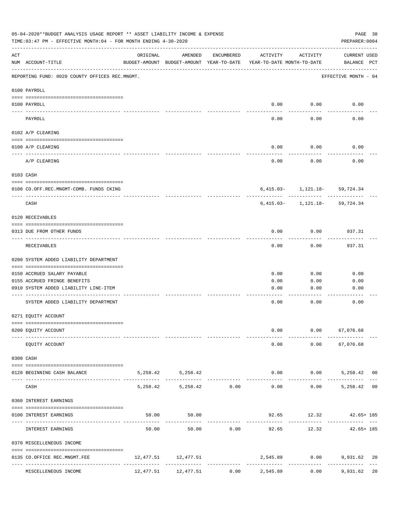|             | 05-04-2020**BUDGET ANALYSIS USAGE REPORT ** ASSET LIABILITY INCOME & EXPENSE<br>TIME:03:47 PM - EFFECTIVE MONTH:04 - FOR MONTH ENDING 4-30-2020 |          |                        |                               |                                                                                 |                                            | PAGE 38<br>PREPARER: 0004   |  |
|-------------|-------------------------------------------------------------------------------------------------------------------------------------------------|----------|------------------------|-------------------------------|---------------------------------------------------------------------------------|--------------------------------------------|-----------------------------|--|
| ACT         | NUM ACCOUNT-TITLE                                                                                                                               | ORIGINAL | AMENDED                | ENCUMBERED                    | ACTIVITY<br>BUDGET-AMOUNT BUDGET-AMOUNT YEAR-TO-DATE YEAR-TO-DATE MONTH-TO-DATE | ACTIVITY                                   | CURRENT USED<br>BALANCE PCT |  |
|             | REPORTING FUND: 0020 COUNTY OFFICES REC.MNGMT.                                                                                                  |          |                        |                               |                                                                                 |                                            | EFFECTIVE MONTH - 04        |  |
|             | 0100 PAYROLL                                                                                                                                    |          |                        |                               |                                                                                 |                                            |                             |  |
|             | 0100 PAYROLL                                                                                                                                    |          |                        |                               |                                                                                 | $0.00$ $0.00$                              | 0.00                        |  |
|             | PAYROLL                                                                                                                                         |          |                        |                               | 0.00                                                                            | 0.00                                       | 0.00                        |  |
|             | 0102 A/P CLEARING                                                                                                                               |          |                        |                               |                                                                                 |                                            |                             |  |
|             | 0100 A/P CLEARING                                                                                                                               |          |                        |                               | 0.00                                                                            | 0.00                                       | 0.00                        |  |
|             | A/P CLEARING                                                                                                                                    |          |                        |                               | 0.00                                                                            | 0.00                                       | 0.00                        |  |
|             | 0103 CASH                                                                                                                                       |          |                        |                               |                                                                                 |                                            |                             |  |
|             | 0100 CO.OFF.REC.MNGMT-COMB. FUNDS CKING                                                                                                         |          |                        |                               |                                                                                 | $6,415.03 - 1,121.18 - 59,724.34$          | --------                    |  |
|             | -----------------------------<br>CASH                                                                                                           |          |                        |                               |                                                                                 | $6,415.03 - 1,121.18 - 59,724.34$          |                             |  |
|             | 0120 RECEIVABLES                                                                                                                                |          |                        |                               |                                                                                 |                                            |                             |  |
|             | 0313 DUE FROM OTHER FUNDS                                                                                                                       |          |                        |                               | 0.00                                                                            | 0.00                                       | 937.31                      |  |
|             | RECEIVABLES                                                                                                                                     |          |                        |                               | 0.00                                                                            | 0.00                                       | 937.31                      |  |
|             | 0200 SYSTEM ADDED LIABILITY DEPARTMENT                                                                                                          |          |                        |                               |                                                                                 |                                            |                             |  |
|             | 0150 ACCRUED SALARY PAYABLE                                                                                                                     |          |                        |                               | 0.00                                                                            | 0.00                                       | 0.00                        |  |
|             | 0155 ACCRUED FRINGE BENEFITS                                                                                                                    |          |                        |                               | 0.00                                                                            | 0.00                                       | 0.00                        |  |
|             | 0910 SYSTEM ADDED LIABILITY LINE-ITEM                                                                                                           |          |                        |                               | 0.00                                                                            | 0.00                                       | 0.00                        |  |
|             | SYSTEM ADDED LIABILITY DEPARTMENT                                                                                                               |          |                        |                               | 0.00                                                                            | 0.00                                       | 0.00                        |  |
|             | 0271 EQUITY ACCOUNT                                                                                                                             |          |                        |                               |                                                                                 |                                            |                             |  |
|             | 0200 EQUITY ACCOUNT                                                                                                                             |          |                        |                               | 0.00                                                                            | $0.00$ 67,076.68                           |                             |  |
|             | EQUITY ACCOUNT                                                                                                                                  |          |                        |                               |                                                                                 | $0.00$ $0.00$ $67,076.68$                  |                             |  |
|             | 0300 CASH                                                                                                                                       |          |                        |                               |                                                                                 |                                            |                             |  |
| $- - - - -$ | 0120 BEGINNING CASH BALANCE                                                                                                                     |          | 5, 258.42 5, 258.42    | ----------------------------- |                                                                                 | $0.00$ $0.00$ $5,258.42$ 00<br>----------- | --------------              |  |
|             | CASH                                                                                                                                            |          | 5,258.42 5,258.42 0.00 |                               |                                                                                 | $0.00$ $0.00$ $5,258.42$ 00                |                             |  |
|             | 0360 INTEREST EARNINGS                                                                                                                          |          |                        |                               |                                                                                 |                                            |                             |  |
|             | 0100 INTEREST EARNINGS                                                                                                                          |          | 50.00<br>50.00         |                               | ----------- -------------                                                       | $92.65$ 12.32 $42.65+185$<br>------------- |                             |  |
|             | INTEREST EARNINGS                                                                                                                               | 50.00    |                        |                               | 50.00 0.00 92.65                                                                |                                            | 12.32 42.65+185             |  |
|             | 0370 MISCELLENEOUS INCOME                                                                                                                       |          |                        |                               |                                                                                 |                                            |                             |  |
|             | 0135 CO.OFFICE REC.MNGMT.FEE                                                                                                                    |          | 12,477.51 12,477.51    |                               |                                                                                 | 2,545.89 0.00 9,931.62 20<br>------------- | ------------------          |  |
|             | MISCELLENEOUS INCOME                                                                                                                            |          | 12,477.51 12,477.51    | 0.00                          | 2,545.89                                                                        | 0.00                                       | 9,931.62 20                 |  |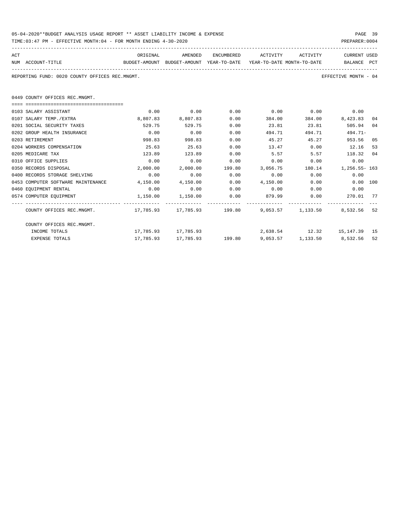| 05-04-2020**BUDGET ANALYSIS USAGE REPORT ** ASSET LIABILITY INCOME & EXPENSE | PAGE 39        |
|------------------------------------------------------------------------------|----------------|
| TIME:03:47 PM - EFFECTIVE MONTH:04 - FOR MONTH ENDING 4-30-2020              | PREPARER: 0004 |

| ACT<br>NUM ACCOUNT-TITLE                                                            | ORIGINAL<br>BUDGET-AMOUNT BUDGET-AMOUNT YEAR-TO-DATE YEAR-TO-DATE MONTH-TO-DATE | AMENDED                                                           |      | ENCUMBERED ACTIVITY ACTIVITY                          |             | <b>CURRENT USED</b><br>BALANCE PCT |    |
|-------------------------------------------------------------------------------------|---------------------------------------------------------------------------------|-------------------------------------------------------------------|------|-------------------------------------------------------|-------------|------------------------------------|----|
| REPORTING FUND: 0020 COUNTY OFFICES REC.MNGMT.                                      |                                                                                 |                                                                   |      |                                                       |             | EFFECTIVE MONTH - 04               |    |
| 0449 COUNTY OFFICES REC.MNGMT.                                                      |                                                                                 |                                                                   |      |                                                       |             |                                    |    |
|                                                                                     |                                                                                 |                                                                   |      |                                                       |             |                                    |    |
| 0103 SALARY ASSISTANT                                                               | 0.00                                                                            | 0.00                                                              | 0.00 |                                                       | $0.00$ 0.00 | 0.00                               |    |
| 0107 SALARY TEMP./EXTRA                                                             | 8,807.83                                                                        | 8,807.83                                                          | 0.00 | 384.00                                                |             | 384.00 8,423.83                    | 04 |
| 0201 SOCIAL SECURITY TAXES                                                          | 529.75                                                                          | 529.75                                                            | 0.00 | 23.81                                                 | 23.81       | 505.94                             | 04 |
| 0202 GROUP HEALTH INSURANCE                                                         | 0.00                                                                            | 0.00                                                              | 0.00 | 494.71                                                | 494.71      | $494.71-$                          |    |
| 0203 RETIREMENT                                                                     | 998.83                                                                          | 998.83                                                            | 0.00 | 45.27                                                 | 45.27       | 953.56                             | 05 |
| 0204 WORKERS COMPENSATION                                                           | 25.63                                                                           | 25.63                                                             | 0.00 | 13.47                                                 | 0.00        | 12.16                              | 53 |
| 0205 MEDICARE TAX                                                                   | 123.89                                                                          | 123.89                                                            | 0.00 | 5.57                                                  |             | 5.57 118.32                        | 04 |
| 0310 OFFICE SUPPLIES                                                                | 0.00                                                                            | 0.00                                                              | 0.00 | 0.00                                                  | 0.00        | 0.00                               |    |
| 0350 RECORDS DISPOSAL                                                               | 2,000.00                                                                        |                                                                   |      | 2,000.00   199.80   3,056.75   180.14   1,256.55- 163 |             |                                    |    |
| 0400 RECORDS STORAGE SHELVING                                                       | 0.00                                                                            | 0.00                                                              | 0.00 | $0.00$ 0.00                                           |             | 0.00                               |    |
| 0453 COMPUTER SOFTWARE MAINTENANCE                                                  | 4,150.00                                                                        | 4,150.00                                                          | 0.00 | 4,150.00                                              | 0.00        | $0.00$ 100                         |    |
| 0460 EQUIPMENT RENTAL                                                               | 0.00                                                                            | 0.00                                                              | 0.00 | $0.00$ $0.00$ $0.00$ $0.00$                           |             |                                    |    |
| 0574 COMPUTER EQUIPMENT                                                             | $1,150.00$ $1,150.00$                                                           |                                                                   | 0.00 | 879.99   0.00   270.01   77                           |             |                                    |    |
| COUNTY OFFICES REC.MNGMT. 4.6 17,785.93 17,785.93 199.80 9,053.57 1,133.50 8,532.56 |                                                                                 |                                                                   |      |                                                       |             |                                    | 52 |
| COUNTY OFFICES REC.MNGMT.                                                           |                                                                                 |                                                                   |      |                                                       |             |                                    |    |
| INCOME TOTALS                                                                       |                                                                                 | 17,785.93 17,785.93                                               |      |                                                       |             | 2,638.54 12.32 15,147.39 15        |    |
| <b>EXPENSE TOTALS</b>                                                               |                                                                                 | $17,785.93$ $17,785.93$ $199.80$ $9,053.57$ $1,133.50$ $8,532.56$ |      |                                                       |             |                                    | 52 |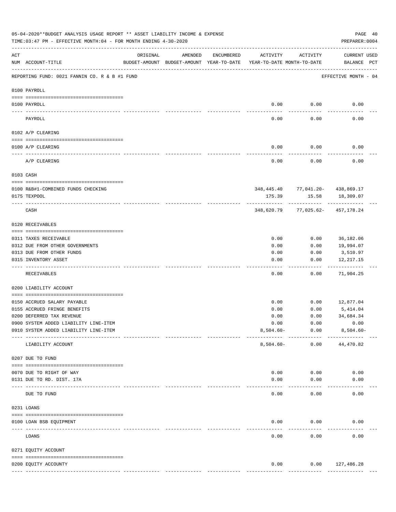|     | 05-04-2020**BUDGET ANALYSIS USAGE REPORT ** ASSET LIABILITY INCOME & EXPENSE<br>TIME: 03:47 PM - EFFECTIVE MONTH: 04 - FOR MONTH ENDING 4-30-2020 |                                                      |         |            |                                        |                                      | PAGE 40<br>PREPARER: 0004          |
|-----|---------------------------------------------------------------------------------------------------------------------------------------------------|------------------------------------------------------|---------|------------|----------------------------------------|--------------------------------------|------------------------------------|
| ACT | NUM ACCOUNT-TITLE                                                                                                                                 | ORIGINAL<br>BUDGET-AMOUNT BUDGET-AMOUNT YEAR-TO-DATE | AMENDED | ENCUMBERED | ACTIVITY<br>YEAR-TO-DATE MONTH-TO-DATE | ACTIVITY                             | <b>CURRENT USED</b><br>BALANCE PCT |
|     | REPORTING FUND: 0021 FANNIN CO. R & B #1 FUND                                                                                                     |                                                      |         |            |                                        |                                      | EFFECTIVE MONTH - 04               |
|     | 0100 PAYROLL                                                                                                                                      |                                                      |         |            |                                        |                                      |                                    |
|     | 0100 PAYROLL                                                                                                                                      |                                                      |         |            | 0.00                                   | 0.00                                 | 0.00                               |
|     | PAYROLL                                                                                                                                           |                                                      |         |            | 0.00                                   | 0.00                                 | 0.00                               |
|     | 0102 A/P CLEARING                                                                                                                                 |                                                      |         |            |                                        |                                      |                                    |
|     | 0100 A/P CLEARING                                                                                                                                 |                                                      |         |            | 0.00                                   | 0.00                                 | 0.00                               |
|     | A/P CLEARING                                                                                                                                      |                                                      |         |            | 0.00                                   | 0.00                                 | 0.00                               |
|     | 0103 CASH                                                                                                                                         |                                                      |         |            |                                        |                                      |                                    |
|     | 0100 R&B#1-COMBINED FUNDS CHECKING                                                                                                                |                                                      |         |            |                                        | 348, 445.40 77, 041.20 - 438, 869.17 |                                    |
|     | 0175 TEXPOOL                                                                                                                                      |                                                      |         |            | 175.39                                 | 15.58                                | 18,309.07                          |
|     | CASH                                                                                                                                              |                                                      |         |            | 348,620.79                             | 77,025.62-457,178.24                 |                                    |
|     | 0120 RECEIVABLES                                                                                                                                  |                                                      |         |            |                                        |                                      |                                    |
|     | 0311 TAXES RECEIVABLE                                                                                                                             |                                                      |         |            | 0.00                                   | 0.00                                 | 36,182.06                          |
|     | 0312 DUE FROM OTHER GOVERNMENTS                                                                                                                   |                                                      |         |            | 0.00                                   | 0.00                                 | 19,994.07                          |
|     | 0313 DUE FROM OTHER FUNDS                                                                                                                         |                                                      |         |            | 0.00                                   | 0.00                                 | 3,510.97                           |
|     | 0315 INVENTORY ASSET                                                                                                                              |                                                      |         |            | 0.00                                   | 0.00                                 | 12,217.15<br>----------            |
|     | RECEIVABLES                                                                                                                                       |                                                      |         |            | 0.00                                   | -----<br>0.00                        | 71,904.25                          |
|     | 0200 LIABILITY ACCOUNT                                                                                                                            |                                                      |         |            |                                        |                                      |                                    |
|     | 0150 ACCRUED SALARY PAYABLE                                                                                                                       |                                                      |         |            | 0.00                                   | 0.00                                 | 12,877.04                          |
|     | 0155 ACCRUED FRINGE BENEFITS                                                                                                                      |                                                      |         |            | 0.00                                   | 0.00                                 | 5,414.04                           |
|     | 0200 DEFERRED TAX REVENUE                                                                                                                         |                                                      |         |            | 0.00                                   | 0.00                                 | 34,684.34                          |
|     | 0900 SYSTEM ADDED LIABILITY LINE-ITEM                                                                                                             |                                                      |         |            | 0.00                                   | 0.00                                 | 0.00                               |
|     | 0910 SYSTEM ADDED LIABILITY LINE-ITEM                                                                                                             |                                                      |         |            | $8,504.60 -$                           | 0.00                                 | $8,504.60 -$                       |
|     | LIABILITY ACCOUNT                                                                                                                                 |                                                      |         |            | $8,504.60 -$                           | ------------<br>0.00                 | 44,470.82                          |
|     | 0207 DUE TO FUND                                                                                                                                  |                                                      |         |            |                                        |                                      |                                    |
|     | 0070 DUE TO RIGHT OF WAY                                                                                                                          |                                                      |         |            | 0.00                                   | 0.00                                 | 0.00                               |
|     | 0131 DUE TO RD. DIST. 17A                                                                                                                         |                                                      |         |            | 0.00                                   | 0.00                                 | 0.00                               |
|     | DUE TO FUND                                                                                                                                       |                                                      |         |            | 0.00                                   | 0.00                                 | 0.00                               |
|     | 0231 LOANS                                                                                                                                        |                                                      |         |            |                                        |                                      |                                    |
|     | 0100 LOAN BSB EQUIPMENT                                                                                                                           |                                                      |         |            | 0.00                                   | 0.00                                 | 0.00                               |
|     | --------------------- -------------<br>LOANS                                                                                                      |                                                      |         |            | 0.00                                   | 0.00                                 | 0.00                               |
|     |                                                                                                                                                   |                                                      |         |            |                                        |                                      |                                    |
|     | 0271 EQUITY ACCOUNT                                                                                                                               |                                                      |         |            |                                        |                                      |                                    |
|     |                                                                                                                                                   |                                                      |         |            |                                        |                                      |                                    |
|     | 0200 EQUITY ACCOUNTY                                                                                                                              |                                                      |         |            | 0.00<br>--------------                 | -----------------------------        | $0.00$ 127,486.28                  |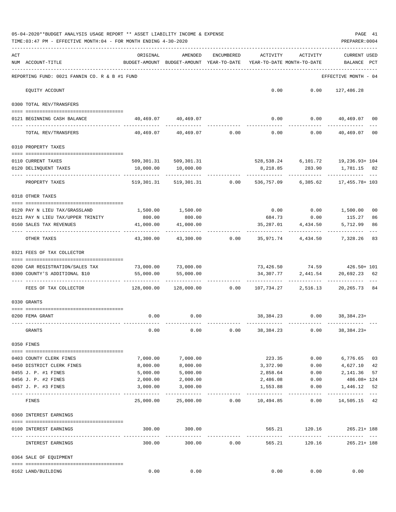|     | 05-04-2020**BUDGET ANALYSIS USAGE REPORT ** ASSET LIABILITY INCOME & EXPENSE<br>TIME: 03:47 PM - EFFECTIVE MONTH: 04 - FOR MONTH ENDING 4-30-2020 |                           |                                                     |                              |                      |                                        | PAGE 41<br>PREPARER: 0004                                                                              |          |
|-----|---------------------------------------------------------------------------------------------------------------------------------------------------|---------------------------|-----------------------------------------------------|------------------------------|----------------------|----------------------------------------|--------------------------------------------------------------------------------------------------------|----------|
| ACT | NUM ACCOUNT-TITLE                                                                                                                                 | ORIGINAL                  | AMENDED<br>BUDGET-AMOUNT BUDGET-AMOUNT YEAR-TO-DATE | ENCUMBERED                   | ACTIVITY             | ACTIVITY<br>YEAR-TO-DATE MONTH-TO-DATE | CURRENT USED<br>BALANCE PCT                                                                            |          |
|     | REPORTING FUND: 0021 FANNIN CO. R & B #1 FUND                                                                                                     |                           |                                                     |                              |                      |                                        | EFFECTIVE MONTH - 04                                                                                   |          |
|     | EQUITY ACCOUNT                                                                                                                                    |                           |                                                     |                              |                      | $0.00$ $0.00$                          | 127,486.28                                                                                             |          |
|     | 0300 TOTAL REV/TRANSFERS                                                                                                                          |                           |                                                     |                              |                      |                                        |                                                                                                        |          |
|     | 0121 BEGINNING CASH BALANCE                                                                                                                       |                           | 40,469.07 40,469.07                                 |                              |                      |                                        | $0.00$ $0.00$ $40,469.07$ 00                                                                           |          |
|     | TOTAL REV/TRANSFERS                                                                                                                               |                           | $40,469.07$ $40,469.07$ $0.00$ $0.00$ $0.00$ $0.00$ |                              |                      |                                        | -------------<br>40,469.07 00                                                                          |          |
|     | 0310 PROPERTY TAXES                                                                                                                               |                           |                                                     |                              |                      |                                        |                                                                                                        |          |
|     |                                                                                                                                                   |                           |                                                     |                              |                      |                                        |                                                                                                        |          |
|     | 0110 CURRENT TAXES<br>0120 DELINQUENT TAXES                                                                                                       | 10,000.00                 | 509, 301. 31 509, 301. 31<br>10,000.00              |                              |                      |                                        | 528, 538. 24 6, 101. 72 19, 236. 93+ 104<br>8,218.85 283.90 1,781.15 82<br><u> - - - - - - - - - -</u> |          |
|     | --------------------- --<br>PROPERTY TAXES                                                                                                        | -----------<br>519,301.31 |                                                     | 519,301.31 0.00 536,757.09   |                      | 6,385.62                               | 17,455.78+ 103                                                                                         |          |
|     | 0318 OTHER TAXES                                                                                                                                  |                           |                                                     |                              |                      |                                        |                                                                                                        |          |
|     |                                                                                                                                                   |                           |                                                     |                              |                      |                                        |                                                                                                        |          |
|     | 0120 PAY N LIEU TAX/GRASSLAND<br>0121 PAY N LIEU TAX/UPPER TRINITY                                                                                | 1,500.00<br>800.00        | 1,500.00<br>800.00                                  |                              |                      |                                        | $0.00$ $0.00$ $1,500.00$<br>115.27                                                                     | 00<br>86 |
|     | 0160 SALES TAX REVENUES                                                                                                                           | 41,000.00                 | 41,000.00                                           |                              | 35,287.01            | 684.73 0.00<br>4,434.50                | 5,712.99                                                                                               | 86       |
|     | OTHER TAXES                                                                                                                                       | ---------<br>43,300.00    |                                                     | 43,300.00 0.00 35,971.74     |                      | 4,434.50                               | 7,328.26<br>83                                                                                         |          |
|     | 0321 FEES OF TAX COLLECTOR                                                                                                                        |                           |                                                     |                              |                      |                                        |                                                                                                        |          |
|     | 0200 CAR REGISTRATION/SALES TAX                                                                                                                   | 73,000.00                 | 73,000.00                                           |                              |                      |                                        | 73,426.50 74.59 426.50+ 101                                                                            |          |
|     | 0300 COUNTY'S ADDITIONAL \$10                                                                                                                     | 55,000.00                 | 55,000.00                                           |                              | 34,307.77            |                                        | 2,441.54 20,692.23 62                                                                                  |          |
|     |                                                                                                                                                   |                           |                                                     |                              |                      | -------------                          | -------------                                                                                          |          |
|     | FEES OF TAX COLLECTOR                                                                                                                             | 128,000.00                |                                                     | $128,000.00$ 0.00            |                      | 107,734.27 2,516.13                    | 20,265.73 84                                                                                           |          |
|     | 0330 GRANTS                                                                                                                                       |                           |                                                     |                              |                      |                                        |                                                                                                        |          |
|     | 0200 FEMA GRANT                                                                                                                                   | 0.00                      | 0.00                                                |                              |                      |                                        | 38, 384. 23 0.00 38, 384. 23+                                                                          |          |
|     | GRANTS                                                                                                                                            | 0.00                      | 0.00                                                |                              | $0.00$ 38,384.23     |                                        | -------------<br>$0.00$ 38, 384. 23+                                                                   |          |
|     | 0350 FINES                                                                                                                                        |                           |                                                     |                              |                      |                                        |                                                                                                        |          |
|     |                                                                                                                                                   |                           |                                                     |                              |                      |                                        |                                                                                                        |          |
|     | 0403 COUNTY CLERK FINES                                                                                                                           | 7,000.00                  | 7,000.00                                            |                              |                      | 223.35 0.00                            | 6,776.65 03                                                                                            |          |
|     | 0450 DISTRICT CLERK FINES<br>0455 J. P. #1 FINES                                                                                                  | 8,000.00<br>5,000.00      | 8,000.00<br>5,000.00                                |                              | 3,372.90<br>2,858.64 | 0.00                                   | $0.00$ $4,627.10$ $42$<br>2,141.36                                                                     | 57       |
|     | 0456 J. P. #2 FINES                                                                                                                               | 2,000.00                  | 2,000.00                                            |                              | 2,486.08             | 0.00                                   | 486.08+ 124                                                                                            |          |
|     | 0457 J. P. #3 FINES                                                                                                                               | 3,000.00                  | 3,000.00                                            |                              | 1,553.88             | 0.00                                   | 1,446.12 52                                                                                            |          |
|     | ----------------------------<br>FINES                                                                                                             | 25,000.00                 |                                                     | 25,000.00   0.00   10,494.85 |                      | ----------<br>0.00                     | --------------<br>14,505.15 42                                                                         |          |
|     | 0360 INTEREST EARNINGS                                                                                                                            |                           |                                                     |                              |                      |                                        |                                                                                                        |          |
|     | 0100 INTEREST EARNINGS                                                                                                                            |                           | 300.00 300.00                                       |                              |                      |                                        | 565.21 120.16 265.21+188                                                                               |          |
|     | INTEREST EARNINGS                                                                                                                                 | 300.00                    | -------------<br>300.00                             | 0.00                         |                      | 565.21<br>120.16                       | _____________<br>$265.21 + 188$                                                                        |          |
|     | 0364 SALE OF EQUIPMENT                                                                                                                            |                           |                                                     |                              |                      |                                        |                                                                                                        |          |
|     | 0162 LAND/BUILDING                                                                                                                                | 0.00                      | 0.00                                                |                              |                      | 0.00                                   | 0.00<br>0.00                                                                                           |          |
|     |                                                                                                                                                   |                           |                                                     |                              |                      |                                        |                                                                                                        |          |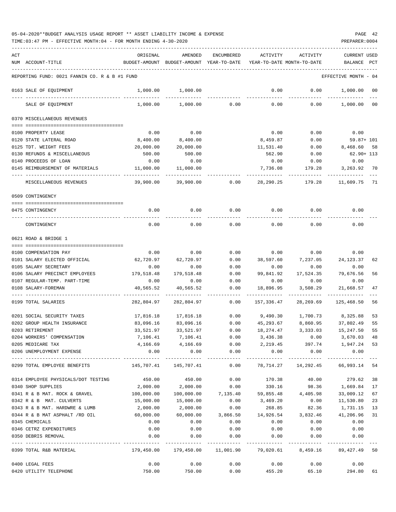| ACT                                           | ORIGINAL       | AMENDED                   | <b>ENCUMBERED</b>       | <b>ACTIVITY</b>         | <b>ACTIVITY</b>            | <b>CURRENT USED</b> |      |
|-----------------------------------------------|----------------|---------------------------|-------------------------|-------------------------|----------------------------|---------------------|------|
| NUM ACCOUNT-TITLE                             | BUDGET-AMOUNT  | BUDGET-AMOUNT             | YEAR-TO-DATE            |                         | YEAR-TO-DATE MONTH-TO-DATE | BALANCE             | PCT  |
|                                               |                |                           |                         |                         |                            |                     |      |
| REPORTING FUND: 0021 FANNIN CO. R & B #1 FUND |                |                           |                         |                         |                            | EFFECTIVE MONTH     | - 04 |
| 0163 SALE OF EQUIPMENT                        | 1,000.00       | 1,000.00                  |                         | 0.00                    | 0.00                       | 1,000.00            | 00   |
| SALE OF EQUIPMENT                             | 1,000.00       | 1,000.00                  | 0.00                    | 0.00                    | 0.00                       | 1,000.00            | 00   |
| 0370 MISCELLANEOUS REVENUES                   |                |                           |                         |                         |                            |                     |      |
| 0100 PROPERTY LEASE                           | 0.00           | 0.00                      |                         | 0.00                    | 0.00                       | 0.00                |      |
| 0120 STATE LATERAL ROAD                       | 8,400.00       | 8,400.00                  |                         | 8,459.87                | 0.00                       | 59.87+ 101          |      |
| 0125 TDT. WEIGHT FEES                         | 20,000.00      | 20,000.00                 |                         | 11,531.40               | 0.00                       | 8,468.60            | 58   |
| 0130 REFUNDS & MISCELLANEOUS                  | 500.00         | 500.00                    |                         | 562.90                  | 0.00                       | 62.90+ 113          |      |
| 0140 PROCEEDS OF LOAN                         | 0.00           | 0.00                      |                         | 0.00                    | 0.00                       | 0.00                |      |
| 0145 REIMBURSEMENT OF MATERIALS               | 11,000.00      | 11,000.00                 |                         | 7,736.08                | 179.28                     | 3,263.92            | 70   |
|                                               |                |                           |                         |                         |                            |                     |      |
| MISCELLANEOUS REVENUES                        | 39,900.00      | 39,900.00                 | 0.00                    | 28,290.25               | 179.28                     | 11,609.75 71        |      |
| 0509 CONTINGENCY                              |                |                           |                         |                         |                            |                     |      |
| 0475 CONTINGENCY                              | 0.00           | 0.00                      | 0.00                    | 0.00                    | 0.00                       | 0.00                |      |
|                                               |                |                           |                         |                         |                            |                     |      |
| CONTINGENCY                                   | 0.00           | 0.00                      | 0.00                    | 0.00                    | 0.00                       | 0.00                |      |
| 0621 ROAD & BRIDGE 1                          |                |                           |                         |                         |                            |                     |      |
|                                               |                |                           |                         |                         |                            |                     |      |
| 0100 COMPENSATION PAY                         | 0.00           | 0.00                      | 0.00                    | 0.00                    | 0.00                       | 0.00                |      |
| 0101 SALARY ELECTED OFFICIAL                  | 62,720.97      | 62,720.97                 | 0.00                    | 38,597.60               | 7,237.05                   | 24, 123. 37         | 62   |
| 0105 SALARY SECRETARY                         | 0.00           | 0.00                      | 0.00                    | 0.00                    | 0.00                       | 0.00                |      |
| 0106 SALARY PRECINCT EMPLOYEES                | 179,518.48     | 179,518.48                | 0.00                    | 99,841.92               | 17,524.35                  | 79,676.56           | 56   |
| 0107 REGULAR-TEMP. PART-TIME                  | 0.00           | 0.00                      | 0.00                    | 0.00                    | 0.00                       | 0.00                |      |
| 0108 SALARY-FOREMAN                           | 40,565.52      | 40,565.52                 | 0.00                    | 18,896.95               | 3,508.29                   | 21,668.57           | 47   |
| 0199 TOTAL SALARIES                           | 282,804.97     | 282,804.97                | 0.00                    | 157,336.47              | 28,269.69                  | 125,468.50          | 56   |
|                                               |                |                           |                         |                         |                            |                     |      |
| 0201 SOCIAL SECURITY TAXES                    | 17,816.18      | 17,816.18                 | 0.00                    | 9,490.30                | 1,700.73                   | 8,325.88            | 53   |
| 0202 GROUP HEALTH INSURANCE                   | 83,096.16      | 83,096.16                 | 0.00                    | 45,293.67               | 8,860.95                   | 37,802.49           | 55   |
| 0203 RETIREMENT                               | 33,521.97      | 33,521.97                 | 0.00                    | 18,274.47               | 3,333.03                   | 15,247.50           | 55   |
| 0204 WORKERS' COMPENSATION                    | 7,106.41       | 7,106.41                  | 0.00                    | 3,436.38                | 0.00                       | 3,670.03            | 48   |
| 0205 MEDICARE TAX                             | 4,166.69       | 4,166.69                  | 0.00                    | 2,219.45                | 397.74                     | 1,947.24            | 53   |
| 0206 UNEMPLOYMENT EXPENSE                     | 0.00           | 0.00<br>-----------       | 0.00<br>----------      | 0.00<br>-----------     | 0.00<br>----------         | 0.00<br>----------  |      |
| 0299 TOTAL EMPLOYEE BENEFITS                  | 145,707.41     | 145,707.41                | 0.00                    | 78,714.27               | 14,292.45                  | 66,993.14           | 54   |
| 0314 EMPLOYEE PHYSICALS/DOT TESTING           | 450.00         | 450.00                    | 0.00                    | 170.38                  | 40.00                      | 279.62              | 38   |
| 0340 SHOP SUPPLIES                            | 2,000.00       | 2,000.00                  | 0.00                    | 330.16                  | 98.36                      | 1,669.84            | 17   |
| 0341 R & B MAT. ROCK & GRAVEL                 | 100,000.00     | 100,000.00                | 7,135.40                | 59,855.48               | 4,405.98                   | 33,009.12           | 67   |
| 0342 R & B MAT. CULVERTS                      | 15,000.00      | 15,000.00                 | 0.00                    | 3,469.20                | 0.00                       | 11,530.80           | 23   |
| 0343 R & B MAT. HARDWRE & LUMB                | 2,000.00       | 2,000.00                  | 0.00                    | 268.85                  | 82.36                      | 1,731.15            | 13   |
| 0344 R & B MAT ASPHALT /RD OIL                | 60,000.00      | 60,000.00                 | 3,866.50                | 14,926.54               |                            | 3,832.46 41,206.96  | 31   |
| 0345 CHEMICALS                                | 0.00           | 0.00                      | 0.00                    | 0.00                    | 0.00                       | 0.00                |      |
| 0346 CETRZ EXPENDITURES                       | 0.00           | 0.00                      | 0.00                    | 0.00                    | 0.00                       | 0.00                |      |
| 0350 DEBRIS REMOVAL                           | 0.00           | 0.00                      | 0.00                    | 0.00                    | 0.00                       | 0.00                |      |
| 0399 TOTAL R&B MATERIAL                       | 179,450.00     | -----------<br>179,450.00 | ----------<br>11,001.90 | ----------<br>79,020.61 | 8,459.16                   | 89, 427. 49 50      |      |
|                                               |                |                           |                         |                         |                            |                     |      |
| 0400 LEGAL FEES<br>0420 UTILITY TELEPHONE     | 0.00<br>750.00 | 0.00<br>750.00            | 0.00<br>0.00            | 0.00<br>455.20          | 0.00<br>65.10              | 0.00<br>294.80      | 61   |
|                                               |                |                           |                         |                         |                            |                     |      |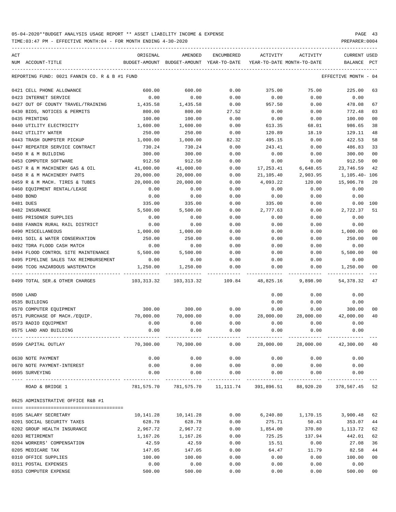| ACT | NUM ACCOUNT-TITLE                             | ORIGINAL<br>BUDGET-AMOUNT BUDGET-AMOUNT YEAR-TO-DATE | AMENDED                   | ENCUMBERED            | ACTIVITY<br>YEAR-TO-DATE MONTH-TO-DATE | ACTIVITY                                                                | <b>CURRENT USED</b><br>BALANCE | PCT            |
|-----|-----------------------------------------------|------------------------------------------------------|---------------------------|-----------------------|----------------------------------------|-------------------------------------------------------------------------|--------------------------------|----------------|
|     | REPORTING FUND: 0021 FANNIN CO. R & B #1 FUND |                                                      |                           |                       |                                        |                                                                         | EFFECTIVE MONTH                | - 04           |
|     | 0421 CELL PHONE ALLOWANCE                     | 600.00                                               | 600.00                    | 0.00                  | 375.00                                 | 75.00                                                                   | 225.00                         | 63             |
|     | 0423 INTERNET SERVICE                         | 0.00                                                 | 0.00                      | 0.00                  | 0.00                                   | 0.00                                                                    | 0.00                           |                |
|     | 0427 OUT OF COUNTY TRAVEL/TRAINING            | 1,435.58                                             | 1,435.58                  | 0.00                  | 957.50                                 | 0.00                                                                    | 478.08                         | 67             |
|     | 0430 BIDS, NOTICES & PERMITS                  | 800.00                                               | 800.00                    | 27.52                 | 0.00                                   | 0.00                                                                    | 772.48                         | 03             |
|     | 0435 PRINTING                                 | 100.00                                               | 100.00                    | 0.00                  | 0.00                                   | 0.00                                                                    | 100.00                         | 0 <sub>0</sub> |
|     | 0440 UTILITY ELECTRICITY                      | 1,600.00                                             | 1,600.00                  | 0.00                  | 613.35                                 | 68.01                                                                   | 986.65                         | 38             |
|     | 0442 UTILITY WATER                            | 250.00                                               | 250.00                    | 0.00                  | 120.89                                 | 18.19                                                                   | 129.11                         | 48             |
|     | 0443 TRASH DUMPSTER PICKUP                    | 1,000.00                                             | 1,000.00                  | 82.32                 | 495.15                                 | 0.00                                                                    | 422.53                         | 58             |
|     | 0447 REPEATER SERVICE CONTRACT                | 730.24                                               | 730.24                    | 0.00                  | 243.41                                 | 0.00                                                                    | 486.83                         | 33             |
|     | 0450 R & M BUILDING                           | 300.00                                               | 300.00                    | 0.00                  | 0.00                                   | 0.00                                                                    | 300.00                         | 0 <sub>0</sub> |
|     | 0453 COMPUTER SOFTWARE                        | 912.50                                               | 912.50                    | 0.00                  | 0.00                                   | 0.00                                                                    | 912.50                         | 0 <sub>0</sub> |
|     | 0457 R & M MACHINERY GAS & OIL                | 41,000.00                                            | 41,000.00                 | 0.00                  | 17,253.41                              | 6,648.65                                                                | 23,746.59                      | 42             |
|     | 0458 R & M MACHINERY PARTS                    | 20,000.00                                            | 20,000.00                 | 0.00                  | 21,105.40                              | 2,903.95                                                                | 1,105.40- 106                  |                |
|     | 0459 R & M MACH. TIRES & TUBES                | 20,000.00                                            | 20,000.00                 | 0.00                  | 4,093.22                               | 120.00                                                                  | 15,906.78                      | 20             |
|     | 0460 EQUIPMENT RENTAL/LEASE                   | 0.00                                                 | 0.00                      | 0.00                  | 0.00                                   | 0.00                                                                    | 0.00                           |                |
|     | 0480 BOND                                     | 0.00                                                 | 0.00                      | 0.00                  | 0.00                                   | 0.00                                                                    | 0.00                           |                |
|     | 0481 DUES                                     | 335.00                                               | 335.00                    | 0.00                  | 335.00                                 | 0.00                                                                    | 0.00                           | 100            |
|     | 0482 INSURANCE                                | 5,500.00                                             | 5,500.00                  | 0.00                  | 2,777.63                               | 0.00                                                                    | 2,722.37                       | 51             |
|     | 0485 PRISONER SUPPLIES                        | 0.00                                                 | 0.00                      | 0.00                  | 0.00                                   | 0.00                                                                    | 0.00                           |                |
|     | 0488 FANNIN RURAL RAIL DISTRICT               | 0.00                                                 | 0.00                      | 0.00                  | 0.00                                   | 0.00                                                                    | 0.00                           |                |
|     | 0490 MISCELLANEOUS                            | 1,000.00                                             | 1,000.00                  | 0.00                  | 0.00                                   | 0.00                                                                    | 1,000.00                       | 00             |
|     | 0491 SOIL & WATER CONSERVATION                | 250.00                                               | 250.00                    | 0.00                  | 0.00                                   | 0.00                                                                    | 250.00                         | 00             |
|     | 0492 TDRA FLOOD CASH MATCH                    | 0.00                                                 | 0.00                      | 0.00                  | 0.00                                   | 0.00                                                                    | 0.00                           |                |
|     | 0494 FLOOD CONTROL SITE MAINTENANCE           | 5,500.00                                             | 5,500.00                  | 0.00                  | 0.00                                   | 0.00                                                                    | 5,500.00                       | 00             |
|     | 0495 PIPELINE SALES TAX REIMBURSEMENT         | 0.00                                                 | 0.00                      | 0.00                  | 0.00                                   | 0.00                                                                    | 0.00                           |                |
|     | 0496 TCOG HAZARDOUS WASTEMATCH                | 1,250.00                                             | 1,250.00                  | 0.00                  | 0.00                                   | 0.00                                                                    | 1,250.00                       | 00             |
|     | 0499 TOTAL SER.& OTHER CHARGES                | 103,313.32                                           | 103,313.32                | 109.84                | 48,825.16                              | 9,898.90                                                                | 54, 378.32                     | 47             |
|     | 0500 LAND                                     |                                                      |                           |                       | 0.00                                   | 0.00                                                                    | 0.00                           |                |
|     | 0535 BUILDING                                 |                                                      |                           |                       | 0.00                                   | 0.00                                                                    | 0.00                           |                |
|     | 0570 COMPUTER EQUIPMENT                       | 300.00                                               | 300.00                    | 0.00                  | 0.00                                   | 0.00                                                                    | 300.00                         | 00             |
|     | 0571 PURCHASE OF MACH./EQUIP.                 | 70,000.00                                            | 70,000.00                 | 0.00                  | 28,000.00                              | 28,000.00                                                               | 42,000.00                      | 40             |
|     | 0573 RADIO EQUIPMENT                          | 0.00                                                 | 0.00                      | 0.00                  | 0.00                                   | 0.00                                                                    | 0.00                           |                |
|     | 0575 LAND AND BUILDING                        | 0.00                                                 | 0.00                      | 0.00                  | 0.00                                   | 0.00                                                                    | 0.00                           |                |
|     | 0599 CAPITAL OUTLAY                           |                                                      |                           |                       |                                        | $70,300.00$ $70,300.00$ $0.00$ $28,000.00$ $28,000.00$ $42,300.00$ $40$ |                                |                |
|     | 0630 NOTE PAYMENT                             | 0.00                                                 | 0.00                      | 0.00                  | 0.00                                   | 0.00                                                                    | 0.00                           |                |
|     | 0670 NOTE PAYMENT-INTEREST                    | 0.00                                                 | 0.00                      | 0.00                  | 0.00                                   | 0.00                                                                    | 0.00                           |                |
|     | 0695 SURVEYING                                | 0.00                                                 | 0.00<br>--------------    | 0.00<br>_____________ | 0.00                                   | 0.00                                                                    | 0.00                           |                |
|     | ROAD & BRIDGE 1                               |                                                      |                           |                       |                                        | 781,575.70 781,575.70 11,111.74 391,896.51 88,920.20 378,567.45 52      |                                |                |
|     | 0625 ADMINISTRATIVE OFFICE R&B #1             |                                                      |                           |                       |                                        |                                                                         |                                |                |
|     |                                               |                                                      |                           |                       |                                        |                                                                         |                                |                |
|     | 0105 SALARY SECRETARY                         |                                                      | 10, 141. 28   10, 141. 28 |                       |                                        | $0.00$ 6,240.80 1,170.15 3,900.48                                       |                                | 62             |
|     | 0201 SOCIAL SECURITY TAXES                    | 628.78                                               | 628.78                    | 0.00                  | 275.71                                 | 50.43                                                                   | 353.07                         | 44             |
|     | 0202 GROUP HEALTH INSURANCE                   | 2,967.72                                             | 2,967.72                  | 0.00                  | 1,854.00                               | 370.80                                                                  | 1,113.72                       | 62             |
|     | 0203 RETIREMENT                               | 1,167.26                                             | 1,167.26                  | 0.00                  | 725.25                                 | 137.94                                                                  | 442.01                         | 62             |
|     | 0204 WORKERS' COMPENSATION                    | 42.59                                                | 42.59                     | 0.00                  | 15.51                                  | 0.00                                                                    | 27.08                          | 36             |
|     | 0205 MEDICARE TAX                             | 147.05                                               | 147.05                    | 0.00                  | 64.47                                  | 11.79                                                                   | 82.58                          | 44             |
|     | 0310 OFFICE SUPPLIES                          | 100.00                                               | 100.00                    | 0.00                  | 0.00                                   | 0.00                                                                    | 100.00                         | 00             |
|     | 0311 POSTAL EXPENSES                          | 0.00                                                 | 0.00                      | 0.00                  | 0.00                                   | 0.00                                                                    | 0.00                           |                |
|     | 0353 COMPUTER EXPENSE                         | 500.00                                               | 500.00                    | 0.00                  | 0.00                                   | 0.00                                                                    | 500.00                         | 00             |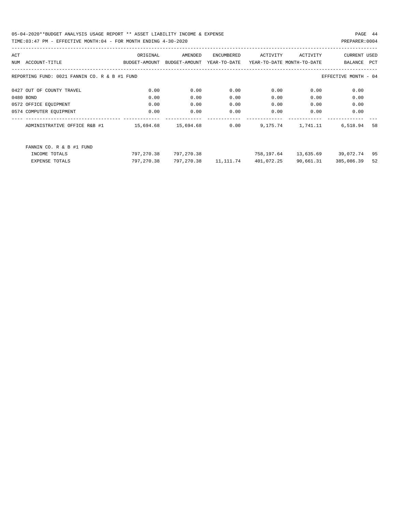05-04-2020\*\*BUDGET ANALYSIS USAGE REPORT \*\* ASSET LIABILITY INCOME & EXPENSE PAGE 44 TIME:03:47 PM - EFFECTIVE MONTH:04 - FOR MONTH ENDING 4-30-2020

| ACT |                                               | ORIGINAL      | AMENDED       | ENCUMBERED   | ACTIVITY   | ACTIVITY                   | <b>CURRENT USED</b>  |     |
|-----|-----------------------------------------------|---------------|---------------|--------------|------------|----------------------------|----------------------|-----|
| NUM | ACCOUNT-TITLE                                 | BUDGET-AMOUNT | BUDGET-AMOUNT | YEAR-TO-DATE |            | YEAR-TO-DATE MONTH-TO-DATE | BALANCE              | PCT |
|     |                                               |               |               |              |            |                            |                      |     |
|     | REPORTING FUND: 0021 FANNIN CO. R & B #1 FUND |               |               |              |            |                            | EFFECTIVE MONTH - 04 |     |
|     | 0427 OUT OF COUNTY TRAVEL                     | 0.00          | 0.00          | 0.00         | 0.00       | 0.00                       | 0.00                 |     |
|     | 0480 BOND                                     | 0.00          | 0.00          | 0.00         | 0.00       | 0.00                       | 0.00                 |     |
|     | 0572 OFFICE EQUIPMENT                         | 0.00          | 0.00          | 0.00         | 0.00       | 0.00                       | 0.00                 |     |
|     | 0574 COMPUTER EOUIPMENT                       | 0.00          | 0.00          | 0.00         | 0.00       | 0.00                       | 0.00                 |     |
|     | ADMINISTRATIVE OFFICE R&B #1                  | 15,694.68     | 15,694.68     | 0.00         | 9,175.74   | 1,741.11                   | 6,518.94             | 58  |
|     | FANNIN CO. R & B #1 FUND                      |               |               |              |            |                            |                      |     |
|     | INCOME TOTALS                                 | 797,270.38    | 797,270.38    |              | 758,197.64 |                            | 13,635.69 39,072.74  | 95  |
|     | EXPENSE TOTALS                                | 797,270.38    | 797,270.38    | 11,111.74    | 401,072.25 | 90,661.31                  | 385,086.39           | 52  |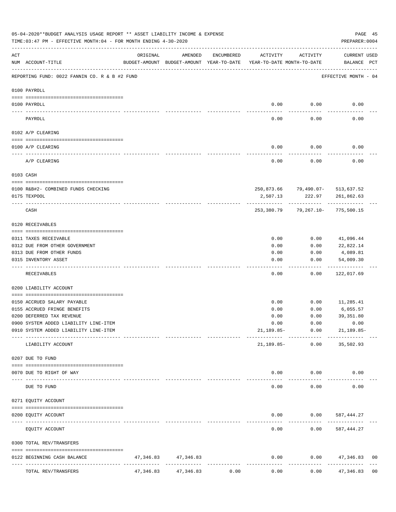|     | 05-04-2020**BUDGET ANALYSIS USAGE REPORT ** ASSET LIABILITY INCOME & EXPENSE<br>PAGE 45<br>TIME: 03:47 PM - EFFECTIVE MONTH: 04 - FOR MONTH ENDING 4-30-2020<br>PREPARER: 0004 |           |                                                     |            |                                        |                      |                                                |                |  |  |  |
|-----|--------------------------------------------------------------------------------------------------------------------------------------------------------------------------------|-----------|-----------------------------------------------------|------------|----------------------------------------|----------------------|------------------------------------------------|----------------|--|--|--|
| ACT | NUM ACCOUNT-TITLE                                                                                                                                                              | ORIGINAL  | AMENDED<br>BUDGET-AMOUNT BUDGET-AMOUNT YEAR-TO-DATE | ENCUMBERED | ACTIVITY<br>YEAR-TO-DATE MONTH-TO-DATE | ACTIVITY             | CURRENT USED<br>BALANCE PCT                    |                |  |  |  |
|     | REPORTING FUND: 0022 FANNIN CO. R & B #2 FUND                                                                                                                                  |           |                                                     |            |                                        |                      | EFFECTIVE MONTH - 04                           |                |  |  |  |
|     | 0100 PAYROLL                                                                                                                                                                   |           |                                                     |            |                                        |                      |                                                |                |  |  |  |
|     | 0100 PAYROLL                                                                                                                                                                   |           |                                                     |            |                                        | $0.00$ 0.00          | 0.00                                           |                |  |  |  |
|     | PAYROLL                                                                                                                                                                        |           |                                                     |            | 0.00                                   | 0.00                 | 0.00                                           |                |  |  |  |
|     | 0102 A/P CLEARING                                                                                                                                                              |           |                                                     |            |                                        |                      |                                                |                |  |  |  |
|     | 0100 A/P CLEARING                                                                                                                                                              |           |                                                     |            | 0.00                                   | 0.00                 | 0.00                                           |                |  |  |  |
|     | A/P CLEARING                                                                                                                                                                   |           |                                                     |            | 0.00                                   | 0.00                 | 0.00                                           |                |  |  |  |
|     | 0103 CASH                                                                                                                                                                      |           |                                                     |            |                                        |                      |                                                |                |  |  |  |
|     |                                                                                                                                                                                |           |                                                     |            |                                        |                      |                                                |                |  |  |  |
|     | 0100 R&B#2- COMBINED FUNDS CHECKING<br>0175 TEXPOOL                                                                                                                            |           |                                                     |            | 2,507.13                               | 222.97               | 250,873.66 79,490.07- 513,637.52<br>261,862.63 |                |  |  |  |
|     | CASH                                                                                                                                                                           |           |                                                     |            | 253,380.79                             | ----------           | 79,267.10- 775,500.15                          |                |  |  |  |
|     | 0120 RECEIVABLES                                                                                                                                                               |           |                                                     |            |                                        |                      |                                                |                |  |  |  |
|     | 0311 TAXES RECEIVABLE                                                                                                                                                          |           |                                                     |            | 0.00                                   | 0.00                 | 41,096.44                                      |                |  |  |  |
|     | 0312 DUE FROM OTHER GOVERNMENT                                                                                                                                                 |           |                                                     |            | 0.00                                   | 0.00                 | 22,822.14                                      |                |  |  |  |
|     | 0313 DUE FROM OTHER FUNDS                                                                                                                                                      |           |                                                     |            | 0.00                                   | 0.00                 | 4,089.81                                       |                |  |  |  |
|     | 0315 INVENTORY ASSET                                                                                                                                                           |           |                                                     |            | 0.00                                   | 0.00                 | 54,009.30<br>----------                        |                |  |  |  |
|     | RECEIVABLES                                                                                                                                                                    |           |                                                     |            | 0.00                                   | 0.00                 | 122,017.69                                     |                |  |  |  |
|     | 0200 LIABILITY ACCOUNT                                                                                                                                                         |           |                                                     |            |                                        |                      |                                                |                |  |  |  |
|     | 0150 ACCRUED SALARY PAYABLE                                                                                                                                                    |           |                                                     |            | 0.00                                   |                      | $0.00$ 11,285.41                               |                |  |  |  |
|     | 0155 ACCRUED FRINGE BENEFITS                                                                                                                                                   |           |                                                     |            | 0.00                                   | 0.00                 | 6,055.57                                       |                |  |  |  |
|     | 0200 DEFERRED TAX REVENUE                                                                                                                                                      |           |                                                     |            | 0.00                                   | 0.00                 | 39, 351.80                                     |                |  |  |  |
|     | 0900 SYSTEM ADDED LIABILITY LINE-ITEM                                                                                                                                          |           |                                                     |            | 0.00                                   | 0.00                 | 0.00                                           |                |  |  |  |
|     | 0910 SYSTEM ADDED LIABILITY LINE-ITEM                                                                                                                                          |           |                                                     |            | $21,189.85-$                           | 0.00<br>------------ | $21, 189.85 -$                                 |                |  |  |  |
|     | LIABILITY ACCOUNT                                                                                                                                                              |           |                                                     |            | 21,189.85-                             | 0.00                 | 35,502.93                                      |                |  |  |  |
|     | 0207 DUE TO FUND                                                                                                                                                               |           |                                                     |            |                                        |                      |                                                |                |  |  |  |
|     | 0070 DUE TO RIGHT OF WAY                                                                                                                                                       |           |                                                     |            | 0.00                                   | 0.00                 | 0.00                                           |                |  |  |  |
|     | -------------------- ------------<br>DUE TO FUND                                                                                                                               |           |                                                     |            | 0.00                                   | 0.00                 | 0.00                                           |                |  |  |  |
|     | 0271 EQUITY ACCOUNT                                                                                                                                                            |           |                                                     |            |                                        |                      |                                                |                |  |  |  |
|     | 0200 EQUITY ACCOUNT                                                                                                                                                            |           |                                                     |            | 0.00                                   |                      | $0.00$ 587,444.27                              |                |  |  |  |
|     | EQUITY ACCOUNT                                                                                                                                                                 |           |                                                     |            | 0.00                                   | 0.00                 | 587,444.27                                     |                |  |  |  |
|     | 0300 TOTAL REV/TRANSFERS                                                                                                                                                       |           |                                                     |            |                                        |                      |                                                |                |  |  |  |
|     | 0122 BEGINNING CASH BALANCE                                                                                                                                                    |           | 47, 346.83 47, 346.83                               |            | 0.00                                   |                      | $0.00$ $47,346.83$                             | 00             |  |  |  |
|     | TOTAL REV/TRANSFERS                                                                                                                                                            | 47,346.83 | --------------<br>47,346.83                         | 0.00       | 0.00                                   | 0.00                 | -----------<br>47,346.83                       | 0 <sub>0</sub> |  |  |  |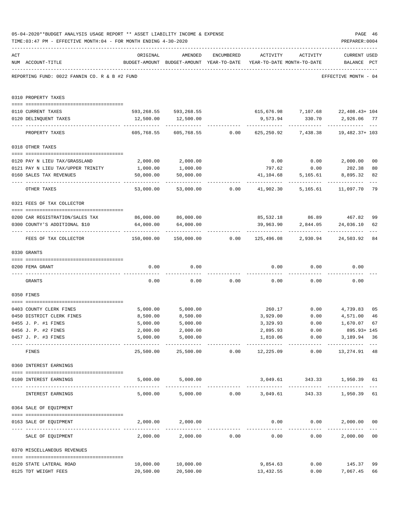|     | 05-04-2020**BUDGET ANALYSIS USAGE REPORT ** ASSET LIABILITY INCOME & EXPENSE<br>TIME: 03:47 PM - EFFECTIVE MONTH: 04 - FOR MONTH ENDING 4-30-2020 |                                             |                                                                                |                                                  |                           |                    | PAGE 46<br>PREPARER: 0004                               |                |
|-----|---------------------------------------------------------------------------------------------------------------------------------------------------|---------------------------------------------|--------------------------------------------------------------------------------|--------------------------------------------------|---------------------------|--------------------|---------------------------------------------------------|----------------|
| ACT | NUM ACCOUNT-TITLE                                                                                                                                 | ORIGINAL                                    | AMENDED<br>BUDGET-AMOUNT BUDGET-AMOUNT YEAR-TO-DATE YEAR-TO-DATE MONTH-TO-DATE | ENCUMBERED                                       |                           | ACTIVITY ACTIVITY  | <b>CURRENT USED</b><br>BALANCE PCT                      |                |
|     | REPORTING FUND: 0022 FANNIN CO. R & B #2 FUND                                                                                                     |                                             |                                                                                |                                                  |                           |                    | EFFECTIVE MONTH - 04                                    |                |
|     | 0310 PROPERTY TAXES                                                                                                                               |                                             |                                                                                |                                                  |                           |                    |                                                         |                |
|     | 0110 CURRENT TAXES                                                                                                                                |                                             |                                                                                |                                                  |                           |                    | 593,268.55 593,268.55 615,676.98 7,107.68 22,408.43+104 |                |
|     | 0120 DELINQUENT TAXES                                                                                                                             |                                             | 12,500.00   12,500.00                                                          |                                                  |                           |                    | 9,573.94 330.70 2,926.06 77                             |                |
|     | PROPERTY TAXES                                                                                                                                    | 605,768.55                                  |                                                                                |                                                  | ------------              | ------------       | 605,768.55 0.00 625,250.92 7,438.38 19,482.37+ 103      |                |
|     | 0318 OTHER TAXES                                                                                                                                  |                                             |                                                                                |                                                  |                           |                    |                                                         |                |
|     |                                                                                                                                                   |                                             |                                                                                |                                                  |                           |                    |                                                         |                |
|     | 0120 PAY N LIEU TAX/GRASSLAND                                                                                                                     | 2,000.00                                    | 2,000.00                                                                       |                                                  |                           |                    | $0.00$ $0.00$ $2,000.00$                                | 0 <sub>0</sub> |
|     | 0121 PAY N LIEU TAX/UPPER TRINITY                                                                                                                 | 1,000.00                                    | 1,000.00                                                                       |                                                  | 797.62                    | 0.00               | 202.38                                                  | 80             |
|     | 0160 SALES TAX REVENUES                                                                                                                           | 50,000.00<br>---------                      | 50,000.00                                                                      |                                                  |                           | 41,104.68 5,165.61 | 8,895.32                                                | 82             |
|     | OTHER TAXES                                                                                                                                       | 53,000.00                                   |                                                                                |                                                  |                           |                    |                                                         | 79             |
|     | 0321 FEES OF TAX COLLECTOR                                                                                                                        |                                             |                                                                                |                                                  |                           |                    |                                                         |                |
|     | 0200 CAR REGISTRATION/SALES TAX                                                                                                                   | 86,000.00 86,000.00                         |                                                                                |                                                  |                           |                    | 85,532.18 86.89 467.82                                  |                |
|     | 0300 COUNTY'S ADDITIONAL \$10                                                                                                                     | 64,000.00                                   | 64,000.00                                                                      |                                                  | 39,963.90                 | 2,844.05           | 24,036.10                                               | 99<br>62       |
|     | FEES OF TAX COLLECTOR                                                                                                                             | 150,000.00                                  |                                                                                |                                                  | -------------             | ------------       | --------------                                          |                |
|     | 0330 GRANTS                                                                                                                                       |                                             |                                                                                |                                                  |                           |                    |                                                         |                |
|     |                                                                                                                                                   |                                             |                                                                                |                                                  |                           |                    |                                                         |                |
|     | 0200 FEMA GRANT                                                                                                                                   | 0.00                                        | 0.00                                                                           |                                                  |                           | $0.00$ $0.00$      | 0.00                                                    |                |
|     | GRANTS                                                                                                                                            | 0.00                                        |                                                                                | $0.00$ 0.00                                      |                           | 0.00               | 0.00<br>0.00                                            |                |
|     | 0350 FINES                                                                                                                                        |                                             |                                                                                |                                                  |                           |                    |                                                         |                |
|     | 0403 COUNTY CLERK FINES                                                                                                                           | 5,000.00                                    | 5,000.00                                                                       |                                                  |                           |                    | 260.17 0.00 4,739.83                                    | 0 <sub>5</sub> |
|     | 0450 DISTRICT CLERK FINES                                                                                                                         | 8,500.00                                    | 8,500.00                                                                       |                                                  | 3,929.00                  | 0.00               | 4,571.00                                                | 46             |
|     | 0455 J. P. #1 FINES                                                                                                                               | 5,000.00                                    | 5,000.00                                                                       |                                                  | 3,329.93                  | 0.00               | 1,670.07 67                                             |                |
|     | 0456 J. P. #2 FINES                                                                                                                               | 2,000.00                                    | 2,000.00                                                                       |                                                  | 2,895.93                  | 0.00               | 895.93+ 145                                             |                |
|     | 0457 J. P. #3 FINES                                                                                                                               | 5,000.00<br>----------------- ------------- | 5,000.00<br>.                                                                  |                                                  | 1,810.06<br>------------- | ------------       | 0.00<br>3,189.94 36<br>-------------                    |                |
|     | FINES                                                                                                                                             | 25,500.00                                   |                                                                                |                                                  | 25,500.00 0.00 12,225.09  | 0.00               | 13,274.91                                               | 48             |
|     | 0360 INTEREST EARNINGS                                                                                                                            |                                             |                                                                                |                                                  |                           |                    |                                                         |                |
|     | 0100 INTEREST EARNINGS                                                                                                                            |                                             | 5,000.00 5,000.00                                                              |                                                  |                           |                    | 3,049.61 343.33 1,950.39 61                             |                |
|     | INTEREST EARNINGS                                                                                                                                 |                                             | 5,000.00 5,000.00 0.00 3,049.61                                                |                                                  |                           |                    | 343.33 1,950.39                                         | $---$<br>61    |
|     | 0364 SALE OF EQUIPMENT                                                                                                                            |                                             |                                                                                |                                                  |                           |                    |                                                         |                |
|     | --------------------------------------<br>0163 SALE OF EQUIPMENT                                                                                  |                                             | 2,000.00 2,000.00                                                              |                                                  |                           | $0.00$ $0.00$      | 2,000.00<br>-------------                               | 0 <sub>0</sub> |
|     | SALE OF EQUIPMENT                                                                                                                                 | 2,000.00                                    |                                                                                | -------------------------------<br>2,000.00 0.00 | 0.00                      |                    | 0.00<br>2,000.00                                        | 0 <sub>0</sub> |
|     | 0370 MISCELLANEOUS REVENUES                                                                                                                       |                                             |                                                                                |                                                  |                           |                    |                                                         |                |
|     | 0120 STATE LATERAL ROAD                                                                                                                           | 10,000.00                                   | 10,000.00                                                                      |                                                  | 9,854.63                  |                    | $0.00$ 145.37                                           | 99             |
|     | 0125 TDT WEIGHT FEES                                                                                                                              | 20,500.00                                   | 20,500.00                                                                      |                                                  | 13,432.55                 |                    | 0.00<br>7,067.45                                        | 66             |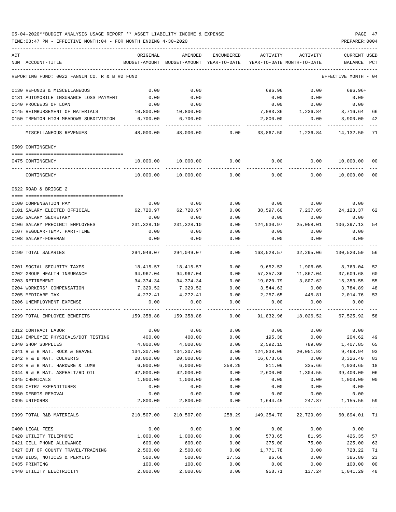### 05-04-2020\*\*BUDGET ANALYSIS USAGE REPORT \*\* ASSET LIABILITY INCOME & EXPENSE PAGE 47 TIME:03:47 PM - EFFECTIVE MONTH:04 - FOR MONTH ENDING 4-30-2020 PREPARER:0004

| ACT<br>NUM ACCOUNT-TITLE                      | ORIGINAL   | AMENDED<br>BUDGET-AMOUNT BUDGET-AMOUNT YEAR-TO-DATE | ENCUMBERED   | ACTIVITY<br>YEAR-TO-DATE MONTH-TO-DATE | ACTIVITY                    | <b>CURRENT USED</b><br>BALANCE | PCT    |
|-----------------------------------------------|------------|-----------------------------------------------------|--------------|----------------------------------------|-----------------------------|--------------------------------|--------|
|                                               |            |                                                     |              |                                        |                             |                                |        |
| REPORTING FUND: 0022 FANNIN CO. R & B #2 FUND |            |                                                     |              |                                        |                             | EFFECTIVE MONTH - 04           |        |
| 0130 REFUNDS & MISCELLANEOUS                  | 0.00       | 0.00                                                |              | 696.96                                 | 0.00                        | 696.96+                        |        |
| 0131 AUTOMOBILE INSURANCE LOSS PAYMENT        | 0.00       | 0.00                                                |              | 0.00                                   | 0.00                        | 0.00                           |        |
| 0140 PROCEEDS OF LOAN                         | 0.00       | 0.00                                                |              | 0.00                                   | 0.00                        | 0.00                           |        |
| 0145 REIMBURSEMENT OF MATERIALS               | 10,800.00  | 10,800.00                                           |              | 7,083.36                               | 1,236.84 3,716.64           |                                | 66     |
| 0150 TRENTON HIGH MEADOWS SUBDIVISION         | 6,700.00   | 6,700.00                                            |              | 2,800.00                               | 0.00                        | 3,900.00                       | 42     |
| MISCELLANEOUS REVENUES                        | 48,000.00  | 48,000.00                                           | 0.00         | 33,867.50                              | 1,236.84                    | 14,132.50                      | - 71   |
| 0509 CONTINGENCY                              |            |                                                     |              |                                        |                             |                                |        |
|                                               |            |                                                     |              |                                        |                             |                                |        |
| 0475 CONTINGENCY                              | 10,000.00  | 10,000.00                                           | 0.00         | 0.00                                   | 0.00                        | 10,000.00 00                   |        |
| CONTINGENCY                                   | 10,000.00  | 10,000.00                                           | 0.00         | 0.00                                   | 0.00                        | 10,000.00                      | - 00   |
| 0622 ROAD & BRIDGE 2                          |            |                                                     |              |                                        |                             |                                |        |
| 0100 COMPENSATION PAY                         | 0.00       | 0.00                                                | 0.00         | 0.00                                   | 0.00                        | 0.00                           |        |
| 0101 SALARY ELECTED OFFICIAL                  | 62,720.97  | 62,720.97                                           | 0.00         | 38,597.60                              | 7, 237.05 24, 123.37        |                                | 62     |
| 0105 SALARY SECRETARY                         | 0.00       | 0.00                                                | 0.00         | 0.00                                   | 0.00                        | 0.00                           |        |
| 0106 SALARY PRECINCT EMPLOYEES                | 231,328.10 | 231,328.10                                          | 0.00         | 124,930.97                             | 25,058.01                   | 106,397.13                     | 54     |
| 0107 REGULAR-TEMP. PART-TIME                  | 0.00       | 0.00                                                | 0.00         | 0.00                                   | 0.00                        | 0.00                           |        |
| 0108 SALARY-FOREMAN                           | 0.00       | 0.00                                                | 0.00         | 0.00                                   | 0.00                        | 0.00                           |        |
| 0199 TOTAL SALARIES                           | 294,049.07 | 294,049.07                                          | 0.00         | 163,528.57                             | 32,295.06                   | 130,520.50                     | 56     |
| 0201 SOCIAL SECURITY TAXES                    | 18,415.57  | 18,415.57                                           | 0.00         | 9,652.53                               | 1,906.05                    | 8,763.04                       | 52     |
| 0202 GROUP HEALTH INSURANCE                   | 94,967.04  | 94,967.04                                           | 0.00         | 57,357.36                              | 11,867.04                   | 37,609.68                      | 60     |
| 0203 RETIREMENT                               | 34,374.34  | 34, 374. 34                                         | 0.00         | 19,020.79                              | 3,807.62                    | 15,353.55                      | 55     |
| 0204 WORKERS' COMPENSATION                    | 7,329.52   | 7,329.52                                            | 0.00         | 3,544.63                               | 0.00                        | 3,784.89                       | 48     |
| 0205 MEDICARE TAX                             | 4,272.41   | 4,272.41                                            | 0.00         | 2,257.65                               | 445.81                      | 2,014.76                       | 53     |
| 0206 UNEMPLOYMENT EXPENSE                     | 0.00       | 0.00                                                | 0.00         | 0.00                                   | 0.00                        | 0.00                           |        |
| 0299 TOTAL EMPLOYEE BENEFITS                  | 159,358.88 | 159,358.88                                          | 0.00         | 91,832.96                              | 18,026.52                   | 67,525.92 58                   |        |
| 0312 CONTRACT LABOR                           | 0.00       | 0.00                                                | 0.00         |                                        | $0.00$ 0.00                 | 0.00                           |        |
| 0314 EMPLOYEE PHYSICALS/DOT TESTING           | 400.00     | 400.00                                              | 0.00         | 195.38                                 | 0.00                        | 204.62                         | 49     |
| 0340 SHOP SUPPLIES                            | 4,000.00   | 4,000.00                                            | 0.00         | 2,592.15                               | 789.09                      | 1,407.85                       | 65     |
| 0341 R & B MAT. ROCK & GRAVEL                 | 134,307.00 | 134,307.00                                          | 0.00         | 124,838.06                             | 20,051.92                   | 9,468.94                       | 93     |
| 0342 R & B MAT. CULVERTS                      | 20,000.00  | 20,000.00                                           | 0.00         | 16,673.60                              | 0.00                        | 3,326.40                       | 83     |
| 0343 R & B MAT. HARDWRE & LUMB                | 6,000.00   | 6,000.00                                            | 258.29       | 811.06                                 | 335.66                      | 4,930.65                       | 18     |
| 0344 R & B MAT. ASPHALT/RD OIL                | 42,000.00  | 42,000.00                                           | 0.00         | 2,600.00                               | 1,304.55                    | 39,400.00                      | 06     |
| 0345 CHEMICALS                                | 1,000.00   | 1,000.00                                            | 0.00         | 0.00                                   | 0.00                        | 1,000.00                       | $00\,$ |
| 0346 CETRZ EXPENDITURES                       | 0.00       | 0.00                                                | 0.00         | 0.00                                   | 0.00                        | 0.00                           |        |
| 0350 DEBRIS REMOVAL                           | 0.00       | 0.00                                                | 0.00         | 0.00                                   | 0.00                        | 0.00                           |        |
| 0395 UNIFORMS                                 | 2,800.00   | 2,800.00                                            | 0.00         | 1,644.45                               | 247.87                      | 1,155.55 59                    |        |
| 0399 TOTAL R&B MATERIALS                      |            | -------------<br>210,507.00 210,507.00              | ------------ |                                        | 258.29 149,354.70 22,729.09 | 60,894.01 71                   |        |
| 0400 LEGAL FEES                               | 0.00       | 0.00                                                | 0.00         | 0.00                                   | 0.00                        | 0.00                           |        |
| 0420 UTILITY TELEPHONE                        | 1,000.00   | 1,000.00                                            | 0.00         | 573.65                                 | 81.95                       | 426.35                         | 57     |
| 0421 CELL PHONE ALLOWANCE                     | 600.00     | 600.00                                              | 0.00         | 375.00                                 | 75.00                       | 225.00                         | 63     |
| 0427 OUT OF COUNTY TRAVEL/TRAINING 2,500.00   |            | 2,500.00                                            | 0.00         | 1,771.78                               | 0.00                        | 728.22                         | 71     |
| 0430 BIDS, NOTICES & PERMITS                  | 500.00     | 500.00                                              | 27.52        | 86.68                                  | 0.00                        | 385.80                         | 23     |
| 0435 PRINTING                                 | 100.00     | 100.00                                              | 0.00         | 0.00                                   | 0.00                        | 100.00                         | $00\,$ |
| 0440 UTILITY ELECTRICITY                      | 2,000.00   | 2,000.00                                            | 0.00         | 958.71                                 | 137.24                      | 1,041.29                       | 48     |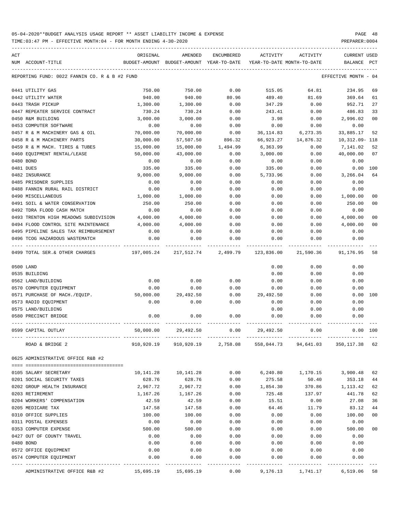TIME:03:47 PM - EFFECTIVE MONTH:04 - FOR MONTH ENDING 4-30-2020 PREPARER:0004

| ACT |                                               | ORIGINAL      | AMENDED                        | ENCUMBERED | ACTIVITY   | ACTIVITY                   | <b>CURRENT USED</b>  |                |
|-----|-----------------------------------------------|---------------|--------------------------------|------------|------------|----------------------------|----------------------|----------------|
|     | NUM ACCOUNT-TITLE                             | BUDGET-AMOUNT | BUDGET-AMOUNT YEAR-TO-DATE     |            |            | YEAR-TO-DATE MONTH-TO-DATE | BALANCE              | PCT            |
|     | REPORTING FUND: 0022 FANNIN CO. R & B #2 FUND |               |                                |            |            |                            | EFFECTIVE MONTH - 04 |                |
|     | 0441 UTILITY GAS                              | 750.00        | 750.00                         | 0.00       | 515.05     | 64.81                      | 234.95               | 69             |
|     | 0442 UTILITY WATER                            | 940.00        | 940.00                         | 80.96      | 489.40     | 81.69                      | 369.64               | 61             |
|     | 0443 TRASH PICKUP                             | 1,300.00      | 1,300.00                       | 0.00       | 347.29     | 0.00                       | 952.71               | 27             |
|     | 0447 REPEATER SERVICE CONTRACT                | 730.24        | 730.24                         | 0.00       | 243.41     | 0.00                       | 486.83               | 33             |
|     | 0450 R&M BUILDING                             | 3,000.00      | 3,000.00                       | 0.00       | 3.98       | 0.00                       | 2,996.02             | 0 <sub>0</sub> |
|     | 0453 COMPUTER SOFTWARE                        | 0.00          | 0.00                           | 0.00       | 0.00       | 0.00                       | 0.00                 |                |
|     | 0457 R & M MACHINERY GAS & OIL                | 70,000.00     | 70,000.00                      | 0.00       | 36,114.83  | 6,273.35                   | 33,885.17            | 52             |
|     | 0458 R & M MACHINERY PARTS                    | 30,000.00     | 57,507.50                      | 896.32     | 66,923.27  | 14,876.32                  | 10,312.09-118        |                |
|     | 0459 R & M MACH. TIRES & TUBES                | 15,000.00     | 15,000.00                      | 1,494.99   | 6,363.99   | 0.00                       | 7,141.02             | 52             |
|     | 0460 EQUIPMENT RENTAL/LEASE                   | 50,000.00     | 43,000.00                      | 0.00       | 3,000.00   | 0.00                       | 40,000.00            | 07             |
|     | 0480 BOND                                     | 0.00          | 0.00                           | 0.00       | 0.00       | 0.00                       | 0.00                 |                |
|     | 0481 DUES                                     | 335.00        | 335.00                         | 0.00       | 335.00     | 0.00                       | 0.00 100             |                |
|     | 0482 INSURANCE                                | 9,000.00      | 9,000.00                       | 0.00       | 5,733.96   | 0.00                       | 3,266.04             | 64             |
|     | 0485 PRISONER SUPPLIES                        | 0.00          | 0.00                           | 0.00       | 0.00       | 0.00                       | 0.00                 |                |
|     | 0488 FANNIN RURAL RAIL DISTRICT               | 0.00          | 0.00                           | 0.00       | 0.00       | 0.00                       | 0.00                 |                |
|     | 0490 MISCELLANEOUS                            | 1,000.00      | 1,000.00                       | 0.00       | 0.00       | 0.00                       | 1,000.00             | 00             |
|     | 0491 SOIL & WATER CONSERVATION                | 250.00        | 250.00                         | 0.00       | 0.00       | 0.00                       | 250.00               | 00             |
|     | 0492 TDRA FLOOD CASH MATCH                    | 0.00          | 0.00                           | 0.00       | 0.00       | 0.00                       | 0.00                 |                |
|     | 0493 TRENTON HIGH MEADOWS SUBDIVISION         | 4,000.00      | 4,000.00                       | 0.00       | 0.00       | 0.00                       | 4,000.00             | 0 <sub>0</sub> |
|     | 0494 FLOOD CONTROL SITE MAINTENANCE           | 4,000.00      | 4,000.00                       | 0.00       | 0.00       | 0.00                       | 4,000.00             | 0 <sub>0</sub> |
|     | 0495 PIPELINE SALES TAX REIMBURSEMENT         | 0.00          | 0.00                           | 0.00       | 0.00       | 0.00                       | 0.00                 |                |
|     | 0496 TCOG HAZARDOUS WASTEMATCH                | 0.00          | 0.00                           | 0.00       | 0.00       | 0.00                       | 0.00                 |                |
|     | 0499 TOTAL SER.& OTHER CHARGES                |               | 197,005.24 217,512.74 2,499.79 |            | 123,836.00 | 21,590.36                  | 91,176.95            | 58             |
|     | 0500 LAND                                     |               |                                |            | 0.00       | 0.00                       | 0.00                 |                |
|     | 0535 BUILDING                                 |               |                                |            | 0.00       | 0.00                       | 0.00                 |                |
|     | 0562 LAND/BUILDING                            | 0.00          | 0.00                           | 0.00       | 0.00       | 0.00                       | 0.00                 |                |
|     | 0570 COMPUTER EQUIPMENT                       | 0.00          | 0.00                           | 0.00       | 0.00       | 0.00                       | 0.00                 |                |
|     | 0571 PURCHASE OF MACH./EQUIP.                 | 50,000.00     | 29,492.50                      | 0.00       | 29,492.50  | 0.00                       | 0.00 100             |                |
|     | 0573 RADIO EQUIPMENT                          | 0.00          | 0.00                           | 0.00       | 0.00       | 0.00                       | 0.00                 |                |
|     | 0575 LAND/BUILDING                            |               |                                |            | 0.00       | 0.00                       | 0.00                 |                |
|     | 0580 PRECINCT BRIDGE                          | 0.00          | 0.00                           | 0.00       | 0.00       | 0.00                       | 0.00                 |                |
|     | 0599 CAPITAL OUTLAY                           | 50,000.00     | 29,492.50                      | 0.00       | 29,492.50  | 0.00                       | 0.00 100             |                |
|     | ROAD & BRIDGE 2                               | 910,920.19    | 910,920.19                     | 2,758.08   | 558,044.73 | 94,641.03                  | 350,117.38           | 62             |
|     | 0625 ADMINISTRATIVE OFFICE R&B #2             |               |                                |            |            |                            |                      |                |
|     |                                               |               |                                |            |            |                            |                      |                |
|     | 0105 SALARY SECRETARY                         | 10,141.28     | 10,141.28                      | 0.00       | 6,240.80   | 1,170.15                   | 3,900.48             | 62             |
|     | 0201 SOCIAL SECURITY TAXES                    | 628.76        | 628.76                         | 0.00       | 275.58     | 50.40                      | 353.18               | 44             |
|     | 0202 GROUP HEALTH INSURANCE                   | 2,967.72      | 2,967.72                       | 0.00       | 1,854.30   | 370.86                     | 1,113.42             | 62             |
|     | 0203 RETIREMENT                               | 1,167.26      | 1,167.26                       | 0.00       | 725.48     | 137.97                     | 441.78               | 62             |
|     | 0204 WORKERS' COMPENSATION                    | 42.59         | 42.59                          | 0.00       | 15.51      | 0.00                       | 27.08                | 36             |
|     | 0205 MEDICARE TAX                             | 147.58        | 147.58                         | 0.00       | 64.46      | 11.79                      | 83.12                | 44             |
|     | 0310 OFFICE SUPPLIES                          | 100.00        | 100.00                         | 0.00       | 0.00       | 0.00                       | 100.00               | 0 <sub>0</sub> |
|     | 0311 POSTAL EXPENSES                          | 0.00          | 0.00                           | 0.00       | 0.00       | 0.00                       | 0.00                 |                |
|     | 0353 COMPUTER EXPENSE                         | 500.00        | 500.00                         | 0.00       | 0.00       | 0.00                       | 500.00               | 0 <sub>0</sub> |
|     | 0427 OUT OF COUNTY TRAVEL                     | 0.00          | 0.00                           | 0.00       | 0.00       | 0.00                       | 0.00                 |                |
|     | 0480 BOND                                     | 0.00          | 0.00                           | 0.00       | 0.00       | 0.00                       | 0.00                 |                |
|     | 0572 OFFICE EQUIPMENT                         | 0.00          | 0.00                           | 0.00       | 0.00       | 0.00                       | 0.00                 |                |
|     | 0574 COMPUTER EQUIPMENT                       | 0.00          | 0.00                           | 0.00       | 0.00       | 0.00                       | 0.00                 |                |
|     |                                               |               |                                |            |            |                            |                      |                |

ADMINISTRATIVE OFFICE R&B #2 15,695.19 15,695.19 0.00 9,176.13 1,741.17 6,519.06 58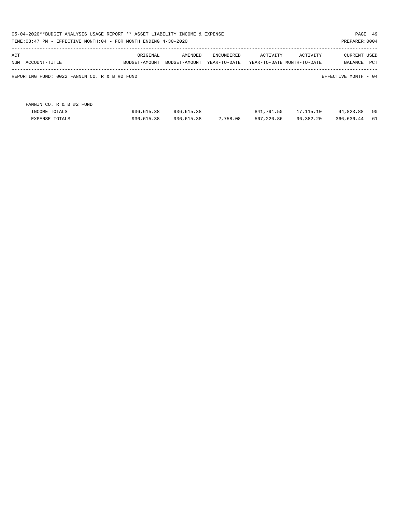| 05-04-2020**BUDGET ANALYSIS USAGE REPORT ** ASSET LIABILITY INCOME & EXPENSE<br>PAGE 49<br>TIME:03:47 PM - EFFECTIVE MONTH:04 - FOR MONTH ENDING 4-30-2020<br>PREPARER: 0004 |                           |                          |                            |            |                                        |                                |     |  |  |  |
|------------------------------------------------------------------------------------------------------------------------------------------------------------------------------|---------------------------|--------------------------|----------------------------|------------|----------------------------------------|--------------------------------|-----|--|--|--|
| ACT<br>ACCOUNT-TITLE<br>NUM                                                                                                                                                  | ORIGINAL<br>BUDGET-AMOUNT | AMENDED<br>BUDGET-AMOUNT | ENCUMBERED<br>YEAR-TO-DATE | ACTIVITY   | ACTIVITY<br>YEAR-TO-DATE MONTH-TO-DATE | <b>CURRENT USED</b><br>BALANCE | PCT |  |  |  |
| REPORTING FUND: 0022 FANNIN CO. R & B #2 FUND                                                                                                                                |                           |                          |                            |            |                                        | EFFECTIVE MONTH - 04           |     |  |  |  |
|                                                                                                                                                                              |                           |                          |                            |            |                                        |                                |     |  |  |  |
| FANNIN CO. R & B #2 FUND                                                                                                                                                     |                           |                          |                            |            |                                        |                                |     |  |  |  |
| INCOME TOTALS                                                                                                                                                                | 936,615.38                | 936,615.38               |                            | 841,791.50 | 17,115.10                              | 94,823.88                      | 90  |  |  |  |
| <b>EXPENSE TOTALS</b>                                                                                                                                                        | 936,615.38                | 936,615.38               | 2,758.08                   | 567,220.86 | 96,382.20                              | 366,636.44                     | 61  |  |  |  |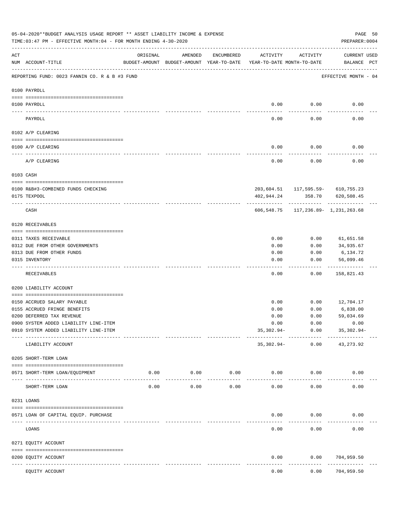|           | 05-04-2020**BUDGET ANALYSIS USAGE REPORT ** ASSET LIABILITY INCOME & EXPENSE<br>TIME: 03:47 PM - EFFECTIVE MONTH: 04 - FOR MONTH ENDING 4-30-2020 |                                                                                 |                     |               |              |                      | PREPARER: 0004                      | PAGE 50 |
|-----------|---------------------------------------------------------------------------------------------------------------------------------------------------|---------------------------------------------------------------------------------|---------------------|---------------|--------------|----------------------|-------------------------------------|---------|
| ACT       | NUM ACCOUNT-TITLE                                                                                                                                 | ORIGINAL<br>BUDGET-AMOUNT BUDGET-AMOUNT YEAR-TO-DATE YEAR-TO-DATE MONTH-TO-DATE | AMENDED             | ENCUMBERED    | ACTIVITY     | ACTIVITY             | CURRENT USED<br>BALANCE PCT         |         |
|           | REPORTING FUND: 0023 FANNIN CO. R & B #3 FUND                                                                                                     |                                                                                 |                     |               |              |                      | EFFECTIVE MONTH - 04                |         |
|           | 0100 PAYROLL                                                                                                                                      |                                                                                 |                     |               |              |                      |                                     |         |
|           | 0100 PAYROLL                                                                                                                                      |                                                                                 |                     |               |              | $0.00$ 0.00          | 0.00                                |         |
| ---- ---- | PAYROLL                                                                                                                                           |                                                                                 |                     |               | 0.00         | 0.00                 | 0.00                                |         |
|           | 0102 A/P CLEARING                                                                                                                                 |                                                                                 |                     |               |              |                      |                                     |         |
|           | 0100 A/P CLEARING                                                                                                                                 |                                                                                 |                     |               | 0.00         | 0.00                 | 0.00                                |         |
|           | A/P CLEARING                                                                                                                                      |                                                                                 |                     |               | 0.00         | 0.00                 | 0.00                                |         |
|           | 0103 CASH                                                                                                                                         |                                                                                 |                     |               |              |                      |                                     |         |
|           |                                                                                                                                                   |                                                                                 |                     |               |              |                      |                                     |         |
|           | 0100 R&B#3-COMBINED FUNDS CHECKING                                                                                                                |                                                                                 |                     |               |              |                      | 203,604.51  117,595.59-  610,755.23 |         |
|           | 0175 TEXPOOL                                                                                                                                      |                                                                                 |                     |               | 402,944.24   | .                    | 358.70 620,508.45                   |         |
|           | CASH                                                                                                                                              |                                                                                 |                     |               |              |                      | 606,548.75 117,236.89- 1,231,263.68 |         |
|           | 0120 RECEIVABLES                                                                                                                                  |                                                                                 |                     |               |              |                      |                                     |         |
|           | 0311 TAXES RECEIVABLE                                                                                                                             |                                                                                 |                     |               | 0.00         | 0.00                 | 61,651.58                           |         |
|           | 0312 DUE FROM OTHER GOVERNMENTS                                                                                                                   |                                                                                 |                     |               | 0.00         | 0.00                 | 34,935.67                           |         |
|           | 0313 DUE FROM OTHER FUNDS                                                                                                                         |                                                                                 |                     |               | 0.00         | 0.00                 | 6,134.72                            |         |
|           | 0315 INVENTORY                                                                                                                                    |                                                                                 |                     |               | 0.00         | 0.00                 | 56,099.46                           |         |
|           |                                                                                                                                                   |                                                                                 |                     |               |              |                      | ----------                          |         |
|           | RECEIVABLES                                                                                                                                       |                                                                                 |                     |               | 0.00         | 0.00                 | 158,821.43                          |         |
|           | 0200 LIABILITY ACCOUNT                                                                                                                            |                                                                                 |                     |               |              |                      |                                     |         |
|           | 0150 ACCRUED SALARY PAYABLE                                                                                                                       |                                                                                 |                     |               | 0.00         |                      | $0.00$ 12,704.17                    |         |
|           | 0155 ACCRUED FRINGE BENEFITS                                                                                                                      |                                                                                 |                     |               | 0.00         | 0.00                 | 6,838.00                            |         |
|           | 0200 DEFERRED TAX REVENUE                                                                                                                         |                                                                                 |                     |               | 0.00         | 0.00                 | 59,034.69                           |         |
|           | 0900 SYSTEM ADDED LIABILITY LINE-ITEM                                                                                                             |                                                                                 |                     |               | 0.00         | 0.00                 | 0.00                                |         |
|           | 0910 SYSTEM ADDED LIABILITY LINE-ITEM                                                                                                             |                                                                                 |                     |               | $35,302.94-$ | 0.00                 | $35,302.94-$                        |         |
|           | LIABILITY ACCOUNT                                                                                                                                 |                                                                                 |                     |               | 35,302.94-   | ------------<br>0.00 | 43, 273.92                          |         |
|           | 0205 SHORT-TERM LOAN                                                                                                                              |                                                                                 |                     |               |              |                      |                                     |         |
|           | 0571 SHORT-TERM LOAN/EQUIPMENT                                                                                                                    | 0.00                                                                            | 0.00                | 0.00          | 0.00         | 0.00                 | 0.00                                |         |
|           | SHORT-TERM LOAN                                                                                                                                   | 0.00                                                                            | $- - - - -$<br>0.00 | -----<br>0.00 | 0.00         | 0.00                 | 0.00                                |         |
|           | 0231 LOANS                                                                                                                                        |                                                                                 |                     |               |              |                      |                                     |         |
|           |                                                                                                                                                   |                                                                                 |                     |               |              |                      |                                     |         |
|           | 0571 LOAN OF CAPITAL EQUIP. PURCHASE                                                                                                              |                                                                                 |                     |               | 0.00         | 0.00                 | 0.00                                |         |
|           | LOANS                                                                                                                                             |                                                                                 |                     |               | 0.00         | 0.00                 | 0.00                                |         |
|           | 0271 EQUITY ACCOUNT                                                                                                                               |                                                                                 |                     |               |              |                      |                                     |         |
|           | 0200 EQUITY ACCOUNT<br>---- -----------                                                                                                           |                                                                                 |                     |               | 0.00         | 0.00                 | 704,959.50<br>---------             |         |
|           | EQUITY ACCOUNT                                                                                                                                    |                                                                                 |                     |               | 0.00         | 0.00                 | 704,959.50                          |         |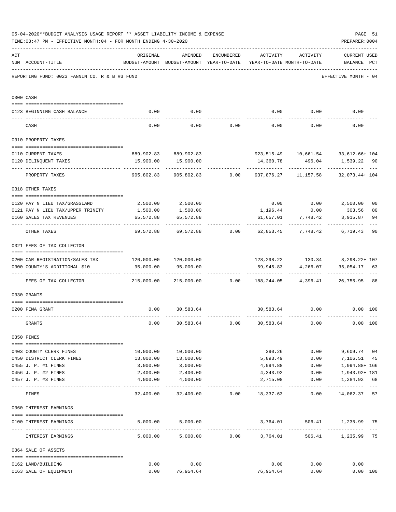|     | 05-04-2020**BUDGET ANALYSIS USAGE REPORT ** ASSET LIABILITY INCOME & EXPENSE<br>PAGE 51<br>PREPARER: 0004<br>TIME: 03:47 PM - EFFECTIVE MONTH: 04 - FOR MONTH ENDING 4-30-2020 |                                                                         |                                                                                |                                    |                              |                                     |                                                                       |                      |  |  |  |
|-----|--------------------------------------------------------------------------------------------------------------------------------------------------------------------------------|-------------------------------------------------------------------------|--------------------------------------------------------------------------------|------------------------------------|------------------------------|-------------------------------------|-----------------------------------------------------------------------|----------------------|--|--|--|
| ACT | NUM ACCOUNT-TITLE                                                                                                                                                              | ORIGINAL                                                                | AMENDED<br>BUDGET-AMOUNT BUDGET-AMOUNT YEAR-TO-DATE YEAR-TO-DATE MONTH-TO-DATE |                                    | ENCUMBERED ACTIVITY ACTIVITY |                                     | <b>CURRENT USED</b><br>BALANCE PCT                                    |                      |  |  |  |
|     | REPORTING FUND: 0023 FANNIN CO. R & B #3 FUND                                                                                                                                  |                                                                         |                                                                                |                                    |                              |                                     | EFFECTIVE MONTH - 04                                                  |                      |  |  |  |
|     | 0300 CASH                                                                                                                                                                      |                                                                         |                                                                                |                                    |                              |                                     |                                                                       |                      |  |  |  |
|     | 0123 BEGINNING CASH BALANCE                                                                                                                                                    | 0.00                                                                    | 0.00                                                                           |                                    |                              |                                     | $0.00$ $0.00$ $0.00$ $0.00$                                           |                      |  |  |  |
|     | CASH                                                                                                                                                                           | 0.00                                                                    |                                                                                | $0.00$ $0.00$ $0.00$ $0.00$ $0.00$ |                              |                                     | 0.00                                                                  |                      |  |  |  |
|     | 0310 PROPERTY TAXES                                                                                                                                                            |                                                                         |                                                                                |                                    |                              |                                     |                                                                       |                      |  |  |  |
|     |                                                                                                                                                                                |                                                                         |                                                                                |                                    |                              |                                     |                                                                       |                      |  |  |  |
|     | 0110 CURRENT TAXES                                                                                                                                                             |                                                                         | 889,902.83 889,902.83                                                          |                                    |                              |                                     | 923, 515.49   10, 661.54   33, 612.66+ 104                            |                      |  |  |  |
|     | 0120 DELINQUENT TAXES                                                                                                                                                          |                                                                         | 15,900.00   15,900.00<br>_____________                                         |                                    |                              |                                     | 14,360.78 496.04 1,539.22 90<br>------------ ---                      |                      |  |  |  |
|     | PROPERTY TAXES                                                                                                                                                                 | 905,802.83                                                              |                                                                                |                                    |                              |                                     | 905,802.83 0.00 937,876.27 11,157.58 32,073.44+ 104                   |                      |  |  |  |
|     | 0318 OTHER TAXES                                                                                                                                                               |                                                                         |                                                                                |                                    |                              |                                     |                                                                       |                      |  |  |  |
|     |                                                                                                                                                                                |                                                                         |                                                                                |                                    |                              |                                     | $0.00$ $0.00$ $2,500.00$                                              |                      |  |  |  |
|     | 0120 PAY N LIEU TAX/GRASSLAND 2,500.00 2,500.00<br>0121 PAY N LIEU TAX/UPPER TRINITY 1,500.00                                                                                  |                                                                         | 1,500.00                                                                       |                                    |                              |                                     | 303.56                                                                | 0 <sub>0</sub><br>80 |  |  |  |
|     | 0160 SALES TAX REVENUES                                                                                                                                                        | 65,572.88                                                               | 65,572.88                                                                      |                                    |                              | 1,196.44 0.00<br>61,657.01 7,748.42 | 3,915.87                                                              | 94                   |  |  |  |
|     |                                                                                                                                                                                |                                                                         |                                                                                |                                    |                              |                                     |                                                                       | $---$                |  |  |  |
|     | OTHER TAXES                                                                                                                                                                    |                                                                         | 69,572.88 69,572.88 0.00 62,853.45 7,748.42                                    |                                    |                              |                                     | 6,719.43                                                              | 90                   |  |  |  |
|     | 0321 FEES OF TAX COLLECTOR                                                                                                                                                     |                                                                         |                                                                                |                                    |                              |                                     |                                                                       |                      |  |  |  |
|     |                                                                                                                                                                                |                                                                         |                                                                                |                                    |                              |                                     |                                                                       |                      |  |  |  |
|     | 0200 CAR REGISTRATION/SALES TAX 120,000.00 120,000.00                                                                                                                          |                                                                         |                                                                                |                                    |                              |                                     | 128, 298. 22 130. 34 8, 298. 22+ 107                                  |                      |  |  |  |
|     | 0300 COUNTY'S ADDITIONAL \$10                                                                                                                                                  | 95,000.00                                                               | 95,000.00                                                                      |                                    | 59,945.83                    | 4,266.07                            | 35,054.17 63                                                          |                      |  |  |  |
|     | FEES OF TAX COLLECTOR                                                                                                                                                          | 215,000.00   215,000.00      0.00   188,244.05    4,396.41    26,755.95 |                                                                                |                                    |                              |                                     |                                                                       | 88                   |  |  |  |
|     | 0330 GRANTS                                                                                                                                                                    |                                                                         |                                                                                |                                    |                              |                                     |                                                                       |                      |  |  |  |
|     |                                                                                                                                                                                |                                                                         |                                                                                |                                    |                              |                                     |                                                                       |                      |  |  |  |
|     | 0200 FEMA GRANT                                                                                                                                                                |                                                                         | $0.00$ 30,583.64                                                               |                                    |                              | 30,583.64 0.00                      | $0.00$ 100                                                            |                      |  |  |  |
|     | GRANTS                                                                                                                                                                         | 0.00                                                                    | 30,583.64                                                                      | 0.00                               | 30,583.64                    | 0.00                                | 0.00 100                                                              |                      |  |  |  |
|     | 0350 FINES                                                                                                                                                                     |                                                                         |                                                                                |                                    |                              |                                     |                                                                       |                      |  |  |  |
|     | 0403 COUNTY CLERK FINES                                                                                                                                                        | 10,000.00                                                               | 10,000.00                                                                      |                                    |                              | 390.26 0.00                         | 9,609.74 04                                                           |                      |  |  |  |
|     | 0450 DISTRICT CLERK FINES                                                                                                                                                      | 13,000.00                                                               | 13,000.00                                                                      |                                    | 5,893.49                     |                                     | $0.00$ 7,106.51                                                       | 45                   |  |  |  |
|     | 0455 J. P. #1 FINES                                                                                                                                                            | 3,000.00                                                                | 3,000.00                                                                       |                                    | 4,994.88                     | 0.00                                | 1,994.88+ 166                                                         |                      |  |  |  |
|     | 0456 J. P. #2 FINES                                                                                                                                                            | 2,400.00                                                                | 2,400.00                                                                       |                                    | 4,343.92                     | 0.00                                | 1,943.92+ 181                                                         |                      |  |  |  |
|     | 0457 J. P. #3 FINES                                                                                                                                                            | 4,000.00                                                                | 4,000.00                                                                       |                                    | 2,715.08                     | 0.00                                | 1,284.92 68                                                           |                      |  |  |  |
|     | FINES                                                                                                                                                                          |                                                                         |                                                                                |                                    |                              |                                     | .<br>$32,400.00$ $32,400.00$ $0.00$ $18,337.63$ $0.00$ $14,062.37$ 57 |                      |  |  |  |
|     | 0360 INTEREST EARNINGS                                                                                                                                                         |                                                                         |                                                                                |                                    |                              |                                     |                                                                       |                      |  |  |  |
|     | 0100 INTEREST EARNINGS                                                                                                                                                         |                                                                         | 5,000.00 5,000.00                                                              |                                    | 3,764.01                     |                                     | 506.41 1,235.99 75                                                    |                      |  |  |  |
|     |                                                                                                                                                                                |                                                                         |                                                                                |                                    |                              |                                     |                                                                       |                      |  |  |  |
|     | INTEREST EARNINGS                                                                                                                                                              |                                                                         | 5,000.00 5,000.00 0.00 3,764.01                                                |                                    |                              |                                     | 506.41 1,235.99                                                       | 75                   |  |  |  |
|     | 0364 SALE OF ASSETS                                                                                                                                                            |                                                                         |                                                                                |                                    |                              |                                     |                                                                       |                      |  |  |  |
|     | 0162 LAND/BUILDING                                                                                                                                                             | 0.00                                                                    | 0.00                                                                           |                                    | 0.00                         | 0.00                                | 0.00                                                                  |                      |  |  |  |
|     | 0163 SALE OF EQUIPMENT                                                                                                                                                         | 0.00                                                                    | 76,954.64                                                                      |                                    | 76,954.64                    | 0.00                                | 0.00 100                                                              |                      |  |  |  |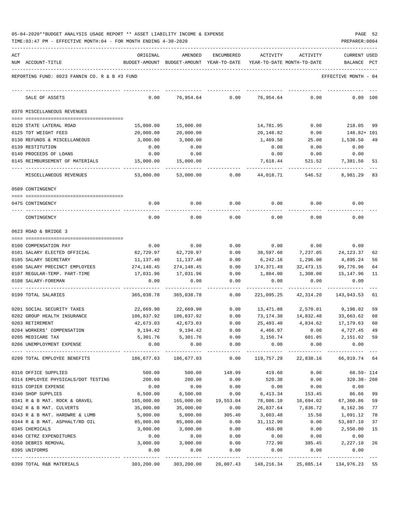| 05-04-2020**BUDGET ANALYSIS USAGE REPORT ** ASSET LIABILITY INCOME & EXPENSE |  |  |  | PAGE | -52 |
|------------------------------------------------------------------------------|--|--|--|------|-----|
|                                                                              |  |  |  |      |     |

| ACT                                                     | ORIGINAL                | AMENDED                  | <b>ENCUMBERED</b>         | <b>ACTIVITY</b>        | ACTIVITY                   | <b>CURRENT USED</b>                      |
|---------------------------------------------------------|-------------------------|--------------------------|---------------------------|------------------------|----------------------------|------------------------------------------|
| NUM ACCOUNT-TITLE                                       | BUDGET-AMOUNT           | BUDGET-AMOUNT            | YEAR-TO-DATE              |                        | YEAR-TO-DATE MONTH-TO-DATE | BALANCE<br>PCT                           |
| REPORTING FUND: 0023 FANNIN CO. R & B #3 FUND           |                         |                          |                           |                        |                            | EFFECTIVE MONTH - 04                     |
| SALE OF ASSETS                                          | 0.00                    | 76,954.64                | 0.00                      | 76,954.64              | 0.00                       | 0.00<br>100                              |
| 0370 MISCELLANEOUS REVENUES                             |                         |                          |                           |                        |                            |                                          |
| 0120 STATE LATERAL ROAD                                 | 15,000.00               | 15,000.00                |                           | 14,781.95              | 0.00                       | 218.05<br>-99                            |
| 0125 TDT WEIGHT FEES                                    | 20,000.00               | 20,000.00                |                           | 20,148.82              | 0.00                       | 148.82+ 101                              |
| 0130 REFUNDS & MISCELLANEOUS                            | 3,000.00                | 3,000.00                 |                           | 1,469.50               | 25.00                      | 1,530.50<br>49                           |
| 0139 RESTITUTION                                        | 0.00                    | 0.00                     |                           | 0.00                   | 0.00                       | 0.00                                     |
| 0140 PROCEEDS OF LOANS                                  | 0.00                    | 0.00                     |                           | 0.00                   | 0.00                       | 0.00                                     |
| 0145 REIMBURSEMENT OF MATERIALS                         | 15,000.00               | 15,000.00                |                           | 7,618.44               | 521.52                     | 7,381.56<br>51                           |
| MISCELLANEOUS REVENUES                                  | 53,000.00               | 53,000.00                | 0.00                      | 44,018.71              | 546.52                     | 8,981.29<br>83                           |
| 0509 CONTINGENCY                                        |                         |                          |                           |                        |                            |                                          |
|                                                         |                         |                          |                           |                        |                            |                                          |
| 0475 CONTINGENCY                                        | 0.00                    | 0.00                     | 0.00                      | 0.00                   | 0.00                       | 0.00                                     |
| CONTINGENCY                                             | 0.00                    | 0.00                     | 0.00                      | 0.00                   | 0.00                       | 0.00                                     |
| 0623 ROAD & BRIDGE 3                                    |                         |                          |                           |                        |                            |                                          |
|                                                         |                         |                          |                           |                        |                            |                                          |
| 0100 COMPENSATION PAY                                   | 0.00                    | 0.00                     | 0.00                      | 0.00                   | 0.00                       | 0.00                                     |
| 0101 SALARY ELECTED OFFICIAL                            | 62,720.97               | 62,720.97                | 0.00                      | 38,597.60              | 7,237.05                   | 24, 123. 37<br>62                        |
| 0105 SALARY SECRETARY<br>0106 SALARY PRECINCT EMPLOYEES | 11,137.40               | 11,137.40<br>274, 148.45 | 0.00<br>0.00              | 6,242.16               | 1,296.00                   | 4,895.24<br>56<br>99,776.96<br>64        |
| 0107 REGULAR-TEMP. PART-TIME                            | 274,148.45<br>17,031.96 | 17,031.96                | 0.00                      | 174,371.49<br>1,884.00 | 32,473.15<br>1,308.00      | 15,147.96<br>11                          |
| 0108 SALARY-FOREMAN                                     | 0.00                    | 0.00                     | 0.00                      | 0.00                   | 0.00                       | 0.00                                     |
| 0199 TOTAL SALARIES                                     | 365,038.78              | 365,038.78               | 0.00                      | 221,095.25             | 42,314.20                  | 143,943.53<br>61                         |
|                                                         |                         |                          |                           |                        |                            |                                          |
| 0201 SOCIAL SECURITY TAXES                              | 22,669.90               | 22,669.90                | 0.00                      | 13,471.88              | 2,570.01                   | 9,198.02<br>59                           |
| 0202 GROUP HEALTH INSURANCE                             | 106,837.92              | 106,837.92               | 0.00                      | 73,174.30              | 14,832.48                  | 33,663.62<br>68                          |
| 0203 RETIREMENT                                         | 42,673.03               | 42,673.03                | 0.00                      | 25,493.40              | 4,834.62                   | 17,179.63<br>60                          |
| 0204 WORKERS' COMPENSATION                              | 9,194.42                | 9,194.42                 | 0.00                      | 4,466.97               | 0.00                       | 4,727.45<br>49                           |
| 0205 MEDICARE TAX                                       | 5,301.76                | 5,301.76                 | 0.00                      | 3,150.74               | 601.05                     | 2,151.02 59                              |
| 0206 UNEMPLOYMENT EXPENSE                               | 0.00                    | 0.00                     | 0.00                      | 0.00                   | 0.00                       | 0.00                                     |
| 0299 TOTAL EMPLOYEE BENEFITS                            |                         | 186,677.03 186,677.03    |                           |                        |                            | $0.00$ 119,757.29 22,838.16 66,919.74 64 |
| 0310 OFFICE SUPPLIES                                    | 500.00                  | 500.00 148.99            |                           | 419.60                 | 0.00                       | $68.59 - 114$                            |
| 0314 EMPLOYEE PHYSICALS/DOT TESTING                     | 200.00                  | 200.00                   | 0.00                      | 520.38                 | 0.00                       | 320.38-260                               |
| 0315 COPIER EXPENSE                                     | 0.00                    | 0.00                     | 0.00                      | 0.00                   | 0.00                       | 0.00                                     |
| 0340 SHOP SUPPLIES                                      | 6,500.00                | 6,500.00                 | 0.00                      | 6,413.34               | 153.45                     | 86.66 99                                 |
| 0341 R & B MAT. ROCK & GRAVEL                           | 165,000.00              | 165,000.00               | 19,553.04                 | 78,086.10              | 16,694.02                  | 67,360.86<br>59                          |
| 0342 R & B MAT. CULVERTS                                | 35,000.00               | 35,000.00                | 0.00                      | 26,837.64              | 7,836.72                   | 8,162.36<br>77                           |
| 0343 R & B MAT. HARDWRE & LUMB                          | 5,000.00                | 5,000.00                 | 305.40                    | 3,603.48               | 15.50                      | 1,091.12<br>78                           |
| 0344 R & B MAT. ASPHALT/RD OIL                          | 85,000.00               | 85,000.00                | 0.00                      | 31,112.90              | 0.00                       | 53,887.10<br>37                          |
| 0345 CHEMICALS                                          | 3,000.00                | 3,000.00                 | 0.00                      | 450.00                 | 0.00                       | 2,550.00<br>15                           |
| 0346 CETRZ EXPENDITURES                                 | 0.00                    | 0.00                     | 0.00                      | 0.00                   | 0.00                       | 0.00                                     |
| 0350 DEBRIS REMOVAL<br>0395 UNIFORMS                    | 3,000.00<br>0.00        | 3,000.00<br>0.00         | 0.00<br>0.00              | 772.90<br>0.00         | 385.45<br>0.00             | 2,227.10<br>26<br>0.00                   |
|                                                         |                         |                          | ------------ ------------ |                        |                            | -------------                            |
| 0399 TOTAL R&B MATERIALS                                | 303,200.00              | 303,200.00               |                           | 20,007.43 148,216.34   | 25,085.14                  | 134,976.23 55                            |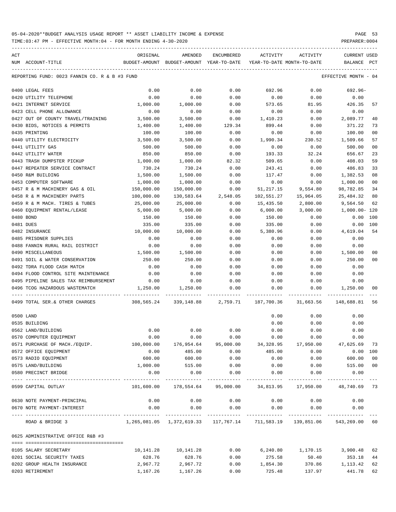TIME:03:47 PM - EFFECTIVE MONTH:04 - FOR MONTH ENDING 4-30-2020 PREPARER:0004

| ACT | NUM ACCOUNT-TITLE                                                                                                                                                                                                                                                                                                                                                                                                                                                                                      | ORIGINAL<br>BUDGET-AMOUNT BUDGET-AMOUNT YEAR-TO-DATE                     | AMENDED    | ENCUMBERED | ACTIVITY<br>YEAR-TO-DATE MONTH-TO-DATE                           | ACTIVITY                           | <b>CURRENT USED</b><br>BALANCE PCT |                |
|-----|--------------------------------------------------------------------------------------------------------------------------------------------------------------------------------------------------------------------------------------------------------------------------------------------------------------------------------------------------------------------------------------------------------------------------------------------------------------------------------------------------------|--------------------------------------------------------------------------|------------|------------|------------------------------------------------------------------|------------------------------------|------------------------------------|----------------|
|     | REPORTING FUND: 0023 FANNIN CO. R & B #3 FUND                                                                                                                                                                                                                                                                                                                                                                                                                                                          |                                                                          |            |            |                                                                  |                                    | EFFECTIVE MONTH - 04               |                |
|     |                                                                                                                                                                                                                                                                                                                                                                                                                                                                                                        |                                                                          |            |            |                                                                  |                                    |                                    |                |
|     | 0400 LEGAL FEES                                                                                                                                                                                                                                                                                                                                                                                                                                                                                        | 0.00                                                                     | 0.00       | 0.00       | 692.96                                                           | 0.00                               | 692.96-                            |                |
|     | 0420 UTILITY TELEPHONE                                                                                                                                                                                                                                                                                                                                                                                                                                                                                 | 0.00                                                                     | 0.00       | 0.00       | 0.00                                                             | 0.00                               | 0.00                               |                |
|     | 0421 INTERNET SERVICE                                                                                                                                                                                                                                                                                                                                                                                                                                                                                  | 1,000.00                                                                 | 1,000.00   | 0.00       | 573.65                                                           | 81.95                              | 426.35                             | 57             |
|     | 0423 CELL PHONE ALLOWANCE                                                                                                                                                                                                                                                                                                                                                                                                                                                                              | 0.00                                                                     | 0.00       | 0.00       | 0.00                                                             | 0.00                               | 0.00                               |                |
|     | 0427 OUT OF COUNTY TRAVEL/TRAINING                                                                                                                                                                                                                                                                                                                                                                                                                                                                     | 3,500.00                                                                 | 3,500.00   | 0.00       | 1,410.23                                                         | 0.00                               | 2,089.77                           | 40             |
|     | 0430 BIDS, NOTICES & PERMITS                                                                                                                                                                                                                                                                                                                                                                                                                                                                           | 1,400.00                                                                 | 1,400.00   | 129.34     | 899.44                                                           | 0.00                               | 371.22                             | 73             |
|     | 0435 PRINTING                                                                                                                                                                                                                                                                                                                                                                                                                                                                                          | 100.00                                                                   | 100.00     | 0.00       | 0.00                                                             | 0.00                               | 100.00                             | 0 <sub>0</sub> |
|     | 0440 UTILITY ELECTRICITY                                                                                                                                                                                                                                                                                                                                                                                                                                                                               | 3,500.00                                                                 | 3,500.00   | 0.00       | 1,990.34                                                         | 230.52                             | 1,509.66                           | 57             |
|     | 0441 UTILITY GAS                                                                                                                                                                                                                                                                                                                                                                                                                                                                                       | 500.00                                                                   | 500.00     | 0.00       | 0.00                                                             | 0.00                               | 500.00                             | 0 <sub>0</sub> |
|     | 0442 UTILITY WATER                                                                                                                                                                                                                                                                                                                                                                                                                                                                                     | 850.00                                                                   | 850.00     | 0.00       | 193.33                                                           | 32.24                              | 656.67                             | 23             |
|     | 0443 TRASH DUMPSTER PICKUP                                                                                                                                                                                                                                                                                                                                                                                                                                                                             | 1,000.00                                                                 | 1,000.00   | 82.32      | 509.65                                                           | 0.00                               | 408.03                             | 59             |
|     | 0447 REPEATER SERVICE CONTRACT                                                                                                                                                                                                                                                                                                                                                                                                                                                                         | 730.24                                                                   | 730.24     | 0.00       | 243.41                                                           | 0.00                               | 486.83                             | 33             |
|     | 0450 R&M BUILDING                                                                                                                                                                                                                                                                                                                                                                                                                                                                                      | 1,500.00                                                                 | 1,500.00   | 0.00       | 117.47                                                           | 0.00                               | 1,382.53                           | 08             |
|     | 0453 COMPUTER SOFTWARE                                                                                                                                                                                                                                                                                                                                                                                                                                                                                 | 1,000.00                                                                 | 1,000.00   | 0.00       | 0.00                                                             | 0.00                               | 1,000.00                           | 0 <sub>0</sub> |
|     | 0457 R & M MACHINERY GAS & OIL                                                                                                                                                                                                                                                                                                                                                                                                                                                                         | 150,000.00                                                               | 150,000.00 | 0.00       | 51,217.15                                                        | 9,554.80                           | 98,782.85                          | 34             |
|     | 0458 R & M MACHINERY PARTS                                                                                                                                                                                                                                                                                                                                                                                                                                                                             | 100,000.00                                                               | 130,583.64 | 2,548.05   | 102,551.27                                                       | 15,964.05                          | 25,484.32                          | 80             |
|     | 0459 R & M MACH. TIRES & TUBES                                                                                                                                                                                                                                                                                                                                                                                                                                                                         | 25,000.00                                                                | 25,000.00  | 0.00       | 15,435.50                                                        | 2,800.00                           | 9,564.50                           | 62             |
|     | 0460 EQUIPMENT RENTAL/LEASE                                                                                                                                                                                                                                                                                                                                                                                                                                                                            | 5,000.00                                                                 | 5,000.00   | 0.00       | 6,000.00                                                         | 3,000.00                           | 1,000.00-120                       |                |
|     | 0480 BOND                                                                                                                                                                                                                                                                                                                                                                                                                                                                                              | 150.00                                                                   | 150.00     | 0.00       | 150.00                                                           | 0.00                               | 0.00                               | 100            |
|     | 0481 DUES                                                                                                                                                                                                                                                                                                                                                                                                                                                                                              | 335.00                                                                   | 335.00     | 0.00       | 335.00                                                           | 0.00                               | 0.00 100                           |                |
|     | 0482 INSURANCE                                                                                                                                                                                                                                                                                                                                                                                                                                                                                         | 10,000.00                                                                | 10,000.00  | 0.00       | 5,380.96                                                         | 0.00                               | 4,619.04                           | 54             |
|     | 0485 PRISONER SUPPLIES                                                                                                                                                                                                                                                                                                                                                                                                                                                                                 | 0.00                                                                     | 0.00       | 0.00       | 0.00                                                             | 0.00                               | 0.00                               |                |
|     | 0488 FANNIN RURAL RAIL DISTRICT                                                                                                                                                                                                                                                                                                                                                                                                                                                                        | 0.00                                                                     | 0.00       | 0.00       | 0.00                                                             | 0.00                               | 0.00                               |                |
|     | 0490 MISCELLANEOUS                                                                                                                                                                                                                                                                                                                                                                                                                                                                                     | 1,500.00                                                                 | 1,500.00   | 0.00       | 0.00                                                             | 0.00                               | 1,500.00                           | 0 <sub>0</sub> |
|     | 0491 SOIL & WATER CONSERVATION                                                                                                                                                                                                                                                                                                                                                                                                                                                                         | 250.00                                                                   | 250.00     | 0.00       | 0.00                                                             | 0.00                               | 250.00                             | 0 <sup>0</sup> |
|     | 0492 TDRA FLOOD CASH MATCH                                                                                                                                                                                                                                                                                                                                                                                                                                                                             | 0.00                                                                     | 0.00       | 0.00       | 0.00                                                             | 0.00                               | 0.00                               |                |
|     | 0494 FLOOD CONTROL SITE MAINTENANCE                                                                                                                                                                                                                                                                                                                                                                                                                                                                    | 0.00                                                                     | 0.00       | 0.00       | 0.00                                                             | 0.00                               | 0.00                               |                |
|     | 0495 PIPELINE SALES TAX REIMBURSEMENT                                                                                                                                                                                                                                                                                                                                                                                                                                                                  | 0.00                                                                     | 0.00       | 0.00       | 0.00                                                             | 0.00                               | 0.00                               |                |
|     | 0496 TCOG HAZARDOUS WASTEMATCH                                                                                                                                                                                                                                                                                                                                                                                                                                                                         | 1,250.00                                                                 | 1,250.00   | 0.00       | 0.00<br>_________________                                        | 0.00<br>------------ ------------- | 1,250.00                           | 00             |
|     | 0499 TOTAL SER. & OTHER CHARGES 308,565.24 339,148.88 2,759.71 187,700.36 31,663.56                                                                                                                                                                                                                                                                                                                                                                                                                    |                                                                          |            |            |                                                                  |                                    | 148,688.81                         | 56             |
|     | 0500 LAND                                                                                                                                                                                                                                                                                                                                                                                                                                                                                              |                                                                          |            |            | 0.00                                                             | 0.00                               | 0.00                               |                |
|     | 0535 BUILDING                                                                                                                                                                                                                                                                                                                                                                                                                                                                                          |                                                                          |            |            | 0.00                                                             | 0.00                               | 0.00                               |                |
|     | 0562 LAND/BUILDING                                                                                                                                                                                                                                                                                                                                                                                                                                                                                     | 0.00                                                                     | 0.00       | 0.00       | 0.00                                                             | 0.00                               | 0.00                               |                |
|     | 0570 COMPUTER EQUIPMENT                                                                                                                                                                                                                                                                                                                                                                                                                                                                                | 0.00                                                                     | 0.00       | 0.00       |                                                                  | $0.00$ $0.00$ $0.00$ $0.00$        |                                    |                |
|     | 0571 PURCHASE OF MACH./EQUIP.                                                                                                                                                                                                                                                                                                                                                                                                                                                                          | 100,000.00                                                               |            |            | 176,954.64   95,000.00   34,328.95   17,950.00   47,625.69       |                                    |                                    | 73             |
|     | 0572 OFFICE EQUIPMENT                                                                                                                                                                                                                                                                                                                                                                                                                                                                                  | 0.00                                                                     | 485.00     | 0.00       | 485.00                                                           | 0.00                               | $0.00$ 100                         |                |
|     | 0573 RADIO EQUIPMENT                                                                                                                                                                                                                                                                                                                                                                                                                                                                                   | 600.00                                                                   | 600.00     | 0.00       | 0.00                                                             | 0.00                               | 600.00                             | 0 <sub>0</sub> |
|     | 0575 LAND/BUILDING                                                                                                                                                                                                                                                                                                                                                                                                                                                                                     | 1,000.00                                                                 | 515.00     | 0.00       | 0.00                                                             | 0.00                               | 515.00                             | 0 <sub>0</sub> |
|     | 0580 PRECINCT BRIDGE                                                                                                                                                                                                                                                                                                                                                                                                                                                                                   | 0.00                                                                     | 0.00       | 0.00       | 0.00                                                             | 0.00                               | 0.00                               |                |
|     | 0599 CAPITAL OUTLAY                                                                                                                                                                                                                                                                                                                                                                                                                                                                                    |                                                                          |            |            | 101,600.00 178,554.64 95,000.00 34,813.95 17,950.00 48,740.69 73 |                                    |                                    |                |
|     | 0630 NOTE PAYMENT-PRINCIPAL                                                                                                                                                                                                                                                                                                                                                                                                                                                                            | 0.00                                                                     | 0.00       | 0.00       | 0.00                                                             | 0.00                               | 0.00                               |                |
|     | 0670 NOTE PAYMENT-INTEREST                                                                                                                                                                                                                                                                                                                                                                                                                                                                             | 0.00                                                                     | 0.00       |            | $0.00$ 0.00                                                      | 0.00                               | 0.00                               |                |
|     | ROAD & BRIDGE 3                                                                                                                                                                                                                                                                                                                                                                                                                                                                                        | 1,265,081.05 1,372,619.33 117,767.14 711,583.19 139,851.06 543,269.00 60 |            |            |                                                                  |                                    |                                    |                |
|     | 0625 ADMINISTRATIVE OFFICE R&B #3                                                                                                                                                                                                                                                                                                                                                                                                                                                                      |                                                                          |            |            |                                                                  |                                    |                                    |                |
|     | $\begin{minipage}{0.03\textwidth} \centering \begin{tabular}{ l l l } \hline \texttt{0.03\textwidth} \centering \end{tabular} \end{minipage} \begin{minipage}{0.03\textwidth} \centering \begin{tabular}{ l l l } \hline \texttt{0.03\textwidth} \centering \end{tabular} \end{minipage} \end{minipage} \begin{minipage}{0.03\textwidth} \centering \begin{tabular}{ l l l l } \hline \texttt{0.03\textwidth} \centering \end{tabular} \end{minipage} \end{minipage} \begin{minipage}{0.03\textwidth}$ |                                                                          |            |            |                                                                  |                                    |                                    |                |
|     | 0105 SALARY SECRETARY                                                                                                                                                                                                                                                                                                                                                                                                                                                                                  | 10,141.28                                                                | 10,141.28  | 0.00       |                                                                  | 6,240.80    1,170.15    3,900.48   |                                    | 62             |
|     | 0201 SOCIAL SECURITY TAXES                                                                                                                                                                                                                                                                                                                                                                                                                                                                             | 628.76                                                                   | 628.76     | 0.00       | 275.58                                                           | 50.40                              | 353.18                             | 44             |
|     | 0202 GROUP HEALTH INSURANCE<br>0203 RETIREMENT                                                                                                                                                                                                                                                                                                                                                                                                                                                         | 2,967.72                                                                 | 2,967.72   | 0.00       | 1,854.30                                                         | 370.86                             | 1,113.42                           | 62             |
|     |                                                                                                                                                                                                                                                                                                                                                                                                                                                                                                        | 1,167.26                                                                 | 1,167.26   | 0.00       | 725.48                                                           | 137.97                             | 441.78                             | 62             |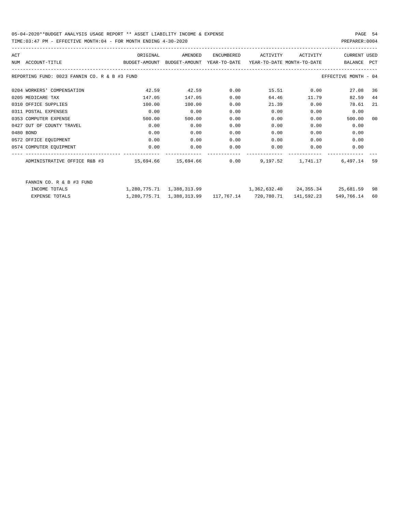### 05-04-2020\*\*BUDGET ANALYSIS USAGE REPORT \*\* ASSET LIABILITY INCOME & EXPENSE PAGE 54 TIME:03:47 PM - EFFECTIVE MONTH:04 - FOR MONTH ENDING 4-30-2020 PREPARER:0004

| ACT |                                               | ORIGINAL                                                            | AMENDED | ENCUMBERED | ACTIVITY                                  | ACTIVITY   | <b>CURRENT USED</b>  |     |
|-----|-----------------------------------------------|---------------------------------------------------------------------|---------|------------|-------------------------------------------|------------|----------------------|-----|
|     | NUM ACCOUNT-TITLE                             | BUDGET-AMOUNT BUDGET-AMOUNT YEAR-TO-DATE YEAR-TO-DATE_MONTH-TO-DATE |         |            |                                           |            | BALANCE              | PCT |
|     | REPORTING FUND: 0023 FANNIN CO. R & B #3 FUND |                                                                     |         |            |                                           |            | EFFECTIVE MONTH - 04 |     |
|     | 0204 WORKERS' COMPENSATION                    | 42.59                                                               | 42.59   | 0.00       |                                           | 15.51 0.00 | 27.08                | 36  |
|     | 0205 MEDICARE TAX                             | 147.05                                                              | 147.05  | 0.00       | 64.46                                     | 11.79      | 82.59                | 44  |
|     | 0310 OFFICE SUPPLIES                          | 100.00                                                              | 100.00  | 0.00       | 21.39                                     | 0.00       | 78.61                | -21 |
|     | 0311 POSTAL EXPENSES                          | 0.00                                                                | 0.00    | 0.00       | 0.00                                      | 0.00       | 0.00                 |     |
|     | 0353 COMPUTER EXPENSE                         | 500.00                                                              | 500.00  | 0.00       | 0.00                                      | 0.00       | 500.00               | 00  |
|     | 0427 OUT OF COUNTY TRAVEL                     | 0.00                                                                | 0.00    | 0.00       | 0.00                                      | 0.00       | 0.00                 |     |
|     | 0480 BOND                                     | 0.00                                                                | 0.00    | 0.00       | 0.00                                      | 0.00       | 0.00                 |     |
|     | 0572 OFFICE EQUIPMENT                         | 0.00                                                                | 0.00    | 0.00       | 0.00                                      | 0.00       | 0.00                 |     |
|     | 0574 COMPUTER EQUIPMENT                       | 0.00                                                                | 0.00    | 0.00       | 0.00                                      | 0.00       | 0.00                 |     |
|     |                                               |                                                                     |         |            |                                           |            | 6,497.14             | 59  |
|     | FANNIN CO. R & B #3 FUND                      |                                                                     |         |            |                                           |            |                      |     |
|     | INCOME TOTALS                                 | 1,280,775.71 1,388,313.99                                           |         |            | $1,362,632.40$ $24,355.34$ $25,681.59$ 98 |            |                      |     |

EXPENSE TOTALS 1,280,775.71 1,388,313.99 117,767.14 720,780.71 141,592.23 549,766.14 60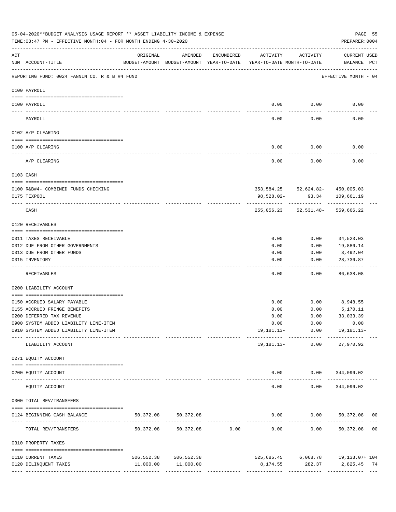|                 | 05-04-2020**BUDGET ANALYSIS USAGE REPORT ** ASSET LIABILITY INCOME & EXPENSE<br>TIME: 03:47 PM - EFFECTIVE MONTH: 04 - FOR MONTH ENDING 4-30-2020 |                                                      |                         |                                                 |                                        |                 | PREPARER: 0004                                     | PAGE 55 |
|-----------------|---------------------------------------------------------------------------------------------------------------------------------------------------|------------------------------------------------------|-------------------------|-------------------------------------------------|----------------------------------------|-----------------|----------------------------------------------------|---------|
| ACT             | NUM ACCOUNT-TITLE                                                                                                                                 | ORIGINAL<br>BUDGET-AMOUNT BUDGET-AMOUNT YEAR-TO-DATE | AMENDED                 | ENCUMBERED                                      | ACTIVITY<br>YEAR-TO-DATE MONTH-TO-DATE | ACTIVITY        | <b>CURRENT USED</b><br>BALANCE PCT                 |         |
|                 | REPORTING FUND: 0024 FANNIN CO. R & B #4 FUND                                                                                                     |                                                      |                         |                                                 |                                        |                 | EFFECTIVE MONTH - 04                               |         |
|                 | 0100 PAYROLL                                                                                                                                      |                                                      |                         |                                                 |                                        |                 |                                                    |         |
|                 |                                                                                                                                                   |                                                      |                         |                                                 |                                        |                 |                                                    |         |
| $- - - - - - -$ | 0100 PAYROLL                                                                                                                                      |                                                      |                         |                                                 | 0.00                                   | 0.00            | 0.00                                               |         |
|                 | PAYROLL                                                                                                                                           |                                                      |                         |                                                 | 0.00                                   | 0.00            | 0.00                                               |         |
|                 | 0102 A/P CLEARING                                                                                                                                 |                                                      |                         |                                                 |                                        |                 |                                                    |         |
|                 | 0100 A/P CLEARING                                                                                                                                 |                                                      |                         |                                                 | 0.00                                   | 0.00            | 0.00                                               |         |
|                 | A/P CLEARING                                                                                                                                      |                                                      |                         |                                                 | 0.00                                   | 0.00            | 0.00                                               |         |
|                 | 0103 CASH                                                                                                                                         |                                                      |                         |                                                 |                                        |                 |                                                    |         |
|                 | 0100 R&B#4- COMBINED FUNDS CHECKING                                                                                                               |                                                      |                         |                                                 |                                        |                 | 353,584.25 52,624.82- 450,005.03                   |         |
|                 | 0175 TEXPOOL                                                                                                                                      |                                                      |                         |                                                 | 98,528.02-                             | 93.34           | 109,661.19                                         |         |
|                 | CASH                                                                                                                                              |                                                      |                         |                                                 |                                        |                 | 255,056.23 52,531.48- 559,666.22                   |         |
|                 | 0120 RECEIVABLES                                                                                                                                  |                                                      |                         |                                                 |                                        |                 |                                                    |         |
|                 | 0311 TAXES RECEIVABLE                                                                                                                             |                                                      |                         |                                                 | 0.00                                   | 0.00            | 34,523.03                                          |         |
|                 | 0312 DUE FROM OTHER GOVERNMENTS                                                                                                                   |                                                      |                         |                                                 | 0.00                                   | 0.00            | 19,886.14                                          |         |
|                 | 0313 DUE FROM OTHER FUNDS                                                                                                                         |                                                      |                         |                                                 | 0.00                                   | 0.00            | 3,492.04                                           |         |
|                 | 0315 INVENTORY                                                                                                                                    |                                                      |                         |                                                 | 0.00                                   | 0.00            | 28,736.87<br>.                                     |         |
|                 | RECEIVABLES                                                                                                                                       |                                                      |                         |                                                 | 0.00                                   | 0.00            | 86,638.08                                          |         |
|                 | 0200 LIABILITY ACCOUNT                                                                                                                            |                                                      |                         |                                                 |                                        |                 |                                                    |         |
|                 | 0150 ACCRUED SALARY PAYABLE                                                                                                                       |                                                      |                         |                                                 | 0.00                                   |                 | $0.00$ 8,948.55                                    |         |
|                 | 0155 ACCRUED FRINGE BENEFITS                                                                                                                      |                                                      |                         |                                                 | 0.00                                   | 0.00            | 5,170.11                                           |         |
|                 | 0200 DEFERRED TAX REVENUE                                                                                                                         |                                                      |                         |                                                 | 0.00                                   | 0.00            | 33,033.39                                          |         |
|                 | 0900 SYSTEM ADDED LIABILITY LINE-ITEM                                                                                                             |                                                      |                         |                                                 |                                        |                 | $0.00$ $0.00$ $0.00$                               |         |
|                 | 0910 SYSTEM ADDED LIABILITY LINE-ITEM                                                                                                             |                                                      |                         |                                                 |                                        |                 | 19, 181. 13 - 0.00 19, 181. 13 -                   |         |
|                 | LIABILITY ACCOUNT                                                                                                                                 |                                                      |                         |                                                 |                                        | 19,181.13- 0.00 | 27,970.92                                          |         |
|                 | 0271 EQUITY ACCOUNT                                                                                                                               |                                                      |                         |                                                 |                                        |                 |                                                    |         |
|                 | 0200 EQUITY ACCOUNT                                                                                                                               |                                                      |                         |                                                 |                                        |                 | $0.00$ $0.00$ $344,096.02$                         |         |
|                 | EQUITY ACCOUNT                                                                                                                                    |                                                      | ______________          |                                                 | -----<br>0.00                          | 0.00            | ------------ --------------<br>344,096.02          |         |
|                 | 0300 TOTAL REV/TRANSFERS                                                                                                                          |                                                      |                         |                                                 |                                        |                 |                                                    |         |
|                 | 0124 BEGINNING CASH BALANCE                                                                                                                       | 50,372.08                                            | 50,372.08               |                                                 |                                        |                 | $0.00$ $0.00$ $50,372.08$ 00                       |         |
|                 | TOTAL REV/TRANSFERS                                                                                                                               | 50,372.08                                            |                         | -----------------------------<br>50,372.08 0.00 | 0.00                                   |                 | ---------------------------<br>$0.00$ 50,372.08 00 |         |
|                 | 0310 PROPERTY TAXES                                                                                                                               |                                                      |                         |                                                 |                                        |                 |                                                    |         |
|                 | 0110 CURRENT TAXES                                                                                                                                |                                                      | 506, 552.38 506, 552.38 |                                                 |                                        |                 | $525,685.45$ 6,068.78 19,133.07+ 104               |         |
|                 | 0120 DELINQUENT TAXES                                                                                                                             |                                                      | 11,000.00 11,000.00     |                                                 |                                        |                 | 8,174.55 282.37 2,825.45 74                        |         |
|                 |                                                                                                                                                   |                                                      |                         |                                                 |                                        |                 |                                                    |         |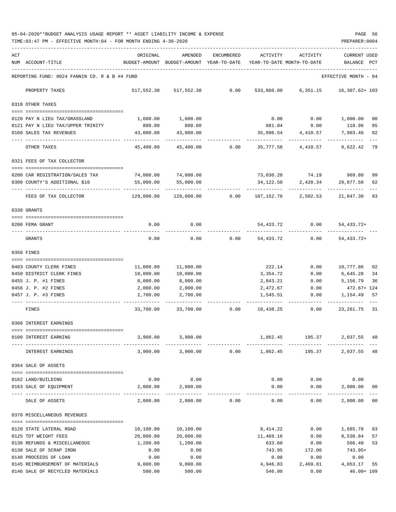05-04-2020\*\*BUDGET ANALYSIS USAGE REPORT \*\* ASSET LIABILITY INCOME & EXPENSE PAGE 56 TIME:03:47 PM - EFFECTIVE MONTH:04 - FOR MONTH ENDING 4-30-2020 PREPARER:0004

| ACT |                                                                    | ORIGINAL              | AMENDED                                  | ENCUMBERED | ACTIVITY                   | ACTIVITY               | <b>CURRENT USED</b>       |          |
|-----|--------------------------------------------------------------------|-----------------------|------------------------------------------|------------|----------------------------|------------------------|---------------------------|----------|
|     | NUM ACCOUNT-TITLE                                                  |                       | BUDGET-AMOUNT BUDGET-AMOUNT YEAR-TO-DATE |            | YEAR-TO-DATE MONTH-TO-DATE |                        | BALANCE                   | PCT      |
|     | REPORTING FUND: 0024 FANNIN CO. R & B #4 FUND                      |                       |                                          |            |                            |                        | EFFECTIVE MONTH - 04      |          |
|     | PROPERTY TAXES                                                     | 517,552.38            | 517,552.38                               | 0.00       | 533,860.00                 | 6,351.15               | 16,307.62+ 103            |          |
|     | 0318 OTHER TAXES                                                   |                       |                                          |            |                            |                        |                           |          |
|     | 0120 PAY N LIEU TAX/GRASSLAND                                      | 1,600.00              | 1,600.00                                 |            | 0.00                       | 0.00                   | 1,600.00                  | 00       |
|     | 0121 PAY N LIEU TAX/UPPER TRINITY                                  | 800.00                | 800.00                                   |            |                            | 681.04 0.00            | 118.96                    | 85       |
|     | 0160 SALES TAX REVENUES                                            | 43,000.00             | 43,000.00                                |            | 35,096.54                  | 4,410.57               | 7,903.46                  | 82       |
|     | OTHER TAXES                                                        | 45,400.00             | 45,400.00                                | 0.00       | 35,777.58                  | 4,410.57               | 9,622.42                  | 79       |
|     | 0321 FEES OF TAX COLLECTOR                                         |                       |                                          |            |                            |                        |                           |          |
|     | 0200 CAR REGISTRATION/SALES TAX                                    | 74,000.00             | 74,000.00                                |            |                            | 73,030.20 74.19 969.80 |                           | 99       |
|     | 0300 COUNTY'S ADDITIONAL \$10                                      | 55,000.00             | 55,000.00                                |            | 34,122.50                  | 2,428.34               | 20,877.50                 | 62       |
|     |                                                                    |                       |                                          |            |                            |                        |                           |          |
|     | FEES OF TAX COLLECTOR                                              | 129,000.00            | 129,000.00                               | 0.00       | 107,152.70                 | 2,502.53               | 21,847.30                 | 83       |
|     | 0330 GRANTS                                                        |                       |                                          |            |                            |                        |                           |          |
|     | 0200 FEMA GRANT                                                    | 0.00                  | 0.00                                     |            | 54,433.72                  | 0.00                   | 54, 433. 72+              |          |
|     | GRANTS                                                             | 0.00                  | 0.00                                     | 0.00       | 54,433.72                  | 0.00                   | $54, 433.72+$             |          |
|     | 0350 FINES                                                         |                       |                                          |            |                            |                        |                           |          |
|     |                                                                    |                       |                                          |            |                            |                        |                           |          |
|     | 0403 COUNTY CLERK FINES                                            | 11,000.00             | 11,000.00                                |            | 222.14                     | 0.00                   | 10,777.86                 | 02       |
|     | 0450 DISTRICT CLERK FINES<br>0455 J. P. #1 FINES                   | 10,000.00<br>8,000.00 | 10,000.00<br>8,000.00                    |            | 3,354.72                   | 0.00<br>0.00           | 6,645.28<br>5,156.79      | 34<br>36 |
|     | 0456 J. P. #2 FINES                                                | 2,000.00              | 2,000.00                                 |            | 2,843.21<br>2,472.67       | 0.00                   | 472.67+ 124               |          |
|     | 0457 J. P. #3 FINES                                                | 2,700.00              | 2,700.00                                 |            | 1,545.51                   | 0.00                   | 1,154.49                  | 57       |
|     | FINES                                                              | 33,700.00             | 33,700.00                                | 0.00       | 10,438.25                  | 0.00                   | 23, 261. 75 31            |          |
|     | 0360 INTEREST EARNINGS                                             |                       |                                          |            |                            |                        |                           |          |
|     | ------------------------------------                               |                       |                                          |            |                            |                        |                           |          |
|     | 0100 INTEREST EARNING                                              | 3,900.00              | 3,900.00                                 |            | 1,862.45                   | 195.37                 | 2,037.55                  | 48       |
|     | INTEREST EARNINGS                                                  |                       | 3,900.00 3,900.00                        |            | $0.00$ 1,862.45            | 195.37                 | 2,037.55 48               |          |
|     | 0364 SALE OF ASSETS                                                |                       |                                          |            |                            |                        |                           |          |
|     | 0162 LAND/BUILDING                                                 | 0.00                  | 0.00                                     |            | 0.00                       | 0.00                   | 0.00                      |          |
|     | 0163 SALE OF EQUIPMENT                                             | 2,000.00              | 2,000.00                                 |            | 0.00                       | 0.00                   | 2,000.00                  | 00       |
|     | SALE OF ASSETS                                                     | 2,000.00              | --------------<br>2,000.00               | 0.00       | 0.00                       | ---------<br>0.00      | -----------<br>2,000.00   | $_{00}$  |
|     |                                                                    |                       |                                          |            |                            |                        |                           |          |
|     | 0370 MISCELLANEOUS REVENUES                                        |                       |                                          |            |                            |                        |                           |          |
|     | 0120 STATE LATERAL ROAD                                            | 10,100.00             | 10,100.00                                |            | 8,414.22                   | 0.00                   | 1,685.78                  | 83       |
|     | 0125 TDT WEIGHT FEES                                               | 20,000.00             | 20,000.00                                |            | 11,469.16                  | 0.00                   | 8,530.84                  | 57       |
|     | 0130 REFUNDS & MISCELLANEOUS                                       | 1,200.00              | 1,200.00                                 |            | 633.60                     | 0.00                   | 566.40                    | 53       |
|     | 0138 SALE OF SCRAP IRON                                            | 0.00                  | 0.00                                     |            | 743.95                     | 172.00                 | 743.95+                   |          |
|     | 0140 PROCEEDS OF LOAN                                              | 0.00                  | 0.00                                     |            | 0.00                       | 0.00                   | 0.00                      |          |
|     | 0145 REIMBURSEMENT OF MATERIALS<br>0146 SALE OF RECYCLED MATERIALS | 9,000.00<br>500.00    | 9,000.00<br>500.00                       |            | 4,946.83<br>546.00         | 2,469.81<br>0.00       | 4,053.17<br>$46.00 + 109$ | 55       |
|     |                                                                    |                       |                                          |            |                            |                        |                           |          |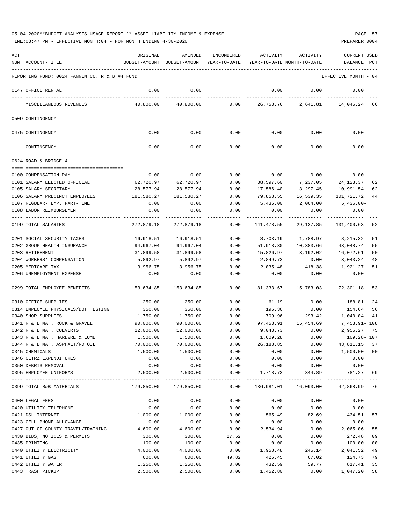TIME:03:47 PM - EFFECTIVE MONTH:04 - FOR MONTH ENDING 4-30-2020 PREPARER:0004

| ACT | NUM ACCOUNT-TITLE                                     | ORIGINAL<br>BUDGET-AMOUNT | AMENDED<br>BUDGET-AMOUNT YEAR-TO-DATE | <b>ENCUMBERED</b>   | ACTIVITY          | ACTIVITY<br>YEAR-TO-DATE MONTH-TO-DATE | <b>CURRENT USED</b><br>BALANCE       | PCT      |
|-----|-------------------------------------------------------|---------------------------|---------------------------------------|---------------------|-------------------|----------------------------------------|--------------------------------------|----------|
|     | REPORTING FUND: 0024 FANNIN CO. R & B #4 FUND         |                           |                                       |                     |                   |                                        | EFFECTIVE MONTH - 04                 |          |
|     | 0147 OFFICE RENTAL                                    | 0.00                      | 0.00                                  |                     | 0.00              | 0.00                                   | 0.00                                 |          |
|     | MISCELLANEOUS REVENUES                                | 40,800.00                 | 40,800.00                             | 0.00                | 26,753.76         |                                        | 2,641.81 14,046.24 66                |          |
|     | 0509 CONTINGENCY                                      |                           |                                       |                     |                   |                                        |                                      |          |
|     | 0475 CONTINGENCY                                      | 0.00                      | 0.00                                  | 0.00                | 0.00              | 0.00                                   | 0.00                                 |          |
|     | CONTINGENCY                                           | 0.00                      | 0.00                                  | 0.00                | 0.00              | 0.00                                   | 0.00                                 |          |
|     | 0624 ROAD & BRIDGE 4                                  |                           |                                       |                     |                   |                                        |                                      |          |
|     |                                                       |                           |                                       |                     |                   |                                        |                                      |          |
|     | 0100 COMPENSATION PAY                                 | 0.00<br>62,720.97         | 0.00<br>62,720.97                     | 0.00                | 0.00<br>38,597.60 | 0.00<br>7,237.05                       | 0.00<br>24,123.37                    |          |
|     | 0101 SALARY ELECTED OFFICIAL<br>0105 SALARY SECRETARY | 28,577.94                 | 28,577.94                             | 0.00<br>0.00        | 17,586.40         | 3,297.45                               | 10,991.54                            | 62<br>62 |
|     | 0106 SALARY PRECINCT EMPLOYEES                        | 181,580.27                | 181,580.27                            | 0.00                | 79,858.55         | 16,539.35                              | 101,721.72                           | 44       |
|     | 0107 REGULAR-TEMP. PART-TIME                          | 0.00                      | 0.00                                  | 0.00                | 5,436.00          | 2,064.00                               | $5,436.00 -$                         |          |
|     | 0108 LABOR REIMBURSEMENT                              | 0.00                      | 0.00                                  | 0.00                | 0.00              | 0.00                                   | 0.00                                 |          |
|     |                                                       |                           |                                       |                     |                   |                                        |                                      |          |
|     | 0199 TOTAL SALARIES                                   | 272,879.18                | 272,879.18                            | 0.00                | 141,478.55        | 29, 137, 85                            | 131,400.63 52                        |          |
|     | 0201 SOCIAL SECURITY TAXES                            | 16,918.51                 | 16,918.51                             | 0.00                | 8,703.19          |                                        | 1,788.97 8,215.32                    | 51       |
|     | 0202 GROUP HEALTH INSURANCE                           | 94,967.04                 | 94,967.04                             | 0.00                | 51,918.30         | 10,383.66                              | 43,048.74                            | 55       |
|     | 0203 RETIREMENT                                       | 31,899.58                 | 31,899.58                             | 0.00                | 15,826.97         | 3,192.02                               | 16,072.61                            | 50       |
|     | 0204 WORKERS' COMPENSATION                            | 5,892.97                  | 5,892.97                              | 0.00                | 2,849.73          | 0.00                                   | 3,043.24                             | 48       |
|     | 0205 MEDICARE TAX                                     | 3,956.75                  | 3,956.75                              | 0.00                | 2,035.48          | 418.38                                 | 1,921.27                             | 51       |
|     | 0206 UNEMPLOYMENT EXPENSE                             | 0.00                      | 0.00                                  | 0.00                | 0.00              | 0.00                                   | 0.00                                 |          |
|     | 0299 TOTAL EMPLOYEE BENEFITS                          | 153,634.85                | 153,634.85                            | 0.00                | 81,333.67         | 15,783.03                              | 72,301.18                            | 53       |
|     | 0310 OFFICE SUPPLIES                                  | 250.00                    | 250.00                                | 0.00                | 61.19             | 0.00                                   | 188.81                               | 24       |
|     | 0314 EMPLOYEE PHYSICALS/DOT TESTING                   | 350.00                    | 350.00                                | 0.00                | 195.36            | 0.00                                   | 154.64                               | 56       |
|     | 0340 SHOP SUPPLIES                                    | 1,750.00                  | 1,750.00                              | 0.00                |                   | 709.96<br>293.42                       | 1,040.04                             | 41       |
|     | 0341 R & B MAT. ROCK & GRAVEL                         | 90,000.00                 | 90,000.00                             | 0.00                |                   | 97, 453.91 15, 454.69                  | 7,453.91- 108                        |          |
|     | 0342 R & B MAT. CULVERTS                              | 12,000.00                 | 12,000.00                             | 0.00                | 9,043.73          | 0.00                                   | 2,956.27                             | 75       |
|     | 0343 R & B MAT. HARDWRE & LUMB                        | 1,500.00                  | 1,500.00                              | 0.00                | 1,609.28          | 0.00                                   | 109.28- 107                          |          |
|     | 0344 R & B MAT. ASPHALT/RD OIL                        | 70,000.00                 | 70,000.00                             | 0.00                | 26,188.85         | 0.00                                   | 43,811.15 37                         |          |
|     | 0345 CHEMICALS                                        | 1,500.00                  | 1,500.00                              | 0.00                | 0.00              | 0.00                                   | 1,500.00 00                          |          |
|     | 0346 CETRZ EXPENDITURES                               | 0.00                      | 0.00                                  | 0.00                | 0.00              | 0.00                                   | 0.00                                 |          |
|     | 0350 DEBRIS REMOVAL<br>0395 EMPLOYEE UNIFORMS         | 0.00<br>2,500.00          | 0.00<br>2,500.00                      | 0.00<br>0.00        | 0.00<br>1,718.73  | 0.00<br>344.89                         | 0.00<br>781.27 69                    |          |
|     | 0399 TOTAL R&B MATERIALS                              | 179,850.00                | -----------<br>179,850.00             | -----------<br>0.00 |                   |                                        | 136,981.01  16,093.00  42,868.99  76 |          |
|     |                                                       |                           |                                       |                     |                   |                                        |                                      |          |
|     | 0400 LEGAL FEES                                       | 0.00                      | 0.00<br>0.00                          | 0.00<br>0.00        | 0.00              | 0.00<br>0.00                           | 0.00                                 |          |
|     | 0420 UTILITY TELEPHONE<br>0421 DSL INTERNET           | 0.00<br>1,000.00          | 1,000.00                              | 0.00                | 0.00<br>565.49    | 82.69                                  | 0.00<br>434.51                       | 57       |
|     | 0423 CELL PHONE ALLOWANCE                             | 0.00                      | 0.00                                  | 0.00                | 0.00              | 0.00                                   | 0.00                                 |          |
|     | 0427 OUT OF COUNTY TRAVEL/TRAINING                    | 4,600.00                  | 4,600.00                              | 0.00                | 2,534.94          | 0.00                                   | 2,065.06                             | 55       |
|     | 0430 BIDS, NOTICES & PERMITS                          | 300.00                    | 300.00                                | 27.52               | 0.00              | 0.00                                   | 272.48                               | 09       |
|     | 0435 PRINTING                                         | 100.00                    | 100.00                                | 0.00                | 0.00              | 0.00                                   | 100.00                               | $00\,$   |
|     | 0440 UTILITY ELECTRICITY                              | 4,000.00                  | 4,000.00                              | 0.00                | 1,958.48          | 245.14                                 | 2,041.52                             | 49       |
|     | 0441 UTILITY GAS                                      | 600.00                    | 600.00                                | 49.82               | 425.45            | 67.02                                  | 124.73                               | 79       |
|     | 0442 UTILITY WATER                                    | 1,250.00                  | 1,250.00                              | 0.00                | 432.59            | 59.77                                  | 817.41                               | 35       |
|     | 0443 TRASH PICKUP                                     | 2,500.00                  | 2,500.00                              | 0.00                | 1,452.80          | 0.00                                   | 1,047.20                             | 58       |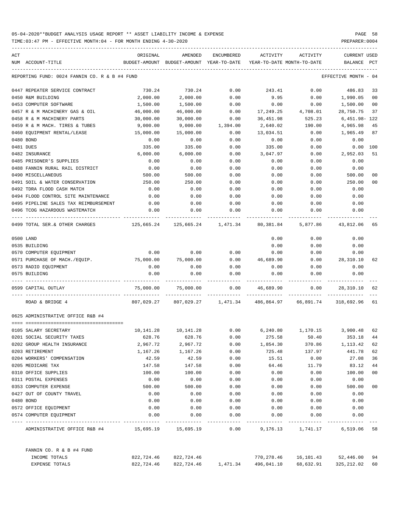| ACT                                           | ORIGINAL   | AMENDED                                  | ENCUMBERED | ACTIVITY   | ACTIVITY                                                       | CURRENT USED     |                |
|-----------------------------------------------|------------|------------------------------------------|------------|------------|----------------------------------------------------------------|------------------|----------------|
| NUM ACCOUNT-TITLE                             |            | BUDGET-AMOUNT BUDGET-AMOUNT YEAR-TO-DATE |            |            | YEAR-TO-DATE MONTH-TO-DATE                                     | BALANCE          | PCT            |
| REPORTING FUND: 0024 FANNIN CO. R & B #4 FUND |            |                                          |            |            |                                                                | EFFECTIVE MONTH  | - 04           |
| 0447 REPEATER SERVICE CONTRACT                | 730.24     | 730.24                                   | 0.00       | 243.41     | 0.00                                                           | 486.83           | 33             |
| 0450 R&M BUILDING                             | 2,000.00   | 2,000.00                                 | 0.00       | 9.95       | 0.00                                                           | 1,990.05         | 0 <sub>0</sub> |
| 0453 COMPUTER SOFTWARE                        | 1,500.00   | 1,500.00                                 | 0.00       | 0.00       | 0.00                                                           | 1,500.00         | 00             |
| 0457 R & M MACHINERY GAS & OIL                | 46,000.00  | 46,000.00                                | 0.00       | 17,249.25  | 4,708.01                                                       | 28,750.75        | 37             |
| 0458 R & M MACHINERY PARTS                    | 30,000.00  | 30,000.00                                | 0.00       | 36,451.98  | 525.23                                                         | $6,451.98 - 122$ |                |
| 0459 R & M MACH. TIRES & TUBES                | 9,000.00   | 9,000.00                                 | 1,394.00   | 2,640.02   | 190.00                                                         | 4,965.98         | 45             |
| 0460 EQUIPMENT RENTAL/LEASE                   | 15,000.00  | 15,000.00                                | 0.00       | 13,034.51  | 0.00                                                           | 1,965.49         | 87             |
| 0480 BOND                                     | 0.00       | 0.00                                     | 0.00       | 0.00       | 0.00                                                           | 0.00             |                |
| 0481 DUES                                     | 335.00     | 335.00                                   | 0.00       | 335.00     | 0.00                                                           | 0.00             | 100            |
| 0482 INSURANCE                                | 6,000.00   | 6,000.00                                 | 0.00       | 3,047.97   | 0.00                                                           | 2,952.03         | 51             |
| 0485 PRISONER'S SUPPLIES                      | 0.00       | 0.00                                     | 0.00       | 0.00       | 0.00                                                           | 0.00             |                |
| 0488 FANNIN RURAL RAIL DISTRICT               | 0.00       | 0.00                                     | 0.00       | 0.00       | 0.00                                                           | 0.00             |                |
| 0490 MISCELLANEOUS                            | 500.00     | 500.00                                   | 0.00       | 0.00       | 0.00                                                           | 500.00           | 00             |
| 0491 SOIL & WATER CONSERVATION                | 250.00     | 250.00                                   | 0.00       | 0.00       | 0.00                                                           | 250.00           | 00             |
| 0492 TDRA FLOOD CASH MATCH                    | 0.00       | 0.00                                     | 0.00       | 0.00       | 0.00                                                           | 0.00             |                |
| 0494 FLOOD CONTROL SITE MAINTENANCE           | 0.00       | 0.00                                     | 0.00       | 0.00       | 0.00                                                           | 0.00             |                |
| 0495 PIPELINE SALES TAX REIMBURSEMENT         | 0.00       | 0.00                                     | 0.00       | 0.00       | 0.00                                                           | 0.00             |                |
| 0496 TCOG HAZARDOUS WASTEMATCH                | 0.00       | 0.00                                     | 0.00       | 0.00       | 0.00                                                           | 0.00             |                |
| 0499 TOTAL SER. & OTHER CHARGES               |            |                                          |            |            | 5,877.86                                                       | 43,812.06        | 65             |
| 0500 LAND                                     |            |                                          |            | 0.00       | 0.00                                                           | 0.00             |                |
| 0535 BUILDING                                 |            |                                          |            | 0.00       | 0.00                                                           | 0.00             |                |
| 0570 COMPUTER EQUIPMENT                       | 0.00       | 0.00                                     | 0.00       | 0.00       | 0.00                                                           | 0.00             |                |
| 0571 PURCHASE OF MACH./EQUIP.                 | 75,000.00  | 75,000.00                                | 0.00       | 46,689.90  | 0.00                                                           | 28,310.10        | 62             |
| 0573 RADIO EQUIPMENT                          | 0.00       | 0.00                                     | 0.00       | 0.00       | 0.00                                                           | 0.00             |                |
| 0575 BUILDING                                 | 0.00       | 0.00                                     | 0.00       | 0.00       | 0.00                                                           | 0.00             |                |
| 0599 CAPITAL OUTLAY                           | 75,000.00  | 75,000.00                                | 0.00       | 46,689.90  | 0.00                                                           | 28,310.10        | 62             |
| ROAD & BRIDGE 4                               |            |                                          |            |            | 807,029.27 807,029.27 1,471.34 486,864.97 66,891.74 318,692.96 |                  | 61             |
| 0625 ADMINISTRATIVE OFFICE R&B #4             |            |                                          |            |            |                                                                |                  |                |
|                                               |            |                                          |            |            |                                                                |                  |                |
| 0105 SALARY SECRETARY                         | 10,141.28  | 10,141.28                                | 0.00       | 6,240.80   | 1,170.15 3,900.48 62                                           |                  |                |
| 0201 SOCIAL SECURITY TAXES                    | 628.76     | 628.76                                   | 0.00       | 275.58     | 50.40                                                          | 353.18           | 44             |
| 0202 GROUP HEALTH INSURANCE                   | 2,967.72   | 2,967.72                                 | 0.00       | 1,854.30   | 370.86                                                         | 1,113.42         | 62             |
| 0203 RETIREMENT                               | 1,167.26   | 1,167.26                                 | 0.00       | 725.48     | 137.97                                                         | 441.78           | 62             |
| 0204 WORKERS' COMPENSATION                    | 42.59      | 42.59                                    | 0.00       | 15.51      | 0.00                                                           | 27.08            | 36             |
| 0205 MEDICARE TAX                             | 147.58     | 147.58                                   | 0.00       | 64.46      | 11.79                                                          | 83.12            | 44             |
| 0310 OFFICE SUPPLIES                          | 100.00     | 100.00                                   | 0.00       | 0.00       | 0.00                                                           | 100.00           | 00             |
| 0311 POSTAL EXPENSES                          | 0.00       | 0.00                                     | 0.00       | 0.00       | 0.00                                                           | 0.00             |                |
| 0353 COMPUTER EXPENSE                         | 500.00     | 500.00                                   | 0.00       | 0.00       | 0.00                                                           | 500.00           | 00             |
| 0427 OUT OF COUNTY TRAVEL                     | 0.00       | 0.00                                     | 0.00       | 0.00       | 0.00                                                           | 0.00             |                |
| 0480 BOND                                     | 0.00       | 0.00                                     | 0.00       | 0.00       | 0.00                                                           | 0.00             |                |
| 0572 OFFICE EQUIPMENT                         | 0.00       | 0.00                                     | 0.00       | 0.00       | 0.00                                                           | 0.00             |                |
| 0574 COMPUTER EQUIPMENT                       | 0.00       | 0.00                                     | 0.00       | 0.00       | 0.00                                                           | 0.00             |                |
| ADMINISTRATIVE OFFICE R&B #4                  |            |                                          | 0.00       |            | 9,176.13 1,741.17 6,519.06 58                                  |                  |                |
| FANNIN CO. R & B #4 FUND                      |            |                                          |            |            |                                                                |                  |                |
| INCOME TOTALS                                 |            | 822,724.46 822,724.46                    |            | 770,278.46 | 16,101.43                                                      | 52,446.00 94     |                |
| EXPENSE TOTALS                                | 822,724.46 | 822,724.46                               | 1,471.34   | 496,041.10 | 68,632.91                                                      | 325, 212.02      | 60             |
|                                               |            |                                          |            |            |                                                                |                  |                |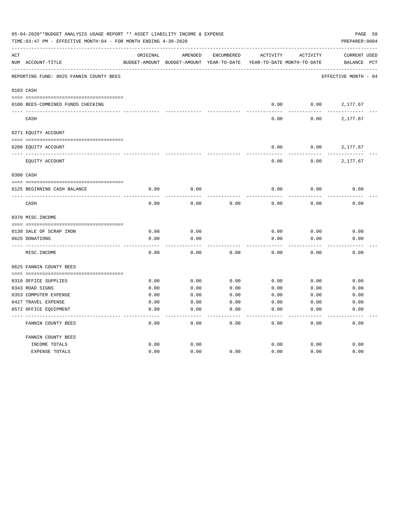|     | 05-04-2020**BUDGET ANALYSIS USAGE REPORT ** ASSET LIABILITY INCOME & EXPENSE<br>TIME:03:47 PM - EFFECTIVE MONTH:04 - FOR MONTH ENDING 4-30-2020 |               |               |                   |                            |          | PAGE 59<br>PREPARER: 0004 |              |
|-----|-------------------------------------------------------------------------------------------------------------------------------------------------|---------------|---------------|-------------------|----------------------------|----------|---------------------------|--------------|
| ACT |                                                                                                                                                 | ORIGINAL      | AMENDED       | <b>ENCUMBERED</b> | <b>ACTIVITY</b>            | ACTIVITY | <b>CURRENT USED</b>       |              |
|     | NUM ACCOUNT-TITLE                                                                                                                               | BUDGET-AMOUNT | BUDGET-AMOUNT | YEAR-TO-DATE      | YEAR-TO-DATE MONTH-TO-DATE |          | BALANCE                   | $_{\rm PCT}$ |
|     | REPORTING FUND: 0025 FANNIN COUNTY BEES                                                                                                         |               |               |                   |                            |          | EFFECTIVE MONTH - 04      |              |
|     | 0103 CASH                                                                                                                                       |               |               |                   |                            |          |                           |              |
|     | 0100 BEES-COMBINED FUNDS CHECKING                                                                                                               |               |               |                   | 0.00                       | 0.00     | 2,177.67                  |              |
|     | CASH                                                                                                                                            |               |               |                   | 0.00                       | 0.00     | 2,177.67                  |              |
|     | 0271 EQUITY ACCOUNT                                                                                                                             |               |               |                   |                            |          |                           |              |
|     | 0200 EQUITY ACCOUNT                                                                                                                             |               |               |                   | 0.00                       | 0.00     | 2,177.67                  |              |
|     | EQUITY ACCOUNT                                                                                                                                  |               |               |                   | 0.00                       | 0.00     | 2,177.67                  |              |
|     | 0300 CASH                                                                                                                                       |               |               |                   |                            |          |                           |              |
|     | 0125 BEGINNING CASH BALANCE                                                                                                                     | 0.00          | 0.00          |                   | 0.00                       | 0.00     | 0.00                      |              |
|     | CASH                                                                                                                                            | 0.00          | 0.00          | 0.00              | 0.00                       | 0.00     | 0.00                      |              |
|     | 0370 MISC. INCOME                                                                                                                               |               |               |                   |                            |          |                           |              |
|     |                                                                                                                                                 |               |               |                   |                            |          |                           |              |
|     | 0138 SALE OF SCRAP IRON                                                                                                                         | 0.00          | 0.00          |                   | 0.00                       | 0.00     | 0.00                      |              |
|     | 0625 DONATIONS                                                                                                                                  | 0.00          | 0.00          |                   | 0.00                       | 0.00     | 0.00                      |              |
|     | MISC. INCOME                                                                                                                                    | 0.00          | 0.00          | 0.00              | 0.00                       | 0.00     | 0.00                      |              |
|     | 0625 FANNIN COUNTY BEES                                                                                                                         |               |               |                   |                            |          |                           |              |
|     | 0310 OFFICE SUPPLIES                                                                                                                            | 0.00          | 0.00          | 0.00              | 0.00                       | 0.00     | 0.00                      |              |
|     | 0343 ROAD SIGNS                                                                                                                                 | 0.00          | 0.00          | 0.00              | 0.00                       | 0.00     | 0.00                      |              |
|     | 0353 COMPUTER EXPENSE                                                                                                                           | 0.00          | 0.00          | 0.00              | 0.00                       | 0.00     | 0.00                      |              |
|     | 0427 TRAVEL EXPENSE                                                                                                                             | 0.00          | 0.00          | 0.00              | 0.00                       | 0.00     | 0.00                      |              |
|     | 0572 OFFICE EQUIPMENT                                                                                                                           | 0.00          | 0.00          | 0.00              | 0.00                       | 0.00     | 0.00                      |              |
|     | FANNIN COUNTY BEES                                                                                                                              | 0.00          | 0.00          | 0.00              | 0.00                       | 0.00     | 0.00                      |              |
|     | FANNIN COUNTY BEES                                                                                                                              |               |               |                   |                            |          |                           |              |
|     | INCOME TOTALS                                                                                                                                   | 0.00          | 0.00          |                   | 0.00                       | 0.00     | 0.00                      |              |
|     | <b>EXPENSE TOTALS</b>                                                                                                                           | 0.00          | 0.00          | 0.00              | 0.00                       | 0.00     | 0.00                      |              |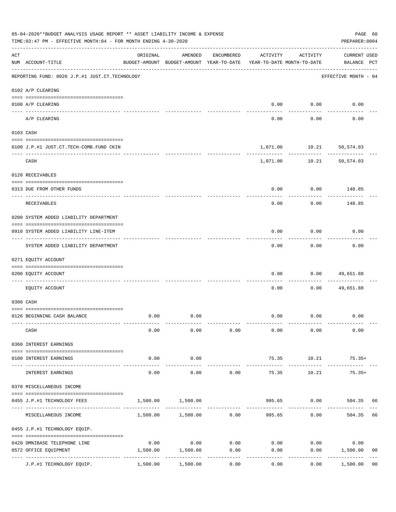|     | 05-04-2020**BUDGET ANALYSIS USAGE REPORT ** ASSET LIABILITY INCOME & EXPENSE<br>TIME: 03:47 PM - EFFECTIVE MONTH: 04 - FOR MONTH ENDING 4-30-2020 |                                        |                                                     |                       |          |                                        | PAGE 60<br>PREPARER: 0004          |                |
|-----|---------------------------------------------------------------------------------------------------------------------------------------------------|----------------------------------------|-----------------------------------------------------|-----------------------|----------|----------------------------------------|------------------------------------|----------------|
| ACT | NUM ACCOUNT-TITLE                                                                                                                                 | ORIGINAL                               | AMENDED<br>BUDGET-AMOUNT BUDGET-AMOUNT YEAR-TO-DATE | ENCUMBERED            | ACTIVITY | ACTIVITY<br>YEAR-TO-DATE MONTH-TO-DATE | <b>CURRENT USED</b><br>BALANCE PCT |                |
|     | REPORTING FUND: 0026 J.P.#1 JUST.CT.TECHNOLOGY                                                                                                    |                                        |                                                     |                       |          |                                        | EFFECTIVE MONTH - 04               |                |
|     | 0102 A/P CLEARING                                                                                                                                 |                                        |                                                     |                       |          |                                        |                                    |                |
|     | 0100 A/P CLEARING                                                                                                                                 |                                        |                                                     |                       | 0.00     | 0.00                                   | 0.00                               |                |
|     | ---- --------<br>A/P CLEARING                                                                                                                     |                                        |                                                     |                       | 0.00     | 0.00                                   | 0.00                               |                |
|     | 0103 CASH                                                                                                                                         |                                        |                                                     |                       |          |                                        |                                    |                |
|     | 0100 J.P.#1 JUST.CT.TECH-COMB.FUND CKIN                                                                                                           |                                        |                                                     |                       | 1,071.00 |                                        | 10.21 50,574.03                    |                |
|     | CASH                                                                                                                                              |                                        |                                                     |                       |          | 1,071.00 10.21                         | 50,574.03                          |                |
|     | 0120 RECEIVABLES                                                                                                                                  |                                        |                                                     |                       |          |                                        |                                    |                |
|     | 0313 DUE FROM OTHER FUNDS                                                                                                                         |                                        |                                                     |                       | 0.00     | 0.00                                   | 148.85                             |                |
|     | RECEIVABLES                                                                                                                                       |                                        |                                                     |                       | 0.00     | 0.00                                   | 148.85                             |                |
|     | 0200 SYSTEM ADDED LIABILITY DEPARTMENT                                                                                                            |                                        |                                                     |                       |          |                                        |                                    |                |
|     | 0910 SYSTEM ADDED LIABILITY LINE-ITEM                                                                                                             |                                        |                                                     |                       | 0.00     | 0.00                                   | 0.00                               |                |
|     | SYSTEM ADDED LIABILITY DEPARTMENT                                                                                                                 |                                        |                                                     |                       | 0.00     | 0.00                                   | 0.00                               |                |
|     | 0271 EQUITY ACCOUNT                                                                                                                               |                                        |                                                     |                       |          |                                        |                                    |                |
|     | 0200 EQUITY ACCOUNT                                                                                                                               |                                        |                                                     |                       | 0.00     | 0.00                                   | 49,651.88                          |                |
|     | EQUITY ACCOUNT                                                                                                                                    |                                        |                                                     |                       | 0.00     | 0.00                                   | 49,651.88                          |                |
|     | 0300 CASH                                                                                                                                         |                                        |                                                     |                       |          |                                        |                                    |                |
|     | 0126 BEGINNING CASH BALANCE                                                                                                                       | 0.00                                   | 0.00                                                |                       | 0.00     | 0.00                                   | 0.00                               |                |
|     | CASH                                                                                                                                              | 0.00                                   | 0.00                                                | 0.00                  | 0.00     | 0.00                                   | 0.00                               |                |
|     | 0360 INTEREST EARNINGS                                                                                                                            |                                        |                                                     |                       |          |                                        |                                    |                |
|     | 0100 INTEREST EARNINGS                                                                                                                            | 0.00                                   | 0.00                                                |                       | 75.35    | 10.21                                  | $75.35+$                           |                |
|     | INTEREST EARNINGS                                                                                                                                 | -----<br>0.00                          | ---------<br>0.00                                   | 0.00                  | 75.35    | 10.21                                  | $75.35+$                           |                |
|     | 0370 MISCELLANEOUS INCOME                                                                                                                         |                                        |                                                     |                       |          |                                        |                                    |                |
|     | 0455 J.P.#1 TECHNOLOGY FEES                                                                                                                       | 1,500.00                               | 1,500.00                                            |                       | 995.65   | 0.00                                   | 504.35                             | 66             |
|     | MISCELLANEOUS INCOME                                                                                                                              |                                        | 1,500.00 1,500.00                                   | 0.00                  | 995.65   | 0.00                                   | 504.35                             | 66             |
|     | 0455 J.P.#1 TECHNOLOGY EQUIP.                                                                                                                     |                                        |                                                     |                       |          |                                        |                                    |                |
|     | 0420 OMNIBASE TELEPHONE LINE                                                                                                                      | 0.00                                   | 0.00                                                | 0.00                  | 0.00     | 0.00                                   | 0.00                               |                |
|     | 0572 OFFICE EQUIPMENT                                                                                                                             | 1,500.00                               | 1,500.00                                            | 0.00                  | 0.00     | 0.00                                   | 1,500.00                           | 0 <sub>0</sub> |
|     | J.P.#1 TECHNOLOGY EQUIP.                                                                                                                          | ------------ -------------<br>1,500.00 | 1,500.00                                            | $- - - - - -$<br>0.00 | 0.00     | 0.00                                   | ----------<br>1,500.00             | 0 <sub>0</sub> |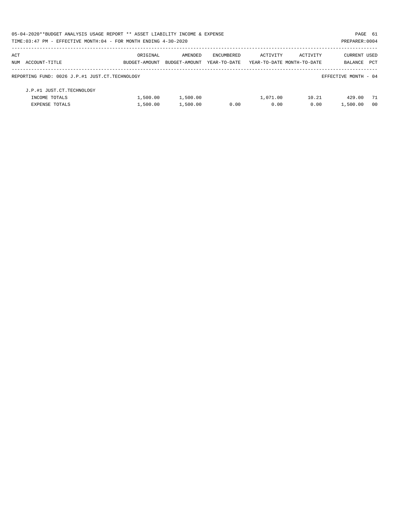| 05-04-2020**BUDGET ANALYSIS USAGE REPORT ** ASSET LIABILITY INCOME & EXPENSE |               |               |              |                            |          | PAGE 61              |                |
|------------------------------------------------------------------------------|---------------|---------------|--------------|----------------------------|----------|----------------------|----------------|
| TIME: 03:47 PM - EFFECTIVE MONTH: 04 - FOR MONTH ENDING 4-30-2020            |               |               |              |                            |          | PREPARER: 0004       |                |
| ACT                                                                          | ORIGINAL      | AMENDED       | ENCUMBERED   | ACTIVITY                   | ACTIVITY | <b>CURRENT USED</b>  |                |
| NUM ACCOUNT-TITLE                                                            | BUDGET-AMOUNT | BUDGET-AMOUNT | YEAR-TO-DATE | YEAR-TO-DATE MONTH-TO-DATE |          | BALANCE              | PCT            |
| REPORTING FUND: 0026 J.P.#1 JUST.CT.TECHNOLOGY                               |               |               |              |                            |          | EFFECTIVE MONTH - 04 |                |
| J.P.#1 JUST.CT.TECHNOLOGY                                                    |               |               |              |                            |          |                      |                |
| INCOME TOTALS                                                                | 1,500.00      | 1,500.00      |              | 1,071.00                   | 10.21    | 429.00               | 71             |
| EXPENSE TOTALS                                                               | 1,500.00      | 1,500.00      | 0.00         | 0.00                       | 0.00     | 1,500.00             | 0 <sub>0</sub> |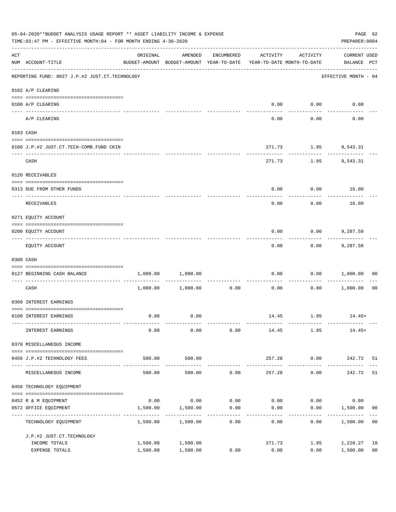|     | 05-04-2020**BUDGET ANALYSIS USAGE REPORT ** ASSET LIABILITY INCOME & EXPENSE<br>TIME: 03:47 PM - EFFECTIVE MONTH: 04 - FOR MONTH ENDING 4-30-2020                                                                                                                                                                                                                                                                                                                                                                                     |                                          |                                                                                |            |                |                      |                                    |                      |  |
|-----|---------------------------------------------------------------------------------------------------------------------------------------------------------------------------------------------------------------------------------------------------------------------------------------------------------------------------------------------------------------------------------------------------------------------------------------------------------------------------------------------------------------------------------------|------------------------------------------|--------------------------------------------------------------------------------|------------|----------------|----------------------|------------------------------------|----------------------|--|
| ACT | NUM ACCOUNT-TITLE                                                                                                                                                                                                                                                                                                                                                                                                                                                                                                                     | ORIGINAL                                 | AMENDED<br>BUDGET-AMOUNT BUDGET-AMOUNT YEAR-TO-DATE YEAR-TO-DATE MONTH-TO-DATE | ENCUMBERED | ACTIVITY       | ACTIVITY             | <b>CURRENT USED</b><br>BALANCE PCT |                      |  |
|     | REPORTING FUND: 0027 J.P.#2 JUST.CT.TECHNOLOGY                                                                                                                                                                                                                                                                                                                                                                                                                                                                                        |                                          |                                                                                |            |                |                      | EFFECTIVE MONTH - 04               |                      |  |
|     | 0102 A/P CLEARING                                                                                                                                                                                                                                                                                                                                                                                                                                                                                                                     |                                          |                                                                                |            |                |                      |                                    |                      |  |
|     | 0100 A/P CLEARING                                                                                                                                                                                                                                                                                                                                                                                                                                                                                                                     |                                          |                                                                                |            |                | $0.00$ $0.00$        | 0.00                               |                      |  |
|     | A/P CLEARING                                                                                                                                                                                                                                                                                                                                                                                                                                                                                                                          |                                          |                                                                                |            | 0.00           | 0.00                 | 0.00                               |                      |  |
|     | 0103 CASH                                                                                                                                                                                                                                                                                                                                                                                                                                                                                                                             |                                          |                                                                                |            |                |                      |                                    |                      |  |
|     | 0100 J.P.#2 JUST.CT.TECH-COMB.FUND CKIN                                                                                                                                                                                                                                                                                                                                                                                                                                                                                               |                                          |                                                                                |            |                | 271.73 1.95 9,543.31 |                                    |                      |  |
|     | CASH                                                                                                                                                                                                                                                                                                                                                                                                                                                                                                                                  |                                          |                                                                                |            | 271.73         | ----------           | 1.95 9,543.31                      |                      |  |
|     | 0120 RECEIVABLES                                                                                                                                                                                                                                                                                                                                                                                                                                                                                                                      |                                          |                                                                                |            |                |                      |                                    |                      |  |
|     | 0313 DUE FROM OTHER FUNDS                                                                                                                                                                                                                                                                                                                                                                                                                                                                                                             |                                          |                                                                                |            | 0.00           |                      | $0.00$ 16.00                       |                      |  |
|     | RECEIVABLES                                                                                                                                                                                                                                                                                                                                                                                                                                                                                                                           |                                          |                                                                                |            | 0.00           | 0.00                 | 16.00                              |                      |  |
|     | 0271 EQUITY ACCOUNT                                                                                                                                                                                                                                                                                                                                                                                                                                                                                                                   |                                          |                                                                                |            |                |                      |                                    |                      |  |
|     | 0200 EQUITY ACCOUNT                                                                                                                                                                                                                                                                                                                                                                                                                                                                                                                   |                                          |                                                                                |            | 0.00           |                      | $0.00$ 9,287.58                    |                      |  |
|     | EQUITY ACCOUNT                                                                                                                                                                                                                                                                                                                                                                                                                                                                                                                        |                                          |                                                                                |            | 0.00           | ---------<br>0.00    | 9,287.58                           |                      |  |
|     | 0300 CASH                                                                                                                                                                                                                                                                                                                                                                                                                                                                                                                             |                                          |                                                                                |            |                |                      |                                    |                      |  |
|     | $\begin{minipage}{0.03\textwidth} \centering \begin{tabular}{ l l l } \hline \texttt{0.03\textwidth} \centering \end{tabular} \end{minipage} \begin{minipage}{0.03\textwidth} \centering \begin{tabular}{ l l l } \hline \texttt{0.03\textwidth} \centering \end{tabular} \end{minipage} \end{minipage} \begin{minipage}{0.03\textwidth} \centering \begin{tabular}{ l l l l } \hline \texttt{0.03\textwidth} \centering \end{tabular} \end{minipage} \end{minipage} \begin{minipage}{0.03\textwidth}$<br>0127 BEGINNING CASH BALANCE |                                          | 1,000.00 1,000.00                                                              |            | 0.00           |                      | 0.00 1,000.00                      | 00                   |  |
|     | ----------------------------- ----<br>CASH                                                                                                                                                                                                                                                                                                                                                                                                                                                                                            |                                          | $1,000.00$ $1,000.00$                                                          | 0.00       | 0.00           |                      | $0.00$ 1,000.00                    | 0 <sub>0</sub>       |  |
|     | 0360 INTEREST EARNINGS                                                                                                                                                                                                                                                                                                                                                                                                                                                                                                                |                                          |                                                                                |            |                |                      |                                    |                      |  |
|     | 0100 INTEREST EARNINGS                                                                                                                                                                                                                                                                                                                                                                                                                                                                                                                | 0.00                                     | 0.00                                                                           |            |                | 14.45 1.95           | $14.45+$                           |                      |  |
|     | INTEREST EARNINGS                                                                                                                                                                                                                                                                                                                                                                                                                                                                                                                     | 0.00                                     | 0.00                                                                           | 0.00       | 14.45          | 1.95                 | 14.45+                             |                      |  |
|     | 0370 MISCELLANEOUS INCOME                                                                                                                                                                                                                                                                                                                                                                                                                                                                                                             |                                          |                                                                                |            |                |                      |                                    |                      |  |
|     | 0456 J.P.#2 TECHNOLOGY FEES                                                                                                                                                                                                                                                                                                                                                                                                                                                                                                           | 500.00                                   | 500.00                                                                         |            | 257.28         | 0.00                 | 242.72 51                          |                      |  |
|     | MISCELLANEOUS INCOME                                                                                                                                                                                                                                                                                                                                                                                                                                                                                                                  | --------------- --------------<br>500.00 | -----------<br>500.00                                                          | 0.00       | 257.28         | ---------<br>0.00    | 242.72                             | 51                   |  |
|     | 0456 TECHNOLOGY EQUIPMENT                                                                                                                                                                                                                                                                                                                                                                                                                                                                                                             |                                          |                                                                                |            |                |                      |                                    |                      |  |
|     | 0452 R & M EQUIPMENT                                                                                                                                                                                                                                                                                                                                                                                                                                                                                                                  | 0.00                                     | 0.00                                                                           | 0.00       | 0.00           | 0.00                 | 0.00                               |                      |  |
|     | 0572 OFFICE EQUIPMENT<br>-----------------                                                                                                                                                                                                                                                                                                                                                                                                                                                                                            | 1,500.00                                 | 1,500.00                                                                       | 0.00<br>.  | 0.00           | 0.00                 | 1,500.00                           | 00                   |  |
|     | TECHNOLOGY EQUIPMENT                                                                                                                                                                                                                                                                                                                                                                                                                                                                                                                  | 1,500.00                                 | 1,500.00                                                                       | 0.00       | 0.00           | 0.00                 | 1,500.00                           | 0 <sub>0</sub>       |  |
|     | J.P.#2 JUST.CT.TECHNOLOGY                                                                                                                                                                                                                                                                                                                                                                                                                                                                                                             |                                          |                                                                                |            |                |                      |                                    |                      |  |
|     | INCOME TOTALS<br>EXPENSE TOTALS                                                                                                                                                                                                                                                                                                                                                                                                                                                                                                       | 1,500.00<br>1,500.00                     | 1,500.00<br>1,500.00                                                           | 0.00       | 271.73<br>0.00 | 1.95<br>0.00         | 1,228.27<br>1,500.00               | 18<br>0 <sub>0</sub> |  |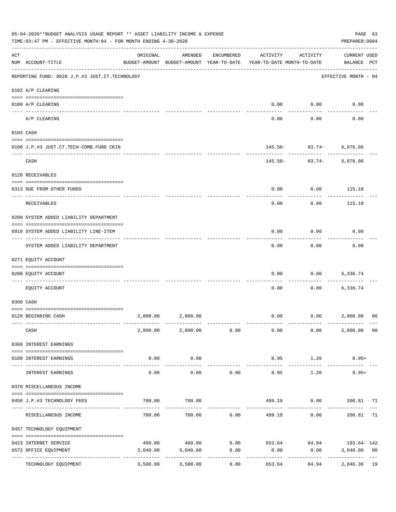|     | 05-04-2020**BUDGET ANALYSIS USAGE REPORT ** ASSET LIABILITY INCOME & EXPENSE<br>TIME: 03:47 PM - EFFECTIVE MONTH: 04 - FOR MONTH ENDING 4-30-2020 |          |                                                     |                      |                                                                  |                                      | PAGE 63<br>PREPARER: 0004          |                |
|-----|---------------------------------------------------------------------------------------------------------------------------------------------------|----------|-----------------------------------------------------|----------------------|------------------------------------------------------------------|--------------------------------------|------------------------------------|----------------|
| ACT | NUM ACCOUNT-TITLE                                                                                                                                 | ORIGINAL | AMENDED<br>BUDGET-AMOUNT BUDGET-AMOUNT YEAR-TO-DATE | ENCUMBERED           | ACTIVITY<br>YEAR-TO-DATE MONTH-TO-DATE                           | ACTIVITY                             | <b>CURRENT USED</b><br>BALANCE PCT |                |
|     | REPORTING FUND: 0028 J.P.#3 JUST.CT.TECHNOLOGY                                                                                                    |          |                                                     |                      |                                                                  |                                      | EFFECTIVE MONTH - 04               |                |
|     | 0102 A/P CLEARING                                                                                                                                 |          |                                                     |                      |                                                                  |                                      |                                    |                |
|     | 0100 A/P CLEARING                                                                                                                                 |          |                                                     |                      | 0.00                                                             | 0.00                                 | 0.00                               |                |
|     | ---- ---------<br>A/P CLEARING                                                                                                                    |          |                                                     |                      | 0.00                                                             | 0.00                                 | 0.00                               |                |
|     | 0103 CASH                                                                                                                                         |          |                                                     |                      |                                                                  |                                      |                                    |                |
|     | 0100 J.P.#3 JUST.CT.TECH-COMB.FUND CKIN                                                                                                           |          |                                                     |                      |                                                                  | 145.50- 83.74- 6,076.06<br>--------- |                                    |                |
|     | CASH                                                                                                                                              |          |                                                     |                      |                                                                  | $145.50 - 83.74 -$                   | 6,076.06                           |                |
|     | 0120 RECEIVABLES                                                                                                                                  |          |                                                     |                      |                                                                  |                                      |                                    |                |
|     | 0313 DUE FROM OTHER FUNDS                                                                                                                         |          |                                                     |                      | 0.00                                                             | 0.00                                 | 115.18                             |                |
|     | RECEIVABLES                                                                                                                                       |          |                                                     |                      | 0.00                                                             | 0.00                                 | 115.18                             |                |
|     | 0200 SYSTEM ADDED LIABILITY DEPARTMENT                                                                                                            |          |                                                     |                      |                                                                  |                                      |                                    |                |
|     | 0910 SYSTEM ADDED LIABILITY LINE-ITEM                                                                                                             |          |                                                     |                      | 0.00                                                             | 0.00                                 | 0.00                               |                |
|     | SYSTEM ADDED LIABILITY DEPARTMENT                                                                                                                 |          |                                                     |                      | 0.00                                                             | 0.00                                 | 0.00                               |                |
|     | 0271 EQUITY ACCOUNT                                                                                                                               |          |                                                     |                      |                                                                  |                                      |                                    |                |
|     | 0200 EQUITY ACCOUNT                                                                                                                               |          |                                                     |                      | 0.00                                                             | 0.00                                 | 6,336.74                           |                |
|     | EQUITY ACCOUNT                                                                                                                                    |          |                                                     |                      | 0.00                                                             | 0.00                                 | 6,336.74                           |                |
|     | 0300 CASH                                                                                                                                         |          |                                                     |                      |                                                                  |                                      |                                    |                |
|     | 0128 BEGINNING CASH                                                                                                                               |          | 2,800.00 2,800.00                                   |                      | 0.00                                                             | 0.00 2,800.00                        |                                    | 0 <sup>0</sup> |
|     | CASH                                                                                                                                              |          |                                                     |                      | $2,800.00$ $2,800.00$ $0.00$ $0.00$ $0.00$ $0.00$                |                                      | 2,800.00 00                        |                |
|     | 0360 INTEREST EARNINGS                                                                                                                            |          |                                                     |                      |                                                                  |                                      |                                    |                |
|     | 0100 INTEREST EARNINGS                                                                                                                            | 0.00     | 0.00                                                |                      | 8.95                                                             | 1.20                                 | $8.95+$                            |                |
|     | INTEREST EARNINGS                                                                                                                                 | 0.00     | 0.00                                                | ------------<br>0.00 | 8.95                                                             | 1.20                                 | $8.95+$                            |                |
|     | 0370 MISCELLANEOUS INCOME                                                                                                                         |          |                                                     |                      |                                                                  |                                      |                                    |                |
|     | 0456 J.P.#3 TECHNOLOGY FEES                                                                                                                       | 700.00   | 700.00                                              |                      |                                                                  | 499.19   0.00   200.81   71          |                                    |                |
|     | _________________________________<br>MISCELLANEOUS INCOME                                                                                         | 700.00   |                                                     | .<br>700.00 0.00     |                                                                  | ---------<br>499.19 0.00             | 200.81                             | 71             |
|     | 0457 TECHNOLOGY EQUIPMENT                                                                                                                         |          |                                                     |                      |                                                                  |                                      |                                    |                |
|     |                                                                                                                                                   |          |                                                     |                      |                                                                  |                                      |                                    |                |
|     | 0423 INTERNET SERVICE<br>0572 OFFICE EQUIPMENT                                                                                                    | 3,040.00 | 3,040.00                                            | 0.00                 | $460.00$ $460.00$ $0.00$ $653.64$ $84.94$ $193.64 - 142$<br>0.00 | 0.00                                 | 3,040.00                           | 0 <sub>0</sub> |
|     | TECHNOLOGY EQUIPMENT                                                                                                                              | 3,500.00 | -------------<br>3,500.00                           | -----------<br>0.00  | ------------<br>653.64                                           | ------------<br>84.94                | 2,846.36 19                        |                |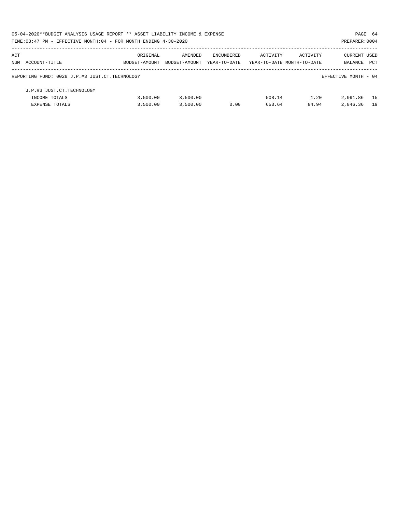|     | 05-04-2020**BUDGET ANALYSIS USAGE REPORT ** ASSET LIABILITY INCOME & EXPENSE |               |               |              |                            |          | PAGE 64              |     |
|-----|------------------------------------------------------------------------------|---------------|---------------|--------------|----------------------------|----------|----------------------|-----|
|     | TIME: 03:47 PM - EFFECTIVE MONTH: 04 - FOR MONTH ENDING 4-30-2020            |               |               |              |                            |          | PREPARER: 0004       |     |
| ACT |                                                                              | ORIGINAL      | AMENDED       | ENCUMBERED   | ACTIVITY                   | ACTIVITY | CURRENT USED         |     |
|     | NUM ACCOUNT-TITLE                                                            | BUDGET-AMOUNT | BUDGET-AMOUNT | YEAR-TO-DATE | YEAR-TO-DATE MONTH-TO-DATE |          | <b>BALANCE</b>       | PCT |
|     | REPORTING FUND: 0028 J.P.#3 JUST.CT.TECHNOLOGY                               |               |               |              |                            |          | EFFECTIVE MONTH - 04 |     |
|     | J.P.#3 JUST.CT.TECHNOLOGY                                                    |               |               |              |                            |          |                      |     |
|     | INCOME TOTALS                                                                | 3,500.00      | 3,500.00      |              | 508.14                     | 1.20     | 2,991.86             | 15  |
|     | <b>EXPENSE TOTALS</b>                                                        | 3,500.00      | 3,500.00      | 0.00         | 653.64                     | 84.94    | 2,846.36             | 19  |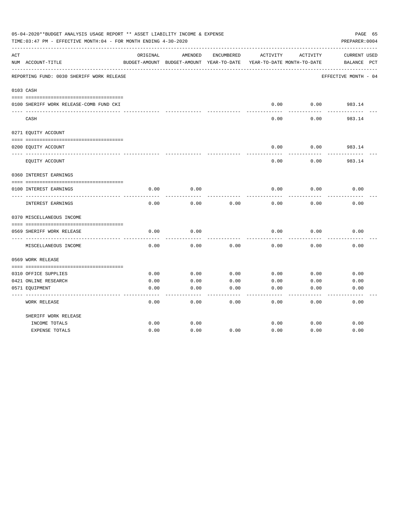|     | 05-04-2020**BUDGET ANALYSIS USAGE REPORT ** ASSET LIABILITY INCOME & EXPENSE<br>TIME:03:47 PM - EFFECTIVE MONTH:04 - FOR MONTH ENDING 4-30-2020 |          |                                                     |            |          |                                        | PAGE 65<br>PREPARER: 0004          |
|-----|-------------------------------------------------------------------------------------------------------------------------------------------------|----------|-----------------------------------------------------|------------|----------|----------------------------------------|------------------------------------|
| ACT | NUM ACCOUNT-TITLE                                                                                                                               | ORIGINAL | AMENDED<br>BUDGET-AMOUNT BUDGET-AMOUNT YEAR-TO-DATE | ENCUMBERED | ACTIVITY | ACTIVITY<br>YEAR-TO-DATE MONTH-TO-DATE | <b>CURRENT USED</b><br>BALANCE PCT |
|     | REPORTING FUND: 0030 SHERIFF WORK RELEASE                                                                                                       |          |                                                     |            |          |                                        | EFFECTIVE MONTH - 04               |
|     | 0103 CASH                                                                                                                                       |          |                                                     |            |          |                                        |                                    |
|     | 0100 SHERIFF WORK RELEASE-COMB FUND CKI                                                                                                         |          |                                                     |            | 0.00     | 0.00                                   | 983.14                             |
|     | CASH                                                                                                                                            |          |                                                     |            | 0.00     | 0.00                                   | 983.14                             |
|     | 0271 EQUITY ACCOUNT                                                                                                                             |          |                                                     |            |          |                                        |                                    |
|     | 0200 EQUITY ACCOUNT                                                                                                                             |          |                                                     |            | 0.00     | 0.00                                   | 983.14                             |
|     | EQUITY ACCOUNT                                                                                                                                  |          |                                                     |            | 0.00     | 0.00                                   | 983.14                             |
|     | 0360 INTEREST EARNINGS                                                                                                                          |          |                                                     |            |          |                                        |                                    |
|     | 0100 INTEREST EARNINGS                                                                                                                          | 0.00     | 0.00                                                |            | 0.00     | 0.00                                   | 0.00                               |
|     | <b>INTEREST EARNINGS</b>                                                                                                                        | 0.00     | 0.00                                                | 0.00       | 0.00     | 0.00                                   | 0.00                               |
|     | 0370 MISCELLANEOUS INCOME                                                                                                                       |          |                                                     |            |          |                                        |                                    |
|     |                                                                                                                                                 |          |                                                     |            |          |                                        |                                    |
|     | 0569 SHERIFF WORK RELEASE<br>------------                                                                                                       | 0.00     | 0.00                                                |            | 0.00     | 0.00                                   | 0.00                               |
|     | MISCELLANEOUS INCOME                                                                                                                            | 0.00     | 0.00                                                | 0.00       | 0.00     | 0.00                                   | 0.00                               |
|     | 0569 WORK RELEASE                                                                                                                               |          |                                                     |            |          |                                        |                                    |
|     | 0310 OFFICE SUPPLIES                                                                                                                            | 0.00     | 0.00                                                | 0.00       | 0.00     | 0.00                                   | 0.00                               |
|     | 0421 ONLINE RESEARCH                                                                                                                            | 0.00     | 0.00                                                | 0.00       | 0.00     | 0.00                                   | 0.00                               |
|     | 0571 EQUIPMENT                                                                                                                                  | 0.00     | 0.00                                                | 0.00       | 0.00     | 0.00                                   | 0.00                               |
|     | WORK RELEASE                                                                                                                                    | 0.00     | 0.00                                                | 0.00       | 0.00     | 0.00                                   | 0.00                               |
|     | SHERIFF WORK RELEASE                                                                                                                            |          |                                                     |            |          |                                        |                                    |
|     | INCOME TOTALS                                                                                                                                   | 0.00     | 0.00                                                |            | 0.00     | 0.00                                   | 0.00                               |
|     | <b>EXPENSE TOTALS</b>                                                                                                                           | 0.00     | 0.00                                                | 0.00       | 0.00     | 0.00                                   | 0.00                               |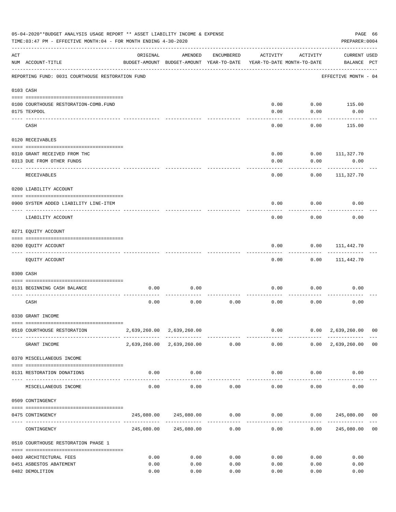|     | 05-04-2020**BUDGET ANALYSIS USAGE REPORT ** ASSET LIABILITY INCOME & EXPENSE<br>TIME: 03:47 PM - EFFECTIVE MONTH: 04 - FOR MONTH ENDING 4-30-2020 |                          |                                                     |            |                                        |                       | PREPARER: 0004                                | PAGE 66        |
|-----|---------------------------------------------------------------------------------------------------------------------------------------------------|--------------------------|-----------------------------------------------------|------------|----------------------------------------|-----------------------|-----------------------------------------------|----------------|
| ACT | NUM ACCOUNT-TITLE                                                                                                                                 | ORIGINAL                 | AMENDED<br>BUDGET-AMOUNT BUDGET-AMOUNT YEAR-TO-DATE | ENCUMBERED | ACTIVITY<br>YEAR-TO-DATE MONTH-TO-DATE | ACTIVITY              | <b>CURRENT USED</b><br>BALANCE PCT            |                |
|     | REPORTING FUND: 0031 COURTHOUSE RESTORATION FUND                                                                                                  |                          |                                                     |            |                                        |                       | EFFECTIVE MONTH - 04                          |                |
|     | 0103 CASH                                                                                                                                         |                          |                                                     |            |                                        |                       |                                               |                |
|     |                                                                                                                                                   |                          |                                                     |            |                                        |                       |                                               |                |
|     | 0100 COURTHOUSE RESTORATION-COMB.FUND                                                                                                             |                          |                                                     |            | 0.00                                   |                       | $0.00$ 115.00                                 |                |
|     | 0175 TEXPOOL                                                                                                                                      |                          |                                                     |            | 0.00                                   | 0.00                  | 0.00                                          |                |
|     | CASH                                                                                                                                              |                          |                                                     |            | 0.00                                   | 0.00                  | 115.00                                        |                |
|     | 0120 RECEIVABLES                                                                                                                                  |                          |                                                     |            |                                        |                       |                                               |                |
|     |                                                                                                                                                   |                          |                                                     |            |                                        |                       |                                               |                |
|     | 0310 GRANT RECEIVED FROM THC                                                                                                                      |                          |                                                     |            | 0.00<br>0.00                           | 0.00                  | $0.00$ 111,327.70                             |                |
|     | 0313 DUE FROM OTHER FUNDS                                                                                                                         |                          |                                                     |            |                                        |                       | 0.00                                          |                |
|     | RECEIVABLES                                                                                                                                       |                          |                                                     |            | 0.00                                   | 0.00                  | 111,327.70                                    |                |
|     | 0200 LIABILITY ACCOUNT                                                                                                                            |                          |                                                     |            |                                        |                       |                                               |                |
|     | 0900 SYSTEM ADDED LIABILITY LINE-ITEM                                                                                                             |                          |                                                     |            | 0.00                                   | 0.00                  | 0.00                                          |                |
|     | LIABILITY ACCOUNT                                                                                                                                 |                          |                                                     |            | 0.00                                   | 0.00                  | 0.00                                          |                |
|     | 0271 EQUITY ACCOUNT                                                                                                                               |                          |                                                     |            |                                        |                       |                                               |                |
|     | 0200 EQUITY ACCOUNT                                                                                                                               |                          |                                                     |            | 0.00                                   | 0.00                  | 111,442.70                                    |                |
|     | -----------------------------<br>EQUITY ACCOUNT                                                                                                   |                          |                                                     |            | 0.00                                   | 0.00                  | 111,442.70                                    |                |
|     | 0300 CASH                                                                                                                                         |                          |                                                     |            |                                        |                       |                                               |                |
|     | 0131 BEGINNING CASH BALANCE                                                                                                                       | 0.00                     | 0.00                                                |            | 0.00                                   | 0.00                  | 0.00                                          |                |
|     | CASH                                                                                                                                              | 0.00                     | 0.00                                                | 0.00       | 0.00                                   | 0.00                  | 0.00                                          |                |
|     | 0330 GRANT INCOME                                                                                                                                 |                          |                                                     |            |                                        |                       |                                               |                |
|     |                                                                                                                                                   |                          |                                                     |            |                                        |                       |                                               |                |
|     | 0510 COURTHOUSE RESTORATION                                                                                                                       |                          | 2,639,260.00 2,639,260.00                           |            |                                        | ----------            | $0.00$ $0.00$ $2,639,260.00$ 00               |                |
|     | GRANT INCOME                                                                                                                                      |                          | 2,639,260.00 2,639,260.00                           | 0.00       | 0.00                                   |                       | $0.00 \quad 2,639,260.00 \quad 00$            |                |
|     | 0370 MISCELLANEOUS INCOME                                                                                                                         |                          |                                                     |            |                                        |                       |                                               |                |
|     | 0131 RESTORATION DONATIONS                                                                                                                        | ---------------- ------- | $0.00$ 0.00                                         |            |                                        | $0.00$ $0.00$         | 0.00                                          |                |
|     | MISCELLANEOUS INCOME                                                                                                                              | 0.00                     | 0.00                                                | 0.00       | 0.00                                   | 0.00                  | 0.00                                          |                |
|     | 0509 CONTINGENCY                                                                                                                                  |                          |                                                     |            |                                        |                       |                                               |                |
|     |                                                                                                                                                   |                          |                                                     |            |                                        |                       |                                               |                |
|     | 0475 CONTINGENCY                                                                                                                                  |                          | 245,080.00 245,080.00                               |            | . <i>.</i>                             | . _ _ _ _ _ _ _ _ _ _ | $0.00$ $0.00$ $0.00$ $0.00$ $245,080.00$ $00$ |                |
|     | CONTINGENCY                                                                                                                                       |                          | 245,080.00 245,080.00                               | 0.00       | 0.00                                   | 0.00                  | 245,080.00                                    | 0 <sub>0</sub> |
|     | 0510 COURTHOUSE RESTORATION PHASE 1                                                                                                               |                          |                                                     |            |                                        |                       |                                               |                |
|     | 0403 ARCHITECTURAL FEES                                                                                                                           | 0.00                     | 0.00                                                | 0.00       | 0.00                                   | 0.00                  | 0.00                                          |                |
|     | 0451 ASBESTOS ABATEMENT                                                                                                                           | 0.00                     | 0.00                                                | 0.00       | 0.00                                   | 0.00                  | 0.00                                          |                |
|     | 0482 DEMOLITION                                                                                                                                   | 0.00                     | 0.00                                                | 0.00       | 0.00                                   | 0.00                  | 0.00                                          |                |
|     |                                                                                                                                                   |                          |                                                     |            |                                        |                       |                                               |                |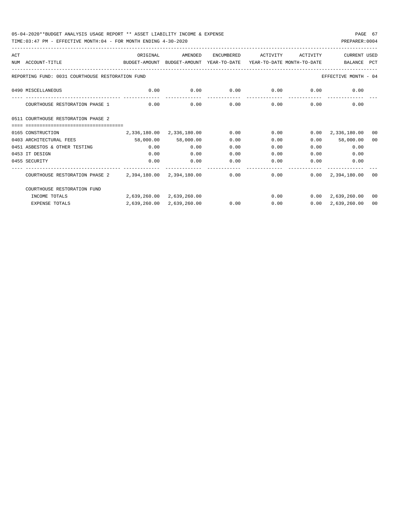| ACT |                                                                                                              | ORIGINAL                                                | AMENDED                   | ENCUMBERED | ACTIVITY | ACTIVITY      | CURRENT USED                 |                |
|-----|--------------------------------------------------------------------------------------------------------------|---------------------------------------------------------|---------------------------|------------|----------|---------------|------------------------------|----------------|
|     | NUM ACCOUNT-TITLE<br>BUDGET-AMOUNT BUDGET-AMOUNT YEAR-TO-DATE YEAR-TO-DATE MONTH-TO-DATE                     |                                                         |                           |            |          |               | BALANCE                      | PCT            |
|     |                                                                                                              |                                                         |                           |            |          |               |                              |                |
|     | REPORTING FUND: 0031 COURTHOUSE RESTORATION FUND                                                             |                                                         |                           |            |          |               | EFFECTIVE MONTH - 04         |                |
|     | 0490 MISCELLANEOUS                                                                                           | $0.00$ $0.00$ $0.00$ $0.00$ $0.00$ $0.00$ $0.00$ $0.00$ |                           |            |          |               |                              |                |
|     | COURTHOUSE RESTORATION PHASE 1                                                                               | 0.00                                                    | 0.00                      | 0.00       |          | $0.00$ $0.00$ | 0.00                         |                |
|     | 0511 COURTHOUSE RESTORATION PHASE 2                                                                          |                                                         |                           |            |          |               |                              |                |
|     |                                                                                                              |                                                         |                           |            |          |               |                              |                |
|     | 0165 CONSTRUCTION                                                                                            |                                                         | 2,336,180.00 2,336,180.00 | 0.00       | 0.00     |               | $0.00 \quad 2,336,180.00$    | 0 <sub>0</sub> |
|     | 0403 ARCHITECTURAL FEES                                                                                      | 58,000.00 58,000.00                                     |                           | 0.00       | 0.00     |               | $0.00$ 58,000.00             | 00             |
|     | 0451 ASBESTOS & OTHER TESTING                                                                                | 0.00                                                    | 0.00                      | 0.00       | 0.00     |               | 0.00<br>0.00                 |                |
|     | 0453 IT DESIGN                                                                                               | 0.00                                                    | 0.00                      | 0.00       | 0.00     | 0.00          | 0.00                         |                |
|     | 0455 SECURITY                                                                                                | 0.00                                                    | 0.00                      | 0.00       | 0.00     | 0.00          | 0.00                         |                |
|     | COURTHOUSE RESTORATION PHASE 2   2,394,180.00   2,394,180.00   0.00   0.00   0.00   0.00   2,394,180.00   00 |                                                         |                           |            |          |               |                              |                |
|     | COURTHOUSE RESTORATION FUND                                                                                  |                                                         |                           |            |          |               |                              |                |
|     | INCOME TOTALS                                                                                                | 2,639,260.00 2,639,260.00                               |                           |            |          |               | $0.00$ $0.00$ $2.639.260.00$ | 00             |
|     | <b>EXPENSE TOTALS</b>                                                                                        |                                                         | 2,639,260.00 2,639,260.00 | 0.00       | 0.00     |               | $0.00 \quad 2.639.260.00$    | 00             |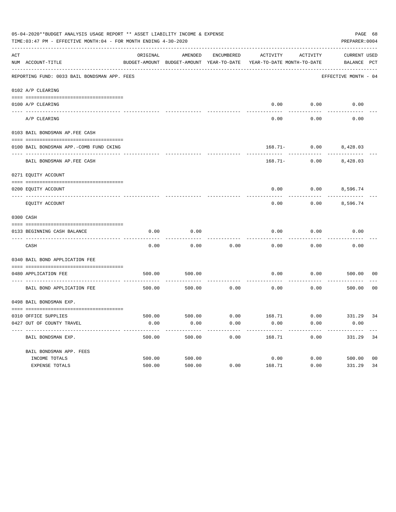| 05-04-2020**BUDGET ANALYSIS USAGE REPORT ** ASSET LIABILITY INCOME & EXPENSE<br>PAGE 68<br>TIME: 03:47 PM - EFFECTIVE MONTH: 04 - FOR MONTH ENDING 4-30-2020<br>PREPARER: 0004 |                                                                    |          |         |            |                                                                                 |                                        |                                    |                |
|--------------------------------------------------------------------------------------------------------------------------------------------------------------------------------|--------------------------------------------------------------------|----------|---------|------------|---------------------------------------------------------------------------------|----------------------------------------|------------------------------------|----------------|
| ACT                                                                                                                                                                            | NUM ACCOUNT-TITLE                                                  | ORIGINAL | AMENDED | ENCUMBERED | ACTIVITY<br>BUDGET-AMOUNT BUDGET-AMOUNT YEAR-TO-DATE YEAR-TO-DATE MONTH-TO-DATE | ACTIVITY                               | <b>CURRENT USED</b><br>BALANCE PCT |                |
|                                                                                                                                                                                | REPORTING FUND: 0033 BAIL BONDSMAN APP. FEES                       |          |         |            |                                                                                 |                                        | EFFECTIVE MONTH - 04               |                |
|                                                                                                                                                                                | 0102 A/P CLEARING                                                  |          |         |            |                                                                                 |                                        |                                    |                |
|                                                                                                                                                                                | 0100 A/P CLEARING                                                  |          |         |            | 0.00                                                                            | 0.00                                   | 0.00                               |                |
|                                                                                                                                                                                | ---- ----------<br>---------------------- --------<br>A/P CLEARING |          |         |            | 0.00                                                                            | 0.00                                   | 0.00                               |                |
|                                                                                                                                                                                | 0103 BAIL BONDSMAN AP.FEE CASH                                     |          |         |            |                                                                                 |                                        |                                    |                |
|                                                                                                                                                                                | 0100 BAIL BONDSMAN APP.-COMB FUND CKING                            |          |         |            |                                                                                 | 168.71- 0.00 8,428.03                  |                                    |                |
|                                                                                                                                                                                | ----------------------------<br>BAIL BONDSMAN AP. FEE CASH         |          |         |            |                                                                                 | ----------<br>$168.71 - 0.00$ 8,428.03 |                                    |                |
|                                                                                                                                                                                | 0271 EQUITY ACCOUNT                                                |          |         |            |                                                                                 |                                        |                                    |                |
|                                                                                                                                                                                | 0200 EQUITY ACCOUNT                                                |          |         |            | 0.00                                                                            | $0.00$ 8,596.74                        |                                    |                |
|                                                                                                                                                                                | EQUITY ACCOUNT                                                     |          |         |            | 0.00                                                                            | 0.00                                   | 8,596.74                           |                |
|                                                                                                                                                                                | 0300 CASH                                                          |          |         |            |                                                                                 |                                        |                                    |                |
|                                                                                                                                                                                | 0133 BEGINNING CASH BALANCE                                        | 0.00     | 0.00    |            | 0.00                                                                            | 0.00                                   | 0.00                               |                |
|                                                                                                                                                                                | CASH                                                               | 0.00     | 0.00    | 0.00       | 0.00                                                                            | 0.00                                   | 0.00                               |                |
|                                                                                                                                                                                | 0340 BAIL BOND APPLICATION FEE                                     |          |         |            |                                                                                 |                                        |                                    |                |
|                                                                                                                                                                                | 0480 APPLICATION FEE<br>-----------------------------------        | 500.00   | 500.00  |            | 0.00                                                                            | 0.00                                   | 500.00                             | 00             |
|                                                                                                                                                                                | BAIL BOND APPLICATION FEE                                          | 500.00   | 500.00  | 0.00       | 0.00                                                                            | 0.00                                   | 500.00                             | 0 <sub>0</sub> |
|                                                                                                                                                                                | 0498 BAIL BONDSMAN EXP.                                            |          |         |            |                                                                                 |                                        |                                    |                |
|                                                                                                                                                                                |                                                                    |          |         |            |                                                                                 |                                        |                                    |                |
|                                                                                                                                                                                | 0310 OFFICE SUPPLIES                                               |          |         |            | 500.00 500.00 6.00 168.71 0.00 331.29 34                                        |                                        |                                    |                |
|                                                                                                                                                                                | 0427 OUT OF COUNTY TRAVEL                                          | 0.00     | 0.00    | 0.00       | 0.00                                                                            | 0.00                                   | 0.00                               |                |
|                                                                                                                                                                                | BAIL BONDSMAN EXP.                                                 | 500.00   | 500.00  | 0.00       | 168.71                                                                          | 0.00                                   | 331.29                             | 34             |
|                                                                                                                                                                                | BAIL BONDSMAN APP. FEES                                            |          |         |            |                                                                                 |                                        |                                    |                |
|                                                                                                                                                                                | INCOME TOTALS                                                      | 500.00   | 500.00  |            | 0.00                                                                            | 0.00                                   | 500.00                             | 0 <sub>0</sub> |
|                                                                                                                                                                                | EXPENSE TOTALS                                                     | 500.00   | 500.00  | 0.00       | 168.71                                                                          | 0.00                                   | 331.29                             | 34             |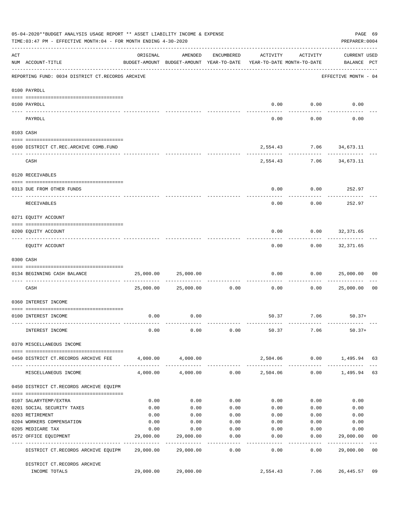|     | 05-04-2020**BUDGET ANALYSIS USAGE REPORT ** ASSET LIABILITY INCOME & EXPENSE<br>TIME: 03:47 PM - EFFECTIVE MONTH: 04 - FOR MONTH ENDING 4-30-2020 |                                  |                                                                                |                      |               |                                         | PAGE 69<br>PREPARER: 0004          |                |
|-----|---------------------------------------------------------------------------------------------------------------------------------------------------|----------------------------------|--------------------------------------------------------------------------------|----------------------|---------------|-----------------------------------------|------------------------------------|----------------|
| ACT | NUM ACCOUNT-TITLE                                                                                                                                 | ORIGINAL                         | AMENDED<br>BUDGET-AMOUNT BUDGET-AMOUNT YEAR-TO-DATE YEAR-TO-DATE MONTH-TO-DATE | ENCUMBERED           | ACTIVITY      | ACTIVITY                                | <b>CURRENT USED</b><br>BALANCE PCT |                |
|     | REPORTING FUND: 0034 DISTRICT CT.RECORDS ARCHIVE                                                                                                  |                                  |                                                                                |                      |               |                                         | EFFECTIVE MONTH - 04               |                |
|     | 0100 PAYROLL                                                                                                                                      |                                  |                                                                                |                      |               |                                         |                                    |                |
|     | 0100 PAYROLL                                                                                                                                      |                                  |                                                                                |                      | 0.00          | 0.00                                    | 0.00                               |                |
|     | ----- ----<br>PAYROLL                                                                                                                             |                                  |                                                                                |                      | 0.00          | 0.00                                    | 0.00                               |                |
|     | 0103 CASH                                                                                                                                         |                                  |                                                                                |                      |               |                                         |                                    |                |
|     | 0100 DISTRICT CT.REC.ARCHIVE COMB.FUND                                                                                                            |                                  |                                                                                |                      |               | 2,554.43 7.06 34,673.11                 |                                    |                |
|     | CASH                                                                                                                                              |                                  |                                                                                |                      | ---------     | . <u>.</u> .<br>2,554.43 7.06 34,673.11 |                                    |                |
|     | 0120 RECEIVABLES                                                                                                                                  |                                  |                                                                                |                      |               |                                         |                                    |                |
|     | 0313 DUE FROM OTHER FUNDS                                                                                                                         |                                  |                                                                                |                      | 0.00          | 0.00                                    | 252.97                             |                |
|     | RECEIVABLES                                                                                                                                       |                                  |                                                                                |                      | 0.00          | 0.00                                    | 252.97                             |                |
|     | 0271 EQUITY ACCOUNT                                                                                                                               |                                  |                                                                                |                      |               |                                         |                                    |                |
|     | 0200 EQUITY ACCOUNT                                                                                                                               |                                  |                                                                                |                      | 0.00          | 0.00                                    | 32,371.65                          |                |
|     | EQUITY ACCOUNT                                                                                                                                    |                                  |                                                                                |                      | 0.00          | 0.00                                    | 32,371.65                          |                |
|     | 0300 CASH                                                                                                                                         |                                  |                                                                                |                      |               |                                         |                                    |                |
|     | 0134 BEGINNING CASH BALANCE                                                                                                                       | 25,000.00                        | 25,000.00                                                                      |                      | 0.00          | 0.00                                    | 25,000.00                          | 00             |
|     | CASH                                                                                                                                              | 25,000.00                        | 25,000.00                                                                      | ------------<br>0.00 | 0.00          | 0.00                                    | 25,000.00                          | 0 <sub>0</sub> |
|     | 0360 INTEREST INCOME                                                                                                                              |                                  |                                                                                |                      |               |                                         |                                    |                |
|     | 0100 INTEREST INCOME                                                                                                                              | 0.00                             | 0.00                                                                           |                      |               | 50.37 7.06                              | $50.37+$                           |                |
|     | INTEREST INCOME                                                                                                                                   | 0.00                             | 0.00                                                                           | 0.00                 | 50.37         | 7.06                                    | $50.37+$                           |                |
|     | 0370 MISCELLANEOUS INCOME                                                                                                                         |                                  |                                                                                |                      |               |                                         |                                    |                |
|     | 0450 DISTRICT CT.RECORDS ARCHIVE FEE                                                                                                              | 4,000.00                         | 4,000.00                                                                       |                      |               | 2,504.06 0.00                           | 1,495.94 63                        |                |
|     | MISCELLANEOUS INCOME                                                                                                                              | 4,000.00                         | 4,000.00                                                                       |                      | 0.00 2,504.06 | ------------<br>0.00                    | 1,495.94 63                        |                |
|     | 0450 DISTRICT CT.RECORDS ARCHIVE EQUIPM                                                                                                           |                                  |                                                                                |                      |               |                                         |                                    |                |
|     |                                                                                                                                                   |                                  |                                                                                |                      |               |                                         |                                    |                |
|     | 0107 SALARYTEMP/EXTRA                                                                                                                             | 0.00                             | 0.00                                                                           | 0.00                 | 0.00          | 0.00                                    | 0.00                               |                |
|     | 0201 SOCIAL SECURITY TAXES<br>0203 RETIREMENT                                                                                                     | 0.00<br>0.00                     | 0.00<br>0.00                                                                   | 0.00<br>0.00         | 0.00<br>0.00  | 0.00<br>0.00                            | 0.00<br>0.00                       |                |
|     | 0204 WORKERS COMPENSATION                                                                                                                         | 0.00                             | 0.00                                                                           | 0.00                 | 0.00          | 0.00                                    | 0.00                               |                |
|     | 0205 MEDICARE TAX                                                                                                                                 | 0.00                             | 0.00                                                                           | 0.00                 | 0.00          | 0.00                                    | 0.00                               |                |
|     | 0572 OFFICE EQUIPMENT                                                                                                                             | 29,000.00<br>----- ------------- | 29,000.00                                                                      | 0.00                 | 0.00          | 0.00                                    | 29,000.00                          | 00             |
|     | DISTRICT CT.RECORDS ARCHIVE EQUIPM 29,000.00                                                                                                      |                                  | 29,000.00                                                                      | --------<br>0.00     | 0.00          | . <u>.</u><br>0.00                      | 29,000.00 00                       |                |
|     | DISTRICT CT.RECORDS ARCHIVE<br>INCOME TOTALS                                                                                                      |                                  | 29,000.00 29,000.00                                                            |                      | 2,554.43      | 7.06                                    | 26,445.57                          | 09             |
|     |                                                                                                                                                   |                                  |                                                                                |                      |               |                                         |                                    |                |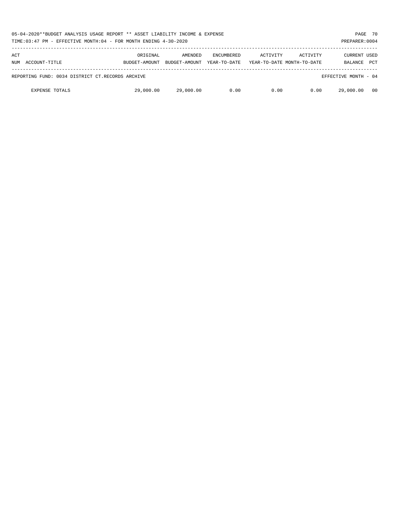| 05-04-2020**BUDGET ANALYSIS USAGE REPORT ** ASSET LIABILITY INCOME & EXPENSE<br>TIME:03:47 PM - EFFECTIVE MONTH:04 - FOR MONTH ENDING 4-30-2020 |                           |                          |                                   |          |                                        |                                       | PAGE 70<br>PREPARER: 0004 |
|-------------------------------------------------------------------------------------------------------------------------------------------------|---------------------------|--------------------------|-----------------------------------|----------|----------------------------------------|---------------------------------------|---------------------------|
| ACT<br>ACCOUNT-TITLE<br>NUM                                                                                                                     | ORIGINAL<br>BUDGET-AMOUNT | AMENDED<br>BUDGET-AMOUNT | <b>ENCUMBERED</b><br>YEAR-TO-DATE | ACTIVITY | ACTIVITY<br>YEAR-TO-DATE MONTH-TO-DATE | <b>CURRENT USED</b><br><b>BALANCE</b> | <b>PCT</b>                |
| REPORTING FUND: 0034 DISTRICT CT.RECORDS ARCHIVE                                                                                                |                           |                          |                                   |          |                                        | EFFECTIVE MONTH - 04                  |                           |
| <b>EXPENSE TOTALS</b>                                                                                                                           | 29,000.00                 | 29,000.00                | 0.00                              | 0.00     | 0.00                                   | 29,000.00                             | - 00                      |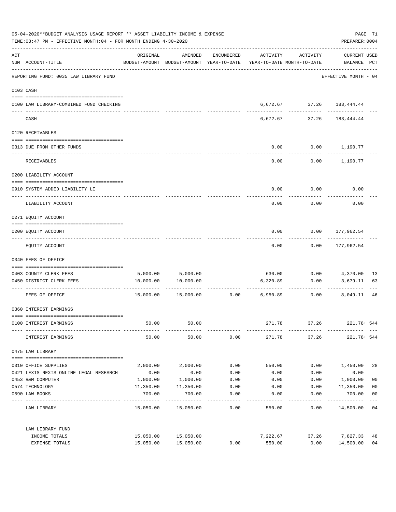| 05-04-2020**BUDGET ANALYSIS USAGE REPORT ** ASSET LIABILITY INCOME & EXPENSE<br>TIME: 03:47 PM - EFFECTIVE MONTH: 04 - FOR MONTH ENDING 4-30-2020 |                                         |                      |                                                                                |            |                 |                                           | PAGE 71<br>PREPARER: 0004          |                         |
|---------------------------------------------------------------------------------------------------------------------------------------------------|-----------------------------------------|----------------------|--------------------------------------------------------------------------------|------------|-----------------|-------------------------------------------|------------------------------------|-------------------------|
| ACT                                                                                                                                               | NUM ACCOUNT-TITLE                       | ORIGINAL             | AMENDED<br>BUDGET-AMOUNT BUDGET-AMOUNT YEAR-TO-DATE YEAR-TO-DATE MONTH-TO-DATE | ENCUMBERED | ACTIVITY        | ACTIVITY                                  | <b>CURRENT USED</b><br>BALANCE PCT |                         |
|                                                                                                                                                   | REPORTING FUND: 0035 LAW LIBRARY FUND   |                      |                                                                                |            |                 |                                           | EFFECTIVE MONTH - 04               |                         |
|                                                                                                                                                   | 0103 CASH                               |                      |                                                                                |            |                 |                                           |                                    |                         |
|                                                                                                                                                   | 0100 LAW LIBRARY-COMBINED FUND CHECKING |                      |                                                                                |            |                 | 6,672.67 37.26 183,444.44<br>------------ | ---------                          |                         |
|                                                                                                                                                   | CASH                                    |                      |                                                                                |            | 6,672.67        | 37.26                                     | 183,444.44                         |                         |
|                                                                                                                                                   | 0120 RECEIVABLES                        |                      |                                                                                |            |                 |                                           |                                    |                         |
|                                                                                                                                                   | 0313 DUE FROM OTHER FUNDS               |                      |                                                                                |            | 0.00            |                                           | $0.00$ 1,190.77                    |                         |
|                                                                                                                                                   | RECEIVABLES                             |                      |                                                                                |            | 0.00            |                                           | $0.00$ 1,190.77                    |                         |
|                                                                                                                                                   | 0200 LIABILITY ACCOUNT                  |                      |                                                                                |            |                 |                                           |                                    |                         |
|                                                                                                                                                   | 0910 SYSTEM ADDED LIABILITY LI          |                      |                                                                                |            | 0.00            | 0.00                                      | 0.00                               |                         |
|                                                                                                                                                   | LIABILITY ACCOUNT                       |                      |                                                                                |            | 0.00            | 0.00                                      | 0.00                               |                         |
|                                                                                                                                                   | 0271 EQUITY ACCOUNT                     |                      |                                                                                |            |                 |                                           |                                    |                         |
|                                                                                                                                                   | 0200 EQUITY ACCOUNT                     |                      |                                                                                |            | 0.00            |                                           | $0.00$ 177,962.54                  |                         |
|                                                                                                                                                   | EQUITY ACCOUNT                          |                      |                                                                                |            | 0.00            | 0.00                                      | 177,962.54                         |                         |
|                                                                                                                                                   | 0340 FEES OF OFFICE                     |                      |                                                                                |            |                 |                                           |                                    |                         |
|                                                                                                                                                   | 0403 COUNTY CLERK FEES                  |                      | 5,000.00 5,000.00                                                              |            |                 |                                           |                                    | -13                     |
|                                                                                                                                                   | 0450 DISTRICT CLERK FEES                | 10,000.00            | 10,000.00                                                                      |            | 6,320.89        | 0.00                                      | 3,679.11                           | 63                      |
|                                                                                                                                                   | FEES OF OFFICE                          |                      | 15,000.00  15,000.00                                                           |            | $0.00$ 6,950.89 | ----------<br>0.00                        | 8,049.11                           | 46                      |
|                                                                                                                                                   | 0360 INTEREST EARNINGS                  |                      |                                                                                |            |                 |                                           |                                    |                         |
|                                                                                                                                                   | 0100 INTEREST EARNINGS                  | 50.00                | 50.00                                                                          |            | 271.78          | 37.26                                     | 221.78+ 544                        |                         |
|                                                                                                                                                   | INTEREST EARNINGS                       | 50.00                | 50.00                                                                          | 0.00       | 271.78          | 37.26                                     | 221.78+ 544                        |                         |
|                                                                                                                                                   | 0475 LAW LIBRARY                        |                      |                                                                                |            |                 |                                           |                                    |                         |
|                                                                                                                                                   | 0310 OFFICE SUPPLIES                    | 2,000.00             | 2,000.00                                                                       | 0.00       | 550.00          | 0.00                                      | 1,450.00                           | 28                      |
|                                                                                                                                                   | 0421 LEXIS NEXIS ONLINE LEGAL RESEARCH  | 0.00                 | 0.00                                                                           | 0.00       | 0.00            | 0.00                                      | 0.00                               |                         |
|                                                                                                                                                   | 0453 R&M COMPUTER                       | 1,000.00             | 1,000.00                                                                       | 0.00       | 0.00            | 0.00                                      | 1,000.00                           | 0 <sub>0</sub>          |
|                                                                                                                                                   | 0574 TECHNOLOGY                         | 11,350.00            | 11,350.00                                                                      | 0.00       | 0.00            | 0.00                                      | 11,350.00                          | 0 <sub>0</sub>          |
|                                                                                                                                                   | 0590 LAW BOOKS                          | 700.00<br>---------- | 700.00<br>----------                                                           | 0.00       | 0.00            | 0.00                                      | 700.00<br>----------               | 0 <sub>0</sub><br>$---$ |
|                                                                                                                                                   | LAW LIBRARY                             |                      | 15,050.00 15,050.00                                                            | 0.00       | 550.00          | 0.00                                      | 14,500.00 04                       |                         |
|                                                                                                                                                   | LAW LIBRARY FUND                        |                      |                                                                                |            |                 |                                           |                                    |                         |
|                                                                                                                                                   | INCOME TOTALS                           |                      | 15,050.00 15,050.00                                                            |            | 7,222.67        | 37.26                                     | 7,827.33                           | 48                      |
|                                                                                                                                                   | EXPENSE TOTALS                          | 15,050.00            | 15,050.00                                                                      | 0.00       | 550.00          | 0.00                                      | 14,500.00                          | 0 <sub>4</sub>          |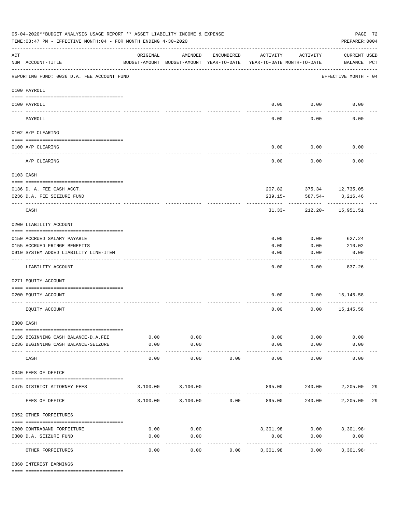|                    | 05-04-2020**BUDGET ANALYSIS USAGE REPORT ** ASSET LIABILITY INCOME & EXPENSE<br>PAGE 72<br>TIME: 03:47 PM - EFFECTIVE MONTH: 04 - FOR MONTH ENDING 4-30-2020<br>PREPARER: 0004 |                                                      |                    |            |                       |                                        |                                    |    |  |  |  |
|--------------------|--------------------------------------------------------------------------------------------------------------------------------------------------------------------------------|------------------------------------------------------|--------------------|------------|-----------------------|----------------------------------------|------------------------------------|----|--|--|--|
| $\mathop{\rm ACT}$ | NUM ACCOUNT-TITLE                                                                                                                                                              | ORIGINAL<br>BUDGET-AMOUNT BUDGET-AMOUNT YEAR-TO-DATE | AMENDED            | ENCUMBERED | ACTIVITY              | ACTIVITY<br>YEAR-TO-DATE MONTH-TO-DATE | <b>CURRENT USED</b><br>BALANCE PCT |    |  |  |  |
|                    | REPORTING FUND: 0036 D.A. FEE ACCOUNT FUND                                                                                                                                     |                                                      |                    |            |                       |                                        | EFFECTIVE MONTH - 04               |    |  |  |  |
|                    | 0100 PAYROLL                                                                                                                                                                   |                                                      |                    |            |                       |                                        |                                    |    |  |  |  |
|                    | 0100 PAYROLL                                                                                                                                                                   |                                                      |                    |            |                       | $0.00$ 0.00                            | 0.00                               |    |  |  |  |
| ---- ---           | PAYROLL                                                                                                                                                                        |                                                      |                    |            | 0.00                  | 0.00                                   | 0.00                               |    |  |  |  |
|                    | 0102 A/P CLEARING                                                                                                                                                              |                                                      |                    |            |                       |                                        |                                    |    |  |  |  |
|                    | 0100 A/P CLEARING                                                                                                                                                              |                                                      |                    |            | 0.00                  | 0.00                                   | 0.00                               |    |  |  |  |
|                    | A/P CLEARING                                                                                                                                                                   |                                                      |                    |            | 0.00                  | 0.00                                   | 0.00                               |    |  |  |  |
|                    | 0103 CASH                                                                                                                                                                      |                                                      |                    |            |                       |                                        |                                    |    |  |  |  |
|                    | 0136 D. A. FEE CASH ACCT.                                                                                                                                                      |                                                      |                    |            |                       |                                        | 207.82 375.34 12,735.05            |    |  |  |  |
|                    | 0236 D.A. FEE SEIZURE FUND                                                                                                                                                     |                                                      |                    |            | $239.15 -$            | 587.54-                                | 3,216.46                           |    |  |  |  |
|                    | CASH                                                                                                                                                                           |                                                      |                    |            | $31.33-$              |                                        | 212.20- 15,951.51                  |    |  |  |  |
|                    | 0200 LIABILITY ACCOUNT                                                                                                                                                         |                                                      |                    |            |                       |                                        |                                    |    |  |  |  |
|                    | 0150 ACCRUED SALARY PAYABLE                                                                                                                                                    |                                                      |                    |            | 0.00                  | 0.00                                   | 627.24                             |    |  |  |  |
|                    | 0155 ACCRUED FRINGE BENEFITS                                                                                                                                                   |                                                      |                    |            | 0.00                  | 0.00                                   | 210.02                             |    |  |  |  |
|                    | 0910 SYSTEM ADDED LIABILITY LINE-ITEM                                                                                                                                          |                                                      |                    |            | 0.00                  | 0.00                                   | 0.00                               |    |  |  |  |
|                    | LIABILITY ACCOUNT                                                                                                                                                              |                                                      |                    |            | 0.00                  | 0.00                                   | 837.26                             |    |  |  |  |
|                    | 0271 EQUITY ACCOUNT                                                                                                                                                            |                                                      |                    |            |                       |                                        |                                    |    |  |  |  |
|                    | 0200 EQUITY ACCOUNT                                                                                                                                                            |                                                      |                    |            | 0.00                  |                                        | $0.00$ 15,145.58                   |    |  |  |  |
|                    | EQUITY ACCOUNT                                                                                                                                                                 |                                                      |                    |            | 0.00                  | 0.00                                   | 15,145.58                          |    |  |  |  |
|                    | 0300 CASH                                                                                                                                                                      |                                                      |                    |            |                       |                                        |                                    |    |  |  |  |
|                    | 0136 BEGINNING CASH BALANCE-D.A.FEE                                                                                                                                            | 0.00                                                 | 0.00               |            | 0.00                  | 0.00                                   | 0.00                               |    |  |  |  |
|                    | 0236 BEGINNING CASH BALANCE-SEIZURE                                                                                                                                            | 0.00                                                 | 0.00               |            | 0.00                  | 0.00                                   | 0.00                               |    |  |  |  |
|                    | CASH                                                                                                                                                                           | -----<br>0.00                                        | ----------<br>0.00 | 0.00       | 0.00                  | 0.00                                   | 0.00                               |    |  |  |  |
|                    | 0340 FEES OF OFFICE                                                                                                                                                            |                                                      |                    |            |                       |                                        |                                    |    |  |  |  |
|                    | 0475 DISTRICT ATTORNEY FEES                                                                                                                                                    |                                                      | 3,100.00 3,100.00  |            |                       | 895.00 240.00                          | 2,205.00                           | 29 |  |  |  |
|                    | FEES OF OFFICE                                                                                                                                                                 |                                                      | 3,100.00 3,100.00  | 0.00       | 895.00                | 240.00                                 | 2,205.00 29                        |    |  |  |  |
|                    | 0352 OTHER FORFEITURES                                                                                                                                                         |                                                      |                    |            |                       |                                        |                                    |    |  |  |  |
|                    | 0200 CONTRABAND FORFEITURE                                                                                                                                                     | 0.00                                                 | 0.00               |            |                       |                                        | 3,301.98 0.00 3,301.98+            |    |  |  |  |
|                    | 0300 D.A. SEIZURE FUND                                                                                                                                                         | 0.00                                                 | 0.00               |            | 0.00                  | 0.00                                   | 0.00                               |    |  |  |  |
|                    | OTHER FORFEITURES                                                                                                                                                              | 0.00                                                 | 0.00               | 0.00       | ---------<br>3,301.98 | 0.00                                   | .<br>$3,301.98+$                   |    |  |  |  |

0360 INTEREST EARNINGS

==== ===================================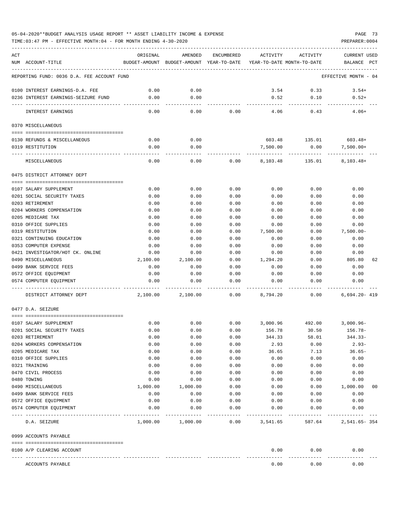### 05-04-2020\*\*BUDGET ANALYSIS USAGE REPORT \*\* ASSET LIABILITY INCOME & EXPENSE PAGE 73 TIME:03:47 PM - EFFECTIVE MONTH:04 - FOR MONTH ENDING 4-30-2020 PREPARER:0004

| ACT |                                                  | ORIGINAL         | AMENDED                                                             | ENCUMBERED   | ACTIVITY           | ACTIVITY                  | CURRENT USED             |    |
|-----|--------------------------------------------------|------------------|---------------------------------------------------------------------|--------------|--------------------|---------------------------|--------------------------|----|
|     | NUM ACCOUNT-TITLE                                |                  | BUDGET-AMOUNT BUDGET-AMOUNT YEAR-TO-DATE YEAR-TO-DATE MONTH-TO-DATE |              |                    |                           | BALANCE PCT              |    |
|     | REPORTING FUND: 0036 D.A. FEE ACCOUNT FUND       |                  |                                                                     |              |                    |                           | EFFECTIVE MONTH - 04     |    |
|     | 0100 INTEREST EARNINGS-D.A. FEE                  | 0.00             | 0.00                                                                |              | 3.54               | 0.33                      | $3.54+$                  |    |
|     | 0236 INTEREST EARNINGS-SEIZURE FUND              | 0.00             | 0.00                                                                |              | 0.52               | 0.10                      | $0.52+$                  |    |
|     | INTEREST EARNINGS                                | 0.00             | 0.00                                                                | 0.00         | 4.06               | 0.43                      | $4.06+$                  |    |
|     | 0370 MISCELLANEOUS                               |                  |                                                                     |              |                    |                           |                          |    |
|     |                                                  |                  |                                                                     |              |                    |                           |                          |    |
|     | 0130 REFUNDS & MISCELLANEOUS<br>0319 RESTITUTION | 0.00<br>0.00     | 0.00<br>0.00                                                        |              | 603.48<br>7,500.00 | 135.01<br>0.00            | $603.48+$<br>$7,500.00+$ |    |
|     |                                                  |                  |                                                                     |              |                    |                           |                          |    |
|     | MISCELLANEOUS                                    | 0.00             | 0.00                                                                | 0.00         | 8,103.48           | 135.01                    | $8, 103.48+$             |    |
|     | 0475 DISTRICT ATTORNEY DEPT                      |                  |                                                                     |              |                    |                           |                          |    |
|     | 0107 SALARY SUPPLEMENT                           | 0.00             | 0.00                                                                | 0.00         | 0.00               | 0.00                      | 0.00                     |    |
|     | 0201 SOCIAL SECURITY TAXES                       | 0.00             | 0.00                                                                | 0.00         | 0.00               | 0.00                      | 0.00                     |    |
|     | 0203 RETIREMENT                                  | 0.00             | 0.00                                                                | 0.00         | 0.00               | 0.00                      | 0.00                     |    |
|     | 0204 WORKERS COMPENSATION                        | 0.00             | 0.00                                                                | 0.00         | 0.00               | 0.00                      | 0.00                     |    |
|     | 0205 MEDICARE TAX                                | 0.00             | 0.00                                                                | 0.00         | 0.00               | 0.00                      | 0.00                     |    |
|     | 0310 OFFICE SUPPLIES                             | 0.00             | 0.00                                                                | 0.00         | 0.00               | 0.00                      | 0.00                     |    |
|     | 0319 RESTITUTION                                 | 0.00             | 0.00                                                                | 0.00         | 7,500.00           | 0.00                      | $7,500.00 -$             |    |
|     | 0321 CONTINUING EDUCATION                        | 0.00             | 0.00                                                                | 0.00         | 0.00               | 0.00                      | 0.00                     |    |
|     | 0353 COMPUTER EXPENSE                            | 0.00             | 0.00                                                                | 0.00         | 0.00               | 0.00                      | 0.00                     |    |
|     | 0421 INVESTIGATOR/HOT CK. ONLINE                 | 0.00             | 0.00                                                                | 0.00         | 0.00               | 0.00                      | 0.00                     |    |
|     | 0490 MISCELLANEOUS                               | 2,100.00         | 2,100.00                                                            | 0.00         | 1,294.20           | 0.00                      | 805.80                   | 62 |
|     | 0499 BANK SERVICE FEES                           | 0.00             | 0.00                                                                | 0.00         | 0.00               | 0.00                      | 0.00                     |    |
|     | 0572 OFFICE EQUIPMENT<br>0574 COMPUTER EQUIPMENT | 0.00<br>0.00     | 0.00<br>0.00                                                        | 0.00<br>0.00 | 0.00<br>0.00       | 0.00<br>0.00              | 0.00<br>0.00             |    |
|     |                                                  |                  |                                                                     |              |                    |                           |                          |    |
|     | DISTRICT ATTORNEY DEPT                           | 2,100.00         | 2,100.00                                                            | 0.00         | 8,794.20           | 0.00                      | $6,694.20 - 419$         |    |
|     | 0477 D.A. SEIZURE                                |                  |                                                                     |              |                    |                           |                          |    |
|     | 0107 SALARY SUPPLEMENT                           | 0.00             | 0.00                                                                | 0.00         |                    | 3,000.96 492.00 3,000.96- |                          |    |
|     | 0201 SOCIAL SECURITY TAXES                       | 0.00             | 0.00                                                                | 0.00         | 156.78             | 30.50                     | 156.78-                  |    |
|     | 0203 RETIREMENT                                  | 0.00             | 0.00                                                                | 0.00         | 344.33             | 58.01                     | $344.33-$                |    |
|     | 0204 WORKERS COMPENSATION                        | 0.00             | 0.00                                                                | 0.00         | 2.93               | 0.00                      | $2.93-$                  |    |
|     | 0205 MEDICARE TAX                                | 0.00             | 0.00                                                                | 0.00         | 36.65              | 7.13                      | $36.65-$                 |    |
|     | 0310 OFFICE SUPPLIES                             | 0.00             | 0.00                                                                | 0.00         | 0.00               | 0.00                      | 0.00                     |    |
|     | 0321 TRAINING                                    | 0.00             | 0.00                                                                | 0.00         | 0.00               | 0.00                      | 0.00                     |    |
|     | 0470 CIVIL PROCESS                               | 0.00             | 0.00                                                                | 0.00         | 0.00               | 0.00                      | 0.00                     |    |
|     | 0480 TOWING                                      | 0.00             | 0.00                                                                | 0.00         | 0.00               | 0.00                      | 0.00                     |    |
|     | 0490 MISCELLANEOUS<br>0499 BANK SERVICE FEES     | 1,000.00<br>0.00 | 1,000.00<br>0.00                                                    | 0.00<br>0.00 | 0.00<br>0.00       | 0.00<br>0.00              | 1,000.00<br>0.00         | 00 |
|     | 0572 OFFICE EQUIPMENT                            | 0.00             | 0.00                                                                | 0.00         | 0.00               | 0.00                      | 0.00                     |    |
|     | 0574 COMPUTER EQUIPMENT                          | 0.00             | 0.00                                                                | 0.00         | 0.00               | 0.00                      | 0.00                     |    |
|     |                                                  |                  |                                                                     |              |                    |                           |                          |    |
|     | D.A. SEIZURE                                     |                  | 1,000.00 1,000.00                                                   | 0.00         | 3,541.65           |                           | 587.64 2,541.65-354      |    |
|     | 0999 ACCOUNTS PAYABLE                            |                  |                                                                     |              |                    |                           |                          |    |
|     | 0100 A/P CLEARING ACCOUNT                        |                  |                                                                     |              | 0.00               | 0.00                      | 0.00                     |    |
|     | ACCOUNTS PAYABLE                                 |                  |                                                                     |              | 0.00               | 0.00                      | 0.00                     |    |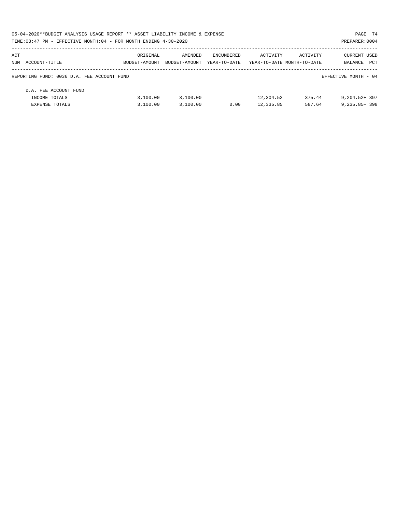| 05-04-2020**BUDGET ANALYSIS USAGE REPORT ** ASSET LIABILITY INCOME & EXPENSE |               |               |              |                            |          | PAGE 74              |  |
|------------------------------------------------------------------------------|---------------|---------------|--------------|----------------------------|----------|----------------------|--|
| TIME: 03:47 PM - EFFECTIVE MONTH: 04 - FOR MONTH ENDING 4-30-2020            |               |               |              |                            |          | PREPARER: 0004       |  |
| ACT                                                                          | ORIGINAL      | AMENDED       | ENCUMBERED   | ACTIVITY                   | ACTIVITY | <b>CURRENT USED</b>  |  |
| NUM ACCOUNT-TITLE                                                            | BUDGET-AMOUNT | BUDGET-AMOUNT | YEAR-TO-DATE | YEAR-TO-DATE MONTH-TO-DATE |          | PCT<br>BALANCE       |  |
| REPORTING FUND: 0036 D.A. FEE ACCOUNT FUND                                   |               |               |              |                            |          | EFFECTIVE MONTH - 04 |  |
| D.A. FEE ACCOUNT FUND                                                        |               |               |              |                            |          |                      |  |
| INCOME TOTALS                                                                | 3.100.00      | 3.100.00      |              | 12,304.52                  | 375.44   | $9,204.52+397$       |  |
| EXPENSE TOTALS                                                               | 3.100.00      | 3,100.00      | 0.00         | 12,335.85                  | 587.64   | $9,235.85 - 398$     |  |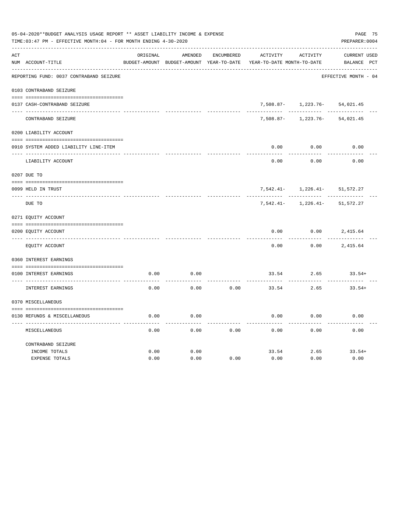|     | 05-04-2020**BUDGET ANALYSIS USAGE REPORT ** ASSET LIABILITY INCOME & EXPENSE<br>TIME:03:47 PM - EFFECTIVE MONTH:04 - FOR MONTH ENDING 4-30-2020 |          |                                          |            |                            |                               |                      |  |  |  |
|-----|-------------------------------------------------------------------------------------------------------------------------------------------------|----------|------------------------------------------|------------|----------------------------|-------------------------------|----------------------|--|--|--|
| ACT |                                                                                                                                                 | ORIGINAL | AMENDED                                  | ENCUMBERED | ACTIVITY                   | ACTIVITY                      | <b>CURRENT USED</b>  |  |  |  |
|     | NUM ACCOUNT-TITLE                                                                                                                               |          | BUDGET-AMOUNT BUDGET-AMOUNT YEAR-TO-DATE |            | YEAR-TO-DATE MONTH-TO-DATE |                               | BALANCE PCT          |  |  |  |
|     | REPORTING FUND: 0037 CONTRABAND SEIZURE                                                                                                         |          |                                          |            |                            |                               | EFFECTIVE MONTH - 04 |  |  |  |
|     | 0103 CONTRABAND SEIZURE                                                                                                                         |          |                                          |            |                            |                               |                      |  |  |  |
|     | 0137 CASH-CONTRABAND SEIZURE                                                                                                                    |          |                                          |            |                            | 7,508.87- 1,223.76- 54,021.45 |                      |  |  |  |
|     | CONTRABAND SEIZURE                                                                                                                              |          |                                          |            | $7,508.87 -$               | 1,223.76-                     | 54,021.45            |  |  |  |
|     | 0200 LIABILITY ACCOUNT                                                                                                                          |          |                                          |            |                            |                               |                      |  |  |  |
|     | 0910 SYSTEM ADDED LIABILITY LINE-ITEM                                                                                                           |          |                                          |            | 0.00                       | 0.00                          | 0.00                 |  |  |  |
|     | LIABILITY ACCOUNT                                                                                                                               |          |                                          |            | 0.00                       | 0.00                          | 0.00                 |  |  |  |
|     | 0207 DUE TO                                                                                                                                     |          |                                          |            |                            |                               |                      |  |  |  |
|     | 0099 HELD IN TRUST                                                                                                                              |          |                                          |            | 7,542.41-                  | $1,226.41-$                   | 51, 572.27           |  |  |  |
|     | DUE TO                                                                                                                                          |          |                                          |            | 7,542.41-                  | $1,226.41-$                   | 51, 572.27           |  |  |  |
|     | 0271 EQUITY ACCOUNT                                                                                                                             |          |                                          |            |                            |                               |                      |  |  |  |
|     | 0200 EQUITY ACCOUNT                                                                                                                             |          |                                          |            | 0.00                       | 0.00                          | 2,415.64             |  |  |  |
|     | EQUITY ACCOUNT                                                                                                                                  |          |                                          |            | 0.00                       | 0.00                          | 2,415.64             |  |  |  |
|     | 0360 INTEREST EARNINGS                                                                                                                          |          |                                          |            |                            |                               |                      |  |  |  |
|     | 0100 INTEREST EARNINGS                                                                                                                          | 0.00     | 0.00                                     |            | 33.54                      | 2.65                          | $33.54+$             |  |  |  |
|     | INTEREST EARNINGS                                                                                                                               | 0.00     | 0.00                                     | 0.00       | 33.54                      | 2.65                          | $33.54+$             |  |  |  |
|     | 0370 MISCELLANEOUS                                                                                                                              |          |                                          |            |                            |                               |                      |  |  |  |
|     |                                                                                                                                                 |          |                                          |            |                            |                               |                      |  |  |  |
|     | 0130 REFUNDS & MISCELLANEOUS                                                                                                                    | 0.00     | 0.00                                     |            | 0.00                       | 0.00                          | 0.00                 |  |  |  |
|     | MISCELLANEOUS                                                                                                                                   | 0.00     | 0.00                                     | 0.00       | 0.00                       | 0.00                          | 0.00                 |  |  |  |
|     | CONTRABAND SEIZURE                                                                                                                              |          |                                          |            |                            |                               |                      |  |  |  |
|     | INCOME TOTALS                                                                                                                                   | 0.00     | 0.00                                     |            | 33.54                      | 2.65                          | $33.54+$             |  |  |  |
|     | <b>EXPENSE TOTALS</b>                                                                                                                           | 0.00     | 0.00                                     | 0.00       | 0.00                       | 0.00                          | 0.00                 |  |  |  |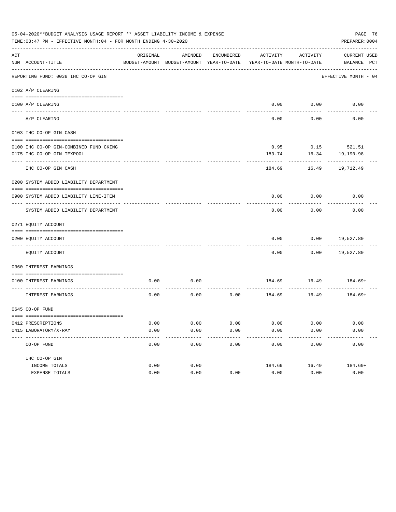|     | PAGE 76<br>05-04-2020**BUDGET ANALYSIS USAGE REPORT ** ASSET LIABILITY INCOME & EXPENSE<br>TIME: 03:47 PM - EFFECTIVE MONTH: 04 - FOR MONTH ENDING 4-30-2020<br>PREPARER: 0004 |          |                                                     |                     |                   |                                        |                                    |  |  |  |
|-----|--------------------------------------------------------------------------------------------------------------------------------------------------------------------------------|----------|-----------------------------------------------------|---------------------|-------------------|----------------------------------------|------------------------------------|--|--|--|
| ACT | NUM ACCOUNT-TITLE                                                                                                                                                              | ORIGINAL | AMENDED<br>BUDGET-AMOUNT BUDGET-AMOUNT YEAR-TO-DATE | ENCUMBERED          | ACTIVITY          | ACTIVITY<br>YEAR-TO-DATE MONTH-TO-DATE | <b>CURRENT USED</b><br>BALANCE PCT |  |  |  |
|     | REPORTING FUND: 0038 IHC CO-OP GIN                                                                                                                                             |          |                                                     |                     |                   |                                        | EFFECTIVE MONTH - 04               |  |  |  |
|     | 0102 A/P CLEARING                                                                                                                                                              |          |                                                     |                     |                   |                                        |                                    |  |  |  |
|     |                                                                                                                                                                                |          |                                                     |                     |                   |                                        |                                    |  |  |  |
|     | 0100 A/P CLEARING                                                                                                                                                              |          |                                                     |                     |                   | $0.00$ $0.00$ $0.00$                   |                                    |  |  |  |
|     | A/P CLEARING                                                                                                                                                                   |          |                                                     |                     | 0.00              | 0.00                                   | 0.00                               |  |  |  |
|     | 0103 IHC CO-OP GIN CASH                                                                                                                                                        |          |                                                     |                     |                   |                                        |                                    |  |  |  |
|     | 0100 IHC CO-OP GIN-COMBINED FUND CKING                                                                                                                                         |          |                                                     |                     |                   | 0.95 0.15 521.51                       |                                    |  |  |  |
|     | 0175 IHC CO-OP GIN TEXPOOL                                                                                                                                                     |          |                                                     |                     | 183.74            | 16.34                                  | 19,190.98                          |  |  |  |
|     | -----------------<br>IHC CO-OP GIN CASH                                                                                                                                        |          |                                                     |                     | -------<br>184.69 | ----------<br>16.49                    | -----------<br>19,712.49           |  |  |  |
|     | 0200 SYSTEM ADDED LIABILITY DEPARTMENT                                                                                                                                         |          |                                                     |                     |                   |                                        |                                    |  |  |  |
|     | 0900 SYSTEM ADDED LIABILITY LINE-ITEM                                                                                                                                          |          |                                                     |                     | 0.00              | 0.00                                   | 0.00                               |  |  |  |
|     | SYSTEM ADDED LIABILITY DEPARTMENT                                                                                                                                              |          |                                                     |                     | 0.00              | 0.00                                   | 0.00                               |  |  |  |
|     | 0271 EQUITY ACCOUNT                                                                                                                                                            |          |                                                     |                     |                   |                                        |                                    |  |  |  |
|     | 0200 EQUITY ACCOUNT                                                                                                                                                            |          |                                                     |                     | 0.00              | 0.00                                   | 19,527.80                          |  |  |  |
|     | EQUITY ACCOUNT                                                                                                                                                                 |          |                                                     |                     | 0.00              |                                        | $0.00$ 19,527.80                   |  |  |  |
|     | 0360 INTEREST EARNINGS                                                                                                                                                         |          |                                                     |                     |                   |                                        |                                    |  |  |  |
|     | 0100 INTEREST EARNINGS                                                                                                                                                         | 0.00     | 0.00                                                |                     |                   |                                        | 184.69 16.49 184.69+               |  |  |  |
|     | INTEREST EARNINGS                                                                                                                                                              | 0.00     | 0.00                                                | 0.00                | 184.69            | 16.49                                  | 184.69+                            |  |  |  |
|     | 0645 CO-OP FUND                                                                                                                                                                |          |                                                     |                     |                   |                                        |                                    |  |  |  |
|     | 0412 PRESCRIPTIONS                                                                                                                                                             | 0.00     | 0.00                                                | 0.00                | 0.00              | 0.00                                   | 0.00                               |  |  |  |
|     | 0415 LABORATORY/X-RAY                                                                                                                                                          | 0.00     | 0.00<br>------                                      | 0.00<br>$- - - - -$ | 0.00<br>--------- | 0.00<br>---------                      | 0.00<br>----------                 |  |  |  |
|     | CO-OP FUND                                                                                                                                                                     | 0.00     | 0.00                                                | 0.00                | 0.00              | 0.00                                   | 0.00                               |  |  |  |
|     | IHC CO-OP GIN                                                                                                                                                                  |          |                                                     |                     |                   |                                        |                                    |  |  |  |
|     | INCOME TOTALS                                                                                                                                                                  | 0.00     | 0.00                                                |                     | 184.69            | 16.49                                  | $184.69+$                          |  |  |  |
|     | EXPENSE TOTALS                                                                                                                                                                 | 0.00     | 0.00                                                | 0.00                | 0.00              | 0.00                                   | 0.00                               |  |  |  |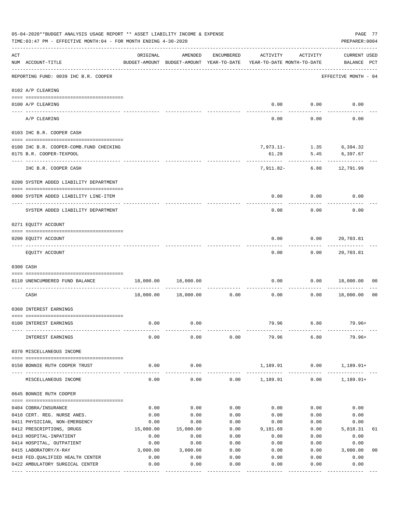|     | 05-04-2020**BUDGET ANALYSIS USAGE REPORT ** ASSET LIABILITY INCOME & EXPENSE<br>PAGE 77<br>TIME:03:47 PM - EFFECTIVE MONTH:04 - FOR MONTH ENDING 4-30-2020<br>PREPARER: 0004 |           |                                                     |            |                                        |             |                                     |                |  |  |
|-----|------------------------------------------------------------------------------------------------------------------------------------------------------------------------------|-----------|-----------------------------------------------------|------------|----------------------------------------|-------------|-------------------------------------|----------------|--|--|
| ACT | NUM ACCOUNT-TITLE                                                                                                                                                            | ORIGINAL  | AMENDED<br>BUDGET-AMOUNT BUDGET-AMOUNT YEAR-TO-DATE | ENCUMBERED | ACTIVITY<br>YEAR-TO-DATE MONTH-TO-DATE | ACTIVITY    | <b>CURRENT USED</b><br>BALANCE PCT  |                |  |  |
|     | REPORTING FUND: 0039 IHC B.R. COOPER                                                                                                                                         |           |                                                     |            |                                        |             | EFFECTIVE MONTH - 04                |                |  |  |
|     | 0102 A/P CLEARING                                                                                                                                                            |           |                                                     |            |                                        |             |                                     |                |  |  |
|     | 0100 A/P CLEARING<br>---- --------                                                                                                                                           |           |                                                     |            |                                        | $0.00$ 0.00 | 0.00                                |                |  |  |
|     | A/P CLEARING                                                                                                                                                                 |           |                                                     |            | 0.00                                   | 0.00        | 0.00                                |                |  |  |
|     | 0103 IHC B.R. COOPER CASH                                                                                                                                                    |           |                                                     |            |                                        |             |                                     |                |  |  |
|     | 0100 IHC B.R. COOPER-COMB.FUND CHECKING<br>0175 B.R. COOPER-TEXPOOL                                                                                                          |           |                                                     |            | 61.29                                  | 5.45        | 7,973.11- 1.35 6,394.32<br>6,397.67 |                |  |  |
|     | IHC B.R. COOPER CASH                                                                                                                                                         |           |                                                     |            | 7,911.82-                              | 6.80        | 12,791.99                           |                |  |  |
|     | 0200 SYSTEM ADDED LIABILITY DEPARTMENT                                                                                                                                       |           |                                                     |            |                                        |             |                                     |                |  |  |
|     | 0900 SYSTEM ADDED LIABILITY LINE-ITEM                                                                                                                                        |           |                                                     |            | 0.00                                   | 0.00        | 0.00                                |                |  |  |
|     | SYSTEM ADDED LIABILITY DEPARTMENT                                                                                                                                            |           |                                                     |            | 0.00                                   | 0.00        | 0.00                                |                |  |  |
|     | 0271 EQUITY ACCOUNT                                                                                                                                                          |           |                                                     |            |                                        |             |                                     |                |  |  |
|     | 0200 EQUITY ACCOUNT                                                                                                                                                          |           |                                                     |            | 0.00                                   | 0.00        | 20,703.81                           |                |  |  |
|     | EQUITY ACCOUNT                                                                                                                                                               |           |                                                     |            | 0.00                                   | 0.00        | 20,703.81                           |                |  |  |
|     | 0300 CASH                                                                                                                                                                    |           |                                                     |            |                                        |             |                                     |                |  |  |
|     | 0110 UNENCUMBERED FUND BALANCE                                                                                                                                               | 18,000.00 | 18,000.00                                           |            | 0.00                                   | 0.00        | 18,000.00                           | 00             |  |  |
|     | CASH                                                                                                                                                                         | 18,000.00 | 18,000.00                                           | 0.00       | 0.00                                   | 0.00        | 18,000.00                           | 0 <sub>0</sub> |  |  |
|     | 0360 INTEREST EARNINGS                                                                                                                                                       |           |                                                     |            |                                        |             |                                     |                |  |  |
|     | 0100 INTEREST EARNINGS                                                                                                                                                       | 0.00      | 0.00                                                |            | 79.96                                  | 6.80        | $79.96+$                            |                |  |  |
|     | INTEREST EARNINGS                                                                                                                                                            | 0.00      | 0.00                                                | 0.00       | 79.96                                  | 6.80        | $79.96+$                            |                |  |  |
|     | 0370 MISCELLANEOUS INCOME                                                                                                                                                    |           |                                                     |            |                                        |             |                                     |                |  |  |
|     | 0150 BONNIE RUTH COOPER TRUST                                                                                                                                                | 0.00      | 0.00                                                |            | 1,189.91                               | 0.00        | $1,189.91+$                         |                |  |  |
|     | MISCELLANEOUS INCOME                                                                                                                                                         | 0.00      | 0.00                                                |            | $0.00$ 1,189.91                        | 0.00        | $1,189.91+$                         |                |  |  |
|     | 0645 BONNIE RUTH COOPER                                                                                                                                                      |           |                                                     |            |                                        |             |                                     |                |  |  |
|     | 0404 COBRA/INSURANCE                                                                                                                                                         | 0.00      | 0.00                                                | 0.00       | 0.00                                   | 0.00        | 0.00                                |                |  |  |
|     | 0410 CERT. REG. NURSE ANES.                                                                                                                                                  | 0.00      | 0.00                                                | 0.00       | 0.00                                   | 0.00        | 0.00                                |                |  |  |
|     | 0411 PHYSICIAN, NON-EMERGENCY                                                                                                                                                | 0.00      | 0.00                                                | 0.00       | 0.00                                   | 0.00        | 0.00                                |                |  |  |
|     | 0412 PRESCRIPTIONS, DRUGS                                                                                                                                                    | 15,000.00 | 15,000.00                                           | 0.00       | 9,181.69                               | 0.00        | 5,818.31                            | 61             |  |  |
|     | 0413 HOSPITAL-INPATIENT                                                                                                                                                      | 0.00      | 0.00                                                | 0.00       | 0.00                                   | 0.00        | 0.00                                |                |  |  |
|     | 0414 HOSPITAL, OUTPATIENT                                                                                                                                                    | 0.00      | 0.00                                                | 0.00       | 0.00                                   | 0.00        | 0.00                                |                |  |  |
|     | 0415 LABORATORY/X-RAY                                                                                                                                                        | 3,000.00  | 3,000.00                                            | 0.00       | 0.00                                   | 0.00        | 3,000.00                            | 0 <sub>0</sub> |  |  |
|     | 0418 FED. QUALIFIED HEALTH CENTER                                                                                                                                            | 0.00      | 0.00                                                | 0.00       | 0.00                                   | 0.00        | 0.00                                |                |  |  |
|     | 0422 AMBULATORY SURGICAL CENTER                                                                                                                                              | 0.00      | 0.00                                                | 0.00       | 0.00                                   | 0.00        | 0.00<br>---------                   |                |  |  |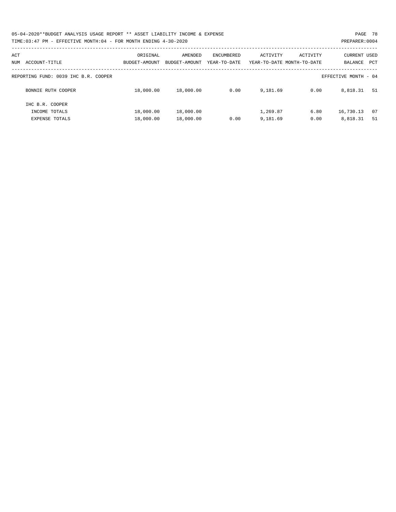| 05-04-2020**BUDGET ANALYSIS USAGE REPORT ** ASSET LIABILITY INCOME & EXPENSE | PAGE 78        |
|------------------------------------------------------------------------------|----------------|
| TIME: 03:47 PM - EFFECTIVE MONTH: 04 - FOR MONTH ENDING 4-30-2020            | PREPARER: 0004 |

| ACT<br>ACCOUNT-TITLE<br>NUM          | ORIGINAL<br>BUDGET-AMOUNT | AMENDED<br>BUDGET-AMOUNT | ENCUMBERED<br>YEAR-TO-DATE | ACTIVITY | ACTIVITY<br>YEAR-TO-DATE MONTH-TO-DATE | <b>CURRENT USED</b><br>BALANCE | PCT |
|--------------------------------------|---------------------------|--------------------------|----------------------------|----------|----------------------------------------|--------------------------------|-----|
| REPORTING FUND: 0039 IHC B.R. COOPER |                           |                          |                            |          |                                        | EFFECTIVE MONTH - 04           |     |
| BONNIE RUTH COOPER                   | 18,000.00                 | 18,000.00                | 0.00                       | 9,181.69 | 0.00                                   | 8,818.31                       | 51  |
| IHC B.R. COOPER                      |                           |                          |                            |          |                                        |                                |     |
| INCOME TOTALS                        | 18,000.00                 | 18,000.00                |                            | 1,269.87 | 6.80                                   | 16,730.13                      | 07  |
| <b>EXPENSE TOTALS</b>                | 18,000.00                 | 18,000.00                | 0.00                       | 9,181.69 | 0.00                                   | 8,818.31                       | 51  |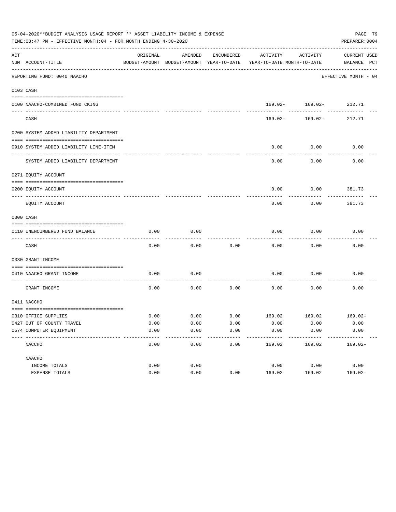| 05-04-2020**BUDGET ANALYSIS USAGE REPORT ** ASSET LIABILITY INCOME & EXPENSE<br>PAGE 79<br>PREPARER: 0004<br>TIME:03:47 PM - EFFECTIVE MONTH:04 - FOR MONTH ENDING 4-30-2020 |                                        |          |         |            |                                                                                 |                        |                             |  |  |  |
|------------------------------------------------------------------------------------------------------------------------------------------------------------------------------|----------------------------------------|----------|---------|------------|---------------------------------------------------------------------------------|------------------------|-----------------------------|--|--|--|
| ACT                                                                                                                                                                          | NUM ACCOUNT-TITLE                      | ORIGINAL | AMENDED | ENCUMBERED | ACTIVITY<br>BUDGET-AMOUNT BUDGET-AMOUNT YEAR-TO-DATE YEAR-TO-DATE MONTH-TO-DATE | ACTIVITY               | CURRENT USED<br>BALANCE PCT |  |  |  |
|                                                                                                                                                                              | REPORTING FUND: 0040 NAACHO            |          |         |            |                                                                                 |                        | EFFECTIVE MONTH - 04        |  |  |  |
|                                                                                                                                                                              | 0103 CASH                              |          |         |            |                                                                                 |                        |                             |  |  |  |
|                                                                                                                                                                              |                                        |          |         |            |                                                                                 |                        |                             |  |  |  |
|                                                                                                                                                                              | 0100 NAACHO-COMBINED FUND CKING        |          |         |            |                                                                                 | 169.02- 169.02- 212.71 |                             |  |  |  |
|                                                                                                                                                                              | CASH                                   |          |         |            | 169.02-                                                                         | 169.02-                | 212.71                      |  |  |  |
|                                                                                                                                                                              | 0200 SYSTEM ADDED LIABILITY DEPARTMENT |          |         |            |                                                                                 |                        |                             |  |  |  |
|                                                                                                                                                                              |                                        |          |         |            |                                                                                 |                        |                             |  |  |  |
|                                                                                                                                                                              | 0910 SYSTEM ADDED LIABILITY LINE-ITEM  |          |         |            | 0.00                                                                            | 0.00                   | 0.00                        |  |  |  |
|                                                                                                                                                                              | SYSTEM ADDED LIABILITY DEPARTMENT      |          |         |            | 0.00                                                                            | 0.00                   | 0.00                        |  |  |  |
|                                                                                                                                                                              | 0271 EQUITY ACCOUNT                    |          |         |            |                                                                                 |                        |                             |  |  |  |
|                                                                                                                                                                              | 0200 EQUITY ACCOUNT                    |          |         |            | 0.00                                                                            | $0.00$ 381.73          |                             |  |  |  |
|                                                                                                                                                                              | EQUITY ACCOUNT                         |          |         |            | 0.00                                                                            | 0.00                   | 381.73                      |  |  |  |
|                                                                                                                                                                              | 0300 CASH                              |          |         |            |                                                                                 |                        |                             |  |  |  |
|                                                                                                                                                                              | 0110 UNENCUMBERED FUND BALANCE         | 0.00     | 0.00    |            | 0.00                                                                            | 0.00                   | 0.00                        |  |  |  |
|                                                                                                                                                                              | CASH                                   | 0.00     | 0.00    | 0.00       | 0.00                                                                            | 0.00                   | 0.00                        |  |  |  |
|                                                                                                                                                                              | 0330 GRANT INCOME                      |          |         |            |                                                                                 |                        |                             |  |  |  |
|                                                                                                                                                                              | 0410 NAACHO GRANT INCOME               | 0.00     | 0.00    |            | 0.00                                                                            | 0.00                   | 0.00                        |  |  |  |
|                                                                                                                                                                              | GRANT INCOME                           | 0.00     | 0.00    | 0.00       | 0.00                                                                            | 0.00                   | 0.00                        |  |  |  |
|                                                                                                                                                                              | 0411 NACCHO                            |          |         |            |                                                                                 |                        |                             |  |  |  |
|                                                                                                                                                                              |                                        |          |         |            |                                                                                 |                        |                             |  |  |  |
|                                                                                                                                                                              | 0310 OFFICE SUPPLIES                   | 0.00     |         |            | $0.00$ $0.00$ $169.02$ $169.02$ $169.02$                                        |                        |                             |  |  |  |
|                                                                                                                                                                              | 0427 OUT OF COUNTY TRAVEL              | 0.00     | 0.00    | 0.00       | 0.00                                                                            | 0.00                   | 0.00                        |  |  |  |
|                                                                                                                                                                              | 0574 COMPUTER EOUIPMENT                | 0.00     | 0.00    | 0.00       | 0.00                                                                            | 0.00                   | 0.00                        |  |  |  |
|                                                                                                                                                                              | NACCHO                                 | 0.00     | 0.00    | 0.00       | 169.02                                                                          | 169.02                 | $169.02 -$                  |  |  |  |
|                                                                                                                                                                              | NAACHO                                 |          |         |            |                                                                                 |                        |                             |  |  |  |
|                                                                                                                                                                              | INCOME TOTALS                          | 0.00     | 0.00    |            | 0.00                                                                            | 0.00                   | 0.00                        |  |  |  |
|                                                                                                                                                                              | EXPENSE TOTALS                         | 0.00     | 0.00    | 0.00       | 169.02                                                                          | 169.02                 | $169.02 -$                  |  |  |  |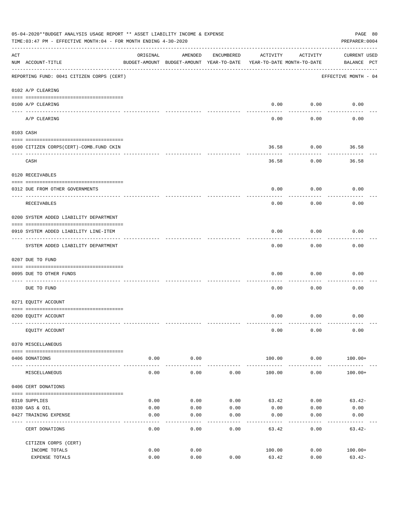|     | 05-04-2020**BUDGET ANALYSIS USAGE REPORT ** ASSET LIABILITY INCOME & EXPENSE<br>PAGE 80<br>TIME: 03:47 PM - EFFECTIVE MONTH: 04 - FOR MONTH ENDING 4-30-2020<br>PREPARER: 0004 |                     |                                                     |            |                                        |                           |                                    |  |  |  |
|-----|--------------------------------------------------------------------------------------------------------------------------------------------------------------------------------|---------------------|-----------------------------------------------------|------------|----------------------------------------|---------------------------|------------------------------------|--|--|--|
| ACT | NUM ACCOUNT-TITLE                                                                                                                                                              | ORIGINAL            | AMENDED<br>BUDGET-AMOUNT BUDGET-AMOUNT YEAR-TO-DATE | ENCUMBERED | ACTIVITY<br>YEAR-TO-DATE MONTH-TO-DATE | ACTIVITY                  | <b>CURRENT USED</b><br>BALANCE PCT |  |  |  |
|     | --------------------------------------<br>REPORTING FUND: 0041 CITIZEN CORPS (CERT)                                                                                            |                     |                                                     |            |                                        |                           | EFFECTIVE MONTH - 04               |  |  |  |
|     | 0102 A/P CLEARING                                                                                                                                                              |                     |                                                     |            |                                        |                           |                                    |  |  |  |
|     | 0100 A/P CLEARING                                                                                                                                                              |                     |                                                     |            | 0.00                                   | 0.00                      | 0.00                               |  |  |  |
|     | A/P CLEARING                                                                                                                                                                   |                     |                                                     |            | 0.00                                   | -------<br>0.00           | 0.00                               |  |  |  |
|     | 0103 CASH                                                                                                                                                                      |                     |                                                     |            |                                        |                           |                                    |  |  |  |
|     | 0100 CITIZEN CORPS(CERT)-COMB.FUND CKIN                                                                                                                                        |                     |                                                     |            | 36.58                                  | 0.00                      | 36.58                              |  |  |  |
|     | CASH                                                                                                                                                                           |                     |                                                     |            | 36.58                                  | 0.00                      | 36.58                              |  |  |  |
|     | 0120 RECEIVABLES                                                                                                                                                               |                     |                                                     |            |                                        |                           |                                    |  |  |  |
|     | 0312 DUE FROM OTHER GOVERNMENTS                                                                                                                                                |                     |                                                     |            | 0.00                                   | 0.00                      | 0.00                               |  |  |  |
|     | RECEIVABLES                                                                                                                                                                    |                     |                                                     |            | 0.00                                   | 0.00                      | 0.00                               |  |  |  |
|     | 0200 SYSTEM ADDED LIABILITY DEPARTMENT                                                                                                                                         |                     |                                                     |            |                                        |                           |                                    |  |  |  |
|     | 0910 SYSTEM ADDED LIABILITY LINE-ITEM                                                                                                                                          |                     |                                                     |            | 0.00                                   | 0.00<br>$- - - - - - - -$ | 0.00                               |  |  |  |
|     | SYSTEM ADDED LIABILITY DEPARTMENT                                                                                                                                              |                     |                                                     |            | 0.00                                   | 0.00                      | 0.00                               |  |  |  |
|     | 0207 DUE TO FUND                                                                                                                                                               |                     |                                                     |            |                                        |                           |                                    |  |  |  |
|     | 0095 DUE TO OTHER FUNDS                                                                                                                                                        |                     |                                                     |            | 0.00                                   | 0.00                      | 0.00                               |  |  |  |
|     | DUE TO FUND                                                                                                                                                                    |                     |                                                     |            | 0.00                                   | 0.00                      | 0.00                               |  |  |  |
|     | 0271 EQUITY ACCOUNT                                                                                                                                                            |                     |                                                     |            |                                        |                           |                                    |  |  |  |
|     | 0200 EQUITY ACCOUNT                                                                                                                                                            |                     |                                                     |            |                                        | $0.00$ $0.00$             | 0.00                               |  |  |  |
|     | EQUITY ACCOUNT                                                                                                                                                                 |                     |                                                     |            | 0.00                                   | 0.00                      | 0.00                               |  |  |  |
|     | 0370 MISCELLANEOUS                                                                                                                                                             |                     |                                                     |            |                                        |                           |                                    |  |  |  |
|     | 0406 DONATIONS                                                                                                                                                                 | 0.00                | 0.00                                                |            | 100.00                                 | 0.00                      | $100.00+$                          |  |  |  |
|     | MISCELLANEOUS                                                                                                                                                                  | $- - - - -$<br>0.00 | ----------<br>0.00                                  | 0.00       | 100.00                                 | ----------<br>0.00        | $100.00+$                          |  |  |  |
|     | 0406 CERT DONATIONS                                                                                                                                                            |                     |                                                     |            |                                        |                           |                                    |  |  |  |
|     | 0310 SUPPLIES                                                                                                                                                                  | 0.00                | 0.00                                                | 0.00       | 63.42                                  | 0.00                      | $63.42-$                           |  |  |  |
|     | 0330 GAS & OIL                                                                                                                                                                 | 0.00                | 0.00                                                | 0.00       | 0.00                                   | 0.00                      | 0.00                               |  |  |  |
|     | 0427 TRAINING EXPENSE                                                                                                                                                          | 0.00                | 0.00                                                | 0.00       | 0.00                                   | 0.00                      | 0.00                               |  |  |  |
|     | CERT DONATIONS                                                                                                                                                                 | 0.00                | 0.00                                                | 0.00       | 63.42                                  | 0.00                      | $63.42-$                           |  |  |  |
|     | CITIZEN CORPS (CERT)                                                                                                                                                           |                     |                                                     |            |                                        |                           |                                    |  |  |  |
|     | INCOME TOTALS<br>EXPENSE TOTALS                                                                                                                                                | 0.00<br>0.00        | 0.00<br>0.00                                        | 0.00       | 100.00<br>63.42                        | 0.00<br>0.00              | $100.00+$<br>$63.42-$              |  |  |  |
|     |                                                                                                                                                                                |                     |                                                     |            |                                        |                           |                                    |  |  |  |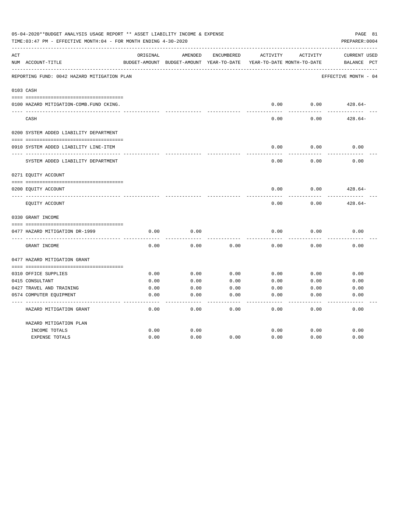| 05-04-2020**BUDGET ANALYSIS USAGE REPORT ** ASSET LIABILITY INCOME & EXPENSE<br>PAGE 81<br>TIME: 03:47 PM - EFFECTIVE MONTH: 04 - FOR MONTH ENDING 4-30-2020<br>PREPARER: 0004 |                                             |          |                                                     |            |          |                                        |                                    |  |
|--------------------------------------------------------------------------------------------------------------------------------------------------------------------------------|---------------------------------------------|----------|-----------------------------------------------------|------------|----------|----------------------------------------|------------------------------------|--|
| ACT                                                                                                                                                                            | NUM ACCOUNT-TITLE                           | ORIGINAL | AMENDED<br>BUDGET-AMOUNT BUDGET-AMOUNT YEAR-TO-DATE | ENCUMBERED | ACTIVITY | ACTIVITY<br>YEAR-TO-DATE MONTH-TO-DATE | <b>CURRENT USED</b><br>BALANCE PCT |  |
|                                                                                                                                                                                | REPORTING FUND: 0042 HAZARD MITIGATION PLAN |          |                                                     |            |          |                                        | EFFECTIVE MONTH - 04               |  |
|                                                                                                                                                                                | 0103 CASH                                   |          |                                                     |            |          |                                        |                                    |  |
|                                                                                                                                                                                | 0100 HAZARD MITIGATION-COMB.FUND CKING.     |          |                                                     |            | 0.00     | 0.00                                   | $428.64-$                          |  |
|                                                                                                                                                                                | CASH                                        |          |                                                     |            | 0.00     | 0.00                                   | $428.64-$                          |  |
|                                                                                                                                                                                | 0200 SYSTEM ADDED LIABILITY DEPARTMENT      |          |                                                     |            |          |                                        |                                    |  |
|                                                                                                                                                                                | 0910 SYSTEM ADDED LIABILITY LINE-ITEM       |          |                                                     |            | 0.00     | 0.00                                   | 0.00                               |  |
|                                                                                                                                                                                | SYSTEM ADDED LIABILITY DEPARTMENT           |          |                                                     |            | 0.00     | 0.00                                   | 0.00                               |  |
|                                                                                                                                                                                | 0271 EQUITY ACCOUNT                         |          |                                                     |            |          |                                        |                                    |  |
|                                                                                                                                                                                | 0200 EQUITY ACCOUNT                         |          |                                                     |            | 0.00     | 0.00                                   | $428.64-$                          |  |
|                                                                                                                                                                                | EQUITY ACCOUNT                              |          |                                                     |            | 0.00     | 0.00                                   | $428.64-$                          |  |
|                                                                                                                                                                                | 0330 GRANT INCOME                           |          |                                                     |            |          |                                        |                                    |  |
|                                                                                                                                                                                | 0477 HAZARD MITIGATION DR-1999              | 0.00     | 0.00                                                |            | 0.00     | 0.00                                   | 0.00                               |  |
|                                                                                                                                                                                | GRANT INCOME                                | 0.00     | 0.00                                                | 0.00       | 0.00     | 0.00                                   | 0.00                               |  |
|                                                                                                                                                                                | 0477 HAZARD MITIGATION GRANT                |          |                                                     |            |          |                                        |                                    |  |
|                                                                                                                                                                                |                                             |          |                                                     |            |          |                                        |                                    |  |
|                                                                                                                                                                                | 0310 OFFICE SUPPLIES                        | 0.00     | 0.00                                                | 0.00       | 0.00     | 0.00                                   | 0.00                               |  |
|                                                                                                                                                                                | 0415 CONSULTANT                             | 0.00     | 0.00                                                | 0.00       | 0.00     | 0.00                                   | 0.00                               |  |
|                                                                                                                                                                                | 0427 TRAVEL AND TRAINING                    | 0.00     | 0.00                                                | 0.00       | 0.00     | 0.00                                   | 0.00                               |  |
|                                                                                                                                                                                | 0574 COMPUTER EQUIPMENT                     | 0.00     | 0.00                                                | 0.00       | 0.00     | 0.00                                   | 0.00                               |  |
|                                                                                                                                                                                | HAZARD MITIGATION GRANT                     | 0.00     | 0.00                                                | 0.00       | 0.00     | 0.00                                   | 0.00                               |  |
|                                                                                                                                                                                | HAZARD MITIGATION PLAN                      |          |                                                     |            |          |                                        |                                    |  |
|                                                                                                                                                                                | INCOME TOTALS                               | 0.00     | 0.00                                                |            | 0.00     | 0.00                                   | 0.00                               |  |
|                                                                                                                                                                                | <b>EXPENSE TOTALS</b>                       | 0.00     | 0.00                                                | 0.00       | 0.00     | 0.00                                   | 0.00                               |  |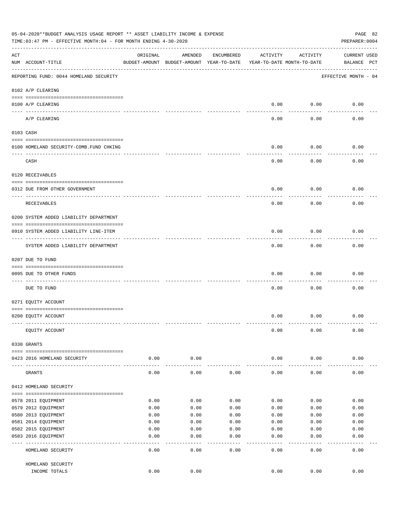|     | 05-04-2020**BUDGET ANALYSIS USAGE REPORT ** ASSET LIABILITY INCOME & EXPENSE<br>PAGE 82<br>PREPARER: 0004<br>TIME:03:47 PM - EFFECTIVE MONTH:04 - FOR MONTH ENDING 4-30-2020 |                     |                                                     |              |                                        |              |                                    |  |  |  |  |
|-----|------------------------------------------------------------------------------------------------------------------------------------------------------------------------------|---------------------|-----------------------------------------------------|--------------|----------------------------------------|--------------|------------------------------------|--|--|--|--|
| ACT | NUM ACCOUNT-TITLE                                                                                                                                                            | ORIGINAL            | AMENDED<br>BUDGET-AMOUNT BUDGET-AMOUNT YEAR-TO-DATE | ENCUMBERED   | ACTIVITY<br>YEAR-TO-DATE MONTH-TO-DATE | ACTIVITY     | <b>CURRENT USED</b><br>BALANCE PCT |  |  |  |  |
|     | REPORTING FUND: 0044 HOMELAND SECURITY                                                                                                                                       |                     |                                                     |              |                                        |              | EFFECTIVE MONTH - 04               |  |  |  |  |
|     | 0102 A/P CLEARING                                                                                                                                                            |                     |                                                     |              |                                        |              |                                    |  |  |  |  |
|     | 0100 A/P CLEARING<br>----- ----------                                                                                                                                        |                     |                                                     |              | 0.00                                   | 0.00         | 0.00                               |  |  |  |  |
|     | A/P CLEARING                                                                                                                                                                 |                     |                                                     |              | 0.00                                   | 0.00         | 0.00                               |  |  |  |  |
|     | 0103 CASH                                                                                                                                                                    |                     |                                                     |              |                                        |              |                                    |  |  |  |  |
|     | 0100 HOMELAND SECURITY-COMB.FUND CHKING                                                                                                                                      |                     |                                                     |              | 0.00                                   | 0.00         | 0.00                               |  |  |  |  |
|     | CASH                                                                                                                                                                         |                     |                                                     |              | 0.00                                   | 0.00         | 0.00                               |  |  |  |  |
|     | 0120 RECEIVABLES                                                                                                                                                             |                     |                                                     |              |                                        |              |                                    |  |  |  |  |
|     |                                                                                                                                                                              |                     |                                                     |              |                                        |              |                                    |  |  |  |  |
|     | 0312 DUE FROM OTHER GOVERNMENT                                                                                                                                               |                     |                                                     |              | 0.00                                   | 0.00         | 0.00                               |  |  |  |  |
|     | RECEIVABLES                                                                                                                                                                  |                     |                                                     |              | 0.00                                   | 0.00         | 0.00                               |  |  |  |  |
|     | 0200 SYSTEM ADDED LIABILITY DEPARTMENT                                                                                                                                       |                     |                                                     |              |                                        |              |                                    |  |  |  |  |
|     | 0910 SYSTEM ADDED LIABILITY LINE-ITEM                                                                                                                                        |                     |                                                     |              | 0.00                                   | 0.00         | 0.00                               |  |  |  |  |
|     | SYSTEM ADDED LIABILITY DEPARTMENT                                                                                                                                            |                     |                                                     |              | 0.00                                   | 0.00         | 0.00                               |  |  |  |  |
|     | 0207 DUE TO FUND                                                                                                                                                             |                     |                                                     |              |                                        |              |                                    |  |  |  |  |
|     | 0095 DUE TO OTHER FUNDS                                                                                                                                                      |                     |                                                     |              | 0.00                                   | 0.00         | 0.00                               |  |  |  |  |
|     | DUE TO FUND                                                                                                                                                                  |                     |                                                     |              | 0.00                                   | 0.00         | 0.00                               |  |  |  |  |
|     | 0271 EQUITY ACCOUNT                                                                                                                                                          |                     |                                                     |              |                                        |              |                                    |  |  |  |  |
|     | 0200 EQUITY ACCOUNT                                                                                                                                                          |                     |                                                     |              | 0.00                                   | 0.00         | 0.00                               |  |  |  |  |
|     | EQUITY ACCOUNT                                                                                                                                                               |                     |                                                     |              | 0.00                                   | 0.00         | 0.00                               |  |  |  |  |
|     | 0330 GRANTS                                                                                                                                                                  |                     |                                                     |              |                                        |              |                                    |  |  |  |  |
|     | 0423 2016 HOMELAND SECURITY                                                                                                                                                  | 0.00                | 0.00                                                |              | 0.00                                   | 0.00         | 0.00                               |  |  |  |  |
|     | GRANTS                                                                                                                                                                       | $- - - - -$<br>0.00 | 0.00                                                | 0.00         | 0.00                                   | 0.00         | 0.00                               |  |  |  |  |
|     | 0412 HOMELAND SECURITY                                                                                                                                                       |                     |                                                     |              |                                        |              |                                    |  |  |  |  |
|     |                                                                                                                                                                              |                     |                                                     |              |                                        |              |                                    |  |  |  |  |
|     | 0578 2011 EQUIPMENT<br>0579 2012 EQUIPMENT                                                                                                                                   | 0.00<br>0.00        | 0.00<br>0.00                                        | 0.00<br>0.00 | 0.00<br>0.00                           | 0.00<br>0.00 | 0.00<br>0.00                       |  |  |  |  |
|     | 0580 2013 EQUIPMENT                                                                                                                                                          | 0.00                | 0.00                                                | 0.00         | 0.00                                   | 0.00         | 0.00                               |  |  |  |  |
|     | 0581 2014 EQUIPMENT                                                                                                                                                          | 0.00                | 0.00                                                | 0.00         | 0.00                                   | 0.00         | 0.00                               |  |  |  |  |
|     | 0582 2015 EQUIPMENT                                                                                                                                                          | 0.00                | 0.00                                                | 0.00         | 0.00                                   | 0.00         | 0.00                               |  |  |  |  |
|     | 0583 2016 EQUIPMENT                                                                                                                                                          | 0.00                | 0.00                                                | 0.00         | 0.00                                   | 0.00         | 0.00                               |  |  |  |  |
|     |                                                                                                                                                                              |                     | ----                                                | ----         | $---$                                  | $---$        |                                    |  |  |  |  |
|     | HOMELAND SECURITY                                                                                                                                                            | 0.00                | 0.00                                                | 0.00         | 0.00                                   | 0.00         | 0.00                               |  |  |  |  |
|     | HOMELAND SECURITY                                                                                                                                                            |                     |                                                     |              |                                        |              |                                    |  |  |  |  |
|     | INCOME TOTALS                                                                                                                                                                | 0.00                | 0.00                                                |              | 0.00                                   | 0.00         | 0.00                               |  |  |  |  |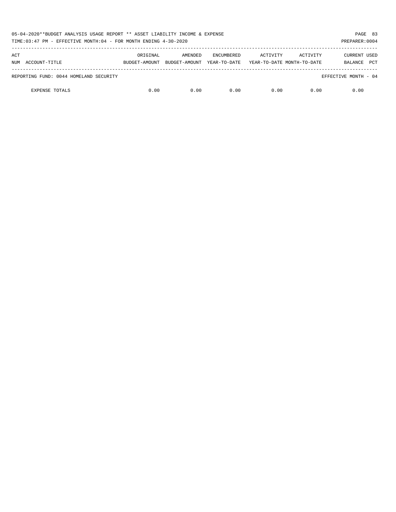| 05-04-2020**BUDGET ANALYSIS USAGE REPORT ** ASSET LIABILITY INCOME & EXPENSE<br>TIME:03:47 PM - EFFECTIVE MONTH:04 - FOR MONTH ENDING 4-30-2020 |                           |                          |                                   |                                        |          |                                       |  |  |
|-------------------------------------------------------------------------------------------------------------------------------------------------|---------------------------|--------------------------|-----------------------------------|----------------------------------------|----------|---------------------------------------|--|--|
| ACT<br>NUM ACCOUNT-TITLE                                                                                                                        | ORIGINAL<br>BUDGET-AMOUNT | AMENDED<br>BUDGET-AMOUNT | <b>ENCUMBERED</b><br>YEAR-TO-DATE | ACTIVITY<br>YEAR-TO-DATE MONTH-TO-DATE | ACTIVITY | CURRENT USED<br><b>PCT</b><br>BALANCE |  |  |
| REPORTING FUND: 0044 HOMELAND SECURITY                                                                                                          |                           |                          |                                   |                                        |          | EFFECTIVE MONTH - 04                  |  |  |
| <b>EXPENSE TOTALS</b>                                                                                                                           | 0.00                      | 0.00                     | 0.00                              | 0.00                                   | 0.00     | 0.00                                  |  |  |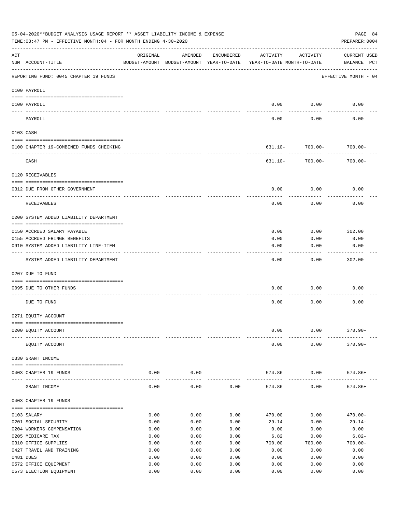| 05-04-2020**BUDGET ANALYSIS USAGE REPORT ** ASSET LIABILITY INCOME & EXPENSE<br>PAGE 84<br>TIME: 03:47 PM - EFFECTIVE MONTH: 04 - FOR MONTH ENDING 4-30-2020<br>PREPARER: 0004 |                                         |              |                                                     |              |                                        |                              |                                    |  |  |  |
|--------------------------------------------------------------------------------------------------------------------------------------------------------------------------------|-----------------------------------------|--------------|-----------------------------------------------------|--------------|----------------------------------------|------------------------------|------------------------------------|--|--|--|
| ACT                                                                                                                                                                            | NUM ACCOUNT-TITLE                       | ORIGINAL     | AMENDED<br>BUDGET-AMOUNT BUDGET-AMOUNT YEAR-TO-DATE | ENCUMBERED   | ACTIVITY<br>YEAR-TO-DATE MONTH-TO-DATE | ACTIVITY                     | <b>CURRENT USED</b><br>BALANCE PCT |  |  |  |
|                                                                                                                                                                                | REPORTING FUND: 0045 CHAPTER 19 FUNDS   |              |                                                     |              |                                        |                              | EFFECTIVE MONTH - 04               |  |  |  |
|                                                                                                                                                                                | 0100 PAYROLL                            |              |                                                     |              |                                        |                              |                                    |  |  |  |
|                                                                                                                                                                                | 0100 PAYROLL                            |              |                                                     |              | 0.00                                   | 0.00                         | 0.00                               |  |  |  |
|                                                                                                                                                                                | PAYROLL                                 |              |                                                     |              | 0.00                                   | 0.00                         | 0.00                               |  |  |  |
|                                                                                                                                                                                | 0103 CASH                               |              |                                                     |              |                                        |                              |                                    |  |  |  |
|                                                                                                                                                                                | 0100 CHAPTER 19-COMBINED FUNDS CHECKING |              |                                                     |              |                                        | $631.10 - 700.00 - 700.00 -$ |                                    |  |  |  |
|                                                                                                                                                                                | CASH                                    |              |                                                     |              | 631.10-                                | 700.00-                      | $700.00 -$                         |  |  |  |
|                                                                                                                                                                                | 0120 RECEIVABLES                        |              |                                                     |              |                                        |                              |                                    |  |  |  |
|                                                                                                                                                                                | 0312 DUE FROM OTHER GOVERNMENT          |              |                                                     |              | 0.00                                   | 0.00                         | 0.00                               |  |  |  |
|                                                                                                                                                                                | RECEIVABLES                             |              |                                                     |              | 0.00                                   | 0.00                         | 0.00                               |  |  |  |
|                                                                                                                                                                                | 0200 SYSTEM ADDED LIABILITY DEPARTMENT  |              |                                                     |              |                                        |                              |                                    |  |  |  |
|                                                                                                                                                                                | 0150 ACCRUED SALARY PAYABLE             |              |                                                     |              | 0.00                                   | 0.00                         | 302.00                             |  |  |  |
|                                                                                                                                                                                | 0155 ACCRUED FRINGE BENEFITS            |              |                                                     |              | 0.00                                   | 0.00                         | 0.00                               |  |  |  |
|                                                                                                                                                                                | 0910 SYSTEM ADDED LIABILITY LINE-ITEM   |              |                                                     |              | 0.00                                   | 0.00                         | 0.00                               |  |  |  |
|                                                                                                                                                                                | SYSTEM ADDED LIABILITY DEPARTMENT       |              |                                                     |              | 0.00                                   | 0.00                         | 302.00                             |  |  |  |
|                                                                                                                                                                                | 0207 DUE TO FUND                        |              |                                                     |              |                                        |                              |                                    |  |  |  |
|                                                                                                                                                                                | 0095 DUE TO OTHER FUNDS                 |              |                                                     |              | 0.00                                   | 0.00                         | 0.00                               |  |  |  |
|                                                                                                                                                                                | DUE TO FUND                             |              |                                                     |              | 0.00                                   | 0.00                         | 0.00                               |  |  |  |
|                                                                                                                                                                                | 0271 EQUITY ACCOUNT                     |              |                                                     |              |                                        |                              |                                    |  |  |  |
|                                                                                                                                                                                | 0200 EQUITY ACCOUNT                     |              |                                                     |              | 0.00                                   | 0.00                         | $370.90 -$                         |  |  |  |
|                                                                                                                                                                                | EQUITY ACCOUNT                          |              |                                                     |              | 0.00                                   | 0.00                         | $370.90 -$                         |  |  |  |
|                                                                                                                                                                                | 0330 GRANT INCOME                       |              |                                                     |              |                                        |                              |                                    |  |  |  |
|                                                                                                                                                                                | 0403 CHAPTER 19 FUNDS                   | 0.00         | 0.00                                                |              | 574.86                                 | 0.00                         | $574.86+$                          |  |  |  |
| $---$                                                                                                                                                                          | GRANT INCOME                            | 0.00         | 0.00                                                | 0.00         | 574.86                                 | 0.00                         | $574.86+$                          |  |  |  |
|                                                                                                                                                                                | 0403 CHAPTER 19 FUNDS                   |              |                                                     |              |                                        |                              |                                    |  |  |  |
|                                                                                                                                                                                | 0103 SALARY                             | 0.00         | 0.00                                                | 0.00         | 470.00                                 | 0.00                         | $470.00 -$                         |  |  |  |
|                                                                                                                                                                                | 0201 SOCIAL SECURITY                    | 0.00         | 0.00                                                | 0.00         | 29.14                                  | 0.00                         | $29.14-$                           |  |  |  |
|                                                                                                                                                                                | 0204 WORKERS COMPENSATION               | 0.00         | 0.00                                                | 0.00         | 0.00                                   | 0.00                         | 0.00                               |  |  |  |
|                                                                                                                                                                                | 0205 MEDICARE TAX                       | 0.00         | 0.00                                                | 0.00         | 6.82                                   | 0.00                         | $6.82-$                            |  |  |  |
|                                                                                                                                                                                | 0310 OFFICE SUPPLIES                    | 0.00         | 0.00                                                | 0.00         | 700.00                                 | 700.00                       | $700.00 -$                         |  |  |  |
|                                                                                                                                                                                | 0427 TRAVEL AND TRAINING<br>0481 DUES   | 0.00<br>0.00 | 0.00<br>0.00                                        | 0.00<br>0.00 | 0.00<br>0.00                           | 0.00<br>0.00                 | 0.00<br>0.00                       |  |  |  |
|                                                                                                                                                                                | 0572 OFFICE EQUIPMENT                   | 0.00         | 0.00                                                | 0.00         | 0.00                                   | 0.00                         | 0.00                               |  |  |  |
|                                                                                                                                                                                | 0573 ELECTION EQUIPMENT                 | 0.00         | 0.00                                                | 0.00         | 0.00                                   | 0.00                         | 0.00                               |  |  |  |
|                                                                                                                                                                                |                                         |              |                                                     |              |                                        |                              |                                    |  |  |  |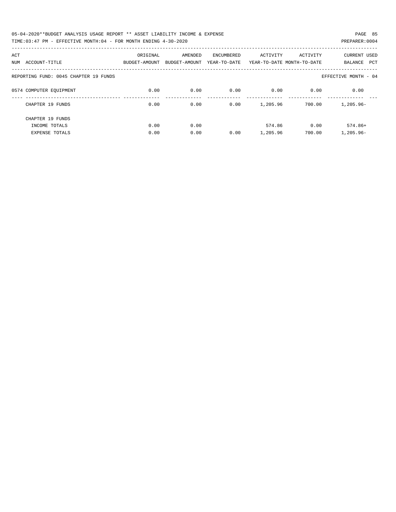| 05-04-2020**BUDGET ANALYSIS USAGE REPORT ** ASSET LIABILITY INCOME & EXPENSE | PAGE 85        |
|------------------------------------------------------------------------------|----------------|
| TIME: 03:47 PM - EFFECTIVE MONTH: 04 - FOR MONTH ENDING 4-30-2020            | PREPARER: 0004 |

| ACT<br>ACCOUNT-TITLE<br>NUM           | ORIGINAL<br>BUDGET-AMOUNT | AMENDED<br>BUDGET-AMOUNT | <b>ENCUMBERED</b><br>YEAR-TO-DATE | ACTIVITY | ACTIVITY<br>YEAR-TO-DATE MONTH-TO-DATE | <b>CURRENT USED</b><br>PCT<br>BALANCE |
|---------------------------------------|---------------------------|--------------------------|-----------------------------------|----------|----------------------------------------|---------------------------------------|
|                                       |                           |                          |                                   |          |                                        |                                       |
| REPORTING FUND: 0045 CHAPTER 19 FUNDS |                           |                          |                                   |          |                                        | EFFECTIVE MONTH - 04                  |
|                                       |                           |                          |                                   |          |                                        |                                       |
| 0574 COMPUTER EQUIPMENT               | 0.00                      | 0.00                     | 0.00                              | 0.00     | 0.00                                   | 0.00                                  |
|                                       |                           |                          |                                   |          |                                        |                                       |
| CHAPTER 19 FUNDS                      | 0.00                      | 0.00                     | 0.00                              | 1,205.96 | 700.00                                 | $1,205.96 -$                          |
|                                       |                           |                          |                                   |          |                                        |                                       |
| CHAPTER 19 FUNDS                      |                           |                          |                                   |          |                                        |                                       |
| INCOME TOTALS                         | 0.00                      | 0.00                     |                                   | 574.86   | 0.00                                   | $574.86+$                             |
| <b>EXPENSE TOTALS</b>                 | 0.00                      | 0.00                     | 0.00                              | 1,205.96 | 700.00                                 | $1.205.96 -$                          |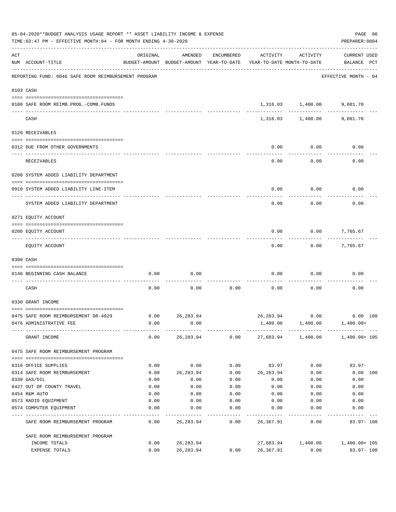| 05-04-2020**BUDGET ANALYSIS USAGE REPORT ** ASSET LIABILITY INCOME & EXPENSE<br>TIME: 03:47 PM - EFFECTIVE MONTH: 04 - FOR MONTH ENDING 4-30-2020 |                                                      |          |                                                     |            |           |                                        |                                          |          |  |
|---------------------------------------------------------------------------------------------------------------------------------------------------|------------------------------------------------------|----------|-----------------------------------------------------|------------|-----------|----------------------------------------|------------------------------------------|----------|--|
| ACT                                                                                                                                               | NUM ACCOUNT-TITLE                                    | ORIGINAL | AMENDED<br>BUDGET-AMOUNT BUDGET-AMOUNT YEAR-TO-DATE | ENCUMBERED | ACTIVITY  | ACTIVITY<br>YEAR-TO-DATE MONTH-TO-DATE | <b>CURRENT USED</b><br>BALANCE PCT       |          |  |
|                                                                                                                                                   | REPORTING FUND: 0046 SAFE ROOM REIMBURSEMENT PROGRAM |          |                                                     |            |           |                                        | EFFECTIVE MONTH - 04                     |          |  |
|                                                                                                                                                   | 0103 CASH                                            |          |                                                     |            |           |                                        |                                          |          |  |
|                                                                                                                                                   | 0100 SAFE ROOM REIMB.PROG.-COMB.FUNDS                |          |                                                     |            |           | 1,316.03 1,400.00                      | 9,081.70                                 |          |  |
|                                                                                                                                                   | CASH                                                 |          |                                                     |            |           | 1,316.03 1,400.00                      | 9,081.70                                 |          |  |
|                                                                                                                                                   | 0120 RECEIVABLES                                     |          |                                                     |            |           |                                        |                                          |          |  |
|                                                                                                                                                   | 0312 DUE FROM OTHER GOVERNMENTS                      |          |                                                     |            | 0.00      | 0.00                                   | 0.00                                     |          |  |
|                                                                                                                                                   | RECEIVABLES                                          |          |                                                     |            | 0.00      | 0.00                                   | 0.00                                     |          |  |
|                                                                                                                                                   | 0200 SYSTEM ADDED LIABILITY DEPARTMENT               |          |                                                     |            |           |                                        |                                          |          |  |
|                                                                                                                                                   | 0910 SYSTEM ADDED LIABILITY LINE-ITEM                |          |                                                     |            | 0.00      | 0.00                                   | 0.00                                     |          |  |
|                                                                                                                                                   | SYSTEM ADDED LIABILITY DEPARTMENT                    |          |                                                     |            | 0.00      | 0.00                                   | 0.00                                     |          |  |
|                                                                                                                                                   | 0271 EQUITY ACCOUNT                                  |          |                                                     |            |           |                                        |                                          |          |  |
|                                                                                                                                                   |                                                      |          |                                                     |            |           |                                        |                                          |          |  |
|                                                                                                                                                   | 0200 EQUITY ACCOUNT                                  |          |                                                     |            | 0.00      | 0.00                                   | 7,765.67                                 |          |  |
|                                                                                                                                                   | EQUITY ACCOUNT                                       |          |                                                     |            | 0.00      | 0.00                                   | 7,765.67                                 |          |  |
|                                                                                                                                                   | 0300 CASH                                            |          |                                                     |            |           |                                        |                                          |          |  |
|                                                                                                                                                   | 0146 BEGINNING CASH BALANCE                          | 0.00     | 0.00                                                |            | 0.00      | 0.00                                   | 0.00                                     |          |  |
|                                                                                                                                                   | CASH                                                 | 0.00     | 0.00                                                | 0.00       | 0.00      | 0.00                                   | 0.00                                     |          |  |
|                                                                                                                                                   | 0330 GRANT INCOME                                    |          |                                                     |            |           |                                        |                                          |          |  |
|                                                                                                                                                   | 0475 SAFE ROOM REIMBURSEMENT DR-4029                 | 0.00     | 26, 283.94                                          |            |           | 26,283.94 0.00                         | 0.00 100                                 |          |  |
|                                                                                                                                                   | 0476 ADMINISTRATIVE FEE                              | 0.00     | 0.00                                                |            |           | 1,400.00 1,400.00                      | 1,400.00+                                |          |  |
|                                                                                                                                                   | GRANT INCOME                                         |          | $0.00$ 26,283.94                                    |            |           |                                        | $0.00$ 27,683.94 1,400.00 1,400.00 1,400 |          |  |
|                                                                                                                                                   | 0475 SAFE ROOM REIMBURSEMENT PROGRAM                 |          |                                                     |            |           |                                        |                                          |          |  |
|                                                                                                                                                   | 0310 OFFICE SUPPLIES                                 | 0.00     | 0.00                                                | 0.00       | 83.97     | 0.00                                   | $83.97 -$                                |          |  |
|                                                                                                                                                   | 0314 SAFE ROOM REIMBURSEMENT                         | 0.00     | 26, 283.94                                          | 0.00       | 26,283.94 | 0.00                                   |                                          | 0.00 100 |  |
|                                                                                                                                                   | 0330 GAS/OIL                                         | 0.00     | 0.00                                                | 0.00       | 0.00      | 0.00                                   | 0.00                                     |          |  |
|                                                                                                                                                   | 0427 OUT OF COUNTY TRAVEL                            | 0.00     | 0.00                                                | 0.00       | 0.00      | 0.00                                   | 0.00                                     |          |  |
|                                                                                                                                                   | 0454 R&M AUTO                                        | 0.00     | 0.00                                                | 0.00       | 0.00      | 0.00                                   | 0.00                                     |          |  |
|                                                                                                                                                   | 0573 RADIO EQUIPMENT                                 | 0.00     | 0.00                                                | 0.00       | 0.00      | 0.00                                   | 0.00                                     |          |  |
|                                                                                                                                                   | 0574 COMPUTER EQUIPMENT                              | 0.00     | 0.00                                                | 0.00       | 0.00      | 0.00                                   | 0.00                                     |          |  |
|                                                                                                                                                   | SAFE ROOM REIMBURSEMENT PROGRAM                      | 0.00     | 26,283.94                                           | 0.00       | 26,367.91 | 0.00                                   | $83.97 - 100$                            |          |  |
|                                                                                                                                                   | SAFE ROOM REIMBURSEMENT PROGRAM                      |          |                                                     |            |           |                                        |                                          |          |  |
|                                                                                                                                                   | INCOME TOTALS                                        | 0.00     | 26, 283.94                                          |            | 27,683.94 | 1,400.00                               | 1,400.00+ 105                            |          |  |
|                                                                                                                                                   | EXPENSE TOTALS                                       | 0.00     | 26, 283.94                                          | 0.00       | 26,367.91 | 0.00                                   | 83.97-100                                |          |  |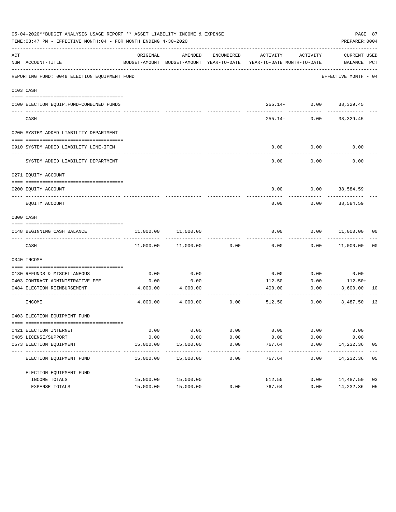|     | 05-04-2020**BUDGET ANALYSIS USAGE REPORT ** ASSET LIABILITY INCOME & EXPENSE<br>TIME: 03:47 PM - EFFECTIVE MONTH: 04 - FOR MONTH ENDING 4-30-2020 |           |                                                     |                      |                                        |                           | PAGE 87<br>PREPARER: 0004    |    |
|-----|---------------------------------------------------------------------------------------------------------------------------------------------------|-----------|-----------------------------------------------------|----------------------|----------------------------------------|---------------------------|------------------------------|----|
| ACT | NUM ACCOUNT-TITLE                                                                                                                                 | ORIGINAL  | AMENDED<br>BUDGET-AMOUNT BUDGET-AMOUNT YEAR-TO-DATE | ENCUMBERED           | ACTIVITY<br>YEAR-TO-DATE MONTH-TO-DATE | ACTIVITY                  | CURRENT USED<br>BALANCE PCT  |    |
|     | REPORTING FUND: 0048 ELECTION EQUIPMENT FUND                                                                                                      |           |                                                     |                      |                                        |                           | EFFECTIVE MONTH - 04         |    |
|     | 0103 CASH                                                                                                                                         |           |                                                     |                      |                                        |                           |                              |    |
|     |                                                                                                                                                   |           |                                                     |                      |                                        |                           |                              |    |
|     | 0100 ELECTION EQUIP.FUND-COMBINED FUNDS<br>_____________________________                                                                          |           |                                                     |                      |                                        | $255.14 - 0.00$ 38,329.45 |                              |    |
|     | CASH                                                                                                                                              |           |                                                     |                      | $255.14-$                              | 0.00                      | 38,329.45                    |    |
|     | 0200 SYSTEM ADDED LIABILITY DEPARTMENT                                                                                                            |           |                                                     |                      |                                        |                           |                              |    |
|     | 0910 SYSTEM ADDED LIABILITY LINE-ITEM                                                                                                             |           |                                                     |                      | 0.00                                   | 0.00                      | 0.00                         |    |
|     | SYSTEM ADDED LIABILITY DEPARTMENT                                                                                                                 |           |                                                     |                      | 0.00                                   | 0.00                      | 0.00                         |    |
|     | 0271 EQUITY ACCOUNT                                                                                                                               |           |                                                     |                      |                                        |                           |                              |    |
|     | 0200 EQUITY ACCOUNT                                                                                                                               |           |                                                     |                      | 0.00                                   | $0.00$ 38,584.59          |                              |    |
|     | EOUITY ACCOUNT                                                                                                                                    |           |                                                     |                      | 0.00                                   | 0.00                      | -----------<br>38,584.59     |    |
|     | 0300 CASH                                                                                                                                         |           |                                                     |                      |                                        |                           |                              |    |
|     | 0148 BEGINNING CASH BALANCE                                                                                                                       | 11,000.00 | 11,000.00                                           |                      | 0.00                                   |                           | $0.00$ $11,000.00$ 00        |    |
|     | CASH                                                                                                                                              |           | 11,000.00    11,000.00                              | 0.00                 | 0.00                                   |                           | $0.00$ 11,000.00             | 00 |
|     | 0340 INCOME                                                                                                                                       |           |                                                     |                      |                                        |                           |                              |    |
|     | 0130 REFUNDS & MISCELLANEOUS                                                                                                                      | 0.00      | 0.00                                                |                      | 0.00                                   | 0.00                      | 0.00                         |    |
|     | 0403 CONTRACT ADMINISTRATIVE FEE                                                                                                                  | 0.00      | 0.00                                                |                      | 112.50                                 | 0.00                      | $112.50+$                    |    |
|     | 0484 ELECTION REIMBURSEMENT                                                                                                                       | 4,000.00  | 4,000.00                                            |                      | 400.00                                 | 0.00                      | 3,600.00 10                  |    |
|     | INCOME                                                                                                                                            |           | 4,000.00 4,000.00                                   | 0.00                 | 512.50                                 | 0.00                      | ------------<br>3,487.50     | 13 |
|     | 0403 ELECTION EQUIPMENT FUND                                                                                                                      |           |                                                     |                      |                                        |                           |                              |    |
|     |                                                                                                                                                   |           |                                                     |                      |                                        |                           |                              |    |
|     | 0421 ELECTION INTERNET                                                                                                                            | 0.00      | 0.00                                                | 0.00                 | 0.00                                   | 0.00                      | 0.00                         |    |
|     | 0485 LICENSE/SUPPORT                                                                                                                              | 0.00      | 0.00                                                | 0.00                 | 0.00                                   | 0.00                      | 0.00                         |    |
|     | 0573 ELECTION EOUIPMENT                                                                                                                           | 15,000.00 | 15,000.00                                           | 0.00                 | 767.64                                 | 0.00                      | 14,232.36                    | 05 |
|     | ELECTION EQUIPMENT FUND                                                                                                                           | 15,000.00 | -------------<br>15,000.00                          | ------------<br>0.00 | -------<br>767.64                      | ----------<br>0.00        | ------------<br>14,232.36 05 |    |
|     | ELECTION EQUIPMENT FUND                                                                                                                           |           |                                                     |                      |                                        |                           |                              |    |
|     | INCOME TOTALS                                                                                                                                     | 15,000.00 | 15,000.00                                           |                      | 512.50                                 | 0.00                      | 14,487.50                    | 03 |
|     | EXPENSE TOTALS                                                                                                                                    | 15,000.00 | 15,000.00                                           | 0.00                 | 767.64                                 | 0.00                      | 14,232.36                    | 05 |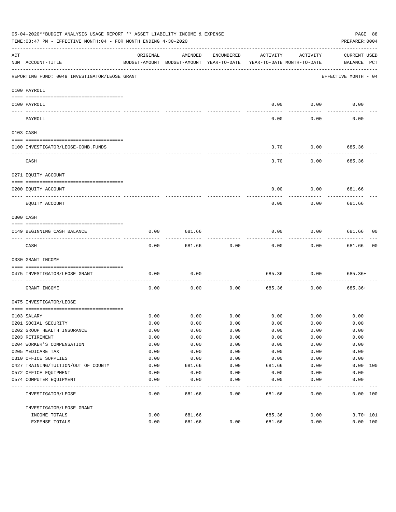|           | 05-04-2020**BUDGET ANALYSIS USAGE REPORT ** ASSET LIABILITY INCOME & EXPENSE<br>PAGE 88<br>TIME:03:47 PM - EFFECTIVE MONTH:04 - FOR MONTH ENDING 4-30-2020<br>PREPARER: 0004 |          |                                                     |            |                                        |             |                                    |    |  |  |
|-----------|------------------------------------------------------------------------------------------------------------------------------------------------------------------------------|----------|-----------------------------------------------------|------------|----------------------------------------|-------------|------------------------------------|----|--|--|
| ACT       | NUM ACCOUNT-TITLE                                                                                                                                                            | ORIGINAL | AMENDED<br>BUDGET-AMOUNT BUDGET-AMOUNT YEAR-TO-DATE | ENCUMBERED | ACTIVITY<br>YEAR-TO-DATE MONTH-TO-DATE | ACTIVITY    | <b>CURRENT USED</b><br>BALANCE PCT |    |  |  |
|           | REPORTING FUND: 0049 INVESTIGATOR/LEOSE GRANT                                                                                                                                |          |                                                     |            |                                        |             | EFFECTIVE MONTH - 04               |    |  |  |
|           | 0100 PAYROLL                                                                                                                                                                 |          |                                                     |            |                                        |             |                                    |    |  |  |
|           | 0100 PAYROLL                                                                                                                                                                 |          |                                                     |            | 0.00                                   | 0.00        | 0.00                               |    |  |  |
| ---- ---  | PAYROLL                                                                                                                                                                      |          |                                                     |            | 0.00                                   | 0.00        | 0.00                               |    |  |  |
| 0103 CASH |                                                                                                                                                                              |          |                                                     |            |                                        |             |                                    |    |  |  |
|           |                                                                                                                                                                              |          |                                                     |            |                                        |             |                                    |    |  |  |
|           | 0100 INVESTIGATOR/LEOSE-COMB.FUNDS                                                                                                                                           |          |                                                     |            | 3.70                                   | 0.00        | 685.36                             |    |  |  |
|           | CASH                                                                                                                                                                         |          |                                                     |            | 3.70                                   | 0.00        | 685.36                             |    |  |  |
|           | 0271 EQUITY ACCOUNT                                                                                                                                                          |          |                                                     |            |                                        |             |                                    |    |  |  |
|           | 0200 EQUITY ACCOUNT                                                                                                                                                          |          |                                                     |            | 0.00                                   | 0.00        | 681.66                             |    |  |  |
|           | ---- -----------<br>--------------------- --------                                                                                                                           |          |                                                     |            |                                        |             |                                    |    |  |  |
|           | EQUITY ACCOUNT                                                                                                                                                               |          |                                                     |            | 0.00                                   | 0.00        | 681.66                             |    |  |  |
| 0300 CASH |                                                                                                                                                                              |          |                                                     |            |                                        |             |                                    |    |  |  |
|           | 0149 BEGINNING CASH BALANCE                                                                                                                                                  | 0.00     | 681.66                                              |            | 0.00                                   | 0.00        | 681.66 00<br>---------             |    |  |  |
|           | CASH                                                                                                                                                                         | 0.00     | 681.66                                              | 0.00       | 0.00                                   | 0.00        | 681.66                             | 00 |  |  |
|           | 0330 GRANT INCOME                                                                                                                                                            |          |                                                     |            |                                        |             |                                    |    |  |  |
|           | 0475 INVESTIGATOR/LEOSE GRANT                                                                                                                                                | 0.00     | 0.00                                                |            | 685.36                                 | 0.00        | $685.36+$                          |    |  |  |
|           | GRANT INCOME                                                                                                                                                                 | 0.00     | 0.00                                                | 0.00       | 685.36                                 | 0.00        | $685.36+$                          |    |  |  |
|           | 0475 INVESTIGATOR/LEOSE                                                                                                                                                      |          |                                                     |            |                                        |             |                                    |    |  |  |
|           |                                                                                                                                                                              | 0.00     | 0.00                                                | 0.00       |                                        | $0.00$ 0.00 | 0.00                               |    |  |  |
|           | 0103 SALARY<br>0201 SOCIAL SECURITY                                                                                                                                          | 0.00     | 0.00                                                | 0.00       | 0.00                                   | 0.00        | 0.00                               |    |  |  |
|           | 0202 GROUP HEALTH INSURANCE                                                                                                                                                  | 0.00     | 0.00                                                | 0.00       | 0.00                                   | 0.00        | 0.00                               |    |  |  |
|           | 0203 RETIREMENT                                                                                                                                                              | 0.00     | 0.00                                                | 0.00       | 0.00                                   | 0.00        | 0.00                               |    |  |  |
|           | 0204 WORKER'S COMPENSATION                                                                                                                                                   | 0.00     | 0.00                                                | 0.00       | 0.00                                   | 0.00        | 0.00                               |    |  |  |
|           | 0205 MEDICARE TAX                                                                                                                                                            | 0.00     | 0.00                                                | 0.00       | 0.00                                   | 0.00        | 0.00                               |    |  |  |
|           | 0310 OFFICE SUPPLIES                                                                                                                                                         | 0.00     | 0.00                                                | 0.00       | 0.00                                   | 0.00        | 0.00                               |    |  |  |
|           | 0427 TRAINING/TUITION/OUT OF COUNTY                                                                                                                                          | 0.00     | 681.66                                              | 0.00       | 681.66                                 | 0.00        | 0.00 100                           |    |  |  |
|           | 0572 OFFICE EQUIPMENT                                                                                                                                                        | 0.00     | 0.00                                                | 0.00       | 0.00                                   | 0.00        | 0.00                               |    |  |  |
|           | 0574 COMPUTER EQUIPMENT                                                                                                                                                      | 0.00     | 0.00                                                | 0.00       | 0.00                                   | 0.00        | 0.00                               |    |  |  |
| $---$     | --------------<br>INVESTIGATOR/LEOSE                                                                                                                                         | 0.00     | 681.66                                              | 0.00       | 681.66                                 | 0.00        | 0.00 100                           |    |  |  |
|           | INVESTIGATOR/LEOSE GRANT                                                                                                                                                     |          |                                                     |            |                                        |             |                                    |    |  |  |
|           | INCOME TOTALS                                                                                                                                                                | 0.00     | 681.66                                              |            | 685.36                                 | 0.00        | $3.70 + 101$                       |    |  |  |
|           | EXPENSE TOTALS                                                                                                                                                               | 0.00     | 681.66                                              | 0.00       | 681.66                                 | 0.00        | 0.00 100                           |    |  |  |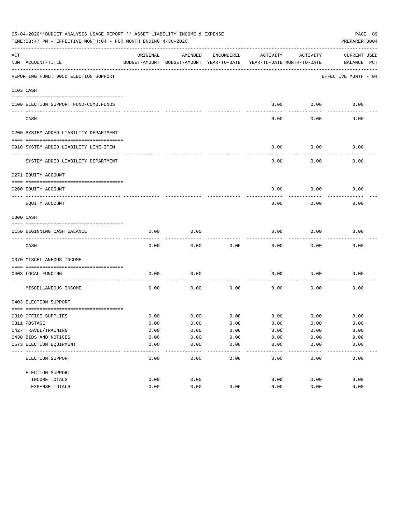|     | 05-04-2020**BUDGET ANALYSIS USAGE REPORT ** ASSET LIABILITY INCOME & EXPENSE<br>PAGE 89<br>TIME: 03:47 PM - EFFECTIVE MONTH: 04 - FOR MONTH ENDING 4-30-2020<br>PREPARER: 0004 |          |                                                     |               |                                        |               |                                    |  |  |  |  |
|-----|--------------------------------------------------------------------------------------------------------------------------------------------------------------------------------|----------|-----------------------------------------------------|---------------|----------------------------------------|---------------|------------------------------------|--|--|--|--|
| ACT | NUM ACCOUNT-TITLE                                                                                                                                                              | ORIGINAL | AMENDED<br>BUDGET-AMOUNT BUDGET-AMOUNT YEAR-TO-DATE | ENCUMBERED    | ACTIVITY<br>YEAR-TO-DATE MONTH-TO-DATE | ACTIVITY      | <b>CURRENT USED</b><br>BALANCE PCT |  |  |  |  |
|     | REPORTING FUND: 0050 ELECTION SUPPORT                                                                                                                                          |          |                                                     |               |                                        |               | EFFECTIVE MONTH - 04               |  |  |  |  |
|     | 0103 CASH                                                                                                                                                                      |          |                                                     |               |                                        |               |                                    |  |  |  |  |
|     | 0100 ELECTION SUPPORT FUND-COMB.FUNDS                                                                                                                                          |          |                                                     |               | 0.00                                   | 0.00          | 0.00                               |  |  |  |  |
|     | CASH                                                                                                                                                                           |          |                                                     |               | 0.00                                   | 0.00          | 0.00                               |  |  |  |  |
|     | 0200 SYSTEM ADDED LIABILITY DEPARTMENT                                                                                                                                         |          |                                                     |               |                                        |               |                                    |  |  |  |  |
|     | 0910 SYSTEM ADDED LIABILITY LINE-ITEM                                                                                                                                          |          |                                                     |               | 0.00                                   | 0.00          | 0.00                               |  |  |  |  |
|     | SYSTEM ADDED LIABILITY DEPARTMENT                                                                                                                                              |          |                                                     |               | 0.00                                   | 0.00          | 0.00                               |  |  |  |  |
|     | 0271 EQUITY ACCOUNT                                                                                                                                                            |          |                                                     |               |                                        |               |                                    |  |  |  |  |
|     | 0200 EQUITY ACCOUNT                                                                                                                                                            |          |                                                     |               | 0.00                                   | 0.00          | 0.00                               |  |  |  |  |
|     | EQUITY ACCOUNT                                                                                                                                                                 |          |                                                     |               | 0.00                                   | 0.00          | 0.00                               |  |  |  |  |
|     | 0300 CASH                                                                                                                                                                      |          |                                                     |               |                                        |               |                                    |  |  |  |  |
|     | 0150 BEGINNING CASH BALANCE                                                                                                                                                    | 0.00     | 0.00                                                |               | 0.00                                   | 0.00          | 0.00                               |  |  |  |  |
|     | CASH                                                                                                                                                                           | 0.00     | 0.00                                                | 0.00          | 0.00                                   | 0.00          | 0.00                               |  |  |  |  |
|     | 0370 MISCELLANEOUS INCOME                                                                                                                                                      |          |                                                     |               |                                        |               |                                    |  |  |  |  |
|     | 0403 LOCAL FUNDING                                                                                                                                                             | 0.00     | 0.00                                                |               | 0.00                                   | 0.00          | 0.00                               |  |  |  |  |
|     | MISCELLANEOUS INCOME                                                                                                                                                           | 0.00     | 0.00                                                | 0.00          | 0.00                                   | 0.00          | 0.00                               |  |  |  |  |
|     | 0403 ELECTION SUPPORT                                                                                                                                                          |          |                                                     |               |                                        |               |                                    |  |  |  |  |
|     | 0310 OFFICE SUPPLIES                                                                                                                                                           | 0.00     | 0.00                                                | 0.00          | 0.00                                   | 0.00          | 0.00                               |  |  |  |  |
|     | 0311 POSTAGE                                                                                                                                                                   | 0.00     | 0.00                                                | 0.00          | 0.00                                   | 0.00          | 0.00                               |  |  |  |  |
|     | 0427 TRAVEL/TRAINING                                                                                                                                                           | 0.00     | 0.00                                                | 0.00          | 0.00                                   | 0.00          | 0.00                               |  |  |  |  |
|     | 0430 BIDS AND NOTICES                                                                                                                                                          | 0.00     | 0.00                                                | 0.00          | 0.00                                   | 0.00          | 0.00                               |  |  |  |  |
|     | 0573 ELECTION EQUIPMENT                                                                                                                                                        | 0.00     | 0.00<br>$---$                                       | 0.00<br>$---$ | 0.00                                   | 0.00<br>$---$ | 0.00                               |  |  |  |  |
|     | ELECTION SUPPORT                                                                                                                                                               | 0.00     | 0.00                                                | 0.00          | 0.00                                   | 0.00          | 0.00                               |  |  |  |  |
|     | ELECTION SUPPORT                                                                                                                                                               |          |                                                     |               |                                        |               |                                    |  |  |  |  |
|     | INCOME TOTALS                                                                                                                                                                  | 0.00     | 0.00                                                |               | 0.00                                   | 0.00          | 0.00                               |  |  |  |  |
|     | EXPENSE TOTALS                                                                                                                                                                 | 0.00     | 0.00                                                | 0.00          | 0.00                                   | 0.00          | 0.00                               |  |  |  |  |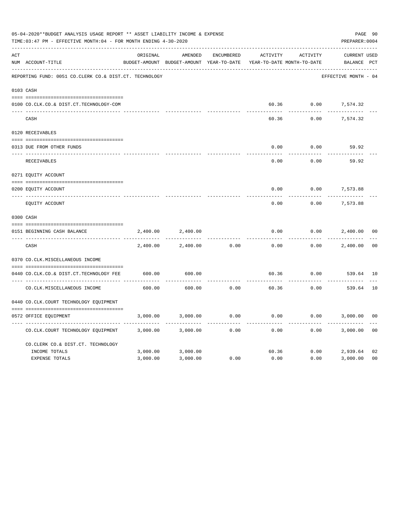|     | 05-04-2020**BUDGET ANALYSIS USAGE REPORT ** ASSET LIABILITY INCOME & EXPENSE<br>TIME: 03:47 PM - EFFECTIVE MONTH: 04 - FOR MONTH ENDING 4-30-2020<br>PREPARER: 0004 |          |                                                     |                   |          |                                        |                             |                |  |  |
|-----|---------------------------------------------------------------------------------------------------------------------------------------------------------------------|----------|-----------------------------------------------------|-------------------|----------|----------------------------------------|-----------------------------|----------------|--|--|
| ACT | NUM ACCOUNT-TITLE                                                                                                                                                   | ORIGINAL | AMENDED<br>BUDGET-AMOUNT BUDGET-AMOUNT YEAR-TO-DATE | <b>ENCUMBERED</b> | ACTIVITY | ACTIVITY<br>YEAR-TO-DATE MONTH-TO-DATE | CURRENT USED<br>BALANCE PCT |                |  |  |
|     | REPORTING FUND: 0051 CO.CLERK CO.& DIST.CT. TECHNOLOGY                                                                                                              |          |                                                     |                   |          |                                        | EFFECTIVE MONTH - 04        |                |  |  |
|     | 0103 CASH                                                                                                                                                           |          |                                                     |                   |          |                                        |                             |                |  |  |
|     | 0100 CO.CLK.CO.& DIST.CT.TECHNOLOGY-COM                                                                                                                             |          |                                                     |                   |          | 60.36 0.00                             | 7,574.32                    |                |  |  |
|     | CASH                                                                                                                                                                |          |                                                     |                   | 60.36    | 0.00                                   | 7,574.32                    |                |  |  |
|     | 0120 RECEIVABLES                                                                                                                                                    |          |                                                     |                   |          |                                        |                             |                |  |  |
|     | 0313 DUE FROM OTHER FUNDS                                                                                                                                           |          |                                                     |                   | 0.00     | 0.00                                   | 59.92                       |                |  |  |
|     | RECEIVABLES                                                                                                                                                         |          |                                                     |                   | 0.00     | 0.00                                   | 59.92                       |                |  |  |
|     | 0271 EQUITY ACCOUNT                                                                                                                                                 |          |                                                     |                   |          |                                        |                             |                |  |  |
|     | 0200 EQUITY ACCOUNT                                                                                                                                                 |          |                                                     |                   | 0.00     | 0.00                                   | 7,573.88                    |                |  |  |
|     | ---- ----------------------<br>EQUITY ACCOUNT                                                                                                                       |          |                                                     |                   | 0.00     | 0.00                                   | .<br>7,573.88               |                |  |  |
|     | 0300 CASH                                                                                                                                                           |          |                                                     |                   |          |                                        |                             |                |  |  |
|     | 0151 BEGINNING CASH BALANCE                                                                                                                                         | 2,400.00 | 2,400.00                                            |                   | 0.00     | 0.00                                   | 2,400.00                    | 0 <sub>0</sub> |  |  |
|     | CASH                                                                                                                                                                | 2,400.00 | 2,400.00                                            | 0.00              | 0.00     | 0.00                                   | 2,400.00                    | 0 <sub>0</sub> |  |  |
|     | 0370 CO.CLK.MISCELLANEOUS INCOME                                                                                                                                    |          |                                                     |                   |          |                                        |                             |                |  |  |
|     | 0440 CO.CLK.CO.& DIST.CT.TECHNOLOGY FEE                                                                                                                             | 600.00   | 600.00                                              |                   | 60.36    | 0.00                                   | 539.64 10                   |                |  |  |
|     | CO. CLK. MISCELLANEOUS INCOME                                                                                                                                       | 600.00   | 600.00                                              | 0.00              | 60.36    | 0.00                                   | 539.64                      | 10             |  |  |
|     | 0440 CO.CLK.COURT TECHNOLOGY EQUIPMENT                                                                                                                              |          |                                                     |                   |          |                                        |                             |                |  |  |
|     | 0572 OFFICE EOUIPMENT                                                                                                                                               | 3,000.00 | 3,000.00                                            | 0.00              | 0.00     | 0.00                                   | 3,000.00                    | 0 <sub>0</sub> |  |  |
|     | CO.CLK.COURT TECHNOLOGY EQUIPMENT                                                                                                                                   | 3,000.00 | 3,000.00                                            | 0.00              | 0.00     | 0.00                                   | 3,000.00                    | 0 <sub>0</sub> |  |  |
|     | CO.CLERK CO.& DIST.CT. TECHNOLOGY                                                                                                                                   |          |                                                     |                   |          |                                        |                             |                |  |  |
|     | INCOME TOTALS                                                                                                                                                       | 3,000.00 | 3,000.00                                            |                   | 60.36    | 0.00                                   | 2,939.64                    | 02             |  |  |
|     | <b>EXPENSE TOTALS</b>                                                                                                                                               | 3,000.00 | 3,000.00                                            | 0.00              | 0.00     | 0.00                                   | 3,000.00                    | 0 <sub>0</sub> |  |  |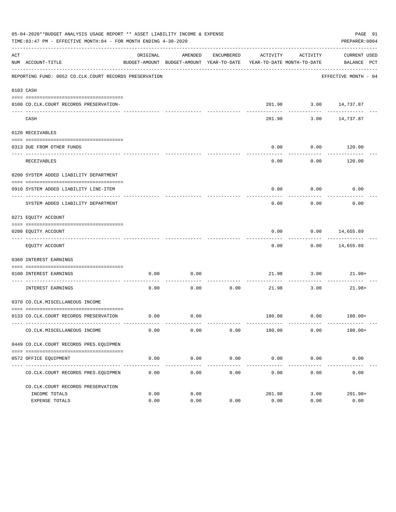|     | 05-04-2020**BUDGET ANALYSIS USAGE REPORT ** ASSET LIABILITY INCOME & EXPENSE<br>PAGE 91<br>PREPARER: 0004<br>TIME: 03:47 PM - EFFECTIVE MONTH: 04 - FOR MONTH ENDING 4-30-2020 |              |                                                     |                     |                                        |                      |                             |  |  |  |  |
|-----|--------------------------------------------------------------------------------------------------------------------------------------------------------------------------------|--------------|-----------------------------------------------------|---------------------|----------------------------------------|----------------------|-----------------------------|--|--|--|--|
| ACT | NUM ACCOUNT-TITLE                                                                                                                                                              | ORIGINAL     | AMENDED<br>BUDGET-AMOUNT BUDGET-AMOUNT YEAR-TO-DATE | ENCUMBERED          | ACTIVITY<br>YEAR-TO-DATE MONTH-TO-DATE | ACTIVITY             | CURRENT USED<br>BALANCE PCT |  |  |  |  |
|     | REPORTING FUND: 0052 CO.CLK.COURT RECORDS PRESERVATION                                                                                                                         |              |                                                     |                     |                                        |                      | EFFECTIVE MONTH - 04        |  |  |  |  |
|     | 0103 CASH                                                                                                                                                                      |              |                                                     |                     |                                        |                      |                             |  |  |  |  |
|     | 0100 CO.CLK.COURT RECORDS PRESERVATION-                                                                                                                                        |              |                                                     |                     |                                        |                      | 201.98 3.00 14,737.87       |  |  |  |  |
|     | CASH                                                                                                                                                                           |              |                                                     |                     | 201.98                                 |                      | 3.00 14,737.87              |  |  |  |  |
|     | 0120 RECEIVABLES                                                                                                                                                               |              |                                                     |                     |                                        |                      |                             |  |  |  |  |
|     | 0313 DUE FROM OTHER FUNDS                                                                                                                                                      |              |                                                     |                     | 0.00                                   | 0.00                 | 120.00                      |  |  |  |  |
|     | RECEIVABLES                                                                                                                                                                    |              |                                                     |                     | 0.00                                   | 0.00                 | ----------<br>120.00        |  |  |  |  |
|     | 0200 SYSTEM ADDED LIABILITY DEPARTMENT                                                                                                                                         |              |                                                     |                     |                                        |                      |                             |  |  |  |  |
|     | 0910 SYSTEM ADDED LIABILITY LINE-ITEM                                                                                                                                          |              |                                                     |                     | 0.00                                   | 0.00                 | 0.00                        |  |  |  |  |
|     | SYSTEM ADDED LIABILITY DEPARTMENT                                                                                                                                              |              |                                                     |                     | 0.00                                   | 0.00                 | 0.00                        |  |  |  |  |
|     | 0271 EQUITY ACCOUNT                                                                                                                                                            |              |                                                     |                     |                                        |                      |                             |  |  |  |  |
|     | 0200 EQUITY ACCOUNT                                                                                                                                                            |              |                                                     |                     | 0.00                                   |                      | $0.00$ 14,655.89            |  |  |  |  |
|     | EQUITY ACCOUNT                                                                                                                                                                 |              |                                                     |                     | 0.00                                   |                      | $0.00$ 14,655.89            |  |  |  |  |
|     | 0360 INTEREST EARNINGS                                                                                                                                                         |              |                                                     |                     |                                        |                      |                             |  |  |  |  |
|     | 0100 INTEREST EARNINGS                                                                                                                                                         | 0.00         | 0.00                                                |                     | 21.98                                  |                      | $3.00$ $21.98+$             |  |  |  |  |
|     | ____________________<br>INTEREST EARNINGS                                                                                                                                      | 0.00         | 0.00                                                | 0.00                | 21.98                                  | 3.00                 | 21.98+                      |  |  |  |  |
|     | 0370 CO.CLK.MISCELLANEOUS INCOME                                                                                                                                               |              |                                                     |                     |                                        |                      |                             |  |  |  |  |
|     | 0133 CO.CLK.COURT RECORDS PRESERVATION                                                                                                                                         | 0.00         | 0.00                                                |                     |                                        |                      | 180.00   0.00   180.00+     |  |  |  |  |
|     | CO. CLK. MISCELLANEOUS INCOME                                                                                                                                                  | 0.00         | 0.00                                                | 0.00                | 180.00                                 | 0.00                 | $180.00+$                   |  |  |  |  |
|     | 0449 CO.CLK.COURT RECORDS PRES.EOUIPMEN                                                                                                                                        |              |                                                     |                     |                                        |                      |                             |  |  |  |  |
|     | 0572 OFFICE EQUIPMENT                                                                                                                                                          | 0.00         | 0.00                                                | 0.00                | 0.00                                   | 0.00                 | 0.00                        |  |  |  |  |
|     | CO. CLK. COURT RECORDS PRES. EQUIPMEN                                                                                                                                          | 0.00         | -----------<br>0.00                                 | -----------<br>0.00 | --------------<br>0.00                 | ------------<br>0.00 | -------------<br>0.00       |  |  |  |  |
|     | CO. CLK. COURT RECORDS PRESERVATION                                                                                                                                            |              |                                                     |                     |                                        |                      |                             |  |  |  |  |
|     | INCOME TOTALS<br>EXPENSE TOTALS                                                                                                                                                | 0.00<br>0.00 | 0.00<br>0.00                                        | 0.00                | 201.98<br>0.00                         | 3.00<br>0.00         | $201.98+$<br>0.00           |  |  |  |  |
|     |                                                                                                                                                                                |              |                                                     |                     |                                        |                      |                             |  |  |  |  |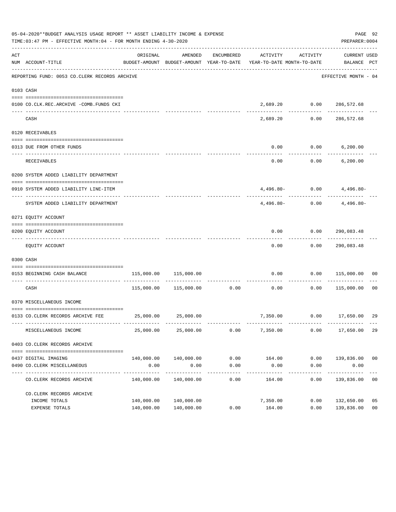|     | 05-04-2020**BUDGET ANALYSIS USAGE REPORT ** ASSET LIABILITY INCOME & EXPENSE<br>PAGE 92<br>TIME:03:47 PM - EFFECTIVE MONTH:04 - FOR MONTH ENDING 4-30-2020<br>PREPARER: 0004 |            |                                  |                      |                                                                                 |                      |                                   |                |  |  |  |  |
|-----|------------------------------------------------------------------------------------------------------------------------------------------------------------------------------|------------|----------------------------------|----------------------|---------------------------------------------------------------------------------|----------------------|-----------------------------------|----------------|--|--|--|--|
| ACT | NUM ACCOUNT-TITLE                                                                                                                                                            | ORIGINAL   | AMENDED                          | ENCUMBERED           | ACTIVITY<br>BUDGET-AMOUNT BUDGET-AMOUNT YEAR-TO-DATE YEAR-TO-DATE MONTH-TO-DATE | ACTIVITY             | CURRENT USED<br>BALANCE PCT       |                |  |  |  |  |
|     | REPORTING FUND: 0053 CO.CLERK RECORDS ARCHIVE                                                                                                                                |            |                                  |                      |                                                                                 |                      | EFFECTIVE MONTH - 04              |                |  |  |  |  |
|     | 0103 CASH                                                                                                                                                                    |            |                                  |                      |                                                                                 |                      |                                   |                |  |  |  |  |
|     | 0100 CO.CLK.REC.ARCHIVE -COMB.FUNDS CKI                                                                                                                                      |            |                                  |                      |                                                                                 |                      | 2,689.20   0.00   286,572.68      |                |  |  |  |  |
|     | CASH                                                                                                                                                                         |            |                                  |                      | 2,689.20                                                                        | 0.00                 | -------------<br>286,572.68       |                |  |  |  |  |
|     | 0120 RECEIVABLES                                                                                                                                                             |            |                                  |                      |                                                                                 |                      |                                   |                |  |  |  |  |
|     | 0313 DUE FROM OTHER FUNDS                                                                                                                                                    |            |                                  |                      | 0.00                                                                            |                      | $0.00$ 6,200.00                   |                |  |  |  |  |
|     | RECEIVABLES                                                                                                                                                                  |            |                                  |                      | 0.00                                                                            |                      | $0.00$ 6,200.00                   |                |  |  |  |  |
|     | 0200 SYSTEM ADDED LIABILITY DEPARTMENT                                                                                                                                       |            |                                  |                      |                                                                                 |                      |                                   |                |  |  |  |  |
|     | 0910 SYSTEM ADDED LIABILITY LINE-ITEM                                                                                                                                        |            |                                  |                      |                                                                                 |                      | $4,496.80 - 0.00$ $4,496.80 -$    |                |  |  |  |  |
|     | SYSTEM ADDED LIABILITY DEPARTMENT                                                                                                                                            |            |                                  |                      | $4.496.80-$                                                                     |                      | -------------<br>$0.00$ 4,496.80- |                |  |  |  |  |
|     | 0271 EQUITY ACCOUNT                                                                                                                                                          |            |                                  |                      |                                                                                 |                      |                                   |                |  |  |  |  |
|     | 0200 EQUITY ACCOUNT                                                                                                                                                          |            |                                  |                      |                                                                                 |                      | $0.00$ $0.00$ $290,083.48$        |                |  |  |  |  |
|     | EQUITY ACCOUNT                                                                                                                                                               |            |                                  |                      | ---------<br>0.00                                                               |                      | -------------<br>0.00 290,083.48  |                |  |  |  |  |
|     | 0300 CASH                                                                                                                                                                    |            |                                  |                      |                                                                                 |                      |                                   |                |  |  |  |  |
|     | 0153 BEGINNING CASH BALANCE                                                                                                                                                  |            | 115,000.00 115,000.00            |                      |                                                                                 |                      | $0.00$ $0.00$ $115,000.00$ 00     |                |  |  |  |  |
|     | CASH                                                                                                                                                                         |            | 115,000.00    115,000.00    0.00 |                      | 0.00                                                                            | -----------<br>0.00  | 115,000.00 00                     |                |  |  |  |  |
|     | 0370 MISCELLANEOUS INCOME                                                                                                                                                    |            |                                  |                      |                                                                                 |                      |                                   |                |  |  |  |  |
|     | 0133 CO.CLERK RECORDS ARCHIVE FEE 25,000.00 25,000.00                                                                                                                        |            |                                  |                      |                                                                                 |                      | 7,350.00   0.00   17,650.00       | 29             |  |  |  |  |
|     | MISCELLANEOUS INCOME                                                                                                                                                         | 25,000.00  | 25,000.00                        | 0.00                 | 7,350.00                                                                        | 0.00                 | 17,650.00                         | 29             |  |  |  |  |
|     | 0403 CO. CLERK RECORDS ARCHIVE                                                                                                                                               |            |                                  |                      |                                                                                 |                      |                                   |                |  |  |  |  |
|     |                                                                                                                                                                              |            |                                  |                      |                                                                                 |                      |                                   |                |  |  |  |  |
|     | 0437 DIGITAL IMAGING<br>0490 CO. CLERK MISCELLANEOUS                                                                                                                         | 0.00       | 140,000.00 140,000.00<br>0.00    | 0.00<br>0.00         | 164.00<br>0.00                                                                  | 0.00                 | $0.00$ 139,836.00 00<br>0.00      |                |  |  |  |  |
|     | CO. CLERK RECORDS ARCHIVE                                                                                                                                                    | 140,000.00 | --------------<br>140,000.00     | ------------<br>0.00 | ------------<br>164.00                                                          | ------------<br>0.00 | -----------<br>139,836.00         | 0 <sub>0</sub> |  |  |  |  |
|     | CO. CLERK RECORDS ARCHIVE                                                                                                                                                    |            |                                  |                      |                                                                                 |                      |                                   |                |  |  |  |  |
|     | INCOME TOTALS                                                                                                                                                                | 140,000.00 | 140,000.00                       |                      | 7,350.00                                                                        | 0.00                 | 132,650.00                        | 05             |  |  |  |  |
|     | EXPENSE TOTALS                                                                                                                                                               |            | 140,000.00 140,000.00            | 0.00                 | 164.00                                                                          | 0.00                 | 139,836.00                        | 0 <sub>0</sub> |  |  |  |  |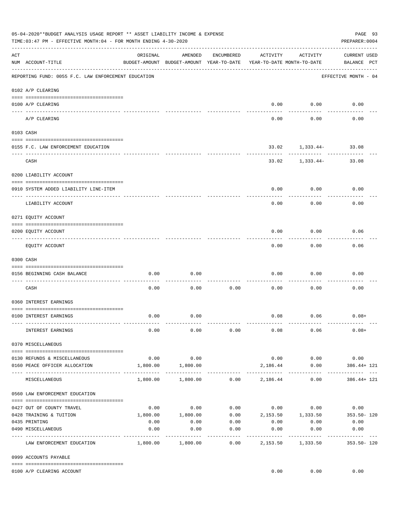|     | 05-04-2020**BUDGET ANALYSIS USAGE REPORT ** ASSET LIABILITY INCOME & EXPENSE<br>PAGE 93<br>TIME: 03:47 PM - EFFECTIVE MONTH: 04 - FOR MONTH ENDING 4-30-2020<br>PREPARER: 0004 |                             |                                                     |                     |                                        |                    |                                     |  |  |  |
|-----|--------------------------------------------------------------------------------------------------------------------------------------------------------------------------------|-----------------------------|-----------------------------------------------------|---------------------|----------------------------------------|--------------------|-------------------------------------|--|--|--|
| ACT | NUM ACCOUNT-TITLE                                                                                                                                                              | ORIGINAL                    | AMENDED<br>BUDGET-AMOUNT BUDGET-AMOUNT YEAR-TO-DATE | ENCUMBERED          | ACTIVITY<br>YEAR-TO-DATE MONTH-TO-DATE | ACTIVITY           | <b>CURRENT USED</b><br>BALANCE PCT  |  |  |  |
|     | REPORTING FUND: 0055 F.C. LAW ENFORCEMENT EDUCATION                                                                                                                            |                             |                                                     |                     |                                        |                    | EFFECTIVE MONTH - 04                |  |  |  |
|     | 0102 A/P CLEARING                                                                                                                                                              |                             |                                                     |                     |                                        |                    |                                     |  |  |  |
|     | 0100 A/P CLEARING<br>--- ----------                                                                                                                                            |                             |                                                     |                     | 0.00                                   | 0.00               | 0.00                                |  |  |  |
|     | A/P CLEARING                                                                                                                                                                   |                             |                                                     |                     | 0.00                                   | 0.00               | 0.00                                |  |  |  |
|     | 0103 CASH                                                                                                                                                                      |                             |                                                     |                     |                                        |                    |                                     |  |  |  |
|     | 0155 F.C. LAW ENFORCEMENT EDUCATION                                                                                                                                            |                             |                                                     |                     |                                        | ---------          | 33.02 1,333.44- 33.08               |  |  |  |
|     | CASH                                                                                                                                                                           |                             |                                                     |                     | 33.02                                  | 1,333.44-          | 33.08                               |  |  |  |
|     | 0200 LIABILITY ACCOUNT                                                                                                                                                         |                             |                                                     |                     |                                        |                    |                                     |  |  |  |
|     | 0910 SYSTEM ADDED LIABILITY LINE-ITEM                                                                                                                                          |                             |                                                     |                     | 0.00                                   | 0.00               | 0.00                                |  |  |  |
|     | LIABILITY ACCOUNT                                                                                                                                                              |                             |                                                     |                     | 0.00                                   | 0.00               | 0.00                                |  |  |  |
|     | 0271 EQUITY ACCOUNT                                                                                                                                                            |                             |                                                     |                     |                                        |                    |                                     |  |  |  |
|     | 0200 EQUITY ACCOUNT                                                                                                                                                            |                             |                                                     |                     | 0.00                                   | 0.00               | 0.06                                |  |  |  |
|     | EQUITY ACCOUNT                                                                                                                                                                 |                             |                                                     |                     | 0.00                                   | 0.00               | 0.06                                |  |  |  |
|     | 0300 CASH                                                                                                                                                                      |                             |                                                     |                     |                                        |                    |                                     |  |  |  |
|     | 0156 BEGINNING CASH BALANCE                                                                                                                                                    | 0.00                        | 0.00                                                |                     | 0.00                                   | 0.00               | 0.00                                |  |  |  |
|     | CASH                                                                                                                                                                           | 0.00                        | 0.00                                                | 0.00                | 0.00                                   | 0.00               | 0.00                                |  |  |  |
|     | 0360 INTEREST EARNINGS                                                                                                                                                         |                             |                                                     |                     |                                        |                    |                                     |  |  |  |
|     | 0100 INTEREST EARNINGS                                                                                                                                                         | 0.00                        | 0.00                                                |                     |                                        | $0.08$ 0.06        | $0.08+$                             |  |  |  |
|     | INTEREST EARNINGS                                                                                                                                                              | 0.00                        | 0.00                                                | 0.00                | 0.08                                   | 0.06               | $0.08+$                             |  |  |  |
|     | 0370 MISCELLANEOUS                                                                                                                                                             |                             |                                                     |                     |                                        |                    |                                     |  |  |  |
|     | 0130 REFUNDS & MISCELLANEOUS                                                                                                                                                   | 0.00                        | 0.00                                                |                     | 0.00                                   | 0.00               | 0.00                                |  |  |  |
|     | 0160 PEACE OFFICER ALLOCATION                                                                                                                                                  | ___________________________ | 1,800.00 1,800.00<br>-------------                  |                     | 2,186.44<br>. <u>.</u> .               | 0.00<br>---------- | 386.44+ 121<br>----------           |  |  |  |
|     | MISCELLANEOUS                                                                                                                                                                  | 1,800.00                    | 1,800.00                                            |                     | $0.00$ 2,186.44                        | 0.00               | 386.44+ 121                         |  |  |  |
|     | 0560 LAW ENFORCEMENT EDUCATION                                                                                                                                                 |                             |                                                     |                     |                                        |                    |                                     |  |  |  |
|     | 0427 OUT OF COUNTY TRAVEL                                                                                                                                                      | 0.00                        | 0.00                                                |                     |                                        |                    | $0.00$ $0.00$ $0.00$ $0.00$ $0.00$  |  |  |  |
|     | 0428 TRAINING & TUITION                                                                                                                                                        | 1,800.00                    | 1,800.00                                            |                     |                                        |                    | $0.00$ 2,153.50 1,333.50 353.50 120 |  |  |  |
|     | 0435 PRINTING                                                                                                                                                                  | 0.00                        | 0.00                                                | 0.00                | 0.00                                   | 0.00               | 0.00                                |  |  |  |
|     | 0490 MISCELLANEOUS                                                                                                                                                             | 0.00                        | 0.00                                                | 0.00<br>$- - - - -$ | 0.00<br>---------                      | 0.00<br>---------  | 0.00<br>_________                   |  |  |  |
|     | LAW ENFORCEMENT EDUCATION                                                                                                                                                      | 1,800.00                    | 1,800.00                                            | 0.00                | 2,153.50                               | 1,333.50           | $353.50 - 120$                      |  |  |  |
|     | 0999 ACCOUNTS PAYABLE                                                                                                                                                          |                             |                                                     |                     |                                        |                    |                                     |  |  |  |
|     | 0100 A/P CLEARING ACCOUNT                                                                                                                                                      |                             |                                                     |                     | 0.00                                   | 0.00               | 0.00                                |  |  |  |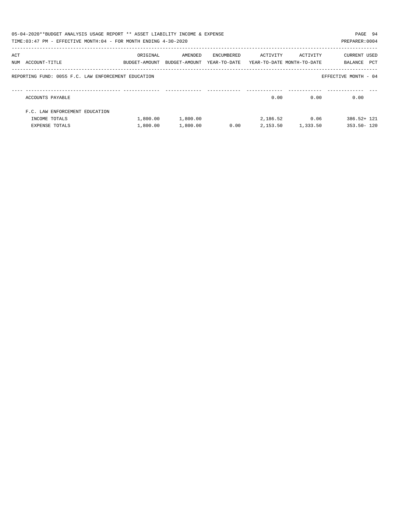|     | 05-04-2020**BUDGET ANALYSIS USAGE REPORT ** ASSET LIABILITY INCOME & EXPENSE<br>TIME:03:47 PM - EFFECTIVE MONTH:04 - FOR MONTH ENDING 4-30-2020 |                           |                          |                            |                                        |                     | PAGE 94<br>PREPARER: 0004      |
|-----|-------------------------------------------------------------------------------------------------------------------------------------------------|---------------------------|--------------------------|----------------------------|----------------------------------------|---------------------|--------------------------------|
| ACT | NUM ACCOUNT-TITLE                                                                                                                               | ORIGINAL<br>BUDGET-AMOUNT | AMENDED<br>BUDGET-AMOUNT | ENCUMBERED<br>YEAR-TO-DATE | ACTIVITY<br>YEAR-TO-DATE MONTH-TO-DATE | ACTIVITY            | CURRENT USED<br>PCT<br>BALANCE |
|     | REPORTING FUND: 0055 F.C. LAW ENFORCEMENT EDUCATION                                                                                             |                           |                          |                            |                                        |                     | EFFECTIVE MONTH - 04           |
|     | ACCOUNTS PAYABLE                                                                                                                                |                           |                          |                            | 0.00                                   | 0.00                | 0.00                           |
|     | F.C. LAW ENFORCEMENT EDUCATION                                                                                                                  |                           |                          |                            |                                        |                     |                                |
|     | INCOME TOTALS                                                                                                                                   | 1,800.00                  | 1,800.00                 |                            |                                        | 2,186.52 0.06       | $386.52 + 121$                 |
|     | <b>EXPENSE TOTALS</b>                                                                                                                           | 1,800.00                  | 1,800.00                 | 0.00                       |                                        | 2, 153.50 1, 333.50 | $353.50 - 120$                 |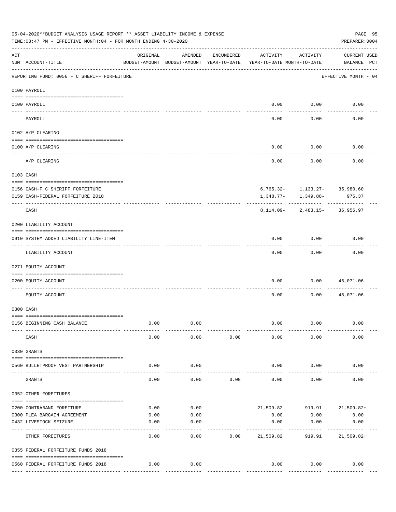|     | 05-04-2020**BUDGET ANALYSIS USAGE REPORT ** ASSET LIABILITY INCOME & EXPENSE<br>TIME: 03:47 PM - EFFECTIVE MONTH: 04 - FOR MONTH ENDING 4-30-2020 |                       |                                                     |            |                                        |           | PAGE 95<br>PREPARER: 0004                   |  |
|-----|---------------------------------------------------------------------------------------------------------------------------------------------------|-----------------------|-----------------------------------------------------|------------|----------------------------------------|-----------|---------------------------------------------|--|
| ACT | NUM ACCOUNT-TITLE                                                                                                                                 | ORIGINAL              | AMENDED<br>BUDGET-AMOUNT BUDGET-AMOUNT YEAR-TO-DATE | ENCUMBERED | ACTIVITY<br>YEAR-TO-DATE MONTH-TO-DATE | ACTIVITY  | <b>CURRENT USED</b><br>BALANCE PCT          |  |
|     | REPORTING FUND: 0056 F C SHERIFF FORFEITURE                                                                                                       |                       |                                                     |            |                                        |           | EFFECTIVE MONTH - 04                        |  |
|     | 0100 PAYROLL                                                                                                                                      |                       |                                                     |            |                                        |           |                                             |  |
|     |                                                                                                                                                   |                       |                                                     |            |                                        |           |                                             |  |
|     | 0100 PAYROLL                                                                                                                                      |                       |                                                     |            | 0.00                                   | 0.00      | 0.00                                        |  |
|     | PAYROLL                                                                                                                                           |                       |                                                     |            | 0.00                                   | 0.00      | 0.00                                        |  |
|     | 0102 A/P CLEARING                                                                                                                                 |                       |                                                     |            |                                        |           |                                             |  |
|     | 0100 A/P CLEARING                                                                                                                                 |                       |                                                     |            | 0.00                                   | 0.00      | 0.00                                        |  |
|     | A/P CLEARING                                                                                                                                      |                       |                                                     |            | 0.00                                   | 0.00      | 0.00                                        |  |
|     | 0103 CASH                                                                                                                                         |                       |                                                     |            |                                        |           |                                             |  |
|     |                                                                                                                                                   |                       |                                                     |            |                                        |           |                                             |  |
|     | 0156 CASH-F C SHERIFF FORFEITURE<br>0159 CASH-FEDERAL FORFEITURE 2018                                                                             |                       |                                                     |            | 1,348.77-                              | 1,349.88- | $6,765.32 - 1,133.27 - 35,980.60$<br>976.37 |  |
|     | CASH                                                                                                                                              |                       |                                                     |            |                                        |           | 8, 114.09 - 2, 483.15 - 36, 956.97          |  |
|     | 0200 LIABILITY ACCOUNT                                                                                                                            |                       |                                                     |            |                                        |           |                                             |  |
|     | 0910 SYSTEM ADDED LIABILITY LINE-ITEM                                                                                                             |                       |                                                     |            | 0.00                                   | 0.00      | 0.00                                        |  |
|     | LIABILITY ACCOUNT                                                                                                                                 |                       |                                                     |            | 0.00                                   | 0.00      | 0.00                                        |  |
|     | 0271 EQUITY ACCOUNT                                                                                                                               |                       |                                                     |            |                                        |           |                                             |  |
|     | 0200 EQUITY ACCOUNT                                                                                                                               |                       |                                                     |            | 0.00                                   | 0.00      | 45,071.06                                   |  |
|     | EQUITY ACCOUNT                                                                                                                                    |                       |                                                     |            | 0.00                                   | 0.00      | 45,071.06                                   |  |
|     | 0300 CASH                                                                                                                                         |                       |                                                     |            |                                        |           |                                             |  |
|     | 0156 BEGINNING CASH BALANCE                                                                                                                       | 0.00                  | 0.00                                                |            | 0.00                                   | 0.00      | 0.00                                        |  |
|     | CASH                                                                                                                                              | 0.00                  | 0.00                                                | 0.00       | 0.00                                   | 0.00      | 0.00                                        |  |
|     | 0330 GRANTS                                                                                                                                       |                       |                                                     |            |                                        |           |                                             |  |
|     | 0560 BULLETPROOF VEST PARTNERSHIP                                                                                                                 | 0.00                  | 0.00                                                |            | 0.00                                   | 0.00      | 0.00                                        |  |
|     | GRANTS                                                                                                                                            | 0.00                  | 0.00                                                | 0.00       | 0.00                                   | 0.00      | 0.00                                        |  |
|     | 0352 OTHER FOREITURES                                                                                                                             |                       |                                                     |            |                                        |           |                                             |  |
|     | 0200 CONTRABAND FOREITURE                                                                                                                         | 0.00                  | 0.00                                                |            |                                        |           | 21,509.82 919.91 21,509.82+                 |  |
|     | 0300 PLEA BARGAIN AGREEMENT                                                                                                                       | 0.00                  | 0.00                                                |            | 0.00                                   | 0.00      | 0.00                                        |  |
|     | 0432 LIVESTOCK SEIZURE                                                                                                                            | 0.00                  | 0.00                                                |            | 0.00                                   | 0.00      | 0.00                                        |  |
|     | OTHER FOREITURES                                                                                                                                  | 0.00                  | 0.00                                                | 0.00       | 21,509.82                              | 919.91    | $21,509.82+$                                |  |
|     | 0355 FEDERAL FORFEITURE FUNDS 2018                                                                                                                |                       |                                                     |            |                                        |           |                                             |  |
|     |                                                                                                                                                   |                       |                                                     |            |                                        |           |                                             |  |
|     | 0560 FEDERAL FORFEITURE FUNDS 2018                                                                                                                | 0.00<br>------------- | 0.00                                                |            | 0.00                                   | 0.00      | 0.00                                        |  |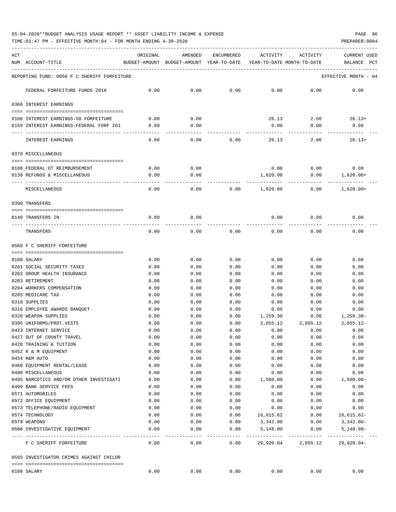# 05-04-2020\*\*BUDGET ANALYSIS USAGE REPORT \*\* ASSET LIABILITY INCOME & EXPENSE PAGE 96

TIME:03:47 PM - EFFECTIVE MONTH:04 - FOR MONTH ENDING 4-30-2020

| ACT | NUM ACCOUNT-TITLE                                         | ORIGINAL     | AMENDED<br>BUDGET-AMOUNT BUDGET-AMOUNT YEAR-TO-DATE | ENCUMBERED       | ACTIVITY<br>YEAR-TO-DATE MONTH-TO-DATE | ACTIVITY                | CURRENT USED<br>PCT<br>BALANCE |
|-----|-----------------------------------------------------------|--------------|-----------------------------------------------------|------------------|----------------------------------------|-------------------------|--------------------------------|
|     | REPORTING FUND: 0056 F C SHERIFF FORFEITURE               |              |                                                     |                  |                                        |                         | EFFECTIVE MONTH - 04           |
|     | FEDERAL FORFEITURE FUNDS 2018                             | 0.00         | 0.00                                                | 0.00             | 0.00                                   | 0.00                    | 0.00                           |
|     | 0360 INTEREST EARNINGS                                    |              |                                                     |                  |                                        |                         |                                |
|     | 0100 INTEREST EARNINGS-SO FORFEITURE                      | 0.00         | 0.00                                                |                  |                                        | $26.13$ $2.06$ $26.13+$ |                                |
|     | 0159 INTEREST EARNINGS-FEDERAL FORF 201                   | 0.00         | 0.00                                                |                  | 0.00                                   | 0.00                    | 0.00                           |
|     |                                                           |              |                                                     |                  |                                        |                         |                                |
|     | INTEREST EARNINGS                                         | 0.00         | 0.00                                                | 0.00             | 26.13                                  | 2.06                    | $26.13+$                       |
|     | 0370 MISCELLANEOUS                                        |              |                                                     |                  |                                        |                         |                                |
|     | 0108 FEDERAL OT REIMBURSEMENT                             | 0.00         | 0.00                                                |                  | 0.00                                   | $0.00$ 0.00             |                                |
|     | 0130 REFUNDS & MISCELLANEOUS                              | 0.00         | 0.00                                                |                  | 1,620.00                               | 0.00                    | 1,620.00+                      |
|     |                                                           |              |                                                     |                  |                                        |                         |                                |
|     | MISCELLANEOUS                                             | 0.00         | 0.00                                                | 0.00             | 1,620.00                               | 0.00                    | $1,620.00+$                    |
|     | 0390 TRANSFERS                                            |              |                                                     |                  |                                        |                         |                                |
|     |                                                           |              | 0.00                                                |                  | 0.00                                   |                         | 0.00                           |
|     | 0140 TRANSFERS IN                                         | 0.00         |                                                     |                  |                                        | 0.00                    |                                |
|     | TRANSFERS                                                 | 0.00         | 0.00                                                | 0.00             | 0.00                                   | 0.00                    | 0.00                           |
|     | 0560 F C SHERIFF FORFEITURE                               |              |                                                     |                  |                                        |                         |                                |
|     |                                                           |              |                                                     |                  |                                        |                         |                                |
|     | 0108 SALARY                                               | 0.00         | 0.00                                                | 0.00             | 0.00                                   | 0.00                    | 0.00                           |
|     | 0201 SOCIAL SECURITY TAXES<br>0202 GROUP HEALTH INSURANCE | 0.00<br>0.00 | 0.00<br>0.00                                        | 0.00<br>0.00     | 0.00<br>0.00                           | 0.00<br>0.00            | 0.00<br>0.00                   |
|     | 0203 RETIREMENT                                           | 0.00         | 0.00                                                | 0.00             | 0.00                                   | 0.00                    | 0.00                           |
|     | 0204 WORKERS COMPENSATION                                 | 0.00         | 0.00                                                | 0.00             | 0.00                                   | 0.00                    | 0.00                           |
|     | 0205 MEDICARE TAX                                         | 0.00         | 0.00                                                | 0.00             | 0.00                                   | 0.00                    | 0.00                           |
|     | 0310 SUPPLIES                                             | 0.00         | 0.00                                                | 0.00             | 0.00                                   | 0.00                    | 0.00                           |
|     | 0316 EMPLOYEE AWARDS BANQUET                              | 0.00         | 0.00                                                | 0.00             | 0.00                                   | 0.00                    | 0.00                           |
|     | 0320 WEAPON SUPPLIES                                      | 0.00         | 0.00                                                | 0.00             | 1,259.30                               | 0.00                    | $1,259.30-$                    |
|     | 0395 UNIFORMS/PROT.VESTS                                  | 0.00         | 0.00                                                | 0.00             | 2,055.12                               | 2,055.12                | $2,055.12-$                    |
|     | 0423 INTERNET SERVICE                                     | 0.00         | 0.00                                                | 0.00             | 0.00                                   | 0.00                    | 0.00                           |
|     | 0427 OUT OF COUNTY TRAVEL                                 | 0.00         | 0.00                                                | 0.00             | 0.00                                   | 0.00                    | 0.00                           |
|     | 0428 TRAINING & TUITION                                   | 0.00         | 0.00                                                | 0.00             | 0.00                                   | 0.00                    | 0.00                           |
|     | 0452 R & M EQUIPMENT                                      | 0.00         | 0.00                                                | 0.00             | 0.00                                   | 0.00                    | 0.00                           |
|     | 0454 R&M AUTO                                             | 0.00         | 0.00                                                | 0.00             | 0.00                                   | 0.00                    | 0.00                           |
|     | 0460 EQUIPMENT RENTAL/LEASE                               | 0.00         | 0.00                                                | 0.00             | 0.00                                   | 0.00                    | 0.00                           |
|     | 0490 MISCELLANEOUS                                        | 0.00         | 0.00                                                | 0.00             | 0.00                                   | 0.00                    | 0.00                           |
|     | 0495 NARCOTICS AND/OR OTHER INVESTIGATI                   | 0.00         | 0.00                                                | 0.00             | 1,500.00                               | 0.00                    | $1,500.00-$                    |
|     | 0499 BANK SERVICE FEES                                    | 0.00         | 0.00                                                | 0.00             | 0.00                                   | 0.00                    | 0.00                           |
|     | 0571 AUTOMOBILES                                          | 0.00         | 0.00                                                | 0.00             | 0.00                                   | 0.00                    | 0.00                           |
|     | 0572 OFFICE EQUIPMENT                                     | 0.00         | 0.00                                                | 0.00             | 0.00                                   | 0.00                    | 0.00                           |
|     | 0573 TELEPHONE/RADIO EOUIPMENT                            | 0.00         | 0.00                                                | 0.00             | 0.00                                   | 0.00                    | 0.00                           |
|     | 0574 TECHNOLOGY                                           | 0.00         | 0.00                                                | 0.00             | 16,615.62                              | 0.00                    | 16,615.62-                     |
|     | 0579 WEAPONS                                              | 0.00         | 0.00                                                | 0.00             | 3,342.00                               | 0.00                    | 3,342.00-                      |
|     | 0580 INVESTIGATIVE EQUIPMENT<br>---- ----------------     | 0.00         | 0.00<br>$------$                                    | 0.00<br>$------$ | 5,148.00                               | 0.00                    | $5,148.00-$                    |
|     | F C SHERIFF FORFEITURE                                    | 0.00         | 0.00                                                | 0.00             | 29,920.04                              | 2,055.12                | $29,920.04-$                   |
|     | 0565 INVESTIGATOR CRIMES AGAINST CHILDR                   |              |                                                     |                  |                                        |                         |                                |
|     | 0108 SALARY                                               | 0.00         | 0.00                                                | 0.00             | 0.00                                   | 0.00                    | 0.00                           |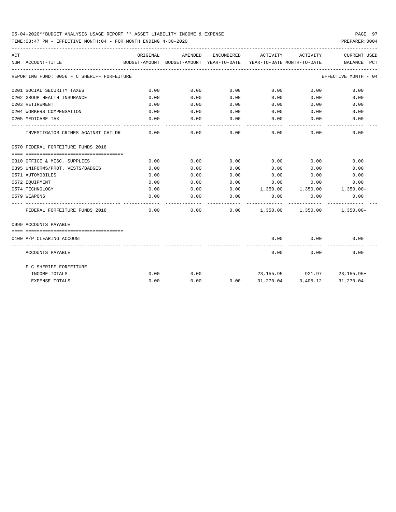## 05-04-2020\*\*BUDGET ANALYSIS USAGE REPORT \*\* ASSET LIABILITY INCOME & EXPENSE PAGE 97

TIME:03:47 PM - EFFECTIVE MONTH:04 - FOR MONTH ENDING 4-30-2020

| ACT |                                             | ORIGINAL | AMENDED |      | ENCUMBERED ACTIVITY ACTIVITY                              |                                  | CURRENT USED                                                                      |
|-----|---------------------------------------------|----------|---------|------|-----------------------------------------------------------|----------------------------------|-----------------------------------------------------------------------------------|
|     | NUM ACCOUNT-TITLE                           |          |         |      |                                                           |                                  | BUDGET-AMOUNT BUDGET-AMOUNT YEAR-TO-DATE YEAR-TO-DATE_MONTH-TO-DATE _____________ |
|     | REPORTING FUND: 0056 F C SHERIFF FORFEITURE |          |         |      |                                                           |                                  | EFFECTIVE MONTH - 04                                                              |
|     | 0201 SOCIAL SECURITY TAXES                  | 0.00     | 0.00    | 0.00 | 0.00                                                      | 0.00                             | 0.00                                                                              |
|     | 0202 GROUP HEALTH INSURANCE                 | 0.00     | 0.00    | 0.00 | 0.00                                                      | 0.00                             | 0.00                                                                              |
|     | 0203 RETIREMENT                             | 0.00     | 0.00    | 0.00 |                                                           | $0.00$ and $0.00$<br>0.00        | 0.00                                                                              |
|     | 0204 WORKERS COMPENSATION                   | 0.00     | 0.00    | 0.00 | 0.00                                                      | 0.00                             | 0.00                                                                              |
|     | 0205 MEDICARE TAX                           | 0.00     | 0.00    | 0.00 | 0.00                                                      | 0.00                             | 0.00                                                                              |
|     | INVESTIGATOR CRIMES AGAINST CHILDR          | 0.00     | 0.00    | 0.00 | $- - - - -$                                               | .<br>0.00<br>0.00                | 0.00                                                                              |
|     | 0570 FEDERAL FORFEITURE FUNDS 2018          |          |         |      |                                                           |                                  |                                                                                   |
|     |                                             |          |         |      |                                                           |                                  |                                                                                   |
|     | 0310 OFFICE & MISC. SUPPLIES                | 0.00     | 0.00    | 0.00 | $0.00$ 0.00                                               |                                  | 0.00                                                                              |
|     | 0395 UNIFORMS/PROT. VESTS/BADGES            | 0.00     | 0.00    | 0.00 | 0.00                                                      | 0.00                             | 0.00                                                                              |
|     | 0571 AUTOMOBILES                            | 0.00     | 0.00    | 0.00 | 0.00                                                      | 0.00                             | 0.00                                                                              |
|     | 0572 EOUIPMENT                              | 0.00     | 0.00    | 0.00 | 0.00                                                      | 0.00                             | 0.00                                                                              |
|     | 0574 TECHNOLOGY                             | 0.00     | 0.00    | 0.00 | 1,350.00   1,350.00   1,350.00-                           |                                  |                                                                                   |
|     | 0579 WEAPONS                                | 0.00     | 0.00    | 0.00 | 0.00<br>---------                                         | 0.00<br>------------             | 0.00                                                                              |
|     | FEDERAL FORFEITURE FUNDS 2018               | 0.00     |         |      | $0.00$ $0.00$ $1,350.00$ $1,350.00$ $1,350.00$ $1,350.00$ |                                  |                                                                                   |
|     | 0999 ACCOUNTS PAYABLE                       |          |         |      |                                                           |                                  |                                                                                   |
|     |                                             |          |         |      |                                                           |                                  |                                                                                   |
|     | 0100 A/P CLEARING ACCOUNT                   |          |         |      |                                                           | $0.00$ $0.00$                    | 0.00                                                                              |
|     | ACCOUNTS PAYABLE                            |          |         |      |                                                           | $0.00$ and $0.00$<br>0.00        | 0.00                                                                              |
|     | F C SHERIFF FORFEITURE                      |          |         |      |                                                           |                                  |                                                                                   |
|     | INCOME TOTALS                               | 0.00     | 0.00    |      |                                                           | 23, 155. 95 921. 97 23, 155. 95+ |                                                                                   |
|     | <b>EXPENSE TOTALS</b>                       | 0.00     | 0.00    | 0.00 |                                                           | 31,270.04 3,405.12               | 31,270.04-                                                                        |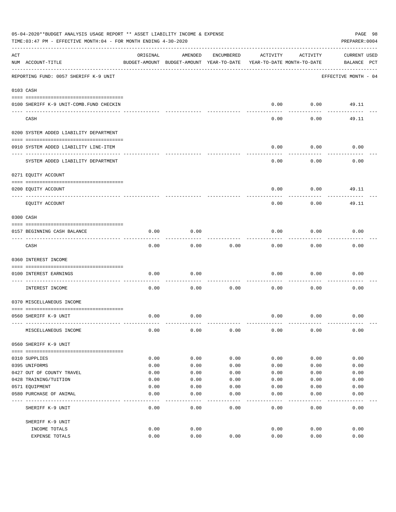|     | 05-04-2020**BUDGET ANALYSIS USAGE REPORT ** ASSET LIABILITY INCOME & EXPENSE<br>TIME: 03:47 PM - EFFECTIVE MONTH: 04 - FOR MONTH ENDING 4-30-2020 |          |                                                     |            |          |                                        | PAGE 98<br>PREPARER: 0004          |
|-----|---------------------------------------------------------------------------------------------------------------------------------------------------|----------|-----------------------------------------------------|------------|----------|----------------------------------------|------------------------------------|
| ACT | NUM ACCOUNT-TITLE                                                                                                                                 | ORIGINAL | AMENDED<br>BUDGET-AMOUNT BUDGET-AMOUNT YEAR-TO-DATE | ENCUMBERED | ACTIVITY | ACTIVITY<br>YEAR-TO-DATE MONTH-TO-DATE | <b>CURRENT USED</b><br>BALANCE PCT |
|     | REPORTING FUND: 0057 SHERIFF K-9 UNIT                                                                                                             |          |                                                     |            |          |                                        | EFFECTIVE MONTH - 04               |
|     | 0103 CASH                                                                                                                                         |          |                                                     |            |          |                                        |                                    |
|     | 0100 SHERIFF K-9 UNIT-COMB.FUND CHECKIN                                                                                                           |          |                                                     |            | 0.00     | 0.00                                   | 49.11                              |
|     | CASH                                                                                                                                              |          |                                                     |            | 0.00     | 0.00                                   | 49.11                              |
|     | 0200 SYSTEM ADDED LIABILITY DEPARTMENT                                                                                                            |          |                                                     |            |          |                                        |                                    |
|     | 0910 SYSTEM ADDED LIABILITY LINE-ITEM                                                                                                             |          |                                                     |            | 0.00     | 0.00                                   | 0.00                               |
|     | SYSTEM ADDED LIABILITY DEPARTMENT                                                                                                                 |          |                                                     |            | 0.00     | 0.00                                   | 0.00                               |
|     | 0271 EQUITY ACCOUNT                                                                                                                               |          |                                                     |            |          |                                        |                                    |
|     | 0200 EQUITY ACCOUNT                                                                                                                               |          |                                                     |            | 0.00     | 0.00                                   | 49.11                              |
|     | EQUITY ACCOUNT                                                                                                                                    |          |                                                     |            | 0.00     | 0.00                                   | 49.11                              |
|     | 0300 CASH                                                                                                                                         |          |                                                     |            |          |                                        |                                    |
|     | 0157 BEGINNING CASH BALANCE                                                                                                                       | 0.00     | 0.00                                                |            | 0.00     | 0.00                                   | 0.00                               |
|     | CASH                                                                                                                                              | 0.00     | 0.00                                                | 0.00       | 0.00     | 0.00                                   | 0.00                               |
|     | 0360 INTEREST INCOME                                                                                                                              |          |                                                     |            |          |                                        |                                    |
|     | 0100 INTEREST EARNINGS<br>----------------- ---                                                                                                   | 0.00     | 0.00                                                |            | 0.00     | 0.00                                   | 0.00                               |
|     | INTEREST INCOME                                                                                                                                   | 0.00     | 0.00                                                | 0.00       | 0.00     | 0.00                                   | 0.00                               |
|     | 0370 MISCELLANEOUS INCOME                                                                                                                         |          |                                                     |            |          |                                        |                                    |
|     | 0560 SHERIFF K-9 UNIT                                                                                                                             | 0.00     | 0.00                                                |            | 0.00     | 0.00                                   | 0.00                               |
|     | MISCELLANEOUS INCOME                                                                                                                              | 0.00     | 0.00                                                | 0.00       | 0.00     | 0.00                                   | 0.00                               |
|     | 0560 SHERIFF K-9 UNIT                                                                                                                             |          |                                                     |            |          |                                        |                                    |
|     | 0310 SUPPLIES                                                                                                                                     | 0.00     | 0.00                                                | 0.00       | 0.00     | 0.00                                   | 0.00                               |
|     | 0395 UNIFORMS                                                                                                                                     | 0.00     | 0.00                                                | 0.00       | 0.00     | 0.00                                   | 0.00                               |
|     | 0427 OUT OF COUNTY TRAVEL                                                                                                                         | 0.00     | 0.00                                                | 0.00       | 0.00     | 0.00                                   | 0.00                               |
|     | 0428 TRAINING/TUITION                                                                                                                             | 0.00     | 0.00                                                | 0.00       | 0.00     | 0.00                                   | 0.00                               |
|     | 0571 EQUIPMENT                                                                                                                                    | 0.00     | 0.00                                                | 0.00       | 0.00     | 0.00                                   | 0.00                               |
|     | 0580 PURCHASE OF ANIMAL                                                                                                                           | 0.00     | 0.00                                                | 0.00       | 0.00     | 0.00                                   | 0.00                               |
|     | SHERIFF K-9 UNIT                                                                                                                                  | 0.00     | 0.00                                                | 0.00       | 0.00     | 0.00                                   | 0.00                               |
|     | SHERIFF K-9 UNIT                                                                                                                                  |          |                                                     |            |          |                                        |                                    |
|     | INCOME TOTALS                                                                                                                                     | 0.00     | 0.00                                                |            | 0.00     | 0.00                                   | 0.00                               |
|     | EXPENSE TOTALS                                                                                                                                    | 0.00     | 0.00                                                | 0.00       | 0.00     | 0.00                                   | 0.00                               |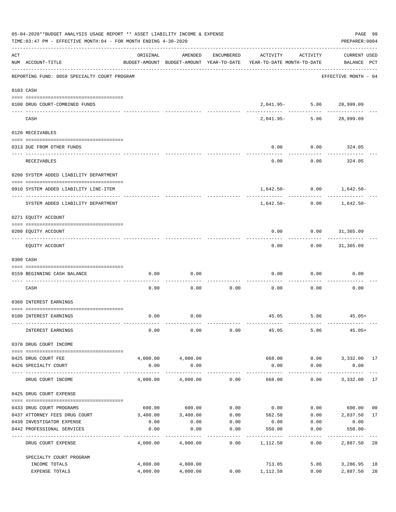|     | 05-04-2020**BUDGET ANALYSIS USAGE REPORT ** ASSET LIABILITY INCOME & EXPENSE<br>TIME: 03:47 PM - EFFECTIVE MONTH: 04 - FOR MONTH ENDING 4-30-2020 |                       |                       |                 |                                                                                 |                                |                                    |    |  |  |
|-----|---------------------------------------------------------------------------------------------------------------------------------------------------|-----------------------|-----------------------|-----------------|---------------------------------------------------------------------------------|--------------------------------|------------------------------------|----|--|--|
| ACT | NUM ACCOUNT-TITLE                                                                                                                                 | ORIGINAL              | AMENDED               | ENCUMBERED      | ACTIVITY<br>BUDGET-AMOUNT BUDGET-AMOUNT YEAR-TO-DATE YEAR-TO-DATE MONTH-TO-DATE | ACTIVITY                       | <b>CURRENT USED</b><br>BALANCE PCT |    |  |  |
|     | --------------------------------------<br>REPORTING FUND: 0059 SPECIALTY COURT PROGRAM                                                            |                       |                       |                 |                                                                                 |                                | EFFECTIVE MONTH - 04               |    |  |  |
|     | 0103 CASH                                                                                                                                         |                       |                       |                 |                                                                                 |                                |                                    |    |  |  |
|     | 0100 DRUG COURT-COMBINED FUNDS                                                                                                                    |                       |                       |                 |                                                                                 | 2,041.95- 5.86 28,999.09       |                                    |    |  |  |
|     | CASH                                                                                                                                              |                       |                       |                 | $2.041.95-$                                                                     | -- -------------<br>5.86       | 28,999.09                          |    |  |  |
|     | 0120 RECEIVABLES                                                                                                                                  |                       |                       |                 |                                                                                 |                                |                                    |    |  |  |
|     | 0313 DUE FROM OTHER FUNDS                                                                                                                         |                       |                       |                 | 0.00                                                                            | 0.00                           | 324.05                             |    |  |  |
|     | RECEIVABLES                                                                                                                                       |                       |                       |                 | 0.00                                                                            | 0.00                           | 324.05                             |    |  |  |
|     | 0200 SYSTEM ADDED LIABILITY DEPARTMENT                                                                                                            |                       |                       |                 |                                                                                 |                                |                                    |    |  |  |
|     | 0910 SYSTEM ADDED LIABILITY LINE-ITEM                                                                                                             |                       |                       |                 |                                                                                 | $1,642.50 - 0.00$ $1,642.50 -$ |                                    |    |  |  |
|     | SYSTEM ADDED LIABILITY DEPARTMENT                                                                                                                 |                       |                       |                 | 1,642.50-                                                                       | 0.00                           | 1,642.50-                          |    |  |  |
|     | 0271 EQUITY ACCOUNT                                                                                                                               |                       |                       |                 |                                                                                 |                                |                                    |    |  |  |
|     | 0200 EQUITY ACCOUNT                                                                                                                               |                       |                       |                 | 0.00                                                                            | $0.00$ 31,365.09               |                                    |    |  |  |
|     | EQUITY ACCOUNT                                                                                                                                    |                       |                       |                 | 0.00                                                                            |                                | $0.00$ 31,365.09                   |    |  |  |
|     | 0300 CASH                                                                                                                                         |                       |                       |                 |                                                                                 |                                |                                    |    |  |  |
|     | 0159 BEGINNING CASH BALANCE                                                                                                                       | 0.00                  | 0.00                  |                 | 0.00                                                                            | 0.00                           | 0.00                               |    |  |  |
|     | CASH                                                                                                                                              | 0.00                  | 0.00                  | 0.00            | 0.00                                                                            | 0.00                           | 0.00                               |    |  |  |
|     | 0360 INTEREST EARNINGS                                                                                                                            |                       |                       |                 |                                                                                 |                                |                                    |    |  |  |
|     | 0100 INTEREST EARNINGS                                                                                                                            | 0.00                  | 0.00                  |                 |                                                                                 | 45.05 5.86                     | $45.05+$                           |    |  |  |
|     | INTEREST EARNINGS                                                                                                                                 | 0.00                  | 0.00                  | 0.00            | 45.05                                                                           | 5.86                           | $45.05+$                           |    |  |  |
|     | 0370 DRUG COURT INCOME                                                                                                                            |                       |                       |                 |                                                                                 |                                |                                    |    |  |  |
|     | 0425 DRUG COURT FEE                                                                                                                               |                       | 4,000.00 4,000.00     |                 | 668.00                                                                          |                                | $0.00$ $3,332.00$ 17               |    |  |  |
|     | 0426 SPECIALTY COURT                                                                                                                              | 0.00                  | 0.00<br>_____________ |                 | 0.00<br>-----------                                                             | 0.00<br>-----------            | 0.00<br>------------               |    |  |  |
|     | DRUG COURT INCOME                                                                                                                                 | 4,000.00              | 4,000.00              | 0.00            | 668.00                                                                          | 0.00                           | 3,332.00 17                        |    |  |  |
|     | 0425 DRUG COURT EXPENSE                                                                                                                           |                       |                       |                 |                                                                                 |                                |                                    |    |  |  |
|     | 0433 DRUG COURT PROGRAMS                                                                                                                          |                       | 600.00 600.00         |                 | $0.00$ 0.00                                                                     |                                | $0.00$ 600.00                      | 00 |  |  |
|     | 0437 ATTORNEY FEES DRUG COURT                                                                                                                     |                       | 3,400.00 3,400.00     | 0.00            | 562.50                                                                          | 0.00                           | 2,837.50                           | 17 |  |  |
|     | 0439 INVESTIGATOR EXPENSE                                                                                                                         | 0.00                  | 0.00                  | 0.00            | 0.00                                                                            | 0.00                           | 0.00                               |    |  |  |
|     | 0442 PROFESSIONAL SERVICES                                                                                                                        | 0.00<br>------------- | 0.00                  | 0.00<br>------- | 550.00                                                                          | 0.00                           | $550.00 -$                         |    |  |  |
|     | DRUG COURT EXPENSE                                                                                                                                | 4,000.00              | 4,000.00              | 0.00            | 1,112.50                                                                        | 0.00                           | 2,887.50 28                        |    |  |  |
|     | SPECIALTY COURT PROGRAM                                                                                                                           |                       |                       |                 |                                                                                 |                                |                                    |    |  |  |
|     | INCOME TOTALS                                                                                                                                     |                       | 4,000.00 4,000.00     |                 | 713.05                                                                          | 5.86                           | 3,286.95                           | 18 |  |  |
|     | EXPENSE TOTALS                                                                                                                                    | 4,000.00              | 4,000.00              | 0.00            | 1,112.50                                                                        | 0.00                           | 2,887.50                           | 28 |  |  |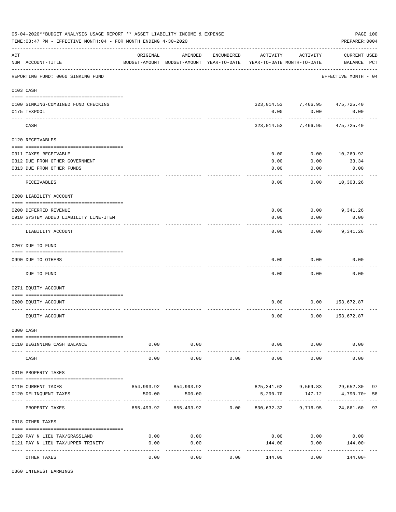|     | 05-04-2020**BUDGET ANALYSIS USAGE REPORT ** ASSET LIABILITY INCOME & EXPENSE<br>TIME: 03:47 PM - EFFECTIVE MONTH: 04 - FOR MONTH ENDING 4-30-2020 |          |                                                     |            |                                                          |                                | PAGE 100<br>PREPARER: 0004         |    |
|-----|---------------------------------------------------------------------------------------------------------------------------------------------------|----------|-----------------------------------------------------|------------|----------------------------------------------------------|--------------------------------|------------------------------------|----|
| ACT | NUM ACCOUNT-TITLE                                                                                                                                 | ORIGINAL | AMENDED<br>BUDGET-AMOUNT BUDGET-AMOUNT YEAR-TO-DATE | ENCUMBERED | ACTIVITY<br>YEAR-TO-DATE MONTH-TO-DATE                   | ACTIVITY                       | <b>CURRENT USED</b><br>BALANCE PCT |    |
|     | REPORTING FUND: 0060 SINKING FUND                                                                                                                 |          |                                                     |            |                                                          |                                | EFFECTIVE MONTH - 04               |    |
|     | 0103 CASH                                                                                                                                         |          |                                                     |            |                                                          |                                |                                    |    |
|     | 0100 SINKING-COMBINED FUND CHECKING                                                                                                               |          |                                                     |            |                                                          | 323,014.53 7,466.95 475,725.40 |                                    |    |
|     | 0175 TEXPOOL                                                                                                                                      |          |                                                     |            | 0.00                                                     | 0.00                           | 0.00                               |    |
|     |                                                                                                                                                   |          |                                                     |            |                                                          |                                |                                    |    |
|     | CASH                                                                                                                                              |          |                                                     |            |                                                          | 323,014.53 7,466.95            | 475,725.40                         |    |
|     | 0120 RECEIVABLES                                                                                                                                  |          |                                                     |            |                                                          |                                |                                    |    |
|     | 0311 TAXES RECEIVABLE                                                                                                                             |          |                                                     |            | 0.00                                                     | 0.00                           | 10,269.92                          |    |
|     | 0312 DUE FROM OTHER GOVERNMENT                                                                                                                    |          |                                                     |            | 0.00                                                     | 0.00                           | 33.34                              |    |
|     | 0313 DUE FROM OTHER FUNDS                                                                                                                         |          |                                                     |            | 0.00                                                     | 0.00                           | 0.00                               |    |
|     |                                                                                                                                                   |          |                                                     |            |                                                          |                                |                                    |    |
|     | RECEIVABLES                                                                                                                                       |          |                                                     |            | 0.00                                                     | 0.00                           | 10,303.26                          |    |
|     | 0200 LIABILITY ACCOUNT                                                                                                                            |          |                                                     |            |                                                          |                                |                                    |    |
|     |                                                                                                                                                   |          |                                                     |            |                                                          |                                |                                    |    |
|     | 0200 DEFERRED REVENUE                                                                                                                             |          |                                                     |            | 0.00                                                     | 0.00                           | 9,341.26                           |    |
|     | 0910 SYSTEM ADDED LIABILITY LINE-ITEM                                                                                                             |          |                                                     |            | 0.00                                                     | 0.00                           | 0.00                               |    |
|     | LIABILITY ACCOUNT                                                                                                                                 |          |                                                     |            | 0.00                                                     | 0.00                           | 9,341.26                           |    |
|     | 0207 DUE TO FUND                                                                                                                                  |          |                                                     |            |                                                          |                                |                                    |    |
|     |                                                                                                                                                   |          |                                                     |            |                                                          |                                |                                    |    |
|     | 0990 DUE TO OTHERS                                                                                                                                |          |                                                     |            | 0.00                                                     | 0.00                           | 0.00                               |    |
|     | DUE TO FUND                                                                                                                                       |          |                                                     |            | 0.00                                                     | 0.00                           | 0.00                               |    |
|     | 0271 EQUITY ACCOUNT                                                                                                                               |          |                                                     |            |                                                          |                                |                                    |    |
|     |                                                                                                                                                   |          |                                                     |            |                                                          |                                |                                    |    |
|     | 0200 EQUITY ACCOUNT                                                                                                                               |          |                                                     |            | 0.00                                                     | 0.00                           | 153,672.87                         |    |
|     | EQUITY ACCOUNT                                                                                                                                    |          |                                                     |            | 0.00                                                     | 0.00                           | 153,672.87                         |    |
|     | 0300 CASH                                                                                                                                         |          |                                                     |            |                                                          |                                |                                    |    |
|     |                                                                                                                                                   |          |                                                     |            |                                                          |                                |                                    |    |
|     | 0110 BEGINNING CASH BALANCE                                                                                                                       | 0.00     | 0.00<br>------------                                |            |                                                          | $0.00$ $0.00$<br>-----------   | 0.00                               |    |
|     | CASH                                                                                                                                              | 0.00     | 0.00                                                | 0.00       | 0.00                                                     | 0.00                           | 0.00                               |    |
|     | 0310 PROPERTY TAXES                                                                                                                               |          |                                                     |            |                                                          |                                |                                    |    |
|     |                                                                                                                                                   |          |                                                     |            |                                                          |                                |                                    |    |
|     | 0110 CURRENT TAXES                                                                                                                                |          | 854,993.92 854,993.92                               |            |                                                          |                                | 825,341.62 9,569.83 29,652.30 97   |    |
|     | 0120 DELINQUENT TAXES                                                                                                                             | 500.00   | 500.00                                              |            | 5,290.70                                                 | 147.12<br>------------         | 4,790.70+ 58                       |    |
|     | PROPERTY TAXES                                                                                                                                    |          |                                                     |            | 855,493.92 855,493.92 0.00 830,632.32 9,716.95 24,861.60 |                                |                                    | 97 |
|     | 0318 OTHER TAXES                                                                                                                                  |          |                                                     |            |                                                          |                                |                                    |    |
|     | 0120 PAY N LIEU TAX/GRASSLAND                                                                                                                     | 0.00     | 0.00                                                |            |                                                          | $0.00$ 0.00                    | 0.00                               |    |
|     | 0121 PAY N LIEU TAX/UPPER TRINITY                                                                                                                 | 0.00     | 0.00                                                |            | 144.00                                                   | 0.00                           | 144.00+                            |    |
|     |                                                                                                                                                   |          | $---$                                               |            |                                                          |                                |                                    |    |
|     | OTHER TAXES                                                                                                                                       | 0.00     | 0.00                                                | 0.00       | 144.00                                                   | 0.00                           | 144.00+                            |    |

0360 INTEREST EARNINGS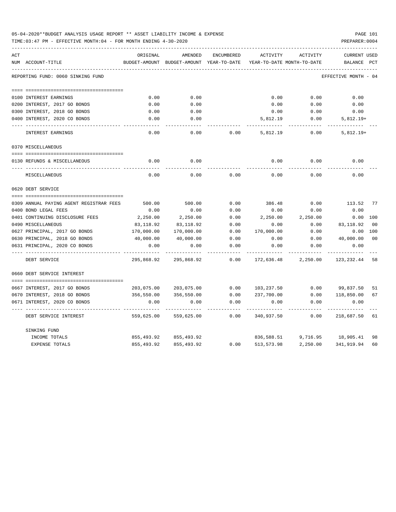| 05-04-2020**BUDGET ANALYSIS USAGE REPORT ** ASSET LIABILITY INCOME & EXPENSE | <b>PAGE 101</b> |
|------------------------------------------------------------------------------|-----------------|
| TIME:03:47 PM - EFFECTIVE MONTH:04 - FOR MONTH ENDING 4-30-2020              | PREPARER: 0004  |

| ACT |                                         | ORIGINAL      | AMENDED                    | ENCUMBERED   | ACTIVITY          | ACTIVITY                      | <b>CURRENT USED</b>  |                |
|-----|-----------------------------------------|---------------|----------------------------|--------------|-------------------|-------------------------------|----------------------|----------------|
|     | NUM ACCOUNT-TITLE                       | BUDGET-AMOUNT | BUDGET-AMOUNT YEAR-TO-DATE |              |                   | YEAR-TO-DATE MONTH-TO-DATE    | BALANCE              | PCT            |
|     | REPORTING FUND: 0060 SINKING FUND       |               |                            |              |                   |                               | EFFECTIVE MONTH - 04 |                |
|     |                                         |               |                            |              |                   |                               |                      |                |
|     | 0100 INTEREST EARNINGS                  | 0.00          | 0.00                       |              | 0.00              | 0.00                          | 0.00                 |                |
|     | 0200 INTEREST, 2017 GO BONDS            | 0.00          | 0.00                       |              | 0.00              | 0.00                          | 0.00                 |                |
|     | 0300 INTEREST, 2018 GO BONDS            | 0.00          | 0.00                       |              | 0.00              | 0.00                          | 0.00                 |                |
|     | 0400 INTEREST, 2020 CO BONDS            | 0.00          | 0.00                       |              | 5,812.19          | 0.00                          | $5,812.19+$          |                |
|     | INTEREST EARNINGS                       | 0.00          | 0.00                       | 0.00         | 5,812.19          | 0.00                          | $5,812.19+$          |                |
|     | 0370 MISCELLANEOUS                      |               |                            |              |                   |                               |                      |                |
|     |                                         |               |                            |              |                   |                               |                      |                |
|     | 0130 REFUNDS & MISCELLANEOUS            | 0.00          | 0.00                       |              | 0.00              | 0.00                          | 0.00                 |                |
|     | MISCELLANEOUS                           | 0.00          | 0.00                       | 0.00         | 0.00              | 0.00                          | 0.00                 |                |
|     | 0620 DEBT SERVICE                       |               |                            |              |                   |                               |                      |                |
|     |                                         |               |                            |              |                   |                               |                      |                |
|     | 0309 ANNUAL PAYING AGENT REGISTRAR FEES | 500.00        | 500.00                     | 0.00         | 386.48            | 0.00                          | 113.52 77            |                |
|     | 0400 BOND LEGAL FEES                    | 0.00          | 0.00                       | 0.00         | 0.00              | 0.00                          | 0.00                 |                |
|     | 0401 CONTINUING DISCLOSURE FEES         | 2,250.00      | 2,250.00                   | 0.00         | 2,250.00          | 2,250.00                      | $0.00$ 100           |                |
|     | 0490 MISCELLANEOUS                      | 83,118.92     | 83,118.92                  | 0.00         | 0.00              | 0.00                          | 83,118.92            | 00             |
|     | 0627 PRINCIPAL, 2017 GO BONDS           | 170,000.00    | 170,000.00                 | 0.00         | 170,000.00        | 0.00                          | $0.00$ 100           |                |
|     | 0630 PRINCIPAL, 2018 GO BONDS           | 40,000.00     | 40,000.00                  | 0.00         | 0.00              | 0.00                          | 40,000.00            | 0 <sup>0</sup> |
|     | 0631 PRINCIPAL, 2020 CO BONDS           | 0.00          | 0.00                       | 0.00<br>---- | 0.00              | 0.00                          | 0.00                 |                |
|     | DEBT SERVICE                            | 295,868.92    | 295,868.92                 | 0.00         | 172,636.48        | 2,250.00                      | 123, 232. 44 58      |                |
|     | 0660 DEBT SERVICE INTEREST              |               |                            |              |                   |                               |                      |                |
|     |                                         |               |                            |              |                   |                               |                      |                |
|     | 0667 INTEREST, 2017 GO BONDS            |               | 203,075.00 203,075.00      |              | $0.00$ 103,237.50 |                               | $0.00$ 99,837.50     | 51             |
|     | 0670 INTEREST, 2018 GO BONDS            | 356,550.00    | 356,550.00                 | 0.00         | 237,700.00        | 0.00                          | 118,850.00           | 67             |
|     | 0671 INTEREST, 2020 CO BONDS            | 0.00          | 0.00                       | 0.00         | 0.00              | 0.00                          | 0.00                 |                |
|     | DEBT SERVICE INTEREST                   | 559,625.00    | 559,625.00                 | 0.00         | 340,937.50        | 0.00                          | 218,687.50           | 61             |
|     | SINKING FUND                            |               |                            |              |                   |                               |                      |                |
|     | INCOME TOTALS                           | 855,493.92    | 855,493.92                 |              |                   | 836,588.51 9,716.95 18,905.41 |                      | 98             |
|     | EXPENSE TOTALS                          | 855,493.92    | 855, 493.92                | 0.00         | 513,573.98        | 2,250.00                      | 341,919.94           | 60             |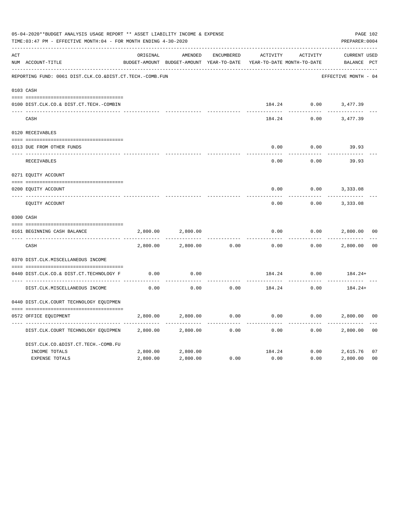|     | 05-04-2020**BUDGET ANALYSIS USAGE REPORT ** ASSET LIABILITY INCOME & EXPENSE<br>TIME:03:47 PM - EFFECTIVE MONTH:04 - FOR MONTH ENDING 4-30-2020 |          |                                                     |                   |          |                                        | PAGE 102<br>PREPARER: 0004         |                |
|-----|-------------------------------------------------------------------------------------------------------------------------------------------------|----------|-----------------------------------------------------|-------------------|----------|----------------------------------------|------------------------------------|----------------|
| ACT | NUM ACCOUNT-TITLE                                                                                                                               | ORIGINAL | AMENDED<br>BUDGET-AMOUNT BUDGET-AMOUNT YEAR-TO-DATE | <b>ENCUMBERED</b> | ACTIVITY | ACTIVITY<br>YEAR-TO-DATE MONTH-TO-DATE | <b>CURRENT USED</b><br>BALANCE PCT |                |
|     | REPORTING FUND: 0061 DIST.CLK.CO.&DIST.CT.TECH.-COMB.FUN                                                                                        |          |                                                     |                   |          |                                        | EFFECTIVE MONTH - 04               |                |
|     | 0103 CASH                                                                                                                                       |          |                                                     |                   |          |                                        |                                    |                |
|     | 0100 DIST.CLK.CO.& DIST.CT.TECH.-COMBIN                                                                                                         |          |                                                     |                   |          |                                        | 184.24 0.00 3,477.39               |                |
|     | CASH                                                                                                                                            |          |                                                     |                   | 184.24   | 0.00                                   | 3,477.39                           |                |
|     | 0120 RECEIVABLES                                                                                                                                |          |                                                     |                   |          |                                        |                                    |                |
|     | 0313 DUE FROM OTHER FUNDS                                                                                                                       |          |                                                     |                   | 0.00     | 0.00                                   | 39.93                              |                |
|     | RECEIVABLES                                                                                                                                     |          |                                                     |                   | 0.00     | 0.00                                   | 39.93                              |                |
|     | 0271 EQUITY ACCOUNT                                                                                                                             |          |                                                     |                   |          |                                        |                                    |                |
|     | 0200 EQUITY ACCOUNT                                                                                                                             |          |                                                     |                   | 0.00     | 0.00                                   | 3,333.08                           |                |
|     | ---- ------------<br>EQUITY ACCOUNT                                                                                                             |          |                                                     |                   | 0.00     | 0.00                                   | 3,333.08                           |                |
|     | 0300 CASH                                                                                                                                       |          |                                                     |                   |          |                                        |                                    |                |
|     | 0161 BEGINNING CASH BALANCE                                                                                                                     | 2,800.00 | 2,800.00                                            |                   | 0.00     | 0.00                                   | 2,800.00                           | 0 <sub>0</sub> |
|     | CASH                                                                                                                                            | 2,800.00 | 2,800.00                                            | 0.00              | 0.00     | 0.00                                   | 2,800.00                           | 0 <sup>0</sup> |
|     | 0370 DIST.CLK.MISCELLANEOUS INCOME                                                                                                              |          |                                                     |                   |          |                                        |                                    |                |
|     | 0440 DIST.CLK.CO.& DIST.CT.TECHNOLOGY F                                                                                                         | 0.00     | 0.00                                                |                   | 184.24   | 0.00                                   | $184.24+$                          |                |
|     | DIST.CLK.MISCELLANEOUS INCOME                                                                                                                   | 0.00     | -------<br>0.00                                     | 0.00              | 184.24   | 0.00                                   | 184.24+                            |                |
|     | 0440 DIST.CLK.COURT TECHNOLOGY EQUIPMEN                                                                                                         |          |                                                     |                   |          |                                        |                                    |                |
|     | 0572 OFFICE EOUIPMENT                                                                                                                           | 2,800.00 | 2,800.00                                            | 0.00              | 0.00     |                                        | 0.00<br>2,800.00                   | 0 <sub>0</sub> |
|     | DIST.CLK.COURT TECHNOLOGY EQUIPMEN                                                                                                              | 2,800.00 | 2,800.00                                            | 0.00              | 0.00     | 0.00                                   | 2,800.00                           | 0 <sub>0</sub> |
|     | DIST.CLK.CO.&DIST.CT.TECH.-COMB.FU                                                                                                              |          |                                                     |                   |          |                                        |                                    |                |
|     | INCOME TOTALS                                                                                                                                   | 2,800.00 | 2,800.00                                            |                   | 184.24   |                                        | 0.00<br>2,615.76                   | 07             |
|     | <b>EXPENSE TOTALS</b>                                                                                                                           | 2,800.00 | 2,800.00                                            | 0.00              | 0.00     | 0.00                                   | 2,800.00                           | 0 <sub>0</sub> |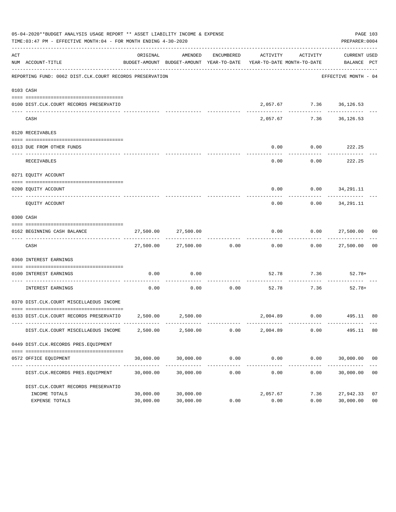|     | 05-04-2020**BUDGET ANALYSIS USAGE REPORT ** ASSET LIABILITY INCOME & EXPENSE<br>TIME: 03:47 PM - EFFECTIVE MONTH: 04 - FOR MONTH ENDING 4-30-2020 |                        |                          |                      |                                                                                 |                                     | PAGE 103<br>PREPARER: 0004          |                      |
|-----|---------------------------------------------------------------------------------------------------------------------------------------------------|------------------------|--------------------------|----------------------|---------------------------------------------------------------------------------|-------------------------------------|-------------------------------------|----------------------|
| ACT | NUM ACCOUNT-TITLE                                                                                                                                 | ORIGINAL               | AMENDED                  | ENCUMBERED           | ACTIVITY<br>BUDGET-AMOUNT BUDGET-AMOUNT YEAR-TO-DATE YEAR-TO-DATE MONTH-TO-DATE | ACTIVITY                            | CURRENT USED<br>BALANCE PCT         |                      |
|     | REPORTING FUND: 0062 DIST.CLK.COURT RECORDS PRESERVATION                                                                                          |                        |                          |                      |                                                                                 |                                     | EFFECTIVE MONTH - 04                |                      |
|     | 0103 CASH                                                                                                                                         |                        |                          |                      |                                                                                 |                                     |                                     |                      |
|     | 0100 DIST.CLK.COURT RECORDS PRESERVATIO                                                                                                           |                        |                          |                      |                                                                                 | 2,057.67 7.36 36,126.53             |                                     |                      |
|     | CASH                                                                                                                                              |                        |                          |                      | 2,057.67                                                                        |                                     | 7.36 36,126.53                      |                      |
|     | 0120 RECEIVABLES                                                                                                                                  |                        |                          |                      |                                                                                 |                                     |                                     |                      |
|     | 0313 DUE FROM OTHER FUNDS                                                                                                                         |                        |                          |                      | 0.00                                                                            | $0.00$ 222.25                       |                                     |                      |
|     | RECEIVABLES                                                                                                                                       |                        |                          |                      | 0.00                                                                            | ----------                          | -----------<br>$0.00$ 222.25        |                      |
|     | 0271 EOUITY ACCOUNT                                                                                                                               |                        |                          |                      |                                                                                 |                                     |                                     |                      |
|     | 0200 EQUITY ACCOUNT                                                                                                                               |                        |                          |                      |                                                                                 | $0.00$ $0.00$ $34,291.11$           |                                     |                      |
|     | EQUITY ACCOUNT                                                                                                                                    |                        |                          |                      | -----<br>0.00                                                                   | . <u>.</u> .                        | -------------<br>$0.00$ $34,291.11$ |                      |
|     | 0300 CASH                                                                                                                                         |                        |                          |                      |                                                                                 |                                     |                                     |                      |
|     | 0162 BEGINNING CASH BALANCE                                                                                                                       |                        | 27,500.00 27,500.00      |                      |                                                                                 |                                     | $0.00$ $0.00$ $27,500.00$ 00        |                      |
|     | CASH                                                                                                                                              |                        | 27,500.00 27,500.00 0.00 |                      | 0.00                                                                            |                                     | $0.00$ 27,500.00 00                 |                      |
|     | 0360 INTEREST EARNINGS                                                                                                                            |                        |                          |                      |                                                                                 |                                     |                                     |                      |
|     | 0100 INTEREST EARNINGS                                                                                                                            | 0.00                   | 0.00                     |                      |                                                                                 | 52.78 7.36 52.78+                   |                                     |                      |
|     | INTEREST EARNINGS                                                                                                                                 | 0.00                   | 0.00                     | -----------<br>0.00  |                                                                                 | . _ _ _ _ _ _ _ _ _ _<br>52.78 7.36 | 52.78+                              |                      |
|     | 0370 DIST.CLK.COURT MISCELLAEOUS INCOME                                                                                                           |                        |                          |                      |                                                                                 |                                     |                                     |                      |
|     | 0133 DIST.CLK.COURT RECORDS PRESERVATIO 2,500.00 2,500.00                                                                                         |                        |                          |                      |                                                                                 |                                     | 2,004.89   0.00   495.11   80       |                      |
|     | DIST.CLK.COURT MISCELLAEOUS INCOME                                                                                                                | 2,500.00               | 2,500.00                 | 0.00                 | 2,004.89                                                                        | 0.00                                | 495.11                              | 80                   |
|     | 0449 DIST.CLK.RECORDS PRES.EQUIPMENT                                                                                                              |                        |                          |                      |                                                                                 |                                     |                                     |                      |
|     | 0572 OFFICE EQUIPMENT                                                                                                                             | 30,000.00              | 30,000.00                | 0.00                 | 0.00                                                                            | 0.00                                | 30,000.00 00                        |                      |
|     | DIST.CLK.RECORDS PRES.EQUIPMENT                                                                                                                   | 30,000.00              | 30,000.00                | ------------<br>0.00 | ------------<br>0.00                                                            | ------------<br>0.00                | 30,000.00                           | 0 <sub>0</sub>       |
|     | DIST.CLK.COURT RECORDS PRESERVATIO                                                                                                                |                        |                          |                      |                                                                                 |                                     |                                     |                      |
|     | INCOME TOTALS<br>EXPENSE TOTALS                                                                                                                   | 30,000.00<br>30,000.00 | 30,000.00<br>30,000.00   | 0.00                 | 2,057.67<br>0.00                                                                | 7.36<br>0.00                        | 27,942.33<br>30,000.00              | 07<br>0 <sub>0</sub> |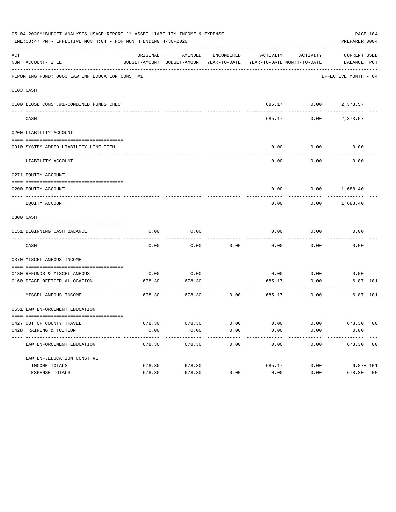|     | 05-04-2020**BUDGET ANALYSIS USAGE REPORT ** ASSET LIABILITY INCOME & EXPENSE<br>TIME:03:47 PM - EFFECTIVE MONTH:04 - FOR MONTH ENDING 4-30-2020 |          |                                                     |            |          |                                                    | PREPARER: 0004       | PAGE 104     |
|-----|-------------------------------------------------------------------------------------------------------------------------------------------------|----------|-----------------------------------------------------|------------|----------|----------------------------------------------------|----------------------|--------------|
| ACT | NUM ACCOUNT-TITLE                                                                                                                               | ORIGINAL | AMENDED<br>BUDGET-AMOUNT BUDGET-AMOUNT YEAR-TO-DATE | ENCUMBERED | ACTIVITY | ACTIVITY<br>YEAR-TO-DATE MONTH-TO-DATE BALANCE PCT | CURRENT USED         |              |
|     | REPORTING FUND: 0063 LAW ENF. EDUCATION CONST.#1                                                                                                |          |                                                     |            |          |                                                    | EFFECTIVE MONTH - 04 |              |
|     | 0103 CASH                                                                                                                                       |          |                                                     |            |          |                                                    |                      |              |
|     | 0100 LEOSE CONST.#1-COMBINED FUNDS CHEC                                                                                                         |          |                                                     |            |          | 685.17 0.00 2,373.57                               |                      |              |
|     | CASH                                                                                                                                            |          |                                                     |            | 685.17   | 0.00                                               | 2,373.57             |              |
|     | 0200 LIABILITY ACCOUNT                                                                                                                          |          |                                                     |            |          |                                                    |                      |              |
|     | 0910 SYSTEM ADDED LIABILITY LINE ITEM                                                                                                           |          |                                                     |            | 0.00     | 0.00                                               | 0.00                 |              |
|     | LIABILITY ACCOUNT                                                                                                                               |          |                                                     |            | 0.00     | 0.00                                               | 0.00                 |              |
|     | 0271 EQUITY ACCOUNT                                                                                                                             |          |                                                     |            |          |                                                    |                      |              |
|     | 0200 EQUITY ACCOUNT                                                                                                                             |          |                                                     |            |          | $0.00$ $0.00$ $1,688.40$                           |                      |              |
|     | EQUITY ACCOUNT                                                                                                                                  |          |                                                     |            | 0.00     |                                                    | $0.00$ 1,688.40      |              |
|     | 0300 CASH                                                                                                                                       |          |                                                     |            |          |                                                    |                      |              |
|     | 0151 BEGINNING CASH BALANCE                                                                                                                     | 0.00     | 0.00                                                |            | 0.00     | 0.00                                               | 0.00                 |              |
|     |                                                                                                                                                 |          |                                                     |            |          | -------                                            |                      |              |
|     | CASH                                                                                                                                            | 0.00     | 0.00                                                | 0.00       | 0.00     | 0.00                                               | 0.00                 |              |
|     | 0370 MISCELLANEOUS INCOME                                                                                                                       |          |                                                     |            |          |                                                    |                      |              |
|     | 0130 REFUNDS & MISCELLANEOUS                                                                                                                    | 0.00     | 0.00                                                |            | 0.00     | 0.00                                               | 0.00                 |              |
|     | 0160 PEACE OFFICER ALLOCATION<br>------------------------------ ---                                                                             | 678.30   | 678.30                                              |            | 685.17   | 0.00<br>------------                               |                      | $6.87 + 101$ |
|     | MISCELLANEOUS INCOME                                                                                                                            | 678.30   | 678.30                                              | 0.00       |          | 685.17<br>0.00                                     |                      | $6.87 + 101$ |
|     | 0551 LAW ENFORCEMENT EDUCATION                                                                                                                  |          |                                                     |            |          |                                                    |                      |              |
|     | 0427 OUT OF COUNTY TRAVEL                                                                                                                       | 678.30   | 678.30                                              | 0.00       | 0.00     | 0.00                                               | 678.30 00            |              |
|     | 0428 TRAINING & TUITION                                                                                                                         | 0.00     | 0.00                                                | 0.00       | 0.00     | 0.00                                               | 0.00                 |              |
|     | ---------------------------<br>LAW ENFORCEMENT EDUCATION                                                                                        | 678.30   | 678.30                                              | 0.00       | 0.00     | 0.00                                               | 678.30 00            |              |
|     | LAW ENF. EDUCATION CONST. #1                                                                                                                    |          |                                                     |            |          |                                                    |                      |              |
|     | INCOME TOTALS                                                                                                                                   | 678.30   | 678.30                                              |            | 685.17   | 0.00                                               |                      | $6.87 + 101$ |
|     | EXPENSE TOTALS                                                                                                                                  | 678.30   | 678.30                                              | 0.00       | 0.00     | 0.00                                               | 678.30 00            |              |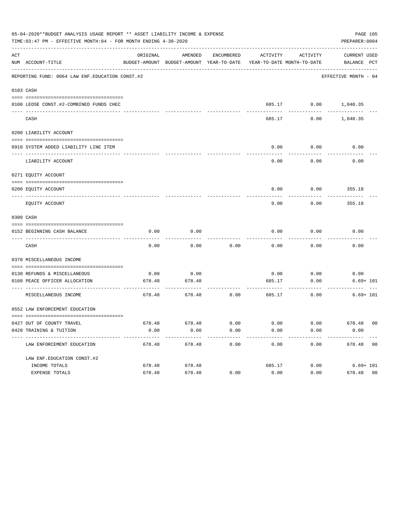| 05-04-2020**BUDGET ANALYSIS USAGE REPORT ** ASSET LIABILITY INCOME & EXPENSE<br>PAGE 105<br>TIME:03:47 PM - EFFECTIVE MONTH:04 - FOR MONTH ENDING 4-30-2020<br>PREPARER: 0004 |                                                              |          |                                                     |            |                             |                                                    |                      |  |
|-------------------------------------------------------------------------------------------------------------------------------------------------------------------------------|--------------------------------------------------------------|----------|-----------------------------------------------------|------------|-----------------------------|----------------------------------------------------|----------------------|--|
| ACT                                                                                                                                                                           | NUM ACCOUNT-TITLE                                            | ORIGINAL | AMENDED<br>BUDGET-AMOUNT BUDGET-AMOUNT YEAR-TO-DATE | ENCUMBERED | ACTIVITY                    | ACTIVITY<br>YEAR-TO-DATE MONTH-TO-DATE BALANCE PCT | CURRENT USED         |  |
|                                                                                                                                                                               | REPORTING FUND: 0064 LAW ENF. EDUCATION CONST. #2            |          |                                                     |            |                             |                                                    | EFFECTIVE MONTH - 04 |  |
|                                                                                                                                                                               | 0103 CASH                                                    |          |                                                     |            |                             |                                                    |                      |  |
|                                                                                                                                                                               | 0100 LEOSE CONST.#2-COMBINED FUNDS CHEC                      |          |                                                     |            |                             | 685.17 0.00 1,040.35                               |                      |  |
|                                                                                                                                                                               | CASH                                                         |          |                                                     |            | 685.17                      | 0.00                                               | 1,040.35             |  |
|                                                                                                                                                                               | 0200 LIABILITY ACCOUNT                                       |          |                                                     |            |                             |                                                    |                      |  |
|                                                                                                                                                                               | 0910 SYSTEM ADDED LIABILITY LINE ITEM                        |          |                                                     |            | 0.00                        | 0.00                                               | 0.00                 |  |
|                                                                                                                                                                               | LIABILITY ACCOUNT                                            |          |                                                     |            | 0.00                        | 0.00                                               | 0.00                 |  |
|                                                                                                                                                                               | 0271 EQUITY ACCOUNT                                          |          |                                                     |            |                             |                                                    |                      |  |
|                                                                                                                                                                               | 0200 EQUITY ACCOUNT                                          |          |                                                     |            |                             | $0.00$ $0.00$ $355.18$                             |                      |  |
|                                                                                                                                                                               | EQUITY ACCOUNT                                               |          |                                                     |            | 0.00                        | 0.00                                               | 355.18               |  |
|                                                                                                                                                                               | 0300 CASH                                                    |          |                                                     |            |                             |                                                    |                      |  |
|                                                                                                                                                                               | 0152 BEGINNING CASH BALANCE                                  | 0.00     | 0.00                                                |            | 0.00                        | 0.00                                               | 0.00                 |  |
|                                                                                                                                                                               | CASH                                                         | 0.00     | 0.00                                                | 0.00       | 0.00                        | -------<br>0.00                                    | 0.00                 |  |
|                                                                                                                                                                               | 0370 MISCELLANEOUS INCOME                                    |          |                                                     |            |                             |                                                    |                      |  |
|                                                                                                                                                                               | 0130 REFUNDS & MISCELLANEOUS                                 | 0.00     | 0.00                                                |            | 0.00                        | 0.00                                               | 0.00                 |  |
|                                                                                                                                                                               | 0160 PEACE OFFICER ALLOCATION                                | 678.48   | 678.48                                              |            | 685.17                      | 0.00                                               | $6.69 + 101$         |  |
|                                                                                                                                                                               | MISCELLANEOUS INCOME                                         | 678.48   | 678.48                                              | 0.00       | ------------- ------------- | ------------<br>685.17<br>0.00                     | $6.69 + 101$         |  |
|                                                                                                                                                                               | 0552 LAW ENFORCEMENT EDUCATION                               |          |                                                     |            |                             |                                                    |                      |  |
|                                                                                                                                                                               | 0427 OUT OF COUNTY TRAVEL                                    |          | 678.48 678.48                                       | 0.00       | 0.00                        | 0.00                                               | 678.48 00            |  |
|                                                                                                                                                                               | 0428 TRAINING & TUITION                                      | 0.00     | 0.00                                                | 0.00       | 0.00                        | 0.00                                               | 0.00                 |  |
|                                                                                                                                                                               | -------------------------------<br>LAW ENFORCEMENT EDUCATION | 678.48   | 678.48                                              | 0.00       | 0.00                        | 0.00                                               | 678.48 00            |  |
|                                                                                                                                                                               | LAW ENF. EDUCATION CONST. #2                                 |          |                                                     |            |                             |                                                    |                      |  |
|                                                                                                                                                                               | INCOME TOTALS                                                | 678.48   | 678.48                                              |            | 685.17                      | 0.00                                               | $6.69 + 101$         |  |
|                                                                                                                                                                               | EXPENSE TOTALS                                               | 678.48   | 678.48                                              | 0.00       | 0.00                        | 0.00                                               | 678.48 00            |  |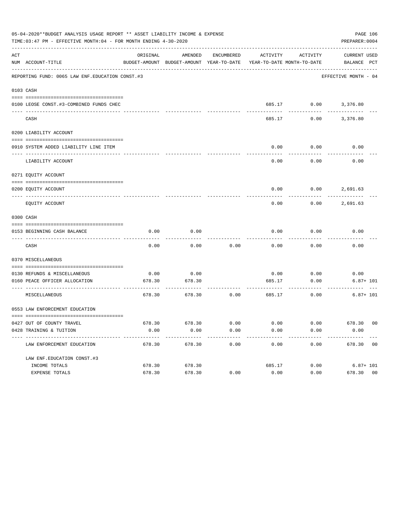| 05-04-2020**BUDGET ANALYSIS USAGE REPORT ** ASSET LIABILITY INCOME & EXPENSE<br>PAGE 106<br>TIME: 03:47 PM - EFFECTIVE MONTH: 04 - FOR MONTH ENDING 4-30-2020<br>PREPARER: 0004 |                                                  |          |                                                     |                      |                                        |                          |                             |
|---------------------------------------------------------------------------------------------------------------------------------------------------------------------------------|--------------------------------------------------|----------|-----------------------------------------------------|----------------------|----------------------------------------|--------------------------|-----------------------------|
| ACT                                                                                                                                                                             | NUM ACCOUNT-TITLE                                | ORIGINAL | AMENDED<br>BUDGET-AMOUNT BUDGET-AMOUNT YEAR-TO-DATE | ENCUMBERED           | ACTIVITY<br>YEAR-TO-DATE MONTH-TO-DATE | ACTIVITY                 | CURRENT USED<br>BALANCE PCT |
|                                                                                                                                                                                 | REPORTING FUND: 0065 LAW ENF. EDUCATION CONST.#3 |          |                                                     |                      |                                        |                          | EFFECTIVE MONTH - 04        |
|                                                                                                                                                                                 | 0103 CASH                                        |          |                                                     |                      |                                        |                          |                             |
|                                                                                                                                                                                 | 0100 LEOSE CONST.#3-COMBINED FUNDS CHEC          |          |                                                     |                      |                                        | 685.17 0.00 3,376.80     |                             |
|                                                                                                                                                                                 | CASH                                             |          |                                                     |                      | 685.17                                 | 0.00                     | 3,376.80                    |
|                                                                                                                                                                                 | 0200 LIABILITY ACCOUNT                           |          |                                                     |                      |                                        |                          |                             |
|                                                                                                                                                                                 | 0910 SYSTEM ADDED LIABILITY LINE ITEM            |          |                                                     |                      | 0.00                                   | 0.00<br>--------         | 0.00                        |
|                                                                                                                                                                                 | LIABILITY ACCOUNT                                |          |                                                     |                      | 0.00                                   | 0.00                     | 0.00                        |
|                                                                                                                                                                                 | 0271 EQUITY ACCOUNT                              |          |                                                     |                      |                                        |                          |                             |
|                                                                                                                                                                                 | 0200 EQUITY ACCOUNT                              |          |                                                     |                      |                                        | $0.00$ $0.00$ $2,691.63$ |                             |
|                                                                                                                                                                                 | EQUITY ACCOUNT                                   |          |                                                     |                      | 0.00                                   |                          | $0.00$ 2,691.63             |
|                                                                                                                                                                                 | 0300 CASH                                        |          |                                                     |                      |                                        |                          |                             |
|                                                                                                                                                                                 | 0153 BEGINNING CASH BALANCE                      | 0.00     | 0.00                                                |                      | 0.00                                   | 0.00                     | 0.00                        |
|                                                                                                                                                                                 | CASH                                             | 0.00     | 0.00                                                | 0.00                 | 0.00                                   | 0.00                     | 0.00                        |
|                                                                                                                                                                                 | 0370 MISCELLANEOUS                               |          |                                                     |                      |                                        |                          |                             |
|                                                                                                                                                                                 | 0130 REFUNDS & MISCELLANEOUS                     | 0.00     | 0.00                                                |                      | 0.00                                   | 0.00                     | 0.00                        |
|                                                                                                                                                                                 | 0160 PEACE OFFICER ALLOCATION                    | 678.30   | 678.30                                              |                      | 685.17                                 | 0.00<br>---------        | $6.87 + 101$                |
|                                                                                                                                                                                 | MISCELLANEOUS                                    | 678.30   | 678.30                                              | 0.00                 | 685.17                                 | 0.00                     | $6.87 + 101$                |
|                                                                                                                                                                                 | 0553 LAW ENFORCEMENT EDUCATION                   |          |                                                     |                      |                                        |                          |                             |
|                                                                                                                                                                                 | 0427 OUT OF COUNTY TRAVEL                        |          | 678.30 678.30                                       | 0.00                 | 0.00                                   |                          | $0.00$ 678.30 00            |
|                                                                                                                                                                                 | 0428 TRAINING & TUITION                          | 0.00     | 0.00<br>-------------                               | 0.00<br>------------ | 0.00<br>-------------                  | 0.00<br>------------     | 0.00<br>-------------       |
|                                                                                                                                                                                 | LAW ENFORCEMENT EDUCATION                        | 678.30   | 678.30                                              | 0.00                 | 0.00                                   | 0.00                     | 678.30 00                   |
|                                                                                                                                                                                 | LAW ENF. EDUCATION CONST. #3                     |          |                                                     |                      |                                        |                          |                             |
|                                                                                                                                                                                 | INCOME TOTALS                                    | 678.30   | 678.30                                              |                      | 685.17                                 |                          | $0.00$ 6.87+ 101            |
|                                                                                                                                                                                 | EXPENSE TOTALS                                   | 678.30   | 678.30                                              | 0.00                 | 0.00                                   | 0.00                     | 678.30 00                   |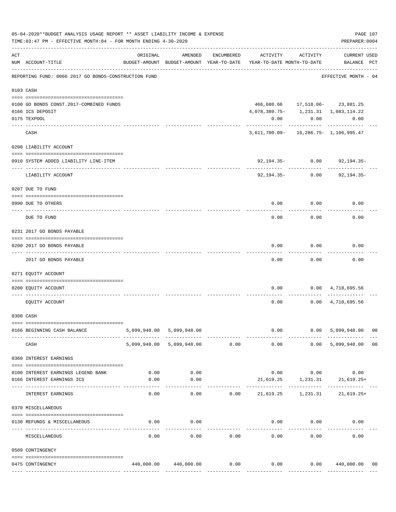|     | TIME: 03:47 PM - EFFECTIVE MONTH: 04 - FOR MONTH ENDING 4-30-2020 |          |                                                     |            |                                              |                 | PREPARER: 0004                     |                |
|-----|-------------------------------------------------------------------|----------|-----------------------------------------------------|------------|----------------------------------------------|-----------------|------------------------------------|----------------|
| ACT | NUM ACCOUNT-TITLE                                                 | ORIGINAL | AMENDED<br>BUDGET-AMOUNT BUDGET-AMOUNT YEAR-TO-DATE | ENCUMBERED | ACTIVITY<br>YEAR-TO-DATE MONTH-TO-DATE       | ACTIVITY        | <b>CURRENT USED</b><br>BALANCE PCT |                |
|     | REPORTING FUND: 0066 2017 GO BONDS-CONSTRUCTION FUND              |          |                                                     |            |                                              |                 | EFFECTIVE MONTH - 04               |                |
|     | 0103 CASH                                                         |          |                                                     |            |                                              |                 |                                    |                |
|     |                                                                   |          |                                                     |            |                                              |                 |                                    |                |
|     | 0100 GO BONDS CONST. 2017-COMBINED FUNDS                          |          |                                                     |            |                                              |                 | 466,680.66 17,518.06- 23,881.25    |                |
|     | 0166 ICS DEPOSIT                                                  |          |                                                     |            | 4, 078, 380. 75 - 1, 231. 31 1, 083, 114. 22 |                 |                                    |                |
|     | 0175 TEXPOOL                                                      |          |                                                     |            | 0.00                                         | -----------     | 0.00<br>0.00<br>-----------        |                |
|     | CASH                                                              |          |                                                     |            | 3,611,700.09- 16,286.75- 1,106,995.47        |                 |                                    |                |
|     | 0200 LIABILITY ACCOUNT                                            |          |                                                     |            |                                              |                 |                                    |                |
|     | 0910 SYSTEM ADDED LIABILITY LINE-ITEM<br>------------             |          |                                                     |            |                                              | 92,194.35- 0.00 | 92,194.35-                         |                |
|     | LIABILITY ACCOUNT                                                 |          |                                                     |            | 92,194.35-                                   | 0.00            | $92, 194.35 -$                     |                |
|     | 0207 DUE TO FUND                                                  |          |                                                     |            |                                              |                 |                                    |                |
|     | 0990 DUE TO OTHERS<br>---------------------- -------              |          |                                                     |            | 0.00                                         | 0.00            | 0.00                               |                |
|     | DUE TO FUND                                                       |          |                                                     |            | 0.00                                         | 0.00            | 0.00                               |                |
|     | 0231 2017 GO BONDS PAYABLE                                        |          |                                                     |            |                                              |                 |                                    |                |
|     | 0200 2017 GO BONDS PAYABLE<br>---- ----------------               |          |                                                     |            | 0.00                                         | 0.00            | 0.00                               |                |
|     | 2017 GO BONDS PAYABLE                                             |          |                                                     |            | 0.00                                         | 0.00            | 0.00                               |                |
|     | 0271 EQUITY ACCOUNT                                               |          |                                                     |            |                                              |                 |                                    |                |
|     | 0200 EQUITY ACCOUNT                                               |          |                                                     |            | 0.00                                         |                 | $0.00 \qquad 4,718,695.56$         |                |
|     | EQUITY ACCOUNT                                                    |          |                                                     |            | 0.00                                         |                 | $0.00 \quad 4,718,695.56$          |                |
|     | 0300 CASH                                                         |          |                                                     |            |                                              |                 |                                    |                |
|     | 0166 BEGINNING CASH BALANCE                                       |          | 5,099,948.00 5,099,948.00                           |            |                                              | $0.00$ 0.00     | 5,099,948.00 00                    |                |
|     | CASH                                                              |          | 5,099,948.00 5,099,948.00 0.00                      |            | 0.00                                         |                 | 0.00 5,099,948.00                  | 0 <sub>0</sub> |
|     | 0360 INTEREST EARNINGS                                            |          |                                                     |            |                                              |                 |                                    |                |
|     | 0100 INTEREST EARNINGS LEGEND BANK                                |          | $0.00$ 0.00                                         |            |                                              |                 | $0.00$ $0.00$ $0.00$               |                |
|     | 0166 INTEREST EARNINGS ICS                                        | 0.00     | 0.00                                                |            |                                              |                 | 21,619.25 1,231.31 21,619.25+      |                |
|     | INTEREST EARNINGS                                                 | 0.00     | 0.00                                                |            | $0.00$ 21,619.25 1,231.31 21,619.25+         |                 |                                    |                |
|     | 0370 MISCELLANEOUS                                                |          |                                                     |            |                                              |                 |                                    |                |
|     | 0130 REFUNDS & MISCELLANEOUS                                      | 0.00     | 0.00                                                |            |                                              | $0.00$ $0.00$   | 0.00                               |                |
|     | MISCELLANEOUS                                                     | 0.00     | 0.00                                                | 0.00       | 0.00                                         | 0.00            | 0.00                               |                |
|     | 0509 CONTINGENCY                                                  |          |                                                     |            |                                              |                 |                                    |                |
|     |                                                                   |          |                                                     |            |                                              |                 |                                    |                |
|     | 0475 CONTINGENCY                                                  |          | 440,000.00 440,000.00                               | 0.00       | 0.00                                         |                 | $0.00$ $440,000.00$ 00             |                |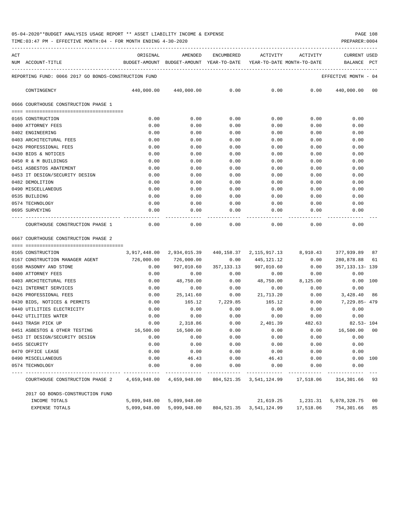TIME:03:47 PM - EFFECTIVE MONTH:04 - FOR MONTH ENDING 4-30-2020

| ACT |                                                                                          | ORIGINAL | AMENDED                    | ENCUMBERED | ACTIVITY             | <b>ACTIVITY</b> | CURRENT USED         |  |
|-----|------------------------------------------------------------------------------------------|----------|----------------------------|------------|----------------------|-----------------|----------------------|--|
|     | NUM ACCOUNT-TITLE<br>BUDGET-AMOUNT BUDGET-AMOUNT YEAR-TO-DATE YEAR-TO-DATE MONTH-TO-DATE |          |                            |            |                      |                 | BALANCE PCT          |  |
|     | REPORTING FUND: 0066 2017 GO BONDS-CONSTRUCTION FUND                                     |          |                            |            |                      |                 | EFFECTIVE MONTH - 04 |  |
|     | CONTINGENCY                                                                              |          | 440,000.00 440,000.00 0.00 |            |                      | $0.00$ 0.00     | 440,000.00 00        |  |
|     | 0666 COURTHOUSE CONSTRUCTION PHASE 1                                                     |          |                            |            |                      |                 |                      |  |
|     | ___________________________________                                                      |          |                            |            |                      |                 |                      |  |
|     | 0165 CONSTRUCTION                                                                        | 0.00     | 0.00                       | 0.00       | 0.00                 | 0.00            | 0.00                 |  |
|     | 0400 ATTORNEY FEES                                                                       | 0.00     | 0.00                       | 0.00       | 0.00                 | 0.00            | 0.00                 |  |
|     | 0402 ENGINEERING                                                                         | 0.00     | 0.00                       | 0.00       | 0.00                 | 0.00            | 0.00                 |  |
|     | 0403 ARCHITECTURAL FEES                                                                  | 0.00     | 0.00                       | 0.00       | 0.00                 | 0.00            | 0.00                 |  |
|     | 0426 PROFESSIONAL FEES                                                                   | 0.00     | 0.00                       | 0.00       | 0.00                 | 0.00            | 0.00                 |  |
|     | 0430 BIDS & NOTICES                                                                      | 0.00     | 0.00                       | 0.00       | 0.00                 | 0.00            | 0.00                 |  |
|     | 0450 R & M BUILDINGS                                                                     | 0.00     | 0.00                       | 0.00       | 0.00                 | 0.00            | 0.00                 |  |
|     | 0451 ASBESTOS ABATEMENT                                                                  | 0.00     | 0.00                       | 0.00       | 0.00                 | 0.00            | 0.00                 |  |
|     | 0453 IT DESIGN/SECURITY DESIGN                                                           | 0.00     | 0.00                       | 0.00       | 0.00                 | 0.00            | 0.00                 |  |
|     | 0482 DEMOLITION                                                                          | 0.00     | 0.00                       | 0.00       | 0.00                 | 0.00            | 0.00                 |  |
|     | 0490 MISCELLANEOUS                                                                       | 0.00     | 0.00                       | 0.00       | 0.00                 | 0.00            | 0.00                 |  |
|     | 0535 BUILDING                                                                            | 0.00     | 0.00                       | 0.00       | 0.00                 | 0.00            | 0.00                 |  |
|     | 0574 TECHNOLOGY                                                                          | 0.00     | 0.00                       | 0.00       | 0.00                 | 0.00            | 0.00                 |  |
|     | 0695 SURVEYING                                                                           | 0.00     | 0.00                       | 0.00       | 0.00                 | 0.00            | 0.00                 |  |
|     | COURTHOUSE CONSTRUCTION PHASE 1                                                          | 0.00     | 0.00                       | 0.00       | ------------<br>0.00 | 0.00            | 0.00                 |  |

0667 COURTHOUSE CONSTRUCTION PHASE 2

| 0165 CONSTRUCTION                                                                                         |              | $3,917,448.00$ $2,934,015.39$ $440,158.37$ $2,115,917.13$ $8,910.43$ |                       |                                                              |                 | 377,939.89 87             |  |
|-----------------------------------------------------------------------------------------------------------|--------------|----------------------------------------------------------------------|-----------------------|--------------------------------------------------------------|-----------------|---------------------------|--|
| 0167 CONSTRUCTION MANAGER AGENT 726,000.00                                                                |              | 726,000.00 0.00                                                      |                       | 445, 121, 12 0.00                                            |                 | 280,878.88 61             |  |
| 0168 MASONRY AND STONE                                                                                    | 0.00         |                                                                      | 907,010.60 357,133.13 |                                                              | 907,010.60 0.00 | 357, 133. 13- 139         |  |
| 0400 ATTORNEY FEES                                                                                        | 0.00         |                                                                      |                       | $0.00$ $0.00$ $0.00$ $0.00$ $0.00$ $0.00$ $0.00$             |                 |                           |  |
| 0403 ARCHITECTURAL FEES                                                                                   | 0.00         |                                                                      |                       | $48,750.00$ $0.00$ $48,750.00$ $8,125.00$ $0.00$ $100$       |                 |                           |  |
| 0421 INTERNET SERVICES                                                                                    | 0.00         | 0.00                                                                 | 0.00                  | 0.00                                                         |                 | 0.00<br>0.00              |  |
| 0426 PROFESSIONAL FEES                                                                                    | 0.00         |                                                                      | 25,141.60 0.00        |                                                              | 21,713.20 0.00  | 3,428.40 86               |  |
| 0430 BIDS, NOTICES & PERMITS                                                                              | 0.00         | 165.12                                                               |                       | 7,229.85 165.12                                              | 0.00            | 7,229.85- 479             |  |
| 0440 UTILITIES ELECTRICITY                                                                                | 0.00         | 0.00                                                                 | 0.00                  | 0.00                                                         |                 | $0.00$ 0.00               |  |
| 0442 UTILITIES WATER                                                                                      | 0.00         | 0.00                                                                 | 0.00                  | $0.00$ 0.00                                                  |                 | 0.00                      |  |
| 0443 TRASH PICK UP                                                                                        | 0.00         | 2,318.86                                                             |                       | $0.00$ 2,401.39                                              |                 | 482.63 82.53-104          |  |
| 0451 ASBESTOS & OTHER TESTING                                                                             |              | 16,500.00    16,500.00                                               | 0.00                  | $0.00$ $0.00$ $16,500.00$ $00$                               |                 |                           |  |
| 0453 IT DESIGN/SECURITY DESIGN                                                                            | 0.00         | 0.00                                                                 | 0.00                  | 0.00                                                         |                 | 0.00<br>$0.00$ and $0.00$ |  |
| 0455 SECURITY                                                                                             | 0.00         | 0.00                                                                 | 0.00                  | 0.00                                                         | 0.00            | 0.00                      |  |
| 0470 OFFICE LEASE                                                                                         | 0.00         | 0.00                                                                 | 0.00                  | 0.00                                                         | 0.00            | 0.00                      |  |
| 0490 MISCELLANEOUS                                                                                        | 0.00         | 46.43                                                                | 0.00                  | 46.43 0.00                                                   |                 | $0.00$ 100                |  |
| 0574 TECHNOLOGY                                                                                           | 0.00         | 0.00                                                                 |                       | $0.00$ $0.00$ $0.00$ $0.00$                                  |                 | 0.00                      |  |
|                                                                                                           |              |                                                                      |                       |                                                              |                 |                           |  |
| COURTHOUSE CONSTRUCTION PHASE 2 4,659,948.00 4,659,948.00 804,521.35 3,541,124.99 17,518.06 314,301.66 93 |              |                                                                      |                       |                                                              |                 |                           |  |
| 2017 GO BONDS-CONSTRUCTION FUND                                                                           |              |                                                                      |                       |                                                              |                 |                           |  |
| INCOME TOTALS                                                                                             | 5,099,948.00 |                                                                      |                       | 5,099,948.00 21,619.25 1,231.31 5,078,328.75 00              |                 |                           |  |
| <b>EXPENSE TOTALS</b>                                                                                     | 5,099,948.00 |                                                                      |                       | 5,099,948.00 804,521.35 3,541,124.99 17,518.06 754,301.66 85 |                 |                           |  |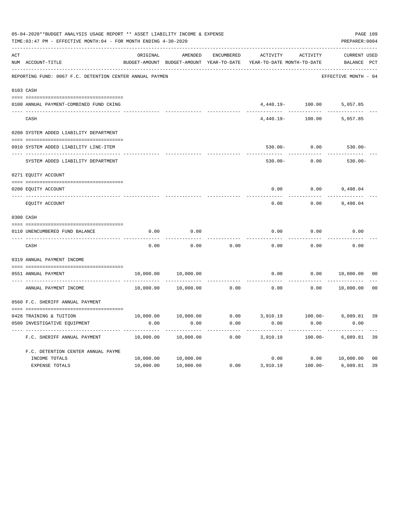|           | 05-04-2020**BUDGET ANALYSIS USAGE REPORT ** ASSET LIABILITY INCOME & EXPENSE<br>TIME: 03:47 PM - EFFECTIVE MONTH: 04 - FOR MONTH ENDING 4-30-2020 |           |                                                     |            |                                                           |                     |                             |                |  |  |  |
|-----------|---------------------------------------------------------------------------------------------------------------------------------------------------|-----------|-----------------------------------------------------|------------|-----------------------------------------------------------|---------------------|-----------------------------|----------------|--|--|--|
| ACT       | NUM ACCOUNT-TITLE                                                                                                                                 | ORIGINAL  | AMENDED<br>BUDGET-AMOUNT BUDGET-AMOUNT YEAR-TO-DATE | ENCUMBERED | ACTIVITY<br>YEAR-TO-DATE MONTH-TO-DATE                    | ACTIVITY            | CURRENT USED<br>BALANCE PCT |                |  |  |  |
|           | REPORTING FUND: 0067 F.C. DETENTION CENTER ANNUAL PAYMEN                                                                                          |           |                                                     |            |                                                           |                     | EFFECTIVE MONTH - 04        |                |  |  |  |
| 0103 CASH |                                                                                                                                                   |           |                                                     |            |                                                           |                     |                             |                |  |  |  |
|           | 0100 ANNUAL PAYMENT-COMBINED FUND CKING                                                                                                           |           |                                                     |            |                                                           | $4,440.19 - 100.00$ | 5,057.85                    |                |  |  |  |
|           | CASH                                                                                                                                              |           |                                                     |            | 4,440.19-                                                 | 100.00              | 5,057.85                    |                |  |  |  |
|           | 0200 SYSTEM ADDED LIABILITY DEPARTMENT                                                                                                            |           |                                                     |            |                                                           |                     |                             |                |  |  |  |
|           | 0910 SYSTEM ADDED LIABILITY LINE-ITEM                                                                                                             |           |                                                     |            |                                                           | $530.00 - 0.00$     | $530.00 -$                  |                |  |  |  |
|           | SYSTEM ADDED LIABILITY DEPARTMENT                                                                                                                 |           |                                                     |            | $530.00 -$                                                | ---------<br>0.00   | $530.00 -$                  |                |  |  |  |
|           | 0271 EQUITY ACCOUNT                                                                                                                               |           |                                                     |            |                                                           |                     |                             |                |  |  |  |
|           | 0200 EQUITY ACCOUNT                                                                                                                               |           |                                                     |            | 0.00                                                      | $0.00$ 9,498.04     |                             |                |  |  |  |
|           | EQUITY ACCOUNT                                                                                                                                    |           |                                                     |            | 0.00                                                      | 0.00                | 9,498.04                    |                |  |  |  |
|           | 0300 CASH                                                                                                                                         |           |                                                     |            |                                                           |                     |                             |                |  |  |  |
|           | 0110 UNENCUMBERED FUND BALANCE                                                                                                                    | 0.00      | 0.00                                                |            | 0.00                                                      | 0.00                | 0.00                        |                |  |  |  |
|           | CASH                                                                                                                                              | 0.00      | 0.00                                                | 0.00       | 0.00                                                      | 0.00                | 0.00                        |                |  |  |  |
|           | 0319 ANNUAL PAYMENT INCOME                                                                                                                        |           |                                                     |            |                                                           |                     |                             |                |  |  |  |
|           | 0551 ANNUAL PAYMENT                                                                                                                               | 10,000.00 | 10,000.00                                           |            | 0.00                                                      | 0.00                | 10,000.00                   | 00             |  |  |  |
|           | ---------------<br>ANNUAL PAYMENT INCOME                                                                                                          | 10,000.00 | 10,000.00                                           | 0.00       | 0.00                                                      | 0.00                | 10,000.00                   | 0 <sub>0</sub> |  |  |  |
|           | 0560 F.C. SHERIFF ANNUAL PAYMENT                                                                                                                  |           |                                                     |            |                                                           |                     |                             |                |  |  |  |
|           |                                                                                                                                                   |           |                                                     |            | $10,000.00$ $10,000.00$ 0.00 3,910.19 100.00- 6,089.81 39 |                     |                             |                |  |  |  |
|           | 0428 TRAINING & TUITION<br>0580 INVESTIGATIVE EQUIPMENT                                                                                           | 0.00      | 0.00                                                | 0.00       | 0.00                                                      | 0.00                | 0.00                        |                |  |  |  |
|           | F.C. SHERIFF ANNUAL PAYMENT                                                                                                                       | 10,000.00 | 10,000.00                                           | 0.00       | 3,910.19                                                  | $100.00 -$          | 6,089.81                    | 39             |  |  |  |
|           | F.C. DETENTION CENTER ANNUAL PAYME                                                                                                                |           |                                                     |            |                                                           |                     |                             |                |  |  |  |
|           | INCOME TOTALS                                                                                                                                     | 10,000.00 | 10,000.00                                           |            | 0.00                                                      | 0.00                | 10,000.00                   | 0 <sub>0</sub> |  |  |  |
|           | EXPENSE TOTALS                                                                                                                                    | 10,000.00 | 10,000.00                                           | 0.00       | 3,910.19                                                  | $100.00 -$          | 6,089.81                    | 39             |  |  |  |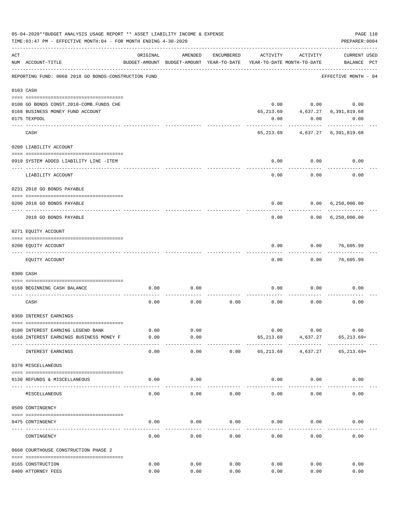|     | 05-04-2020**BUDGET ANALYSIS USAGE REPORT ** ASSET LIABILITY INCOME & EXPENSE<br>TIME: 03:47 PM - EFFECTIVE MONTH: 04 - FOR MONTH ENDING 4-30-2020 |               |                                                     |            |           |                                        | PREPARER: 0004                      | PAGE 110 |
|-----|---------------------------------------------------------------------------------------------------------------------------------------------------|---------------|-----------------------------------------------------|------------|-----------|----------------------------------------|-------------------------------------|----------|
| ACT | NUM ACCOUNT-TITLE                                                                                                                                 | ORIGINAL      | AMENDED<br>BUDGET-AMOUNT BUDGET-AMOUNT YEAR-TO-DATE | ENCUMBERED | ACTIVITY  | ACTIVITY<br>YEAR-TO-DATE MONTH-TO-DATE | <b>CURRENT USED</b><br>BALANCE PCT  |          |
|     | REPORTING FUND: 0068 2018 GO BONDS-CONSTRUCTION FUND                                                                                              |               |                                                     |            |           |                                        | EFFECTIVE MONTH - 04                |          |
|     | 0103 CASH                                                                                                                                         |               |                                                     |            |           |                                        |                                     |          |
|     |                                                                                                                                                   |               |                                                     |            |           |                                        |                                     |          |
|     | 0100 GO BONDS CONST.2018-COMB.FUNDS CHE                                                                                                           |               |                                                     |            | 0.00      |                                        | 0.00<br>0.00                        |          |
|     | 0168 BUSINESS MONEY FUND ACCOUNT                                                                                                                  |               |                                                     |            | 65,213.69 |                                        | 4,637.27 6,391,819.68               |          |
|     | 0175 TEXPOOL                                                                                                                                      |               |                                                     |            | 0.00      | 0.00                                   | 0.00                                |          |
|     | CASH                                                                                                                                              |               |                                                     |            |           |                                        | 65, 213.69 4, 637.27 6, 391, 819.68 |          |
|     | 0200 LIABILITY ACCOUNT                                                                                                                            |               |                                                     |            |           |                                        |                                     |          |
|     |                                                                                                                                                   |               |                                                     |            |           |                                        |                                     |          |
|     | 0910 SYSTEM ADDED LIABILITY LINE -ITEM                                                                                                            |               |                                                     |            | 0.00      | 0.00                                   | 0.00                                |          |
|     | LIABILITY ACCOUNT                                                                                                                                 |               |                                                     |            | 0.00      | 0.00                                   | 0.00                                |          |
|     | 0231 2018 GO BONDS PAYABLE                                                                                                                        |               |                                                     |            |           |                                        |                                     |          |
|     | 0200 2018 GO BONDS PAYABLE                                                                                                                        |               |                                                     |            | 0.00      |                                        | 0.00 6,250,000.00                   |          |
|     | 2018 GO BONDS PAYABLE                                                                                                                             |               |                                                     |            | 0.00      | . <u>.</u>                             | 0.00 6,250,000.00                   |          |
|     | 0271 EQUITY ACCOUNT                                                                                                                               |               |                                                     |            |           |                                        |                                     |          |
|     |                                                                                                                                                   |               |                                                     |            |           |                                        |                                     |          |
|     | 0200 EQUITY ACCOUNT<br>------------------- -------                                                                                                |               |                                                     |            | 0.00      |                                        | $0.00$ 76,605.99                    |          |
|     | EQUITY ACCOUNT                                                                                                                                    |               |                                                     |            | 0.00      | 0.00                                   | 76,605.99                           |          |
|     | 0300 CASH                                                                                                                                         |               |                                                     |            |           |                                        |                                     |          |
|     |                                                                                                                                                   |               |                                                     |            |           |                                        |                                     |          |
|     | 0168 BEGINNING CASH BALANCE                                                                                                                       | 0.00          | 0.00                                                |            | 0.00      | 0.00                                   | 0.00                                |          |
|     | CASH                                                                                                                                              | 0.00          | 0.00                                                | 0.00       | 0.00      | 0.00                                   | 0.00                                |          |
|     | 0360 INTEREST EARNINGS                                                                                                                            |               |                                                     |            |           |                                        |                                     |          |
|     |                                                                                                                                                   |               |                                                     |            |           |                                        |                                     |          |
|     | 0100 INTEREST EARNING LEGEND BANK                                                                                                                 | 0.00          | 0.00                                                |            | 0.00      | 0.00                                   | 0.00                                |          |
|     | 0168 INTEREST EARNINGS BUSINESS MONEY F                                                                                                           | 0.00<br>----- | 0.00<br>-----                                       |            | 65,213.69 | 4,637.27<br>----------                 | $65, 213.69+$                       |          |
|     | INTEREST EARNINGS                                                                                                                                 | 0.00          | 0.00                                                | 0.00       | 65,213.69 | 4,637.27                               | $65, 213.69+$                       |          |
|     | 0370 MISCELLANEOUS                                                                                                                                |               |                                                     |            |           |                                        |                                     |          |
|     | 0130 REFUNDS & MISCELLANEOUS                                                                                                                      | 0.00          | 0.00                                                |            | 0.00      | 0.00                                   | 0.00                                |          |
|     | MISCELLANEOUS                                                                                                                                     | 0.00          | 0.00                                                | 0.00       | 0.00      | 0.00                                   | 0.00                                |          |
|     | 0509 CONTINGENCY                                                                                                                                  |               |                                                     |            |           |                                        |                                     |          |
|     |                                                                                                                                                   |               |                                                     |            |           |                                        |                                     |          |
|     | 0475 CONTINGENCY                                                                                                                                  | 0.00          | 0.00                                                | 0.00       | 0.00      | 0.00                                   | 0.00                                |          |
|     | CONTINGENCY                                                                                                                                       | 0.00          | 0.00                                                | 0.00       | 0.00      | 0.00                                   | 0.00                                |          |
|     | 0668 COURTHOUSE CONSTRUCTION PHASE 2                                                                                                              |               |                                                     |            |           |                                        |                                     |          |
|     | 0165 CONSTRUCTION                                                                                                                                 | 0.00          | 0.00                                                | 0.00       | 0.00      | 0.00                                   | 0.00                                |          |
|     | 0400 ATTORNEY FEES                                                                                                                                | 0.00          | 0.00                                                | 0.00       | 0.00      | 0.00                                   | 0.00                                |          |
|     |                                                                                                                                                   |               |                                                     |            |           |                                        |                                     |          |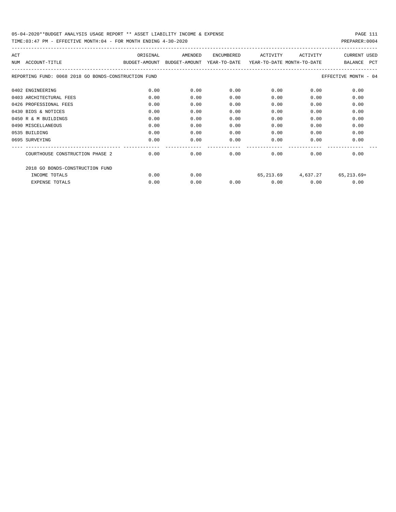| ACT<br>NUM | ACCOUNT-TITLE                                        | ORIGINAL<br>BUDGET-AMOUNT | AMENDED<br>BUDGET-AMOUNT | ENCUMBERED<br>YEAR-TO-DATE | ACTIVITY<br>YEAR-TO-DATE MONTH-TO-DATE | ACTIVITY | <b>CURRENT USED</b><br>PCT<br><b>BALANCE</b> |
|------------|------------------------------------------------------|---------------------------|--------------------------|----------------------------|----------------------------------------|----------|----------------------------------------------|
|            | REPORTING FUND: 0068 2018 GO BONDS-CONSTRUCTION FUND |                           |                          |                            |                                        |          | EFFECTIVE MONTH - 04                         |
|            | 0402 ENGINEERING                                     | 0.00                      | 0.00                     | 0.00                       | 0.00                                   | 0.00     | 0.00                                         |
|            | 0403 ARCHITECTURAL FEES                              | 0.00                      | 0.00                     | 0.00                       | 0.00                                   | 0.00     | 0.00                                         |
|            | 0426 PROFESSIONAL FEES                               | 0.00                      | 0.00                     | 0.00                       | 0.00                                   | 0.00     | 0.00                                         |
|            | 0430 BIDS & NOTICES                                  | 0.00                      | 0.00                     | 0.00                       | 0.00                                   | 0.00     | 0.00                                         |
|            | 0450 R & M BUILDINGS                                 | 0.00                      | 0.00                     | 0.00                       | 0.00                                   | 0.00     | 0.00                                         |
|            | 0490 MISCELLANEOUS                                   | 0.00                      | 0.00                     | 0.00                       | 0.00                                   | 0.00     | 0.00                                         |
|            | 0535 BUILDING                                        | 0.00                      | 0.00                     | 0.00                       | 0.00                                   | 0.00     | 0.00                                         |
|            | 0695 SURVEYING                                       | 0.00                      | 0.00                     | 0.00                       | 0.00                                   | 0.00     | 0.00                                         |
|            | COURTHOUSE CONSTRUCTION PHASE 2                      | 0.00                      | 0.00                     | 0.00                       | 0.00                                   | 0.00     | 0.00                                         |
|            | 2018 GO BONDS-CONSTRUCTION FUND                      |                           |                          |                            |                                        |          |                                              |
|            | INCOME TOTALS                                        | 0.00                      | 0.00                     |                            | 65,213.69                              | 4,637.27 | 65,213.69+                                   |
|            | <b>EXPENSE TOTALS</b>                                | 0.00                      | 0.00                     | 0.00                       | 0.00                                   | 0.00     | 0.00                                         |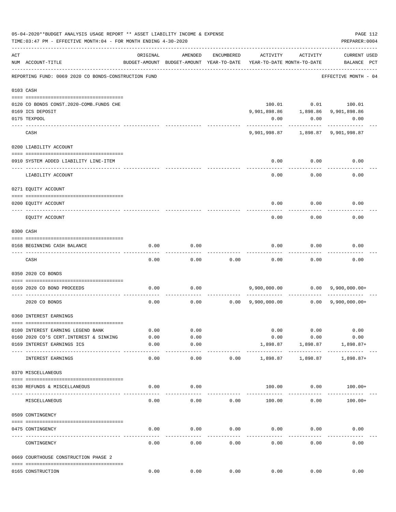|     | 05-04-2020**BUDGET ANALYSIS USAGE REPORT ** ASSET LIABILITY INCOME & EXPENSE<br>TIME: 03:47 PM - EFFECTIVE MONTH: 04 - FOR MONTH ENDING 4-30-2020 |          |                                                     |             |          |                                              | PREPARER: 0004              | PAGE 112 |
|-----|---------------------------------------------------------------------------------------------------------------------------------------------------|----------|-----------------------------------------------------|-------------|----------|----------------------------------------------|-----------------------------|----------|
| ACT | NUM ACCOUNT-TITLE                                                                                                                                 | ORIGINAL | AMENDED<br>BUDGET-AMOUNT BUDGET-AMOUNT YEAR-TO-DATE | ENCUMBERED  | ACTIVITY | ACTIVITY<br>YEAR-TO-DATE MONTH-TO-DATE       | CURRENT USED<br>BALANCE PCT |          |
|     | REPORTING FUND: 0069 2020 CO BONDS-CONSTRUCTION FUND                                                                                              |          |                                                     |             |          |                                              | EFFECTIVE MONTH - 04        |          |
|     | 0103 CASH                                                                                                                                         |          |                                                     |             |          |                                              |                             |          |
|     |                                                                                                                                                   |          |                                                     |             |          |                                              |                             |          |
|     | 0120 CO BONDS CONST.2020-COMB.FUNDS CHE                                                                                                           |          |                                                     |             |          | 100.01 0.01 100.01                           |                             |          |
|     | 0169 ICS DEPOSIT<br>0175 TEXPOOL                                                                                                                  |          |                                                     |             |          | 9,901,898.86    1,898.86    9,901,898.86     |                             |          |
|     |                                                                                                                                                   |          |                                                     |             | 0.00     | 0.00<br>---------                            | 0.00                        |          |
|     | CASH                                                                                                                                              |          |                                                     |             |          |                                              |                             |          |
|     | 0200 LIABILITY ACCOUNT                                                                                                                            |          |                                                     |             |          |                                              |                             |          |
|     | 0910 SYSTEM ADDED LIABILITY LINE-ITEM                                                                                                             |          |                                                     |             | 0.00     | 0.00                                         | 0.00                        |          |
|     | LIABILITY ACCOUNT                                                                                                                                 |          |                                                     |             | 0.00     | 0.00                                         | 0.00                        |          |
|     | 0271 EQUITY ACCOUNT                                                                                                                               |          |                                                     |             |          |                                              |                             |          |
|     | 0200 EQUITY ACCOUNT                                                                                                                               |          |                                                     |             | 0.00     | 0.00                                         | 0.00                        |          |
|     | EQUITY ACCOUNT                                                                                                                                    |          |                                                     |             | 0.00     | 0.00                                         | 0.00                        |          |
|     | 0300 CASH                                                                                                                                         |          |                                                     |             |          |                                              |                             |          |
|     | 0168 BEGINNING CASH BALANCE                                                                                                                       | 0.00     | 0.00                                                |             | 0.00     | 0.00                                         | 0.00                        |          |
|     |                                                                                                                                                   |          |                                                     |             |          |                                              |                             |          |
|     | CASH                                                                                                                                              | 0.00     | 0.00                                                | 0.00        | 0.00     | 0.00                                         | 0.00                        |          |
|     | 0350 2020 CO BONDS                                                                                                                                |          |                                                     |             |          |                                              |                             |          |
|     | 0169 2020 CO BOND PROCEEDS                                                                                                                        | 0.00     | 0.00                                                |             |          | $9,900,000.00$ 0.00 $9,900,000.00+$          |                             |          |
|     | 2020 CO BONDS                                                                                                                                     | 0.00     | 0.00                                                |             |          | $0.00$ $9,900,000.00$ $0.00$ $9,900,000.00+$ |                             |          |
|     | 0360 INTEREST EARNINGS                                                                                                                            |          |                                                     |             |          |                                              |                             |          |
|     | 0100 INTEREST EARNING LEGEND BANK                                                                                                                 | 0.00     | 0.00                                                |             | 0.00     | 0.00                                         | 0.00                        |          |
|     | 0160 2020 CO'S CERT. INTEREST & SINKING                                                                                                           | 0.00     | 0.00                                                |             | 0.00     | 0.00                                         | 0.00                        |          |
|     | 0169 INTEREST EARNINGS ICS                                                                                                                        | 0.00     | 0.00                                                |             | 1,898.87 | 1,898.87                                     | $1,898.87+$                 |          |
|     | INTEREST EARNINGS                                                                                                                                 | 0.00     | $- - - - -$<br>0.00                                 | 0.00        | 1,898.87 | 1,898.87                                     | $1,898.87+$                 |          |
|     | 0370 MISCELLANEOUS                                                                                                                                |          |                                                     |             |          |                                              |                             |          |
|     |                                                                                                                                                   |          |                                                     |             |          |                                              |                             |          |
|     | 0130 REFUNDS & MISCELLANEOUS                                                                                                                      | 0.00     | 0.00                                                |             | 100.00   | 0.00                                         | $100.00+$                   |          |
|     | MISCELLANEOUS                                                                                                                                     | 0.00     | 0.00                                                | 0.00        | 100.00   | 0.00                                         | $100.00+$                   |          |
|     | 0509 CONTINGENCY                                                                                                                                  |          |                                                     |             |          |                                              |                             |          |
|     |                                                                                                                                                   |          |                                                     |             |          |                                              |                             |          |
|     | 0475 CONTINGENCY                                                                                                                                  | 0.00     | 0.00                                                | 0.00        | 0.00     | 0.00                                         | 0.00                        |          |
|     | CONTINGENCY                                                                                                                                       | 0.00     | 0.00                                                | 0.00        | 0.00     | 0.00                                         | 0.00                        |          |
|     | 0669 COURTHOUSE CONSTRUCTION PHASE 2                                                                                                              |          |                                                     |             |          |                                              |                             |          |
|     | 0165 CONSTRUCTION                                                                                                                                 | 0.00     |                                                     | $0.00$ 0.00 |          | 0.00<br>0.00                                 | 0.00                        |          |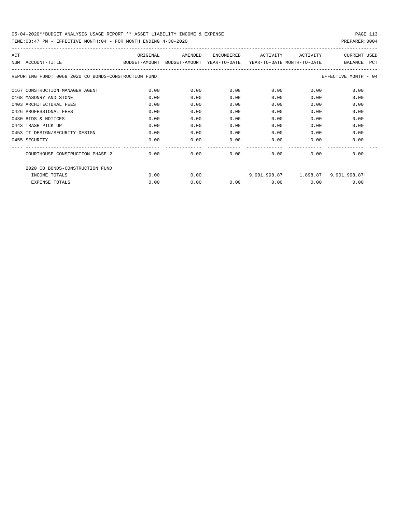| ACT                                                  | ORIGINAL                                                            | AMENDED | ENCUMBERED           | ACTIVITY | ACTIVITY | <b>CURRENT USED</b>  |
|------------------------------------------------------|---------------------------------------------------------------------|---------|----------------------|----------|----------|----------------------|
| NUM ACCOUNT-TITLE                                    | BUDGET-AMOUNT BUDGET-AMOUNT YEAR-TO-DATE YEAR-TO-DATE_MONTH-TO-DATE |         |                      |          |          | PCT<br>BALANCE       |
| REPORTING FUND: 0069 2020 CO BONDS-CONSTRUCTION FUND |                                                                     |         |                      |          |          | EFFECTIVE MONTH - 04 |
| 0167 CONSTRUCTION MANAGER AGENT                      | 0.00                                                                | 0.00    | 0.00                 | 0.00     | 0.00     | 0.00                 |
| 0168 MASONRY AND STONE                               | 0.00                                                                | 0.00    | 0.00                 | 0.00     | 0.00     | 0.00                 |
| 0403 ARCHITECTURAL FEES                              | 0.00                                                                | 0.00    | 0.00                 | 0.00     | 0.00     | 0.00                 |
| 0426 PROFESSIONAL FEES                               | 0.00                                                                | 0.00    | 0.00                 | 0.00     | 0.00     | 0.00                 |
| 0430 BIDS & NOTICES                                  | 0.00                                                                | 0.00    | 0.00                 | 0.00     | 0.00     | 0.00                 |
| 0443 TRASH PICK UP                                   | 0.00                                                                | 0.00    | 0.00                 | 0.00     | 0.00     | 0.00                 |
| 0453 IT DESIGN/SECURITY DESIGN                       | 0.00                                                                | 0.00    | 0.00                 | 0.00     | 0.00     | 0.00                 |
| 0455 SECURITY                                        | 0.00                                                                | 0.00    | 0.00                 | 0.00     | 0.00     | 0.00                 |
| COURTHOUSE CONSTRUCTION PHASE 2                      | 0.00                                                                | 0.00    | ------------<br>0.00 | 0.00     | 0.00     | 0.00                 |
| 2020 CO BONDS-CONSTRUCTION FUND                      |                                                                     |         |                      |          |          |                      |
| INCOME TOTALS                                        | 0.00                                                                | 0.00    |                      |          |          |                      |
| <b>EXPENSE TOTALS</b>                                | 0.00                                                                | 0.00    | 0.00                 | 0.00     | 0.00     | 0.00                 |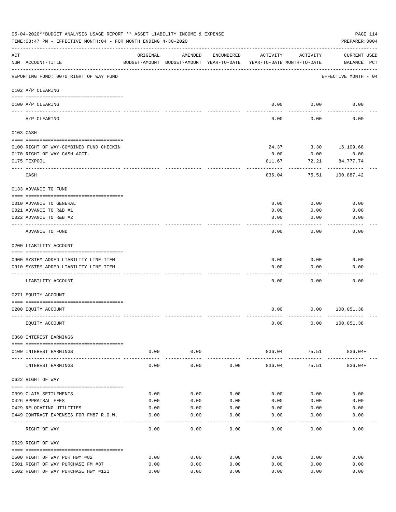|     | 05-04-2020**BUDGET ANALYSIS USAGE REPORT ** ASSET LIABILITY INCOME & EXPENSE<br>TIME: 03:47 PM - EFFECTIVE MONTH: 04 - FOR MONTH ENDING 4-30-2020 |               |                       |              |                                                                                 |                       | PAGE 114<br>PREPARER: 0004         |  |
|-----|---------------------------------------------------------------------------------------------------------------------------------------------------|---------------|-----------------------|--------------|---------------------------------------------------------------------------------|-----------------------|------------------------------------|--|
| ACT | NUM ACCOUNT-TITLE                                                                                                                                 | ORIGINAL      | AMENDED               | ENCUMBERED   | ACTIVITY<br>BUDGET-AMOUNT BUDGET-AMOUNT YEAR-TO-DATE YEAR-TO-DATE MONTH-TO-DATE | ACTIVITY              | <b>CURRENT USED</b><br>BALANCE PCT |  |
|     | REPORTING FUND: 0070 RIGHT OF WAY FUND                                                                                                            |               |                       |              |                                                                                 |                       | EFFECTIVE MONTH - 04               |  |
|     | 0102 A/P CLEARING                                                                                                                                 |               |                       |              |                                                                                 |                       |                                    |  |
|     |                                                                                                                                                   |               |                       |              |                                                                                 |                       |                                    |  |
|     | 0100 A/P CLEARING<br>---- -------                                                                                                                 |               |                       |              | 0.00                                                                            | 0.00                  | 0.00                               |  |
|     | A/P CLEARING                                                                                                                                      |               |                       |              | 0.00                                                                            | 0.00                  | 0.00                               |  |
|     | 0103 CASH                                                                                                                                         |               |                       |              |                                                                                 |                       |                                    |  |
|     | 0100 RIGHT OF WAY-COMBINED FUND CHECKIN                                                                                                           |               |                       |              | 24.37                                                                           | 3.30                  | 16,109.68                          |  |
|     | 0170 RIGHT OF WAY CASH ACCT.                                                                                                                      |               |                       |              | 0.00                                                                            | 0.00                  | 0.00                               |  |
|     | 0175 TEXPOOL                                                                                                                                      |               |                       |              | 811.67                                                                          | 72.21                 | 84,777.74                          |  |
|     | CASH                                                                                                                                              |               |                       |              | 836.04                                                                          | 75.51                 | 100,887.42                         |  |
|     | 0133 ADVANCE TO FUND                                                                                                                              |               |                       |              |                                                                                 |                       |                                    |  |
|     |                                                                                                                                                   |               |                       |              |                                                                                 |                       |                                    |  |
|     | 0010 ADVANCE TO GENERAL                                                                                                                           |               |                       |              | 0.00                                                                            | 0.00                  | 0.00                               |  |
|     | 0021 ADVANCE TO R&B #1                                                                                                                            |               |                       |              | 0.00                                                                            | 0.00                  | 0.00                               |  |
|     | 0022 ADVANCE TO R&B #2                                                                                                                            |               |                       |              | 0.00                                                                            | 0.00                  | 0.00                               |  |
|     | ADVANCE TO FUND                                                                                                                                   |               |                       |              | 0.00                                                                            | 0.00                  | 0.00                               |  |
|     | 0200 LIABILITY ACCOUNT                                                                                                                            |               |                       |              |                                                                                 |                       |                                    |  |
|     | 0900 SYSTEM ADDED LIABILITY LINE-ITEM                                                                                                             |               |                       |              | 0.00                                                                            | 0.00                  | 0.00                               |  |
|     | 0910 SYSTEM ADDED LIABILITY LINE-ITEM                                                                                                             |               |                       |              | 0.00                                                                            | 0.00                  | 0.00                               |  |
|     |                                                                                                                                                   |               |                       |              |                                                                                 |                       |                                    |  |
|     | LIABILITY ACCOUNT                                                                                                                                 |               |                       |              | 0.00                                                                            | 0.00                  | 0.00                               |  |
|     | 0271 EQUITY ACCOUNT                                                                                                                               |               |                       |              |                                                                                 |                       |                                    |  |
|     | 0200 EQUITY ACCOUNT                                                                                                                               |               |                       |              | 0.00                                                                            | 0.00                  | 100,051.38                         |  |
|     | EQUITY ACCOUNT                                                                                                                                    |               |                       |              | 0.00                                                                            | 0.00                  | 100,051.38                         |  |
|     | 0360 INTEREST EARNINGS                                                                                                                            |               |                       |              |                                                                                 |                       |                                    |  |
|     | 0100 INTEREST EARNINGS                                                                                                                            | 0.00          | 0.00                  |              | 836.04                                                                          | 75.51                 | 836.04+                            |  |
|     | INTEREST EARNINGS                                                                                                                                 | 0.00          | -----------<br>0.00   | 0.00         | 836.04                                                                          | ------------<br>75.51 | $836.04+$                          |  |
|     | 0622 RIGHT OF WAY                                                                                                                                 |               |                       |              |                                                                                 |                       |                                    |  |
|     |                                                                                                                                                   |               |                       |              |                                                                                 |                       |                                    |  |
|     | 0399 CLAIM SETTLEMENTS                                                                                                                            | 0.00          | 0.00                  | 0.00         | 0.00                                                                            | 0.00                  | 0.00                               |  |
|     | 0426 APPRAISAL FEES                                                                                                                               | 0.00          | 0.00                  | 0.00         | 0.00                                                                            | 0.00                  | 0.00                               |  |
|     | 0429 RELOCATING UTILITIES                                                                                                                         | 0.00          | 0.00                  | 0.00         | 0.00                                                                            | 0.00                  | 0.00                               |  |
|     | 0449 CONTRACT EXPENSES FOR FM87 R.O.W.                                                                                                            | 0.00          | 0.00                  | 0.00         | 0.00                                                                            | 0.00                  | 0.00                               |  |
|     | RIGHT OF WAY                                                                                                                                      | -----<br>0.00 | $- - - - - -$<br>0.00 | 0.00         | 0.00                                                                            | 0.00                  | ---------<br>0.00                  |  |
|     | 0629 RIGHT OF WAY                                                                                                                                 |               |                       |              |                                                                                 |                       |                                    |  |
|     |                                                                                                                                                   |               |                       |              |                                                                                 |                       |                                    |  |
|     | 0500 RIGHT OF WAY PUR HWY #82<br>0501 RIGHT OF WAY PURCHASE FM #87                                                                                | 0.00          | 0.00                  | 0.00         | 0.00<br>0.00                                                                    | 0.00<br>0.00          | 0.00                               |  |
|     | 0502 RIGHT OF WAY PURCHASE HWY #121                                                                                                               | 0.00<br>0.00  | 0.00<br>0.00          | 0.00<br>0.00 | 0.00                                                                            | 0.00                  | 0.00<br>0.00                       |  |
|     |                                                                                                                                                   |               |                       |              |                                                                                 |                       |                                    |  |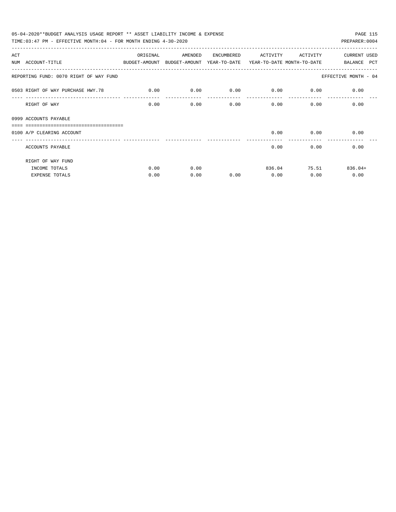| 05-04-2020**BUDGET ANALYSIS USAGE REPORT ** ASSET LIABILITY INCOME & EXPENSE             |             |         |            |             |                           | PAGE 115             |
|------------------------------------------------------------------------------------------|-------------|---------|------------|-------------|---------------------------|----------------------|
| TIME: $03:47$ PM - EFFECTIVE MONTH: $04$ - FOR MONTH ENDING $4-30-2020$                  |             |         |            |             |                           | PREPARER: 0004       |
| ACT                                                                                      | ORIGINAL    | AMENDED | ENCUMBERED | ACTIVITY    | ACTIVITY                  | CURRENT USED         |
| NUM ACCOUNT-TITLE<br>BUDGET-AMOUNT BUDGET-AMOUNT YEAR-TO-DATE YEAR-TO-DATE_MONTH-TO-DATE |             |         |            |             |                           | BALANCE PCT          |
| REPORTING FUND: 0070 RIGHT OF WAY FUND                                                   |             |         |            |             |                           | EFFECTIVE MONTH - 04 |
| 0503 RIGHT OF WAY PURCHASE HWY.78                                                        | $\sim$ 0.00 | 0.00    | 0.00       | $0.00$ 0.00 |                           | 0.00                 |
| RIGHT OF WAY                                                                             | 0.00        | 0.00    | 0.00       |             | 0.00<br>$0.00$ and $0.00$ | 0.00                 |
| 0999 ACCOUNTS PAYABLE<br>______________________________                                  |             |         |            |             |                           |                      |
| 0100 A/P CLEARING ACCOUNT                                                                |             |         |            |             | $0.00$ 0.00               | 0.00                 |
| ACCOUNTS PAYABLE                                                                         |             |         |            | 0.00        | 0.00                      | 0.00                 |
| RIGHT OF WAY FUND                                                                        |             |         |            |             |                           |                      |
| INCOME TOTALS                                                                            | 0.00        | 0.00    |            |             | 836.04 75.51              | $836.04+$            |
| <b>EXPENSE TOTALS</b>                                                                    | 0.00        | 0.00    | 0.00       | 0.00        | 0.00                      | 0.00                 |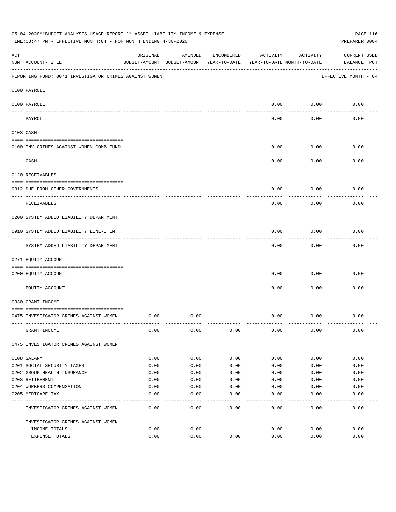|     | 05-04-2020**BUDGET ANALYSIS USAGE REPORT ** ASSET LIABILITY INCOME & EXPENSE<br>TIME: 03:47 PM - EFFECTIVE MONTH: 04 - FOR MONTH ENDING 4-30-2020 |          |                                                     |            |          |                                        | PAGE 116<br>PREPARER: 0004         |
|-----|---------------------------------------------------------------------------------------------------------------------------------------------------|----------|-----------------------------------------------------|------------|----------|----------------------------------------|------------------------------------|
| ACT | NUM ACCOUNT-TITLE                                                                                                                                 | ORIGINAL | AMENDED<br>BUDGET-AMOUNT BUDGET-AMOUNT YEAR-TO-DATE | ENCUMBERED | ACTIVITY | ACTIVITY<br>YEAR-TO-DATE MONTH-TO-DATE | <b>CURRENT USED</b><br>BALANCE PCT |
|     | REPORTING FUND: 0071 INVESTIGATOR CRIMES AGAINST WOMEN                                                                                            |          |                                                     |            |          |                                        | EFFECTIVE MONTH - 04               |
|     | 0100 PAYROLL                                                                                                                                      |          |                                                     |            |          |                                        |                                    |
|     | 0100 PAYROLL                                                                                                                                      |          |                                                     |            | 0.00     | 0.00                                   | 0.00                               |
|     | ---- ----<br>PAYROLL                                                                                                                              |          |                                                     |            | 0.00     | 0.00                                   | 0.00                               |
|     | 0103 CASH                                                                                                                                         |          |                                                     |            |          |                                        |                                    |
|     | 0100 INV. CRIMES AGAINST WOMEN-COMB. FUND                                                                                                         |          |                                                     |            | 0.00     | 0.00                                   | 0.00                               |
|     | CASH                                                                                                                                              |          |                                                     |            | 0.00     | 0.00                                   | 0.00                               |
|     | 0120 RECEIVABLES                                                                                                                                  |          |                                                     |            |          |                                        |                                    |
|     | 0312 DUE FROM OTHER GOVERNMENTS                                                                                                                   |          |                                                     |            | 0.00     | 0.00                                   | 0.00                               |
|     | RECEIVABLES                                                                                                                                       |          |                                                     |            | 0.00     | 0.00                                   | 0.00                               |
|     | 0200 SYSTEM ADDED LIABILITY DEPARTMENT                                                                                                            |          |                                                     |            |          |                                        |                                    |
|     | 0910 SYSTEM ADDED LIABILITY LINE-ITEM                                                                                                             |          |                                                     |            | 0.00     | 0.00                                   | 0.00                               |
|     | SYSTEM ADDED LIABILITY DEPARTMENT                                                                                                                 |          |                                                     |            | 0.00     | 0.00                                   | 0.00                               |
|     | 0271 EQUITY ACCOUNT                                                                                                                               |          |                                                     |            |          |                                        |                                    |
|     | 0200 EQUITY ACCOUNT                                                                                                                               |          |                                                     |            | 0.00     | 0.00                                   | 0.00                               |
|     | EQUITY ACCOUNT                                                                                                                                    |          |                                                     |            | 0.00     | 0.00                                   | 0.00                               |
|     | 0330 GRANT INCOME                                                                                                                                 |          |                                                     |            |          |                                        |                                    |
|     | 0475 INVESTIGATOR CRIMES AGAINST WOMEN                                                                                                            | 0.00     | 0.00                                                |            | 0.00     | 0.00                                   | 0.00                               |
|     | GRANT INCOME                                                                                                                                      | 0.00     | 0.00                                                | 0.00       | 0.00     | 0.00                                   | 0.00                               |
|     | 0475 INVESTIGATOR CRIMES AGAINST WOMEN                                                                                                            |          |                                                     |            |          |                                        |                                    |
|     | 0108 SALARY                                                                                                                                       | 0.00     | 0.00                                                | 0.00       | 0.00     | 0.00                                   | 0.00                               |
|     | 0201 SOCIAL SECURITY TAXES                                                                                                                        | 0.00     | 0.00                                                | 0.00       | 0.00     | 0.00                                   | 0.00                               |
|     | 0202 GROUP HEALTH INSURANCE                                                                                                                       | 0.00     | 0.00                                                | 0.00       | 0.00     | 0.00                                   | 0.00                               |
|     | 0203 RETIREMENT                                                                                                                                   | 0.00     | 0.00                                                | 0.00       | 0.00     | 0.00                                   | 0.00                               |
|     | 0204 WORKERS COMPENSATION                                                                                                                         | 0.00     | 0.00                                                | 0.00       | 0.00     | 0.00                                   | 0.00                               |
|     | 0205 MEDICARE TAX                                                                                                                                 | 0.00     | 0.00                                                | 0.00       | 0.00     | 0.00                                   | 0.00                               |
|     | INVESTIGATOR CRIMES AGAINST WOMEN                                                                                                                 | 0.00     | 0.00                                                | 0.00       | 0.00     | 0.00                                   | 0.00                               |
|     | INVESTIGATOR CRIMES AGAINST WOMEN                                                                                                                 |          |                                                     |            |          |                                        |                                    |
|     | INCOME TOTALS                                                                                                                                     | 0.00     | 0.00                                                |            | 0.00     | 0.00                                   | 0.00                               |
|     | EXPENSE TOTALS                                                                                                                                    | 0.00     | 0.00                                                | 0.00       | 0.00     | 0.00                                   | 0.00                               |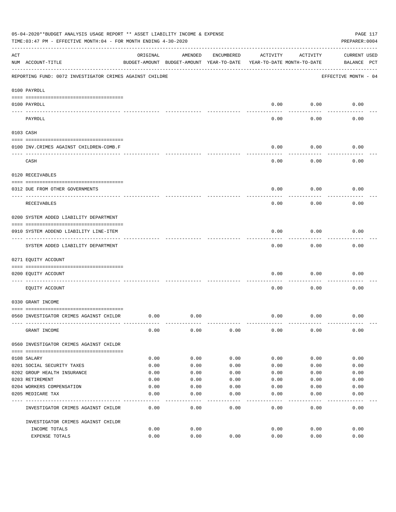|     | 05-04-2020**BUDGET ANALYSIS USAGE REPORT ** ASSET LIABILITY INCOME & EXPENSE<br>TIME: 03:47 PM - EFFECTIVE MONTH: 04 - FOR MONTH ENDING 4-30-2020 |          |                                                     |            |          |                                        | PAGE 117<br>PREPARER: 0004         |
|-----|---------------------------------------------------------------------------------------------------------------------------------------------------|----------|-----------------------------------------------------|------------|----------|----------------------------------------|------------------------------------|
| ACT | NUM ACCOUNT-TITLE                                                                                                                                 | ORIGINAL | AMENDED<br>BUDGET-AMOUNT BUDGET-AMOUNT YEAR-TO-DATE | ENCUMBERED | ACTIVITY | ACTIVITY<br>YEAR-TO-DATE MONTH-TO-DATE | <b>CURRENT USED</b><br>BALANCE PCT |
|     | REPORTING FUND: 0072 INVESTIGATOR CRIMES AGAINST CHILDRE                                                                                          |          |                                                     |            |          |                                        | EFFECTIVE MONTH - 04               |
|     | 0100 PAYROLL                                                                                                                                      |          |                                                     |            |          |                                        |                                    |
|     | 0100 PAYROLL                                                                                                                                      |          |                                                     |            | 0.00     | 0.00                                   | 0.00                               |
|     | ---- ----<br>PAYROLL                                                                                                                              |          |                                                     |            | 0.00     | 0.00                                   | 0.00                               |
|     | 0103 CASH                                                                                                                                         |          |                                                     |            |          |                                        |                                    |
|     | 0100 INV. CRIMES AGAINST CHILDREN-COMB.F                                                                                                          |          |                                                     |            | 0.00     | 0.00                                   | 0.00                               |
|     | CASH                                                                                                                                              |          |                                                     |            | 0.00     | 0.00                                   | 0.00                               |
|     | 0120 RECEIVABLES                                                                                                                                  |          |                                                     |            |          |                                        |                                    |
|     | 0312 DUE FROM OTHER GOVERNMENTS                                                                                                                   |          |                                                     |            | 0.00     | 0.00                                   | 0.00                               |
|     | RECEIVABLES                                                                                                                                       |          |                                                     |            | 0.00     | 0.00                                   | 0.00                               |
|     | 0200 SYSTEM ADDED LIABILITY DEPARTMENT                                                                                                            |          |                                                     |            |          |                                        |                                    |
|     | 0910 SYSTEM ADDEND LIABILITY LINE-ITEM                                                                                                            |          |                                                     |            | 0.00     | 0.00                                   | 0.00                               |
|     | SYSTEM ADDED LIABILITY DEPARTMENT                                                                                                                 |          |                                                     |            | 0.00     | 0.00                                   | 0.00                               |
|     | 0271 EQUITY ACCOUNT                                                                                                                               |          |                                                     |            |          |                                        |                                    |
|     | 0200 EQUITY ACCOUNT                                                                                                                               |          |                                                     |            | 0.00     | 0.00                                   | 0.00                               |
|     | EQUITY ACCOUNT                                                                                                                                    |          |                                                     |            | 0.00     | 0.00                                   | 0.00                               |
|     | 0330 GRANT INCOME                                                                                                                                 |          |                                                     |            |          |                                        |                                    |
|     | 0560 INVESTIGATOR CRIMES AGAINST CHILDR                                                                                                           | 0.00     | 0.00                                                |            | 0.00     | 0.00                                   | 0.00                               |
|     | GRANT INCOME                                                                                                                                      | 0.00     | 0.00                                                | 0.00       | 0.00     | 0.00                                   | 0.00                               |
|     | 0560 INVESTIGATOR CRIMES AGAINST CHILDR                                                                                                           |          |                                                     |            |          |                                        |                                    |
|     | 0108 SALARY                                                                                                                                       | 0.00     | 0.00                                                | 0.00       | 0.00     | 0.00                                   | 0.00                               |
|     | 0201 SOCIAL SECURITY TAXES                                                                                                                        | 0.00     | 0.00                                                | 0.00       | 0.00     | 0.00                                   | 0.00                               |
|     | 0202 GROUP HEALTH INSURANCE                                                                                                                       | 0.00     | 0.00                                                | 0.00       | 0.00     | 0.00                                   | 0.00                               |
|     | 0203 RETIREMENT                                                                                                                                   | 0.00     | 0.00                                                | 0.00       | 0.00     | 0.00                                   | 0.00                               |
|     | 0204 WORKERS COMPENSATION                                                                                                                         | 0.00     | 0.00                                                | 0.00       | 0.00     | 0.00                                   | 0.00                               |
|     | 0205 MEDICARE TAX                                                                                                                                 | 0.00     | 0.00<br>----                                        | 0.00       | 0.00     | 0.00                                   | 0.00                               |
|     | INVESTIGATOR CRIMES AGAINST CHILDR                                                                                                                | 0.00     | 0.00                                                | 0.00       | 0.00     | 0.00                                   | 0.00                               |
|     | INVESTIGATOR CRIMES AGAINST CHILDR                                                                                                                |          |                                                     |            |          |                                        |                                    |
|     | INCOME TOTALS                                                                                                                                     | 0.00     | 0.00                                                |            | 0.00     | 0.00                                   | 0.00                               |
|     | EXPENSE TOTALS                                                                                                                                    | 0.00     | 0.00                                                | 0.00       | 0.00     | 0.00                                   | 0.00                               |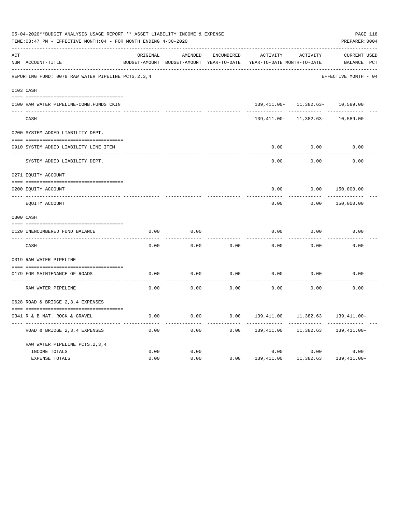|     | 05-04-2020**BUDGET ANALYSIS USAGE REPORT ** ASSET LIABILITY INCOME & EXPENSE<br>TIME: 03:47 PM - EFFECTIVE MONTH: 04 - FOR MONTH ENDING 4-30-2020 |          |                                                     |                   |                                        |                          |                                    |  |  |  |
|-----|---------------------------------------------------------------------------------------------------------------------------------------------------|----------|-----------------------------------------------------|-------------------|----------------------------------------|--------------------------|------------------------------------|--|--|--|
| ACT | NUM ACCOUNT-TITLE                                                                                                                                 | ORIGINAL | AMENDED<br>BUDGET-AMOUNT BUDGET-AMOUNT YEAR-TO-DATE | <b>ENCUMBERED</b> | ACTIVITY<br>YEAR-TO-DATE MONTH-TO-DATE | ACTIVITY                 | <b>CURRENT USED</b><br>BALANCE PCT |  |  |  |
|     | REPORTING FUND: 0078 RAW WATER PIPELINE PCTS.2,3,4                                                                                                |          |                                                     |                   |                                        |                          | EFFECTIVE MONTH - 04               |  |  |  |
|     | 0103 CASH                                                                                                                                         |          |                                                     |                   |                                        |                          |                                    |  |  |  |
|     | 0100 RAW WATER PIPELINE-COMB.FUNDS CKIN                                                                                                           |          |                                                     |                   |                                        | 139, 411.00- 11, 382.63- | 10,589.00                          |  |  |  |
|     | CASH                                                                                                                                              |          |                                                     |                   | 139,411.00-                            | 11,382.63-               | 10,589.00                          |  |  |  |
|     | 0200 SYSTEM ADDED LIABILITY DEPT.                                                                                                                 |          |                                                     |                   |                                        |                          |                                    |  |  |  |
|     | 0910 SYSTEM ADDED LIABILITY LINE ITEM                                                                                                             |          |                                                     |                   | 0.00                                   | 0.00                     | 0.00                               |  |  |  |
|     | SYSTEM ADDED LIABILITY DEPT.                                                                                                                      |          |                                                     |                   | 0.00                                   | 0.00                     | 0.00                               |  |  |  |
|     | 0271 EQUITY ACCOUNT                                                                                                                               |          |                                                     |                   |                                        |                          |                                    |  |  |  |
|     | 0200 EQUITY ACCOUNT                                                                                                                               |          |                                                     |                   | 0.00                                   | 0.00                     | 150,000.00                         |  |  |  |
|     | ---- -----------<br>EQUITY ACCOUNT                                                                                                                |          |                                                     |                   | 0.00                                   | 0.00                     | 150,000.00                         |  |  |  |
|     | 0300 CASH                                                                                                                                         |          |                                                     |                   |                                        |                          |                                    |  |  |  |
|     | 0120 UNENCUMBERED FUND BALANCE                                                                                                                    | 0.00     | 0.00                                                |                   | 0.00                                   | 0.00                     | 0.00                               |  |  |  |
|     | CASH                                                                                                                                              | 0.00     | 0.00                                                | 0.00              | 0.00                                   | 0.00                     | 0.00                               |  |  |  |
|     | 0319 RAW WATER PIPELINE                                                                                                                           |          |                                                     |                   |                                        |                          |                                    |  |  |  |
|     | 0179 FOR MAINTENANCE OF ROADS                                                                                                                     | 0.00     | 0.00                                                | 0.00              | 0.00                                   | 0.00                     | 0.00                               |  |  |  |
|     | RAW WATER PIPELINE                                                                                                                                | 0.00     | 0.00                                                | 0.00              | 0.00                                   | 0.00                     | 0.00                               |  |  |  |
|     | 0628 ROAD & BRIDGE 2,3,4 EXPENSES                                                                                                                 |          |                                                     |                   |                                        |                          |                                    |  |  |  |
|     | 0341 R & B MAT. ROCK & GRAVEL                                                                                                                     | 0.00     | 0.00                                                | 0.00              | 139,411.00                             | 11,382.63                | $139,411.00 -$                     |  |  |  |
|     | ROAD & BRIDGE 2, 3, 4 EXPENSES                                                                                                                    | 0.00     | 0.00                                                | 0.00              | 139,411.00                             | 11,382.63                | 139,411.00-                        |  |  |  |
|     | RAW WATER PIPELINE PCTS. 2, 3, 4<br>INCOME TOTALS                                                                                                 | 0.00     | 0.00                                                |                   | 0.00                                   | 0.00                     | 0.00                               |  |  |  |
|     | <b>EXPENSE TOTALS</b>                                                                                                                             | 0.00     | 0.00                                                | 0.00              | 139,411.00                             | 11,382.63                | 139, 411.00-                       |  |  |  |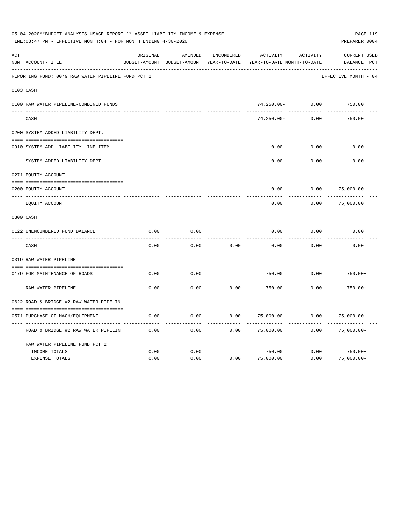| 05-04-2020**BUDGET ANALYSIS USAGE REPORT ** ASSET LIABILITY INCOME & EXPENSE<br>PAGE 119<br>TIME: 03:47 PM - EFFECTIVE MONTH: 04 - FOR MONTH ENDING 4-30-2020<br>PREPARER: 0004 |                                                    |          |                                                     |                   |                                        |          |                                    |  |  |  |  |
|---------------------------------------------------------------------------------------------------------------------------------------------------------------------------------|----------------------------------------------------|----------|-----------------------------------------------------|-------------------|----------------------------------------|----------|------------------------------------|--|--|--|--|
| ACT                                                                                                                                                                             | NUM ACCOUNT-TITLE                                  | ORIGINAL | AMENDED<br>BUDGET-AMOUNT BUDGET-AMOUNT YEAR-TO-DATE | <b>ENCUMBERED</b> | ACTIVITY<br>YEAR-TO-DATE MONTH-TO-DATE | ACTIVITY | <b>CURRENT USED</b><br>BALANCE PCT |  |  |  |  |
|                                                                                                                                                                                 | REPORTING FUND: 0079 RAW WATER PIPELINE FUND PCT 2 |          |                                                     |                   |                                        |          | EFFECTIVE MONTH - 04               |  |  |  |  |
|                                                                                                                                                                                 | 0103 CASH                                          |          |                                                     |                   |                                        |          |                                    |  |  |  |  |
|                                                                                                                                                                                 |                                                    |          |                                                     |                   |                                        |          |                                    |  |  |  |  |
|                                                                                                                                                                                 | 0100 RAW WATER PIPELINE-COMBINED FUNDS             |          |                                                     |                   | 74,250.00-                             | 0.00     | 750.00                             |  |  |  |  |
|                                                                                                                                                                                 | CASH                                               |          |                                                     |                   | $74, 250.00 -$                         | 0.00     | 750.00                             |  |  |  |  |
|                                                                                                                                                                                 | 0200 SYSTEM ADDED LIABILITY DEPT.                  |          |                                                     |                   |                                        |          |                                    |  |  |  |  |
|                                                                                                                                                                                 | 0910 SYSTEM ADD LIABILITY LINE ITEM                |          |                                                     |                   | 0.00                                   | 0.00     | 0.00                               |  |  |  |  |
|                                                                                                                                                                                 | SYSTEM ADDED LIABILITY DEPT.                       |          |                                                     |                   | 0.00                                   | 0.00     | 0.00                               |  |  |  |  |
|                                                                                                                                                                                 | 0271 EQUITY ACCOUNT                                |          |                                                     |                   |                                        |          |                                    |  |  |  |  |
|                                                                                                                                                                                 | 0200 EQUITY ACCOUNT                                |          |                                                     |                   | 0.00                                   | 0.00     | 75,000.00                          |  |  |  |  |
|                                                                                                                                                                                 | __________________<br>EQUITY ACCOUNT               |          |                                                     |                   | 0.00                                   | 0.00     | 75,000.00                          |  |  |  |  |
|                                                                                                                                                                                 | 0300 CASH                                          |          |                                                     |                   |                                        |          |                                    |  |  |  |  |
|                                                                                                                                                                                 | 0122 UNENCUMBERED FUND BALANCE                     | 0.00     | 0.00                                                |                   | 0.00                                   | 0.00     | 0.00                               |  |  |  |  |
|                                                                                                                                                                                 | CASH                                               | 0.00     | 0.00                                                | 0.00              | 0.00                                   | 0.00     | 0.00                               |  |  |  |  |
|                                                                                                                                                                                 | 0319 RAW WATER PIPELINE                            |          |                                                     |                   |                                        |          |                                    |  |  |  |  |
|                                                                                                                                                                                 | 0179 FOR MAINTENANCE OF ROADS                      | 0.00     | 0.00                                                |                   | 750.00                                 | 0.00     | $750.00+$                          |  |  |  |  |
|                                                                                                                                                                                 | RAW WATER PIPELINE                                 | 0.00     | 0.00                                                | 0.00              | 750.00                                 | 0.00     | $750.00+$                          |  |  |  |  |
|                                                                                                                                                                                 | 0622 ROAD & BRIDGE #2 RAW WATER PIPELIN            |          |                                                     |                   |                                        |          |                                    |  |  |  |  |
|                                                                                                                                                                                 | 0571 PURCHASE OF MACH/EQUIPMENT                    | 0.00     | 0.00                                                | 0.00              | 75,000.00                              | 0.00     | $75,000.00-$                       |  |  |  |  |
|                                                                                                                                                                                 |                                                    |          |                                                     |                   |                                        |          |                                    |  |  |  |  |
|                                                                                                                                                                                 | ROAD & BRIDGE #2 RAW WATER PIPELIN                 | 0.00     | 0.00                                                | 0.00              | 75,000.00                              | 0.00     | $75,000.00-$                       |  |  |  |  |
|                                                                                                                                                                                 | RAW WATER PIPELINE FUND PCT 2                      |          |                                                     |                   |                                        |          |                                    |  |  |  |  |
|                                                                                                                                                                                 | INCOME TOTALS                                      | 0.00     | 0.00                                                |                   | 750.00                                 | 0.00     | $750.00+$                          |  |  |  |  |
|                                                                                                                                                                                 | EXPENSE TOTALS                                     | 0.00     | 0.00                                                | 0.00              | 75,000.00                              | 0.00     | $75,000.00-$                       |  |  |  |  |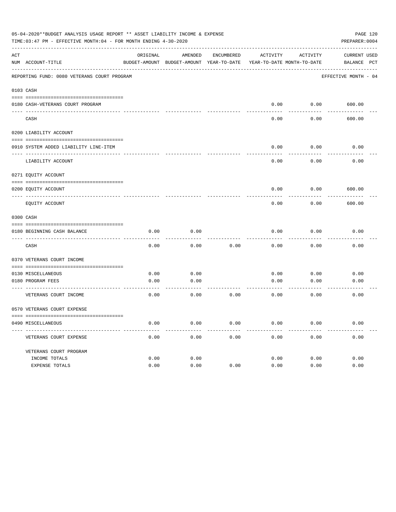|     | 05-04-2020**BUDGET ANALYSIS USAGE REPORT ** ASSET LIABILITY INCOME & EXPENSE<br>TIME: 03:47 PM - EFFECTIVE MONTH: 04 - FOR MONTH ENDING 4-30-2020 |          |                                                                     |            |          |               | PAGE 120<br>PREPARER: 0004 |
|-----|---------------------------------------------------------------------------------------------------------------------------------------------------|----------|---------------------------------------------------------------------|------------|----------|---------------|----------------------------|
| ACT |                                                                                                                                                   | ORIGINAL | AMENDED                                                             | ENCUMBERED | ACTIVITY | ACTIVITY      | CURRENT USED               |
|     | NUM ACCOUNT-TITLE                                                                                                                                 |          | BUDGET-AMOUNT BUDGET-AMOUNT YEAR-TO-DATE YEAR-TO-DATE MONTH-TO-DATE |            |          |               | BALANCE PCT                |
|     | REPORTING FUND: 0080 VETERANS COURT PROGRAM                                                                                                       |          |                                                                     |            |          |               | EFFECTIVE MONTH - 04       |
|     | 0103 CASH                                                                                                                                         |          |                                                                     |            |          |               |                            |
|     | 0180 CASH-VETERANS COURT PROGRAM                                                                                                                  |          |                                                                     |            | 0.00     | $0.00$ 600.00 |                            |
|     | CASH                                                                                                                                              |          |                                                                     |            | 0.00     | 0.00          | 600.00                     |
|     | 0200 LIABILITY ACCOUNT                                                                                                                            |          |                                                                     |            |          |               |                            |
|     | 0910 SYSTEM ADDED LIABILITY LINE-ITEM                                                                                                             |          |                                                                     |            | 0.00     | 0.00          | 0.00                       |
|     | LIABILITY ACCOUNT                                                                                                                                 |          |                                                                     |            | 0.00     | 0.00          | 0.00                       |
|     | 0271 EQUITY ACCOUNT                                                                                                                               |          |                                                                     |            |          |               |                            |
|     | 0200 EQUITY ACCOUNT                                                                                                                               |          |                                                                     |            | 0.00     | 0.00          | 600.00                     |
|     | EOUITY ACCOUNT                                                                                                                                    |          |                                                                     |            | 0.00     | 0.00          | 600.00                     |
|     | 0300 CASH                                                                                                                                         |          |                                                                     |            |          |               |                            |
|     | 0180 BEGINNING CASH BALANCE                                                                                                                       | 0.00     | 0.00                                                                |            | 0.00     | 0.00          | 0.00                       |
|     | CASH                                                                                                                                              | 0.00     | 0.00                                                                | 0.00       | 0.00     | 0.00          | 0.00                       |
|     | 0370 VETERANS COURT INCOME                                                                                                                        |          |                                                                     |            |          |               |                            |
|     | 0130 MISCELLANEOUS                                                                                                                                | 0.00     | 0.00                                                                |            | 0.00     | 0.00          | 0.00                       |
|     | 0180 PROGRAM FEES<br>------------------------ -----                                                                                               | 0.00     | 0.00<br>-------                                                     |            | 0.00     | 0.00          | 0.00                       |
|     | VETERANS COURT INCOME                                                                                                                             | 0.00     | 0.00                                                                | 0.00       | 0.00     | 0.00          | 0.00                       |
|     | 0570 VETERANS COURT EXPENSE                                                                                                                       |          |                                                                     |            |          |               |                            |
|     | 0490 MISCELLANEOUS                                                                                                                                | 0.00     | 0.00                                                                | 0.00       | 0.00     | 0.00          | 0.00                       |
|     | VETERANS COURT EXPENSE                                                                                                                            | 0.00     | 0.00                                                                | 0.00       | 0.00     | 0.00          | 0.00                       |
|     | VETERANS COURT PROGRAM                                                                                                                            |          |                                                                     |            |          |               |                            |
|     | INCOME TOTALS                                                                                                                                     | 0.00     | 0.00                                                                |            | 0.00     | 0.00          | 0.00                       |
|     | EXPENSE TOTALS                                                                                                                                    | 0.00     | 0.00                                                                | 0.00       | 0.00     | 0.00          | 0.00                       |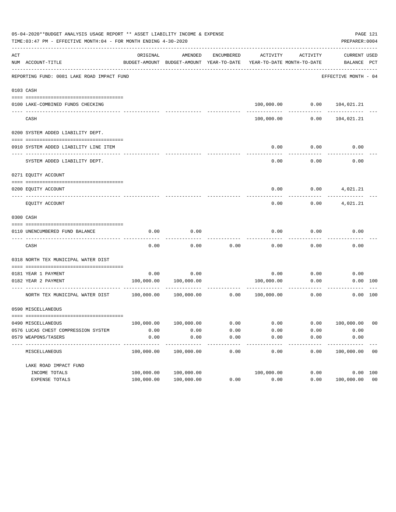|     | 05-04-2020**BUDGET ANALYSIS USAGE REPORT ** ASSET LIABILITY INCOME & EXPENSE<br>TIME: 03:47 PM - EFFECTIVE MONTH: 04 - FOR MONTH ENDING 4-30-2020 |            |                                                     |                   |                                        |          | PREPARER: 0004                 | PAGE 121       |
|-----|---------------------------------------------------------------------------------------------------------------------------------------------------|------------|-----------------------------------------------------|-------------------|----------------------------------------|----------|--------------------------------|----------------|
| ACT | NUM ACCOUNT-TITLE                                                                                                                                 | ORIGINAL   | AMENDED<br>BUDGET-AMOUNT BUDGET-AMOUNT YEAR-TO-DATE | ENCUMBERED        | ACTIVITY<br>YEAR-TO-DATE MONTH-TO-DATE | ACTIVITY | CURRENT USED<br>BALANCE PCT    |                |
|     | REPORTING FUND: 0081 LAKE ROAD IMPACT FUND                                                                                                        |            |                                                     |                   |                                        |          | EFFECTIVE MONTH - 04           |                |
|     | 0103 CASH                                                                                                                                         |            |                                                     |                   |                                        |          |                                |                |
|     |                                                                                                                                                   |            |                                                     |                   |                                        |          |                                |                |
|     | 0100 LAKE-COMBINED FUNDS CHECKING                                                                                                                 |            |                                                     |                   |                                        |          | 100,000.00   0.00   104,021.21 |                |
|     | CASH                                                                                                                                              |            |                                                     |                   | 100,000.00                             | 0.00     | 104,021.21                     |                |
|     | 0200 SYSTEM ADDED LIABILITY DEPT.                                                                                                                 |            |                                                     |                   |                                        |          |                                |                |
|     |                                                                                                                                                   |            |                                                     |                   |                                        |          |                                |                |
|     | 0910 SYSTEM ADDED LIABILITY LINE ITEM                                                                                                             |            |                                                     |                   | 0.00                                   | 0.00     | 0.00                           |                |
|     | SYSTEM ADDED LIABILITY DEPT.                                                                                                                      |            |                                                     |                   | 0.00                                   | 0.00     | 0.00                           |                |
|     | 0271 EQUITY ACCOUNT                                                                                                                               |            |                                                     |                   |                                        |          |                                |                |
|     | 0200 EQUITY ACCOUNT                                                                                                                               |            |                                                     |                   | 0.00                                   |          | $0.00$ 4,021.21                |                |
|     | EOUITY ACCOUNT                                                                                                                                    |            |                                                     |                   | 0.00                                   |          | $0.00$ 4,021.21                |                |
|     | 0300 CASH                                                                                                                                         |            |                                                     |                   |                                        |          |                                |                |
|     |                                                                                                                                                   |            |                                                     |                   |                                        |          |                                |                |
|     | 0110 UNENCUMBERED FUND BALANCE                                                                                                                    | 0.00       | 0.00                                                |                   | 0.00                                   | 0.00     | 0.00                           |                |
|     | CASH                                                                                                                                              | 0.00       | 0.00                                                | 0.00              | 0.00                                   | 0.00     | 0.00                           |                |
|     | 0318 NORTH TEX MUNICIPAL WATER DIST                                                                                                               |            |                                                     |                   |                                        |          |                                |                |
|     |                                                                                                                                                   |            |                                                     |                   |                                        |          |                                |                |
|     | 0181 YEAR 1 PAYMENT                                                                                                                               | 0.00       | 0.00                                                |                   | 0.00                                   | 0.00     | 0.00                           |                |
|     | 0182 YEAR 2 PAYMENT                                                                                                                               |            | 100,000.00 100,000.00                               |                   | 100,000.00                             | 0.00     |                                | 0.00 100       |
|     | NORTH TEX MUNICIPAL WATER DIST 100,000.00                                                                                                         |            | $100,000.00$ 0.00                                   |                   | 100,000.00                             | 0.00     |                                | 0.00 100       |
|     | 0590 MISCELLANEOUS                                                                                                                                |            |                                                     |                   |                                        |          |                                |                |
|     |                                                                                                                                                   |            |                                                     |                   |                                        |          |                                |                |
|     | 0490 MISCELLANEOUS                                                                                                                                | 100,000.00 | 100,000.00                                          | 0.00              | 0.00                                   | 0.00     | 100,000.00                     | 0 <sub>0</sub> |
|     | 0576 LUCAS CHEST COMPRESSION SYSTEM                                                                                                               | 0.00       | 0.00                                                | 0.00              | 0.00                                   | 0.00     | 0.00                           |                |
|     | 0579 WEAPONS/TASERS<br>----------                                                                                                                 | 0.00       | 0.00                                                | 0.00<br>$- - - -$ | 0.00                                   | 0.00     | 0.00                           |                |
|     | MISCELLANEOUS                                                                                                                                     | 100,000.00 | 100,000.00                                          | 0.00              | 0.00                                   | 0.00     | 100,000.00                     | 0 <sub>0</sub> |
|     | LAKE ROAD IMPACT FUND                                                                                                                             |            |                                                     |                   |                                        |          |                                |                |
|     | INCOME TOTALS                                                                                                                                     | 100,000.00 | 100,000.00                                          |                   | 100,000.00                             | 0.00     |                                | 0.00 100       |
|     | EXPENSE TOTALS                                                                                                                                    | 100,000.00 | 100,000.00                                          | 0.00              | 0.00                                   | 0.00     | 100,000.00 00                  |                |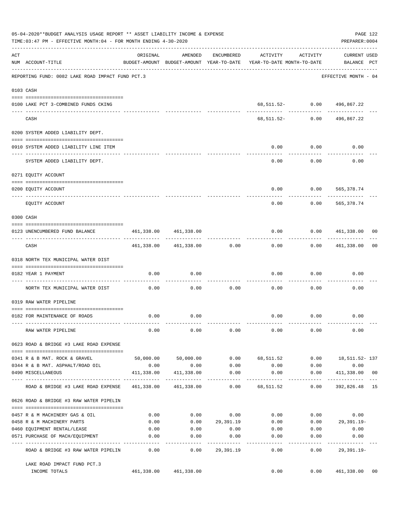|     | 05-04-2020**BUDGET ANALYSIS USAGE REPORT ** ASSET LIABILITY INCOME & EXPENSE<br>TIME:03:47 PM - EFFECTIVE MONTH:04 - FOR MONTH ENDING 4-30-2020 |            |                                                     |                 |                                        |                      | PREPARER: 0004                     | PAGE 122 |
|-----|-------------------------------------------------------------------------------------------------------------------------------------------------|------------|-----------------------------------------------------|-----------------|----------------------------------------|----------------------|------------------------------------|----------|
| ACT | NUM ACCOUNT-TITLE                                                                                                                               | ORIGINAL   | AMENDED<br>BUDGET-AMOUNT BUDGET-AMOUNT YEAR-TO-DATE | ENCUMBERED      | ACTIVITY<br>YEAR-TO-DATE MONTH-TO-DATE | ACTIVITY             | <b>CURRENT USED</b><br>BALANCE PCT |          |
|     | REPORTING FUND: 0082 LAKE ROAD IMPACT FUND PCT.3                                                                                                |            |                                                     |                 |                                        |                      | EFFECTIVE MONTH - 04               |          |
|     | 0103 CASH                                                                                                                                       |            |                                                     |                 |                                        |                      |                                    |          |
|     | 0100 LAKE PCT 3-COMBINED FUNDS CKING                                                                                                            |            |                                                     |                 | 68,511.52- 0.00                        |                      | 496,867.22                         |          |
|     | CASH                                                                                                                                            |            |                                                     |                 | 68,511.52-                             | 0.00                 | 496,867.22                         |          |
|     | 0200 SYSTEM ADDED LIABILITY DEPT.                                                                                                               |            |                                                     |                 |                                        |                      |                                    |          |
|     | 0910 SYSTEM ADDED LIABILITY LINE ITEM                                                                                                           |            |                                                     |                 | 0.00                                   | 0.00                 | 0.00                               |          |
|     | SYSTEM ADDED LIABILITY DEPT.                                                                                                                    |            |                                                     |                 | 0.00                                   | 0.00                 | 0.00                               |          |
|     | 0271 EQUITY ACCOUNT                                                                                                                             |            |                                                     |                 |                                        |                      |                                    |          |
|     | 0200 EQUITY ACCOUNT                                                                                                                             |            |                                                     |                 | 0.00                                   | 0.00                 | 565, 378.74                        |          |
|     | EQUITY ACCOUNT                                                                                                                                  |            |                                                     |                 | 0.00                                   | 0.00                 | 565, 378.74                        |          |
|     | 0300 CASH                                                                                                                                       |            |                                                     |                 |                                        |                      |                                    |          |
|     | 0123 UNENCUMBERED FUND BALANCE                                                                                                                  | 461,338.00 | 461,338.00                                          |                 | 0.00                                   | 0.00                 | 461,338.00                         | 00       |
|     | CASH                                                                                                                                            | 461,338.00 | 461,338.00                                          | 0.00            | 0.00                                   | 0.00                 | 461,338.00                         | 00       |
|     | 0318 NORTH TEX MUNICIPAL WATER DIST                                                                                                             |            |                                                     |                 |                                        |                      |                                    |          |
|     | 0182 YEAR 1 PAYMENT                                                                                                                             | 0.00       | 0.00                                                |                 | 0.00                                   | 0.00                 | 0.00                               |          |
|     | ---- ----------------------------<br>NORTH TEX MUNICIPAL WATER DIST                                                                             | 0.00       | 0.00                                                | 0.00            | 0.00                                   | 0.00                 | 0.00                               |          |
|     | 0319 RAW WATER PIPELINE                                                                                                                         |            |                                                     |                 |                                        |                      |                                    |          |
|     | 0182 FOR MAINTENANCE OF ROADS                                                                                                                   | 0.00       | 0.00                                                |                 | 0.00                                   | 0.00                 | 0.00                               |          |
|     | RAW WATER PIPELINE                                                                                                                              | 0.00       | 0.00                                                | 0.00            | 0.00                                   | 0.00                 | 0.00                               |          |
|     | 0623 ROAD & BRIDGE #3 LAKE ROAD EXPENSE                                                                                                         |            |                                                     |                 |                                        |                      |                                    |          |
|     | 0341 R & B MAT. ROCK & GRAVEL                                                                                                                   |            | 50,000.00 50,000.00                                 |                 | $0.00$ 68,511.52                       |                      | $0.00$ 18, 511.52-137              |          |
|     | 0344 R & B MAT. ASPHALT/ROAD OIL                                                                                                                | 0.00       | 0.00                                                | 0.00            | 0.00                                   | 0.00                 | 0.00                               |          |
|     | 0490 MISCELLANEOUS                                                                                                                              |            | 411,338.00 411,338.00                               | 0.00            | 0.00<br>. <u>.</u>                     | 0.00<br>------------ | 411,338.00 00                      |          |
|     | ROAD & BRIDGE #3 LAKE ROAD EXPENSE                                                                                                              |            | 461,338.00 461,338.00                               | 0.00            | 68,511.52                              | 0.00                 | 392,826.48 15                      |          |
|     | 0626 ROAD & BRIDGE #3 RAW WATER PIPELIN                                                                                                         |            |                                                     |                 |                                        |                      |                                    |          |
|     | 0457 R & M MACHINERY GAS & OIL                                                                                                                  | 0.00       |                                                     | $0.00$ 0.00     | 0.00                                   |                      | $0.00$ 0.00                        |          |
|     | 0458 R & M MACHINERY PARTS                                                                                                                      | 0.00       |                                                     | 0.000029,391.19 | 0.00                                   |                      | $0.00$ 29,391.19-                  |          |
|     | 0460 EQUIPMENT RENTAL/LEASE                                                                                                                     | 0.00       | 0.00                                                | 0.00            | $0.00$ 0.00                            |                      | 0.00                               |          |
|     | 0571 PURCHASE OF MACH/EQUIPMENT                                                                                                                 | 0.00       | 0.00<br>$- - - - - - - -$                           | 0.00            | 0.00                                   | 0.00                 | 0.00                               |          |
|     | ROAD & BRIDGE #3 RAW WATER PIPELIN                                                                                                              | 0.00       | 0.00                                                | 29,391.19       | 0.00                                   | 0.00                 | 29,391.19-                         |          |
|     | LAKE ROAD IMPACT FUND PCT.3<br>INCOME TOTALS                                                                                                    |            | 461,338.00 461,338.00                               |                 | 0.00                                   |                      | 0.00 461,338.00                    | 00       |
|     |                                                                                                                                                 |            |                                                     |                 |                                        |                      |                                    |          |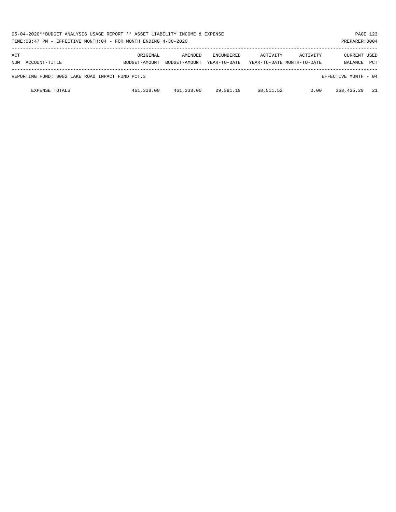| 05-04-2020**BUDGET ANALYSIS USAGE REPORT ** ASSET LIABILITY INCOME & EXPENSE<br>PAGE 123<br>TIME: 03:47 PM - EFFECTIVE MONTH: 04 - FOR MONTH ENDING 4-30-2020<br>PREPARER: 0004 |                           |                          |                                   |                                        |          |                                |            |  |  |
|---------------------------------------------------------------------------------------------------------------------------------------------------------------------------------|---------------------------|--------------------------|-----------------------------------|----------------------------------------|----------|--------------------------------|------------|--|--|
| ACT<br>NUM ACCOUNT-TITLE                                                                                                                                                        | ORIGINAL<br>BUDGET-AMOUNT | AMENDED<br>BUDGET-AMOUNT | <b>ENCUMBERED</b><br>YEAR-TO-DATE | ACTIVITY<br>YEAR-TO-DATE MONTH-TO-DATE | ACTIVITY | <b>CURRENT USED</b><br>BALANCE | <b>PCT</b> |  |  |
| REPORTING FUND: 0082 LAKE ROAD IMPACT FUND PCT.3                                                                                                                                |                           |                          |                                   |                                        |          | EFFECTIVE MONTH - 04           |            |  |  |
| <b>EXPENSE TOTALS</b>                                                                                                                                                           | 461,338.00                | 461,338.00               | 29,391.19                         | 68,511.52                              | 0.00     | 363,435.29                     | 21         |  |  |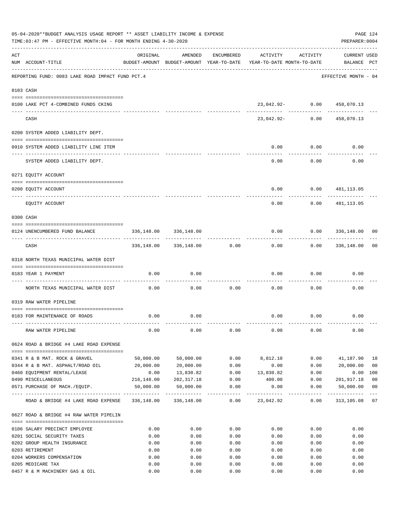|     | 05-04-2020**BUDGET ANALYSIS USAGE REPORT ** ASSET LIABILITY INCOME & EXPENSE<br>TIME: 03:47 PM - EFFECTIVE MONTH: 04 - FOR MONTH ENDING 4-30-2020 |              |                            |                     |                                                                                 |                  | PAGE 124<br>PREPARER: 0004         |                |
|-----|---------------------------------------------------------------------------------------------------------------------------------------------------|--------------|----------------------------|---------------------|---------------------------------------------------------------------------------|------------------|------------------------------------|----------------|
| ACT | NUM ACCOUNT-TITLE                                                                                                                                 | ORIGINAL     | AMENDED                    | ENCUMBERED          | ACTIVITY<br>BUDGET-AMOUNT BUDGET-AMOUNT YEAR-TO-DATE YEAR-TO-DATE MONTH-TO-DATE | ACTIVITY         | <b>CURRENT USED</b><br>BALANCE PCT |                |
|     | REPORTING FUND: 0083 LAKE ROAD IMPACT FUND PCT.4                                                                                                  |              |                            |                     |                                                                                 |                  | EFFECTIVE MONTH - 04               |                |
|     | 0103 CASH                                                                                                                                         |              |                            |                     |                                                                                 |                  |                                    |                |
|     | 0100 LAKE PCT 4-COMBINED FUNDS CKING                                                                                                              |              |                            |                     | 23,042.92- 0.00 458,070.13                                                      |                  |                                    |                |
|     | CASH                                                                                                                                              |              |                            |                     | 23,042.92- 0.00                                                                 | -- ------------- | ------------<br>458,070.13         |                |
|     | 0200 SYSTEM ADDED LIABILITY DEPT.                                                                                                                 |              |                            |                     |                                                                                 |                  |                                    |                |
|     | 0910 SYSTEM ADDED LIABILITY LINE ITEM                                                                                                             |              |                            |                     | 0.00                                                                            | 0.00             | 0.00                               |                |
|     | SYSTEM ADDED LIABILITY DEPT.                                                                                                                      |              |                            |                     | 0.00                                                                            | 0.00             | 0.00                               |                |
|     | 0271 EQUITY ACCOUNT                                                                                                                               |              |                            |                     |                                                                                 |                  |                                    |                |
|     | 0200 EQUITY ACCOUNT                                                                                                                               |              |                            |                     | 0.00                                                                            | 0.00             | 481,113.05                         |                |
|     | -------------------- ---------<br>EQUITY ACCOUNT                                                                                                  |              |                            |                     | 0.00                                                                            | 0.00             | 481,113.05                         |                |
|     | 0300 CASH                                                                                                                                         |              |                            |                     |                                                                                 |                  |                                    |                |
|     | 0124 UNENCUMBERED FUND BALANCE                                                                                                                    | 336,148.00   | 336,148.00                 |                     | 0.00                                                                            |                  | 0.0000336,148.00                   | 00             |
|     | CASH                                                                                                                                              |              | 336,148.00 336,148.00 0.00 |                     | 0.00                                                                            |                  | $0.00$ 336,148.00                  | 00             |
|     | 0318 NORTH TEXAS MUNICIPAL WATER DIST                                                                                                             |              |                            |                     |                                                                                 |                  |                                    |                |
|     | 0183 YEAR 1 PAYMENT                                                                                                                               | 0.00         | 0.00                       |                     | 0.00                                                                            | 0.00             | 0.00                               |                |
|     | ------------------------------ ----                                                                                                               |              |                            |                     |                                                                                 |                  |                                    |                |
|     | NORTH TEXAS MUNICIPAL WATER DIST                                                                                                                  | 0.00         | 0.00                       | 0.00                | 0.00                                                                            | 0.00             | 0.00                               |                |
|     | 0319 RAW WATER PIPELINE                                                                                                                           |              |                            |                     |                                                                                 |                  |                                    |                |
|     | 0183 FOR MAINTENANCE OF ROADS                                                                                                                     | 0.00         | 0.00                       |                     |                                                                                 | $0.00$ 0.00      | 0.00                               |                |
|     | RAW WATER PIPELINE                                                                                                                                | 0.00         | 0.00                       | 0.00                | 0.00                                                                            | 0.00             | 0.00                               |                |
|     | 0624 ROAD & BRIDGE #4 LAKE ROAD EXPENSE                                                                                                           |              |                            |                     |                                                                                 |                  |                                    |                |
|     | 0341 R & B MAT. ROCK & GRAVEL                                                                                                                     | 50,000.00    | 50,000.00                  | 0.00                | 8,812.10                                                                        | 0.00             | 41,187.90                          | 18             |
|     | 0344 R & B MAT. ASPHALT/ROAD OIL                                                                                                                  | 20,000.00    | 20,000.00                  | 0.00                | 0.00                                                                            | 0.00             | 20,000.00                          | 0 <sub>0</sub> |
|     | 0460 EQUIPMENT RENTAL/LEASE                                                                                                                       | 0.00         | 13,830.82                  | 0.00                | 13,830.82                                                                       | 0.00             | 0.00                               | 100            |
|     | 0490 MISCELLANEOUS                                                                                                                                | 216,148.00   | 202,317.18                 | 0.00                | 400.00                                                                          | 0.00             | 201,917.18                         | 0 <sub>0</sub> |
|     | 0571 PURCHASE OF MACH./EQUIP.                                                                                                                     | 50,000.00    | 50,000.00                  | 0.00<br>----------- | 0.00                                                                            | 0.00             | 50,000.00<br>-----------           | 0 <sub>0</sub> |
|     | ROAD & BRIDGE #4 LAKE ROAD EXPENSE                                                                                                                |              | 336,148.00 336,148.00      | 0.00                | 23,042.92                                                                       | 0.00             | 313,105.08 07                      |                |
|     | 0627 ROAD & BRIDGE #4 RAW WATER PIPELIN                                                                                                           |              |                            |                     |                                                                                 |                  |                                    |                |
|     | 0106 SALARY PRECINCT EMPLOYEE                                                                                                                     | 0.00         | 0.00                       | 0.00                | 0.00                                                                            | 0.00             | 0.00                               |                |
|     | 0201 SOCIAL SECURITY TAXES                                                                                                                        | 0.00         | 0.00                       | 0.00                | 0.00                                                                            | 0.00             | 0.00                               |                |
|     | 0202 GROUP HEALTH INSURANCE                                                                                                                       | 0.00         | 0.00                       | 0.00                | 0.00                                                                            | 0.00             | 0.00                               |                |
|     | 0203 RETIREMENT                                                                                                                                   | 0.00         | 0.00                       | 0.00                | 0.00                                                                            | 0.00             | 0.00                               |                |
|     | 0204 WORKERS COMPENSATION                                                                                                                         | 0.00         | 0.00                       | 0.00                | 0.00                                                                            | 0.00             | 0.00                               |                |
|     | 0205 MEDICARE TAX<br>0457 R & M MACHINERY GAS & OIL                                                                                               | 0.00<br>0.00 | 0.00<br>0.00               | 0.00<br>0.00        | 0.00<br>0.00                                                                    | 0.00<br>0.00     | 0.00<br>0.00                       |                |
|     |                                                                                                                                                   |              |                            |                     |                                                                                 |                  |                                    |                |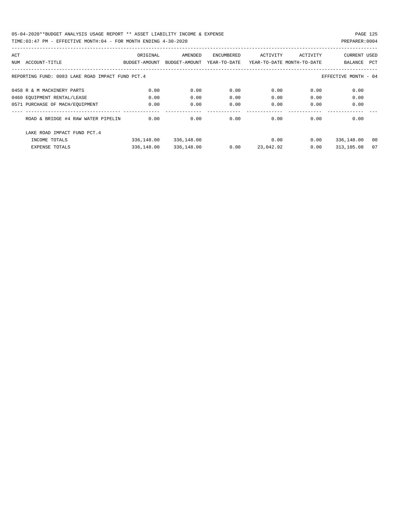| ACT |                                                                          | ORIGINAL      | AMENDED       | ENCUMBERED   | ACTIVITY                   | ACTIVITY | <b>CURRENT USED</b> |            |  |  |  |
|-----|--------------------------------------------------------------------------|---------------|---------------|--------------|----------------------------|----------|---------------------|------------|--|--|--|
| NUM | ACCOUNT-TITLE                                                            | BUDGET-AMOUNT | BUDGET-AMOUNT | YEAR-TO-DATE | YEAR-TO-DATE MONTH-TO-DATE |          | BALANCE             | <b>PCT</b> |  |  |  |
|     |                                                                          |               |               |              |                            |          |                     |            |  |  |  |
|     | REPORTING FUND: 0083 LAKE ROAD IMPACT FUND PCT.4<br>EFFECTIVE MONTH - 04 |               |               |              |                            |          |                     |            |  |  |  |
|     | 0458 R & M MACHINERY PARTS                                               | 0.00          | 0.00          | 0.00         | 0.00                       | 0.00     | 0.00                |            |  |  |  |
|     |                                                                          |               |               |              |                            |          |                     |            |  |  |  |
|     | 0460 EQUIPMENT RENTAL/LEASE                                              | 0.00          | 0.00          | 0.00         | 0.00                       | 0.00     | 0.00                |            |  |  |  |
|     | 0571 PURCHASE OF MACH/EOUIPMENT                                          | 0.00          | 0.00          | 0.00         | 0.00                       | 0.00     | 0.00                |            |  |  |  |
|     |                                                                          |               |               |              |                            |          |                     |            |  |  |  |
|     | ROAD & BRIDGE #4 RAW WATER PIPELIN                                       | 0.00          | 0.00          | 0.00         | 0.00                       | 0.00     | 0.00                |            |  |  |  |
|     | LAKE ROAD IMPACT FUND PCT. 4                                             |               |               |              |                            |          |                     |            |  |  |  |
|     | INCOME TOTALS                                                            | 336,148.00    | 336,148.00    |              | 0.00                       | 0.00     | 336,148.00          | 00         |  |  |  |
|     | <b>EXPENSE TOTALS</b>                                                    | 336,148.00    | 336,148.00    | 0.00         | 23,042.92                  | 0.00     | 313,105.08          | 07         |  |  |  |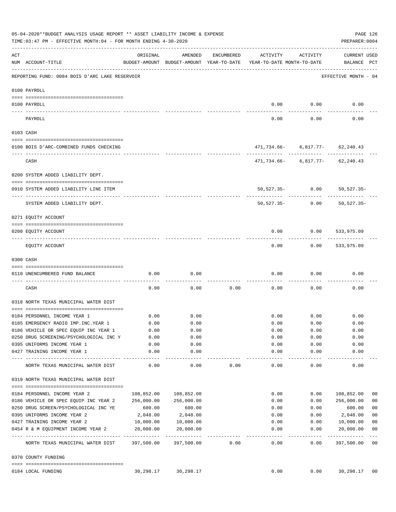|          | 05-04-2020**BUDGET ANALYSIS USAGE REPORT ** ASSET LIABILITY INCOME & EXPENSE<br>TIME: 03:47 PM - EFFECTIVE MONTH: 04 - FOR MONTH ENDING 4-30-2020 |            |                                                     |            |                                        |                 | PREPARER: 0004                         | PAGE 126                 |
|----------|---------------------------------------------------------------------------------------------------------------------------------------------------|------------|-----------------------------------------------------|------------|----------------------------------------|-----------------|----------------------------------------|--------------------------|
| ACT      | NUM ACCOUNT-TITLE                                                                                                                                 | ORIGINAL   | AMENDED<br>BUDGET-AMOUNT BUDGET-AMOUNT YEAR-TO-DATE | ENCUMBERED | ACTIVITY<br>YEAR-TO-DATE MONTH-TO-DATE | ACTIVITY        | CURRENT USED<br>BALANCE PCT            |                          |
|          | REPORTING FUND: 0084 BOIS D'ARC LAKE RESERVOIR                                                                                                    |            |                                                     |            |                                        |                 | EFFECTIVE MONTH - 04                   |                          |
|          | 0100 PAYROLL                                                                                                                                      |            |                                                     |            |                                        |                 |                                        |                          |
|          | 0100 PAYROLL                                                                                                                                      |            |                                                     |            | 0.00                                   | 0.00            | 0.00                                   |                          |
| ---- --- | ------------------------ ------<br>PAYROLL                                                                                                        |            |                                                     |            | 0.00                                   | 0.00            | 0.00                                   |                          |
|          | 0103 CASH                                                                                                                                         |            |                                                     |            |                                        |                 |                                        |                          |
|          | 0100 BOIS D'ARC-COMBINED FUNDS CHECKING                                                                                                           |            |                                                     |            |                                        |                 | 471,734.66- 6,817.77- 62,240.43        |                          |
|          | CASH                                                                                                                                              |            |                                                     |            |                                        |                 | $471, 734.66 - 6, 817.77 - 62, 240.43$ |                          |
|          | 0200 SYSTEM ADDED LIABILITY DEPT.                                                                                                                 |            |                                                     |            |                                        |                 |                                        |                          |
|          | 0910 SYSTEM ADDED LIABILITY LINE ITEM                                                                                                             |            |                                                     |            |                                        |                 | 50,527.35- 0.00 50,527.35-             |                          |
|          | SYSTEM ADDED LIABILITY DEPT.                                                                                                                      |            |                                                     |            | $50,527.35-$                           | 0.00            | 50,527.35-                             |                          |
|          | 0271 EQUITY ACCOUNT                                                                                                                               |            |                                                     |            |                                        |                 |                                        |                          |
|          | 0200 EQUITY ACCOUNT                                                                                                                               |            |                                                     |            | 0.00                                   | 0.00            | 533,975.09                             |                          |
|          | EQUITY ACCOUNT                                                                                                                                    |            |                                                     |            | 0.00                                   |                 | $0.00$ 533,975.09                      |                          |
|          | 0300 CASH                                                                                                                                         |            |                                                     |            |                                        |                 |                                        |                          |
|          | 0110 UNENCUMBERED FUND BALANCE                                                                                                                    | 0.00       | 0.00                                                |            | 0.00                                   | 0.00            | 0.00                                   |                          |
|          | CASH                                                                                                                                              | 0.00       | 0.00                                                | 0.00       | 0.00                                   | 0.00            | 0.00                                   |                          |
|          | 0318 NORTH TEXAS MUNICIPAL WATER DIST                                                                                                             |            |                                                     |            |                                        |                 |                                        |                          |
|          | 0184 PERSONNEL INCOME YEAR 1                                                                                                                      | 0.00       | 0.00                                                |            |                                        | $0.00$ 0.00     | 0.00                                   |                          |
|          | 0185 EMERGENCY RADIO IMP. INC. YEAR 1                                                                                                             | 0.00       | 0.00                                                |            | 0.00                                   | 0.00            | 0.00                                   |                          |
|          | 0186 VEHICLE OR SPEC EQUIP INC YEAR 1                                                                                                             | 0.00       | 0.00                                                |            | 0.00                                   | 0.00            | 0.00                                   |                          |
|          | 0250 DRUG SCREENING/PSYCHOLOGICAL INC Y                                                                                                           | 0.00       | 0.00                                                |            | 0.00                                   | 0.00            | 0.00                                   |                          |
|          | 0395 UNIFORMS INCOME YEAR 1                                                                                                                       | 0.00       | 0.00                                                |            | 0.00                                   | 0.00            | 0.00                                   |                          |
|          | 0427 TRAINING INCOME YEAR 1                                                                                                                       | 0.00       | 0.00<br>.                                           |            | 0.00<br>-------                        | 0.00<br>------- | 0.00<br>----------                     |                          |
|          | NORTH TEXAS MUNICIPAL WATER DIST                                                                                                                  | 0.00       | 0.00                                                | 0.00       | 0.00                                   | 0.00            | 0.00                                   |                          |
|          | 0319 NORTH TEXAS MUNICIPAL WATER DIST                                                                                                             |            |                                                     |            |                                        |                 |                                        |                          |
|          | 0184 PERSONNEL INCOME YEAR 2                                                                                                                      | 108,852.00 | 108,852.00                                          |            | 0.00                                   | 0.00            | 108,852.00                             | 00                       |
|          | 0186 VEHICLE OR SPEC EQUIP INC YEAR 2                                                                                                             | 256,000.00 | 256,000.00                                          |            | 0.00                                   | 0.00            | 256,000.00                             | 0 <sub>0</sub>           |
|          | 0250 DRUG SCREEN/PSYCHOLOGICAL INC YE                                                                                                             | 600.00     | 600.00                                              |            | 0.00                                   | 0.00            | 600.00                                 | 0 <sub>0</sub>           |
|          | 0395 UNIFORMS INCOME YEAR 2                                                                                                                       | 2,048.00   | 2,048.00                                            |            | 0.00                                   | 0.00            | 2,048.00                               | 0 <sub>0</sub>           |
|          | 0427 TRAINING INCOME YEAR 2                                                                                                                       | 10,000.00  | 10,000.00                                           |            | 0.00                                   | 0.00            | 10,000.00                              | 0 <sub>0</sub>           |
|          | 0454 R & M EQUIPMENT INCOME YEAR 2                                                                                                                | 20,000.00  | 20,000.00                                           |            | 0.00                                   | 0.00            | 20,000.00                              | 0 <sub>0</sub>           |
|          | NORTH TEXAS MUNICIPAL WATER DIST 397,500.00                                                                                                       |            | 397,500.00                                          | 0.00       | $- - - - - -$<br>0.00                  | -------<br>0.00 | ----------<br>397,500.00               | $---$<br>$\overline{00}$ |
|          | 0370 COUNTY FUNDING                                                                                                                               |            |                                                     |            |                                        |                 |                                        |                          |
|          | 0184 LOCAL FUNDING                                                                                                                                | 30,298.17  | 30,298.17                                           |            | 0.00                                   | 0.00            | 30,298.17 00                           |                          |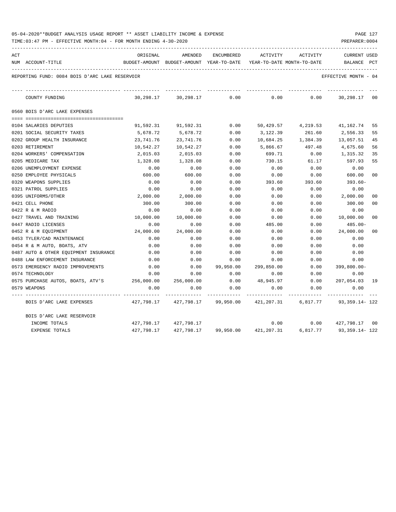| 05-04-2020**BUDGET ANALYSIS USAGE REPORT ** ASSET LIABILITY INCOME & EXPENSE |  |  |  | PAGE 127 |  |
|------------------------------------------------------------------------------|--|--|--|----------|--|
|                                                                              |  |  |  |          |  |

| ACT |                                                | ORIGINAL   | AMENDED                                  | ENCUMBERED | ACTIVITY                                                               | ACTIVITY           | <b>CURRENT USED</b>    |                |
|-----|------------------------------------------------|------------|------------------------------------------|------------|------------------------------------------------------------------------|--------------------|------------------------|----------------|
|     | NUM ACCOUNT-TITLE                              |            | BUDGET-AMOUNT BUDGET-AMOUNT YEAR-TO-DATE |            | YEAR-TO-DATE MONTH-TO-DATE                                             |                    | BALANCE                | PCT            |
|     | REPORTING FUND: 0084 BOIS D'ARC LAKE RESERVOIR |            |                                          |            |                                                                        |                    | EFFECTIVE MONTH - 04   |                |
|     | COUNTY FUNDING                                 | 30,298.17  | 30,298.17                                | 0.00       | 0.00                                                                   | 0.00               | 30,298.17              | 00             |
|     | 0560 BOIS D'ARC LAKE EXPENSES                  |            |                                          |            |                                                                        |                    |                        |                |
|     |                                                |            |                                          |            |                                                                        |                    |                        |                |
|     | 0104 SALARIES DEPUTIES                         | 91,592.31  | 91,592.31                                | 0.00       |                                                                        | 50,429.57 4,219.53 | 41,162.74              | 55             |
|     | 0201 SOCIAL SECURITY TAXES                     | 5,678.72   | 5,678.72                                 | 0.00       | 3,122.39                                                               | 261.60             | 2,556.33               | 55             |
|     | 0202 GROUP HEALTH INSURANCE                    | 23,741.76  | 23,741.76                                | 0.00       | 10,684.25                                                              | 1,384.39           | 13,057.51              | 45             |
|     | 0203 RETIREMENT                                | 10,542.27  | 10,542.27                                | 0.00       | 5,866.67                                                               | 497.48             | 4,675.60               | 56             |
|     | 0204 WORKERS' COMPENSATION                     | 2,015.03   | 2,015.03                                 | 0.00       | 699.71                                                                 | 0.00               | 1,315.32               | 35             |
|     | 0205 MEDICARE TAX                              | 1,328.08   | 1,328.08                                 | 0.00       | 730.15                                                                 | 61.17              | 597.93                 | 55             |
|     | 0206 UNEMPLOYMENT EXPENSE                      | 0.00       | 0.00                                     | 0.00       | 0.00                                                                   | 0.00               | 0.00                   |                |
|     | 0250 EMPLOYEE PHYSICALS                        | 600.00     | 600.00                                   | 0.00       | 0.00                                                                   | 0.00               | 600.00                 | 0 <sub>0</sub> |
|     | 0320 WEAPONS SUPPLIES                          | 0.00       | 0.00                                     | 0.00       | 393.60                                                                 | 393.60             | 393.60-                |                |
|     | 0321 PATROL SUPPLIES                           | 0.00       | 0.00                                     | 0.00       | 0.00                                                                   | 0.00               | 0.00                   |                |
|     | 0395 UNIFORMS/OTHER                            | 2,000.00   | 2,000.00                                 | 0.00       | 0.00                                                                   | 0.00               | 2,000.00               | 0 <sub>0</sub> |
|     | 0421 CELL PHONE                                | 300.00     | 300.00                                   | 0.00       | 0.00                                                                   | 0.00               | 300.00                 | 0 <sub>0</sub> |
|     | 0422 R & M RADIO                               | 0.00       | 0.00                                     | 0.00       | 0.00                                                                   | 0.00               | 0.00                   |                |
|     | 0427 TRAVEL AND TRAINING                       | 10,000.00  | 10,000.00                                | 0.00       | 0.00                                                                   | 0.00               | 10,000.00              | 0 <sub>0</sub> |
|     | 0447 RADIO LICENSES                            | 0.00       | 0.00                                     | 0.00       | 485.00                                                                 | 0.00               | 485.00-                |                |
|     | 0452 R & M EQUIPMENT                           | 24,000.00  | 24,000.00                                | 0.00       | 0.00                                                                   | 0.00               | 24,000.00              | 0 <sub>0</sub> |
|     | 0453 TYLER/CAD MAINTENANCE                     | 0.00       | 0.00                                     | 0.00       | 0.00                                                                   | 0.00               | 0.00                   |                |
|     | 0454 R & M AUTO, BOATS, ATV                    | 0.00       | 0.00                                     | 0.00       | 0.00                                                                   | 0.00               | 0.00                   |                |
|     | 0487 AUTO & OTHER EQUIPMENT INSURANCE          | 0.00       | 0.00                                     | 0.00       | 0.00                                                                   | 0.00               | 0.00                   |                |
|     | 0488 LAW ENFORCEMENT INSURANCE                 | 0.00       | 0.00                                     | 0.00       | 0.00                                                                   | 0.00               | 0.00                   |                |
|     | 0573 EMERGENCY RADIO IMPROVEMENTS              | 0.00       | 0.00                                     | 99,950.00  | 299,850.00                                                             | 0.00               | $399,800.00 -$         |                |
|     | 0574 TECHNOLOGY                                | 0.00       | 0.00                                     | 0.00       | 0.00                                                                   | 0.00               | 0.00                   |                |
|     | 0575 PURCHASE AUTOS, BOATS, ATV'S 256,000.00   |            | 256,000.00                               | 0.00       | 48,945.97                                                              | 0.00               | 207,054.03 19          |                |
|     | 0579 WEAPONS                                   | 0.00       | 0.00                                     | 0.00       | 0.00                                                                   | 0.00               | 0.00                   |                |
|     | BOIS D'ARC LAKE EXPENSES                       |            |                                          |            | 427,798.17  427,798.17  99,950.00  421,207.31  6,817.77  93,359.14-122 |                    |                        |                |
|     | BOIS D'ARC LAKE RESERVOIR                      |            |                                          |            |                                                                        |                    |                        |                |
|     | INCOME TOTALS                                  |            | 427,798.17 427,798.17                    |            | 0.00                                                                   |                    | $0.00$ $427,798.17$ 00 |                |
|     | <b>EXPENSE TOTALS</b>                          | 427,798.17 | 427,798.17                               |            | 99,950.00 421,207.31                                                   | 6,817.77           | 93,359.14- 122         |                |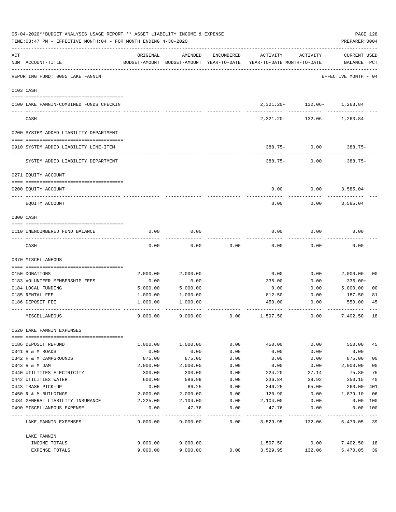| 05-04-2020**BUDGET ANALYSIS USAGE REPORT ** ASSET LIABILITY INCOME & EXPENSE<br>TIME: 03:47 PM - EFFECTIVE MONTH: 04 - FOR MONTH ENDING 4-30-2020 |                                         |          |          |            |                                                                                 |                                                 |                                    |                |  |  |  |
|---------------------------------------------------------------------------------------------------------------------------------------------------|-----------------------------------------|----------|----------|------------|---------------------------------------------------------------------------------|-------------------------------------------------|------------------------------------|----------------|--|--|--|
| ACT                                                                                                                                               | NUM ACCOUNT-TITLE                       | ORIGINAL | AMENDED  | ENCUMBERED | ACTIVITY<br>BUDGET-AMOUNT BUDGET-AMOUNT YEAR-TO-DATE YEAR-TO-DATE MONTH-TO-DATE | ACTIVITY                                        | <b>CURRENT USED</b><br>BALANCE PCT |                |  |  |  |
|                                                                                                                                                   | REPORTING FUND: 0085 LAKE FANNIN        |          |          |            |                                                                                 |                                                 | EFFECTIVE MONTH - 04               |                |  |  |  |
|                                                                                                                                                   | 0103 CASH                               |          |          |            |                                                                                 |                                                 |                                    |                |  |  |  |
|                                                                                                                                                   | 0100 LAKE FANNIN-COMBINED FUNDS CHECKIN |          |          |            |                                                                                 | 2, 321.20 - 132.06 - 1, 263.84<br>------------- |                                    |                |  |  |  |
|                                                                                                                                                   | CASH                                    |          |          |            | 2,321.20-                                                                       |                                                 | 132.06- 1,263.84                   |                |  |  |  |
|                                                                                                                                                   | 0200 SYSTEM ADDED LIABILITY DEPARTMENT  |          |          |            |                                                                                 |                                                 |                                    |                |  |  |  |
|                                                                                                                                                   | 0910 SYSTEM ADDED LIABILITY LINE-ITEM   |          |          |            |                                                                                 | $388.75 - 0.00$ 388.75-                         |                                    |                |  |  |  |
|                                                                                                                                                   | SYSTEM ADDED LIABILITY DEPARTMENT       |          |          |            |                                                                                 | $388.75 - 0.00$                                 | $388.75-$                          |                |  |  |  |
|                                                                                                                                                   | 0271 EQUITY ACCOUNT                     |          |          |            |                                                                                 |                                                 |                                    |                |  |  |  |
|                                                                                                                                                   | 0200 EQUITY ACCOUNT                     |          |          |            | 0.00                                                                            | 0.00                                            | 3,585.04                           |                |  |  |  |
|                                                                                                                                                   | EQUITY ACCOUNT                          |          |          |            | 0.00                                                                            | 0.00                                            | 3,585.04                           |                |  |  |  |
|                                                                                                                                                   | 0300 CASH                               |          |          |            |                                                                                 |                                                 |                                    |                |  |  |  |
|                                                                                                                                                   | 0110 UNENCUMBERED FUND BALANCE          | 0.00     | 0.00     |            | 0.00                                                                            | 0.00                                            | 0.00                               |                |  |  |  |
|                                                                                                                                                   | CASH                                    | 0.00     | 0.00     | 0.00       | 0.00                                                                            | 0.00                                            | 0.00                               |                |  |  |  |
|                                                                                                                                                   | 0370 MISCELLANEOUS                      |          |          |            |                                                                                 |                                                 |                                    |                |  |  |  |
|                                                                                                                                                   | 0150 DONATIONS                          | 2,000.00 | 2,000.00 |            | 0.00                                                                            | 0.00                                            | 2,000.00                           | 00             |  |  |  |
|                                                                                                                                                   | 0183 VOLUNTEER MEMBERSHIP FEES          | 0.00     | 0.00     |            | 335.00                                                                          | 0.00                                            | 335.00+                            |                |  |  |  |
|                                                                                                                                                   | 0184 LOCAL FUNDING                      | 5,000.00 | 5,000.00 |            | 0.00                                                                            | 0.00                                            | 5,000.00                           | 0 <sub>0</sub> |  |  |  |
|                                                                                                                                                   | 0185 RENTAL FEE                         | 1,000.00 | 1,000.00 |            | 812.50                                                                          | 0.00                                            | 187.50                             | 81             |  |  |  |
|                                                                                                                                                   | 0186 DEPOSIT FEE                        | 1,000.00 | 1,000.00 |            | 450.00                                                                          | 0.00                                            | 550.00                             | 45             |  |  |  |
|                                                                                                                                                   | MISCELLANEOUS                           | 9,000.00 | 9,000.00 | 0.00       | 1,597.50                                                                        | 0.00                                            | 7,402.50                           | 18             |  |  |  |
|                                                                                                                                                   | 0520 LAKE FANNIN EXPENSES               |          |          |            |                                                                                 |                                                 |                                    |                |  |  |  |
|                                                                                                                                                   | 0186 DEPOSIT REFUND                     | 1,000.00 | 1,000.00 | 0.00       | 450.00                                                                          | 0.00                                            | 550.00                             | 45             |  |  |  |
|                                                                                                                                                   | 0341 R & M ROADS                        | 0.00     | 0.00     | 0.00       | 0.00                                                                            | 0.00                                            | 0.00                               |                |  |  |  |
|                                                                                                                                                   | 0342 R & M CAMPGROUNDS                  | 875.00   | 875.00   | 0.00       | 0.00                                                                            | 0.00                                            | 875.00                             | 0 <sub>0</sub> |  |  |  |
|                                                                                                                                                   | 0343 R & M DAM                          | 2,000.00 | 2,000.00 | 0.00       | 0.00                                                                            | 0.00                                            | 2,000.00                           | 0 <sub>0</sub> |  |  |  |
|                                                                                                                                                   | 0440 UTILITIES ELECTRICITY              | 300.00   | 300.00   | 0.00       | 224.20                                                                          | 27.14                                           | 75.80                              | 75             |  |  |  |
|                                                                                                                                                   | 0442 UTILITIES WATER                    | 600.00   | 586.99   | 0.00       | 236.84                                                                          | 39.92                                           | 350.15                             | 40             |  |  |  |
|                                                                                                                                                   | 0443 TRASH PICK-UP                      | 0.00     | 86.25    | 0.00       | 346.25                                                                          | 65.00                                           | $260.00 - 401$                     |                |  |  |  |
|                                                                                                                                                   | 0450 R & M BUILDINGS                    | 2,000.00 | 2,000.00 | 0.00       | 120.90                                                                          | 0.00                                            | 1,879.10                           | 06             |  |  |  |
|                                                                                                                                                   | 0484 GENERAL LIABILITY INSURANCE        | 2,225.00 | 2,104.00 | 0.00       | 2,104.00                                                                        | 0.00                                            | 0.00 100                           |                |  |  |  |
|                                                                                                                                                   | 0490 MISCELLANEOUS EXPENSE              | 0.00     | 47.76    | 0.00       | 47.76                                                                           | 0.00                                            | 0.00 100                           |                |  |  |  |
|                                                                                                                                                   | LAKE FANNIN EXPENSES                    | 9,000.00 | 9,000.00 | 0.00       | 3,529.95                                                                        | 132.06                                          | 5,470.05 39                        |                |  |  |  |
|                                                                                                                                                   | LAKE FANNIN                             |          |          |            |                                                                                 |                                                 |                                    |                |  |  |  |
|                                                                                                                                                   | INCOME TOTALS                           | 9,000.00 | 9,000.00 |            | 1,597.50                                                                        | 0.00                                            | 7,402.50                           | 18             |  |  |  |
|                                                                                                                                                   | EXPENSE TOTALS                          | 9,000.00 | 9,000.00 | 0.00       | 3,529.95                                                                        | 132.06                                          | 5,470.05                           | 39             |  |  |  |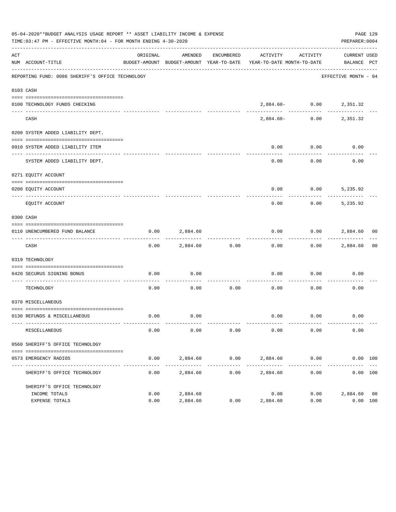|     | 05-04-2020**BUDGET ANALYSIS USAGE REPORT ** ASSET LIABILITY INCOME & EXPENSE<br>TIME:03:47 PM - EFFECTIVE MONTH:04 - FOR MONTH ENDING 4-30-2020 |              |                        |                      |                                                                                 |                             | PAGE 129<br>PREPARER: 0004  |  |
|-----|-------------------------------------------------------------------------------------------------------------------------------------------------|--------------|------------------------|----------------------|---------------------------------------------------------------------------------|-----------------------------|-----------------------------|--|
| ACT | NUM ACCOUNT-TITLE                                                                                                                               | ORIGINAL     | AMENDED                | ENCUMBERED           | ACTIVITY<br>BUDGET-AMOUNT BUDGET-AMOUNT YEAR-TO-DATE YEAR-TO-DATE MONTH-TO-DATE | ACTIVITY                    | CURRENT USED<br>BALANCE PCT |  |
|     | REPORTING FUND: 0086 SHERIFF'S OFFICE TECHNOLOGY                                                                                                |              |                        |                      |                                                                                 |                             | EFFECTIVE MONTH - 04        |  |
|     | 0103 CASH                                                                                                                                       |              |                        |                      |                                                                                 |                             |                             |  |
|     | 0100 TECHNOLOGY FUNDS CHECKING                                                                                                                  |              |                        |                      |                                                                                 | $2,884.60 - 0.00 2,351.32$  |                             |  |
|     | CASH                                                                                                                                            |              |                        |                      | 2,884.60-                                                                       |                             | $0.00$ 2,351.32             |  |
|     | 0200 SYSTEM ADDED LIABILITY DEPT.                                                                                                               |              |                        |                      |                                                                                 |                             |                             |  |
|     | 0910 SYSTEM ADDED LIABILITY ITEM                                                                                                                |              |                        |                      | 0.00                                                                            | 0.00                        | 0.00                        |  |
|     | SYSTEM ADDED LIABILITY DEPT.                                                                                                                    |              |                        |                      | 0.00                                                                            | 0.00                        | 0.00                        |  |
|     | 0271 EQUITY ACCOUNT                                                                                                                             |              |                        |                      |                                                                                 |                             |                             |  |
|     | 0200 EQUITY ACCOUNT                                                                                                                             |              |                        |                      | 0.00                                                                            | $0.00$ 5,235.92             |                             |  |
|     | EQUITY ACCOUNT                                                                                                                                  |              |                        |                      | -----<br>0.00                                                                   |                             | $0.00$ 5,235.92             |  |
|     | 0300 CASH                                                                                                                                       |              |                        |                      |                                                                                 |                             |                             |  |
|     | 0110 UNENCUMBERED FUND BALANCE                                                                                                                  | 0.00         | 2,884.60               |                      | 0.00                                                                            | $0.00$ 2,884.60 00          |                             |  |
|     | CASH                                                                                                                                            | 0.00         |                        | 2,884.60 0.00        | 0.00                                                                            |                             | $0.00$ 2,884.60 00          |  |
|     | 0319 TECHNOLOGY                                                                                                                                 |              |                        |                      |                                                                                 |                             |                             |  |
|     | 0420 SECURUS SIGNING BONUS                                                                                                                      | 0.00         | 0.00                   |                      | 0.00                                                                            | $0.00$ 0.00                 |                             |  |
|     | TECHNOLOGY                                                                                                                                      | 0.00         | 0.00                   | 0.00                 | ---------- -------------<br>0.00                                                | 0.00                        | 0.00                        |  |
|     | 0370 MISCELLANEOUS                                                                                                                              |              |                        |                      |                                                                                 |                             |                             |  |
|     | 0130 REFUNDS & MISCELLANEOUS                                                                                                                    | 0.00         | 0.00                   |                      |                                                                                 | $0.00$ $0.00$ $0.00$ $0.00$ |                             |  |
|     | MISCELLANEOUS                                                                                                                                   | 0.00         | 0.00                   | 0.00                 | 0.00                                                                            | 0.00                        | 0.00                        |  |
|     | 0560 SHERIFF'S OFFICE TECHNOLOGY                                                                                                                |              |                        |                      |                                                                                 |                             |                             |  |
|     | 0573 EMERGENCY RADIOS                                                                                                                           | 0.00         | 2,884.60               | 0.00                 |                                                                                 | 2,884.60 0.00               | 0.00 100                    |  |
|     | SHERIFF'S OFFICE TECHNOLOGY                                                                                                                     | 0.00         | ----------<br>2,884.60 | ------------<br>0.00 | ------------- ------------<br>2,884.60                                          | 0.00                        | . <u>.</u><br>0.00 100      |  |
|     | SHERIFF'S OFFICE TECHNOLOGY                                                                                                                     |              |                        |                      |                                                                                 |                             |                             |  |
|     | INCOME TOTALS<br>EXPENSE TOTALS                                                                                                                 | 0.00<br>0.00 | 2,884.60<br>2,884.60   | 0.00                 | 0.00<br>2,884.60                                                                | 0.00<br>0.00                | 2,884.60 00<br>0.00 100     |  |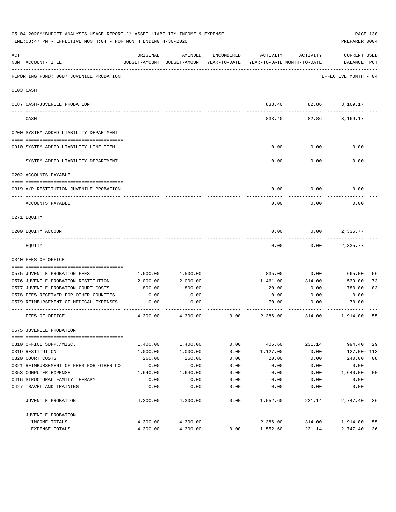| 05-04-2020**BUDGET ANALYSIS USAGE REPORT ** ASSET LIABILITY INCOME & EXPENSE<br>TIME: 03:47 PM - EFFECTIVE MONTH: 04 - FOR MONTH ENDING 4-30-2020<br>PREPARER: 0004 |                                                                              |              |                                                     |                   |                                        |              |                                    |  |
|---------------------------------------------------------------------------------------------------------------------------------------------------------------------|------------------------------------------------------------------------------|--------------|-----------------------------------------------------|-------------------|----------------------------------------|--------------|------------------------------------|--|
| ACT                                                                                                                                                                 | NUM ACCOUNT-TITLE                                                            | ORIGINAL     | AMENDED<br>BUDGET-AMOUNT BUDGET-AMOUNT YEAR-TO-DATE | ENCUMBERED        | ACTIVITY<br>YEAR-TO-DATE MONTH-TO-DATE | ACTIVITY     | <b>CURRENT USED</b><br>BALANCE PCT |  |
|                                                                                                                                                                     | REPORTING FUND: 0087 JUVENILE PROBATION                                      |              |                                                     |                   |                                        |              | EFFECTIVE MONTH - 04               |  |
|                                                                                                                                                                     | 0103 CASH                                                                    |              |                                                     |                   |                                        |              |                                    |  |
|                                                                                                                                                                     |                                                                              |              |                                                     |                   |                                        |              |                                    |  |
|                                                                                                                                                                     | 0187 CASH-JUVENILE PROBATION                                                 |              |                                                     |                   |                                        | ---------    | 833.40 82.86 3,169.17              |  |
|                                                                                                                                                                     | CASH                                                                         |              |                                                     |                   | 833.40                                 | 82.86        | 3,169.17                           |  |
|                                                                                                                                                                     | 0200 SYSTEM ADDED LIABILITY DEPARTMENT                                       |              |                                                     |                   |                                        |              |                                    |  |
|                                                                                                                                                                     |                                                                              |              |                                                     |                   |                                        |              |                                    |  |
|                                                                                                                                                                     | 0910 SYSTEM ADDED LIABILITY LINE-ITEM                                        |              |                                                     |                   | 0.00                                   | 0.00         | 0.00                               |  |
|                                                                                                                                                                     | SYSTEM ADDED LIABILITY DEPARTMENT                                            |              |                                                     |                   | 0.00                                   | 0.00         | 0.00                               |  |
|                                                                                                                                                                     | 0202 ACCOUNTS PAYABLE                                                        |              |                                                     |                   |                                        |              |                                    |  |
|                                                                                                                                                                     |                                                                              |              |                                                     |                   |                                        |              |                                    |  |
|                                                                                                                                                                     | 0319 A/P RESTITUTION-JUVENILE PROBATION                                      |              |                                                     |                   | 0.00                                   | 0.00         | 0.00                               |  |
|                                                                                                                                                                     | ACCOUNTS PAYABLE                                                             |              |                                                     |                   | 0.00                                   | 0.00         | 0.00                               |  |
|                                                                                                                                                                     | 0271 EQUITY                                                                  |              |                                                     |                   |                                        |              |                                    |  |
|                                                                                                                                                                     |                                                                              |              |                                                     |                   |                                        |              |                                    |  |
|                                                                                                                                                                     | 0200 EQUITY ACCOUNT                                                          |              |                                                     |                   | 0.00                                   | 0.00         | 2,335.77                           |  |
|                                                                                                                                                                     | EQUITY                                                                       |              |                                                     |                   | 0.00                                   | 0.00         | 2,335.77                           |  |
|                                                                                                                                                                     | 0340 FEES OF OFFICE                                                          |              |                                                     |                   |                                        |              |                                    |  |
|                                                                                                                                                                     |                                                                              |              |                                                     |                   |                                        |              |                                    |  |
|                                                                                                                                                                     | 0575 JUVENILE PROBATION FEES                                                 | 1,500.00     | 1,500.00                                            |                   | 835.00                                 | 0.00         | 665.00<br>56                       |  |
|                                                                                                                                                                     | 0576 JUVENILE PROBATION RESTITUTION                                          | 2,000.00     | 2,000.00<br>800.00                                  |                   | 1,461.00                               | 314.00       | 73<br>539.00                       |  |
|                                                                                                                                                                     | 0577 JUVENILE PROBATION COURT COSTS<br>0578 FEES RECEIVED FOR OTHER COUNTIES | 800.00       | 0.00                                                |                   | 20.00                                  | 0.00<br>0.00 | 780.00<br>03<br>0.00               |  |
|                                                                                                                                                                     | 0579 REIMBURSEMENT OF MEDICAL EXPENSES                                       | 0.00<br>0.00 | 0.00                                                |                   | 0.00<br>70.00                          | 0.00         | $70.00+$                           |  |
|                                                                                                                                                                     |                                                                              |              |                                                     |                   |                                        |              |                                    |  |
|                                                                                                                                                                     | FEES OF OFFICE                                                               | 4,300.00     | 4,300.00                                            | 0.00              | 2,386.00                               | 314.00       | 1,914.00<br>55                     |  |
|                                                                                                                                                                     | 0575 JUVENILE PROBATION                                                      |              |                                                     |                   |                                        |              |                                    |  |
|                                                                                                                                                                     | 0310 OFFICE SUPP./MISC.                                                      | 1,400.00     | 1,400.00                                            | 0.00              | 405.60                                 | 231.14       | 994.40<br>29                       |  |
|                                                                                                                                                                     | 0319 RESTITUTION                                                             | 1,000.00     | 1,000.00                                            | 0.00              | 1,127.00                               | 0.00         | 127.00- 113                        |  |
|                                                                                                                                                                     | 0320 COURT COSTS                                                             | 260.00       | 260.00                                              | 0.00              | 20.00                                  | 0.00         | 08<br>240.00                       |  |
|                                                                                                                                                                     | 0321 REIMBURSEMENT OF FEES FOR OTHER CO                                      | 0.00         | 0.00                                                | 0.00              | 0.00                                   | 0.00         | 0.00                               |  |
|                                                                                                                                                                     | 0353 COMPUTER EXPENSE                                                        | 1,640.00     | 1,640.00                                            | 0.00              | 0.00                                   | 0.00         | 0 <sub>0</sub><br>1,640.00         |  |
|                                                                                                                                                                     | 0416 STRUCTURAL FAMILY THERAPY                                               | 0.00         | 0.00                                                | 0.00              | 0.00                                   | 0.00         | 0.00                               |  |
|                                                                                                                                                                     | 0427 TRAVEL AND TRAINING                                                     | 0.00         | 0.00                                                | 0.00              | 0.00                                   | 0.00         | 0.00                               |  |
|                                                                                                                                                                     | <b>JUVENILE PROBATION</b>                                                    | 4,300.00     | 4,300.00                                            | $- - - -$<br>0.00 | 1,552.60                               | 231.14       | 36<br>2,747.40                     |  |
|                                                                                                                                                                     | JUVENILE PROBATION                                                           |              |                                                     |                   |                                        |              |                                    |  |
|                                                                                                                                                                     | INCOME TOTALS                                                                | 4,300.00     | 4,300.00                                            |                   | 2,386.00                               | 314.00       | 1,914.00<br>55                     |  |
|                                                                                                                                                                     | EXPENSE TOTALS                                                               | 4,300.00     | 4,300.00                                            | 0.00              | 1,552.60                               | 231.14       | 36<br>2,747.40                     |  |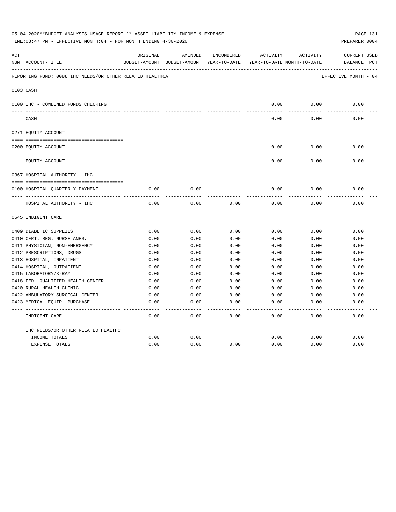|     | 05-04-2020**BUDGET ANALYSIS USAGE REPORT ** ASSET LIABILITY INCOME & EXPENSE<br>TIME:03:47 PM - EFFECTIVE MONTH:04 - FOR MONTH ENDING 4-30-2020<br>PREPARER: 0004 |          |                                          |            |          |                            |                         |  |
|-----|-------------------------------------------------------------------------------------------------------------------------------------------------------------------|----------|------------------------------------------|------------|----------|----------------------------|-------------------------|--|
| ACT |                                                                                                                                                                   | ORIGINAL | AMENDED                                  | ENCUMBERED | ACTIVITY | ACTIVITY                   | CURRENT USED            |  |
|     | NUM ACCOUNT-TITLE                                                                                                                                                 |          | BUDGET-AMOUNT BUDGET-AMOUNT YEAR-TO-DATE |            |          | YEAR-TO-DATE MONTH-TO-DATE | $_{\rm PCT}$<br>BALANCE |  |
|     | REPORTING FUND: 0088 IHC NEEDS/OR OTHER RELATED HEALTHCA                                                                                                          |          |                                          |            |          |                            | EFFECTIVE MONTH - 04    |  |
|     | 0103 CASH                                                                                                                                                         |          |                                          |            |          |                            |                         |  |
|     |                                                                                                                                                                   |          |                                          |            |          |                            |                         |  |
|     | 0100 IHC - COMBINED FUNDS CHECKING                                                                                                                                |          |                                          |            | 0.00     | 0.00                       | 0.00                    |  |
|     | CASH                                                                                                                                                              |          |                                          |            | 0.00     | 0.00                       | 0.00                    |  |
|     | 0271 EQUITY ACCOUNT                                                                                                                                               |          |                                          |            |          |                            |                         |  |
|     | 0200 EQUITY ACCOUNT                                                                                                                                               |          |                                          |            | 0.00     | 0.00                       | 0.00                    |  |
|     | ______________________________<br>EQUITY ACCOUNT                                                                                                                  |          |                                          |            | 0.00     | 0.00                       | 0.00                    |  |
|     | 0367 HOSPITAL AUTHORITY - IHC                                                                                                                                     |          |                                          |            |          |                            |                         |  |
|     |                                                                                                                                                                   |          |                                          |            |          |                            |                         |  |
|     | 0100 HOSPITAL QUARTERLY PAYMENT                                                                                                                                   | 0.00     | 0.00                                     |            | 0.00     | 0.00                       | 0.00                    |  |
|     | HOSPITAL AUTHORITY - IHC                                                                                                                                          | 0.00     | 0.00                                     | 0.00       | 0.00     | 0.00                       | 0.00                    |  |
|     | 0645 INDIGENT CARE                                                                                                                                                |          |                                          |            |          |                            |                         |  |
|     |                                                                                                                                                                   |          |                                          |            |          |                            |                         |  |
|     | 0409 DIABETIC SUPPLIES                                                                                                                                            | 0.00     | 0.00                                     | 0.00       | 0.00     | 0.00                       | 0.00                    |  |
|     | 0410 CERT. REG. NURSE ANES.                                                                                                                                       | 0.00     | 0.00                                     | 0.00       | 0.00     | 0.00                       | 0.00                    |  |
|     | 0411 PHYSICIAN, NON-EMERGENCY                                                                                                                                     | 0.00     | 0.00                                     | 0.00       | 0.00     | 0.00                       | 0.00                    |  |
|     | 0412 PRESCRIPTIONS, DRUGS                                                                                                                                         | 0.00     | 0.00                                     | 0.00       | 0.00     | 0.00                       | 0.00                    |  |
|     | 0413 HOSPITAL, INPATIENT                                                                                                                                          | 0.00     | 0.00                                     | 0.00       | 0.00     | 0.00                       | 0.00                    |  |
|     | 0414 HOSPITAL, OUTPATIENT                                                                                                                                         | 0.00     | 0.00                                     | 0.00       | 0.00     | 0.00                       | 0.00                    |  |
|     | 0415 LABORATORY/X-RAY                                                                                                                                             | 0.00     | 0.00                                     | 0.00       | 0.00     | 0.00                       | 0.00                    |  |
|     | 0418 FED. OUALIFIED HEALTH CENTER                                                                                                                                 | 0.00     | 0.00                                     | 0.00       | 0.00     | 0.00                       | 0.00                    |  |
|     | 0420 RURAL HEALTH CLINIC                                                                                                                                          | 0.00     | 0.00                                     | 0.00       | 0.00     | 0.00                       | 0.00                    |  |
|     | 0422 AMBULATORY SURGICAL CENTER                                                                                                                                   | 0.00     | 0.00                                     | 0.00       | 0.00     | 0.00                       | 0.00                    |  |
|     | 0423 MEDICAL EQUIP. PURCHASE                                                                                                                                      | 0.00     | 0.00                                     | 0.00       | 0.00     | 0.00                       | 0.00<br>-----           |  |
|     | INDIGENT CARE                                                                                                                                                     | 0.00     | 0.00                                     | 0.00       | 0.00     | 0.00                       | 0.00                    |  |
|     | IHC NEEDS/OR OTHER RELATED HEALTHC                                                                                                                                |          |                                          |            |          |                            |                         |  |
|     | INCOME TOTALS                                                                                                                                                     | 0.00     | 0.00                                     |            | 0.00     | 0.00                       | 0.00                    |  |
|     | <b>EXPENSE TOTALS</b>                                                                                                                                             | 0.00     | 0.00                                     | 0.00       | 0.00     | 0.00                       | 0.00                    |  |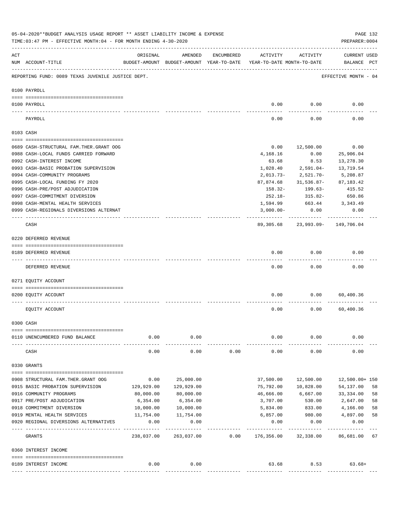|                | 05-04-2020**BUDGET ANALYSIS USAGE REPORT ** ASSET LIABILITY INCOME & EXPENSE<br>TIME: 03:47 PM - EFFECTIVE MONTH: 04 - FOR MONTH ENDING 4-30-2020 |             |                                                     |            |                                        |                       | PAGE 132<br>PREPARER: 0004         |    |
|----------------|---------------------------------------------------------------------------------------------------------------------------------------------------|-------------|-----------------------------------------------------|------------|----------------------------------------|-----------------------|------------------------------------|----|
| $\mathtt{ACT}$ | NUM ACCOUNT-TITLE                                                                                                                                 | ORIGINAL    | AMENDED<br>BUDGET-AMOUNT BUDGET-AMOUNT YEAR-TO-DATE | ENCUMBERED | ACTIVITY<br>YEAR-TO-DATE MONTH-TO-DATE | ACTIVITY              | <b>CURRENT USED</b><br>BALANCE PCT |    |
|                | REPORTING FUND: 0089 TEXAS JUVENILE JUSTICE DEPT.                                                                                                 |             |                                                     |            |                                        |                       | EFFECTIVE MONTH - 04               |    |
|                | 0100 PAYROLL                                                                                                                                      |             |                                                     |            |                                        |                       |                                    |    |
|                |                                                                                                                                                   |             |                                                     |            |                                        |                       |                                    |    |
|                | 0100 PAYROLL                                                                                                                                      |             |                                                     |            | 0.00                                   | 0.00                  | 0.00                               |    |
|                | PAYROLL                                                                                                                                           |             |                                                     |            | 0.00                                   | 0.00                  | 0.00                               |    |
|                | 0103 CASH                                                                                                                                         |             |                                                     |            |                                        |                       |                                    |    |
|                | 0689 CASH-STRUCTURAL FAM.THER.GRANT OOG                                                                                                           |             |                                                     |            | 0.00                                   | 12,500.00             | 0.00                               |    |
|                | 0988 CASH-LOCAL FUNDS CARRIED FORWARD                                                                                                             |             |                                                     |            | 4,168.16                               | 0.00                  | 25,906.04                          |    |
|                | 0992 CASH-INTEREST INCOME                                                                                                                         |             |                                                     |            | 63.68                                  | 8.53                  | 13,278.30                          |    |
|                | 0993 CASH-BASIC PROBATION SUPERVISION                                                                                                             |             |                                                     |            | 1,028.40                               | $2,591.04-$           | 13,719.54                          |    |
|                | 0994 CASH-COMMUNITY PROGRAMS                                                                                                                      |             |                                                     |            | $2,013.73-$                            | 2,521.70-             | 5,208.87                           |    |
|                | 0995 CASH-LOCAL FUNDING FY 2020                                                                                                                   |             |                                                     |            | 87,874.68                              | 31,536.87-            | 87,183.42                          |    |
|                | 0996 CASH-PRE/POST ADJUDICATION                                                                                                                   |             |                                                     |            | 158.32-                                | 199.63-               | 415.52                             |    |
|                | 0997 CASH-COMMITMENT DIVERSION                                                                                                                    |             |                                                     |            | 252.18-                                | 315.82-               | 650.86                             |    |
|                | 0998 CASH-MENTAL HEALTH SERVICES                                                                                                                  |             |                                                     |            | 1,594.99                               | 663.44                | 3,343.49                           |    |
|                | 0999 CASH-REGIONALS DIVERSIONS ALTERNAT                                                                                                           |             |                                                     |            | $3,000.00-$                            | 0.00                  | 0.00                               |    |
|                |                                                                                                                                                   |             |                                                     |            |                                        | ------------          |                                    |    |
|                | CASH                                                                                                                                              |             |                                                     |            | 89,305.68                              | 23,993.09- 149,706.04 |                                    |    |
|                | 0220 DEFERRED REVENUE                                                                                                                             |             |                                                     |            |                                        |                       |                                    |    |
|                |                                                                                                                                                   |             |                                                     |            |                                        |                       |                                    |    |
|                | 0189 DEFERRED REVENUE                                                                                                                             |             |                                                     |            | 0.00                                   | 0.00                  | 0.00                               |    |
|                | ---- ------------<br>DEFERRED REVENUE                                                                                                             |             |                                                     |            | 0.00                                   | 0.00                  | 0.00                               |    |
|                | 0271 EQUITY ACCOUNT                                                                                                                               |             |                                                     |            |                                        |                       |                                    |    |
|                |                                                                                                                                                   |             |                                                     |            |                                        |                       |                                    |    |
|                | 0200 EQUITY ACCOUNT                                                                                                                               |             |                                                     |            | 0.00                                   | 0.00                  | 60,400.36                          |    |
|                | EQUITY ACCOUNT                                                                                                                                    |             |                                                     |            | 0.00                                   | 0.00                  | 60,400.36                          |    |
|                | 0300 CASH                                                                                                                                         |             |                                                     |            |                                        |                       |                                    |    |
|                |                                                                                                                                                   |             |                                                     |            |                                        |                       |                                    |    |
|                | 0110 UNENCUMBERED FUND BALANCE                                                                                                                    | 0.00        | 0.00                                                |            | 0.00                                   | 0.00                  | 0.00                               |    |
|                | CASH                                                                                                                                              | 0.00        | 0.00                                                | 0.00       | 0.00                                   | 0.00                  | 0.00                               |    |
|                | 0330 GRANTS                                                                                                                                       |             |                                                     |            |                                        |                       |                                    |    |
|                | 0908 STRUCTURAL FAM.THER.GRANT OOG                                                                                                                | 0.00        | 25,000.00                                           |            | 37,500.00                              | 12,500.00             | 12,500.00+ 150                     |    |
|                | 0915 BASIC PROBATION SUPERVISION                                                                                                                  | 129,929.00  | 129,929.00                                          |            | 75,792.00                              | 10,828.00             | 54,137.00                          | 58 |
|                | 0916 COMMUNITY PROGRAMS                                                                                                                           | 80,000.00   | 80,000.00                                           |            | 46,666.00                              | 6,667.00              | 33,334.00                          | 58 |
|                | 0917 PRE/POST ADJUDICATION                                                                                                                        | 6,354.00    | 6,354.00                                            |            | 3,707.00                               | 530.00                | 2,647.00                           | 58 |
|                | 0918 COMMITMENT DIVERSION                                                                                                                         | 10,000.00   | 10,000.00                                           |            | 5,834.00                               | 833.00                | 4,166.00                           | 58 |
|                | 0919 MENTAL HEALTH SERVICES                                                                                                                       | 11,754.00   | 11,754.00                                           |            | 6,857.00                               | 980.00                | 4,897.00                           | 58 |
|                | 0920 REGIONAL DIVERSIONS ALTERNATIVES                                                                                                             | 0.00        | 0.00                                                |            | 0.00                                   | 0.00                  | 0.00                               |    |
|                |                                                                                                                                                   | ----------- | .                                                   |            | ----------                             | ----------            | ----------                         |    |
|                | GRANTS                                                                                                                                            | 238,037.00  | 263,037.00                                          | 0.00       | 176,356.00                             | 32,338.00             | 86,681.00                          | 67 |
|                | 0360 INTEREST INCOME                                                                                                                              |             |                                                     |            |                                        |                       |                                    |    |
|                |                                                                                                                                                   |             |                                                     |            |                                        |                       |                                    |    |
|                | 0189 INTEREST INCOME                                                                                                                              | 0.00        | 0.00                                                |            | 63.68                                  | 8.53                  | $63.68+$                           |    |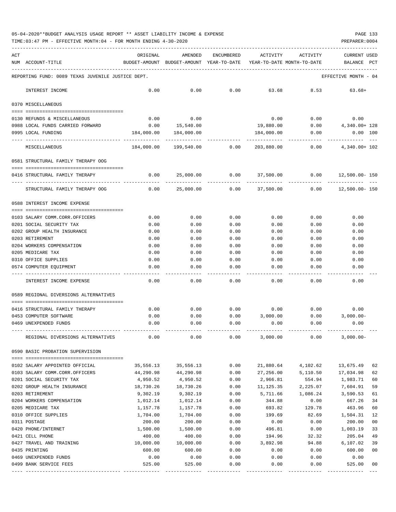TIME:03:47 PM - EFFECTIVE MONTH:04 - FOR MONTH ENDING 4-30-2020

| ACT |                                                   | ORIGINAL                                 | AMENDED      | ENCUMBERED   | ACTIVITY                   | ACTIVITY     | <b>CURRENT USED</b>  |                |
|-----|---------------------------------------------------|------------------------------------------|--------------|--------------|----------------------------|--------------|----------------------|----------------|
| NUM | ACCOUNT-TITLE                                     | BUDGET-AMOUNT BUDGET-AMOUNT YEAR-TO-DATE |              |              | YEAR-TO-DATE MONTH-TO-DATE |              | BALANCE              | PCT            |
|     | REPORTING FUND: 0089 TEXAS JUVENILE JUSTICE DEPT. |                                          |              |              |                            |              | EFFECTIVE MONTH - 04 |                |
|     | INTEREST INCOME                                   | 0.00                                     | 0.00         | 0.00         | 63.68                      | 8.53         | $63.68+$             |                |
|     | 0370 MISCELLANEOUS                                |                                          |              |              |                            |              |                      |                |
|     | 0130 REFUNDS & MISCELLANEOUS                      | 0.00                                     | 0.00         |              | 0.00                       | 0.00         | 0.00                 |                |
|     | 0988 LOCAL FUNDS CARRIED FORWARD                  | 0.00                                     | 15,540.00    |              | 19,880.00                  | 0.00         | 4,340.00+ 128        |                |
|     | 0995 LOCAL FUNDING                                | 184,000.00                               | 184,000.00   |              | 184,000.00                 | 0.00         | 0.00 100             |                |
|     | MISCELLANEOUS                                     | 184,000.00                               | 199,540.00   | 0.00         | 203,880.00                 | 0.00         | 4,340.00+ 102        |                |
|     | 0581 STRUCTURAL FAMILY THERAPY OOG                |                                          |              |              |                            |              |                      |                |
|     | 0416 STRUCTURAL FAMILY THERAPY                    | 0.00                                     | 25,000.00    | 0.00         | 37,500.00                  | 0.00         | $12,500.00 - 150$    |                |
|     | STRUCTURAL FAMILY THERAPY OOG                     | 0.00                                     | 25,000.00    | 0.00         | 37,500.00                  | 0.00         | $12,500.00 - 150$    |                |
|     | 0588 INTEREST INCOME EXPENSE                      |                                          |              |              |                            |              |                      |                |
|     | 0103 SALARY COMM.CORR.OFFICERS                    | 0.00                                     | 0.00         | 0.00         | 0.00                       | 0.00         | 0.00                 |                |
|     | 0201 SOCIAL SECURITY TAX                          | 0.00                                     | 0.00         | 0.00         | 0.00                       | 0.00         | 0.00                 |                |
|     | 0202 GROUP HEALTH INSURANCE                       | 0.00                                     | 0.00         | 0.00         | 0.00                       | 0.00         | 0.00                 |                |
|     | 0203 RETIREMENT                                   | 0.00                                     | 0.00         | 0.00         | 0.00                       | 0.00         | 0.00                 |                |
|     | 0204 WORKERS COMPENSATION                         | 0.00                                     | 0.00         | 0.00         | 0.00                       | 0.00         | 0.00                 |                |
|     | 0205 MEDICARE TAX                                 | 0.00                                     | 0.00         | 0.00         | 0.00                       | 0.00         | 0.00                 |                |
|     | 0310 OFFICE SUPPLIES                              | 0.00                                     | 0.00         | 0.00         | 0.00                       | 0.00         | 0.00                 |                |
|     | 0574 COMPUTER EQUIPMENT                           | 0.00                                     | 0.00         | 0.00         | 0.00                       | 0.00         | 0.00                 |                |
|     | INTEREST INCOME EXPENSE                           | 0.00                                     | 0.00         | 0.00         | 0.00                       | 0.00         | 0.00                 |                |
|     | 0589 REGIONAL DIVERSIONS ALTERNATIVES             |                                          |              |              |                            |              |                      |                |
|     | _____________________________________             |                                          |              |              |                            |              |                      |                |
|     | 0416 STRUCTURAL FAMILY THERAPY                    | 0.00                                     | 0.00         | 0.00         | 0.00<br>3,000.00           | 0.00         | 0.00                 |                |
|     | 0453 COMPUTER SOFTWARE<br>0469 UNEXPENDED FUNDS   | 0.00<br>0.00                             | 0.00<br>0.00 | 0.00<br>0.00 | 0.00                       | 0.00<br>0.00 | $3,000.00-$<br>0.00  |                |
|     | REGIONAL DIVERSIONS ALTERNATIVES                  | 0.00                                     | 0.00         | 0.00         | 3,000.00                   | 0.00         | $3,000.00-$          |                |
|     | 0590 BASIC PROBATION SUPERVISION                  |                                          |              |              |                            |              |                      |                |
|     |                                                   |                                          |              |              |                            |              |                      |                |
|     | 0102 SALARY APPOINTED OFFICIAL                    | 35,556.13                                | 35,556.13    | 0.00         | 21,880.64                  | 4,102.62     | 13,675.49            | 62             |
|     | 0103 SALARY COMM.CORR.OFFICERS                    | 44,290.98                                | 44,290.98    | 0.00         | 27,256.00                  | 5,110.50     | 17,034.98            | 62             |
|     | 0201 SOCIAL SECURITY TAX                          | 4,950.52                                 | 4,950.52     | 0.00         | 2,966.81                   | 554.94       | 1,983.71             | 60             |
|     | 0202 GROUP HEALTH INSURANCE                       | 18,730.26                                | 18,730.26    | 0.00         | 11, 125.35                 | 2,225.07     | 7,604.91             | 59             |
|     | 0203 RETIREMENT                                   | 9,302.19                                 | 9,302.19     | 0.00         | 5,711.66                   | 1,086.24     | 3,590.53             | 61             |
|     | 0204 WORKERS COMPENSATION                         | 1,012.14                                 | 1,012.14     | 0.00         | 344.88                     | 0.00         | 667.26               | 34             |
|     | 0205 MEDICARE TAX                                 | 1,157.78                                 | 1,157.78     | 0.00         | 693.82                     | 129.78       | 463.96               | 60             |
|     | 0310 OFFICE SUPPLIES                              | 1,704.00                                 | 1,704.00     | 0.00         | 199.69                     | 82.69        | 1,504.31             | 12             |
|     | 0311 POSTAGE                                      | 200.00                                   | 200.00       | 0.00         | 0.00                       | 0.00         | 200.00               | 0 <sub>0</sub> |
|     | 0420 PHONE/INTERNET                               | 1,500.00                                 | 1,500.00     | 0.00         | 496.81                     | 0.00         | 1,003.19             | 33             |
|     | 0421 CELL PHONE                                   | 400.00                                   | 400.00       | 0.00         | 194.96                     | 32.32        | 205.04               | 49             |
|     | 0427 TRAVEL AND TRAINING                          | 10,000.00                                | 10,000.00    | 0.00         | 3,892.98                   | 94.88        | 6, 107.02            | 39             |
|     | 0435 PRINTING                                     | 600.00                                   | 600.00       | 0.00         | 0.00                       | 0.00         | 600.00               | 0 <sub>0</sub> |
|     | 0469 UNEXPENDED FUNDS                             | 0.00                                     | 0.00         | 0.00         | 0.00                       | 0.00         | 0.00                 |                |
|     | 0499 BANK SERVICE FEES                            | 525.00                                   | 525.00       | 0.00         | 0.00                       | 0.00         | 525.00               | 00             |

---- ---------------------------------- ------------- ------------- ------------ ------------- ------------ ------------- ---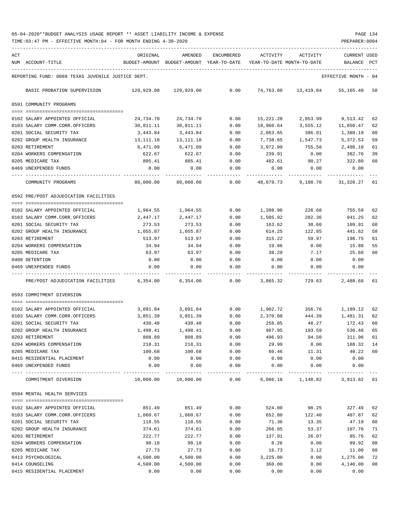| ACT |                                                                 | ORIGINAL   | AMENDED                                  | ENCUMBERED | ACTIVITY  | ACTIVITY                   | CURRENT USED    |      |
|-----|-----------------------------------------------------------------|------------|------------------------------------------|------------|-----------|----------------------------|-----------------|------|
|     | NUM ACCOUNT-TITLE                                               |            | BUDGET-AMOUNT BUDGET-AMOUNT YEAR-TO-DATE |            |           | YEAR-TO-DATE MONTH-TO-DATE | <b>BALANCE</b>  | PCT  |
|     | REPORTING FUND: 0089 TEXAS JUVENILE JUSTICE DEPT.               |            |                                          |            |           |                            | EFFECTIVE MONTH | - 04 |
|     | BASIC PROBATION SUPERVISION                                     | 129,929.00 | 129,929.00                               | 0.00       | 74,763.60 | 13,419.04                  | 55,165.40       | 58   |
|     | 0591 COMMUNITY PROGRAMS                                         |            |                                          |            |           |                            |                 |      |
|     | 0102 SALARY APPOINTED OFFICIAL                                  | 24,734.70  | 24,734.70                                | 0.00       | 15,221.28 | 2,853.99                   | 9,513.42        | 62   |
|     | 0103 SALARY COMM.CORR.OFFICERS                                  | 30,811.11  | 30,811.11                                | 0.00       | 18,960.64 | 3,555.12                   | 11,850.47       | 62   |
|     | 0201 SOCIAL SECURITY TAX                                        | 3,443.84   | 3,443.84                                 | 0.00       | 2,063.65  | 386.01                     | 1,380.19        | 60   |
|     | 0202 GROUP HEALTH INSURANCE                                     | 13,111.18  | 13,111.18                                | 0.00       | 7,738.65  | 1,547.73                   | 5,372.53        | 59   |
|     | 0203 RETIREMENT                                                 | 6,471.09   | 6,471.09                                 | 0.00       | 3,972.99  | 755.58                     | 2,498.10        | 61   |
|     | 0204 WORKERS COMPENSATION                                       | 622.67     | 622.67                                   | 0.00       | 239.91    | 0.00                       | 382.76          | 39   |
|     | 0205 MEDICARE TAX                                               | 805.41     | 805.41                                   | 0.00       | 482.61    | 90.27                      | 322.80          | 60   |
|     | 0469 UNEXPENDED FUNDS                                           | 0.00       | 0.00                                     | 0.00       | 0.00      | 0.00                       | 0.00            |      |
|     | COMMUNITY PROGRAMS                                              | 80,000.00  | 80,000.00                                | 0.00       | 48,679.73 | 9,188.70                   | 31,320.27       | 61   |
|     | 0592 PRE/POST ADJUDICATION FACILITIES                           |            |                                          |            |           |                            |                 |      |
|     | 0102 SALARY APPOINTED OFFICIAL                                  | 1,964.55   | 1,964.55                                 | 0.00       | 1,208.96  | 226.68                     | 755.59          | 62   |
|     | 0103 SALARY COMM.CORR.OFFICERS                                  | 2,447.17   | 2,447.17                                 | 0.00       | 1,505.92  | 282.36                     | 941.25          | 62   |
|     | 0201 SOCIAL SECURITY TAX                                        | 273.53     | 273.53                                   | 0.00       | 163.62    | 30.60                      | 109.91          | 60   |
|     | 0202 GROUP HEALTH INSURANCE                                     | 1,055.87   | 1,055.87                                 | 0.00       | 614.25    | 122.85                     | 441.62          | 58   |
|     | 0203 RETIREMENT                                                 | 513.97     | 513.97                                   | 0.00       | 315.22    | 59.97                      | 198.75          | 61   |
|     | 0204 WORKERS COMPENSATION                                       | 34.94      | 34.94                                    | 0.00       | 19.06     | 0.00                       | 15.88           | 55   |
|     | 0205 MEDICARE TAX                                               | 63.97      | 63.97                                    | 0.00       | 38.29     | 7.17                       | 25.68           | 60   |
|     | 0408 DETENTION                                                  | 0.00       | 0.00                                     | 0.00       | 0.00      | 0.00                       | 0.00            |      |
|     | 0469 UNEXPENDED FUNDS                                           | 0.00       | 0.00                                     | 0.00       | 0.00      | 0.00                       | 0.00            |      |
|     | PRE/POST ADJUDICATION FACILITIES                                | 6,354.00   | 6,354.00                                 | 0.00       | 3,865.32  | 729.63                     | 2,488.68        | 61   |
|     | 0593 COMMITMENT DIVERSION                                       |            |                                          |            |           |                            |                 |      |
|     | 0102 SALARY APPOINTED OFFICIAL                                  | 3,091.84   | 3,091.84                                 | 0.00       | 1,902.72  | 356.76                     | 1,189.12        | 62   |
|     | 0103 SALARY COMM.CORR.OFFICERS                                  | 3,851.39   | 3,851.39                                 | 0.00       | 2,370.08  | 444.39                     | 1,481.31        | 62   |
|     | 0201 SOCIAL SECURITY TAX                                        | 430.48     | 430.48                                   | 0.00       | 258.05    | 48.27                      | 172.43          | 60   |
|     | 0202 GROUP HEALTH INSURANCE                                     | 1,498.41   | 1,498.41                                 | 0.00       | 967.95    | 193.59                     | 530.46          | 65   |
|     | 0203 RETIREMENT                                                 | 808.89     | 808.89                                   | 0.00       | 496.93    | 94.50                      | 311.96          | 61   |
|     | 0204 WORKERS COMPENSATION                                       | 218.31     | 218.31                                   | 0.00       | 29.99     | 0.00                       | 188.32          | 14   |
|     | 0205 MEDICARE TAX                                               | 100.68     | 100.68                                   | 0.00       | 60.46     | 11.31                      | 40.22           | 60   |
|     | 0415 RESIDENTIAL PLACEMENT                                      | 0.00       | 0.00                                     | 0.00       | 0.00      | 0.00                       | 0.00            |      |
|     | 0469 UNEXPENDED FUNDS<br>-------------------------------------- | 0.00       | 0.00                                     | 0.00       | 0.00      | 0.00                       | 0.00            |      |
|     | COMMITMENT DIVERSION                                            | 10,000.00  | 10,000.00                                | 0.00       | 6,086.18  | 1,148.82                   | 3,913.82 61     |      |
|     | 0594 MENTAL HEALTH SERVICES                                     |            |                                          |            |           |                            |                 |      |
|     | 0102 SALARY APPOINTED OFFICIAL                                  | 851.49     | 851.49                                   | 0.00       | 524.00    | 98.25                      | 327.49          | 62   |
|     | 0103 SALARY COMM.CORR.OFFICERS                                  | 1,060.67   | 1,060.67                                 | 0.00       | 652.80    | 122.40                     | 407.87          | 62   |
|     | 0201 SOCIAL SECURITY TAX                                        | 118.55     | 118.55                                   | 0.00       | 71.36     | 13.35                      | 47.19           | 60   |
|     | 0202 GROUP HEALTH INSURANCE                                     | 374.61     | 374.61                                   | 0.00       | 266.85    | 53.37                      | 107.76          | 71   |
|     | 0203 RETIREMENT                                                 | 222.77     | 222.77                                   | 0.00       | 137.01    | 26.07                      | 85.76           | 62   |
|     | 0204 WORKERS COMPENSATION                                       | 98.18      | 98.18                                    | 0.00       | 8.26      | 0.00                       | 89.92           | 08   |
|     | 0205 MEDICARE TAX                                               | 27.73      | 27.73                                    | 0.00       | 16.73     | 3.12                       | 11.00           | 60   |
|     | 0413 PSYCHOLOGICAL                                              | 4,500.00   | 4,500.00                                 | 0.00       | 3,225.00  | 0.00                       | 1,275.00        | 72   |
|     | 0414 COUNSELING                                                 | 4,500.00   | 4,500.00                                 | 0.00       | 360.00    | 0.00                       | 4,140.00        | 08   |
|     | 0415 RESIDENTIAL PLACEMENT                                      | 0.00       | 0.00                                     | 0.00       | 0.00      | 0.00                       | 0.00            |      |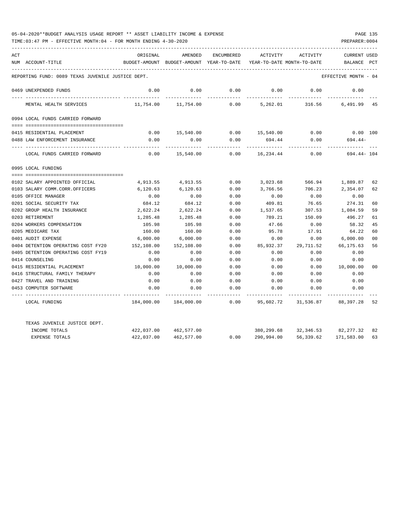| ACT |                                                   | ORIGINAL   | AMENDED                                  | <b>ENCUMBERED</b> | ACTIVITY                   | ACTIVITY  | <b>CURRENT USED</b>  |                |
|-----|---------------------------------------------------|------------|------------------------------------------|-------------------|----------------------------|-----------|----------------------|----------------|
|     | NUM ACCOUNT-TITLE                                 |            | BUDGET-AMOUNT BUDGET-AMOUNT YEAR-TO-DATE |                   | YEAR-TO-DATE MONTH-TO-DATE |           | BALANCE              | PCT            |
|     | REPORTING FUND: 0089 TEXAS JUVENILE JUSTICE DEPT. |            |                                          |                   |                            |           | EFFECTIVE MONTH - 04 |                |
|     |                                                   |            |                                          |                   |                            |           |                      |                |
|     | 0469 UNEXPENDED FUNDS                             | 0.00       | 0.00                                     | 0.00              | 0.00                       | 0.00      | 0.00                 |                |
|     | MENTAL HEALTH SERVICES                            | 11,754.00  | 11,754.00                                | 0.00              | 5,262.01                   | 316.56    | 6,491.99 45          |                |
|     | 0994 LOCAL FUNDS CARRIED FORWARD                  |            |                                          |                   |                            |           |                      |                |
|     |                                                   |            |                                          |                   |                            |           |                      |                |
|     | 0415 RESIDENTIAL PLACEMENT                        | 0.00       | 15,540.00                                |                   | $0.00$ 15,540.00           | 0.00      | $0.00$ 100           |                |
|     | 0488 LAW ENFORCEMENT INSURANCE                    | 0.00       | 0.00                                     | 0.00              | 694.44                     | 0.00      | $694.44-$            |                |
|     | LOCAL FUNDS CARRIED FORWARD                       | 0.00       | 15,540.00                                | 0.00              | 16,234.44                  | 0.00      | 694.44- 104          |                |
|     | 0995 LOCAL FUNDING                                |            |                                          |                   |                            |           |                      |                |
|     |                                                   |            |                                          |                   |                            |           |                      |                |
|     | 0102 SALARY APPOINTED OFFICIAL                    | 4,913.55   | 4,913.55                                 | 0.00              | 3,023.68                   | 566.94    | 1,889.87             | 62             |
|     | 0103 SALARY COMM.CORR.OFFICERS                    | 6,120.63   | 6,120.63                                 | 0.00              | 3,766.56                   | 706.23    | 2,354.07             | 62             |
|     | 0105 OFFICE MANAGER                               | 0.00       | 0.00                                     | 0.00              | 0.00                       | 0.00      | 0.00                 |                |
|     | 0201 SOCIAL SECURITY TAX                          | 684.12     | 684.12                                   | 0.00              | 409.81                     | 76.65     | 274.31               | 60             |
|     | 0202 GROUP HEALTH INSURANCE                       | 2,622.24   | 2,622.24                                 | 0.00              | 1,537.65                   | 307.53    | 1,084.59             | 59             |
|     | 0203 RETIREMENT                                   | 1,285.48   | 1,285.48                                 | 0.00              | 789.21                     | 150.09    | 496.27               | 61             |
|     | 0204 WORKERS COMPENSATION                         | 105.98     | 105.98                                   | 0.00              | 47.66                      | 0.00      | 58.32                | 45             |
|     | 0205 MEDICARE TAX                                 | 160.00     | 160.00                                   | 0.00              | 95.78                      | 17.91     | 64.22                | 60             |
|     | 0401 AUDIT EXPENSE                                | 6,000.00   | 6,000.00                                 | 0.00              | 0.00                       | 0.00      | 6,000.00             | 0 <sup>0</sup> |
|     | 0404 DETENTION OPERATING COST FY20                | 152,108.00 | 152,108.00                               | 0.00              | 85,932.37                  | 29,711.52 | 66,175.63            | 56             |
|     | 0405 DETENTION OPERATING COST FY19                | 0.00       | 0.00                                     | 0.00              | 0.00                       | 0.00      | 0.00                 |                |
|     | 0414 COUNSELING                                   | 0.00       | 0.00                                     | 0.00              | 0.00                       | 0.00      | 0.00                 |                |
|     | 0415 RESIDENTIAL PLACEMENT                        | 10,000.00  | 10,000.00                                | 0.00              | 0.00                       | 0.00      | 10,000.00            | 00             |
|     | 0416 STRUCTURAL FAMILY THERAPY                    | 0.00       | 0.00                                     | 0.00              | 0.00                       | 0.00      | 0.00                 |                |
|     | 0427 TRAVEL AND TRAINING                          | 0.00       | 0.00                                     | 0.00              | 0.00                       | 0.00      | 0.00                 |                |
|     | 0453 COMPUTER SOFTWARE                            | 0.00       | 0.00                                     | 0.00              | 0.00                       | 0.00      | 0.00                 |                |
|     | LOCAL FUNDING                                     | 184,000.00 | 184,000.00                               | 0.00              | 95,602.72                  |           | 31,536.87 88,397.28  | 52             |
|     | TEXAS JUVENILE JUSTICE DEPT.                      |            |                                          |                   |                            |           |                      |                |
|     | INCOME TOTALS                                     | 422,037.00 | 462,577.00                               |                   | 380,299.68                 |           | 32,346.53 82,277.32  | 82             |
|     | <b>EXPENSE TOTALS</b>                             | 422,037.00 | 462,577.00                               | 0.00              | 290,994.00                 | 56,339.62 | 171,583.00           | 63             |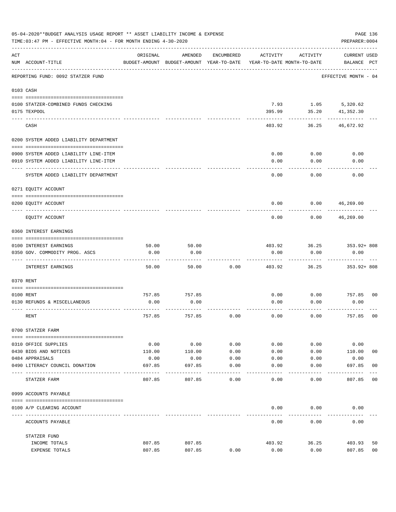|     | 05-04-2020**BUDGET ANALYSIS USAGE REPORT ** ASSET LIABILITY INCOME & EXPENSE<br>PAGE 136<br>PREPARER: 0004<br>TIME: 03:47 PM - EFFECTIVE MONTH: 04 - FOR MONTH ENDING 4-30-2020 |          |                                                     |              |          |                                        |                                    |                |  |  |  |
|-----|---------------------------------------------------------------------------------------------------------------------------------------------------------------------------------|----------|-----------------------------------------------------|--------------|----------|----------------------------------------|------------------------------------|----------------|--|--|--|
| ACT | NUM ACCOUNT-TITLE                                                                                                                                                               | ORIGINAL | AMENDED<br>BUDGET-AMOUNT BUDGET-AMOUNT YEAR-TO-DATE | ENCUMBERED   | ACTIVITY | ACTIVITY<br>YEAR-TO-DATE MONTH-TO-DATE | <b>CURRENT USED</b><br>BALANCE PCT |                |  |  |  |
|     | REPORTING FUND: 0092 STATZER FUND                                                                                                                                               |          |                                                     |              |          |                                        | EFFECTIVE MONTH - 04               |                |  |  |  |
|     | 0103 CASH                                                                                                                                                                       |          |                                                     |              |          |                                        |                                    |                |  |  |  |
|     | 0100 STATZER-COMBINED FUNDS CHECKING<br>0175 TEXPOOL                                                                                                                            |          |                                                     |              | 395.99   | 7.93 1.05 5,320.62<br>35.20            | 41,352.30                          |                |  |  |  |
|     | CASH                                                                                                                                                                            |          |                                                     |              | 403.92   | 36.25                                  | 46,672.92                          |                |  |  |  |
|     | 0200 SYSTEM ADDED LIABILITY DEPARTMENT                                                                                                                                          |          |                                                     |              |          |                                        |                                    |                |  |  |  |
|     | 0900 SYSTEM ADDED LIABILITY LINE-ITEM                                                                                                                                           |          |                                                     |              | 0.00     | 0.00                                   | 0.00                               |                |  |  |  |
|     | 0910 SYSTEM ADDED LIABILITY LINE-ITEM                                                                                                                                           |          |                                                     |              | 0.00     | 0.00                                   | 0.00                               |                |  |  |  |
|     | SYSTEM ADDED LIABILITY DEPARTMENT                                                                                                                                               |          |                                                     |              | 0.00     | 0.00                                   | 0.00                               |                |  |  |  |
|     | 0271 EQUITY ACCOUNT                                                                                                                                                             |          |                                                     |              |          |                                        |                                    |                |  |  |  |
|     | 0200 EQUITY ACCOUNT                                                                                                                                                             |          |                                                     |              | 0.00     | 0.00                                   | 46,269.00                          |                |  |  |  |
|     | EQUITY ACCOUNT                                                                                                                                                                  |          |                                                     |              | 0.00     | 0.00                                   | 46,269.00                          |                |  |  |  |
|     | 0360 INTEREST EARNINGS                                                                                                                                                          |          |                                                     |              |          |                                        |                                    |                |  |  |  |
|     |                                                                                                                                                                                 |          |                                                     |              |          |                                        |                                    |                |  |  |  |
|     | 0100 INTEREST EARNINGS                                                                                                                                                          | 50.00    | 50.00                                               |              | 403.92   | 36.25                                  | 353.92+808                         |                |  |  |  |
|     | 0350 GOV. COMMODITY PROG. ASCS                                                                                                                                                  | 0.00     | 0.00                                                |              | 0.00     | 0.00                                   | 0.00                               |                |  |  |  |
|     | INTEREST EARNINGS                                                                                                                                                               | 50.00    | 50.00                                               | 0.00         | 403.92   | 36.25                                  | $353.92 + 808$                     |                |  |  |  |
|     | 0370 RENT                                                                                                                                                                       |          |                                                     |              |          |                                        |                                    |                |  |  |  |
|     |                                                                                                                                                                                 |          |                                                     |              |          |                                        |                                    |                |  |  |  |
|     | 0100 RENT                                                                                                                                                                       | 757.85   | 757.85                                              |              | 0.00     | 0.00                                   | 757.85                             | 00             |  |  |  |
|     | 0130 REFUNDS & MISCELLANEOUS                                                                                                                                                    | 0.00     | 0.00                                                |              | 0.00     | 0.00                                   | 0.00                               |                |  |  |  |
|     | RENT                                                                                                                                                                            | 757.85   | 757.85                                              | 0.00         | 0.00     | 0.00                                   | 757.85                             | 0 <sub>0</sub> |  |  |  |
|     | 0700 STATZER FARM                                                                                                                                                               |          |                                                     |              |          |                                        |                                    |                |  |  |  |
|     | 0310 OFFICE SUPPLIES                                                                                                                                                            | 0.00     | 0.00                                                | 0.00         | 0.00     | 0.00                                   | 0.00                               |                |  |  |  |
|     | 0430 BIDS AND NOTICES                                                                                                                                                           | 110.00   | 110.00                                              | 0.00         | 0.00     | 0.00                                   | 110.00                             | 0 <sub>0</sub> |  |  |  |
|     | 0484 APPRAISALS                                                                                                                                                                 | 0.00     | 0.00                                                | 0.00         | 0.00     | 0.00                                   | 0.00                               |                |  |  |  |
|     | 0490 LITERACY COUNCIL DONATION                                                                                                                                                  | 697.85   | 697.85                                              | 0.00<br>---- | 0.00     | 0.00                                   | 697.85                             | 00             |  |  |  |
|     | STATZER FARM                                                                                                                                                                    | 807.85   | 807.85                                              | 0.00         | 0.00     | 0.00                                   | 807.85                             | 0 <sub>0</sub> |  |  |  |
|     | 0999 ACCOUNTS PAYABLE                                                                                                                                                           |          |                                                     |              |          |                                        |                                    |                |  |  |  |
|     | 0100 A/P CLEARING ACCOUNT                                                                                                                                                       |          |                                                     |              | 0.00     | 0.00                                   | 0.00                               |                |  |  |  |
|     | ACCOUNTS PAYABLE                                                                                                                                                                |          |                                                     |              | 0.00     | 0.00                                   | 0.00                               |                |  |  |  |
|     | STATZER FUND                                                                                                                                                                    |          |                                                     |              |          |                                        |                                    |                |  |  |  |
|     | INCOME TOTALS                                                                                                                                                                   | 807.85   | 807.85                                              |              | 403.92   | 36.25                                  | 403.93                             | 50             |  |  |  |
|     | EXPENSE TOTALS                                                                                                                                                                  | 807.85   | 807.85                                              | 0.00         | 0.00     | 0.00                                   | 807.85                             | 00             |  |  |  |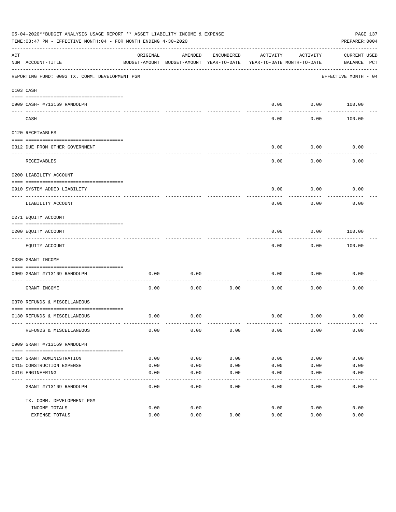|     | 05-04-2020**BUDGET ANALYSIS USAGE REPORT ** ASSET LIABILITY INCOME & EXPENSE<br>PAGE 137<br>TIME: 03:47 PM - EFFECTIVE MONTH: 04 - FOR MONTH ENDING 4-30-2020<br>PREPARER: 0004 |          |                                                     |            |                                        |                   |                             |  |  |
|-----|---------------------------------------------------------------------------------------------------------------------------------------------------------------------------------|----------|-----------------------------------------------------|------------|----------------------------------------|-------------------|-----------------------------|--|--|
| ACT | NUM ACCOUNT-TITLE                                                                                                                                                               | ORIGINAL | AMENDED<br>BUDGET-AMOUNT BUDGET-AMOUNT YEAR-TO-DATE | ENCUMBERED | ACTIVITY<br>YEAR-TO-DATE MONTH-TO-DATE | ACTIVITY          | CURRENT USED<br>BALANCE PCT |  |  |
|     | REPORTING FUND: 0093 TX. COMM. DEVELOPMENT PGM                                                                                                                                  |          |                                                     |            |                                        |                   | EFFECTIVE MONTH - 04        |  |  |
|     | 0103 CASH                                                                                                                                                                       |          |                                                     |            |                                        |                   |                             |  |  |
|     | 0909 CASH- #713169 RANDOLPH                                                                                                                                                     |          |                                                     |            | 0.00                                   |                   | $0.00$ 100.00               |  |  |
|     | CASH                                                                                                                                                                            |          |                                                     |            | $- - - -$<br>0.00                      | ---------<br>0.00 | 100.00                      |  |  |
|     | 0120 RECEIVABLES                                                                                                                                                                |          |                                                     |            |                                        |                   |                             |  |  |
|     | 0312 DUE FROM OTHER GOVERNMENT                                                                                                                                                  |          |                                                     |            | 0.00                                   | 0.00              | 0.00                        |  |  |
|     | RECEIVABLES                                                                                                                                                                     |          |                                                     |            | 0.00                                   | 0.00              | 0.00                        |  |  |
|     | 0200 LIABILITY ACCOUNT                                                                                                                                                          |          |                                                     |            |                                        |                   |                             |  |  |
|     | 0910 SYSTEM ADDED LIABILITY                                                                                                                                                     |          |                                                     |            | 0.00                                   | 0.00              | 0.00                        |  |  |
|     | ---- --------------<br>LIABILITY ACCOUNT                                                                                                                                        |          |                                                     |            | 0.00                                   | 0.00              | 0.00                        |  |  |
|     | 0271 EQUITY ACCOUNT                                                                                                                                                             |          |                                                     |            |                                        |                   |                             |  |  |
|     | 0200 EQUITY ACCOUNT                                                                                                                                                             |          |                                                     |            | 0.00                                   | 0.00              | 100.00                      |  |  |
|     | ------------------------<br>EQUITY ACCOUNT                                                                                                                                      |          |                                                     |            | 0.00                                   | .<br>0.00         | . <u>.</u><br>100.00        |  |  |
|     | 0330 GRANT INCOME                                                                                                                                                               |          |                                                     |            |                                        |                   |                             |  |  |
|     |                                                                                                                                                                                 |          |                                                     |            |                                        |                   |                             |  |  |
|     | 0909 GRANT #713169 RANDOLPH                                                                                                                                                     | 0.00     | 0.00                                                |            | 0.00                                   | 0.00              | 0.00                        |  |  |
|     | GRANT INCOME                                                                                                                                                                    | 0.00     | 0.00                                                | 0.00       | 0.00                                   | 0.00              | 0.00                        |  |  |
|     | 0370 REFUNDS & MISCELLANEOUS                                                                                                                                                    |          |                                                     |            |                                        |                   |                             |  |  |
|     |                                                                                                                                                                                 |          |                                                     |            |                                        |                   |                             |  |  |
|     | 0130 REFUNDS & MISCELLANEOUS                                                                                                                                                    | 0.00     | 0.00                                                |            | 0.00                                   | 0.00              | 0.00                        |  |  |
|     | REFUNDS & MISCELLANEOUS                                                                                                                                                         | 0.00     | 0.00                                                | 0.00       | 0.00                                   | 0.00              | 0.00                        |  |  |
|     | 0909 GRANT #713169 RANDOLPH                                                                                                                                                     |          |                                                     |            |                                        |                   |                             |  |  |
|     | 0414 GRANT ADMINISTRATION                                                                                                                                                       | 0.00     | 0.00                                                | 0.00       | 0.00                                   | 0.00              | 0.00                        |  |  |
|     | 0415 CONSTRUCTION EXPENSE                                                                                                                                                       | 0.00     | 0.00                                                | 0.00       | 0.00                                   | 0.00              | 0.00                        |  |  |
|     | 0416 ENGINEERING                                                                                                                                                                | 0.00     | 0.00                                                | 0.00       | 0.00                                   | 0.00              | 0.00                        |  |  |
|     | GRANT #713169 RANDOLPH                                                                                                                                                          | 0.00     | 0.00                                                | 0.00       | -----<br>0.00                          | 0.00              | 0.00                        |  |  |
|     | TX. COMM. DEVELOPMENT PGM                                                                                                                                                       |          |                                                     |            |                                        |                   |                             |  |  |
|     | INCOME TOTALS                                                                                                                                                                   | 0.00     | 0.00                                                |            | 0.00                                   | 0.00              | 0.00                        |  |  |
|     | EXPENSE TOTALS                                                                                                                                                                  | 0.00     | 0.00                                                | 0.00       | 0.00                                   | 0.00              | 0.00                        |  |  |
|     |                                                                                                                                                                                 |          |                                                     |            |                                        |                   |                             |  |  |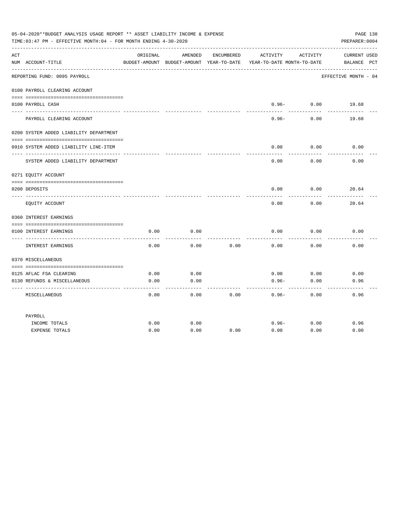|     | 05-04-2020**BUDGET ANALYSIS USAGE REPORT ** ASSET LIABILITY INCOME & EXPENSE<br>TIME: 03:47 PM - EFFECTIVE MONTH: 04 - FOR MONTH ENDING 4-30-2020 |              |              |            |                                                                                 |                            | PAGE 138<br>PREPARER: 0004         |
|-----|---------------------------------------------------------------------------------------------------------------------------------------------------|--------------|--------------|------------|---------------------------------------------------------------------------------|----------------------------|------------------------------------|
| ACT | NUM ACCOUNT-TITLE                                                                                                                                 | ORIGINAL     | AMENDED      | ENCUMBERED | ACTIVITY<br>BUDGET-AMOUNT BUDGET-AMOUNT YEAR-TO-DATE YEAR-TO-DATE MONTH-TO-DATE | ACTIVITY                   | <b>CURRENT USED</b><br>BALANCE PCT |
|     | REPORTING FUND: 0095 PAYROLL                                                                                                                      |              |              |            |                                                                                 |                            | EFFECTIVE MONTH - 04               |
|     | 0100 PAYROLL CLEARING ACCOUNT                                                                                                                     |              |              |            |                                                                                 |                            |                                    |
|     | 0100 PAYROLL CASH                                                                                                                                 |              |              |            | ---------                                                                       | $0.96 - 0.00$<br>--------- | 19.68                              |
|     | PAYROLL CLEARING ACCOUNT                                                                                                                          |              |              |            | $0.96 -$                                                                        | 0.00                       | 19.68                              |
|     | 0200 SYSTEM ADDED LIABILITY DEPARTMENT                                                                                                            |              |              |            |                                                                                 |                            |                                    |
|     | 0910 SYSTEM ADDED LIABILITY LINE-ITEM                                                                                                             |              |              |            | 0.00                                                                            | 0.00                       | 0.00                               |
|     | SYSTEM ADDED LIABILITY DEPARTMENT                                                                                                                 |              |              |            | 0.00                                                                            | 0.00                       | 0.00                               |
|     | 0271 EQUITY ACCOUNT                                                                                                                               |              |              |            |                                                                                 |                            |                                    |
|     |                                                                                                                                                   |              |              |            |                                                                                 | 0.00                       |                                    |
|     | 0200 DEPOSITS                                                                                                                                     |              |              |            | 0.00                                                                            |                            | 20.64                              |
|     | EQUITY ACCOUNT                                                                                                                                    |              |              |            | 0.00                                                                            | 0.00                       | 20.64                              |
|     | 0360 INTEREST EARNINGS                                                                                                                            |              |              |            |                                                                                 |                            |                                    |
|     |                                                                                                                                                   |              |              |            |                                                                                 |                            |                                    |
|     | 0100 INTEREST EARNINGS                                                                                                                            | 0.00         | 0.00         |            | 0.00                                                                            | 0.00                       | 0.00                               |
|     | INTEREST EARNINGS                                                                                                                                 | 0.00         | 0.00         | 0.00       | 0.00                                                                            | 0.00                       | 0.00                               |
|     | 0370 MISCELLANEOUS                                                                                                                                |              |              |            |                                                                                 |                            |                                    |
|     |                                                                                                                                                   |              |              |            |                                                                                 |                            |                                    |
|     | 0125 AFLAC FSA CLEARING<br>0130 REFUNDS & MISCELLANEOUS                                                                                           | 0.00<br>0.00 | 0.00<br>0.00 |            | 0.00<br>$0.96 -$                                                                | 0.00<br>0.00               | 0.00<br>0.96                       |
|     |                                                                                                                                                   |              |              |            |                                                                                 |                            |                                    |
|     | MISCELLANEOUS                                                                                                                                     | 0.00         | 0.00         | 0.00       | $0.96 -$                                                                        | 0.00                       | 0.96                               |
|     | PAYROLL                                                                                                                                           |              |              |            |                                                                                 |                            |                                    |
|     | INCOME TOTALS                                                                                                                                     | 0.00         | 0.00         |            | $0.96 -$                                                                        | 0.00                       | 0.96                               |
|     | <b>EXPENSE TOTALS</b>                                                                                                                             | 0.00         | 0.00         | 0.00       | 0.00                                                                            | 0.00                       | 0.00                               |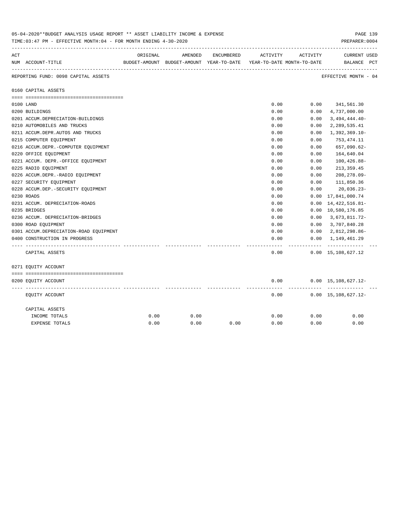|     | 05-04-2020**BUDGET ANALYSIS USAGE REPORT ** ASSET LIABILITY INCOME & EXPENSE<br>TIME: 03:47 PM - EFFECTIVE MONTH: 04 - FOR MONTH ENDING 4-30-2020 |          |                                                                     |            |          |          |                                               |  |  |
|-----|---------------------------------------------------------------------------------------------------------------------------------------------------|----------|---------------------------------------------------------------------|------------|----------|----------|-----------------------------------------------|--|--|
| ACT |                                                                                                                                                   | ORIGINAL | AMENDED                                                             | ENCUMBERED | ACTIVITY | ACTIVITY | <b>CURRENT USED</b>                           |  |  |
|     | NUM ACCOUNT-TITLE                                                                                                                                 |          | BUDGET-AMOUNT BUDGET-AMOUNT YEAR-TO-DATE YEAR-TO-DATE MONTH-TO-DATE |            |          |          | BALANCE PCT                                   |  |  |
|     | REPORTING FUND: 0098 CAPITAL ASSETS                                                                                                               |          |                                                                     |            |          |          | ---------------------<br>EFFECTIVE MONTH - 04 |  |  |
|     | 0160 CAPITAL ASSETS                                                                                                                               |          |                                                                     |            |          |          |                                               |  |  |
|     |                                                                                                                                                   |          |                                                                     |            |          |          |                                               |  |  |
|     | 0100 LAND                                                                                                                                         |          |                                                                     |            | 0.00     | 0.00     | 341,561.30                                    |  |  |
|     | 0200 BUILDINGS                                                                                                                                    |          |                                                                     |            | 0.00     | 0.00     | 4,737,000.00                                  |  |  |
|     | 0201 ACCUM.DEPRECIATION-BUILDINGS                                                                                                                 |          |                                                                     |            | 0.00     | 0.00     | $3,494,444.40-$                               |  |  |
|     | 0210 AUTOMOBILES AND TRUCKS                                                                                                                       |          |                                                                     |            | 0.00     | 0.00     | 2,289,535.41                                  |  |  |
|     | 0211 ACCUM.DEPR.AUTOS AND TRUCKS                                                                                                                  |          |                                                                     |            | 0.00     | 0.00     | $1,392,369.10-$                               |  |  |
|     | 0215 COMPUTER EQUIPMENT                                                                                                                           |          |                                                                     |            | 0.00     | 0.00     | 753,474.11                                    |  |  |
|     | 0216 ACCUM.DEPR.-COMPUTER EQUIPMENT                                                                                                               |          |                                                                     |            | 0.00     | 0.00     | 657,090.62-                                   |  |  |
|     | 0220 OFFICE EQUIPMENT                                                                                                                             |          |                                                                     |            | 0.00     | 0.00     | 164,640.04                                    |  |  |
|     | 0221 ACCUM. DEPR.-OFFICE EQUIPMENT                                                                                                                |          |                                                                     |            | 0.00     | 0.00     | $100, 426.88 -$                               |  |  |
|     | 0225 RADIO EQUIPMENT                                                                                                                              |          |                                                                     |            | 0.00     | 0.00     | 213, 359.45                                   |  |  |
|     | 0226 ACCUM.DEPR.-RADIO EQUIPMENT                                                                                                                  |          |                                                                     |            | 0.00     | 0.00     | 208,278.09-                                   |  |  |
|     | 0227 SECURITY EQUIPMENT                                                                                                                           |          |                                                                     |            | 0.00     | 0.00     | 111,850.36                                    |  |  |
|     | 0228 ACCUM.DEP. - SECURITY EQUIPMENT                                                                                                              |          |                                                                     |            | 0.00     | 0.00     | $20,036.23-$                                  |  |  |
|     | 0230 ROADS                                                                                                                                        |          |                                                                     |            | 0.00     | 0.00     | 17,841,000.74                                 |  |  |
|     | 0231 ACCUM. DEPRECIATION-ROADS                                                                                                                    |          |                                                                     |            | 0.00     | 0.00     | 14, 422, 516.81-                              |  |  |
|     | 0235 BRIDGES                                                                                                                                      |          |                                                                     |            | 0.00     |          | 0.00 10,580,176.85                            |  |  |
|     | 0236 ACCUM. DEPRECIATION-BRIDGES                                                                                                                  |          |                                                                     |            | 0.00     | 0.00     | 3,673,811.72-                                 |  |  |
|     | 0300 ROAD EQUIPMENT                                                                                                                               |          |                                                                     |            | 0.00     | 0.00     | 3,707,840.28                                  |  |  |
|     | 0301 ACCUM.DEPRECIATION-ROAD EQUIPMENT                                                                                                            |          |                                                                     |            | 0.00     | 0.00     | 2,812,298.86-                                 |  |  |
|     | 0400 CONSTRUCTION IN PROGRESS                                                                                                                     |          |                                                                     |            | 0.00     | 0.00     | 1,149,461.29                                  |  |  |
|     |                                                                                                                                                   |          |                                                                     |            |          |          |                                               |  |  |
|     | CAPITAL ASSETS                                                                                                                                    |          |                                                                     |            | 0.00     |          | $0.00 \quad 15,108,627.12$                    |  |  |
|     | 0271 EQUITY ACCOUNT                                                                                                                               |          |                                                                     |            |          |          |                                               |  |  |
|     |                                                                                                                                                   |          |                                                                     |            |          |          |                                               |  |  |
|     | 0200 EQUITY ACCOUNT                                                                                                                               |          |                                                                     |            | 0.00     |          | $0.00 \quad 15,108,627.12 -$<br>----------    |  |  |
|     | EQUITY ACCOUNT                                                                                                                                    |          |                                                                     |            | 0.00     |          | $0.00 \quad 15,108,627.12 -$                  |  |  |
|     | CAPITAL ASSETS                                                                                                                                    |          |                                                                     |            |          |          |                                               |  |  |
|     | INCOME TOTALS                                                                                                                                     | 0.00     | 0.00                                                                |            | 0.00     | 0.00     | 0.00                                          |  |  |
|     | <b>EXPENSE TOTALS</b>                                                                                                                             | 0.00     | 0.00                                                                | 0.00       | 0.00     | 0.00     | 0.00                                          |  |  |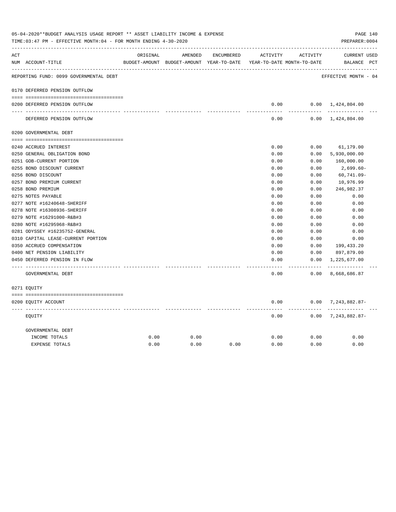| ACT |                                        | ORIGINAL | AMENDED                                  | ENCUMBERED | ACTIVITY      | ACTIVITY                   | <b>CURRENT USED</b>           |  |
|-----|----------------------------------------|----------|------------------------------------------|------------|---------------|----------------------------|-------------------------------|--|
|     | NUM ACCOUNT-TITLE                      |          | BUDGET-AMOUNT BUDGET-AMOUNT YEAR-TO-DATE |            |               | YEAR-TO-DATE MONTH-TO-DATE | BALANCE PCT                   |  |
|     | REPORTING FUND: 0099 GOVERNMENTAL DEBT |          |                                          |            |               |                            | EFFECTIVE MONTH - 04          |  |
|     | 0170 DEFERRED PENSION OUTFLOW          |          |                                          |            |               |                            |                               |  |
|     | 0200 DEFERRED PENSION OUTFLOW          |          |                                          |            | 0.00          |                            | $0.00 \quad 1,424,804.00$     |  |
|     | DEFERRED PENSION OUTFLOW               |          |                                          |            | 0.00          |                            | $0.00 \quad 1,424,804.00$     |  |
|     | 0200 GOVERNMENTAL DEBT                 |          |                                          |            |               |                            |                               |  |
|     | 0240 ACCRUED INTEREST                  |          |                                          |            | 0.00          | 0.00                       | 61,179.00                     |  |
|     | 0250 GENERAL OBLIGATION BOND           |          |                                          |            | 0.00          | 0.00                       | 5,930,000.00                  |  |
|     | 0251 GOB-CURRENT PORTION               |          |                                          |            | 0.00          | 0.00                       | 160,000.00                    |  |
|     | 0255 BOND DISCOUNT CURRENT             |          |                                          |            | 0.00          | 0.00                       | 2,699.60-                     |  |
|     | 0256 BOND DISCOUNT                     |          |                                          |            | 0.00          | 0.00                       | $60, 741.09 -$                |  |
|     | 0257 BOND PREMIUM CURRENT              |          |                                          |            | 0.00          | 0.00                       | 10,976.99                     |  |
|     | 0258 BOND PREMIUM                      |          |                                          |            | 0.00          | 0.00                       | 246,982.37                    |  |
|     | 0275 NOTES PAYABLE                     |          |                                          |            | 0.00          | 0.00                       | 0.00                          |  |
|     | 0277 NOTE #16240648-SHERIFF            |          |                                          |            | 0.00          | 0.00                       | 0.00                          |  |
|     | 0278 NOTE #16308936-SHERIFF            |          |                                          |            | 0.00          | 0.00                       | 0.00                          |  |
|     | 0279 NOTE #16291000-R&B#3              |          |                                          |            | 0.00          | 0.00                       | 0.00                          |  |
|     | 0280 NOTE #16295968-R&B#3              |          |                                          |            | 0.00          | 0.00                       | 0.00                          |  |
|     | 0281 ODYSSEY #16235752-GENERAL         |          |                                          |            | 0.00          | 0.00                       | 0.00                          |  |
|     | 0310 CAPITAL LEASE-CURRENT PORTION     |          |                                          |            | 0.00          | 0.00                       | 0.00                          |  |
|     | 0350 ACCRUED COMPENSATION              |          |                                          |            | 0.00          | 0.00                       | 199,433.20                    |  |
|     | 0400 NET PENSION LIABILITY             |          |                                          |            | 0.00          | 0.00                       | 897,879.00                    |  |
|     | 0450 DEFERRED PENSION IN FLOW          |          |                                          |            | 0.00<br>----- | 0.00<br>-------            | 1,225,677.00<br>------------- |  |
|     | GOVERNMENTAL DEBT                      |          |                                          |            | 0.00          | 0.00                       | 8,668,686.87                  |  |
|     | 0271 EQUITY                            |          |                                          |            |               |                            |                               |  |
|     | 0200 EQUITY ACCOUNT                    |          |                                          |            | 0.00          |                            | $0.00$ 7, 243, 882.87-        |  |
|     | EOUITY                                 |          |                                          |            | 0.00          | $- - - - - -$              | $0.00$ 7, 243, 882.87-        |  |
|     | GOVERNMENTAL DEBT                      |          |                                          |            |               |                            |                               |  |
|     | INCOME TOTALS                          | 0.00     | 0.00                                     |            | 0.00          | 0.00                       | 0.00                          |  |
|     | <b>EXPENSE TOTALS</b>                  | 0.00     | 0.00                                     | 0.00       | 0.00          | 0.00                       | 0.00                          |  |